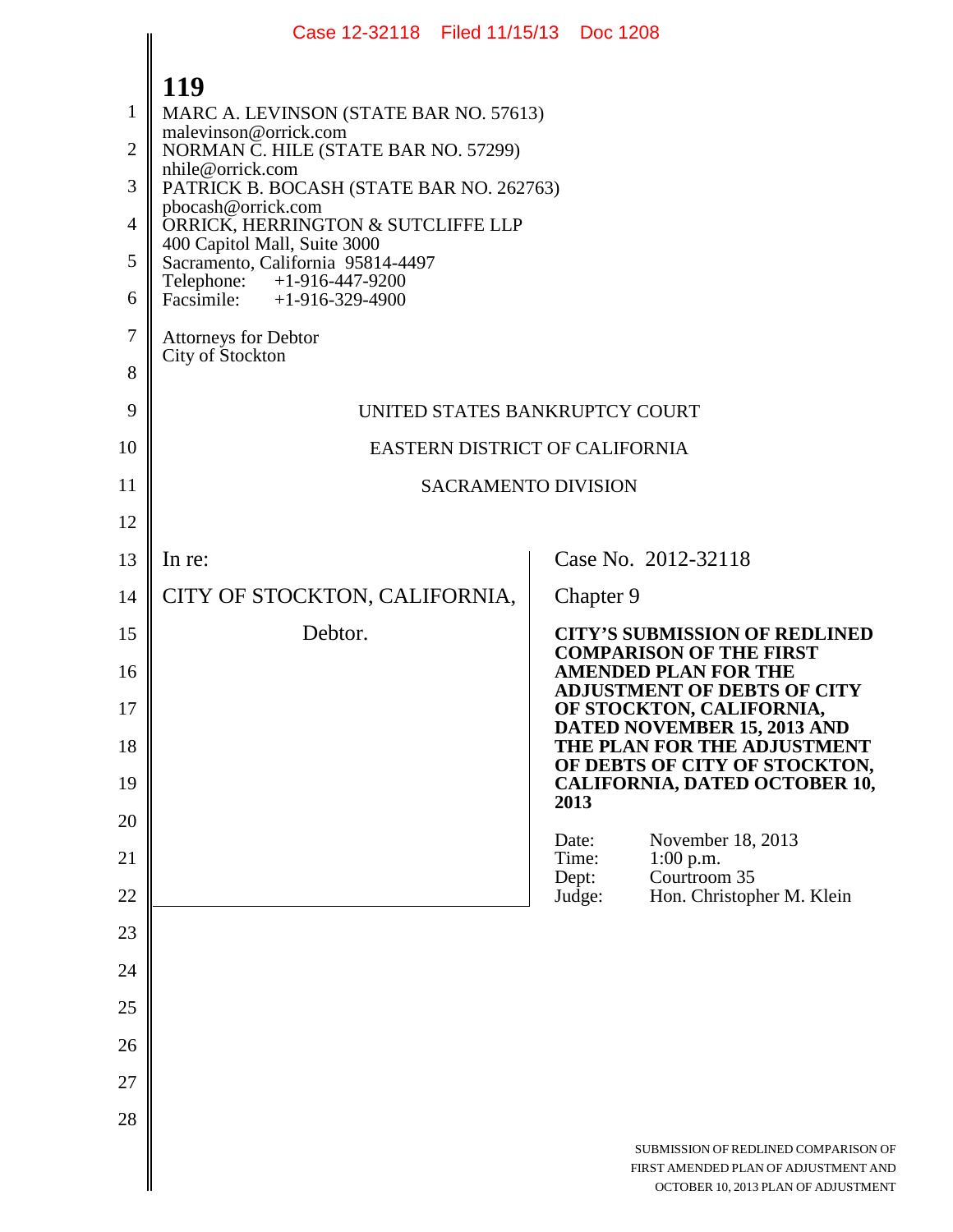|                | Case 12-32118 Filed 11/15/13 Doc 1208                             |                |                                                                                                                     |
|----------------|-------------------------------------------------------------------|----------------|---------------------------------------------------------------------------------------------------------------------|
|                | 119                                                               |                |                                                                                                                     |
| 1              | MARC A. LEVINSON (STATE BAR NO. 57613)                            |                |                                                                                                                     |
| $\overline{2}$ | malevinson@orrick.com<br>NORMAN C. HILE (STATE BAR NO. 57299)     |                |                                                                                                                     |
| 3              | nhile@orrick.com<br>PATRICK B. BOCASH (STATE BAR NO. 262763)      |                |                                                                                                                     |
| 4              | pbocash@orrick.com<br>ORRICK, HERRINGTON & SUTCLIFFE LLP          |                |                                                                                                                     |
| 5              | 400 Capitol Mall, Suite 3000<br>Sacramento, California 95814-4497 |                |                                                                                                                     |
| 6              | +1-916-447-9200<br>Telephone:<br>Facsimile: $+1-916-329-4900$     |                |                                                                                                                     |
| 7              | <b>Attorneys for Debtor</b><br>City of Stockton                   |                |                                                                                                                     |
| 8              |                                                                   |                |                                                                                                                     |
| 9              | UNITED STATES BANKRUPTCY COURT                                    |                |                                                                                                                     |
| 10             | EASTERN DISTRICT OF CALIFORNIA                                    |                |                                                                                                                     |
| 11             | <b>SACRAMENTO DIVISION</b>                                        |                |                                                                                                                     |
| 12             |                                                                   |                |                                                                                                                     |
| 13             | In re:                                                            |                | Case No. 2012-32118                                                                                                 |
| 14             | CITY OF STOCKTON, CALIFORNIA,                                     | Chapter 9      |                                                                                                                     |
| 15             | Debtor.                                                           |                | <b>CITY'S SUBMISSION OF REDLINED</b><br><b>COMPARISON OF THE FIRST</b>                                              |
| 16             |                                                                   |                | <b>AMENDED PLAN FOR THE</b><br><b>ADJUSTMENT OF DEBTS OF CITY</b>                                                   |
| 17             |                                                                   |                | OF STOCKTON, CALIFORNIA,<br>DATED NOVEMBER 15, 2013 AND                                                             |
| 18             |                                                                   |                | THE PLAN FOR THE ADJUSTMENT<br>OF DEBTS OF CITY OF STOCKTON,                                                        |
| 19             |                                                                   | 2013           | <b>CALIFORNIA, DATED OCTOBER 10,</b>                                                                                |
| 20             |                                                                   | Date:          | November 18, 2013                                                                                                   |
| 21             |                                                                   | Time:<br>Dept: | $1:00$ p.m.<br>Courtroom 35                                                                                         |
| 22             |                                                                   | Judge:         | Hon. Christopher M. Klein                                                                                           |
| 23             |                                                                   |                |                                                                                                                     |
| 24             |                                                                   |                |                                                                                                                     |
| 25<br>26       |                                                                   |                |                                                                                                                     |
| 27             |                                                                   |                |                                                                                                                     |
| 28             |                                                                   |                |                                                                                                                     |
|                |                                                                   |                | SUBMISSION OF REDLINED COMPARISON OF<br>FIRST AMENDED PLAN OF ADJUSTMENT AND<br>OCTOBER 10, 2013 PLAN OF ADJUSTMENT |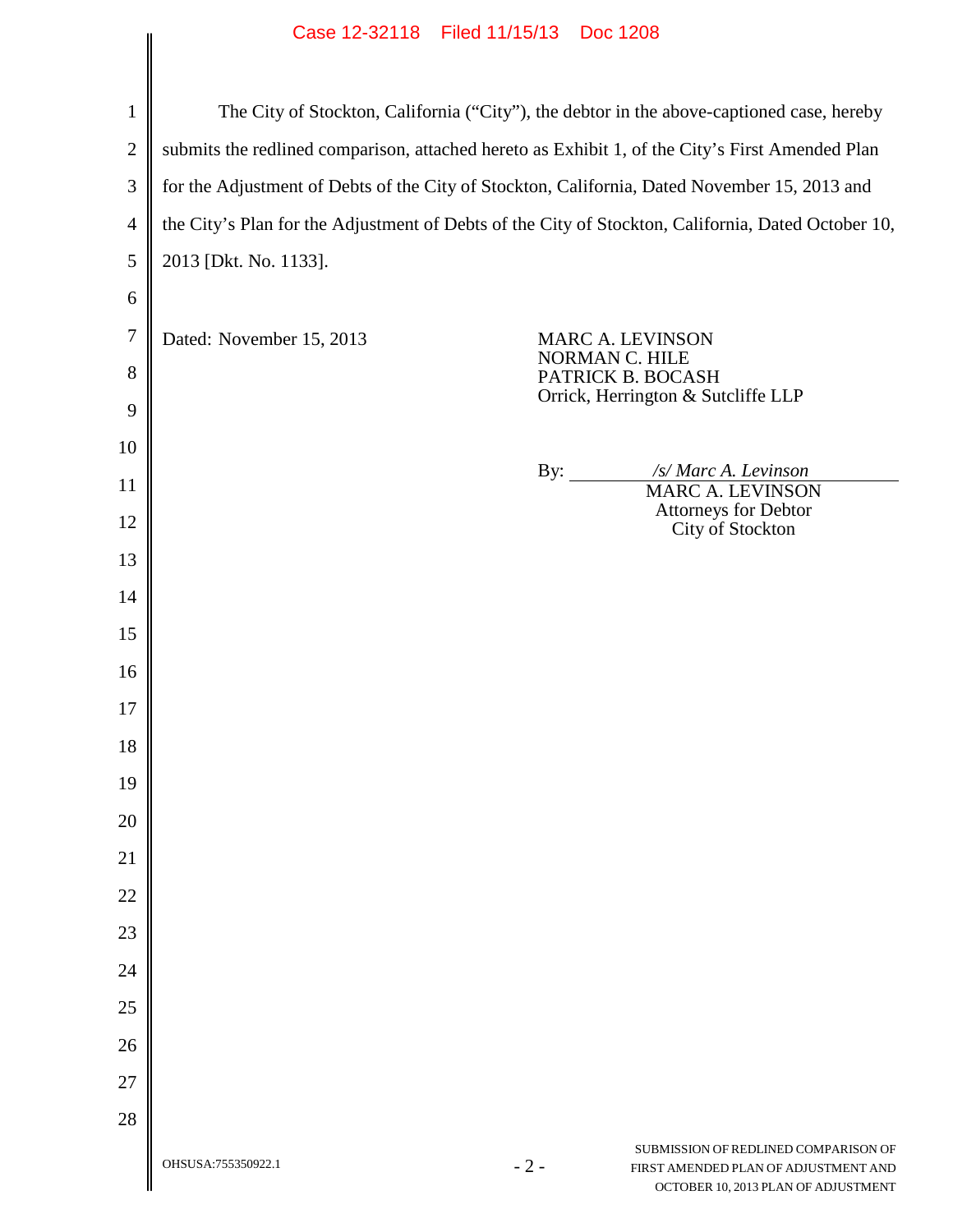## Case 12-32118 Filed 11/15/13 Doc 1208

|                | Case IZ-32110 Filed II/19/13 DOC IZO8 |                                                                                                                              |
|----------------|---------------------------------------|------------------------------------------------------------------------------------------------------------------------------|
|                |                                       |                                                                                                                              |
| $\mathbf{1}$   |                                       | The City of Stockton, California ("City"), the debtor in the above-captioned case, hereby                                    |
| $\overline{2}$ |                                       | submits the redlined comparison, attached hereto as Exhibit 1, of the City's First Amended Plan                              |
| 3              |                                       | for the Adjustment of Debts of the City of Stockton, California, Dated November 15, 2013 and                                 |
| $\overline{4}$ |                                       | the City's Plan for the Adjustment of Debts of the City of Stockton, California, Dated October 10,                           |
| 5              | 2013 [Dkt. No. 1133].                 |                                                                                                                              |
| 6              |                                       |                                                                                                                              |
| $\overline{7}$ | Dated: November 15, 2013              | <b>MARC A. LEVINSON</b>                                                                                                      |
| 8              |                                       | NORMAN C. HILE<br>PATRICK B. BOCASH                                                                                          |
| 9              |                                       | Orrick, Herrington & Sutcliffe LLP                                                                                           |
| 10             |                                       |                                                                                                                              |
| 11             |                                       | /s/ Marc A. Levinson<br>By: $\qquad \qquad$<br><b>MARC A. LEVINSON</b>                                                       |
| 12             |                                       | Attorneys for Debtor<br>City of Stockton                                                                                     |
| 13             |                                       |                                                                                                                              |
| 14             |                                       |                                                                                                                              |
| 15             |                                       |                                                                                                                              |
| 16             |                                       |                                                                                                                              |
| 17             |                                       |                                                                                                                              |
| 18             |                                       |                                                                                                                              |
| 19             |                                       |                                                                                                                              |
| 20             |                                       |                                                                                                                              |
| 21             |                                       |                                                                                                                              |
| 22             |                                       |                                                                                                                              |
| 23             |                                       |                                                                                                                              |
| 24             |                                       |                                                                                                                              |
| 25             |                                       |                                                                                                                              |
| 26             |                                       |                                                                                                                              |
| 27             |                                       |                                                                                                                              |
| 28             |                                       |                                                                                                                              |
|                | OHSUSA:755350922.1                    | SUBMISSION OF REDLINED COMPARISON OF<br>$-2-$<br>FIRST AMENDED PLAN OF ADJUSTMENT AND<br>OCTOBER 10, 2013 PLAN OF ADJUSTMENT |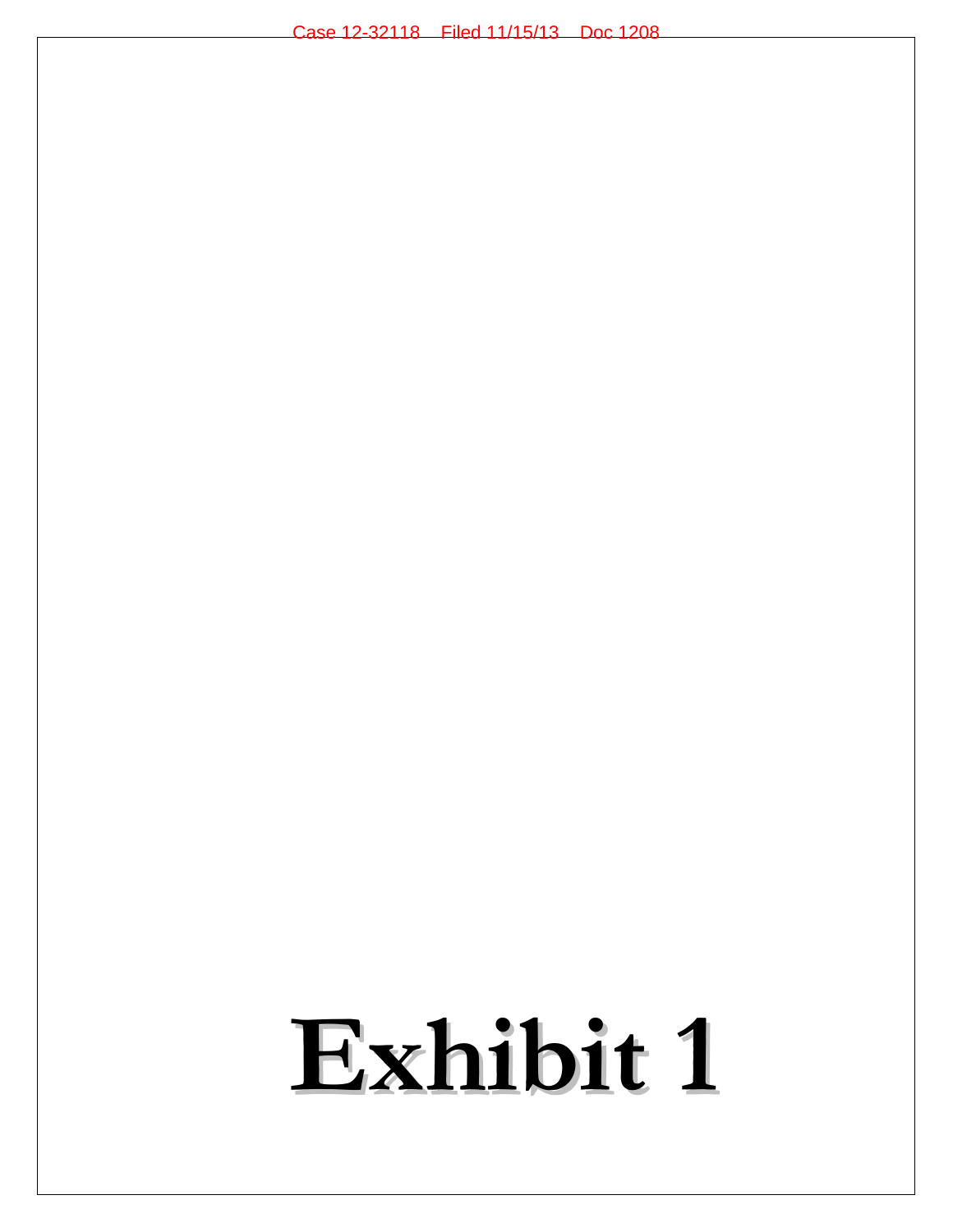## **Exhibit 1**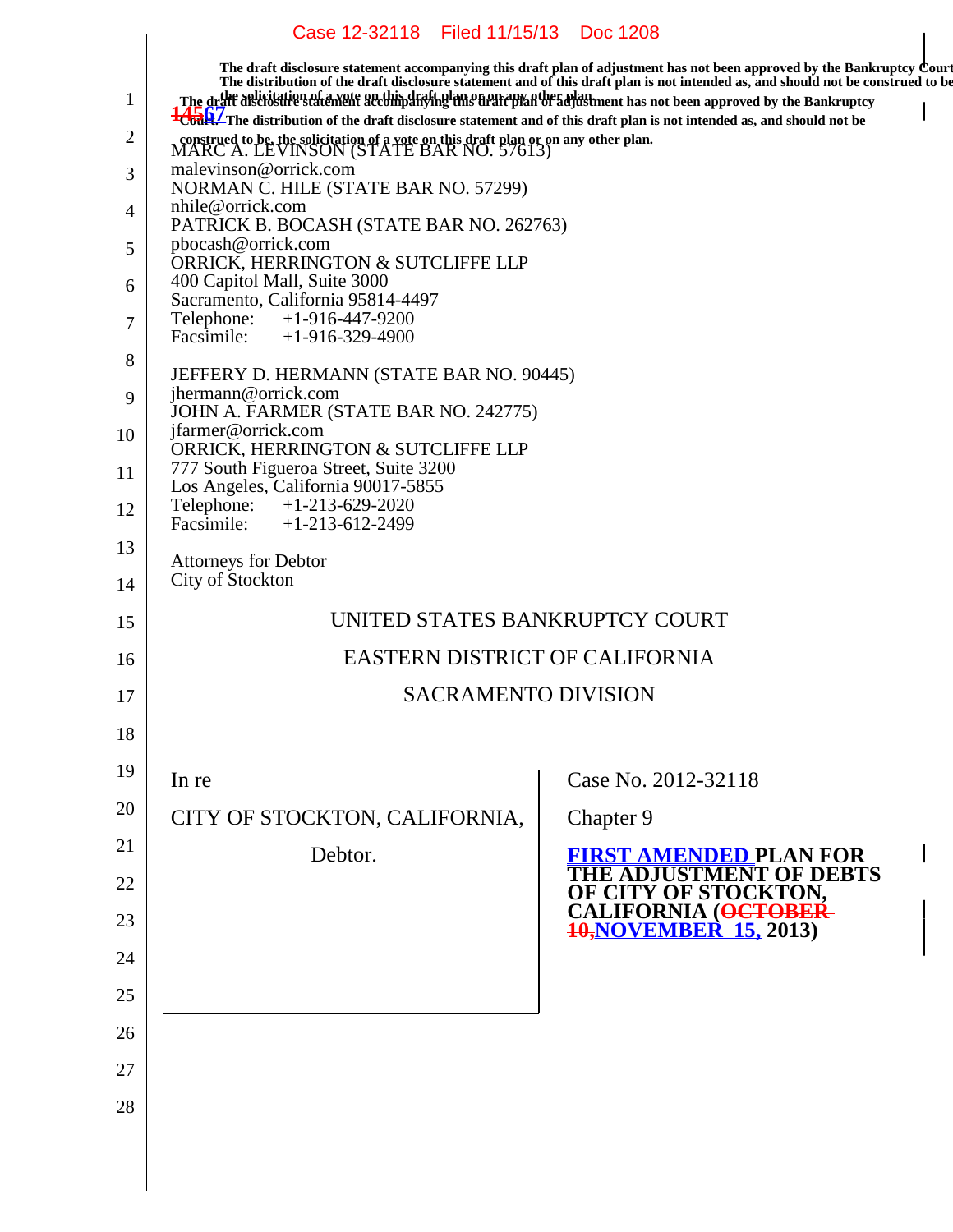## Case 12-32118 Filed 11/15/13 Doc 1208

 $\overline{1}$ 

|              |                                                                                                                                                                                                                                                       | The draft disclosure statement accompanying this draft plan of adjustment has not been approved by the Bankruptcy Court<br>The distribution of the draft disclosure statement and of this draft plan is not intended as, and shou |
|--------------|-------------------------------------------------------------------------------------------------------------------------------------------------------------------------------------------------------------------------------------------------------|-----------------------------------------------------------------------------------------------------------------------------------------------------------------------------------------------------------------------------------|
| $\mathbf{1}$ | The drift assistation of a yote arcthing rating men any atter plan ment has not been approved by the Bankruptcy<br><sup>1</sup> Court The distribution of the draft disclosure statement and of this draft plan is not intended as, and should not be |                                                                                                                                                                                                                                   |
| 2            | construed to be, the solicitation of a vote on this draft plan or on any other plan. MARC A. LEVINSON (STATE BAR NO. 57613)                                                                                                                           |                                                                                                                                                                                                                                   |
| 3            | malevinson@orrick.com<br>NORMAN C. HILE (STATE BAR NO. 57299)                                                                                                                                                                                         |                                                                                                                                                                                                                                   |
| 4            | nhile@orrick.com<br>PATRICK B. BOCASH (STATE BAR NO. 262763)                                                                                                                                                                                          |                                                                                                                                                                                                                                   |
| 5            | pbocash@orrick.com<br>ORRICK, HERRINGTON & SUTCLIFFE LLP                                                                                                                                                                                              |                                                                                                                                                                                                                                   |
| 6            | 400 Capitol Mall, Suite 3000<br>Sacramento, California 95814-4497                                                                                                                                                                                     |                                                                                                                                                                                                                                   |
| 7            | Telephone:<br>$+1-916-447-9200$<br>Facsimile: $+1-916-329-4900$                                                                                                                                                                                       |                                                                                                                                                                                                                                   |
| 8            | JEFFERY D. HERMANN (STATE BAR NO. 90445)                                                                                                                                                                                                              |                                                                                                                                                                                                                                   |
| 9            | jhermann@orrick.com<br>JOHN A. FARMER (STATE BAR NO. 242775)                                                                                                                                                                                          |                                                                                                                                                                                                                                   |
| 10           | jfarmer@orrick.com<br>ORRICK, HERRINGTON & SUTCLIFFE LLP                                                                                                                                                                                              |                                                                                                                                                                                                                                   |
| 11           | 777 South Figueroa Street, Suite 3200<br>Los Angeles, California 90017-5855                                                                                                                                                                           |                                                                                                                                                                                                                                   |
| 12           | Telephone: +1-213-629-2020<br>Facsimile: $+1-213-612-2499$                                                                                                                                                                                            |                                                                                                                                                                                                                                   |
| 13           | <b>Attorneys for Debtor</b>                                                                                                                                                                                                                           |                                                                                                                                                                                                                                   |
| 14           | City of Stockton                                                                                                                                                                                                                                      |                                                                                                                                                                                                                                   |
| 15           | UNITED STATES BANKRUPTCY COURT                                                                                                                                                                                                                        |                                                                                                                                                                                                                                   |
| 16           | <b>EASTERN DISTRICT OF CALIFORNIA</b>                                                                                                                                                                                                                 |                                                                                                                                                                                                                                   |
| 17           | <b>SACRAMENTO DIVISION</b>                                                                                                                                                                                                                            |                                                                                                                                                                                                                                   |
| 18           |                                                                                                                                                                                                                                                       |                                                                                                                                                                                                                                   |
| 19           | In re                                                                                                                                                                                                                                                 | Case No. 2012-32118                                                                                                                                                                                                               |
| 20           | CITY OF STOCKTON, CALIFORNIA,                                                                                                                                                                                                                         | Chapter 9                                                                                                                                                                                                                         |
| 21           | Debtor.                                                                                                                                                                                                                                               | <b>FIRST AMENDED PLAN FOR</b>                                                                                                                                                                                                     |
| 22           |                                                                                                                                                                                                                                                       | <b>IUSTMENT OF DEBTS</b>                                                                                                                                                                                                          |
| 23           |                                                                                                                                                                                                                                                       | OF CITY OF STOCKTON,<br>CALIFORNIA ( <del>OCTOBER-</del><br><del>10,</del> NOVEMBER-15, 2013)                                                                                                                                     |
| 24           |                                                                                                                                                                                                                                                       |                                                                                                                                                                                                                                   |
| 25           |                                                                                                                                                                                                                                                       |                                                                                                                                                                                                                                   |
| 26           |                                                                                                                                                                                                                                                       |                                                                                                                                                                                                                                   |
| 27           |                                                                                                                                                                                                                                                       |                                                                                                                                                                                                                                   |
| 28           |                                                                                                                                                                                                                                                       |                                                                                                                                                                                                                                   |
|              |                                                                                                                                                                                                                                                       |                                                                                                                                                                                                                                   |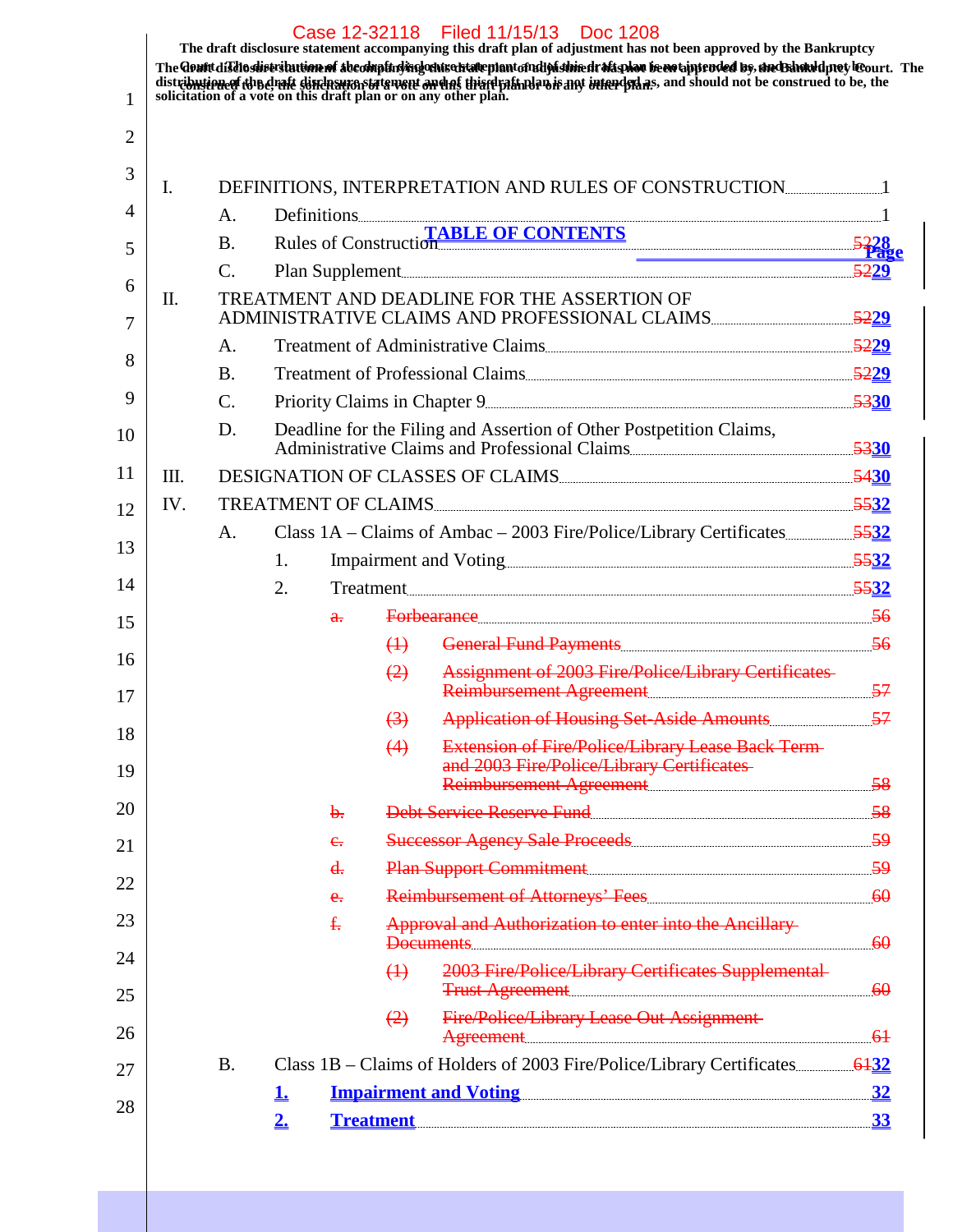| 1        |         |                 |           |              |                   | Case 12-32118 Filed 11/15/13 Doc 1208<br>The draft disclosure statement accompanying this draft plan of adjustment has not been approved by the Bankruptcy<br>The Gent disdisdist stution of Abeomptici regions of an international particle magnetic frequence of ps, and Banked protect leourt. The<br>distribution of a vote on this draft plan or on any other plan. |  |
|----------|---------|-----------------|-----------|--------------|-------------------|--------------------------------------------------------------------------------------------------------------------------------------------------------------------------------------------------------------------------------------------------------------------------------------------------------------------------------------------------------------------------|--|
| 2        |         |                 |           |              |                   |                                                                                                                                                                                                                                                                                                                                                                          |  |
| 3        | Ι.      |                 |           |              |                   |                                                                                                                                                                                                                                                                                                                                                                          |  |
| 4        |         | A.              |           |              |                   |                                                                                                                                                                                                                                                                                                                                                                          |  |
| 5        |         | <b>B.</b>       |           |              |                   | Rules of Construction TABLE OF CONTENTS                                                                                                                                                                                                                                                                                                                                  |  |
|          |         | $\mathbf{C}$ .  |           |              |                   |                                                                                                                                                                                                                                                                                                                                                                          |  |
| 6<br>7   | $\Pi$ . |                 |           |              |                   | TREATMENT AND DEADLINE FOR THE ASSERTION OF<br>ADMINISTRATIVE CLAIMS AND PROFESSIONAL CLAIMS                                                                                                                                                                                                                                                                             |  |
|          |         | A.              |           |              |                   |                                                                                                                                                                                                                                                                                                                                                                          |  |
| 8        |         | <b>B.</b>       |           |              |                   |                                                                                                                                                                                                                                                                                                                                                                          |  |
| 9        |         | $\mathcal{C}$ . |           |              |                   |                                                                                                                                                                                                                                                                                                                                                                          |  |
| 10       |         | D.              |           |              |                   | Deadline for the Filing and Assertion of Other Postpetition Claims,<br>Administrative Claims and Professional Claims                                                                                                                                                                                                                                                     |  |
| 11       | III.    |                 |           |              |                   | DESIGNATION OF CLASSES OF CLAIMS                                                                                                                                                                                                                                                                                                                                         |  |
| 12       | IV.     |                 |           |              |                   | TREATMENT OF CLAIMS                                                                                                                                                                                                                                                                                                                                                      |  |
| 13       |         | A.              |           |              |                   |                                                                                                                                                                                                                                                                                                                                                                          |  |
|          |         |                 | 1.        |              |                   |                                                                                                                                                                                                                                                                                                                                                                          |  |
| 14       |         |                 | 2.        |              |                   | Treatment 5532                                                                                                                                                                                                                                                                                                                                                           |  |
| 15       |         |                 |           | $\mathbf{a}$ |                   | Forbearance 56                                                                                                                                                                                                                                                                                                                                                           |  |
| 16       |         |                 |           |              | $\leftrightarrow$ |                                                                                                                                                                                                                                                                                                                                                                          |  |
| 17       |         |                 |           |              | $\left( 2\right)$ | <b>Assignment of 2003 Fire/Police/Library Certificates</b><br>Reimbursement Agreement                                                                                                                                                                                                                                                                                    |  |
|          |         |                 |           |              | $\left(3\right)$  |                                                                                                                                                                                                                                                                                                                                                                          |  |
| 18<br>19 |         |                 |           |              | (4)               | <b>Extension of Fire/Police/Library Lease Back Term-</b><br>and 2003 Fire/Police/Library Certificates                                                                                                                                                                                                                                                                    |  |
|          |         |                 |           |              |                   | Reimbursement Agreement                                                                                                                                                                                                                                                                                                                                                  |  |
| 20       |         |                 |           | b.           |                   | Debt Service Reserve Fund [1994] [1994] [1995] [1996] [1996] [1996] [1996] [1996] [1996] [1996] [1996] [1996] [                                                                                                                                                                                                                                                          |  |
| 21       |         |                 |           | e.           |                   |                                                                                                                                                                                                                                                                                                                                                                          |  |
| 22       |         |                 |           | d.           |                   | Plan Support Commitment                                                                                                                                                                                                                                                                                                                                                  |  |
| 23       |         |                 |           | e.<br>£.     |                   | Approval and Authorization to enter into the Ancillary-                                                                                                                                                                                                                                                                                                                  |  |
| 24       |         |                 |           |              | $\leftrightarrow$ | $D$ ocuments $60$<br>2003 Fire/Police/Library Certificates Supplemental<br>Trust Agreement                                                                                                                                                                                                                                                                               |  |
| 25<br>26 |         |                 |           |              | $\left(2\right)$  | <b>Fire/Police/Library Lease Out Assignment</b><br>Agreement 61                                                                                                                                                                                                                                                                                                          |  |
| 27       |         | <b>B.</b>       |           |              |                   |                                                                                                                                                                                                                                                                                                                                                                          |  |
|          |         |                 | <u>1.</u> |              |                   | <u>Impairment and Voting 32</u>                                                                                                                                                                                                                                                                                                                                          |  |
| 28       |         |                 | 2.        |              |                   | <u>Treatment 33</u>                                                                                                                                                                                                                                                                                                                                                      |  |
|          |         |                 |           |              |                   |                                                                                                                                                                                                                                                                                                                                                                          |  |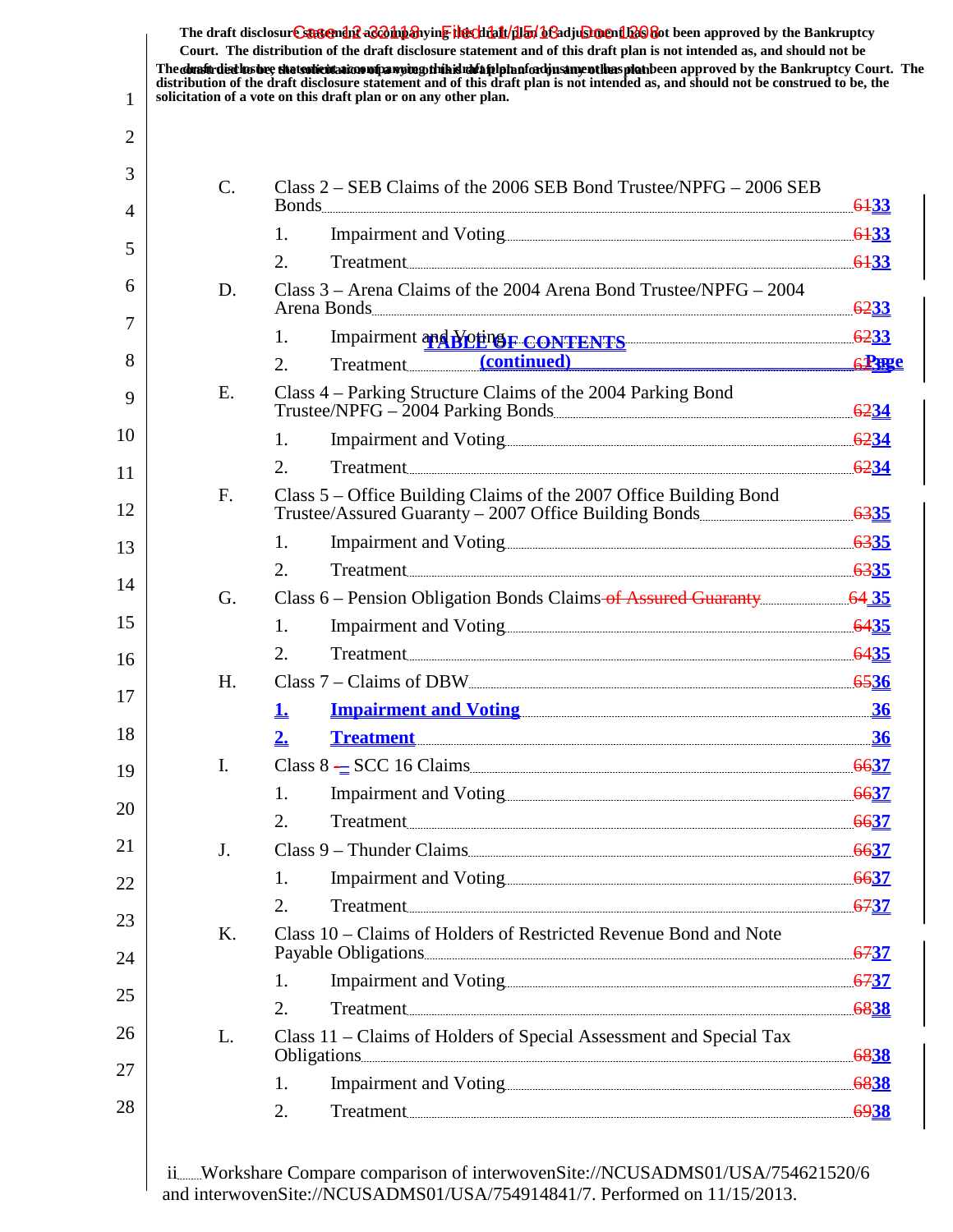|                | Court. The distribution of the draft disclosure statement and of this draft plan is not intended as, and should not be<br>The constitution the state of the testic interaction of participate is the highlight of a phase of the splet been approved by the Bankruptcy Court. The<br>distribution of the draft disclosure statement and of this draft plan is not intended as, and should not be construed to be, the<br>solicitation of a vote on this draft plan or on any other plan. |      |
|----------------|------------------------------------------------------------------------------------------------------------------------------------------------------------------------------------------------------------------------------------------------------------------------------------------------------------------------------------------------------------------------------------------------------------------------------------------------------------------------------------------|------|
|                |                                                                                                                                                                                                                                                                                                                                                                                                                                                                                          |      |
|                |                                                                                                                                                                                                                                                                                                                                                                                                                                                                                          |      |
| C.             | Class $2 - SEB$ Claims of the 2006 SEB Bond Trustee/NPFG $-$ 2006 SEB                                                                                                                                                                                                                                                                                                                                                                                                                    |      |
|                | 1.<br>Treatment $6133$<br>2.                                                                                                                                                                                                                                                                                                                                                                                                                                                             |      |
| D.             | Class 3 – Arena Claims of the 2004 Arena Bond Trustee/NPFG – 2004                                                                                                                                                                                                                                                                                                                                                                                                                        |      |
|                | 1.                                                                                                                                                                                                                                                                                                                                                                                                                                                                                       |      |
|                | Impairment and WOHNS CONTENTS 6233<br>Treatment (continued)<br>2.                                                                                                                                                                                                                                                                                                                                                                                                                        | 62me |
| Ε.             | Class 4 – Parking Structure Claims of the 2004 Parking Bond                                                                                                                                                                                                                                                                                                                                                                                                                              |      |
|                | 1.                                                                                                                                                                                                                                                                                                                                                                                                                                                                                       |      |
|                | Treatment $6234$<br>2.                                                                                                                                                                                                                                                                                                                                                                                                                                                                   |      |
| F.             | Class 5 – Office Building Claims of the 2007 Office Building Bond<br>Trustee/Assured Guaranty – 2007 Office Building Bonds                                                                                                                                                                                                                                                                                                                                                               |      |
|                | 1.                                                                                                                                                                                                                                                                                                                                                                                                                                                                                       |      |
|                | 2.                                                                                                                                                                                                                                                                                                                                                                                                                                                                                       |      |
| G.             | Class 6 - Pension Obligation Bonds Claims of Assured Guaranty [64 35]                                                                                                                                                                                                                                                                                                                                                                                                                    |      |
|                | 1.                                                                                                                                                                                                                                                                                                                                                                                                                                                                                       |      |
|                | Treatment 6435<br>2.                                                                                                                                                                                                                                                                                                                                                                                                                                                                     |      |
| Η.             |                                                                                                                                                                                                                                                                                                                                                                                                                                                                                          |      |
|                | <u>Impairment and Voting 36</u><br>Ŀ                                                                                                                                                                                                                                                                                                                                                                                                                                                     |      |
|                | <u>Treatment 36</u>                                                                                                                                                                                                                                                                                                                                                                                                                                                                      |      |
| $\mathbf{I}$ . | Class 8 $\equiv$ SCC 16 Claims <u>contains and the set of</u> $\frac{6637}{2}$                                                                                                                                                                                                                                                                                                                                                                                                           |      |
|                | 1.                                                                                                                                                                                                                                                                                                                                                                                                                                                                                       |      |
|                | Treatment 6637<br>2.                                                                                                                                                                                                                                                                                                                                                                                                                                                                     |      |
| J.             | Class 9 – Thunder Claims                                                                                                                                                                                                                                                                                                                                                                                                                                                                 |      |
|                | 1.                                                                                                                                                                                                                                                                                                                                                                                                                                                                                       |      |
|                | 2.                                                                                                                                                                                                                                                                                                                                                                                                                                                                                       |      |
| Κ.             | Class 10 – Claims of Holders of Restricted Revenue Bond and Note<br>Payable Obligations <u>California and the set of 3737</u>                                                                                                                                                                                                                                                                                                                                                            |      |
|                | 1.                                                                                                                                                                                                                                                                                                                                                                                                                                                                                       |      |
|                | 2.<br>Treatment 6838                                                                                                                                                                                                                                                                                                                                                                                                                                                                     |      |
| L.             | Class 11 - Claims of Holders of Special Assessment and Special Tax<br>Obligations 6838                                                                                                                                                                                                                                                                                                                                                                                                   |      |
|                | 1.                                                                                                                                                                                                                                                                                                                                                                                                                                                                                       |      |
|                | 2.                                                                                                                                                                                                                                                                                                                                                                                                                                                                                       |      |

The draft disclosur<del>t Suggendn2 aC201np3</del>hyin<mark>e the chip11/1151/163adjushorenth26</mark>860t been approved by the Bankruptcy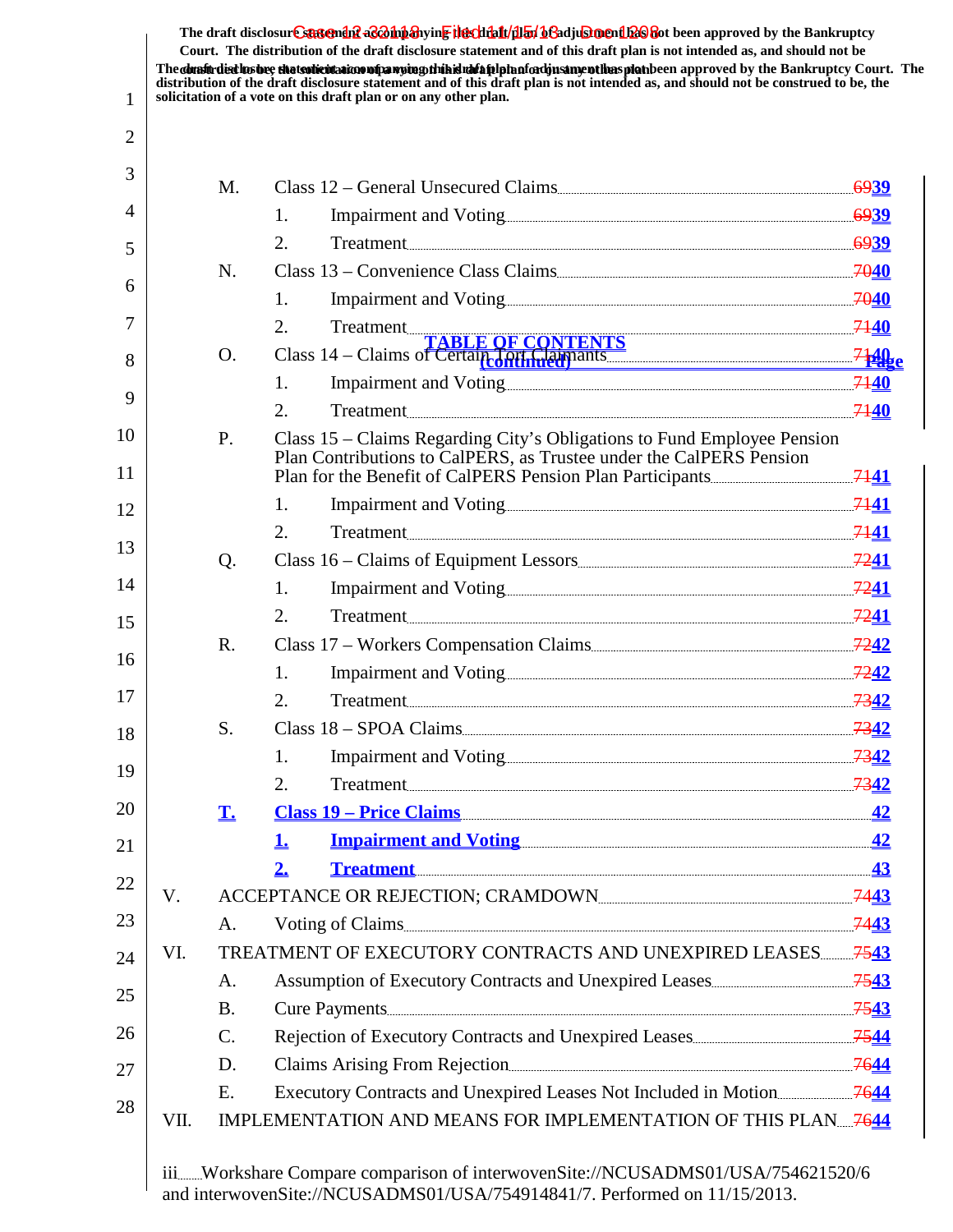The **dualt disclosure the tsolicitation of a vote o this dufulple noted justment has plan** been approved by the Bankruptcy Court. The **distribution of the draft disclosure statement and of this draft plan is not intended as, and should not be construed to be, the solicitation of a vote on this draft plan or on any other plan.** The draft disclosur<del>t Suggendn2 aC201np3</del>hyin<mark>e the chip11/1151/163adjushorenth26</mark>860t been approved by the Bankruptcy **Court. The distribution of the draft disclosure statement and of this draft plan is not intended as, and should not be**

1

| 3  |      | M.              | Class 12 – General Unsecured Claims                                                                                                                                                                                                  |  |
|----|------|-----------------|--------------------------------------------------------------------------------------------------------------------------------------------------------------------------------------------------------------------------------------|--|
| 4  |      |                 | 1.                                                                                                                                                                                                                                   |  |
| 5  |      |                 | 2.<br>Treatment 6939                                                                                                                                                                                                                 |  |
|    |      | N.              | Class 13 – Convenience Class Claims                                                                                                                                                                                                  |  |
| 6  |      |                 | 1.                                                                                                                                                                                                                                   |  |
| 7  |      |                 |                                                                                                                                                                                                                                      |  |
| 8  |      | O.              | 2. Treatment<br>Class 14 – Claims of Certain Control of Certain Class 14 – Claims of Certain Control of Text of Certain Control of Section 2140                                                                                      |  |
|    |      |                 | 1.                                                                                                                                                                                                                                   |  |
| 9  |      |                 | $\overline{2}$ .<br>Treatment 7140                                                                                                                                                                                                   |  |
| 10 |      | P.              | Class 15 - Claims Regarding City's Obligations to Fund Employee Pension                                                                                                                                                              |  |
| 11 |      |                 | Plan Contributions to CalPERS, as Trustee under the CalPERS Pension                                                                                                                                                                  |  |
| 12 |      |                 | 1.                                                                                                                                                                                                                                   |  |
|    |      |                 | Treatment 7141<br>2.                                                                                                                                                                                                                 |  |
| 13 |      | Q.              |                                                                                                                                                                                                                                      |  |
| 14 |      |                 | 1.                                                                                                                                                                                                                                   |  |
| 15 |      |                 | 2.<br>Treatment 2241                                                                                                                                                                                                                 |  |
|    |      | $R_{\cdot}$     |                                                                                                                                                                                                                                      |  |
| 16 |      |                 | $\mathbf{1}$ .                                                                                                                                                                                                                       |  |
| 17 |      |                 | 2.<br>Treatment 7342                                                                                                                                                                                                                 |  |
| 18 |      | S.              | Class 18 – SPOA Claims <u>Communication and the set of the set of the set of the set of the set of the set of the set of the set of the set of the set of the set of the set of the set of the set of the set of the set of the </u> |  |
| 19 |      |                 | Impairment and Voting 2342<br>1.                                                                                                                                                                                                     |  |
|    |      |                 | 2.<br>Treatment 7342                                                                                                                                                                                                                 |  |
| 20 |      | $\mathbf{T}$    | <u>Class 19 – Price Claims (2008)</u>                                                                                                                                                                                                |  |
| 21 |      |                 | <u>Impairment and Voting [42]</u><br>1.                                                                                                                                                                                              |  |
| 22 |      |                 | Treatment 43<br>2.                                                                                                                                                                                                                   |  |
|    | V.   |                 |                                                                                                                                                                                                                                      |  |
| 23 |      | A.              | Voting of Claims                                                                                                                                                                                                                     |  |
| 24 | VI.  |                 | TREATMENT OF EXECUTORY CONTRACTS AND UNEXPIRED LEASES 7543                                                                                                                                                                           |  |
| 25 |      | A.              |                                                                                                                                                                                                                                      |  |
|    |      | <b>B.</b>       | Cure Payments 7543                                                                                                                                                                                                                   |  |
| 26 |      | $\mathcal{C}$ . |                                                                                                                                                                                                                                      |  |
| 27 |      | D.              |                                                                                                                                                                                                                                      |  |
| 28 |      | Ε.              |                                                                                                                                                                                                                                      |  |
|    | VII. |                 |                                                                                                                                                                                                                                      |  |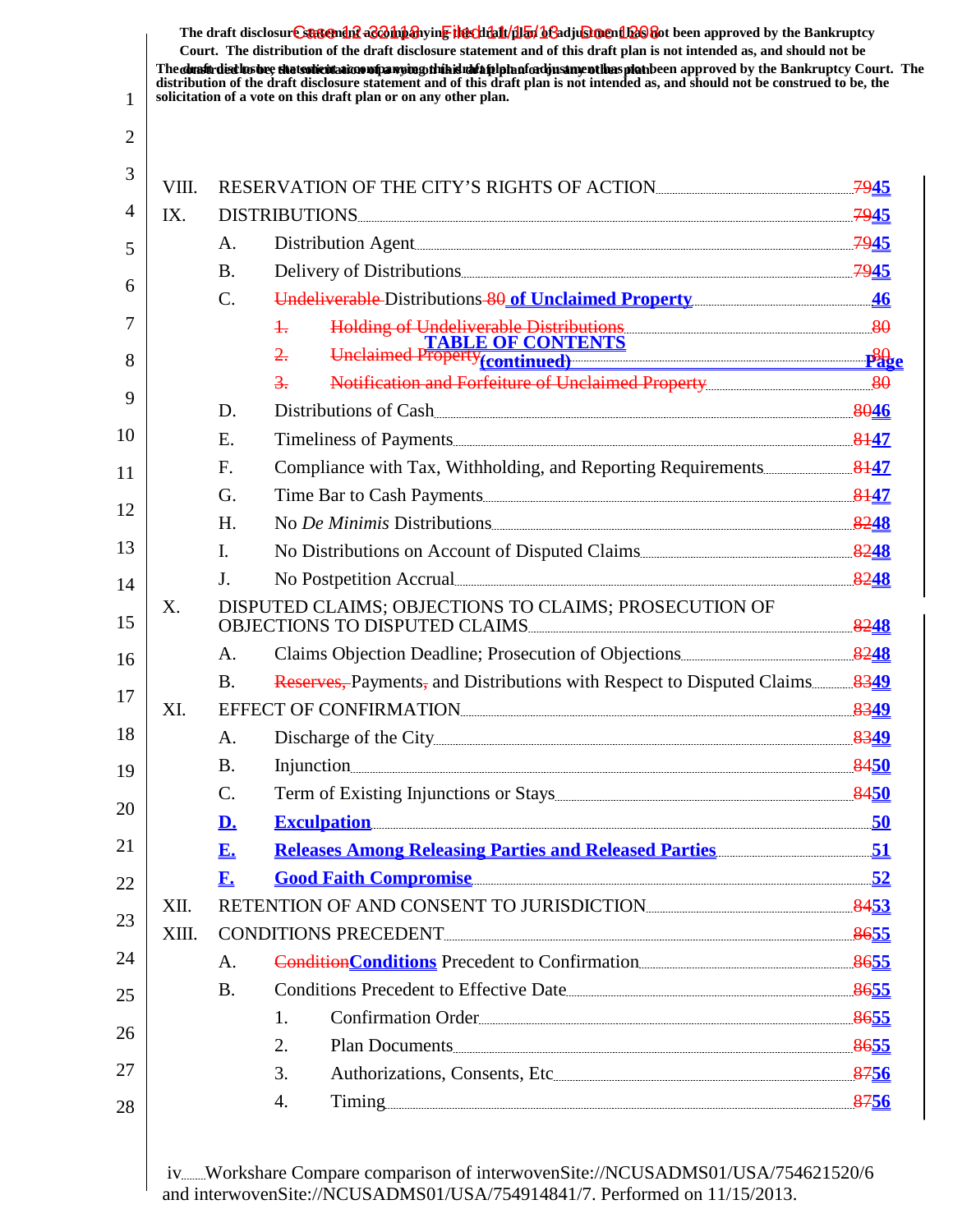|       |                        | The constitution the state of the transmitted to control the studies of the studies of the state of the state of the Bankruptcy Court. The<br>distribution of the draft disclosure statement and of this draft plan is not intended as, and should not be construed to be, the<br>solicitation of a vote on this draft plan or on any other plan. |  |
|-------|------------------------|---------------------------------------------------------------------------------------------------------------------------------------------------------------------------------------------------------------------------------------------------------------------------------------------------------------------------------------------------|--|
|       |                        |                                                                                                                                                                                                                                                                                                                                                   |  |
| VIII. |                        | RESERVATION OF THE CITY'S RIGHTS OF ACTION                                                                                                                                                                                                                                                                                                        |  |
| IX.   |                        | DISTRIBUTIONS 7945                                                                                                                                                                                                                                                                                                                                |  |
|       | A.                     | Distribution Agent                                                                                                                                                                                                                                                                                                                                |  |
|       | <b>B.</b>              |                                                                                                                                                                                                                                                                                                                                                   |  |
|       | $C$ .                  | Undeliverable Distributions 80 of Unclaimed Property                                                                                                                                                                                                                                                                                              |  |
|       |                        | $+$                                                                                                                                                                                                                                                                                                                                               |  |
|       |                        | Holding of Undeliverable Distributions<br>TABLE OF CONTENTS<br>Unclaimed Property <sub>(continued)</sub><br>$\frac{2}{2}$                                                                                                                                                                                                                         |  |
|       |                        | $\frac{3}{2}$ .                                                                                                                                                                                                                                                                                                                                   |  |
|       | D.                     | Distributions of Cash                                                                                                                                                                                                                                                                                                                             |  |
|       | E.                     |                                                                                                                                                                                                                                                                                                                                                   |  |
|       | F.                     |                                                                                                                                                                                                                                                                                                                                                   |  |
|       | G.                     | Time Bar to Cash Payments                                                                                                                                                                                                                                                                                                                         |  |
|       | H.                     | No De Minimis Distributions 2248                                                                                                                                                                                                                                                                                                                  |  |
|       | $\mathbf{I}$ .         |                                                                                                                                                                                                                                                                                                                                                   |  |
|       | J.                     | No Postpetition Accrual <u>Communication</u> and the set of the set of the set of the set of the set of the set of the set of the set of the set of the set of the set of the set of the set of the set of the set of the set of th                                                                                                               |  |
| X.    |                        | DISPUTED CLAIMS; OBJECTIONS TO CLAIMS; PROSECUTION OF<br>OBJECTIONS TO DISPUTED CLAIMS                                                                                                                                                                                                                                                            |  |
|       | A.                     |                                                                                                                                                                                                                                                                                                                                                   |  |
|       | <b>B.</b>              |                                                                                                                                                                                                                                                                                                                                                   |  |
| XI.   |                        | EFFECT OF CONFIRMATION                                                                                                                                                                                                                                                                                                                            |  |
|       | A.                     |                                                                                                                                                                                                                                                                                                                                                   |  |
|       | <b>B.</b>              | Injunction 8450                                                                                                                                                                                                                                                                                                                                   |  |
|       | $\mathcal{C}$ .        |                                                                                                                                                                                                                                                                                                                                                   |  |
|       | <u>D.</u>              | Exculpation 50                                                                                                                                                                                                                                                                                                                                    |  |
|       | E.                     | <u><b>Releases Among Releasing Parties and Released Parties [2016]</b></u> [2016] Releases Among Releasing Parties and Released Parties [2016] [2016] Releases Among Releasing Parties and Released Parties [2016]                                                                                                                                |  |
|       | $\mathbf{F}_{\bullet}$ | Good Faith Compromise 52                                                                                                                                                                                                                                                                                                                          |  |
| XII.  |                        | RETENTION OF AND CONSENT TO JURISDICTION                                                                                                                                                                                                                                                                                                          |  |
| XIII. |                        | CONDITIONS PRECEDENT                                                                                                                                                                                                                                                                                                                              |  |
|       | A.                     | <b>Condition Conditions</b> Precedent to Confirmation <u>Condition 3655</u>                                                                                                                                                                                                                                                                       |  |
|       | <b>B.</b>              | Conditions Precedent to Effective Date                                                                                                                                                                                                                                                                                                            |  |
|       |                        | Confirmation Order<br>1.                                                                                                                                                                                                                                                                                                                          |  |
|       |                        | 2.<br>Plan Documents                                                                                                                                                                                                                                                                                                                              |  |
|       |                        | 3.                                                                                                                                                                                                                                                                                                                                                |  |
|       |                        | Timing 8756<br>4.                                                                                                                                                                                                                                                                                                                                 |  |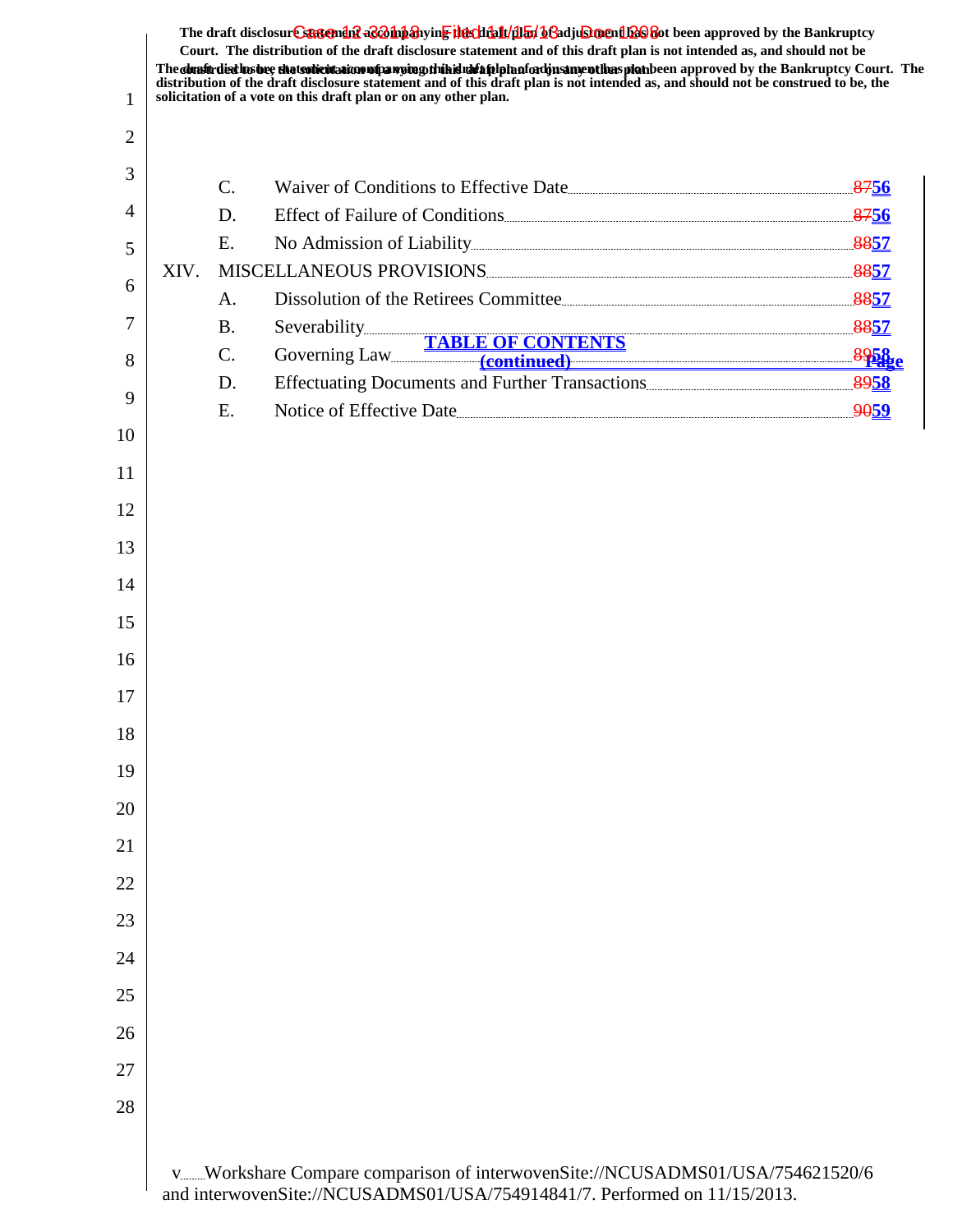| 1  |      |                 | The draft disclosure sasement as a hypothesive the client of the final of a disclosure hypothesis approved by the Bankruptcy<br>Court. The distribution of the draft disclosure statement and of this draft plan is not intended as, and should not be<br>The dualit disclies bee that solicitation of parying this id afait land and providing plat been approved by the Bankruptcy Court. The<br>distribution of the draft disclosure statement and of this draft plan is not intended as, and should not be construed to be, the<br>solicitation of a vote on this draft plan or on any other plan. |  |
|----|------|-----------------|--------------------------------------------------------------------------------------------------------------------------------------------------------------------------------------------------------------------------------------------------------------------------------------------------------------------------------------------------------------------------------------------------------------------------------------------------------------------------------------------------------------------------------------------------------------------------------------------------------|--|
| 2  |      |                 |                                                                                                                                                                                                                                                                                                                                                                                                                                                                                                                                                                                                        |  |
| 3  |      |                 |                                                                                                                                                                                                                                                                                                                                                                                                                                                                                                                                                                                                        |  |
|    |      | $\mathbf{C}$ .  | Waiver of Conditions to Effective Date                                                                                                                                                                                                                                                                                                                                                                                                                                                                                                                                                                 |  |
| 4  |      | D.              |                                                                                                                                                                                                                                                                                                                                                                                                                                                                                                                                                                                                        |  |
| 5  | XIV. | Ε.              | No Admission of Liability <u>Construction and the set of the set of the set of the set of the set of the set of the set of the set of the set of the set of the set of the set of the set of the set of the set of the set of th</u><br>MISCELLANEOUS PROVISIONS                                                                                                                                                                                                                                                                                                                                       |  |
| 6  |      | A.              | Dissolution of the Retirees Committee                                                                                                                                                                                                                                                                                                                                                                                                                                                                                                                                                                  |  |
| 7  |      | <b>B.</b>       |                                                                                                                                                                                                                                                                                                                                                                                                                                                                                                                                                                                                        |  |
| 8  |      | $\mathcal{C}$ . | Severability<br>Governing Law<br>TABLE OF CONTENTS<br>Continued)<br>Continued                                                                                                                                                                                                                                                                                                                                                                                                                                                                                                                          |  |
|    |      | D.              |                                                                                                                                                                                                                                                                                                                                                                                                                                                                                                                                                                                                        |  |
| 9  |      | Ε.              | Notice of Effective Date                                                                                                                                                                                                                                                                                                                                                                                                                                                                                                                                                                               |  |
| 10 |      |                 |                                                                                                                                                                                                                                                                                                                                                                                                                                                                                                                                                                                                        |  |
| 11 |      |                 |                                                                                                                                                                                                                                                                                                                                                                                                                                                                                                                                                                                                        |  |
| 12 |      |                 |                                                                                                                                                                                                                                                                                                                                                                                                                                                                                                                                                                                                        |  |
| 13 |      |                 |                                                                                                                                                                                                                                                                                                                                                                                                                                                                                                                                                                                                        |  |
| 14 |      |                 |                                                                                                                                                                                                                                                                                                                                                                                                                                                                                                                                                                                                        |  |
| 15 |      |                 |                                                                                                                                                                                                                                                                                                                                                                                                                                                                                                                                                                                                        |  |
| 16 |      |                 |                                                                                                                                                                                                                                                                                                                                                                                                                                                                                                                                                                                                        |  |
| 17 |      |                 |                                                                                                                                                                                                                                                                                                                                                                                                                                                                                                                                                                                                        |  |
| 18 |      |                 |                                                                                                                                                                                                                                                                                                                                                                                                                                                                                                                                                                                                        |  |
| 19 |      |                 |                                                                                                                                                                                                                                                                                                                                                                                                                                                                                                                                                                                                        |  |
| 20 |      |                 |                                                                                                                                                                                                                                                                                                                                                                                                                                                                                                                                                                                                        |  |
| 21 |      |                 |                                                                                                                                                                                                                                                                                                                                                                                                                                                                                                                                                                                                        |  |
| 22 |      |                 |                                                                                                                                                                                                                                                                                                                                                                                                                                                                                                                                                                                                        |  |
| 23 |      |                 |                                                                                                                                                                                                                                                                                                                                                                                                                                                                                                                                                                                                        |  |
| 24 |      |                 |                                                                                                                                                                                                                                                                                                                                                                                                                                                                                                                                                                                                        |  |
|    |      |                 |                                                                                                                                                                                                                                                                                                                                                                                                                                                                                                                                                                                                        |  |
| 25 |      |                 |                                                                                                                                                                                                                                                                                                                                                                                                                                                                                                                                                                                                        |  |
| 26 |      |                 |                                                                                                                                                                                                                                                                                                                                                                                                                                                                                                                                                                                                        |  |
| 27 |      |                 |                                                                                                                                                                                                                                                                                                                                                                                                                                                                                                                                                                                                        |  |
| 28 |      |                 |                                                                                                                                                                                                                                                                                                                                                                                                                                                                                                                                                                                                        |  |
|    |      |                 | vWorkshare Compare comparison of interwovenSite://NCUSADMS01/USA/754621520/6<br>and interwovenSite://NCUSADMS01/USA/754914841/7. Performed on 11/15/2013.                                                                                                                                                                                                                                                                                                                                                                                                                                              |  |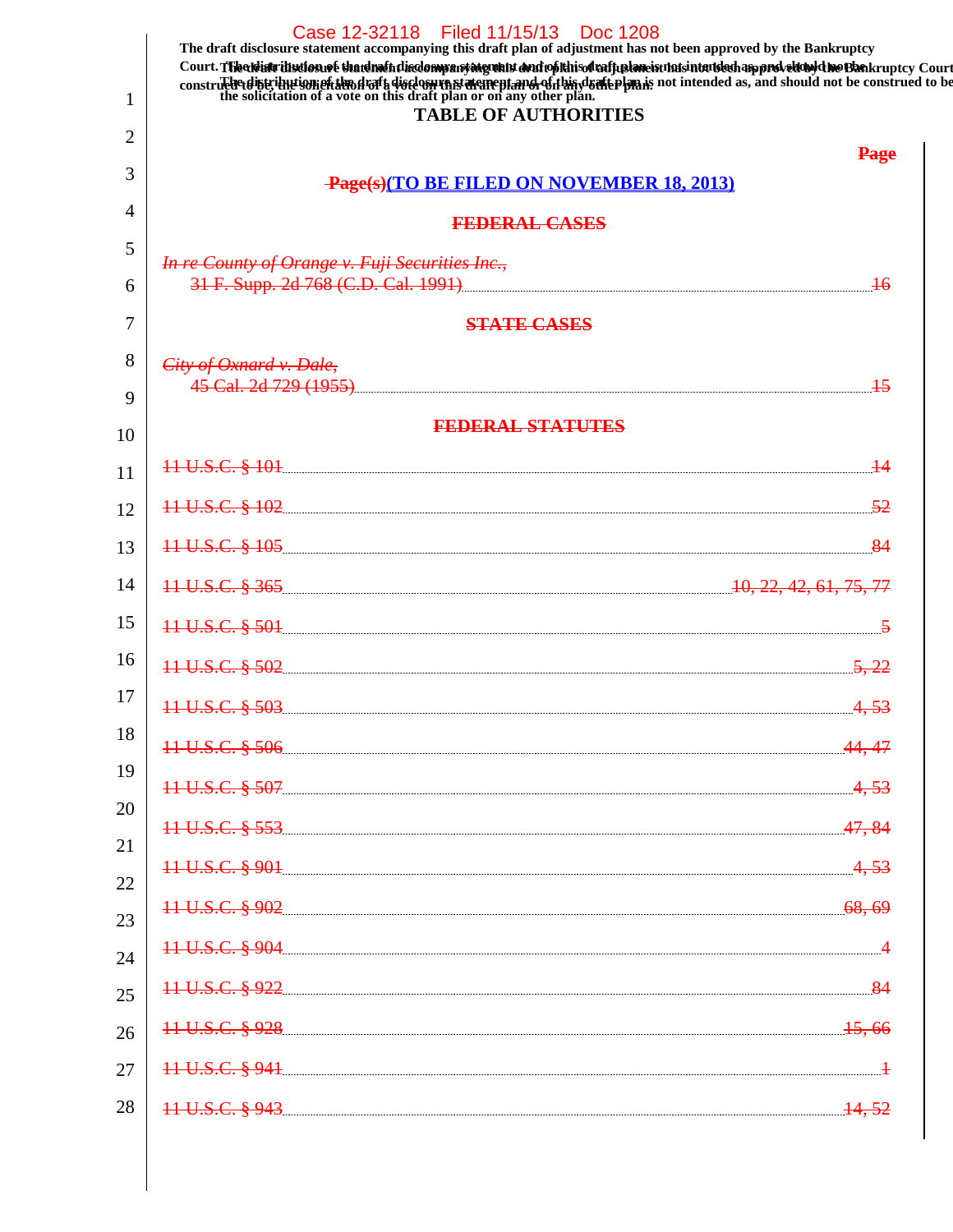|    | Case 12-32118 Filed 11/15/13 Doc 1208<br>The draft disclosure statement accompanying this draft plan of adjustment has not been approved by the Bankruptcy<br>Court. The distribution of that method my any method and to fithis of rafuel meist that show than proveloud the Bankruptcy Court<br>construction of the solicitation of a vote on this draft plan or on any other plan. The set of the solicitation of a vote on this draft plan or on any other plan. |                   |
|----|----------------------------------------------------------------------------------------------------------------------------------------------------------------------------------------------------------------------------------------------------------------------------------------------------------------------------------------------------------------------------------------------------------------------------------------------------------------------|-------------------|
| 1  | <b>TABLE OF AUTHORITIES</b>                                                                                                                                                                                                                                                                                                                                                                                                                                          |                   |
| 2  |                                                                                                                                                                                                                                                                                                                                                                                                                                                                      | <b>Page</b>       |
| 3  | Page(s)(TO BE FILED ON NOVEMBER 18, 2013)                                                                                                                                                                                                                                                                                                                                                                                                                            |                   |
| 4  | <b>FEDERAL CASES</b>                                                                                                                                                                                                                                                                                                                                                                                                                                                 |                   |
| 5  | In re County of Orange v. Fuji Securities Inc.,                                                                                                                                                                                                                                                                                                                                                                                                                      |                   |
| 6  |                                                                                                                                                                                                                                                                                                                                                                                                                                                                      |                   |
| 7  | <b>STATE CASES</b>                                                                                                                                                                                                                                                                                                                                                                                                                                                   |                   |
| 8  | City of Oxnard v. Dale,                                                                                                                                                                                                                                                                                                                                                                                                                                              |                   |
| 9  |                                                                                                                                                                                                                                                                                                                                                                                                                                                                      |                   |
| 10 | <b>FEDERAL STATUTES</b>                                                                                                                                                                                                                                                                                                                                                                                                                                              |                   |
| 11 |                                                                                                                                                                                                                                                                                                                                                                                                                                                                      |                   |
| 12 | 11 U.S.C. § 102 52                                                                                                                                                                                                                                                                                                                                                                                                                                                   |                   |
| 13 | 11 U.S.C. § 105 <u>105</u> 24                                                                                                                                                                                                                                                                                                                                                                                                                                        |                   |
| 14 | 11 U.S.C. § 365 <u>[</u> [11] U.S.C. § 365 [[12] U.S.C. § 365 [[12] U.S.C. § 365 [[12] U.S.C. § 365 [[12] U.S.C. § 365 [[12] U.S.C. § 365 [[12] U.S.C. § 365 [[12] U.S.C. § 365 [[12] U.S.C. § 365 [[12] U.S.C. § 365 [[12] U.S.C. §                                                                                                                                                                                                                                 |                   |
| 15 | 11 U.S.C. § 501 550 and 50 and 50 and 50 and 50 and 50 and 50 and 50 and 50 and 50 and 50 and 50 and 50 and 50 and 50 and 50 and 50 and 50 and 50 and 50 and 50 and 50 and 50 and 50 and 50 and 50 and 50 and 50 and 50 and 50                                                                                                                                                                                                                                       |                   |
| 16 |                                                                                                                                                                                                                                                                                                                                                                                                                                                                      | 5, 22             |
| 17 | 11 U.S.C. § 503.                                                                                                                                                                                                                                                                                                                                                                                                                                                     | 4,53              |
| 18 | 11 U.S.C. § 506                                                                                                                                                                                                                                                                                                                                                                                                                                                      |                   |
| 19 | 11 U.S.C. § 507                                                                                                                                                                                                                                                                                                                                                                                                                                                      | 4.53              |
| 20 | 11 U.S.C. § 553                                                                                                                                                                                                                                                                                                                                                                                                                                                      | 47, 84            |
| 21 | <del>11 U.S.C. § 901</del>                                                                                                                                                                                                                                                                                                                                                                                                                                           | 4,53              |
| 22 |                                                                                                                                                                                                                                                                                                                                                                                                                                                                      |                   |
| 23 | 11 U.S.C. § 902                                                                                                                                                                                                                                                                                                                                                                                                                                                      | <del>68, 69</del> |
| 24 | 11 U.S.C. § 904                                                                                                                                                                                                                                                                                                                                                                                                                                                      |                   |
| 25 | 11 U.S.C. § 922                                                                                                                                                                                                                                                                                                                                                                                                                                                      | 84                |
| 26 | 11 U.S.C. § 928                                                                                                                                                                                                                                                                                                                                                                                                                                                      | <del>15,66</del>  |
| 27 | <del>11 U.S.C. § 941</del>                                                                                                                                                                                                                                                                                                                                                                                                                                           |                   |
| 28 | 11 U.S.C. § 943.                                                                                                                                                                                                                                                                                                                                                                                                                                                     | <del>14, 52</del> |
|    |                                                                                                                                                                                                                                                                                                                                                                                                                                                                      |                   |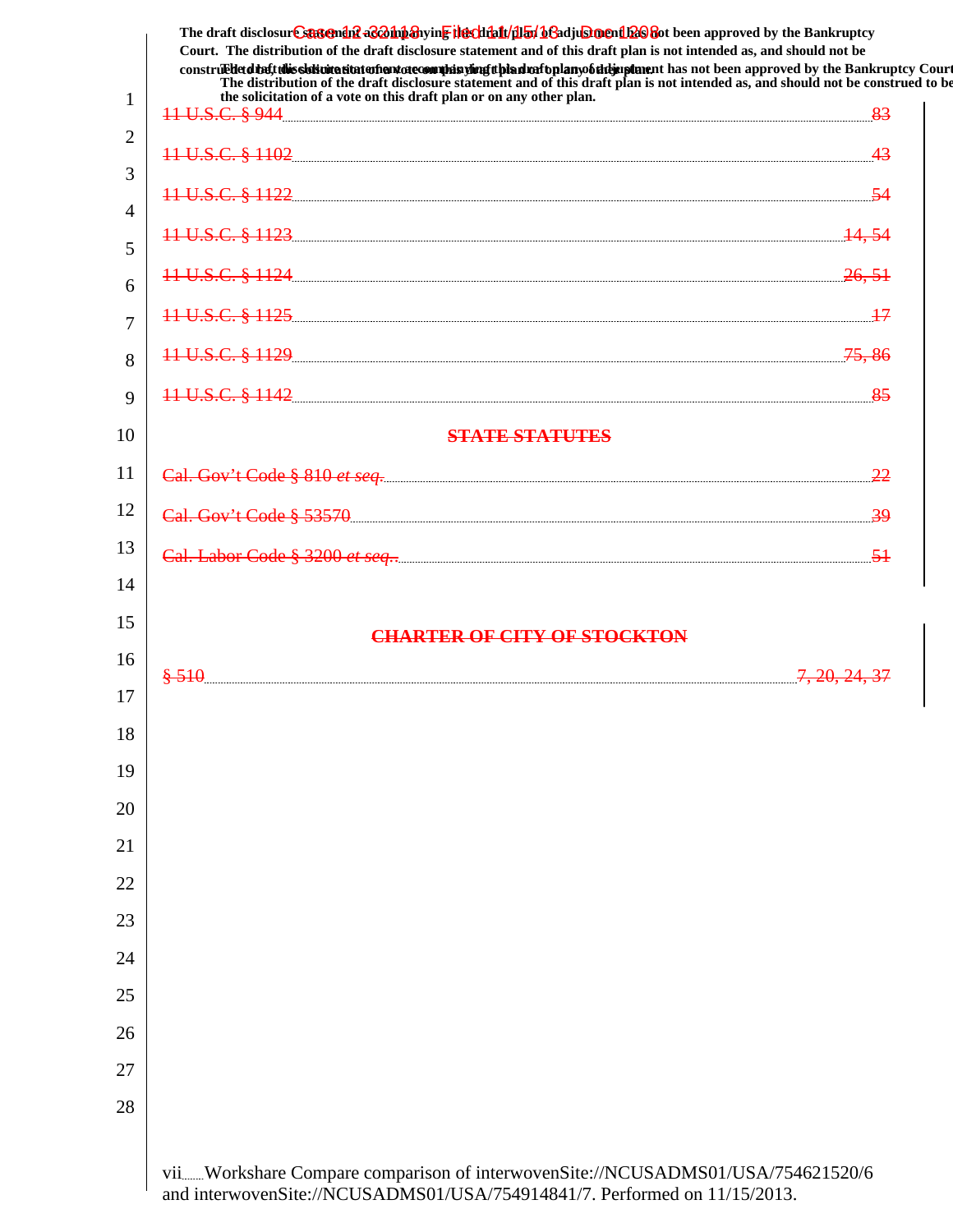|                | The draft disclosur Cantendal a & oh baying the click for began and a click of the Bankruptcy<br>Court. The distribution of the draft disclosure statement and of this draft plan is not intended as, and should not be<br>construed that this sidivitation and one commission of this dual oplany of the up tanent has not been approved by the Bankruptcy Court |  |
|----------------|-------------------------------------------------------------------------------------------------------------------------------------------------------------------------------------------------------------------------------------------------------------------------------------------------------------------------------------------------------------------|--|
| $\mathbf{1}$   | The distribution of the draft disclosure statement and of this draft plan is not intended as, and should not be construed to be<br>the solicitation of a vote on this draft plan or on any other plan.                                                                                                                                                            |  |
| $\overline{2}$ |                                                                                                                                                                                                                                                                                                                                                                   |  |
| 3              | 11 U.S.C. § 1102 43                                                                                                                                                                                                                                                                                                                                               |  |
| 4              | 11 U.S.C. § 1122 54                                                                                                                                                                                                                                                                                                                                               |  |
| 5              | 11 U.S.C. § 1123 <u>14,54</u>                                                                                                                                                                                                                                                                                                                                     |  |
| 6              | 11 U.S.C. § 1124 26, 51                                                                                                                                                                                                                                                                                                                                           |  |
| $\overline{7}$ | 11 U.S.C. § 1125 2000 2000 2000 2000 217                                                                                                                                                                                                                                                                                                                          |  |
| 8              | 11 U.S.C. § 1129 75,86                                                                                                                                                                                                                                                                                                                                            |  |
| 9              | 11 U.S.C. § 1142 35                                                                                                                                                                                                                                                                                                                                               |  |
| 10             | <b>STATE STATUTES</b>                                                                                                                                                                                                                                                                                                                                             |  |
| 11             |                                                                                                                                                                                                                                                                                                                                                                   |  |
| 12             |                                                                                                                                                                                                                                                                                                                                                                   |  |
| 13             |                                                                                                                                                                                                                                                                                                                                                                   |  |
| 14             |                                                                                                                                                                                                                                                                                                                                                                   |  |
| 15             | <b>CHARTER OF CITY OF STOCKTON</b>                                                                                                                                                                                                                                                                                                                                |  |
| 16             | \$510                                                                                                                                                                                                                                                                                                                                                             |  |
| 17             |                                                                                                                                                                                                                                                                                                                                                                   |  |
| 18             |                                                                                                                                                                                                                                                                                                                                                                   |  |
| 19             |                                                                                                                                                                                                                                                                                                                                                                   |  |
| 20             |                                                                                                                                                                                                                                                                                                                                                                   |  |
| 21             |                                                                                                                                                                                                                                                                                                                                                                   |  |
| 22             |                                                                                                                                                                                                                                                                                                                                                                   |  |
| 23             |                                                                                                                                                                                                                                                                                                                                                                   |  |
| 24             |                                                                                                                                                                                                                                                                                                                                                                   |  |
| 25             |                                                                                                                                                                                                                                                                                                                                                                   |  |
| 26             |                                                                                                                                                                                                                                                                                                                                                                   |  |
| 27             |                                                                                                                                                                                                                                                                                                                                                                   |  |
| 28             |                                                                                                                                                                                                                                                                                                                                                                   |  |
|                | viiWorkshare Compare comparison of interwovenSite://NCUSADMS01/USA/754621520/6                                                                                                                                                                                                                                                                                    |  |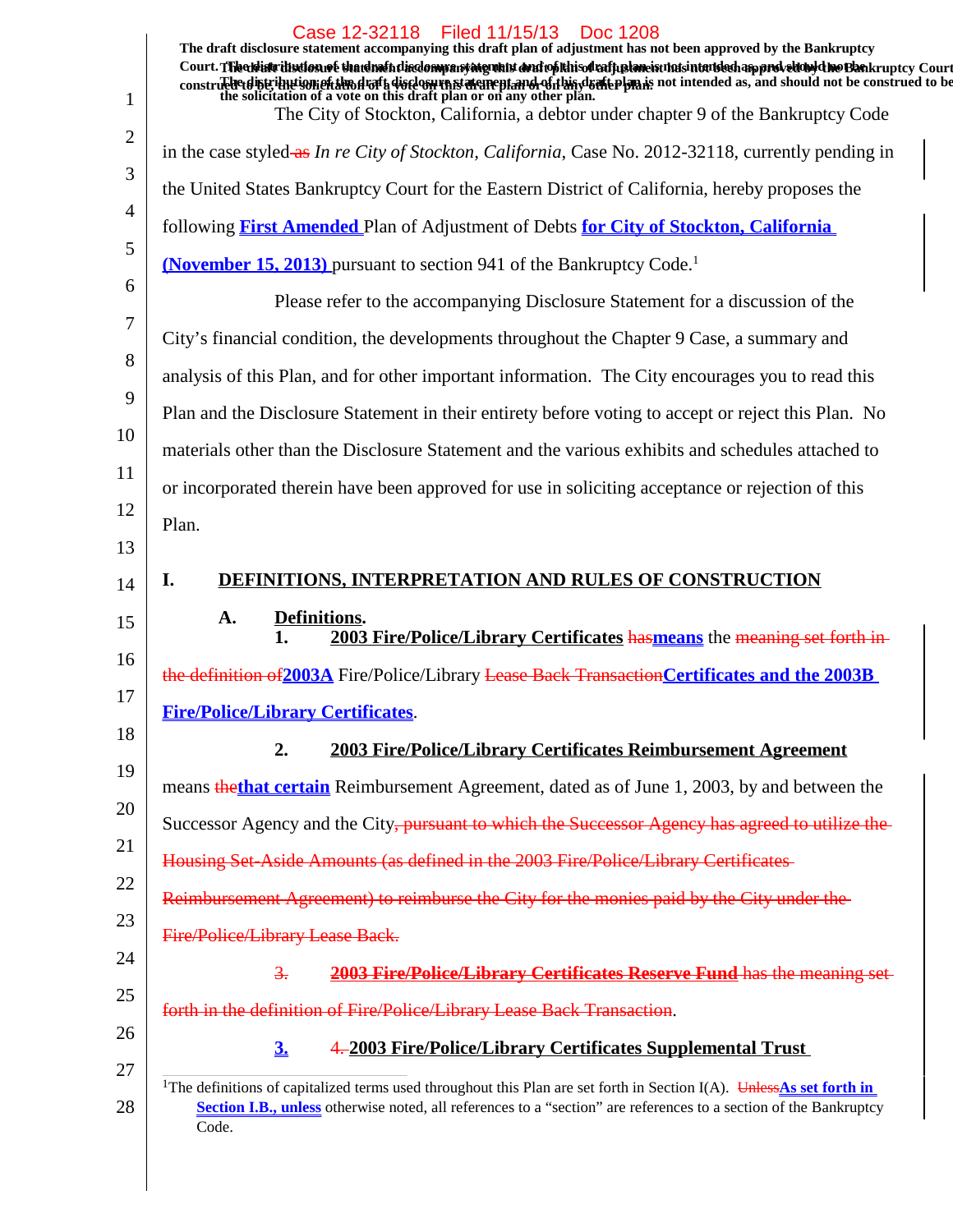|                                                          | Case 12-32118 Filed 11/15/13<br>Doc 1208                                                                                                                                                                                                                        |
|----------------------------------------------------------|-----------------------------------------------------------------------------------------------------------------------------------------------------------------------------------------------------------------------------------------------------------------|
|                                                          | The draft disclosure statement accompanying this draft plan of adjustment has not been approved by the Bankruptcy<br>Court. The distribution of that method inclompany and putto in the deal putton in the band of the bank ruptcy Court                        |
| 1                                                        | constructed that is the distance of the solicitation of a vote on this draft plan or on any other plan. The plan is not intended as, and should not be construed to be the solicitation of a vote on this draft plan or on any                                  |
| 2                                                        | The City of Stockton, California, a debtor under chapter 9 of the Bankruptcy Code                                                                                                                                                                               |
| 3                                                        | in the case styled-as In re City of Stockton, California, Case No. 2012-32118, currently pending in                                                                                                                                                             |
|                                                          | the United States Bankruptcy Court for the Eastern District of California, hereby proposes the                                                                                                                                                                  |
| 4<br>5                                                   | following <b>First Amended</b> Plan of Adjustment of Debts for City of Stockton, California                                                                                                                                                                     |
|                                                          | <b>(November 15, 2013)</b> pursuant to section 941 of the Bankruptcy Code. <sup>1</sup>                                                                                                                                                                         |
| 6                                                        | Please refer to the accompanying Disclosure Statement for a discussion of the                                                                                                                                                                                   |
| 7                                                        | City's financial condition, the developments throughout the Chapter 9 Case, a summary and                                                                                                                                                                       |
| 8                                                        | analysis of this Plan, and for other important information. The City encourages you to read this                                                                                                                                                                |
| 9                                                        | Plan and the Disclosure Statement in their entirety before voting to accept or reject this Plan. No                                                                                                                                                             |
| 10                                                       | materials other than the Disclosure Statement and the various exhibits and schedules attached to                                                                                                                                                                |
| 11                                                       | or incorporated therein have been approved for use in soliciting acceptance or rejection of this                                                                                                                                                                |
| 12                                                       | Plan.                                                                                                                                                                                                                                                           |
| 13                                                       |                                                                                                                                                                                                                                                                 |
| 14                                                       | <b>DEFINITIONS, INTERPRETATION AND RULES OF CONSTRUCTION</b><br>I.                                                                                                                                                                                              |
|                                                          |                                                                                                                                                                                                                                                                 |
|                                                          | Definitions.<br>A.<br>2003 Fire/Police/Library Certificates has means the meaning set forth in<br>1.                                                                                                                                                            |
| 15<br>16                                                 | the definition of 2003A Fire/Police/Library Lease Back Transaction Certificates and the 2003B                                                                                                                                                                   |
|                                                          | <b>Fire/Police/Library Certificates.</b>                                                                                                                                                                                                                        |
|                                                          | 2.<br>2003 Fire/Police/Library Certificates Reimbursement Agreement                                                                                                                                                                                             |
|                                                          | means thethat certain Reimbursement Agreement, dated as of June 1, 2003, by and between the                                                                                                                                                                     |
|                                                          | Successor Agency and the City, pursuant to which the Successor Agency has agreed to utilize the                                                                                                                                                                 |
|                                                          |                                                                                                                                                                                                                                                                 |
|                                                          | Housing Set-Aside Amounts (as defined in the 2003 Fire/Police/Library Certificates                                                                                                                                                                              |
|                                                          | Reimbursement Agreement) to reimburse the City for the monies paid by the City under the                                                                                                                                                                        |
|                                                          | Fire/Police/Library Lease Back.                                                                                                                                                                                                                                 |
|                                                          | 2003 Fire/Police/Library Certificates Reserve Fund has the meaning set<br>$\frac{3}{2}$ .                                                                                                                                                                       |
| 17<br>18<br>19<br>20<br>21<br>22<br>23<br>24<br>25<br>26 | forth in the definition of Fire/Police/Library Lease Back Transaction.                                                                                                                                                                                          |
| 27                                                       | 4.2003 Fire/Police/Library Certificates Supplemental Trust<br>3 <sub>1</sub>                                                                                                                                                                                    |
| 28                                                       | <sup>1</sup> The definitions of capitalized terms used throughout this Plan are set forth in Section I(A). Unless As set forth in<br>Section I.B., unless otherwise noted, all references to a "section" are references to a section of the Bankruptcy<br>Code. |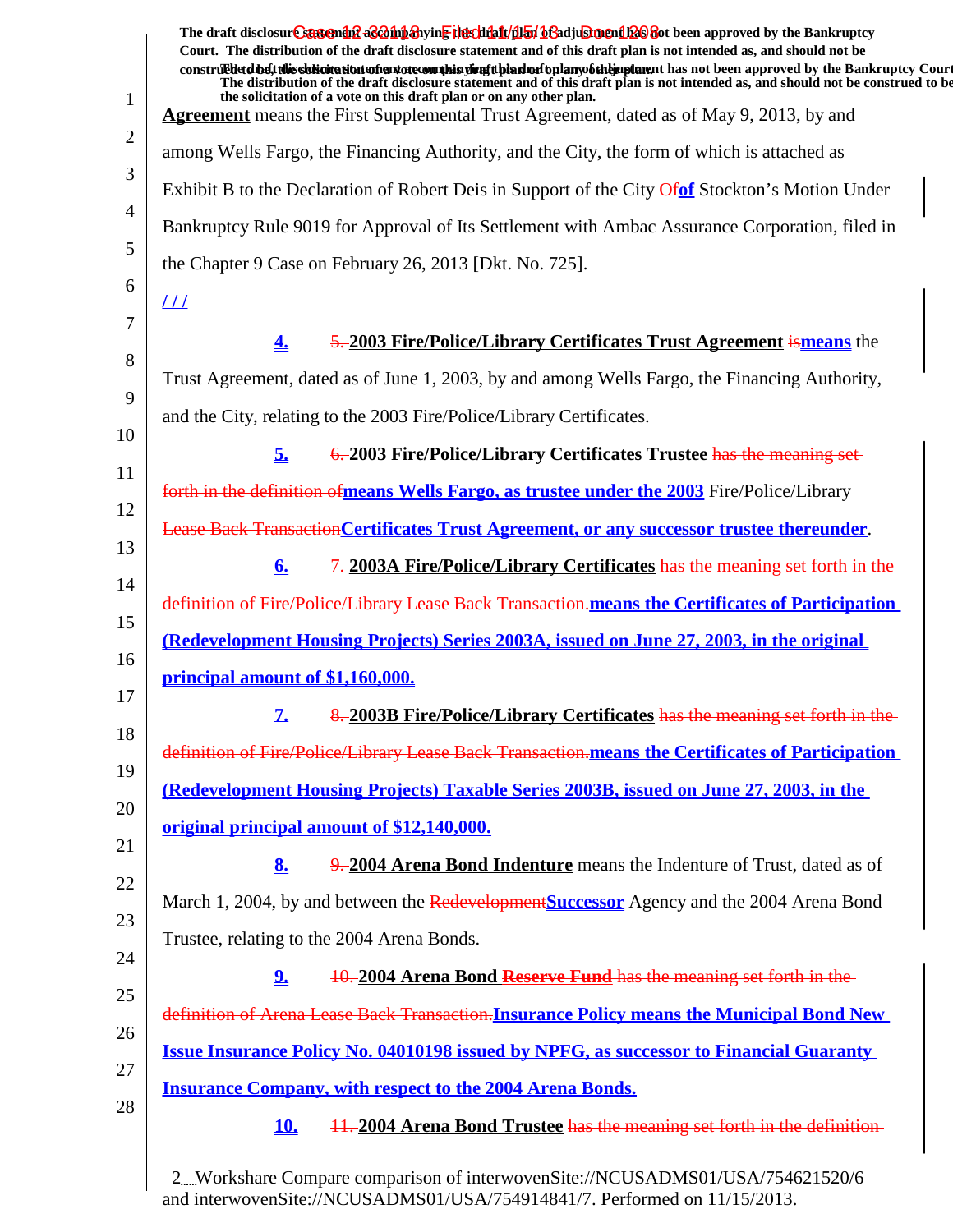| $\mathbf{1}$ | The draft disclosur Cantendal a control and the chieft and the chieft of a chieft of the Bankruptcy<br>Court. The distribution of the draft disclosure statement and of this draft plan is not intended as, and should not be<br>construed that this sidivitation and one commission of this dual oplany of the unit has not been approved by the Bankruptcy Court<br>The distribution of the draft disclosure statement and of this draft plan is not intended as, and should not be construed to be<br>the solicitation of a vote on this draft plan or on any other plan.<br><b>Agreement</b> means the First Supplemental Trust Agreement, dated as of May 9, 2013, by and |
|--------------|--------------------------------------------------------------------------------------------------------------------------------------------------------------------------------------------------------------------------------------------------------------------------------------------------------------------------------------------------------------------------------------------------------------------------------------------------------------------------------------------------------------------------------------------------------------------------------------------------------------------------------------------------------------------------------|
| 2            | among Wells Fargo, the Financing Authority, and the City, the form of which is attached as                                                                                                                                                                                                                                                                                                                                                                                                                                                                                                                                                                                     |
| 3            | Exhibit B to the Declaration of Robert Deis in Support of the City <i>Ofof</i> Stockton's Motion Under                                                                                                                                                                                                                                                                                                                                                                                                                                                                                                                                                                         |
| 4            | Bankruptcy Rule 9019 for Approval of Its Settlement with Ambac Assurance Corporation, filed in                                                                                                                                                                                                                                                                                                                                                                                                                                                                                                                                                                                 |
| 5            | the Chapter 9 Case on February 26, 2013 [Dkt. No. 725].                                                                                                                                                                                                                                                                                                                                                                                                                                                                                                                                                                                                                        |
| 6            | <u> 11</u>                                                                                                                                                                                                                                                                                                                                                                                                                                                                                                                                                                                                                                                                     |
| 7            |                                                                                                                                                                                                                                                                                                                                                                                                                                                                                                                                                                                                                                                                                |
| 8            | 5.2003 Fire/Police/Library Certificates Trust Agreement is means the<br>4.                                                                                                                                                                                                                                                                                                                                                                                                                                                                                                                                                                                                     |
| 9            | Trust Agreement, dated as of June 1, 2003, by and among Wells Fargo, the Financing Authority,                                                                                                                                                                                                                                                                                                                                                                                                                                                                                                                                                                                  |
| 10           | and the City, relating to the 2003 Fire/Police/Library Certificates.                                                                                                                                                                                                                                                                                                                                                                                                                                                                                                                                                                                                           |
| 11           | 6.2003 Fire/Police/Library Certificates Trustee has the meaning set-<br>5.                                                                                                                                                                                                                                                                                                                                                                                                                                                                                                                                                                                                     |
| 12           | forth in the definition of means Wells Fargo, as trustee under the 2003 Fire/Police/Library                                                                                                                                                                                                                                                                                                                                                                                                                                                                                                                                                                                    |
|              | Lease Back Transaction Certificates Trust Agreement, or any successor trustee thereunder.                                                                                                                                                                                                                                                                                                                                                                                                                                                                                                                                                                                      |
| 13           | 7.2003A Fire/Police/Library Certificates has the meaning set forth in the<br>6.                                                                                                                                                                                                                                                                                                                                                                                                                                                                                                                                                                                                |
| 14           | definition of Fire/Police/Library Lease Back Transaction. means the Certificates of Participation                                                                                                                                                                                                                                                                                                                                                                                                                                                                                                                                                                              |
| 15           | (Redevelopment Housing Projects) Series 2003A, issued on June 27, 2003, in the original                                                                                                                                                                                                                                                                                                                                                                                                                                                                                                                                                                                        |
| 16           | principal amount of \$1,160,000.                                                                                                                                                                                                                                                                                                                                                                                                                                                                                                                                                                                                                                               |
| 17           | 8. 2003B Fire/Police/Library Certificates has the meaning set forth in the<br>7.                                                                                                                                                                                                                                                                                                                                                                                                                                                                                                                                                                                               |
| 18           | definition of Fire/Police/Library Lease Back Transaction.means the Certificates of Participation                                                                                                                                                                                                                                                                                                                                                                                                                                                                                                                                                                               |
| 19           | (Redevelopment Housing Projects) Taxable Series 2003B, issued on June 27, 2003, in the                                                                                                                                                                                                                                                                                                                                                                                                                                                                                                                                                                                         |
| 20           | <u>original principal amount of \$12,140,000.</u>                                                                                                                                                                                                                                                                                                                                                                                                                                                                                                                                                                                                                              |
| 21           | 8.<br>9. 2004 Arena Bond Indenture means the Indenture of Trust, dated as of                                                                                                                                                                                                                                                                                                                                                                                                                                                                                                                                                                                                   |
| 22           | March 1, 2004, by and between the Redevelopment Successor Agency and the 2004 Arena Bond                                                                                                                                                                                                                                                                                                                                                                                                                                                                                                                                                                                       |
| 23           |                                                                                                                                                                                                                                                                                                                                                                                                                                                                                                                                                                                                                                                                                |
| 24           | Trustee, relating to the 2004 Arena Bonds.                                                                                                                                                                                                                                                                                                                                                                                                                                                                                                                                                                                                                                     |
| 25           | 10. 2004 Arena Bond Reserve Fund has the meaning set forth in the<br>2.                                                                                                                                                                                                                                                                                                                                                                                                                                                                                                                                                                                                        |
| 26           | definition of Arena Lease Back Transaction. Insurance Policy means the Municipal Bond New                                                                                                                                                                                                                                                                                                                                                                                                                                                                                                                                                                                      |
| 27           | <b>Issue Insurance Policy No. 04010198 issued by NPFG, as successor to Financial Guaranty</b>                                                                                                                                                                                                                                                                                                                                                                                                                                                                                                                                                                                  |
| 28           | <b>Insurance Company, with respect to the 2004 Arena Bonds.</b>                                                                                                                                                                                                                                                                                                                                                                                                                                                                                                                                                                                                                |
|              | 11.2004 Arena Bond Trustee has the meaning set forth in the definition-<br><b>10.</b>                                                                                                                                                                                                                                                                                                                                                                                                                                                                                                                                                                                          |
|              |                                                                                                                                                                                                                                                                                                                                                                                                                                                                                                                                                                                                                                                                                |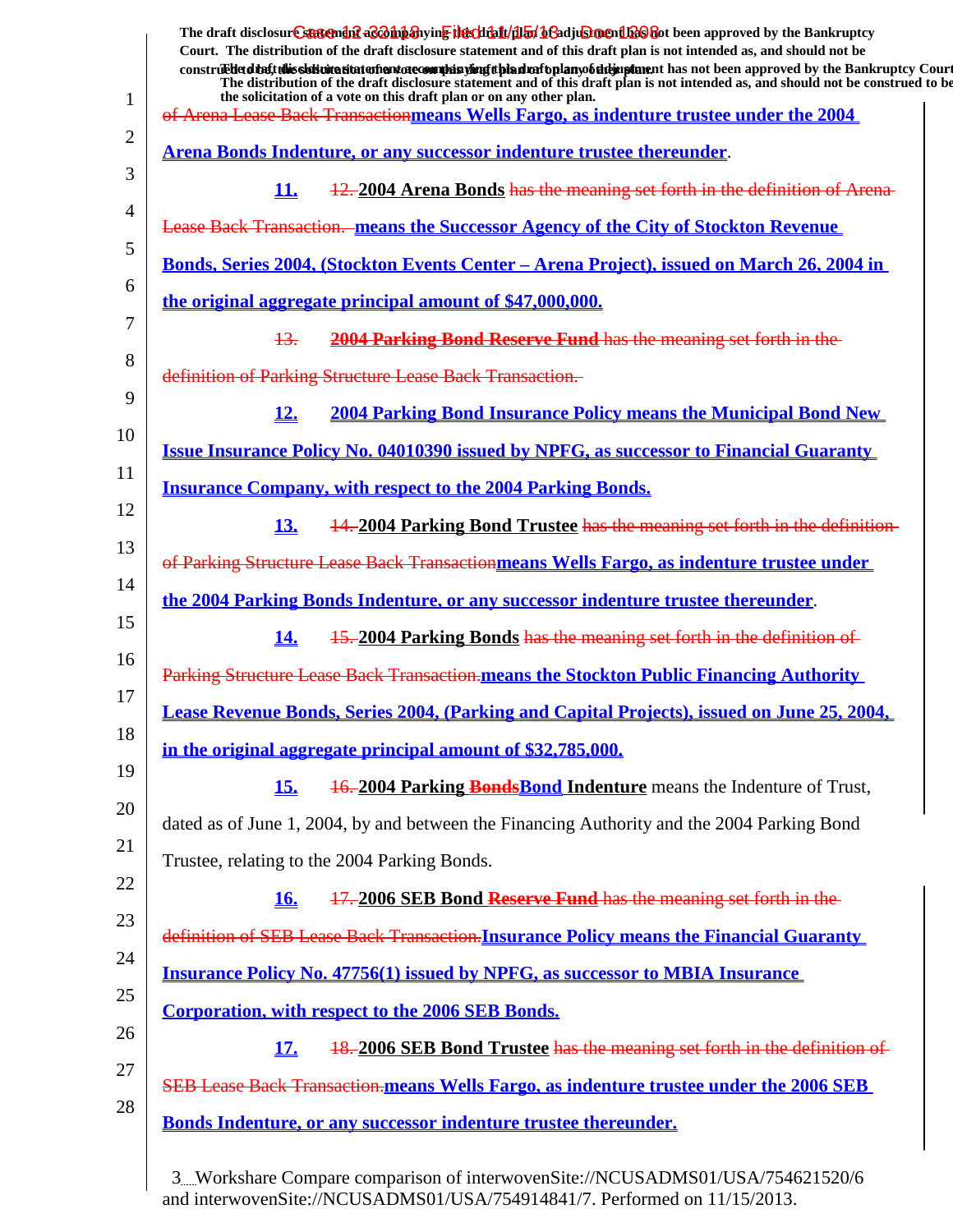|              | The draft disclosur Cantendal a & bip anying the chieff (half of a diu shell as approved by the Bankruptcy<br>Court. The distribution of the draft disclosure statement and of this draft plan is not intended as, and should not be<br>construedetdiate this signification at a function of the significant control and of the studies of the studies of the Bankruptcy Court<br>The distribution of the draft disclosure statement and of this draft plan is not intended as, and should not be construed to be |
|--------------|-------------------------------------------------------------------------------------------------------------------------------------------------------------------------------------------------------------------------------------------------------------------------------------------------------------------------------------------------------------------------------------------------------------------------------------------------------------------------------------------------------------------|
| $\mathbf{1}$ | the solicitation of a vote on this draft plan or on any other plan.<br>of Arena Lease Back Transactionmeans Wells Fargo, as indenture trustee under the 2004                                                                                                                                                                                                                                                                                                                                                      |
| 2            | Arena Bonds Indenture, or any successor indenture trustee thereunder.                                                                                                                                                                                                                                                                                                                                                                                                                                             |
| 3            | 12. 2004 Arena Bonds has the meaning set forth in the definition of Arena-<br>11.                                                                                                                                                                                                                                                                                                                                                                                                                                 |
| 4            | Lease Back Transaction. means the Successor Agency of the City of Stockton Revenue                                                                                                                                                                                                                                                                                                                                                                                                                                |
| 5            | <u> Bonds, Series 2004, (Stockton Events Center – Arena Project), issued on March 26, 2004 in</u>                                                                                                                                                                                                                                                                                                                                                                                                                 |
| 6            | the original aggregate principal amount of \$47,000,000.                                                                                                                                                                                                                                                                                                                                                                                                                                                          |
| 7            | 2004 Parking Bond Reserve Fund has the meaning set forth in the<br>13.                                                                                                                                                                                                                                                                                                                                                                                                                                            |
| 8            | definition of Parking Structure Lease Back Transaction.                                                                                                                                                                                                                                                                                                                                                                                                                                                           |
| 9            | <b>2004 Parking Bond Insurance Policy means the Municipal Bond New</b><br>12.                                                                                                                                                                                                                                                                                                                                                                                                                                     |
| 10           | <b>Issue Insurance Policy No. 04010390 issued by NPFG, as successor to Financial Guaranty</b>                                                                                                                                                                                                                                                                                                                                                                                                                     |
| 11           | <b>Insurance Company, with respect to the 2004 Parking Bonds.</b>                                                                                                                                                                                                                                                                                                                                                                                                                                                 |
| 12           | 14.2004 Parking Bond Trustee has the meaning set forth in the definition-<br>13.                                                                                                                                                                                                                                                                                                                                                                                                                                  |
| 13           | of Parking Structure Lease Back Transactionmeans Wells Fargo, as indenture trustee under                                                                                                                                                                                                                                                                                                                                                                                                                          |
| 14<br>15     | <u>the 2004 Parking Bonds Indenture, or any successor indenture trustee thereunder.</u>                                                                                                                                                                                                                                                                                                                                                                                                                           |
| 16           | 15.2004 Parking Bonds has the meaning set forth in the definition of<br><u>14.</u>                                                                                                                                                                                                                                                                                                                                                                                                                                |
| 17           | Parking Structure Lease Back Transaction.means the Stockton Public Financing Authority                                                                                                                                                                                                                                                                                                                                                                                                                            |
| 18           | Lease Revenue Bonds, Series 2004, (Parking and Capital Projects), issued on June 25, 2004,                                                                                                                                                                                                                                                                                                                                                                                                                        |
| 19           | in the original aggregate principal amount of \$32,785,000.                                                                                                                                                                                                                                                                                                                                                                                                                                                       |
| 20           | <u>15.</u><br><b>16.2004 Parking Bonds Bond Indenture</b> means the Indenture of Trust,                                                                                                                                                                                                                                                                                                                                                                                                                           |
| 21           | dated as of June 1, 2004, by and between the Financing Authority and the 2004 Parking Bond                                                                                                                                                                                                                                                                                                                                                                                                                        |
| 22           | Trustee, relating to the 2004 Parking Bonds.                                                                                                                                                                                                                                                                                                                                                                                                                                                                      |
| 23           | 17.2006 SEB Bond Reserve Fund has the meaning set forth in the<br><b>16.</b>                                                                                                                                                                                                                                                                                                                                                                                                                                      |
| 24           | definition of SEB Lease Back Transaction. Insurance Policy means the Financial Guaranty                                                                                                                                                                                                                                                                                                                                                                                                                           |
| 25           | <b>Insurance Policy No. 47756(1) issued by NPFG, as successor to MBIA Insurance</b>                                                                                                                                                                                                                                                                                                                                                                                                                               |
| 26           | <b>Corporation, with respect to the 2006 SEB Bonds.</b>                                                                                                                                                                                                                                                                                                                                                                                                                                                           |
| 27           | 18. 2006 SEB Bond Trustee has the meaning set forth in the definition of<br><u>17.</u>                                                                                                                                                                                                                                                                                                                                                                                                                            |
| 28           | <b>SEB Lease Back Transaction-means Wells Fargo, as indenture trustee under the 2006 SEB</b>                                                                                                                                                                                                                                                                                                                                                                                                                      |
|              | <b>Bonds Indenture, or any successor indenture trustee thereunder.</b>                                                                                                                                                                                                                                                                                                                                                                                                                                            |
|              |                                                                                                                                                                                                                                                                                                                                                                                                                                                                                                                   |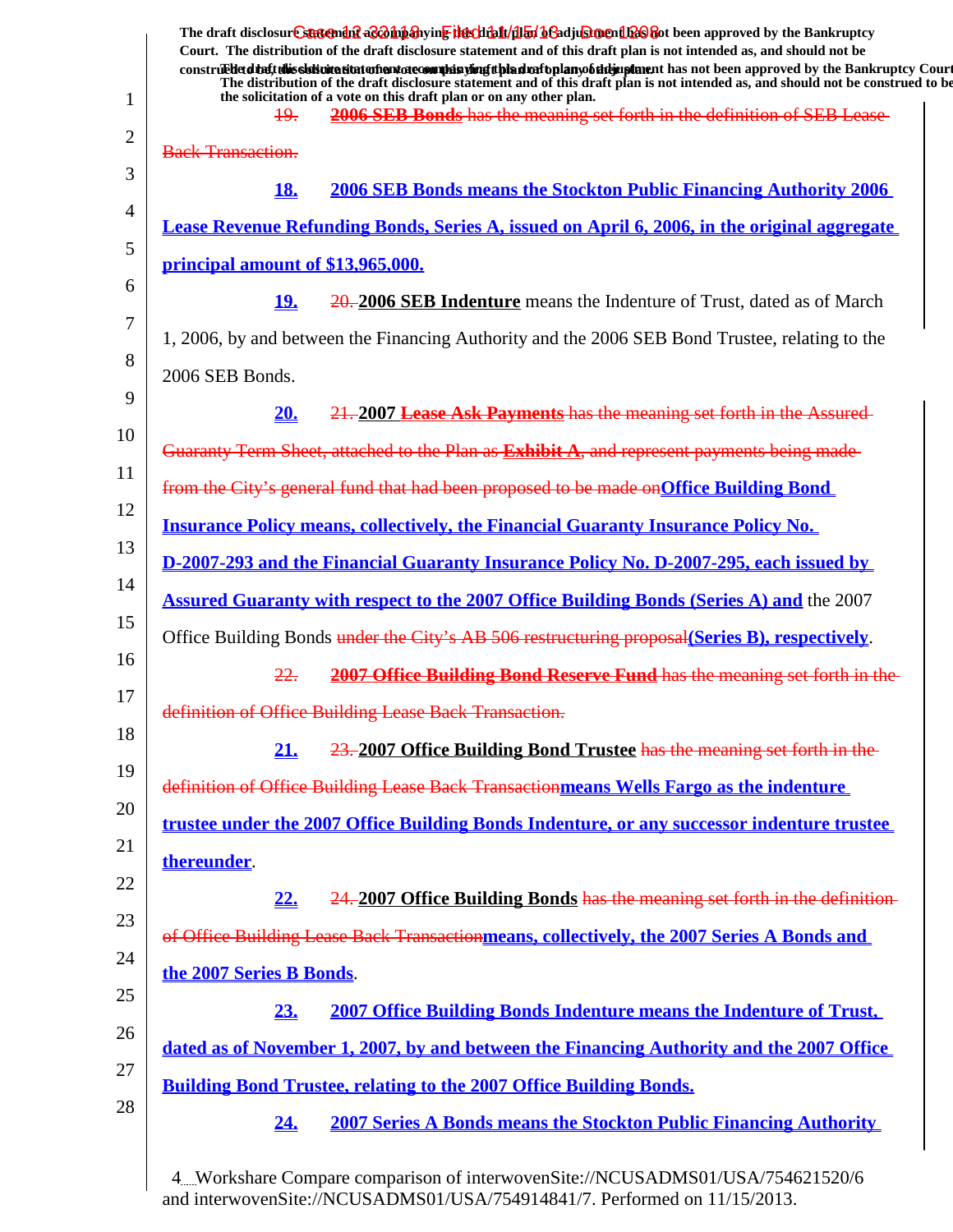|    | The draft disclosure suggended acompanying the climatical of adjustment been approved by the Bankruptcy<br>Court. The distribution of the draft disclosure statement and of this draft plan is not intended as, and should not be                                       |
|----|-------------------------------------------------------------------------------------------------------------------------------------------------------------------------------------------------------------------------------------------------------------------------|
|    | construedetdine tubis sistemation enterto commission and properties and properties and has not been approved by the Bankruptcy Court<br>The distribution of the draft disclosure statement and of this draft plan is not intended as, and should not be construed to be |
| 1  | the solicitation of a vote on this draft plan or on any other plan.<br>2006 SEB Bonds has the meaning set forth in the definition of SEB Lease-<br>49.                                                                                                                  |
| 2  | <b>Back Transaction.</b>                                                                                                                                                                                                                                                |
| 3  |                                                                                                                                                                                                                                                                         |
| 4  | <b>18.</b><br><b>2006 SEB Bonds means the Stockton Public Financing Authority 2006</b>                                                                                                                                                                                  |
| 5  | Lease Revenue Refunding Bonds, Series A, issued on April 6, 2006, in the original aggregate                                                                                                                                                                             |
| 6  | principal amount of \$13,965,000.                                                                                                                                                                                                                                       |
|    | <u>19.</u><br>20. 2006 SEB Indenture means the Indenture of Trust, dated as of March                                                                                                                                                                                    |
| 7  | 1, 2006, by and between the Financing Authority and the 2006 SEB Bond Trustee, relating to the                                                                                                                                                                          |
| 8  | 2006 SEB Bonds.                                                                                                                                                                                                                                                         |
| 9  | 21.2007 Lease Ask Payments has the meaning set forth in the Assured<br>20.                                                                                                                                                                                              |
| 10 | Guaranty Term Sheet, attached to the Plan as Exhibit A, and represent payments being made-                                                                                                                                                                              |
| 11 | from the City's general fund that had been proposed to be made on Office Building Bond                                                                                                                                                                                  |
| 12 | <b>Insurance Policy means, collectively, the Financial Guaranty Insurance Policy No.</b>                                                                                                                                                                                |
| 13 | D-2007-293 and the Financial Guaranty Insurance Policy No. D-2007-295, each issued by                                                                                                                                                                                   |
| 14 | <b>Assured Guaranty with respect to the 2007 Office Building Bonds (Series A) and the 2007</b>                                                                                                                                                                          |
| 15 | Office Building Bonds under the City's AB 506 restructuring proposal (Series B), respectively.                                                                                                                                                                          |
| 16 | 22.<br>2007 Office Building Bond Reserve Fund has the meaning set forth in the                                                                                                                                                                                          |
| 17 | definition of Office Building Lease Back Transaction.                                                                                                                                                                                                                   |
| 18 |                                                                                                                                                                                                                                                                         |
| 19 | 21.<br>23. 2007 Office Building Bond Trustee has the meaning set forth in the                                                                                                                                                                                           |
| 20 | definition of Office Building Lease Back Transactionmeans Wells Fargo as the indenture                                                                                                                                                                                  |
| 21 | trustee under the 2007 Office Building Bonds Indenture, or any successor indenture trustee                                                                                                                                                                              |
| 22 | thereunder.                                                                                                                                                                                                                                                             |
|    | 22.<br>24. 2007 Office Building Bonds has the meaning set forth in the definition-                                                                                                                                                                                      |
| 23 | of Office Building Lease Back Transactionmeans, collectively, the 2007 Series A Bonds and                                                                                                                                                                               |
| 24 | the 2007 Series B Bonds.                                                                                                                                                                                                                                                |
| 25 | 23.<br><b>2007 Office Building Bonds Indenture means the Indenture of Trust,</b>                                                                                                                                                                                        |
| 26 | dated as of November 1, 2007, by and between the Financing Authority and the 2007 Office                                                                                                                                                                                |
| 27 | <b>Building Bond Trustee, relating to the 2007 Office Building Bonds.</b>                                                                                                                                                                                               |
| 28 | <u>24.</u><br><b>2007 Series A Bonds means the Stockton Public Financing Authority</b>                                                                                                                                                                                  |
|    |                                                                                                                                                                                                                                                                         |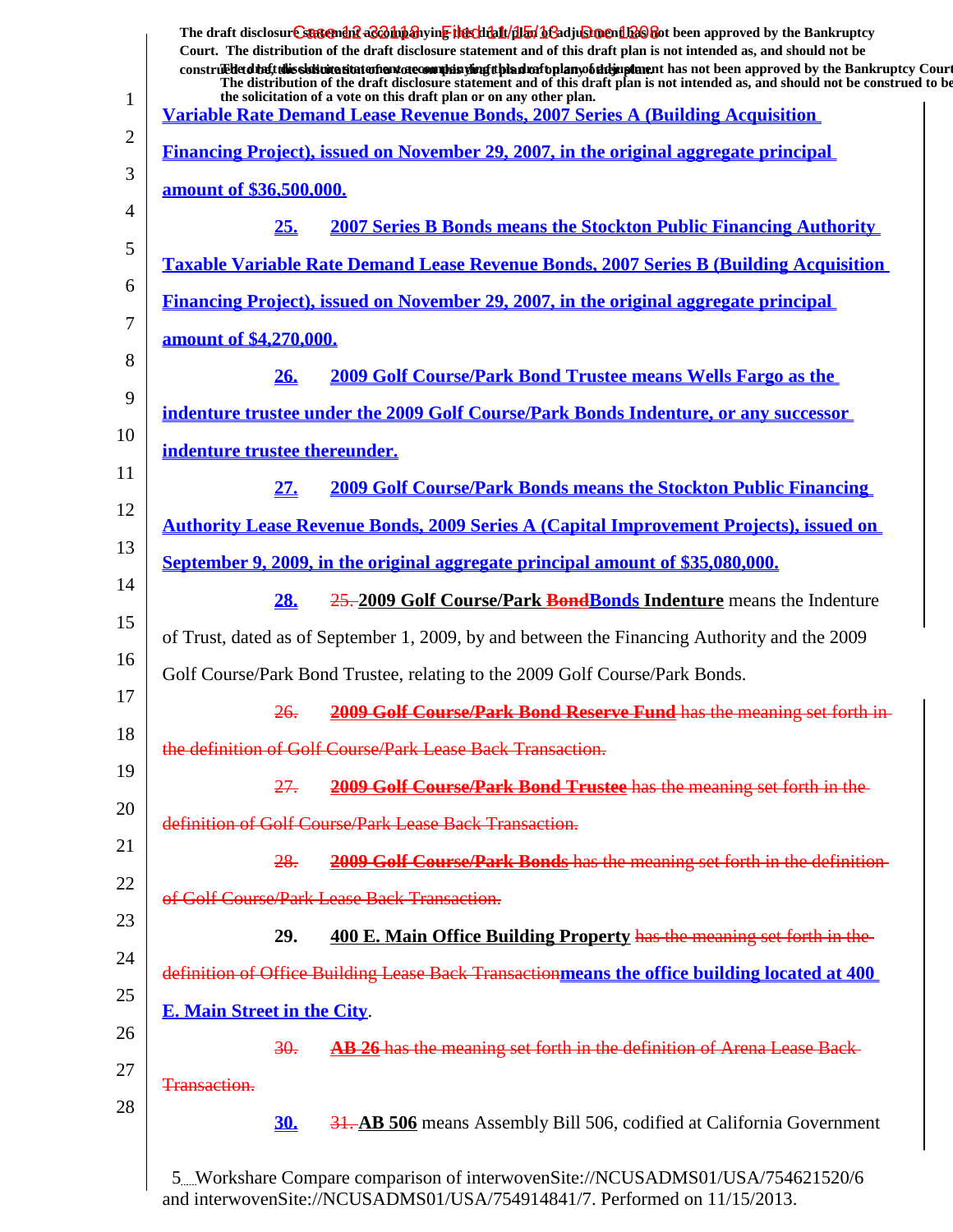| $\mathbf{1}$ | The draft disclosure sasement as a man and the client of the client of the client of the Bankruptcy<br>Court. The distribution of the draft disclosure statement and of this draft plan is not intended as, and should not be<br>construed to the Bankruptcy Court<br>The distribution of the draft disclosure statement and of this draft plan is not intended as, and should not be construed to be<br>the solicitation of a vote on this draft plan or on any other plan. |
|--------------|------------------------------------------------------------------------------------------------------------------------------------------------------------------------------------------------------------------------------------------------------------------------------------------------------------------------------------------------------------------------------------------------------------------------------------------------------------------------------|
| 2            | <b>Variable Rate Demand Lease Revenue Bonds, 2007 Series A (Building Acquisition)</b>                                                                                                                                                                                                                                                                                                                                                                                        |
| 3            | Financing Project), issued on November 29, 2007, in the original aggregate principal                                                                                                                                                                                                                                                                                                                                                                                         |
| 4            | <u>amount of \$36,500,000.</u>                                                                                                                                                                                                                                                                                                                                                                                                                                               |
|              | 25.<br><b>2007 Series B Bonds means the Stockton Public Financing Authority</b>                                                                                                                                                                                                                                                                                                                                                                                              |
| 5            | <b>Taxable Variable Rate Demand Lease Revenue Bonds, 2007 Series B (Building Acquisition)</b>                                                                                                                                                                                                                                                                                                                                                                                |
| 6            | Financing Project), issued on November 29, 2007, in the original aggregate principal                                                                                                                                                                                                                                                                                                                                                                                         |
| 7            | amount of \$4,270,000.                                                                                                                                                                                                                                                                                                                                                                                                                                                       |
| 8            | <b>2009 Golf Course/Park Bond Trustee means Wells Fargo as the</b><br>26.                                                                                                                                                                                                                                                                                                                                                                                                    |
| 9            | indenture trustee under the 2009 Golf Course/Park Bonds Indenture, or any successor                                                                                                                                                                                                                                                                                                                                                                                          |
| 10           | indenture trustee thereunder.                                                                                                                                                                                                                                                                                                                                                                                                                                                |
| 11           | 27.<br><b>2009 Golf Course/Park Bonds means the Stockton Public Financing</b>                                                                                                                                                                                                                                                                                                                                                                                                |
| 12           | <b>Authority Lease Revenue Bonds, 2009 Series A (Capital Improvement Projects), issued on</b>                                                                                                                                                                                                                                                                                                                                                                                |
| 13           | September 9, 2009, in the original aggregate principal amount of \$35,080,000.                                                                                                                                                                                                                                                                                                                                                                                               |
| 14           | 28.<br>25.2009 Golf Course/Park BondBonds Indenture means the Indenture                                                                                                                                                                                                                                                                                                                                                                                                      |
| 15           | of Trust, dated as of September 1, 2009, by and between the Financing Authority and the 2009                                                                                                                                                                                                                                                                                                                                                                                 |
| 16           | Golf Course/Park Bond Trustee, relating to the 2009 Golf Course/Park Bonds.                                                                                                                                                                                                                                                                                                                                                                                                  |
| 17           | <b>2009 Golf Course/Park Bond Reserve Fund has the meaning set forth in-</b>                                                                                                                                                                                                                                                                                                                                                                                                 |
| 18           | <del>26.</del>                                                                                                                                                                                                                                                                                                                                                                                                                                                               |
| 19           | the definition of Golf Course/Park Lease Back Transaction.                                                                                                                                                                                                                                                                                                                                                                                                                   |
| 20           | 27.<br>2009 Golf Course/Park Bond Trustee has the meaning set forth in the                                                                                                                                                                                                                                                                                                                                                                                                   |
| 21           | definition of Golf Course/Park Lease Back Transaction.                                                                                                                                                                                                                                                                                                                                                                                                                       |
| 22           | <b>2009 Golf Course/Park Bonds</b> has the meaning set forth in the definition-<br>28.                                                                                                                                                                                                                                                                                                                                                                                       |
| 23           | of Golf Course/Park Lease Back Transaction.                                                                                                                                                                                                                                                                                                                                                                                                                                  |
|              | 400 E. Main Office Building Property has the meaning set forth in the<br>29.                                                                                                                                                                                                                                                                                                                                                                                                 |
| 24           | definition of Office Building Lease Back Transactionmeans the office building located at 400                                                                                                                                                                                                                                                                                                                                                                                 |
| 25           | <b>E. Main Street in the City.</b>                                                                                                                                                                                                                                                                                                                                                                                                                                           |
| 26           | AB 26 has the meaning set forth in the definition of Arena Lease Back-<br>30.                                                                                                                                                                                                                                                                                                                                                                                                |
| 27           | Transaction.                                                                                                                                                                                                                                                                                                                                                                                                                                                                 |
| 28           | <b>30.</b><br><b>31. AB 506</b> means Assembly Bill 506, codified at California Government                                                                                                                                                                                                                                                                                                                                                                                   |
|              | 5Workshare Compare comparison of interwovenSite://NCUSADMS01/USA/754621520/6                                                                                                                                                                                                                                                                                                                                                                                                 |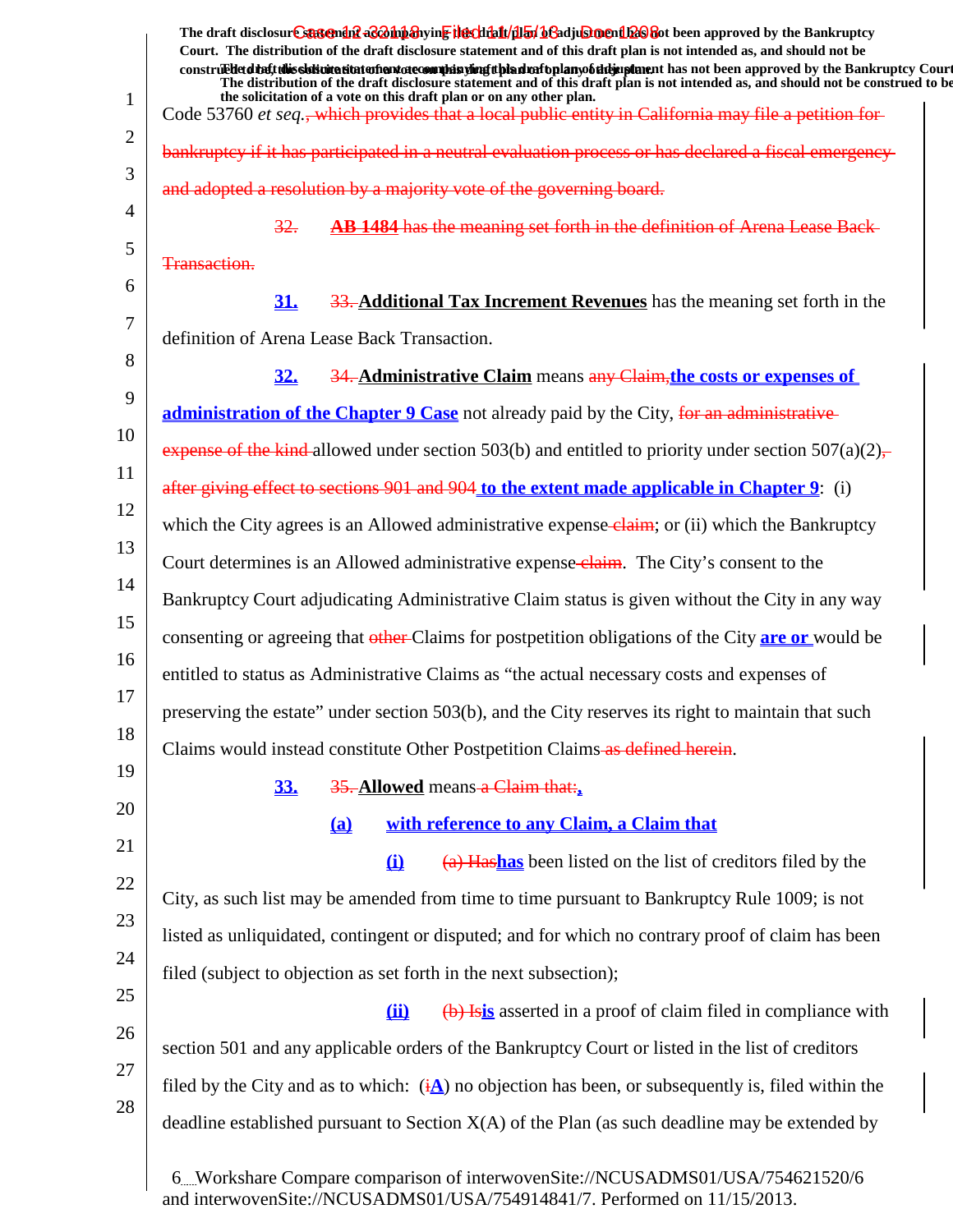|                | The draft disclosure suggendif a control and the chieft (illuminate) beneficially and the Bankruptcy                                                                                                                                                                         |
|----------------|------------------------------------------------------------------------------------------------------------------------------------------------------------------------------------------------------------------------------------------------------------------------------|
|                | Court. The distribution of the draft disclosure statement and of this draft plan is not intended as, and should not be<br>construed detail this slok wite situation and accommode is virigit bian match plany of the implement has not been approved by the Bankruptcy Court |
| $\mathbf{1}$   | The distribution of the draft disclosure statement and of this draft plan is not intended as, and should not be construed to be<br>the solicitation of a vote on this draft plan or on any other plan.                                                                       |
| $\overline{2}$ | Code 53760 et seq., which provides that a local public entity in California may file a petition for                                                                                                                                                                          |
| 3              | bankruptcy if it has participated in a neutral evaluation process or has declared a fiscal emergency-                                                                                                                                                                        |
| 4              | and adopted a resolution by a majority vote of the governing board.                                                                                                                                                                                                          |
| 5              | AB 1484 has the meaning set forth in the definition of Arena Lease Back-<br>32.                                                                                                                                                                                              |
| 6              | Transaction.                                                                                                                                                                                                                                                                 |
| 7              | 31.<br>33. Additional Tax Increment Revenues has the meaning set forth in the                                                                                                                                                                                                |
| 8              | definition of Arena Lease Back Transaction.                                                                                                                                                                                                                                  |
| 9              | 34. Administrative Claim means any Claim, the costs or expenses of<br>32.                                                                                                                                                                                                    |
| 10             | administration of the Chapter 9 Case not already paid by the City, for an administrative                                                                                                                                                                                     |
| 11             | expense of the kind-allowed under section 503(b) and entitled to priority under section $507(a)(2)$ .                                                                                                                                                                        |
| 12             | after giving effect to sections 901 and 904 to the extent made applicable in Chapter 9: (i)                                                                                                                                                                                  |
| 13             | which the City agrees is an Allowed administrative expense-claim; or (ii) which the Bankruptcy                                                                                                                                                                               |
| 14             | Court determines is an Allowed administrative expense-claim. The City's consent to the                                                                                                                                                                                       |
| 15             | Bankruptcy Court adjudicating Administrative Claim status is given without the City in any way                                                                                                                                                                               |
| 16             | consenting or agreeing that other Claims for postpetition obligations of the City are or would be                                                                                                                                                                            |
| 17             | entitled to status as Administrative Claims as "the actual necessary costs and expenses of                                                                                                                                                                                   |
| 18             | preserving the estate" under section 503(b), and the City reserves its right to maintain that such                                                                                                                                                                           |
| 19             | Claims would instead constitute Other Postpetition Claims as defined herein.                                                                                                                                                                                                 |
| 20             | 35. Allowed means a Claim that:<br>33.                                                                                                                                                                                                                                       |
| 21             | with reference to any Claim, a Claim that<br>(a)                                                                                                                                                                                                                             |
| 22             | (a) Hashas been listed on the list of creditors filed by the<br>$\mathbf{u}$                                                                                                                                                                                                 |
| 23             | City, as such list may be amended from time to time pursuant to Bankruptcy Rule 1009; is not                                                                                                                                                                                 |
| 24             | listed as unliquidated, contingent or disputed; and for which no contrary proof of claim has been                                                                                                                                                                            |
| 25             | filed (subject to objection as set forth in the next subsection);                                                                                                                                                                                                            |
|                | (b) Isis asserted in a proof of claim filed in compliance with<br>(ii)                                                                                                                                                                                                       |
| 26             | section 501 and any applicable orders of the Bankruptcy Court or listed in the list of creditors                                                                                                                                                                             |
| 27             | filed by the City and as to which: $(i\Delta)$ no objection has been, or subsequently is, filed within the                                                                                                                                                                   |
| 28             | deadline established pursuant to Section $X(A)$ of the Plan (as such deadline may be extended by                                                                                                                                                                             |
|                | 6. Workshare Compare comparison of interwovenSite://NCUSADMS01/USA/754621520/6<br>and interwovenSite://NCUSADMS01/USA/754914841/7. Performed on 11/15/2013.                                                                                                                  |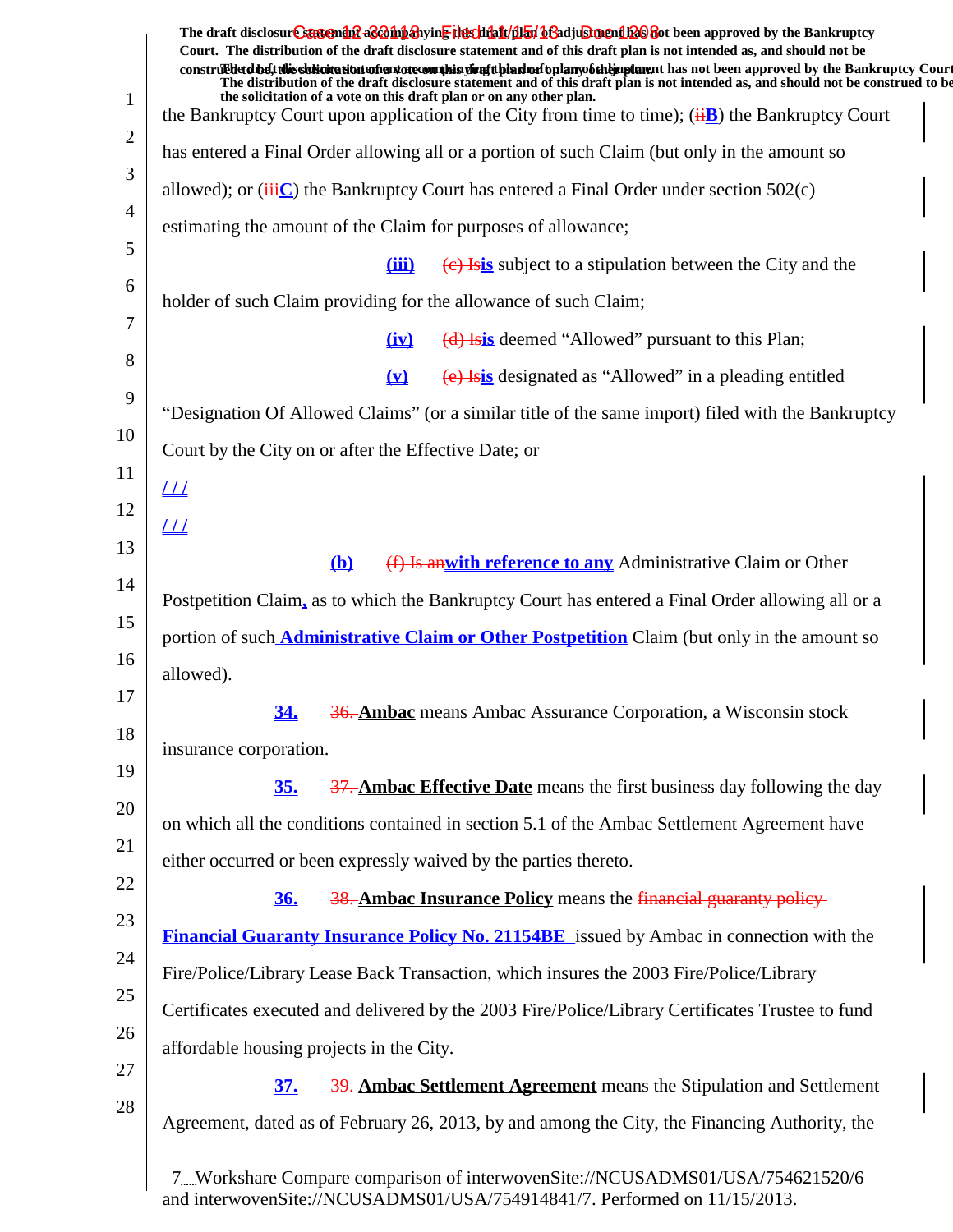|                | The draft disclosure sasement as a hypothesive the client of the final of a disclosure and the Bankruptcy<br>Court. The distribution of the draft disclosure statement and of this draft plan is not intended as, and should not be<br>construedetdiet this sistemation entertainment of committee of the simulation of the hand of the state of the bankruptcy Court<br>The distribution of the draft disclosure statement and of this draft plan is not intended as, and should not be construed to be |
|----------------|----------------------------------------------------------------------------------------------------------------------------------------------------------------------------------------------------------------------------------------------------------------------------------------------------------------------------------------------------------------------------------------------------------------------------------------------------------------------------------------------------------|
| $\mathbf{1}$   | the solicitation of a vote on this draft plan or on any other plan.<br>the Bankruptcy Court upon application of the City from time to time); $(\overrightarrow{H}B)$ the Bankruptcy Court                                                                                                                                                                                                                                                                                                                |
| $\overline{2}$ | has entered a Final Order allowing all or a portion of such Claim (but only in the amount so                                                                                                                                                                                                                                                                                                                                                                                                             |
| 3              | allowed); or $(\overrightarrow{iiiC})$ the Bankruptcy Court has entered a Final Order under section 502(c)                                                                                                                                                                                                                                                                                                                                                                                               |
| $\overline{4}$ | estimating the amount of the Claim for purposes of allowance;                                                                                                                                                                                                                                                                                                                                                                                                                                            |
| 5              | $\overline{(e)}$ Isis subject to a stipulation between the City and the<br>(iii)                                                                                                                                                                                                                                                                                                                                                                                                                         |
| 6              | holder of such Claim providing for the allowance of such Claim;                                                                                                                                                                                                                                                                                                                                                                                                                                          |
| 7              | (d) Isis deemed "Allowed" pursuant to this Plan;<br>(i <b>x</b> )                                                                                                                                                                                                                                                                                                                                                                                                                                        |
| 8              | (e) Isis designated as "Allowed" in a pleading entitled<br>$\left(\underline{\mathbf{v}}\right)$                                                                                                                                                                                                                                                                                                                                                                                                         |
| 9              | "Designation Of Allowed Claims" (or a similar title of the same import) filed with the Bankruptcy                                                                                                                                                                                                                                                                                                                                                                                                        |
| 10             | Court by the City on or after the Effective Date; or                                                                                                                                                                                                                                                                                                                                                                                                                                                     |
| 11             | $\perp\!\!\!\perp$                                                                                                                                                                                                                                                                                                                                                                                                                                                                                       |
| 12             | $_{LL}$                                                                                                                                                                                                                                                                                                                                                                                                                                                                                                  |
| 13             | (f) Is an with reference to any Administrative Claim or Other<br>(b)                                                                                                                                                                                                                                                                                                                                                                                                                                     |
| 14             | Postpetition Claim, as to which the Bankruptcy Court has entered a Final Order allowing all or a                                                                                                                                                                                                                                                                                                                                                                                                         |
| 15             | portion of such <b>Administrative Claim or Other Postpetition</b> Claim (but only in the amount so                                                                                                                                                                                                                                                                                                                                                                                                       |
| 16             | allowed).                                                                                                                                                                                                                                                                                                                                                                                                                                                                                                |
| 17             | 36. Ambac means Ambac Assurance Corporation, a Wisconsin stock<br><u>34.</u>                                                                                                                                                                                                                                                                                                                                                                                                                             |
| 18             | insurance corporation.                                                                                                                                                                                                                                                                                                                                                                                                                                                                                   |
| 19             | <b>35.</b><br>37. Ambac Effective Date means the first business day following the day                                                                                                                                                                                                                                                                                                                                                                                                                    |
| 20             | on which all the conditions contained in section 5.1 of the Ambac Settlement Agreement have                                                                                                                                                                                                                                                                                                                                                                                                              |
| 21             | either occurred or been expressly waived by the parties thereto.                                                                                                                                                                                                                                                                                                                                                                                                                                         |
| 22             | 38. Ambac Insurance Policy means the financial guaranty policy-<br><u>36.</u>                                                                                                                                                                                                                                                                                                                                                                                                                            |
| 23             |                                                                                                                                                                                                                                                                                                                                                                                                                                                                                                          |
| 24             | <b>Financial Guaranty Insurance Policy No. 21154BE</b> issued by Ambac in connection with the                                                                                                                                                                                                                                                                                                                                                                                                            |
| 25             | Fire/Police/Library Lease Back Transaction, which insures the 2003 Fire/Police/Library                                                                                                                                                                                                                                                                                                                                                                                                                   |
| 26             | Certificates executed and delivered by the 2003 Fire/Police/Library Certificates Trustee to fund                                                                                                                                                                                                                                                                                                                                                                                                         |
| 27             | affordable housing projects in the City.                                                                                                                                                                                                                                                                                                                                                                                                                                                                 |
| 28             | 39. Ambac Settlement Agreement means the Stipulation and Settlement<br><u>37.</u>                                                                                                                                                                                                                                                                                                                                                                                                                        |
|                | Agreement, dated as of February 26, 2013, by and among the City, the Financing Authority, the                                                                                                                                                                                                                                                                                                                                                                                                            |
|                | 7Workshare Compare comparison of interwovenSite://NCUSADMS01/USA/754621520/6                                                                                                                                                                                                                                                                                                                                                                                                                             |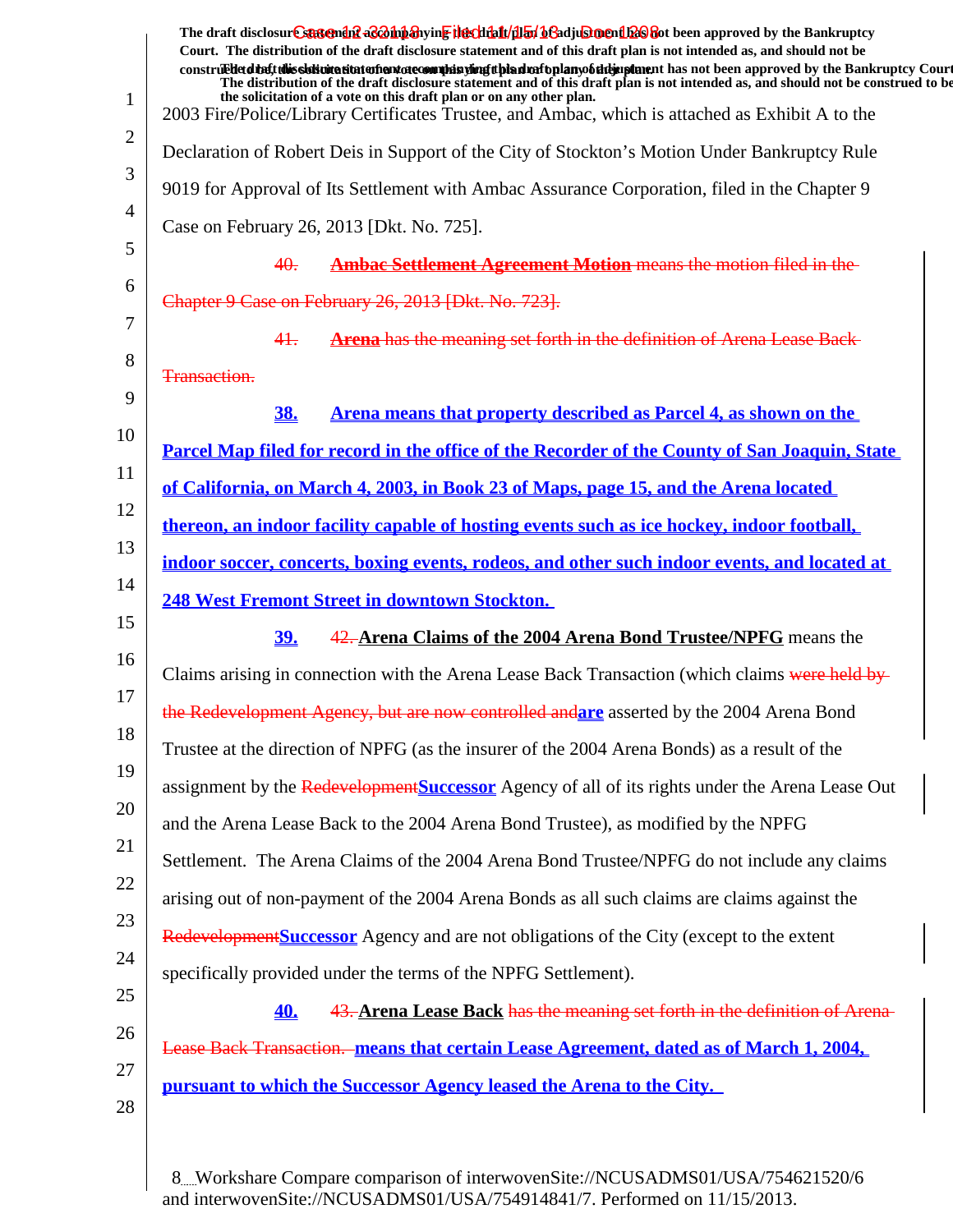|              | The draft disclosure suggended acompanying the climatical of adjustment has been approved by the Bankruptcy<br>Court. The distribution of the draft disclosure statement and of this draft plan is not intended as, and should not be<br>construed that this sidion at the model in the commission of the distribution of the manner has not been approved by the Bankruptcy Court<br>The distribution of the draft disclosure statement and of this draft plan is not intended as, and should not be construed to be |
|--------------|-----------------------------------------------------------------------------------------------------------------------------------------------------------------------------------------------------------------------------------------------------------------------------------------------------------------------------------------------------------------------------------------------------------------------------------------------------------------------------------------------------------------------|
| $\mathbf{1}$ | the solicitation of a vote on this draft plan or on any other plan.<br>2003 Fire/Police/Library Certificates Trustee, and Ambac, which is attached as Exhibit A to the                                                                                                                                                                                                                                                                                                                                                |
| 2            | Declaration of Robert Deis in Support of the City of Stockton's Motion Under Bankruptcy Rule                                                                                                                                                                                                                                                                                                                                                                                                                          |
| 3            | 9019 for Approval of Its Settlement with Ambac Assurance Corporation, filed in the Chapter 9                                                                                                                                                                                                                                                                                                                                                                                                                          |
| 4            | Case on February 26, 2013 [Dkt. No. 725].                                                                                                                                                                                                                                                                                                                                                                                                                                                                             |
| 5            | <b>Ambac Settlement Agreement Motion means the motion filed in the-</b><br>40.                                                                                                                                                                                                                                                                                                                                                                                                                                        |
| 6            | Chapter 9 Case on February 26, 2013 [Dkt. No. 723].                                                                                                                                                                                                                                                                                                                                                                                                                                                                   |
| 7            | Arena has the meaning set forth in the definition of Arena Lease Back-<br>41.                                                                                                                                                                                                                                                                                                                                                                                                                                         |
| 8            | Transaction.                                                                                                                                                                                                                                                                                                                                                                                                                                                                                                          |
| 9            | Arena means that property described as Parcel 4, as shown on the<br><b>38.</b>                                                                                                                                                                                                                                                                                                                                                                                                                                        |
| 10           | Parcel Map filed for record in the office of the Recorder of the County of San Joaquin, State                                                                                                                                                                                                                                                                                                                                                                                                                         |
| 11           | of California, on March 4, 2003, in Book 23 of Maps, page 15, and the Arena located                                                                                                                                                                                                                                                                                                                                                                                                                                   |
| 12           | thereon, an indoor facility capable of hosting events such as ice hockey, indoor football,                                                                                                                                                                                                                                                                                                                                                                                                                            |
| 13           | indoor soccer, concerts, boxing events, rodeos, and other such indoor events, and located at                                                                                                                                                                                                                                                                                                                                                                                                                          |
| 14           | <b>248 West Fremont Street in downtown Stockton.</b>                                                                                                                                                                                                                                                                                                                                                                                                                                                                  |
| 15           | 42. Arena Claims of the 2004 Arena Bond Trustee/NPFG means the<br><u>39.</u>                                                                                                                                                                                                                                                                                                                                                                                                                                          |
| 16           | Claims arising in connection with the Arena Lease Back Transaction (which claims were held by-                                                                                                                                                                                                                                                                                                                                                                                                                        |
| 17           | the Redevelopment Agency, but are now controlled and are asserted by the 2004 Arena Bond                                                                                                                                                                                                                                                                                                                                                                                                                              |
| 18           | Trustee at the direction of NPFG (as the insurer of the 2004 Arena Bonds) as a result of the                                                                                                                                                                                                                                                                                                                                                                                                                          |
| 19           | assignment by the Redevelopment Successor Agency of all of its rights under the Arena Lease Out                                                                                                                                                                                                                                                                                                                                                                                                                       |
| 20           | and the Arena Lease Back to the 2004 Arena Bond Trustee), as modified by the NPFG                                                                                                                                                                                                                                                                                                                                                                                                                                     |
| 21<br>22     | Settlement. The Arena Claims of the 2004 Arena Bond Trustee/NPFG do not include any claims                                                                                                                                                                                                                                                                                                                                                                                                                            |
| 23           | arising out of non-payment of the 2004 Arena Bonds as all such claims are claims against the                                                                                                                                                                                                                                                                                                                                                                                                                          |
| 24           | Redevelopment Successor Agency and are not obligations of the City (except to the extent                                                                                                                                                                                                                                                                                                                                                                                                                              |
| 25           | specifically provided under the terms of the NPFG Settlement).                                                                                                                                                                                                                                                                                                                                                                                                                                                        |
| 26           | 43. Arena Lease Back has the meaning set forth in the definition of Arena-<br><u>40.</u>                                                                                                                                                                                                                                                                                                                                                                                                                              |
| 27           | Lease Back Transaction. means that certain Lease Agreement, dated as of March 1, 2004,                                                                                                                                                                                                                                                                                                                                                                                                                                |
| 28           | pursuant to which the Successor Agency leased the Arena to the City.                                                                                                                                                                                                                                                                                                                                                                                                                                                  |
|              |                                                                                                                                                                                                                                                                                                                                                                                                                                                                                                                       |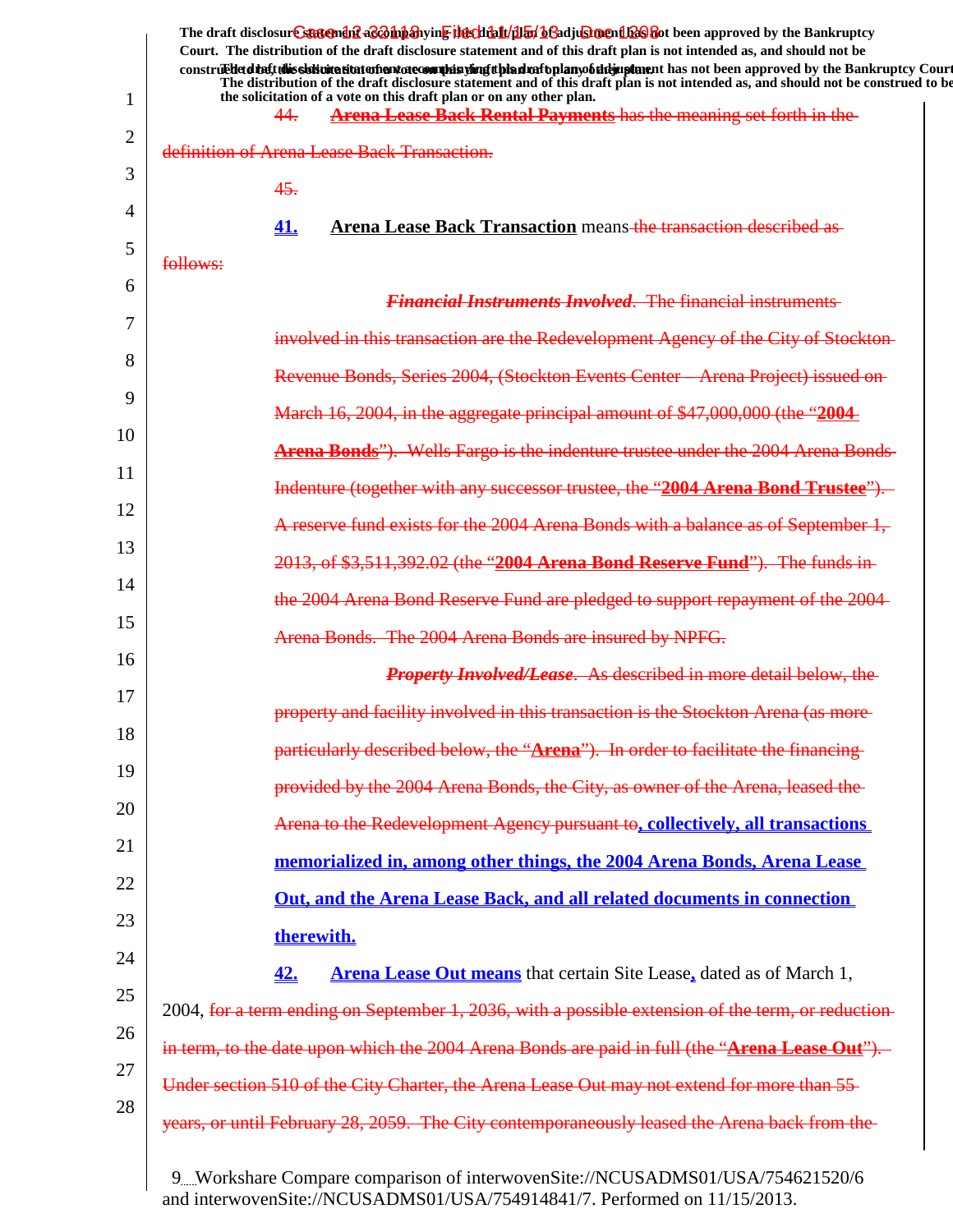| Court. The distribution of the draft disclosure statement and of this draft plan is not intended as, and should not be<br>construedetdine tubis sistemation in the sound is the plan in the hold of the hold in plane in has not been approved by the Bankruptcy Court<br>The distribution of the draft disclosure statement and of this draft plan is not intended as, and should not be construed to be<br>the solicitation of a vote on this draft plan or on any other plan.<br>1<br>Arena Lease Back Rental Payments has the meaning set forth in the<br>44.<br>$\overline{2}$<br>definition of Arena Lease Back Transaction.<br>3<br>45.<br>4<br>Arena Lease Back Transaction means the transaction described as<br>41.<br>5<br>follows:<br>6<br><b>Financial Instruments Involved. The financial instruments</b><br>7<br>involved in this transaction are the Redevelopment Agency of the City of Stockton-<br>8<br>Revenue Bonds, Series 2004, (Stockton Events Center - Arena Project) issued on-<br>9<br>March 16, 2004, in the aggregate principal amount of \$47,000,000 (the "2004<br>10<br><b>Arena Bonds</b> "). Wells Fargo is the indenture trustee under the 2004 Arena Bonds-<br>11<br>Indenture (together with any successor trustee, the "2004 Arena Bond Trustee"). |
|-------------------------------------------------------------------------------------------------------------------------------------------------------------------------------------------------------------------------------------------------------------------------------------------------------------------------------------------------------------------------------------------------------------------------------------------------------------------------------------------------------------------------------------------------------------------------------------------------------------------------------------------------------------------------------------------------------------------------------------------------------------------------------------------------------------------------------------------------------------------------------------------------------------------------------------------------------------------------------------------------------------------------------------------------------------------------------------------------------------------------------------------------------------------------------------------------------------------------------------------------------------------------------------------|
|                                                                                                                                                                                                                                                                                                                                                                                                                                                                                                                                                                                                                                                                                                                                                                                                                                                                                                                                                                                                                                                                                                                                                                                                                                                                                           |
|                                                                                                                                                                                                                                                                                                                                                                                                                                                                                                                                                                                                                                                                                                                                                                                                                                                                                                                                                                                                                                                                                                                                                                                                                                                                                           |
|                                                                                                                                                                                                                                                                                                                                                                                                                                                                                                                                                                                                                                                                                                                                                                                                                                                                                                                                                                                                                                                                                                                                                                                                                                                                                           |
|                                                                                                                                                                                                                                                                                                                                                                                                                                                                                                                                                                                                                                                                                                                                                                                                                                                                                                                                                                                                                                                                                                                                                                                                                                                                                           |
|                                                                                                                                                                                                                                                                                                                                                                                                                                                                                                                                                                                                                                                                                                                                                                                                                                                                                                                                                                                                                                                                                                                                                                                                                                                                                           |
|                                                                                                                                                                                                                                                                                                                                                                                                                                                                                                                                                                                                                                                                                                                                                                                                                                                                                                                                                                                                                                                                                                                                                                                                                                                                                           |
|                                                                                                                                                                                                                                                                                                                                                                                                                                                                                                                                                                                                                                                                                                                                                                                                                                                                                                                                                                                                                                                                                                                                                                                                                                                                                           |
|                                                                                                                                                                                                                                                                                                                                                                                                                                                                                                                                                                                                                                                                                                                                                                                                                                                                                                                                                                                                                                                                                                                                                                                                                                                                                           |
|                                                                                                                                                                                                                                                                                                                                                                                                                                                                                                                                                                                                                                                                                                                                                                                                                                                                                                                                                                                                                                                                                                                                                                                                                                                                                           |
|                                                                                                                                                                                                                                                                                                                                                                                                                                                                                                                                                                                                                                                                                                                                                                                                                                                                                                                                                                                                                                                                                                                                                                                                                                                                                           |
|                                                                                                                                                                                                                                                                                                                                                                                                                                                                                                                                                                                                                                                                                                                                                                                                                                                                                                                                                                                                                                                                                                                                                                                                                                                                                           |
|                                                                                                                                                                                                                                                                                                                                                                                                                                                                                                                                                                                                                                                                                                                                                                                                                                                                                                                                                                                                                                                                                                                                                                                                                                                                                           |
| 12<br>A reserve fund exists for the 2004 Arena Bonds with a balance as of September 1,                                                                                                                                                                                                                                                                                                                                                                                                                                                                                                                                                                                                                                                                                                                                                                                                                                                                                                                                                                                                                                                                                                                                                                                                    |
| 13                                                                                                                                                                                                                                                                                                                                                                                                                                                                                                                                                                                                                                                                                                                                                                                                                                                                                                                                                                                                                                                                                                                                                                                                                                                                                        |
| 2013, of \$3,511,392.02 (the "2004 Arena Bond Reserve Fund"). The funds in-<br>14                                                                                                                                                                                                                                                                                                                                                                                                                                                                                                                                                                                                                                                                                                                                                                                                                                                                                                                                                                                                                                                                                                                                                                                                         |
| the 2004 Arena Bond Reserve Fund are pledged to support repayment of the 2004<br>15                                                                                                                                                                                                                                                                                                                                                                                                                                                                                                                                                                                                                                                                                                                                                                                                                                                                                                                                                                                                                                                                                                                                                                                                       |
| Arena Bonds. The 2004 Arena Bonds are insured by NPFG.<br>16                                                                                                                                                                                                                                                                                                                                                                                                                                                                                                                                                                                                                                                                                                                                                                                                                                                                                                                                                                                                                                                                                                                                                                                                                              |
| <b>Property Involved/Lease.</b> As described in more detail below, the<br>17                                                                                                                                                                                                                                                                                                                                                                                                                                                                                                                                                                                                                                                                                                                                                                                                                                                                                                                                                                                                                                                                                                                                                                                                              |
| property and facility involved in this transaction is the Stockton Arena (as more-<br>18                                                                                                                                                                                                                                                                                                                                                                                                                                                                                                                                                                                                                                                                                                                                                                                                                                                                                                                                                                                                                                                                                                                                                                                                  |
| particularly described below, the "Arena"). In order to facilitate the financing-<br>19                                                                                                                                                                                                                                                                                                                                                                                                                                                                                                                                                                                                                                                                                                                                                                                                                                                                                                                                                                                                                                                                                                                                                                                                   |
| provided by the 2004 Arena Bonds, the City, as owner of the Arena, leased the<br>20                                                                                                                                                                                                                                                                                                                                                                                                                                                                                                                                                                                                                                                                                                                                                                                                                                                                                                                                                                                                                                                                                                                                                                                                       |
| Arena to the Redevelopment Agency pursuant to, collectively, all transactions<br>21                                                                                                                                                                                                                                                                                                                                                                                                                                                                                                                                                                                                                                                                                                                                                                                                                                                                                                                                                                                                                                                                                                                                                                                                       |
| memorialized in, among other things, the 2004 Arena Bonds, Arena Lease                                                                                                                                                                                                                                                                                                                                                                                                                                                                                                                                                                                                                                                                                                                                                                                                                                                                                                                                                                                                                                                                                                                                                                                                                    |
| 22<br>Out, and the Arena Lease Back, and all related documents in connection                                                                                                                                                                                                                                                                                                                                                                                                                                                                                                                                                                                                                                                                                                                                                                                                                                                                                                                                                                                                                                                                                                                                                                                                              |
| 23<br>therewith.                                                                                                                                                                                                                                                                                                                                                                                                                                                                                                                                                                                                                                                                                                                                                                                                                                                                                                                                                                                                                                                                                                                                                                                                                                                                          |
| 24<br>42.<br><b>Arena Lease Out means</b> that certain Site Lease, dated as of March 1,                                                                                                                                                                                                                                                                                                                                                                                                                                                                                                                                                                                                                                                                                                                                                                                                                                                                                                                                                                                                                                                                                                                                                                                                   |
| 25<br>2004, for a term ending on September 1, 2036, with a possible extension of the term, or reduction-                                                                                                                                                                                                                                                                                                                                                                                                                                                                                                                                                                                                                                                                                                                                                                                                                                                                                                                                                                                                                                                                                                                                                                                  |
| 26<br>in term, to the date upon which the 2004 Arena Bonds are paid in full (the "Arena Lease Out").                                                                                                                                                                                                                                                                                                                                                                                                                                                                                                                                                                                                                                                                                                                                                                                                                                                                                                                                                                                                                                                                                                                                                                                      |
| 27<br>Under section 510 of the City Charter, the Arena Lease Out may not extend for more than 55-                                                                                                                                                                                                                                                                                                                                                                                                                                                                                                                                                                                                                                                                                                                                                                                                                                                                                                                                                                                                                                                                                                                                                                                         |
| 28<br>years, or until February 28, 2059. The City contemporaneously leased the Arena back from the                                                                                                                                                                                                                                                                                                                                                                                                                                                                                                                                                                                                                                                                                                                                                                                                                                                                                                                                                                                                                                                                                                                                                                                        |
|                                                                                                                                                                                                                                                                                                                                                                                                                                                                                                                                                                                                                                                                                                                                                                                                                                                                                                                                                                                                                                                                                                                                                                                                                                                                                           |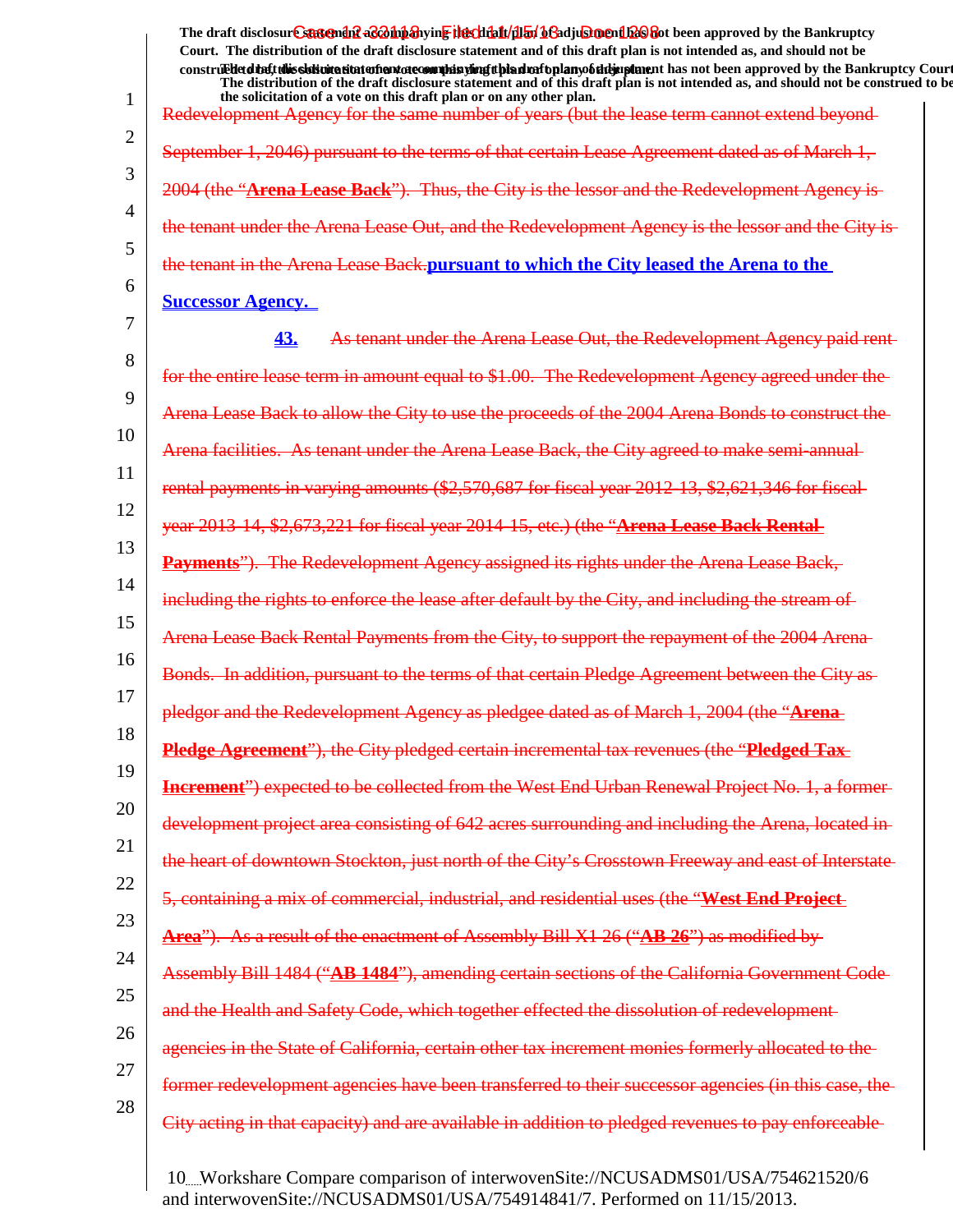The draft disclosur<del>t Suggendn2 aC201np3</del>hyin<mark>e the chip11/1151/163adjushorenth26</mark>860t been approved by the Bankruptcy **Court. The distribution of the draft disclosure statement and of this draft plan is not intended as, and should not be** construed to the state of this solicitation to the word of a variant disclosure and a voto any of the draft disclosure statement and a variant disclosure of a plan of a variant plan of the Bankruptcy Court. **The distribution of the draft disclosure statement and of this draft plan is not intended as, and should not be construed to be,**

1 2 3 4 5 6 7 8 9 10 11 12 13 14 15 16 17 18 19 20 21 22 23 24 25 26 27 28 **the solicitation of a vote on this draft plan or on any other plan.** Redevelopment Agency for the same number of years (but the lease term cannot extend beyond September 1, 2046) pursuant to the terms of that certain Lease Agreement dated as of March 1, 2004 (the "**Arena Lease Back**"). Thus, the City is the lessor and the Redevelopment A the tenant under the Arena Lease Out, and the Redevelopment Agency the tenant in the Arena Lease Back.**pursuant to which the City leased the Arena to the Successor Agency. 43.** As tenant under the Arena Lease Out, the Redevelopment for the entire lease term in amount equal to \$1.00. The Redevelopment Agency agreed Arena Lease Back to allow the City to use the proceeds of the 2004 Arena Bonds to Arena facilities. As tenant under the Arena Lease Back, the City agreed to make semi-annual rental payments in varying amounts (\$2,570,687 for fiscal year 2012-13, \$2,621,346 for fiscal year 2013-14, \$2,673,221 for fiscal year 2014-15, etc.) (the "**Arena Lease Back Rental Payments**"). The Redevelopment Agency assigned its rights under the Arena Lease Back, enforce the lease after default by the City Arena Lease Back Rental Payments from the City, to support the repayment Bonds. In addition, pursuant to the terms of that certain Pledge pledgor and the Redevelopment Agency as pledgee dated as of March 1, 200 **Pledge Agreement**"), the City pledged certain incremental tax revenues (the "**Pledged Tax Increment**") expected to be collected from the West End Urban Renewal Project No. 1, a formerdevelopment project area consisting of 642 acres surrounding and including the the heart of downtown Stockton, just north of the City's Crosstown Freeway and east of Interstate 5, containing a mix of commercial, industrial, and residential uses (the "**West End Project Area**"). As a result of the enactment of Assembly Bill X1 26 ("**AB 26**") as modified by Assembly Bill 1484 ("**AB 1484**"), amending certain sections of the California Government Code and the Health and Safety Code, which together effected the dissolution agencies in the State of California, certain other tax increment monies formerly allocated former redevelopment agencies have been transferred to their City acting in that capacity) and are available in addition to pledged revenues to pay enforceable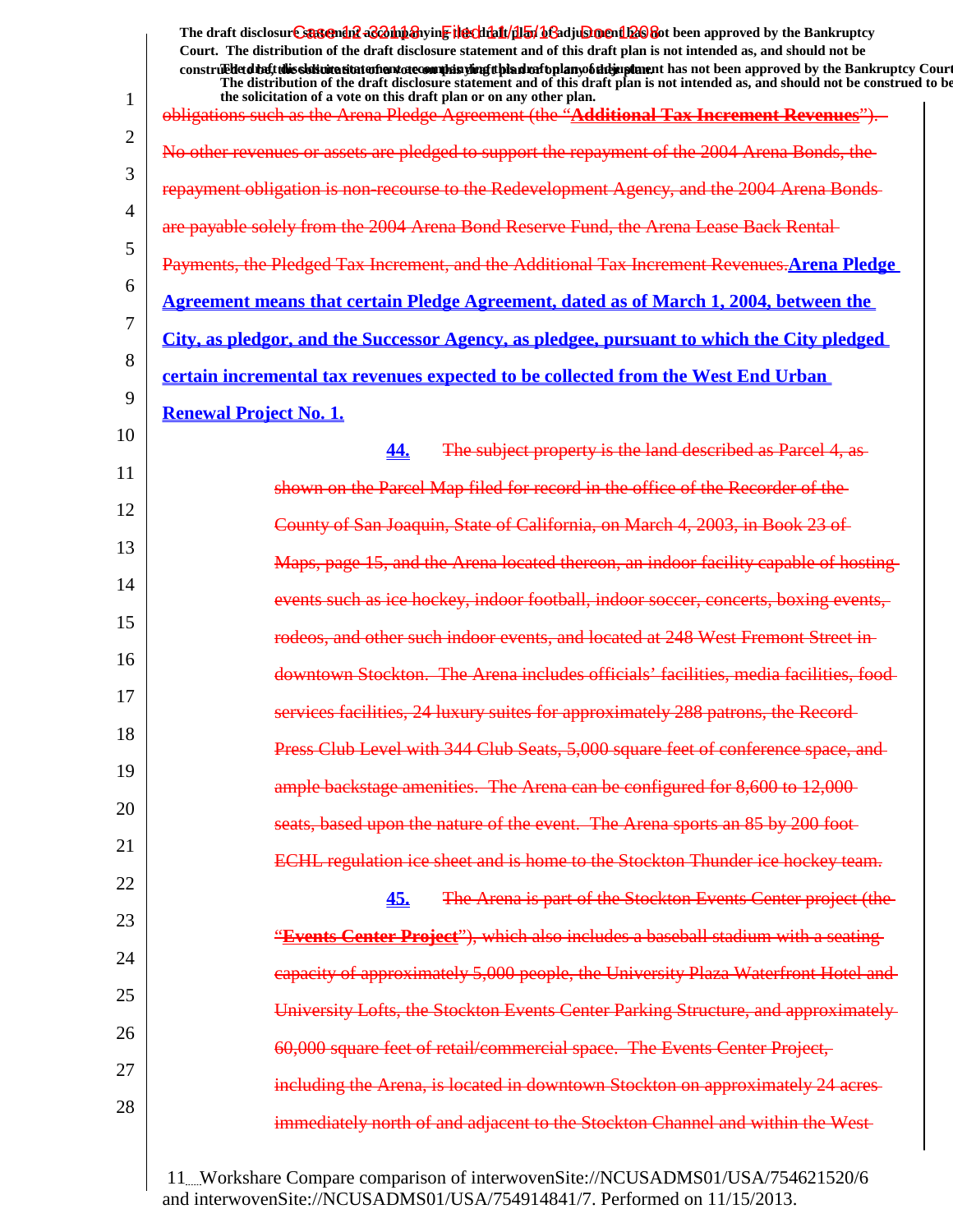1 2 3 4 5 6 7 8 9 10 11 12 13 14 15 16 17 18 19 20 21 22 23 24 25 26 27 28 The draft disclosur<del>t Suggendn2 aC201np3</del>hyin<mark>e the chip11/1151/163adjushorenth26</mark>860t been approved by the Bankruptcy **Court. The distribution of the draft disclosure statement and of this draft plan is not intended as, and should not be** construed to the state of this solicitation to the word of a variant disclosure and a voto any of the draft disclosure statement and a variant disclosure of a plan of a variant plan of the Bankruptcy Court. **The distribution of the draft disclosure statement and of this draft plan is not intended as, and should not be construed to be, the solicitation of a vote on this draft plan or on any other plan.** obligations such as the Arena Pledge Agreement (the "**Additional Tax Increment Revenues**"). No other revenues or assets are pledged to support the repayment of the 2004 Arena Bonds, repayment obligation is non-recourse to the Redevelopment Agency 2004 Arena Bond Reserve Fund, the Arena Lease Back Rental-Payments, the Pledged Tax Increment, and the Additional Tax Increment Revenues.**Arena Pledge Agreement means that certain Pledge Agreement, dated as of March 1, 2004, between the City, as pledgor, and the Successor Agency, as pledgee, pursuant to which the City pledged certain incremental tax revenues expected to be collected from the West End Urban Renewal Project No. 1. 44.** The subject property is the land described as Parcel 4, as shown on the Parcel Map filed for record in the office County of San Joaquin, State of California, on March 4, 2003 Arena located thereon, an indoor facility capabl events such as ice hockey, indoor football, indoor rodeos, and other such indoor events, and located at 248 West Fremont Street The Arena includes officials' facilities 24 luxury suites for approximately Press Club Level with 344 Club Seats, 5,000 square feet of conference space, and ample backstage amenities. The Arena can be configured for 8,600 to 12,000 upon the nature of the event. The Arena sports an ECHL regulation ice sheet and is home to the Stockton Thunder ice hockey team. **45.** The Arena is part of the Stockton Events Center projection. "**Events Center Project**"), which also includes a baseball stadium with a seating capacity of approximately 5,000 people, the University Plaza Waterfront Hotel tockton Events Center Parking 60,000 square feet of retail/commercial space. The located in downtown Stockton on approxima immediately north of and adjacent to the Stockton Channel and within the West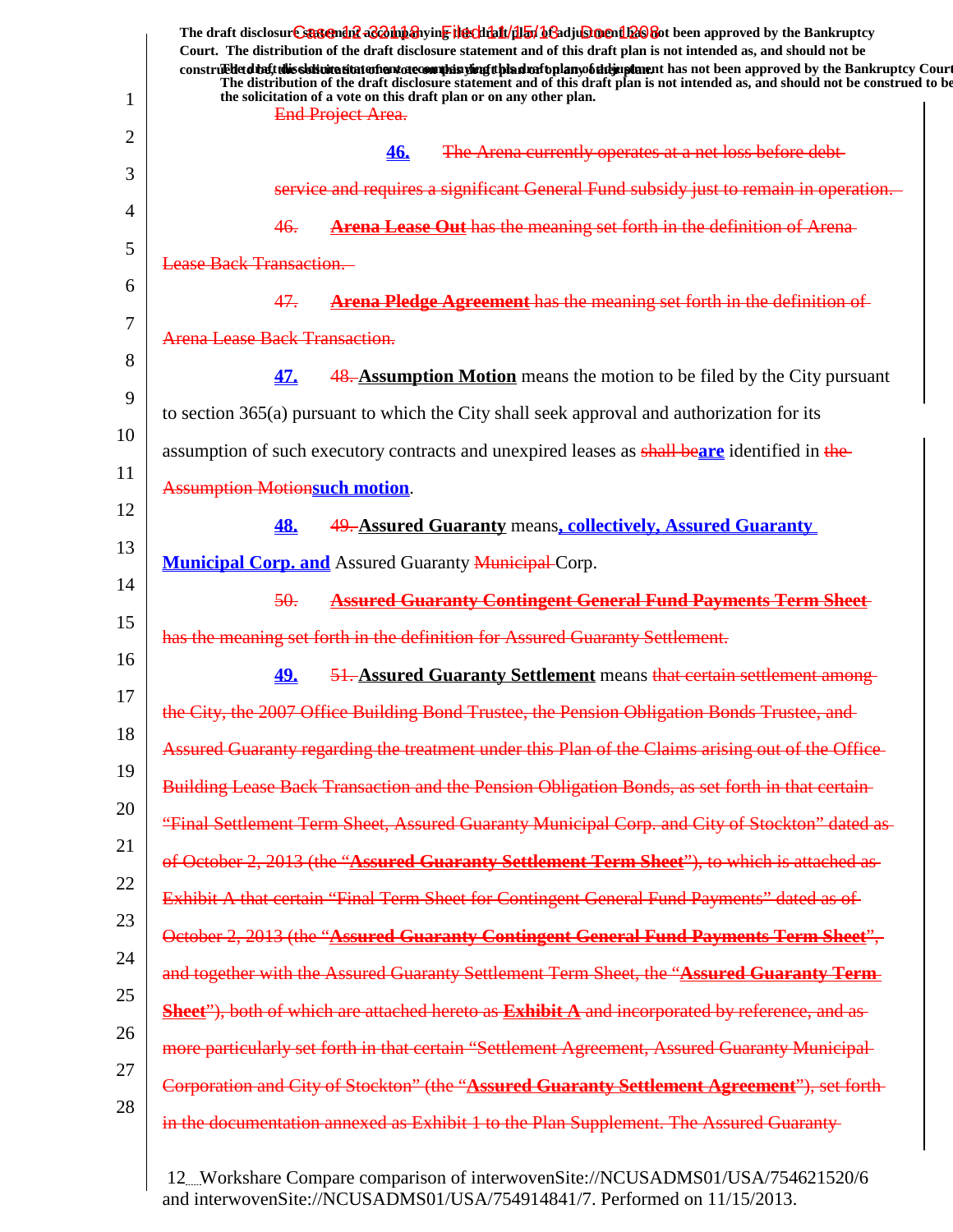1 2 3 4 5 6 7 8 9 10 11 12 13 14 15 16 17 18 19 20 21 22 23 24 25 26 27 28 The draft disclosur<del>t Suggendn2 aC201np3</del>hyin<mark>e the chip11/1151/163adjushorenth26</mark>860t been approved by the Bankruptcy **Court. The distribution of the draft disclosure statement and of this draft plan is not intended as, and should not be** construed to the solicit this solicitation to the number of the solution of the draft plan of the dramatic disclosure in the statement of the Bankruptcy Court. **The distribution of the draft disclosure statement and of this draft plan is not intended as, and should not be construed to be, the solicitation of a vote on this draft plan or on any other plan. End Project Area. 46.** The Arena currently operates at a net loss and requires a significant General Fund sub 46. **Arena Lease Out** has the meaning set forth in the definition of Arena Lease Back Transaction. 47. **Arena Pledge Agreement** has the meaning set forth in the definition of Arena Lease Back Transaction. **47.** 48. **Assumption Motion** means the motion to be filed by the City pursuant to section 365(a) pursuant to which the City shall seek approval and authorization for its assumption of such executory contracts and unexpired leases as shall be**are** identified in the Assumption Motion**such motion**. **48.** 49. **Assured Guaranty** means**, collectively, Assured Guaranty Municipal Corp. and** Assured Guaranty **Municipal Corp.** 50. **Assured Guaranty Contingent General Fund Payments Term Sheet** has the meaning set forth in the definition for Assured Guaranty Settlement. **49.** 51. **Assured Guaranty Settlement** means that certain settlement among the City, the 2007 Office Building Bond Trustee, the Pension Obligation Bonds Trustee, and Assured Guaranty regarding the treatment under this Plan of the Claims arising out of the Office Building Lease Back Transaction and the Pension Obligation Bonds, as set forth in that certain "Final Settlement Term Sheet, Assured Guaranty Municipal Corp. and City of October 2, 2013 (the "**Assured Guaranty Settlement Term Sheet**"), to which is attached as Exhibit A that certain "Final Term Sheet for Contingent General Fund Payments" October 2, 2013 (the "**Assured Guaranty Contingent General Fund Payments Term Sheet**", and together with the Assured Guaranty Settlement Term Sheet, the "**Assured Guaranty Term Sheet**"), both of which are attached hereto as **Exhibit A** and incorporated by reference, and as more particularly set forth in that certain "Settlement Agreement, Assured Guaranty Municipal Corporation and City of Stockton" (the "**Assured Guaranty Settlement Agreement**"), set forth in the documentation annexed as Exhibit 1 to the Plan Supplement. The Assured Guaranty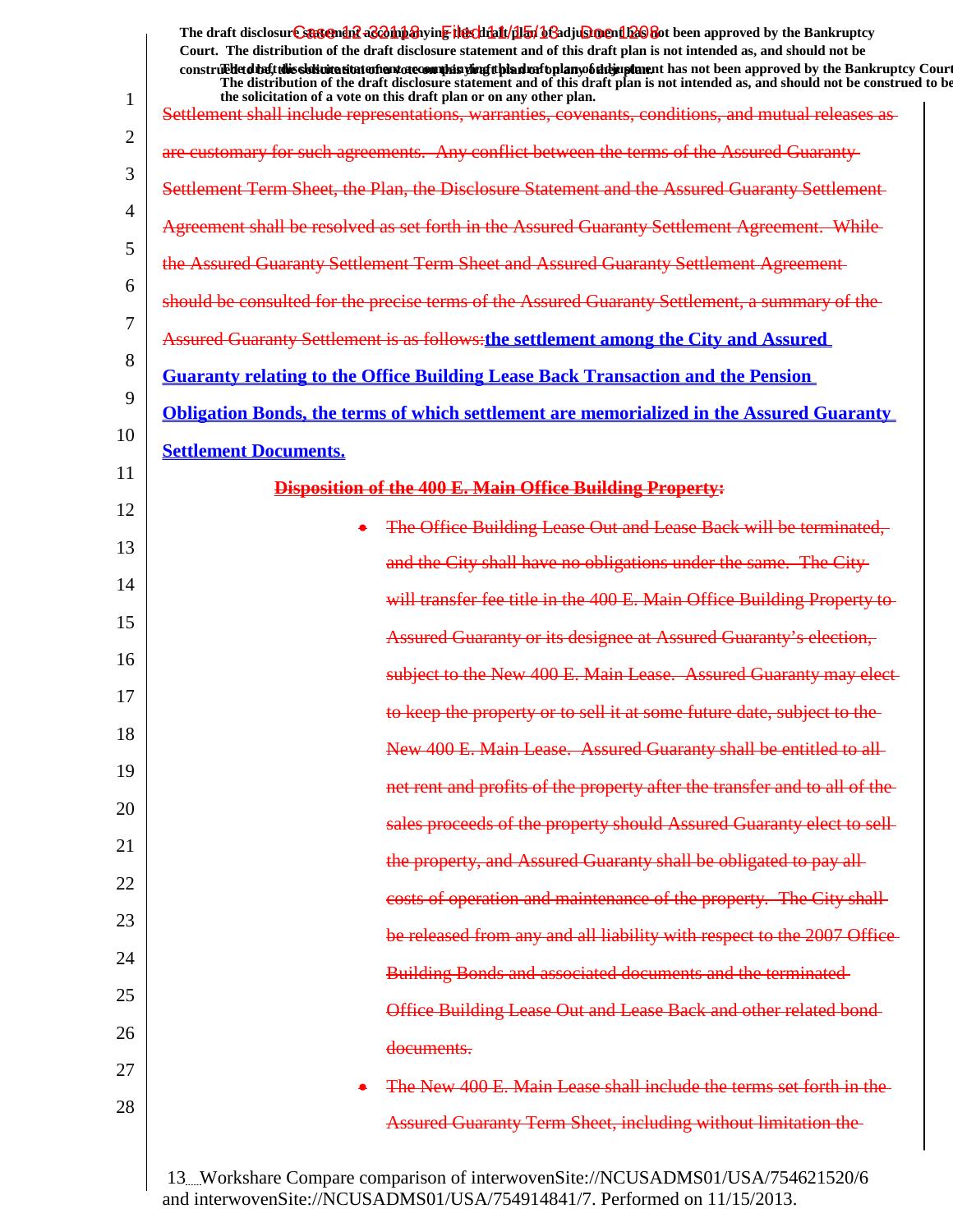|              | The draft disclosure suggended acompanying the climatical of adjustment been approved by the Bankruptcy<br>Court. The distribution of the draft disclosure statement and of this draft plan is not intended as, and should not be<br>construedetdiety this sistimation and one of manifer and the hand of the hand of the manifestion and been approved by the Bankruptcy Court |
|--------------|---------------------------------------------------------------------------------------------------------------------------------------------------------------------------------------------------------------------------------------------------------------------------------------------------------------------------------------------------------------------------------|
| $\mathbf{1}$ | The distribution of the draft disclosure statement and of this draft plan is not intended as, and should not be construed to be<br>the solicitation of a vote on this draft plan or on any other plan.<br>Settlement shall include representations, warranties, covenants, conditions, and mutual releases as                                                                   |
| 2            |                                                                                                                                                                                                                                                                                                                                                                                 |
| 3            | are customary for such agreements. Any conflict between the terms of the Assured Guaranty-                                                                                                                                                                                                                                                                                      |
| 4            | Settlement Term Sheet, the Plan, the Disclosure Statement and the Assured Guaranty Settlement                                                                                                                                                                                                                                                                                   |
| 5            | Agreement shall be resolved as set forth in the Assured Guaranty Settlement Agreement. While-                                                                                                                                                                                                                                                                                   |
|              | the Assured Guaranty Settlement Term Sheet and Assured Guaranty Settlement Agreement-                                                                                                                                                                                                                                                                                           |
| 6            | should be consulted for the precise terms of the Assured Guaranty Settlement, a summary of the                                                                                                                                                                                                                                                                                  |
| 7            | <b>Assured Guaranty Settlement is as follows: the settlement among the City and Assured</b>                                                                                                                                                                                                                                                                                     |
| 8            | <b>Guaranty relating to the Office Building Lease Back Transaction and the Pension</b>                                                                                                                                                                                                                                                                                          |
| 9            | <b>Obligation Bonds, the terms of which settlement are memorialized in the Assured Guaranty</b>                                                                                                                                                                                                                                                                                 |
| 10           | <b>Settlement Documents.</b>                                                                                                                                                                                                                                                                                                                                                    |
| 11           | <b>Disposition of the 400 E. Main Office Building Property:</b>                                                                                                                                                                                                                                                                                                                 |
| 12           | The Office Building Lease Out and Lease Back will be terminated,<br>$\bullet$                                                                                                                                                                                                                                                                                                   |
| 13           | and the City shall have no obligations under the same. The City-                                                                                                                                                                                                                                                                                                                |
| 14           | will transfer fee title in the 400 E. Main Office Building Property to-                                                                                                                                                                                                                                                                                                         |
| 15           | Assured Guaranty or its designee at Assured Guaranty's election,                                                                                                                                                                                                                                                                                                                |
| 16           | subject to the New 400 E. Main Lease. Assured Guaranty may elect-                                                                                                                                                                                                                                                                                                               |
| 17           | to keep the property or to sell it at some future date, subject to the                                                                                                                                                                                                                                                                                                          |
| 18           | New 400 E. Main Lease. Assured Guaranty shall be entitled to all-                                                                                                                                                                                                                                                                                                               |
| 19           |                                                                                                                                                                                                                                                                                                                                                                                 |
| 20           | net rent and profits of the property after the transfer and to all of the                                                                                                                                                                                                                                                                                                       |
| 21           | sales proceeds of the property should Assured Guaranty elect to sell-                                                                                                                                                                                                                                                                                                           |
| 22           | the property, and Assured Guaranty shall be obligated to pay all-                                                                                                                                                                                                                                                                                                               |
| 23           | costs of operation and maintenance of the property. The City shall-                                                                                                                                                                                                                                                                                                             |
| 24           | be released from any and all liability with respect to the 2007 Office-                                                                                                                                                                                                                                                                                                         |
|              | Building Bonds and associated documents and the terminated-                                                                                                                                                                                                                                                                                                                     |
| 25           | Office Building Lease Out and Lease Back and other related bond-                                                                                                                                                                                                                                                                                                                |
| 26           | documents.                                                                                                                                                                                                                                                                                                                                                                      |
| 27           | The New 400 E. Main Lease shall include the terms set forth in the                                                                                                                                                                                                                                                                                                              |
| 28           | <b>Assured Guaranty Term Sheet, including without limitation the-</b>                                                                                                                                                                                                                                                                                                           |
|              | 13. Workshare Compare comparison of interwovenSite://NCUSADMS01/USA/754621520/6                                                                                                                                                                                                                                                                                                 |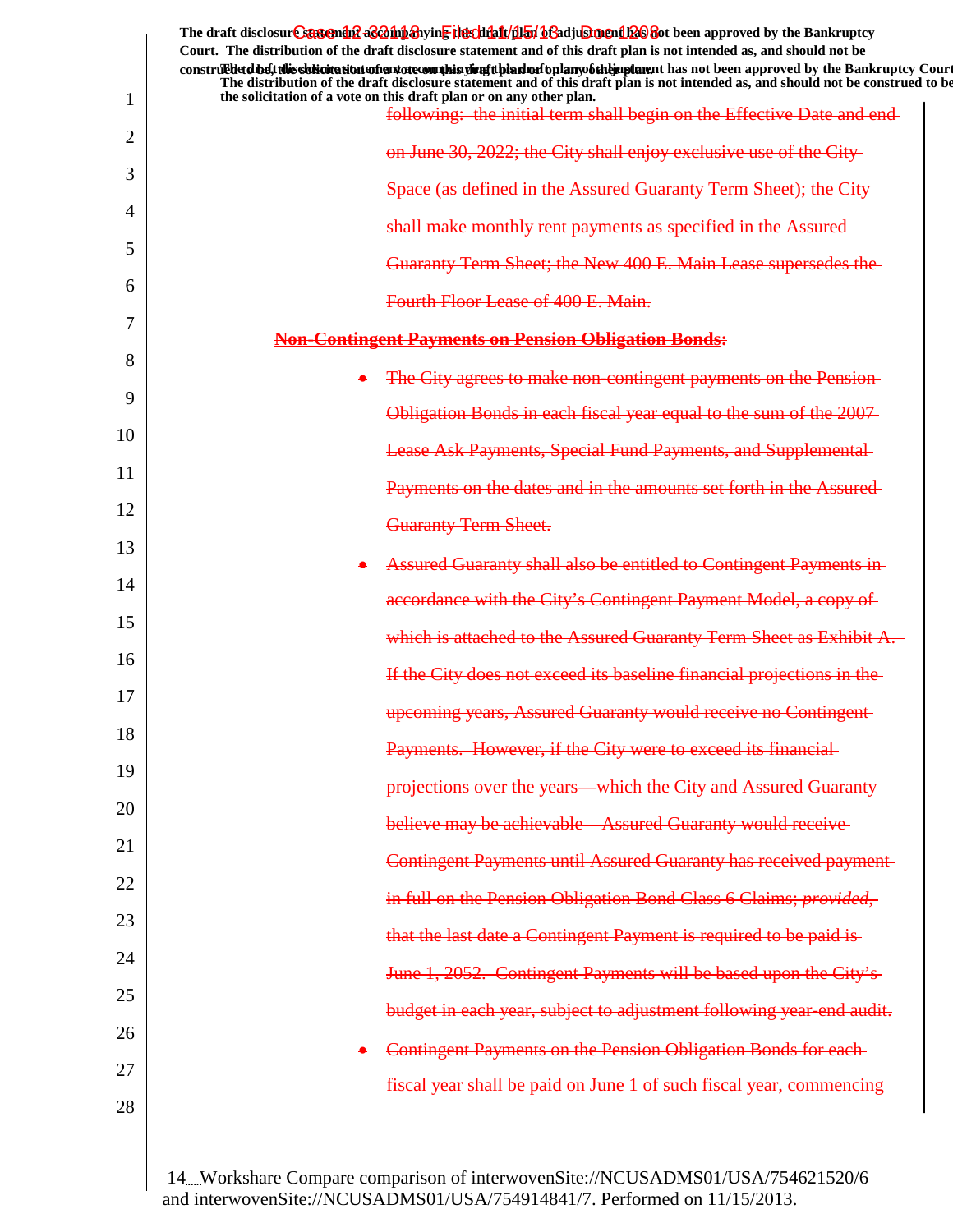|          | The draft disclosure suggended acompanying the climatical of adjustment been approved by the Bankruptcy<br>Court. The distribution of the draft disclosure statement and of this draft plan is not intended as, and should not be<br>construedetd the tubis sistemation entertainment of country in the state of the state of the state of the state of the Bankruptcy Court |
|----------|------------------------------------------------------------------------------------------------------------------------------------------------------------------------------------------------------------------------------------------------------------------------------------------------------------------------------------------------------------------------------|
| 1        | The distribution of the draft disclosure statement and of this draft plan is not intended as, and should not be construed to be<br>the solicitation of a vote on this draft plan or on any other plan.<br>following: the initial term shall begin on the Effective Date and end-                                                                                             |
| 2        | on June 30, 2022; the City shall enjoy exclusive use of the City-                                                                                                                                                                                                                                                                                                            |
| 3        | Space (as defined in the Assured Guaranty Term Sheet); the City-                                                                                                                                                                                                                                                                                                             |
| 4        | shall make monthly rent payments as specified in the Assured-                                                                                                                                                                                                                                                                                                                |
| 5        | Guaranty Term Sheet; the New 400 E. Main Lease supersedes the                                                                                                                                                                                                                                                                                                                |
| 6        | Fourth Floor Lease of 400 E. Main.                                                                                                                                                                                                                                                                                                                                           |
| 7        | <b>Non-Contingent Payments on Pension Obligation Bonds:</b>                                                                                                                                                                                                                                                                                                                  |
| 8        | The City agrees to make non-contingent payments on the Pension-                                                                                                                                                                                                                                                                                                              |
| 9        | Obligation Bonds in each fiscal year equal to the sum of the 2007                                                                                                                                                                                                                                                                                                            |
| 10       | <b>Lease Ask Payments, Special Fund Payments, and Supplemental-</b>                                                                                                                                                                                                                                                                                                          |
| 11       | Payments on the dates and in the amounts set forth in the Assured-                                                                                                                                                                                                                                                                                                           |
| 12       | <b>Guaranty Term Sheet.</b>                                                                                                                                                                                                                                                                                                                                                  |
| 13       | Assured Guaranty shall also be entitled to Contingent Payments in-                                                                                                                                                                                                                                                                                                           |
| 14       | accordance with the City's Contingent Payment Model, a copy of                                                                                                                                                                                                                                                                                                               |
| 15       | which is attached to the Assured Guaranty Term Sheet as Exhibit A.                                                                                                                                                                                                                                                                                                           |
| 16       | If the City does not exceed its baseline financial projections in the                                                                                                                                                                                                                                                                                                        |
| 17       | upcoming years, Assured Guaranty would receive no Contingent                                                                                                                                                                                                                                                                                                                 |
| 18       | Payments. However, if the City were to exceed its financial-                                                                                                                                                                                                                                                                                                                 |
| 19       | projections over the years—which the City and Assured Guaranty-                                                                                                                                                                                                                                                                                                              |
| 20       | believe may be achievable—Assured Guaranty would receive-                                                                                                                                                                                                                                                                                                                    |
| 21       | <b>Contingent Payments until Assured Guaranty has received payment-</b>                                                                                                                                                                                                                                                                                                      |
| 22       | in full on the Pension Obligation Bond Class 6 Claims; provided,                                                                                                                                                                                                                                                                                                             |
| 23       | that the last date a Contingent Payment is required to be paid is-                                                                                                                                                                                                                                                                                                           |
| 24       | June 1, 2052. Contingent Payments will be based upon the City's                                                                                                                                                                                                                                                                                                              |
| 25<br>26 | budget in each year, subject to adjustment following year-end audit.                                                                                                                                                                                                                                                                                                         |
| 27       | Contingent Payments on the Pension Obligation Bonds for each-                                                                                                                                                                                                                                                                                                                |
| 28       | fiscal year shall be paid on June 1 of such fiscal year, commencing                                                                                                                                                                                                                                                                                                          |
|          |                                                                                                                                                                                                                                                                                                                                                                              |
|          |                                                                                                                                                                                                                                                                                                                                                                              |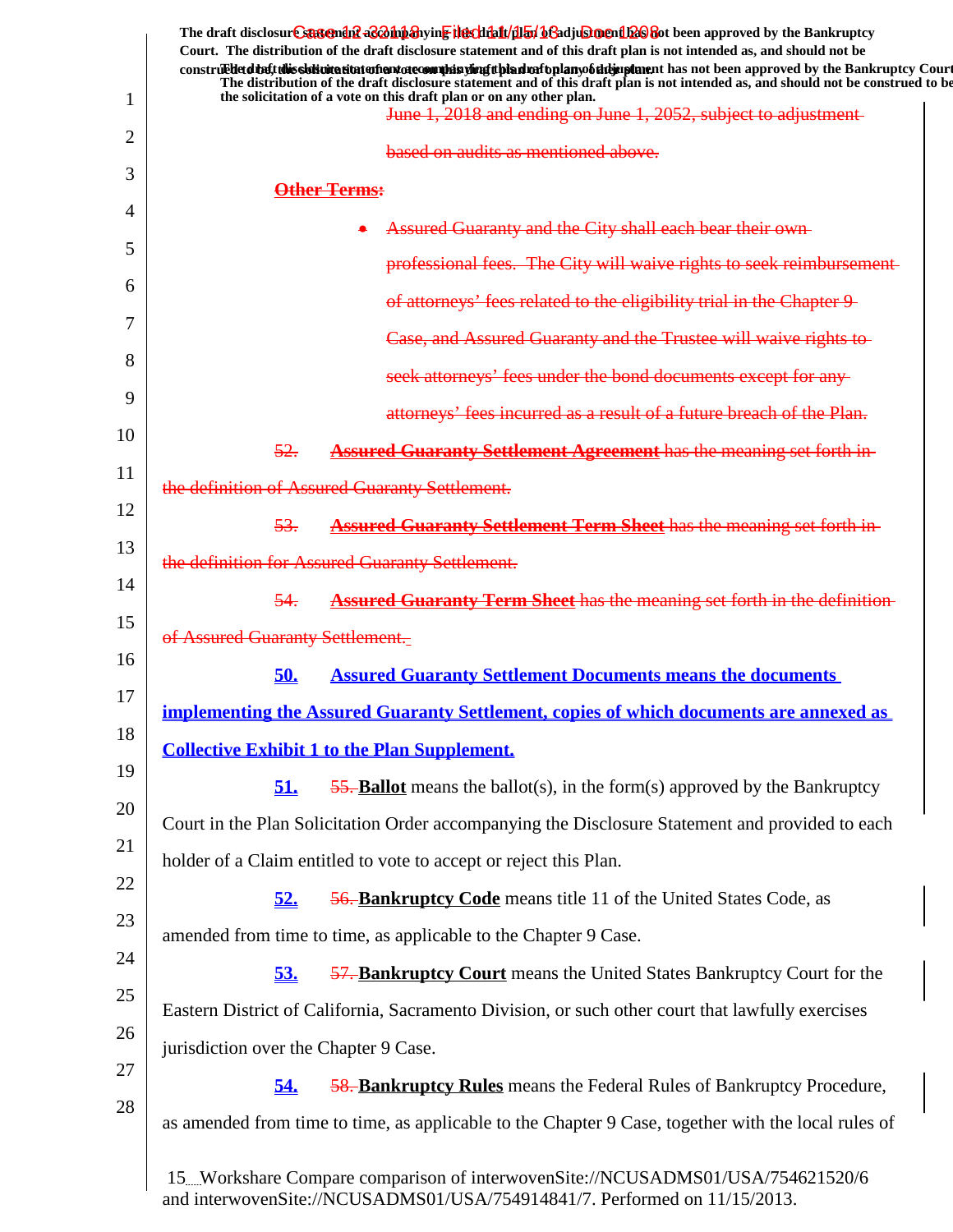|    | The draft disclosur <del>e suggendiff aConna and Herchialt/dial aCa</del> djuSmenth2Ofot been approved by the Bankruptcy<br>Court. The distribution of the draft disclosure statement and of this draft plan is not intended as, and should not be<br>construedetd that this sidion at that after that decomplete this direct plan to full any of the sing the manner has not been approved by the Bankruptcy Court<br>The distribution of the draft disclosure statement and of this draft plan is not intended as, and should not be construed to be |
|----|--------------------------------------------------------------------------------------------------------------------------------------------------------------------------------------------------------------------------------------------------------------------------------------------------------------------------------------------------------------------------------------------------------------------------------------------------------------------------------------------------------------------------------------------------------|
| 1  | the solicitation of a vote on this draft plan or on any other plan.<br>June 1, 2018 and ending on June 1, 2052, subject to adjustment-                                                                                                                                                                                                                                                                                                                                                                                                                 |
| 2  | based on audits as mentioned above.                                                                                                                                                                                                                                                                                                                                                                                                                                                                                                                    |
| 3  | <b>Other Terms:</b>                                                                                                                                                                                                                                                                                                                                                                                                                                                                                                                                    |
| 4  | Assured Guaranty and the City shall each bear their own-                                                                                                                                                                                                                                                                                                                                                                                                                                                                                               |
| 5  | professional fees. The City will waive rights to seek reimbursement-                                                                                                                                                                                                                                                                                                                                                                                                                                                                                   |
| 6  |                                                                                                                                                                                                                                                                                                                                                                                                                                                                                                                                                        |
| 7  | of attorneys' fees related to the eligibility trial in the Chapter 9-                                                                                                                                                                                                                                                                                                                                                                                                                                                                                  |
| 8  | Case, and Assured Guaranty and the Trustee will waive rights to-                                                                                                                                                                                                                                                                                                                                                                                                                                                                                       |
| 9  | seek attorneys' fees under the bond documents except for any-                                                                                                                                                                                                                                                                                                                                                                                                                                                                                          |
| 10 | attorneys' fees incurred as a result of a future breach of the Plan.                                                                                                                                                                                                                                                                                                                                                                                                                                                                                   |
| 11 | 52.<br><b>Assured Guaranty Settlement Agreement has the meaning set forth in-</b>                                                                                                                                                                                                                                                                                                                                                                                                                                                                      |
|    | the definition of Assured Guaranty Settlement.                                                                                                                                                                                                                                                                                                                                                                                                                                                                                                         |
| 12 | 53.<br><b>Assured Guaranty Settlement Term Sheet has the meaning set forth in-</b>                                                                                                                                                                                                                                                                                                                                                                                                                                                                     |
| 13 | the definition for Assured Guaranty Settlement.                                                                                                                                                                                                                                                                                                                                                                                                                                                                                                        |
| 14 | <b>Assured Guaranty Term Sheet</b> has the meaning set forth in the definition-<br>54.                                                                                                                                                                                                                                                                                                                                                                                                                                                                 |
| 15 | of Assured Guaranty Settlement.                                                                                                                                                                                                                                                                                                                                                                                                                                                                                                                        |
| 16 | <b>Assured Guaranty Settlement Documents means the documents</b><br>50.                                                                                                                                                                                                                                                                                                                                                                                                                                                                                |
| 17 | <u>implementing the Assured Guaranty Settlement, copies of which documents are annexed as</u>                                                                                                                                                                                                                                                                                                                                                                                                                                                          |
| 18 | <b>Collective Exhibit 1 to the Plan Supplement.</b>                                                                                                                                                                                                                                                                                                                                                                                                                                                                                                    |
| 19 | 51.<br>$\frac{55}{9}$ - <b>Ballot</b> means the ballot(s), in the form(s) approved by the Bankruptcy                                                                                                                                                                                                                                                                                                                                                                                                                                                   |
| 20 | Court in the Plan Solicitation Order accompanying the Disclosure Statement and provided to each                                                                                                                                                                                                                                                                                                                                                                                                                                                        |
| 21 | holder of a Claim entitled to vote to accept or reject this Plan.                                                                                                                                                                                                                                                                                                                                                                                                                                                                                      |
| 22 | 52.<br><b>56. Bankruptcy Code</b> means title 11 of the United States Code, as                                                                                                                                                                                                                                                                                                                                                                                                                                                                         |
| 23 | amended from time to time, as applicable to the Chapter 9 Case.                                                                                                                                                                                                                                                                                                                                                                                                                                                                                        |
| 24 |                                                                                                                                                                                                                                                                                                                                                                                                                                                                                                                                                        |
| 25 | 53.<br><b>57. Bankruptcy Court</b> means the United States Bankruptcy Court for the                                                                                                                                                                                                                                                                                                                                                                                                                                                                    |
| 26 | Eastern District of California, Sacramento Division, or such other court that lawfully exercises                                                                                                                                                                                                                                                                                                                                                                                                                                                       |
| 27 | jurisdiction over the Chapter 9 Case.                                                                                                                                                                                                                                                                                                                                                                                                                                                                                                                  |
| 28 | 54.<br><b>58. Bankruptcy Rules</b> means the Federal Rules of Bankruptcy Procedure,                                                                                                                                                                                                                                                                                                                                                                                                                                                                    |
|    | as amended from time to time, as applicable to the Chapter 9 Case, together with the local rules of                                                                                                                                                                                                                                                                                                                                                                                                                                                    |
|    | 15. Workshare Compare comparison of interwovenSite://NCUSADMS01/USA/754621520/6<br>and interwovenSite://NCUSADMS01/USA/754914841/7. Performed on 11/15/2013.                                                                                                                                                                                                                                                                                                                                                                                           |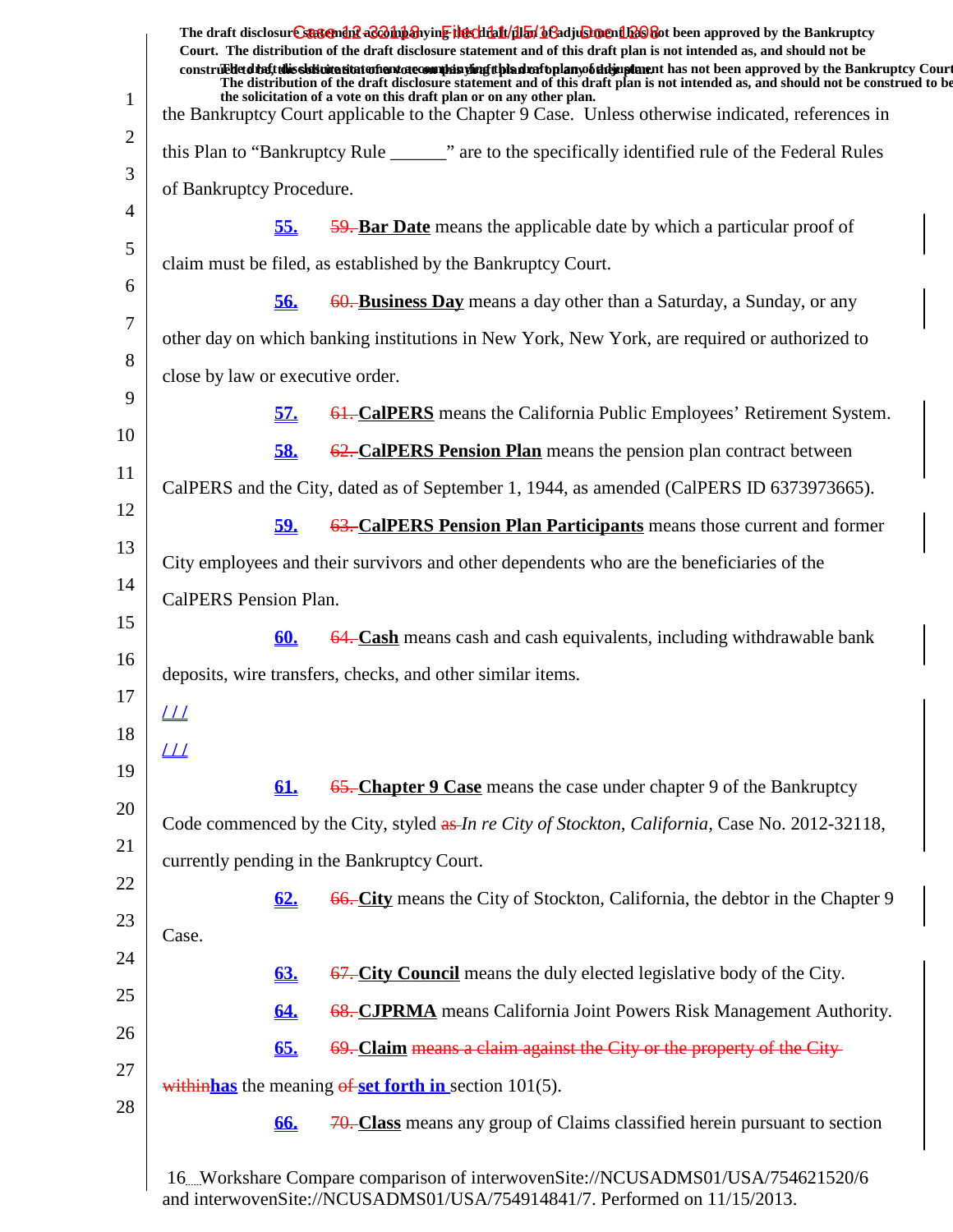|                | The draft disclosure suggended acompanying the climatical of adjustment been approved by the Bankruptcy<br>Court. The distribution of the draft disclosure statement and of this draft plan is not intended as, and should not be<br>construedded the tubis sistemation entertainment of country in the set of the simulation of the studies of the standard the Bankruptcy Court |
|----------------|-----------------------------------------------------------------------------------------------------------------------------------------------------------------------------------------------------------------------------------------------------------------------------------------------------------------------------------------------------------------------------------|
| $\mathbf{1}$   | The distribution of the draft disclosure statement and of this draft plan is not intended as, and should not be construed to be<br>the solicitation of a vote on this draft plan or on any other plan.<br>the Bankruptcy Court applicable to the Chapter 9 Case. Unless otherwise indicated, references in                                                                        |
| $\overline{2}$ | this Plan to "Bankruptcy Rule _______" are to the specifically identified rule of the Federal Rules                                                                                                                                                                                                                                                                               |
| 3              | of Bankruptcy Procedure.                                                                                                                                                                                                                                                                                                                                                          |
| 4              | 59. Bar Date means the applicable date by which a particular proof of<br><u>55.</u>                                                                                                                                                                                                                                                                                               |
| 5              | claim must be filed, as established by the Bankruptcy Court.                                                                                                                                                                                                                                                                                                                      |
| 6              | 60. Business Day means a day other than a Saturday, a Sunday, or any<br><u>56.</u>                                                                                                                                                                                                                                                                                                |
| 7              | other day on which banking institutions in New York, New York, are required or authorized to                                                                                                                                                                                                                                                                                      |
| 8              | close by law or executive order.                                                                                                                                                                                                                                                                                                                                                  |
| 9              | <u>57.</u><br><b>61. CalPERS</b> means the California Public Employees' Retirement System.                                                                                                                                                                                                                                                                                        |
| 10             |                                                                                                                                                                                                                                                                                                                                                                                   |
| 11             | 62. CalPERS Pension Plan means the pension plan contract between<br><u>58.</u>                                                                                                                                                                                                                                                                                                    |
| 12             | CalPERS and the City, dated as of September 1, 1944, as amended (CalPERS ID 6373973665).                                                                                                                                                                                                                                                                                          |
| 13             | 63. CalPERS Pension Plan Participants means those current and former<br><u>59.</u>                                                                                                                                                                                                                                                                                                |
| 14             | City employees and their survivors and other dependents who are the beneficiaries of the                                                                                                                                                                                                                                                                                          |
| 15             | CalPERS Pension Plan.                                                                                                                                                                                                                                                                                                                                                             |
| 16             | 64. Cash means cash and cash equivalents, including withdrawable bank<br><u>60.</u>                                                                                                                                                                                                                                                                                               |
| 17             | deposits, wire transfers, checks, and other similar items.                                                                                                                                                                                                                                                                                                                        |
| 18             | <u> 11</u>                                                                                                                                                                                                                                                                                                                                                                        |
|                | <u> 11</u>                                                                                                                                                                                                                                                                                                                                                                        |
| 19             | 61.<br>65. Chapter 9 Case means the case under chapter 9 of the Bankruptcy                                                                                                                                                                                                                                                                                                        |
| 20             | Code commenced by the City, styled as In re City of Stockton, California, Case No. 2012-32118,                                                                                                                                                                                                                                                                                    |
| 21             | currently pending in the Bankruptcy Court.                                                                                                                                                                                                                                                                                                                                        |
| 22             | 62.<br>66. City means the City of Stockton, California, the debtor in the Chapter 9                                                                                                                                                                                                                                                                                               |
| 23             | Case.                                                                                                                                                                                                                                                                                                                                                                             |
| 24             | 67. City Council means the duly elected legislative body of the City.<br><b>63.</b>                                                                                                                                                                                                                                                                                               |
| 25             | 68. CJPRMA means California Joint Powers Risk Management Authority.<br>64.                                                                                                                                                                                                                                                                                                        |
| 26             | 69. Claim means a claim against the City or the property of the City-<br>65.                                                                                                                                                                                                                                                                                                      |
| 27             | within has the meaning $\theta$ set forth in section 101(5).                                                                                                                                                                                                                                                                                                                      |
| 28             | 70. Class means any group of Claims classified herein pursuant to section<br>66.                                                                                                                                                                                                                                                                                                  |
|                | 16. Workshare Compare comparison of interwovenSite://NCUSADMS01/USA/754621520/6                                                                                                                                                                                                                                                                                                   |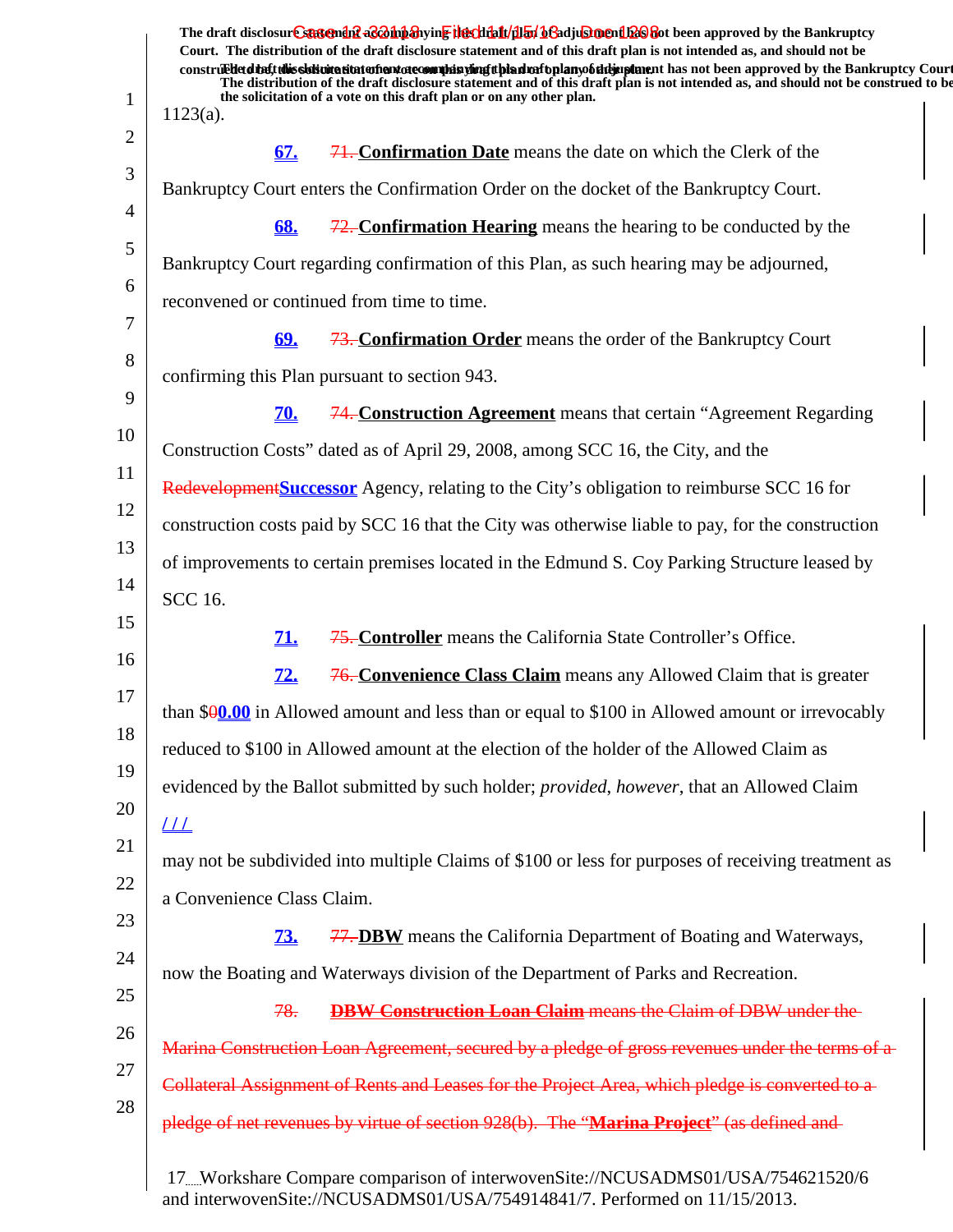| $1123(a)$ .                |            | The draft disclosure statement as a hipshying the chialt/dial beadjusing in the approved by the Bankruptcy<br>Court. The distribution of the draft disclosure statement and of this draft plan is not intended as, and should not be<br>construedetdiatt this sistimation and are complisying tipled rational mobility and has not been approved by the Bankruptcy Court<br>The distribution of the draft disclosure statement and of this draft plan is not intended as, and should not be construed to be<br>the solicitation of a vote on this draft plan or on any other plan. |
|----------------------------|------------|------------------------------------------------------------------------------------------------------------------------------------------------------------------------------------------------------------------------------------------------------------------------------------------------------------------------------------------------------------------------------------------------------------------------------------------------------------------------------------------------------------------------------------------------------------------------------------|
|                            |            |                                                                                                                                                                                                                                                                                                                                                                                                                                                                                                                                                                                    |
|                            | 67.        | <b>71. Confirmation Date</b> means the date on which the Clerk of the                                                                                                                                                                                                                                                                                                                                                                                                                                                                                                              |
|                            |            | Bankruptcy Court enters the Confirmation Order on the docket of the Bankruptcy Court.                                                                                                                                                                                                                                                                                                                                                                                                                                                                                              |
|                            | 68.        | $\frac{72}{72}$ . Confirmation Hearing means the hearing to be conducted by the                                                                                                                                                                                                                                                                                                                                                                                                                                                                                                    |
|                            |            | Bankruptcy Court regarding confirmation of this Plan, as such hearing may be adjourned,                                                                                                                                                                                                                                                                                                                                                                                                                                                                                            |
|                            |            | reconvened or continued from time to time.                                                                                                                                                                                                                                                                                                                                                                                                                                                                                                                                         |
|                            | <u>69.</u> | <b>73. Confirmation Order</b> means the order of the Bankruptcy Court                                                                                                                                                                                                                                                                                                                                                                                                                                                                                                              |
|                            |            | confirming this Plan pursuant to section 943.                                                                                                                                                                                                                                                                                                                                                                                                                                                                                                                                      |
|                            | <b>70.</b> | 74. Construction Agreement means that certain "Agreement Regarding                                                                                                                                                                                                                                                                                                                                                                                                                                                                                                                 |
|                            |            | Construction Costs" dated as of April 29, 2008, among SCC 16, the City, and the                                                                                                                                                                                                                                                                                                                                                                                                                                                                                                    |
|                            |            | <b>Redevelopment Successor</b> Agency, relating to the City's obligation to reimburse SCC 16 for                                                                                                                                                                                                                                                                                                                                                                                                                                                                                   |
|                            |            | construction costs paid by SCC 16 that the City was otherwise liable to pay, for the construction                                                                                                                                                                                                                                                                                                                                                                                                                                                                                  |
|                            |            | of improvements to certain premises located in the Edmund S. Coy Parking Structure leased by                                                                                                                                                                                                                                                                                                                                                                                                                                                                                       |
| <b>SCC 16.</b>             |            |                                                                                                                                                                                                                                                                                                                                                                                                                                                                                                                                                                                    |
|                            | <b>71.</b> | 75. Controller means the California State Controller's Office.                                                                                                                                                                                                                                                                                                                                                                                                                                                                                                                     |
|                            | <u>72.</u> | 76. Convenience Class Claim means any Allowed Claim that is greater                                                                                                                                                                                                                                                                                                                                                                                                                                                                                                                |
|                            |            | than $90.00$ in Allowed amount and less than or equal to \$100 in Allowed amount or irrevocably                                                                                                                                                                                                                                                                                                                                                                                                                                                                                    |
|                            |            | reduced to \$100 in Allowed amount at the election of the holder of the Allowed Claim as                                                                                                                                                                                                                                                                                                                                                                                                                                                                                           |
|                            |            | evidenced by the Ballot submitted by such holder; <i>provided</i> , <i>however</i> , that an Allowed Claim                                                                                                                                                                                                                                                                                                                                                                                                                                                                         |
| $\frac{1}{2}$              |            |                                                                                                                                                                                                                                                                                                                                                                                                                                                                                                                                                                                    |
|                            |            | may not be subdivided into multiple Claims of \$100 or less for purposes of receiving treatment as                                                                                                                                                                                                                                                                                                                                                                                                                                                                                 |
| a Convenience Class Claim. |            |                                                                                                                                                                                                                                                                                                                                                                                                                                                                                                                                                                                    |
|                            | <b>73.</b> | <b>77. DBW</b> means the California Department of Boating and Waterways,                                                                                                                                                                                                                                                                                                                                                                                                                                                                                                           |
|                            |            | now the Boating and Waterways division of the Department of Parks and Recreation.                                                                                                                                                                                                                                                                                                                                                                                                                                                                                                  |
|                            | 78.        | <b>DBW Construction Loan Claim</b> means the Claim of DBW under the                                                                                                                                                                                                                                                                                                                                                                                                                                                                                                                |
|                            |            |                                                                                                                                                                                                                                                                                                                                                                                                                                                                                                                                                                                    |
|                            |            | Marina Construction Loan Agreement, secured by a pledge of gross revenues under the terms of a                                                                                                                                                                                                                                                                                                                                                                                                                                                                                     |
|                            |            | Collateral Assignment of Rents and Leases for the Project Area, which pledge is converted to a                                                                                                                                                                                                                                                                                                                                                                                                                                                                                     |
|                            |            | pledge of net revenues by virtue of section 928(b). The "Marina Project" (as defined and                                                                                                                                                                                                                                                                                                                                                                                                                                                                                           |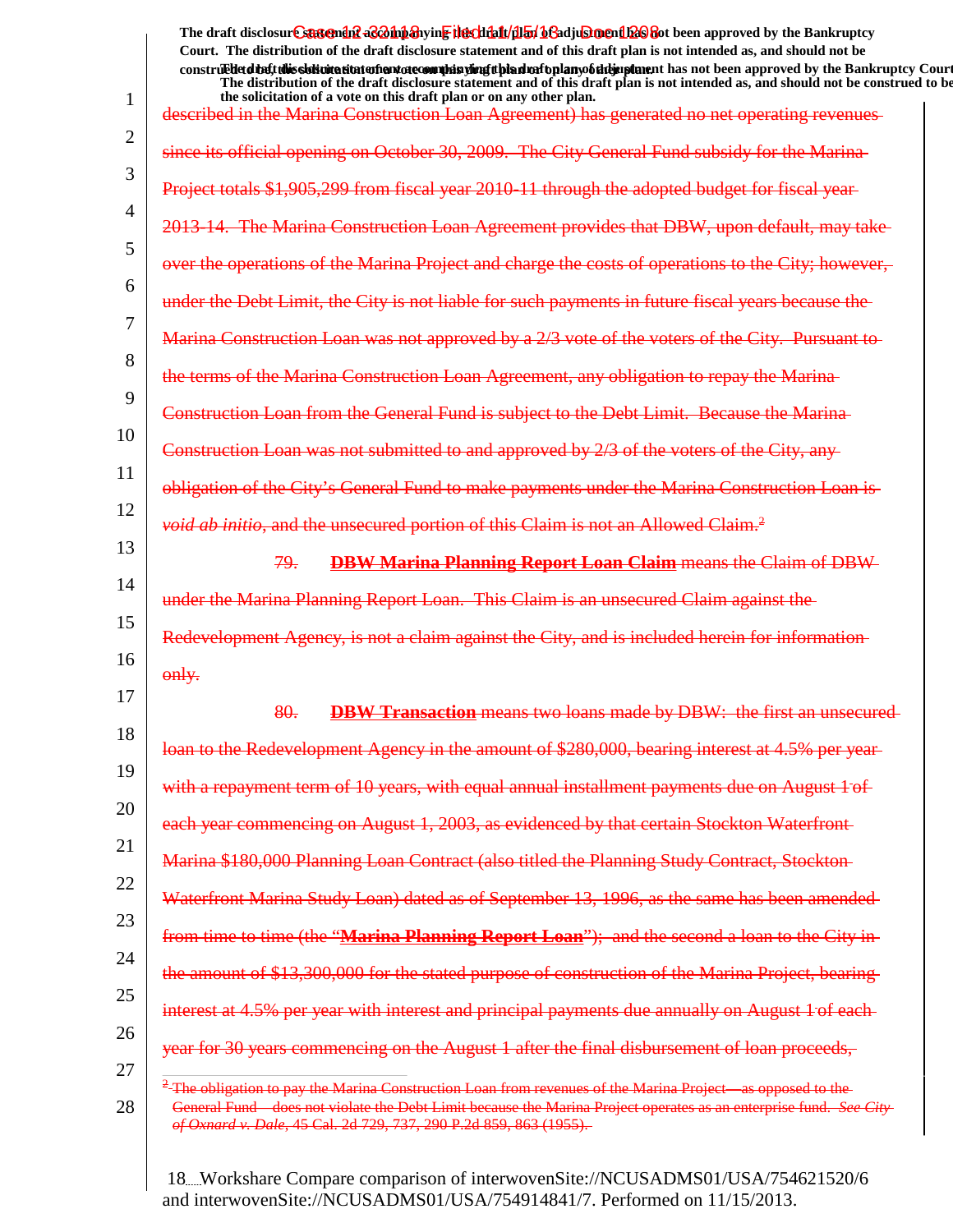1 2 3 4 5 6 7 8 9 10 11 12 13 14 15 16 17 18 19 20 21 22 23 24 25 26 27 28 The draft disclosur<del>t Suggendn2 aC201np3</del>hyin<mark>e the chip11/1151/163adjushorenth26</mark>860t been approved by the Bankruptcy **Court. The distribution of the draft disclosure statement and of this draft plan is not intended as, and should not be** construed to the state of this solicitation to the word of a variant disclosure and a voto any of the draft disclosure statement and a variant disclosure of a plan of a variant plan of the Bankruptcy Court. **The distribution of the draft disclosure statement and of this draft plan is not intended as, and should not be construed to be, the solicitation of a vote on this draft plan or on any other plan.** described in the Marina Construction Loan Agreement) has generated no net operating revenues since its official opening on October 30, 2009. The City General Fund subsidy Project totals \$1,905,299 from fiscal year 2010-11 through the The Marina Construction Loan Agreement provides that DB over the operations of the Marina Project and charge the costs of operations to the under the Debt Limit, the City is not liable for such payments in future fiscal years because the Marina Construction Loan was not approved by a 2/3 vote of the voters of the the terms of the Marina Construction Loan Agreement, any obligation to repay the Marina Construction Loan from the General Fund is subject to the Debt Limit. Construction Loan was not submitted to and approved by 2/3 of the voters of the City, any General Fund to make payments under the Marina Construction Loan is *void ab initio*, and the unsecured portion of this Claim is not an Allowed Claim.<sup>2</sup> 79. **DBW Marina Planning Report Loan Claim** means the Claim of DBW under the Marina Planning Report Loan. This Claim is an unsecured Redevelopment Agency, is not a claim against the City, and is included herein for information only. 80. **DBW Transaction** means two loans made by DBW: the first an unsecured loan to the Redevelopment Agency in the amount of \$280,000, bearing interest with a repayment term of 10 years, with equal annual installment payments due on each year commencing on August 1, 2003, as evidenced by that certain Stockton Carlo Marina \$180,000 Planning Loan Contract (also titled the Planning Study Contract, Waterfront Marina Study Loan) dated as of September 13, 1996, as the same has from time to time (the "**Marina Planning Report Loan**"); and the second a loan to the City in the amount of \$13,300,000 for the stated purpose of construction of the Marina Project interest at 4.5% per year with interest and principal payments due annually year for 30 years commencing on the August 1 after the final disbursement of loan proceeds, <sup>2</sup>-The obligation to pay the Marina Construction Loan from revenues of the Marina Project General Fund—does not violate the Debt Limit because the Marina Project operates *of Oxnard v. Dale*, 45 Cal. 2d 729, 737, 290 P.2d 859, 863 (1955).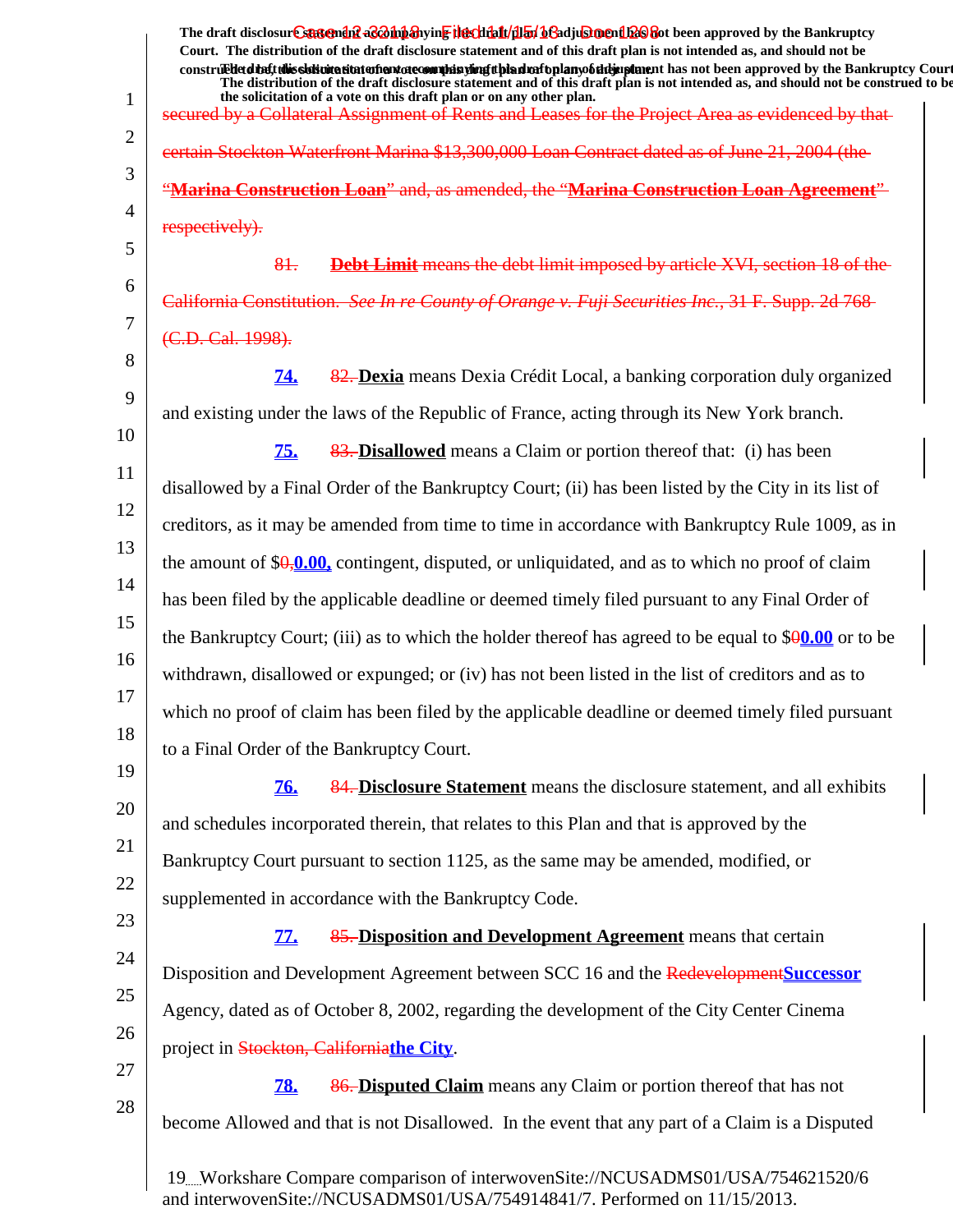|                | The draft disclosure suspendit a control and wing the climatical of a diughter of the Bankruptcy                                                                                                                                                 |
|----------------|--------------------------------------------------------------------------------------------------------------------------------------------------------------------------------------------------------------------------------------------------|
|                | Court. The distribution of the draft disclosure statement and of this draft plan is not intended as, and should not be<br>construed that this sidion attatom and of community of the during the during the bear approved by the Bankruptcy Court |
| 1              | The distribution of the draft disclosure statement and of this draft plan is not intended as, and should not be construed to be<br>the solicitation of a vote on this draft plan or on any other plan.                                           |
| $\overline{2}$ | secured by a Collateral Assignment of Rents and Leases for the Project Area as evidenced by that-                                                                                                                                                |
|                | eertain Stockton Waterfront Marina \$13,300,000 Loan Contract dated as of June 21, 2004 (the                                                                                                                                                     |
| 3              | "Marina Construction Loan" and, as amended, the "Marina Construction Loan Agreement"                                                                                                                                                             |
| 4              | respectively).                                                                                                                                                                                                                                   |
| 5              | 81.<br><b>Debt Limit</b> means the debt limit imposed by article XVI, section 18 of the                                                                                                                                                          |
| 6              | California Constitution. See In re County of Orange v. Fuji Securities Inc., 31 F. Supp. 2d 768                                                                                                                                                  |
| 7              | (C.D. Cal. 1998).                                                                                                                                                                                                                                |
| 8              | 82. Dexia means Dexia Crédit Local, a banking corporation duly organized<br><u>74.</u>                                                                                                                                                           |
| 9              | and existing under the laws of the Republic of France, acting through its New York branch.                                                                                                                                                       |
| 10             | 75.<br>83. Disallowed means a Claim or portion thereof that: (i) has been                                                                                                                                                                        |
| 11             | disallowed by a Final Order of the Bankruptcy Court; (ii) has been listed by the City in its list of                                                                                                                                             |
| 12             | creditors, as it may be amended from time to time in accordance with Bankruptcy Rule 1009, as in                                                                                                                                                 |
| 13             | the amount of $\sqrt[6]{9}$ , 0.00, contingent, disputed, or unliquidated, and as to which no proof of claim                                                                                                                                     |
| 14             | has been filed by the applicable deadline or deemed timely filed pursuant to any Final Order of                                                                                                                                                  |
| 15             | the Bankruptcy Court; (iii) as to which the holder thereof has agreed to be equal to $$90.00$ or to be                                                                                                                                           |
| 16             |                                                                                                                                                                                                                                                  |
| 17             | withdrawn, disallowed or expunged; or (iv) has not been listed in the list of creditors and as to                                                                                                                                                |
| 18             | which no proof of claim has been filed by the applicable deadline or deemed timely filed pursuant                                                                                                                                                |
| 19             | to a Final Order of the Bankruptcy Court.                                                                                                                                                                                                        |
| 20             | 76.<br>84. Disclosure Statement means the disclosure statement, and all exhibits                                                                                                                                                                 |
|                | and schedules incorporated therein, that relates to this Plan and that is approved by the                                                                                                                                                        |
| 21             | Bankruptcy Court pursuant to section 1125, as the same may be amended, modified, or                                                                                                                                                              |
| 22             | supplemented in accordance with the Bankruptcy Code.                                                                                                                                                                                             |
| 23             | 85. Disposition and Development Agreement means that certain<br><u>77.</u>                                                                                                                                                                       |
| 24             | Disposition and Development Agreement between SCC 16 and the Redevelopment Successor                                                                                                                                                             |
| 25             | Agency, dated as of October 8, 2002, regarding the development of the City Center Cinema                                                                                                                                                         |
| 26             | project in Stockton, Californiathe City.                                                                                                                                                                                                         |
| 27             | 86. Disputed Claim means any Claim or portion thereof that has not<br><b>78.</b>                                                                                                                                                                 |
| 28             | become Allowed and that is not Disallowed. In the event that any part of a Claim is a Disputed                                                                                                                                                   |
|                |                                                                                                                                                                                                                                                  |
|                | 19. Workshare Compare comparison of interwovenSite://NCUSADMS01/USA/754621520/6<br>and interwoven $\text{Site}$ ://NCUS ADMS01/US A/75/01/8/1/7 Performed on 11/15/2013                                                                          |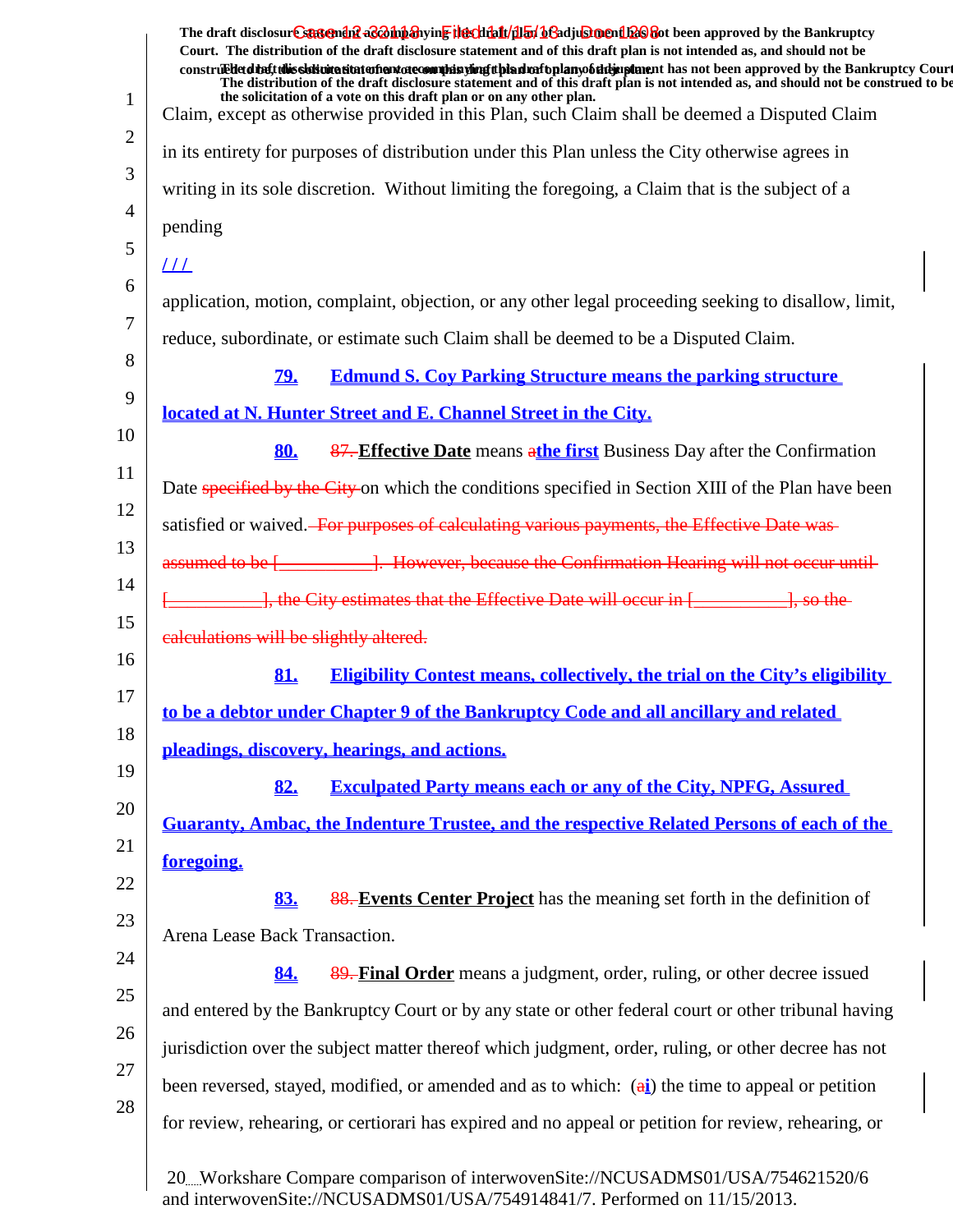| The draft disclosure sasement as a hypothesive the client of the final of a disclosure and the Bankruptcy<br>Court. The distribution of the draft disclosure statement and of this draft plan is not intended as, and should not be<br>construedetdiet this sistemation entertainment of committee of the simulation of the hand of the state of the bankruptcy Court<br>The distribution of the draft disclosure statement and of this draft plan is not intended as, and should not be construed to be |
|----------------------------------------------------------------------------------------------------------------------------------------------------------------------------------------------------------------------------------------------------------------------------------------------------------------------------------------------------------------------------------------------------------------------------------------------------------------------------------------------------------|
| the solicitation of a vote on this draft plan or on any other plan.<br>Claim, except as otherwise provided in this Plan, such Claim shall be deemed a Disputed Claim                                                                                                                                                                                                                                                                                                                                     |
| in its entirety for purposes of distribution under this Plan unless the City otherwise agrees in                                                                                                                                                                                                                                                                                                                                                                                                         |
| writing in its sole discretion. Without limiting the foregoing, a Claim that is the subject of a                                                                                                                                                                                                                                                                                                                                                                                                         |
| pending                                                                                                                                                                                                                                                                                                                                                                                                                                                                                                  |
| <u> 111</u>                                                                                                                                                                                                                                                                                                                                                                                                                                                                                              |
| application, motion, complaint, objection, or any other legal proceeding seeking to disallow, limit,                                                                                                                                                                                                                                                                                                                                                                                                     |
| reduce, subordinate, or estimate such Claim shall be deemed to be a Disputed Claim.                                                                                                                                                                                                                                                                                                                                                                                                                      |
| <b>Edmund S. Coy Parking Structure means the parking structure</b><br><u>79.</u>                                                                                                                                                                                                                                                                                                                                                                                                                         |
| located at N. Hunter Street and E. Channel Street in the City.                                                                                                                                                                                                                                                                                                                                                                                                                                           |
| 87. Effective Date means athe first Business Day after the Confirmation<br>80.                                                                                                                                                                                                                                                                                                                                                                                                                           |
| Date specified by the City-on which the conditions specified in Section XIII of the Plan have been                                                                                                                                                                                                                                                                                                                                                                                                       |
| satisfied or waived. For purposes of calculating various payments, the Effective Date was-                                                                                                                                                                                                                                                                                                                                                                                                               |
| assumed to be [____________]. However, because the Confirmation Hearing will not occur until-                                                                                                                                                                                                                                                                                                                                                                                                            |
| 1. the City estimates that the Effective Date will occur in [1986]. So the                                                                                                                                                                                                                                                                                                                                                                                                                               |
| calculations will be slightly altered.                                                                                                                                                                                                                                                                                                                                                                                                                                                                   |
| <b>Eligibility Contest means, collectively, the trial on the City's eligibility</b><br>81.                                                                                                                                                                                                                                                                                                                                                                                                               |
| to be a debtor under Chapter 9 of the Bankruptcy Code and all ancillary and related                                                                                                                                                                                                                                                                                                                                                                                                                      |
| pleadings, discovery, hearings, and actions.                                                                                                                                                                                                                                                                                                                                                                                                                                                             |
| <b>Exculpated Party means each or any of the City, NPFG, Assured</b><br>82.                                                                                                                                                                                                                                                                                                                                                                                                                              |
| <b>Guaranty, Ambac, the Indenture Trustee, and the respective Related Persons of each of the</b>                                                                                                                                                                                                                                                                                                                                                                                                         |
| foregoing.                                                                                                                                                                                                                                                                                                                                                                                                                                                                                               |
| 83.<br>88. Events Center Project has the meaning set forth in the definition of                                                                                                                                                                                                                                                                                                                                                                                                                          |
| Arena Lease Back Transaction.                                                                                                                                                                                                                                                                                                                                                                                                                                                                            |
| 89. Final Order means a judgment, order, ruling, or other decree issued<br>84.                                                                                                                                                                                                                                                                                                                                                                                                                           |
| and entered by the Bankruptcy Court or by any state or other federal court or other tribunal having                                                                                                                                                                                                                                                                                                                                                                                                      |
| jurisdiction over the subject matter thereof which judgment, order, ruling, or other decree has not                                                                                                                                                                                                                                                                                                                                                                                                      |
| been reversed, stayed, modified, or amended and as to which: $(\vec{a})$ the time to appeal or petition                                                                                                                                                                                                                                                                                                                                                                                                  |
| for review, rehearing, or certiorari has expired and no appeal or petition for review, rehearing, or                                                                                                                                                                                                                                                                                                                                                                                                     |
| 20Workshare Compare comparison of interwovenSite://NCUSADMS01/USA/754621520/6<br>and interwovenSite://NCUSADMS01/USA/754914841/7. Performed on 11/15/2013.                                                                                                                                                                                                                                                                                                                                               |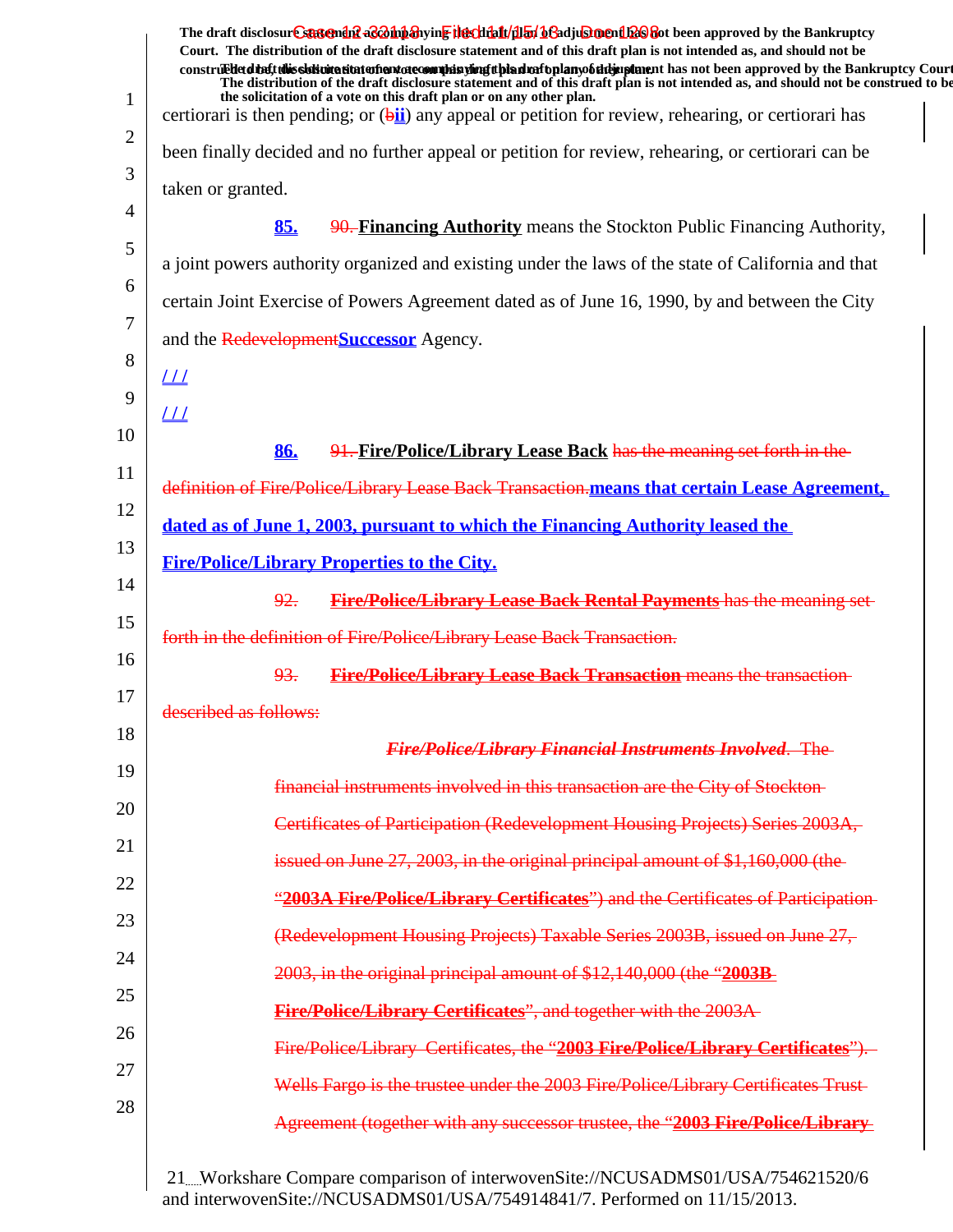|                | The draft disclosur Canteman & Bohn anying the clinical help bend to be approved by the Bankruptcy<br>Court. The distribution of the draft disclosure statement and of this draft plan is not intended as, and should not be                                                      |
|----------------|-----------------------------------------------------------------------------------------------------------------------------------------------------------------------------------------------------------------------------------------------------------------------------------|
|                | construedetd the ft this slot interest intent and one of the interest in the individual members of the individual that in the Bankruptcy Court<br>The distribution of the draft disclosure statement and of this draft plan is not intended as, and should not be construed to be |
| 1              | the solicitation of a vote on this draft plan or on any other plan.<br>certiorari is then pending; or $(\frac{bii}{})$ any appeal or petition for review, rehearing, or certiorari has                                                                                            |
| $\overline{2}$ | been finally decided and no further appeal or petition for review, rehearing, or certiorari can be                                                                                                                                                                                |
| 3              | taken or granted.                                                                                                                                                                                                                                                                 |
| 4              | 85.<br>90. Financing Authority means the Stockton Public Financing Authority,                                                                                                                                                                                                     |
| 5              | a joint powers authority organized and existing under the laws of the state of California and that                                                                                                                                                                                |
| 6              | certain Joint Exercise of Powers Agreement dated as of June 16, 1990, by and between the City                                                                                                                                                                                     |
| 7              | and the Redevelopment Successor Agency.                                                                                                                                                                                                                                           |
| 8              | $L\overline{L}$                                                                                                                                                                                                                                                                   |
| 9              | $_{LL}$                                                                                                                                                                                                                                                                           |
| 10             | 86.<br>91. Fire/Police/Library Lease Back has the meaning set forth in the                                                                                                                                                                                                        |
| 11             | definition of Fire/Police/Library Lease Back Transaction.means that certain Lease Agreement,                                                                                                                                                                                      |
| 12             | dated as of June 1, 2003, pursuant to which the Financing Authority leased the                                                                                                                                                                                                    |
| 13             | <b>Fire/Police/Library Properties to the City.</b>                                                                                                                                                                                                                                |
| 14             | <b>Fire/Police/Library Lease Back Rental Payments has the meaning set-</b><br>92.                                                                                                                                                                                                 |
| 15             | forth in the definition of Fire/Police/Library Lease Back Transaction.                                                                                                                                                                                                            |
| 16             | <b>Fire/Police/Library Lease Back Transaction means the transaction-</b><br>93.                                                                                                                                                                                                   |
| 17             | described as follows:                                                                                                                                                                                                                                                             |
| 18             | <b>Fire/Police/Library Financial Instruments Involved.</b> The                                                                                                                                                                                                                    |
| 19             | financial instruments involved in this transaction are the City of Stockton-                                                                                                                                                                                                      |
| 20             | Certificates of Participation (Redevelopment Housing Projects) Series 2003A,                                                                                                                                                                                                      |
| 21             | issued on June 27, 2003, in the original principal amount of \$1,160,000 (the                                                                                                                                                                                                     |
| 22             | "2003A Fire/Police/Library Certificates") and the Certificates of Participation-                                                                                                                                                                                                  |
| 23             | (Redevelopment Housing Projects) Taxable Series 2003B, issued on June 27,                                                                                                                                                                                                         |
| 24             | 2003, in the original principal amount of \$12,140,000 (the "2003B                                                                                                                                                                                                                |
| 25             | Fire/Police/Library Certificates", and together with the 2003A-                                                                                                                                                                                                                   |
| 26             | Fire/Police/Library Certificates, the "2003 Fire/Police/Library Certificates").                                                                                                                                                                                                   |
| 27             |                                                                                                                                                                                                                                                                                   |
| 28             | Wells Fargo is the trustee under the 2003 Fire/Police/Library Certificates Trust-                                                                                                                                                                                                 |
|                | Agreement (together with any successor trustee, the "2003 Fire/Police/Library                                                                                                                                                                                                     |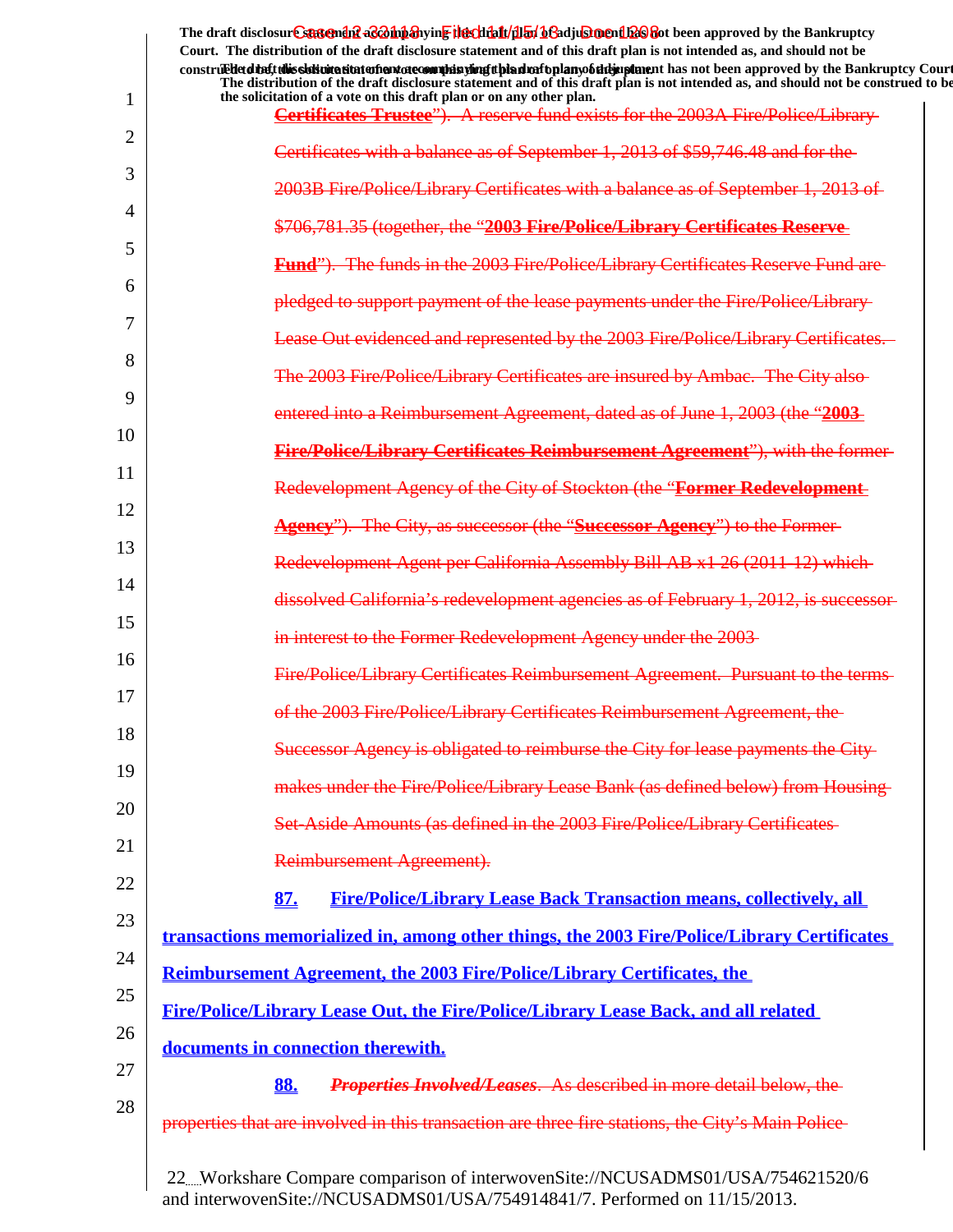|                | The draft disclosure sasement as a hypothesive the client of the final of a disclosure and the Bankruptcy<br>Court. The distribution of the draft disclosure statement and of this draft plan is not intended as, and should not be |
|----------------|-------------------------------------------------------------------------------------------------------------------------------------------------------------------------------------------------------------------------------------|
|                | construed detail this sistimation and one of manifesting the distribution of the mann of the approved by the Bankruptcy Court                                                                                                       |
| 1              | The distribution of the draft disclosure statement and of this draft plan is not intended as, and should not be construed to be<br>the solicitation of a vote on this draft plan or on any other plan.                              |
| $\overline{2}$ | <b>Certificates Trustee"</b> ). A reserve fund exists for the 2003A Fire/Police/Library                                                                                                                                             |
|                | Certificates with a balance as of September 1, 2013 of \$59,746.48 and for the                                                                                                                                                      |
| 3              | 2003B Fire/Police/Library Certificates with a balance as of September 1, 2013 of                                                                                                                                                    |
| 4              | \$706,781.35 (together, the "2003 Fire/Police/Library Certificates Reserve                                                                                                                                                          |
| 5              | Fund"). The funds in the 2003 Fire/Police/Library Certificates Reserve Fund are                                                                                                                                                     |
| 6              | pledged to support payment of the lease payments under the Fire/Police/Library-                                                                                                                                                     |
| 7              | Lease Out evidenced and represented by the 2003 Fire/Police/Library Certificates.                                                                                                                                                   |
| 8              | The 2003 Fire/Police/Library Certificates are insured by Ambac. The City also-                                                                                                                                                      |
| 9              | entered into a Reimbursement Agreement, dated as of June 1, 2003 (the "2003                                                                                                                                                         |
| 10             | <b>Fire/Police/Library Certificates Reimbursement Agreement"), with the former-</b>                                                                                                                                                 |
| 11             | Redevelopment Agency of the City of Stockton (the "Former Redevelopment                                                                                                                                                             |
| 12             | <b>Agency</b> "). The City, as successor (the "Successor Agency") to the Former-                                                                                                                                                    |
| 13             | Redevelopment Agent per California Assembly Bill AB x1 26 (2011-12) which                                                                                                                                                           |
| 14             | dissolved California's redevelopment agencies as of February 1, 2012, is successor-                                                                                                                                                 |
| 15             | in interest to the Former Redevelopment Agency under the 2003-                                                                                                                                                                      |
| 16             | Fire/Police/Library Certificates Reimbursement Agreement. Pursuant to the terms-                                                                                                                                                    |
| 17             | of the 2003 Fire/Police/Library Certificates Reimbursement Agreement, the                                                                                                                                                           |
| 18             | Successor Agency is obligated to reimburse the City for lease payments the City-                                                                                                                                                    |
| 19             | makes under the Fire/Police/Library Lease Bank (as defined below) from Housing-                                                                                                                                                     |
| 20             | Set-Aside Amounts (as defined in the 2003 Fire/Police/Library Certificates                                                                                                                                                          |
| 21             | Reimbursement Agreement).                                                                                                                                                                                                           |
| 22             | 87.<br><b>Fire/Police/Library Lease Back Transaction means, collectively, all</b>                                                                                                                                                   |
| 23             | transactions memorialized in, among other things, the 2003 Fire/Police/Library Certificates                                                                                                                                         |
| 24             | <u>Reimbursement Agreement, the 2003 Fire/Police/Library Certificates, the</u>                                                                                                                                                      |
| 25             | Fire/Police/Library Lease Out, the Fire/Police/Library Lease Back, and all related                                                                                                                                                  |
| 26             | documents in connection therewith.                                                                                                                                                                                                  |
| 27             | 88.<br><b>Properties Involved/Leases.</b> As described in more detail below, the                                                                                                                                                    |
| 28             | properties that are involved in this transaction are three fire stations, the City's Main Police-                                                                                                                                   |
|                | 22Workshare Compare comparison of interwovenSite://NCUSADMS01/USA/754621520/6                                                                                                                                                       |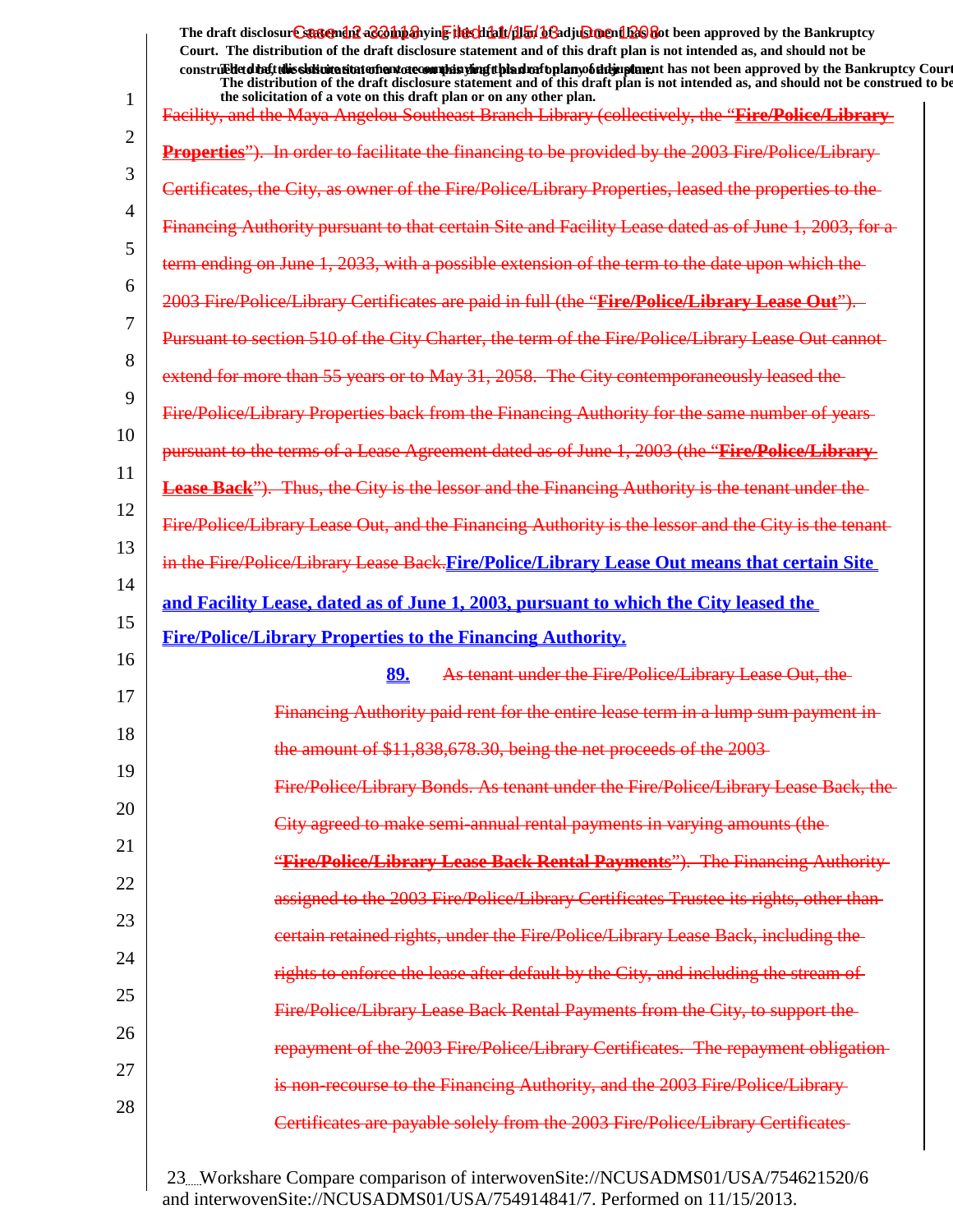1 2 3 4 5 6 7 8 9 10 11 12 13 14 15 16 17 18 19 20 21 22 23 24 25 26 27 28 The draft disclosur<del>t Suggendn2 aC201np3</del>hyin<mark>e the chip11/1151/163adjushorenth26</mark>860t been approved by the Bankruptcy **Court. The distribution of the draft disclosure statement and of this draft plan is not intended as, and should not be** construed to the state of this solicitation to the word of a variant disclosure and a voto any of the draft disclosure statement and a variant disclosure of a plan of a variant plan of the Bankruptcy Court. **The distribution of the draft disclosure statement and of this draft plan is not intended as, and should not be construed to be, the solicitation of a vote on this draft plan or on any other plan.** Facility, and the Maya Angelou Southeast Branch Library (collectively, the "**Fire/Police/Library Properties**"). In order to facilitate the financing to be provided by the 2003 Fire/Police/Library as owner of the Fire/Police/Library Properties Financing Authority pursuant to that certain Site and Facility Lease dated term ending on June 1, 2033, with a possible extension of the term to the date upon 2003 Fire/Police/Library Certificates are paid in full (the "**Fire/Police/Library Lease Out**"). Pursuant to section 510 of the City Charter, the term of the Fire/Police/Library Lease Out cannot extend for more than 55 years or to May 31, 2058. The City contemporaneously Fire/Police/Library Properties back from the Financing Authority for the same number pursuant to the terms of a Lease Agreement dated as of June 1, 2003 (the "**Fire/Police/Library** Lease Back"). Thus, the City is the lessor and the Financing Authority is the tenant under Fire/Police/Library Lease Out, and the Financing Authority is the lessor and the City is the tenant in the Fire/Police/Library Lease Back.**Fire/Police/Library Lease Out means that certain Site and Facility Lease, dated as of June 1, 2003, pursuant to which the City leased the Fire/Police/Library Properties to the Financing Authority. 89.** As tenant under the Fire/Police/Library Lease Out Financing Authority paid rent for the entire lease term in a lump sum payment in the amount of \$11,838,678.30, being the net proceeds of Fire/Police/Library Bonds. As tenant under the Fire/Police/Library Lease Back, the City agreed to make semi-annual rental payments in varying amount "**Fire/Police/Library Lease Back Rental Payments**"). The Financing Authority 2003 Fire/Police/Library Certificates certain retained rights, under the Fire/Police/Library Lease Back, lease after default by the City, and including Rental Payments from the Rental Payments ire/Police/Library Certificates to the Financing Authority, and the 2003 Fire/I Certificates are payable solely from the 2003 Fire/Police/Library Certificates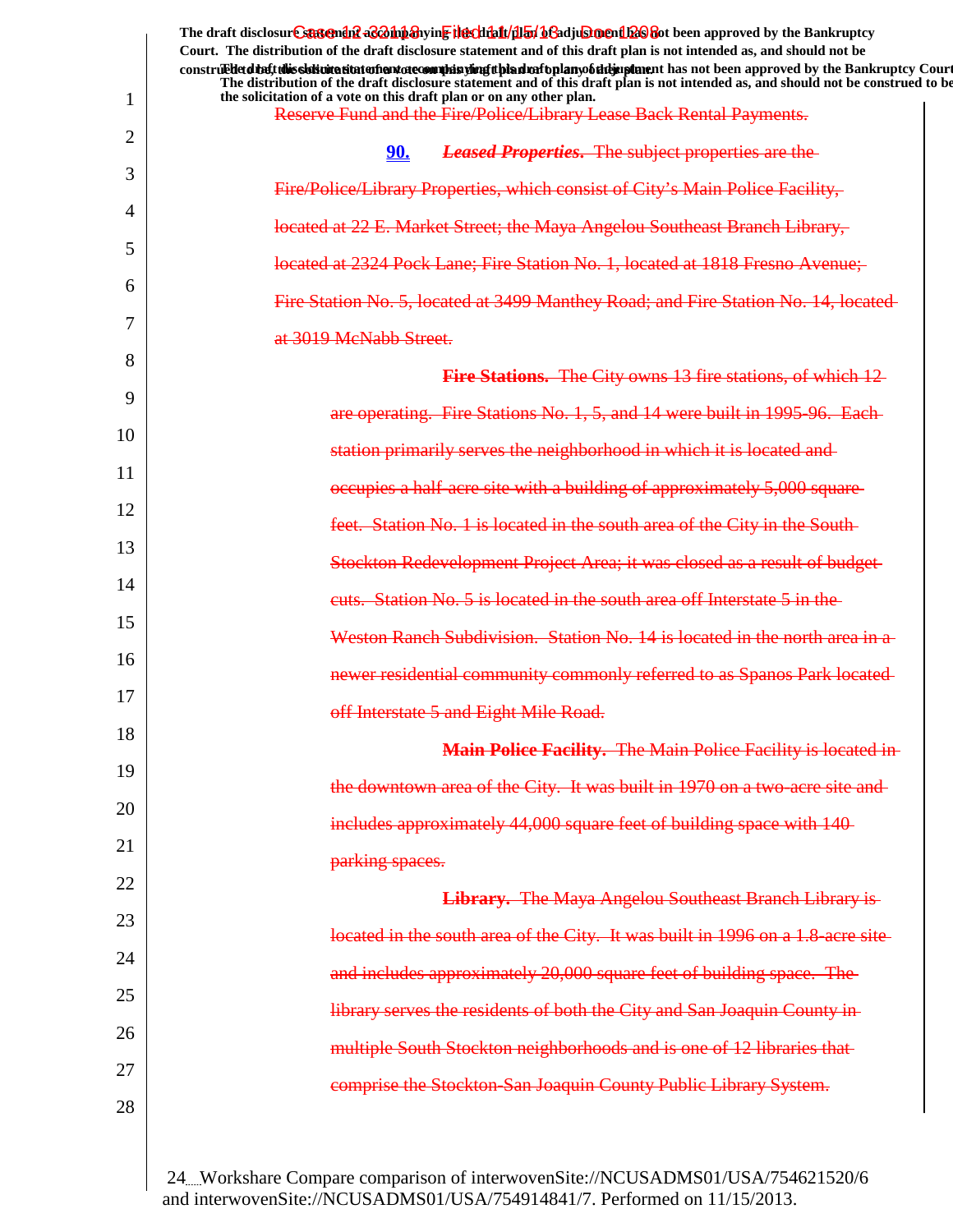|    | The draft disclosur Cantendal a control and the chieft and the chieft of a chieft of the Bankruptcy<br>Court. The distribution of the draft disclosure statement and of this draft plan is not intended as, and should not be<br>construed detail this slok wite situation and accommode is virigit bian match plany of the implement has not been approved by the Bankruptcy Court<br>The distribution of the draft disclosure statement and of this draft plan is not intended as, and should not be construed to be |
|----|------------------------------------------------------------------------------------------------------------------------------------------------------------------------------------------------------------------------------------------------------------------------------------------------------------------------------------------------------------------------------------------------------------------------------------------------------------------------------------------------------------------------|
| 1  | the solicitation of a vote on this draft plan or on any other plan.<br>Reserve Fund and the Fire/Police/Library Lease Back Rental Payments.                                                                                                                                                                                                                                                                                                                                                                            |
| 2  | <b>Leased Properties.</b> The subject properties are the<br>90.                                                                                                                                                                                                                                                                                                                                                                                                                                                        |
| 3  | Fire/Police/Library Properties, which consist of City's Main Police Facility,                                                                                                                                                                                                                                                                                                                                                                                                                                          |
| 4  | located at 22 E. Market Street; the Maya Angelou Southeast Branch Library,                                                                                                                                                                                                                                                                                                                                                                                                                                             |
| 5  | located at 2324 Pock Lane; Fire Station No. 1, located at 1818 Fresno Avenue;                                                                                                                                                                                                                                                                                                                                                                                                                                          |
| 6  | Fire Station No. 5, located at 3499 Manthey Road; and Fire Station No. 14, located                                                                                                                                                                                                                                                                                                                                                                                                                                     |
| 7  | at 3019 McNabb Street.                                                                                                                                                                                                                                                                                                                                                                                                                                                                                                 |
| 8  | <b>Fire Stations.</b> The City owns 13 fire stations, of which 12                                                                                                                                                                                                                                                                                                                                                                                                                                                      |
| 9  | are operating. Fire Stations No. 1, 5, and 14 were built in 1995-96. Each-                                                                                                                                                                                                                                                                                                                                                                                                                                             |
| 10 | station primarily serves the neighborhood in which it is located and                                                                                                                                                                                                                                                                                                                                                                                                                                                   |
| 11 | occupies a half-acre site with a building of approximately 5,000 square-                                                                                                                                                                                                                                                                                                                                                                                                                                               |
| 12 | feet. Station No. 1 is located in the south area of the City in the South-                                                                                                                                                                                                                                                                                                                                                                                                                                             |
| 13 | Stockton Redevelopment Project Area; it was closed as a result of budget-                                                                                                                                                                                                                                                                                                                                                                                                                                              |
| 14 | euts. Station No. 5 is located in the south area off Interstate 5 in the                                                                                                                                                                                                                                                                                                                                                                                                                                               |
| 15 | Weston Ranch Subdivision. Station No. 14 is located in the north area in a                                                                                                                                                                                                                                                                                                                                                                                                                                             |
| 16 | newer residential community commonly referred to as Spanos Park located                                                                                                                                                                                                                                                                                                                                                                                                                                                |
| 17 | off Interstate 5 and Eight Mile Road.                                                                                                                                                                                                                                                                                                                                                                                                                                                                                  |
| 18 | Main Police Facility. The Main Police Facility is located in-                                                                                                                                                                                                                                                                                                                                                                                                                                                          |
| 19 | the downtown area of the City. It was built in 1970 on a two-acre site and-                                                                                                                                                                                                                                                                                                                                                                                                                                            |
| 20 | includes approximately 44,000 square feet of building space with 140                                                                                                                                                                                                                                                                                                                                                                                                                                                   |
| 21 | parking spaces.                                                                                                                                                                                                                                                                                                                                                                                                                                                                                                        |
| 22 | Library. The Maya Angelou Southeast Branch Library is-                                                                                                                                                                                                                                                                                                                                                                                                                                                                 |
| 23 | located in the south area of the City. It was built in 1996 on a 1.8-acre site                                                                                                                                                                                                                                                                                                                                                                                                                                         |
| 24 | and includes approximately 20,000 square feet of building space. The                                                                                                                                                                                                                                                                                                                                                                                                                                                   |
| 25 | library serves the residents of both the City and San Joaquin County in-                                                                                                                                                                                                                                                                                                                                                                                                                                               |
| 26 | multiple South Stockton neighborhoods and is one of 12 libraries that-                                                                                                                                                                                                                                                                                                                                                                                                                                                 |
| 27 | comprise the Stockton-San Joaquin County Public Library System.                                                                                                                                                                                                                                                                                                                                                                                                                                                        |
| 28 |                                                                                                                                                                                                                                                                                                                                                                                                                                                                                                                        |
|    |                                                                                                                                                                                                                                                                                                                                                                                                                                                                                                                        |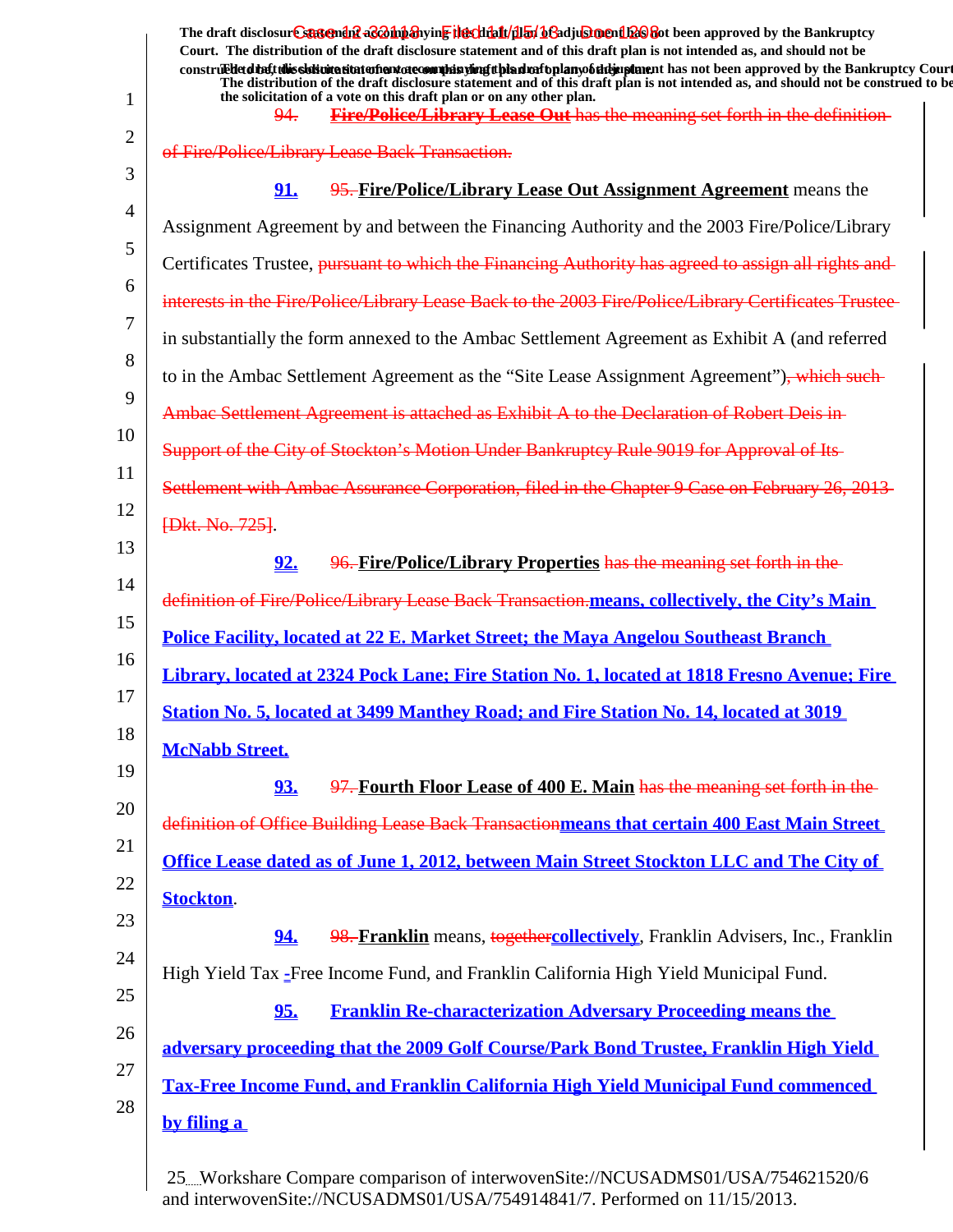|              | The draft disclosure suggended acompanying the climatical of adjustment been approved by the Bankruptcy<br>Court. The distribution of the draft disclosure statement and of this draft plan is not intended as, and should not be                              |
|--------------|----------------------------------------------------------------------------------------------------------------------------------------------------------------------------------------------------------------------------------------------------------------|
|              | construedetdiety this sistimation and one of manifer and the high significant has not been approved by the Bankruptcy Court<br>The distribution of the draft disclosure statement and of this draft plan is not intended as, and should not be construed to be |
| $\mathbf{1}$ | the solicitation of a vote on this draft plan or on any other plan.<br><b>Fire/Police/Library Lease Out has the meaning set forth in the definition-</b><br>94.                                                                                                |
| 2            | of Fire/Police/Library Lease Back Transaction.                                                                                                                                                                                                                 |
|              | 91.<br>95. Fire/Police/Library Lease Out Assignment Agreement means the                                                                                                                                                                                        |
|              |                                                                                                                                                                                                                                                                |
|              | Assignment Agreement by and between the Financing Authority and the 2003 Fire/Police/Library                                                                                                                                                                   |
|              | Certificates Trustee, pursuant to which the Financing Authority has agreed to assign all rights and                                                                                                                                                            |
|              | interests in the Fire/Police/Library Lease Back to the 2003 Fire/Police/Library Certificates Trustee                                                                                                                                                           |
|              | in substantially the form annexed to the Ambac Settlement Agreement as Exhibit A (and referred                                                                                                                                                                 |
|              | to in the Ambac Settlement Agreement as the "Site Lease Assignment Agreement"), which such                                                                                                                                                                     |
|              | Ambac Settlement Agreement is attached as Exhibit A to the Declaration of Robert Deis in-                                                                                                                                                                      |
|              | Support of the City of Stockton's Motion Under Bankruptcy Rule 9019 for Approval of Its-                                                                                                                                                                       |
|              | Settlement with Ambac Assurance Corporation, filed in the Chapter 9 Case on February 26, 2013-                                                                                                                                                                 |
|              | <b>{Dkt. No. 725}</b> .                                                                                                                                                                                                                                        |
|              | 96. Fire/Police/Library Properties has the meaning set forth in the<br>92.                                                                                                                                                                                     |
|              | definition of Fire/Police/Library Lease Back Transaction.means, collectively, the City's Main                                                                                                                                                                  |
|              | <b>Police Facility, located at 22 E. Market Street; the Maya Angelou Southeast Branch</b>                                                                                                                                                                      |
|              | Library, located at 2324 Pock Lane; Fire Station No. 1, located at 1818 Fresno Avenue; Fire                                                                                                                                                                    |
|              | Station No. 5, located at 3499 Manthey Road; and Fire Station No. 14, located at 3019                                                                                                                                                                          |
|              | <b>McNabb Street.</b>                                                                                                                                                                                                                                          |
|              | 97. Fourth Floor Lease of 400 E. Main has the meaning set forth in the<br>93.                                                                                                                                                                                  |
|              |                                                                                                                                                                                                                                                                |
|              | definition of Office Building Lease Back Transactionmeans that certain 400 East Main Street                                                                                                                                                                    |
|              | Office Lease dated as of June 1, 2012, between Main Street Stockton LLC and The City of                                                                                                                                                                        |
|              | <b>Stockton.</b>                                                                                                                                                                                                                                               |
|              | 94.<br>98. Franklin means, togethercollectively, Franklin Advisers, Inc., Franklin                                                                                                                                                                             |
|              | High Yield Tax - Free Income Fund, and Franklin California High Yield Municipal Fund.                                                                                                                                                                          |
|              | 95.<br><b>Franklin Re-characterization Adversary Proceeding means the</b>                                                                                                                                                                                      |
|              | adversary proceeding that the 2009 Golf Course/Park Bond Trustee, Franklin High Yield                                                                                                                                                                          |
|              | Tax-Free Income Fund, and Franklin California High Yield Municipal Fund commenced                                                                                                                                                                              |
|              | by filing a                                                                                                                                                                                                                                                    |
|              |                                                                                                                                                                                                                                                                |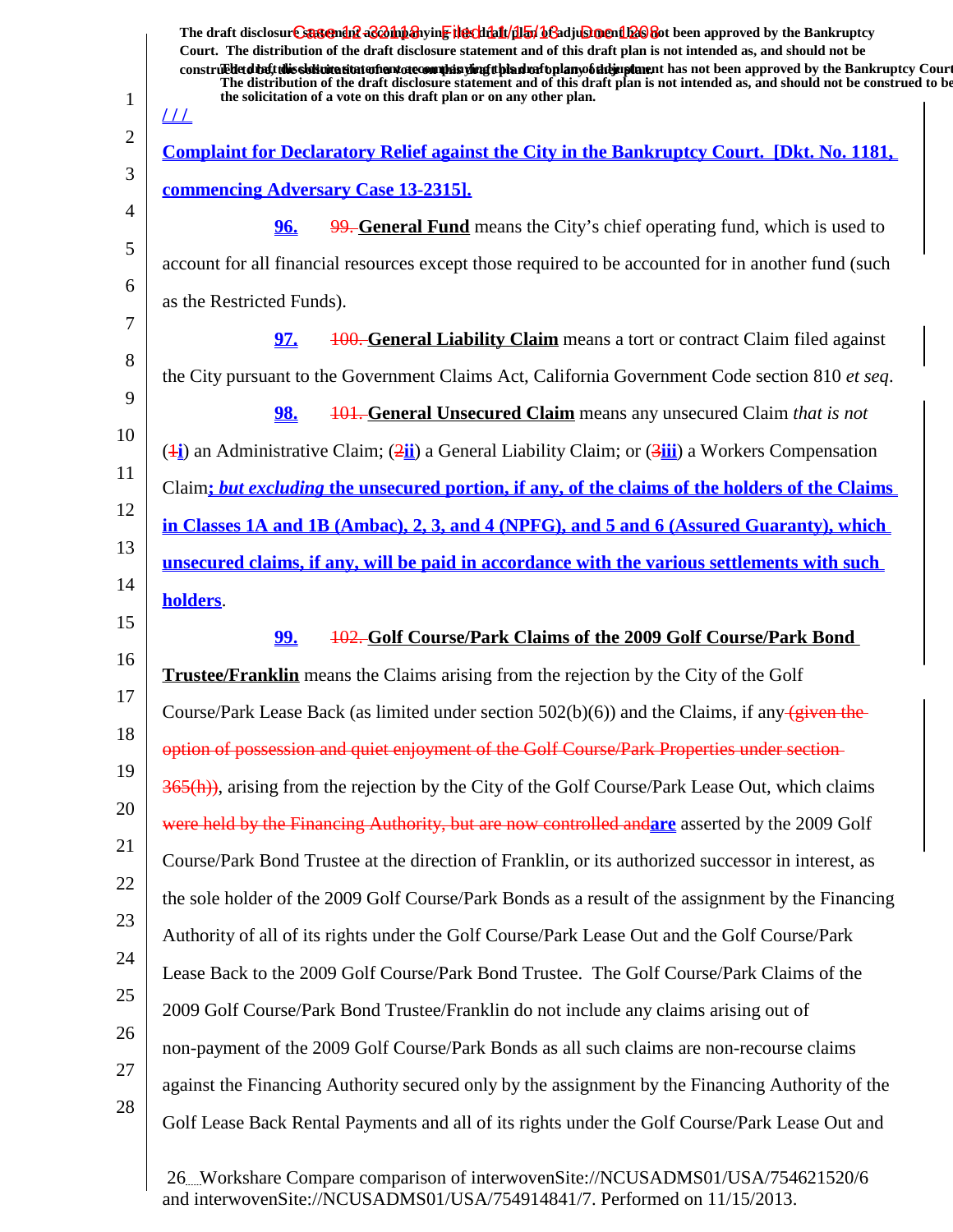| The draft disclosur <del>e statendef</del> aconiparying the that dialy bending one had been approved by the Bankruptcy<br>Court. The distribution of the draft disclosure statement and of this draft plan is not intended as, and should not be<br>construedetdine tubis sistemation in the sound is the plan in the hold of the hold in plane in has not been approved by the Bankruptcy Court<br>The distribution of the draft disclosure statement and of this draft plan is not intended as, and should not be construed to be<br>the solicitation of a vote on this draft plan or on any other plan.<br><u> 11  </u> |
|----------------------------------------------------------------------------------------------------------------------------------------------------------------------------------------------------------------------------------------------------------------------------------------------------------------------------------------------------------------------------------------------------------------------------------------------------------------------------------------------------------------------------------------------------------------------------------------------------------------------------|
| <u>Complaint for Declaratory Relief against the City in the Bankruptcy Court. [Dkt. No. 1181,</u>                                                                                                                                                                                                                                                                                                                                                                                                                                                                                                                          |
| commencing Adversary Case 13-2315].                                                                                                                                                                                                                                                                                                                                                                                                                                                                                                                                                                                        |
| 96.<br>99. General Fund means the City's chief operating fund, which is used to                                                                                                                                                                                                                                                                                                                                                                                                                                                                                                                                            |
| account for all financial resources except those required to be accounted for in another fund (such                                                                                                                                                                                                                                                                                                                                                                                                                                                                                                                        |
| as the Restricted Funds).                                                                                                                                                                                                                                                                                                                                                                                                                                                                                                                                                                                                  |
| <u>97.</u><br><b>100. General Liability Claim</b> means a tort or contract Claim filed against                                                                                                                                                                                                                                                                                                                                                                                                                                                                                                                             |
| the City pursuant to the Government Claims Act, California Government Code section 810 et seq.                                                                                                                                                                                                                                                                                                                                                                                                                                                                                                                             |
| <b>98.</b><br><b>101. General Unsecured Claim</b> means any unsecured Claim that is not                                                                                                                                                                                                                                                                                                                                                                                                                                                                                                                                    |
| $(\frac{1}{2})$ an Administrative Claim; $(2\frac{1}{2})$ a General Liability Claim; or $(3\frac{1}{2})$ a Workers Compensation                                                                                                                                                                                                                                                                                                                                                                                                                                                                                            |
| Claim; but excluding the unsecured portion, if any, of the claims of the holders of the Claims                                                                                                                                                                                                                                                                                                                                                                                                                                                                                                                             |
| in Classes 1A and 1B (Ambac), 2, 3, and 4 (NPFG), and 5 and 6 (Assured Guaranty), which                                                                                                                                                                                                                                                                                                                                                                                                                                                                                                                                    |
| unsecured claims, if any, will be paid in accordance with the various settlements with such                                                                                                                                                                                                                                                                                                                                                                                                                                                                                                                                |
| holders.                                                                                                                                                                                                                                                                                                                                                                                                                                                                                                                                                                                                                   |
| 102. Golf Course/Park Claims of the 2009 Golf Course/Park Bond<br><u>99.</u>                                                                                                                                                                                                                                                                                                                                                                                                                                                                                                                                               |
| <b>Trustee/Franklin</b> means the Claims arising from the rejection by the City of the Golf                                                                                                                                                                                                                                                                                                                                                                                                                                                                                                                                |
| Course/Park Lease Back (as limited under section $502(b)(6)$ ) and the Claims, if any $\sqrt{given the}$                                                                                                                                                                                                                                                                                                                                                                                                                                                                                                                   |
| option of possession and quiet enjoyment of the Golf Course/Park Properties under section-                                                                                                                                                                                                                                                                                                                                                                                                                                                                                                                                 |
| 365(h)), arising from the rejection by the City of the Golf Course/Park Lease Out, which claims                                                                                                                                                                                                                                                                                                                                                                                                                                                                                                                            |
| were held by the Financing Authority, but are now controlled and are asserted by the 2009 Golf                                                                                                                                                                                                                                                                                                                                                                                                                                                                                                                             |
| Course/Park Bond Trustee at the direction of Franklin, or its authorized successor in interest, as                                                                                                                                                                                                                                                                                                                                                                                                                                                                                                                         |
| the sole holder of the 2009 Golf Course/Park Bonds as a result of the assignment by the Financing                                                                                                                                                                                                                                                                                                                                                                                                                                                                                                                          |
| Authority of all of its rights under the Golf Course/Park Lease Out and the Golf Course/Park                                                                                                                                                                                                                                                                                                                                                                                                                                                                                                                               |
| Lease Back to the 2009 Golf Course/Park Bond Trustee. The Golf Course/Park Claims of the                                                                                                                                                                                                                                                                                                                                                                                                                                                                                                                                   |
| 2009 Golf Course/Park Bond Trustee/Franklin do not include any claims arising out of                                                                                                                                                                                                                                                                                                                                                                                                                                                                                                                                       |
| non-payment of the 2009 Golf Course/Park Bonds as all such claims are non-recourse claims                                                                                                                                                                                                                                                                                                                                                                                                                                                                                                                                  |
| against the Financing Authority secured only by the assignment by the Financing Authority of the                                                                                                                                                                                                                                                                                                                                                                                                                                                                                                                           |
| Golf Lease Back Rental Payments and all of its rights under the Golf Course/Park Lease Out and                                                                                                                                                                                                                                                                                                                                                                                                                                                                                                                             |
|                                                                                                                                                                                                                                                                                                                                                                                                                                                                                                                                                                                                                            |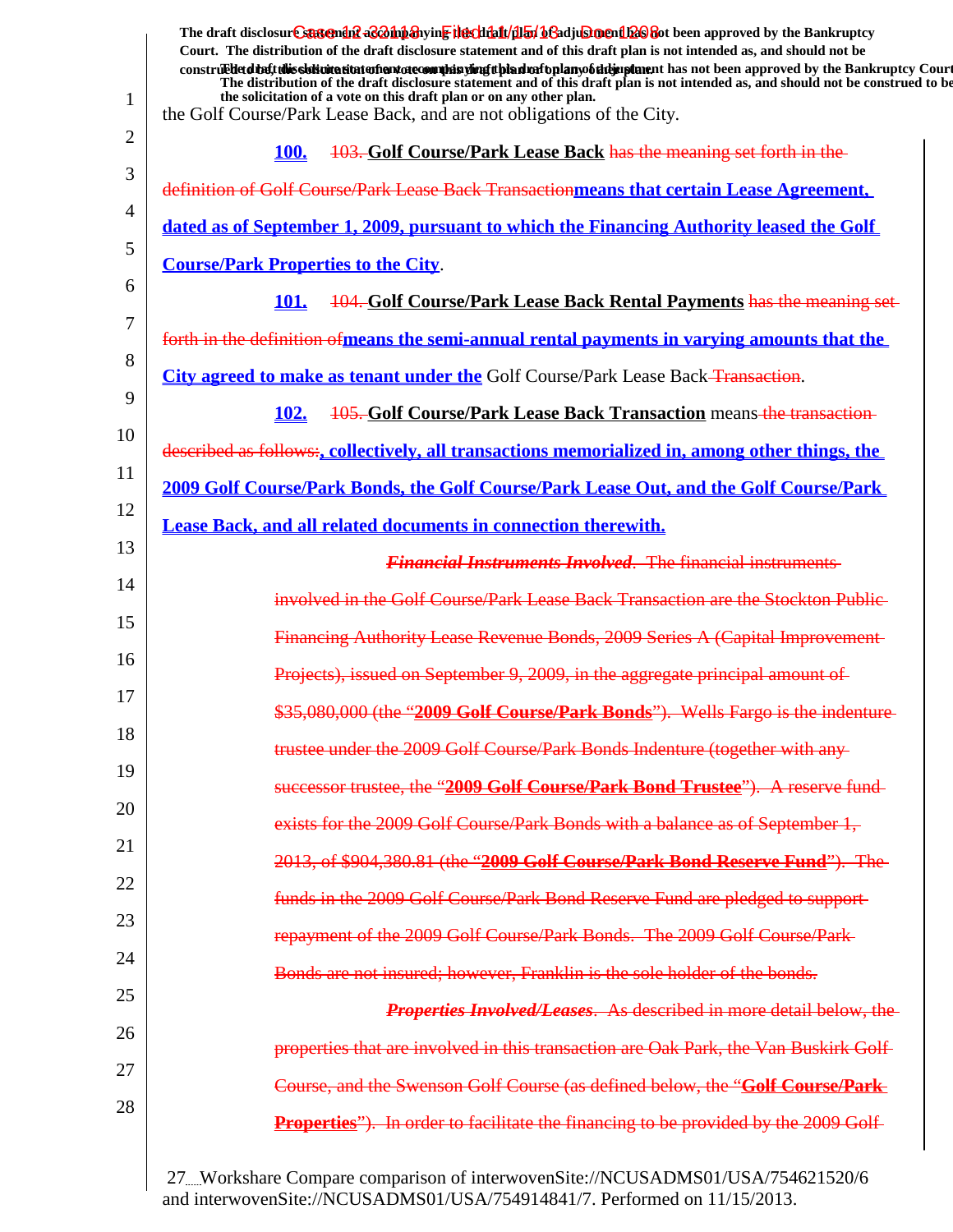|    | The draft disclosure sastement as a having the client of the fit of a set of the set of the Bankruptcy                                                                                                                                                                                                                                                                                                          |
|----|-----------------------------------------------------------------------------------------------------------------------------------------------------------------------------------------------------------------------------------------------------------------------------------------------------------------------------------------------------------------------------------------------------------------|
|    | Court. The distribution of the draft disclosure statement and of this draft plan is not intended as, and should not be<br>construed detail this slok wite situation and accommode is virigit bian match plany of the implement has not been approved by the Bankruptcy Court<br>The distribution of the draft disclosure statement and of this draft plan is not intended as, and should not be construed to be |
| 1  | the solicitation of a vote on this draft plan or on any other plan.<br>the Golf Course/Park Lease Back, and are not obligations of the City.                                                                                                                                                                                                                                                                    |
| 2  | 103. Golf Course/Park Lease Back has the meaning set forth in the<br>100.                                                                                                                                                                                                                                                                                                                                       |
| 3  | definition of Golf Course/Park Lease Back Transactionmeans that certain Lease Agreement,                                                                                                                                                                                                                                                                                                                        |
| 4  | dated as of September 1, 2009, pursuant to which the Financing Authority leased the Golf                                                                                                                                                                                                                                                                                                                        |
| 5  | <b>Course/Park Properties to the City.</b>                                                                                                                                                                                                                                                                                                                                                                      |
| 6  | 104. Golf Course/Park Lease Back Rental Payments has the meaning set-<br>101.                                                                                                                                                                                                                                                                                                                                   |
| 7  | forth in the definition of means the semi-annual rental payments in varying amounts that the                                                                                                                                                                                                                                                                                                                    |
| 8  | City agreed to make as tenant under the Golf Course/Park Lease Back-Transaction.                                                                                                                                                                                                                                                                                                                                |
| 9  | 105. Golf Course/Park Lease Back Transaction means-the transaction-<br>102.                                                                                                                                                                                                                                                                                                                                     |
| 10 | described as follows:, collectively, all transactions memorialized in, among other things, the                                                                                                                                                                                                                                                                                                                  |
| 11 | 2009 Golf Course/Park Bonds, the Golf Course/Park Lease Out, and the Golf Course/Park                                                                                                                                                                                                                                                                                                                           |
| 12 | Lease Back, and all related documents in connection therewith.                                                                                                                                                                                                                                                                                                                                                  |
| 13 | <b>Financial Instruments Involved. The financial instruments</b>                                                                                                                                                                                                                                                                                                                                                |
| 14 | involved in the Golf Course/Park Lease Back Transaction are the Stockton Public                                                                                                                                                                                                                                                                                                                                 |
| 15 | Financing Authority Lease Revenue Bonds, 2009 Series A (Capital Improvement-                                                                                                                                                                                                                                                                                                                                    |
| 16 | Projects), issued on September 9, 2009, in the aggregate principal amount of                                                                                                                                                                                                                                                                                                                                    |
| 17 |                                                                                                                                                                                                                                                                                                                                                                                                                 |
| 18 | \$35,080,000 (the "2009 Golf Course/Park Bonds"). Wells Fargo is the indenture                                                                                                                                                                                                                                                                                                                                  |
| 19 | trustee under the 2009 Golf Course/Park Bonds Indenture (together with any-                                                                                                                                                                                                                                                                                                                                     |
| 20 | successor trustee, the "2009 Golf Course/Park Bond Trustee"). A reserve fund-                                                                                                                                                                                                                                                                                                                                   |
| 21 | exists for the 2009 Golf Course/Park Bonds with a balance as of September 1,                                                                                                                                                                                                                                                                                                                                    |
| 22 | 2013, of \$904,380.81 (the "2009 Golf Course/Park Bond Reserve Fund"). The                                                                                                                                                                                                                                                                                                                                      |
| 23 | funds in the 2009 Golf Course/Park Bond Reserve Fund are pledged to support-                                                                                                                                                                                                                                                                                                                                    |
| 24 | repayment of the 2009 Golf Course/Park Bonds. The 2009 Golf Course/Park-                                                                                                                                                                                                                                                                                                                                        |
| 25 | Bonds are not insured; however, Franklin is the sole holder of the bonds.                                                                                                                                                                                                                                                                                                                                       |
| 26 | <b>Properties Involved/Leases.</b> As described in more detail below, the                                                                                                                                                                                                                                                                                                                                       |
| 27 | properties that are involved in this transaction are Oak Park, the Van Buskirk Golf-                                                                                                                                                                                                                                                                                                                            |
| 28 | Course, and the Swenson Golf Course (as defined below, the "Golf Course/Park                                                                                                                                                                                                                                                                                                                                    |
|    | Properties"). In order to facilitate the financing to be provided by the 2009 Golf-                                                                                                                                                                                                                                                                                                                             |
|    |                                                                                                                                                                                                                                                                                                                                                                                                                 |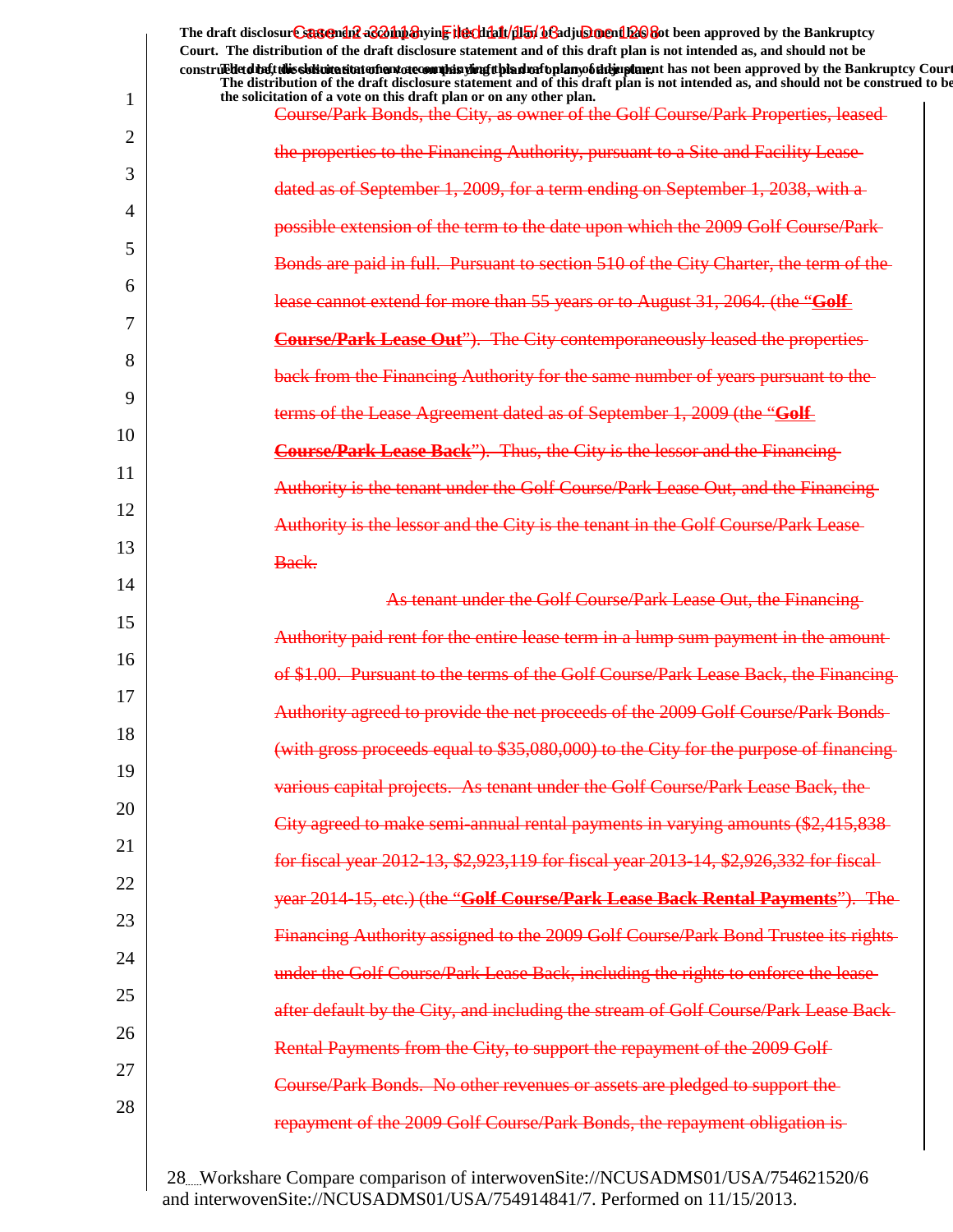|    | The draft disclosure suggended acompanying the climatical of adjustment been approved by the Bankruptcy<br>Court. The distribution of the draft disclosure statement and of this draft plan is not intended as, and should not be<br>construedetdine tubis sistemation enterto commission and properties and properties and has not been approved by the Bankruptcy Court<br>The distribution of the draft disclosure statement and of this draft plan is not intended as, and should not be construed to be |
|----|--------------------------------------------------------------------------------------------------------------------------------------------------------------------------------------------------------------------------------------------------------------------------------------------------------------------------------------------------------------------------------------------------------------------------------------------------------------------------------------------------------------|
| 1  | the solicitation of a vote on this draft plan or on any other plan.<br>Course/Park Bonds, the City, as owner of the Golf Course/Park Properties, leased                                                                                                                                                                                                                                                                                                                                                      |
| 2  | the properties to the Financing Authority, pursuant to a Site and Facility Lease                                                                                                                                                                                                                                                                                                                                                                                                                             |
| 3  | dated as of September 1, 2009, for a term ending on September 1, 2038, with a-                                                                                                                                                                                                                                                                                                                                                                                                                               |
| 4  | possible extension of the term to the date upon which the 2009 Golf Course/Park-                                                                                                                                                                                                                                                                                                                                                                                                                             |
| 5  | Bonds are paid in full. Pursuant to section 510 of the City Charter, the term of the                                                                                                                                                                                                                                                                                                                                                                                                                         |
| 6  | lease cannot extend for more than 55 years or to August 31, 2064. (the "Golf                                                                                                                                                                                                                                                                                                                                                                                                                                 |
| 7  | <b>Course/Park Lease Out"</b> ). The City contemporaneously leased the properties-                                                                                                                                                                                                                                                                                                                                                                                                                           |
| 8  | back from the Financing Authority for the same number of years pursuant to the-                                                                                                                                                                                                                                                                                                                                                                                                                              |
| 9  | terms of the Lease Agreement dated as of September 1, 2009 (the "Golf                                                                                                                                                                                                                                                                                                                                                                                                                                        |
| 10 | <b>Course/Park Lease Back"</b> ). Thus, the City is the lessor and the Financing-                                                                                                                                                                                                                                                                                                                                                                                                                            |
| 11 | Authority is the tenant under the Golf Course/Park Lease Out, and the Financing                                                                                                                                                                                                                                                                                                                                                                                                                              |
| 12 | Authority is the lessor and the City is the tenant in the Golf Course/Park Lease-                                                                                                                                                                                                                                                                                                                                                                                                                            |
| 13 | Back.                                                                                                                                                                                                                                                                                                                                                                                                                                                                                                        |
| 14 | As tenant under the Golf Course/Park Lease Out, the Financing-                                                                                                                                                                                                                                                                                                                                                                                                                                               |
| 15 | Authority paid rent for the entire lease term in a lump sum payment in the amount                                                                                                                                                                                                                                                                                                                                                                                                                            |
| 16 | of \$1.00. Pursuant to the terms of the Golf Course/Park Lease Back, the Financing                                                                                                                                                                                                                                                                                                                                                                                                                           |
| 17 | Authority agreed to provide the net proceeds of the 2009 Golf Course/Park Bonds                                                                                                                                                                                                                                                                                                                                                                                                                              |
| 18 | (with gross proceeds equal to \$35,080,000) to the City for the purpose of financing-                                                                                                                                                                                                                                                                                                                                                                                                                        |
| 19 | various capital projects. As tenant under the Golf Course/Park Lease Back, the                                                                                                                                                                                                                                                                                                                                                                                                                               |
| 20 | City agreed to make semi-annual rental payments in varying amounts (\$2,415,838-                                                                                                                                                                                                                                                                                                                                                                                                                             |
| 21 | for fiscal year 2012-13, \$2,923,119 for fiscal year 2013-14, \$2,926,332 for fiscal-                                                                                                                                                                                                                                                                                                                                                                                                                        |
| 22 | year 2014-15, etc.) (the "Golf Course/Park Lease Back Rental Payments"). The-                                                                                                                                                                                                                                                                                                                                                                                                                                |
| 23 | Financing Authority assigned to the 2009 Golf Course/Park Bond Trustee its rights-                                                                                                                                                                                                                                                                                                                                                                                                                           |
| 24 | under the Golf Course/Park Lease Back, including the rights to enforce the lease-                                                                                                                                                                                                                                                                                                                                                                                                                            |
| 25 | after default by the City, and including the stream of Golf Course/Park Lease Back-                                                                                                                                                                                                                                                                                                                                                                                                                          |
| 26 | Rental Payments from the City, to support the repayment of the 2009 Golf-                                                                                                                                                                                                                                                                                                                                                                                                                                    |
| 27 | Course/Park Bonds. No other revenues or assets are pledged to support the-                                                                                                                                                                                                                                                                                                                                                                                                                                   |
| 28 | repayment of the 2009 Golf Course/Park Bonds, the repayment obligation is-                                                                                                                                                                                                                                                                                                                                                                                                                                   |
|    |                                                                                                                                                                                                                                                                                                                                                                                                                                                                                                              |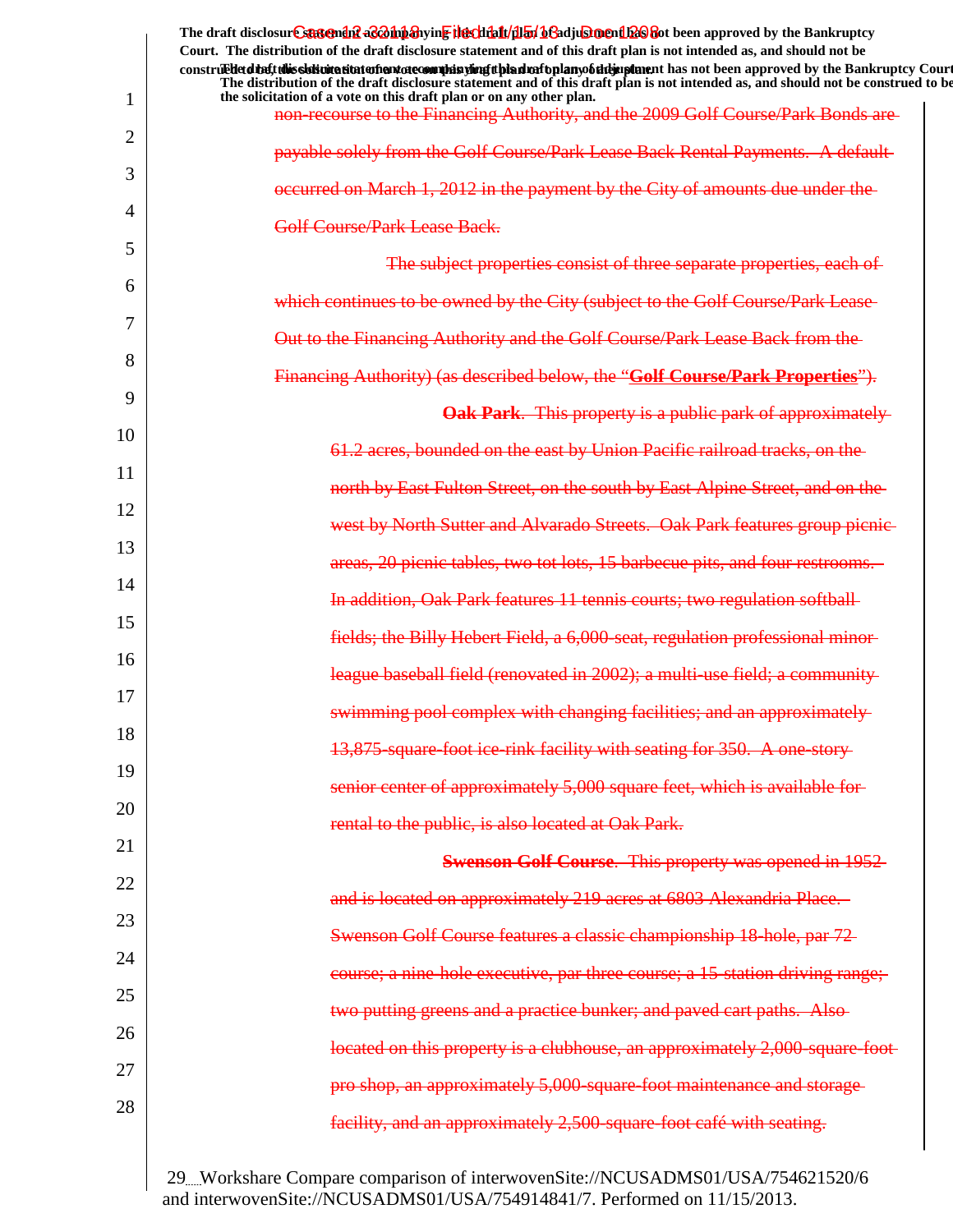|    | The draft disclosure suggended acompanying the climatical of adjustment been approved by the Bankruptcy<br>Court. The distribution of the draft disclosure statement and of this draft plan is not intended as, and should not be<br>construedetd the ft this slok wite site to the notate commission of the simple plany of the implement has not been approved by the Bankruptcy Court |
|----|------------------------------------------------------------------------------------------------------------------------------------------------------------------------------------------------------------------------------------------------------------------------------------------------------------------------------------------------------------------------------------------|
| 1  | The distribution of the draft disclosure statement and of this draft plan is not intended as, and should not be construed to be<br>the solicitation of a vote on this draft plan or on any other plan.                                                                                                                                                                                   |
| 2  | non-recourse to the Financing Authority, and the 2009 Golf Course/Park Bonds are-                                                                                                                                                                                                                                                                                                        |
| 3  | payable solely from the Golf Course/Park Lease Back Rental Payments. A default-                                                                                                                                                                                                                                                                                                          |
| 4  | occurred on March 1, 2012 in the payment by the City of amounts due under the                                                                                                                                                                                                                                                                                                            |
| 5  | <b>Golf Course/Park Lease Back.</b>                                                                                                                                                                                                                                                                                                                                                      |
| 6  | The subject properties consist of three separate properties, each of                                                                                                                                                                                                                                                                                                                     |
|    | which continues to be owned by the City (subject to the Golf Course/Park Lease-                                                                                                                                                                                                                                                                                                          |
| 7  | Out to the Financing Authority and the Golf Course/Park Lease Back from the                                                                                                                                                                                                                                                                                                              |
| 8  | Financing Authority) (as described below, the "Golf Course/Park Properties").                                                                                                                                                                                                                                                                                                            |
| 9  | <b>Oak Park.</b> This property is a public park of approximately                                                                                                                                                                                                                                                                                                                         |
| 10 | 61.2 acres, bounded on the east by Union Pacific railroad tracks, on the                                                                                                                                                                                                                                                                                                                 |
| 11 | north by East Fulton Street, on the south by East Alpine Street, and on the                                                                                                                                                                                                                                                                                                              |
| 12 | west by North Sutter and Alvarado Streets. Oak Park features group picnic-                                                                                                                                                                                                                                                                                                               |
| 13 | areas, 20 picnic tables, two tot lots, 15 barbecue pits, and four restrooms.                                                                                                                                                                                                                                                                                                             |
| 14 | In addition, Oak Park features 11 tennis courts; two regulation softball-                                                                                                                                                                                                                                                                                                                |
| 15 | fields; the Billy Hebert Field, a 6,000-seat, regulation professional minor-                                                                                                                                                                                                                                                                                                             |
| 16 | league baseball field (renovated in 2002); a multi-use field; a community                                                                                                                                                                                                                                                                                                                |
| 17 | swimming pool complex with changing facilities; and an approximately-                                                                                                                                                                                                                                                                                                                    |
| 18 | 13,875-square-foot ice-rink facility with seating for 350. A one-story-                                                                                                                                                                                                                                                                                                                  |
| 19 | senior center of approximately 5,000 square feet, which is available for-                                                                                                                                                                                                                                                                                                                |
| 20 | rental to the public, is also located at Oak Park.                                                                                                                                                                                                                                                                                                                                       |
| 21 | <b>Swenson Golf Course.</b> This property was opened in 1952-                                                                                                                                                                                                                                                                                                                            |
| 22 | and is located on approximately 219 acres at 6803 Alexandria Place.                                                                                                                                                                                                                                                                                                                      |
| 23 | Swenson Golf Course features a classic championship 18-hole, par 72-                                                                                                                                                                                                                                                                                                                     |
| 24 | course; a nine-hole executive, par three course; a 15-station driving range;                                                                                                                                                                                                                                                                                                             |
| 25 |                                                                                                                                                                                                                                                                                                                                                                                          |
| 26 | two putting greens and a practice bunker; and paved cart paths. Also-                                                                                                                                                                                                                                                                                                                    |
| 27 | located on this property is a clubhouse, an approximately 2,000-square-foot-                                                                                                                                                                                                                                                                                                             |
| 28 | pro shop, an approximately 5,000-square-foot maintenance and storage-                                                                                                                                                                                                                                                                                                                    |
|    | facility, and an approximately 2,500-square-foot café with seating.                                                                                                                                                                                                                                                                                                                      |
|    |                                                                                                                                                                                                                                                                                                                                                                                          |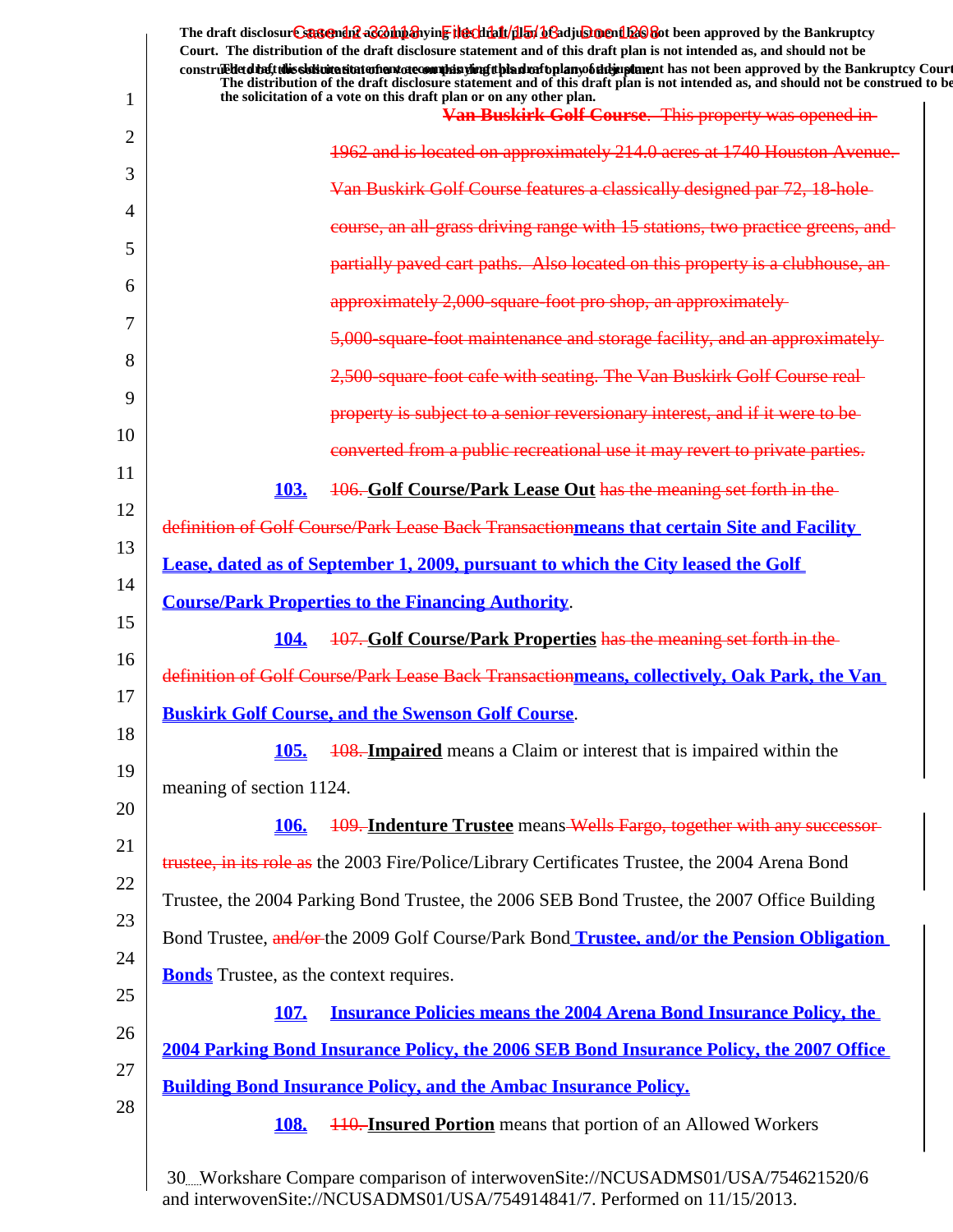| 1              | The draft disclosure suggended acompanying the climatical of adjustment been approved by the Bankruptcy<br>Court. The distribution of the draft disclosure statement and of this draft plan is not intended as, and should not be<br>construedetdiety this sistimation and one of manifer and the high significant has not been approved by the Bankruptcy Court<br>The distribution of the draft disclosure statement and of this draft plan is not intended as, and should not be construed to be<br>the solicitation of a vote on this draft plan or on any other plan. |
|----------------|----------------------------------------------------------------------------------------------------------------------------------------------------------------------------------------------------------------------------------------------------------------------------------------------------------------------------------------------------------------------------------------------------------------------------------------------------------------------------------------------------------------------------------------------------------------------------|
| $\overline{2}$ | Van Buskirk Golf Course. This property was opened in-                                                                                                                                                                                                                                                                                                                                                                                                                                                                                                                      |
|                | 1962 and is located on approximately 214.0 acres at 1740 Houston Avenue.                                                                                                                                                                                                                                                                                                                                                                                                                                                                                                   |
| 3              | Van Buskirk Golf Course features a classically designed par 72, 18-hole-                                                                                                                                                                                                                                                                                                                                                                                                                                                                                                   |
| 4              | course, an all-grass driving range with 15 stations, two practice greens, and                                                                                                                                                                                                                                                                                                                                                                                                                                                                                              |
| 5              | partially paved cart paths. Also located on this property is a clubhouse, an-                                                                                                                                                                                                                                                                                                                                                                                                                                                                                              |
| 6              | approximately 2,000-square-foot pro shop, an approximately                                                                                                                                                                                                                                                                                                                                                                                                                                                                                                                 |
| 7              | 5,000-square-foot maintenance and storage facility, and an approximately-                                                                                                                                                                                                                                                                                                                                                                                                                                                                                                  |
| 8              | 2,500-square-foot cafe with seating. The Van Buskirk Golf Course real-                                                                                                                                                                                                                                                                                                                                                                                                                                                                                                     |
| 9              | property is subject to a senior reversionary interest, and if it were to be-                                                                                                                                                                                                                                                                                                                                                                                                                                                                                               |
| 10             | converted from a public recreational use it may revert to private parties.                                                                                                                                                                                                                                                                                                                                                                                                                                                                                                 |
| 11             | 106. Golf Course/Park Lease Out has the meaning set forth in the<br>103.                                                                                                                                                                                                                                                                                                                                                                                                                                                                                                   |
| 12             | definition of Golf Course/Park Lease Back Transactionmeans that certain Site and Facility                                                                                                                                                                                                                                                                                                                                                                                                                                                                                  |
| 13             | Lease, dated as of September 1, 2009, pursuant to which the City leased the Golf                                                                                                                                                                                                                                                                                                                                                                                                                                                                                           |
| 14             | <b>Course/Park Properties to the Financing Authority.</b>                                                                                                                                                                                                                                                                                                                                                                                                                                                                                                                  |
| 15             | 107. Golf Course/Park Properties has the meaning set forth in the<br><b>104.</b>                                                                                                                                                                                                                                                                                                                                                                                                                                                                                           |
| 16             | definition of Golf Course/Park Lease Back Transactionmeans, collectively, Oak Park, the Van                                                                                                                                                                                                                                                                                                                                                                                                                                                                                |
| 17<br>18       | <b>Buskirk Golf Course, and the Swenson Golf Course</b>                                                                                                                                                                                                                                                                                                                                                                                                                                                                                                                    |
|                | <b>105.</b><br><b>108. Impaired</b> means a Claim or interest that is impaired within the                                                                                                                                                                                                                                                                                                                                                                                                                                                                                  |
| 19             | meaning of section 1124.                                                                                                                                                                                                                                                                                                                                                                                                                                                                                                                                                   |
| 20             | 109. Indenture Trustee means Wells Fargo, together with any successor-<br><b>106.</b>                                                                                                                                                                                                                                                                                                                                                                                                                                                                                      |
| 21             | trustee, in its role as the 2003 Fire/Police/Library Certificates Trustee, the 2004 Arena Bond                                                                                                                                                                                                                                                                                                                                                                                                                                                                             |
| 22             | Trustee, the 2004 Parking Bond Trustee, the 2006 SEB Bond Trustee, the 2007 Office Building                                                                                                                                                                                                                                                                                                                                                                                                                                                                                |
| 23             | Bond Trustee, and/or the 2009 Golf Course/Park Bond Trustee, and/or the Pension Obligation                                                                                                                                                                                                                                                                                                                                                                                                                                                                                 |
| 24             | <b>Bonds</b> Trustee, as the context requires.                                                                                                                                                                                                                                                                                                                                                                                                                                                                                                                             |
| 25             | <b>Insurance Policies means the 2004 Arena Bond Insurance Policy, the</b><br><b>107.</b>                                                                                                                                                                                                                                                                                                                                                                                                                                                                                   |
| 26             | 2004 Parking Bond Insurance Policy, the 2006 SEB Bond Insurance Policy, the 2007 Office                                                                                                                                                                                                                                                                                                                                                                                                                                                                                    |
| 27             | <b>Building Bond Insurance Policy, and the Ambac Insurance Policy.</b>                                                                                                                                                                                                                                                                                                                                                                                                                                                                                                     |
| 28             | <b>108.</b><br><b>110. Insured Portion</b> means that portion of an Allowed Workers                                                                                                                                                                                                                                                                                                                                                                                                                                                                                        |
|                |                                                                                                                                                                                                                                                                                                                                                                                                                                                                                                                                                                            |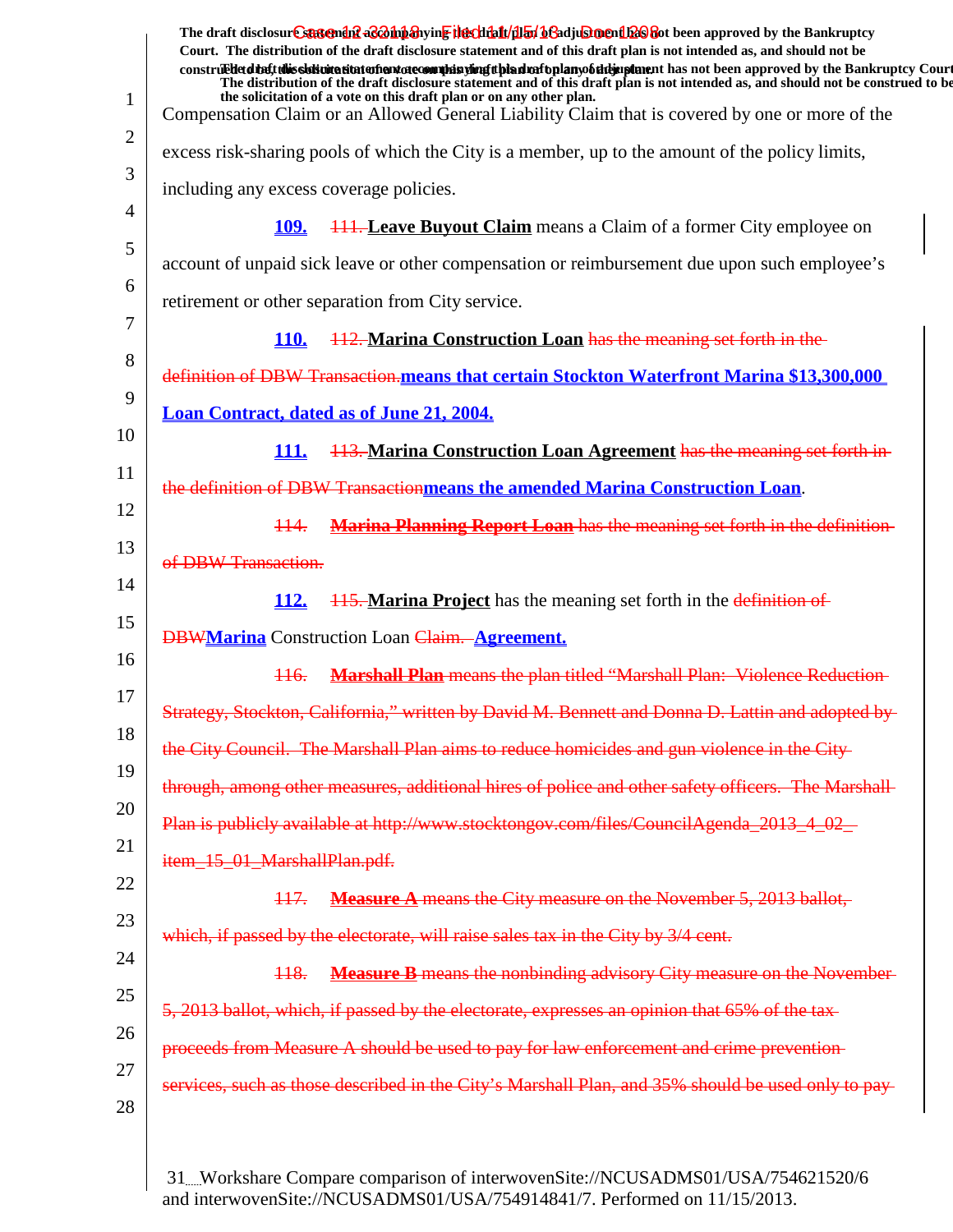|    | The draft disclosur Cstatendul aconiparying the chialt/dian bGadjuSinendule bet been approved by the Bankruptcy<br>Court. The distribution of the draft disclosure statement and of this draft plan is not intended as, and should not be<br>construed detail this slok wite situation and accommode is virigit bian match plany of the implement has not been approved by the Bankruptcy Court |
|----|-------------------------------------------------------------------------------------------------------------------------------------------------------------------------------------------------------------------------------------------------------------------------------------------------------------------------------------------------------------------------------------------------|
| 1  | The distribution of the draft disclosure statement and of this draft plan is not intended as, and should not be construed to be<br>the solicitation of a vote on this draft plan or on any other plan.<br>Compensation Claim or an Allowed General Liability Claim that is covered by one or more of the                                                                                        |
| 2  | excess risk-sharing pools of which the City is a member, up to the amount of the policy limits,                                                                                                                                                                                                                                                                                                 |
| 3  | including any excess coverage policies.                                                                                                                                                                                                                                                                                                                                                         |
| 4  | <b>111. Leave Buyout Claim</b> means a Claim of a former City employee on<br><u>109.</u>                                                                                                                                                                                                                                                                                                        |
| 5  | account of unpaid sick leave or other compensation or reimbursement due upon such employee's                                                                                                                                                                                                                                                                                                    |
| 6  |                                                                                                                                                                                                                                                                                                                                                                                                 |
| 7  | retirement or other separation from City service.                                                                                                                                                                                                                                                                                                                                               |
| 8  | 112. Marina Construction Loan has the meaning set forth in the<br><b>110.</b>                                                                                                                                                                                                                                                                                                                   |
| 9  | definition of DBW Transaction.means that certain Stockton Waterfront Marina \$13,300,000                                                                                                                                                                                                                                                                                                        |
| 10 | <b>Loan Contract, dated as of June 21, 2004.</b>                                                                                                                                                                                                                                                                                                                                                |
| 11 | 113. Marina Construction Loan Agreement has the meaning set forth in-<br><u>111.</u>                                                                                                                                                                                                                                                                                                            |
| 12 | the definition of DBW Transactionmeans the amended Marina Construction Loan.                                                                                                                                                                                                                                                                                                                    |
| 13 | <b>Marina Planning Report Loan</b> has the meaning set forth in the definition-<br>$\frac{114}{1}$                                                                                                                                                                                                                                                                                              |
|    | of DBW Transaction.                                                                                                                                                                                                                                                                                                                                                                             |
| 14 | <b>115. Marina Project</b> has the meaning set forth in the definition of<br><u>112.</u>                                                                                                                                                                                                                                                                                                        |
| 15 | <b>DBWMarina</b> Construction Loan Claim. Agreement.                                                                                                                                                                                                                                                                                                                                            |
| 16 | <b>Marshall Plan</b> means the plan titled "Marshall Plan: Violence Reduction-<br>$\frac{116}{1}$                                                                                                                                                                                                                                                                                               |
| 17 | Strategy, Stockton, California," written by David M. Bennett and Donna D. Lattin and adopted by-                                                                                                                                                                                                                                                                                                |
| 18 | the City Council. The Marshall Plan aims to reduce homicides and gun violence in the City-                                                                                                                                                                                                                                                                                                      |
| 19 | through, among other measures, additional hires of police and other safety officers. The Marshall-                                                                                                                                                                                                                                                                                              |
| 20 | Plan is publicly available at http://www.stocktongov.com/files/CouncilAgenda_2013_4_02_                                                                                                                                                                                                                                                                                                         |
| 21 | item_15_01_MarshallPlan.pdf.                                                                                                                                                                                                                                                                                                                                                                    |
| 22 | <b>Measure A</b> means the City measure on the November 5, 2013 ballot,<br>117.                                                                                                                                                                                                                                                                                                                 |
| 23 | which, if passed by the electorate, will raise sales tax in the City by 3/4 cent.                                                                                                                                                                                                                                                                                                               |
| 24 | <b>Measure B</b> means the nonbinding advisory City measure on the November-<br><del>118.</del>                                                                                                                                                                                                                                                                                                 |
| 25 | 5, 2013 ballot, which, if passed by the electorate, expresses an opinion that 65% of the tax-                                                                                                                                                                                                                                                                                                   |
| 26 |                                                                                                                                                                                                                                                                                                                                                                                                 |
| 27 | proceeds from Measure A should be used to pay for law enforcement and crime prevention-                                                                                                                                                                                                                                                                                                         |
| 28 | services, such as those described in the City's Marshall Plan, and 35% should be used only to pay-                                                                                                                                                                                                                                                                                              |
|    |                                                                                                                                                                                                                                                                                                                                                                                                 |
|    |                                                                                                                                                                                                                                                                                                                                                                                                 |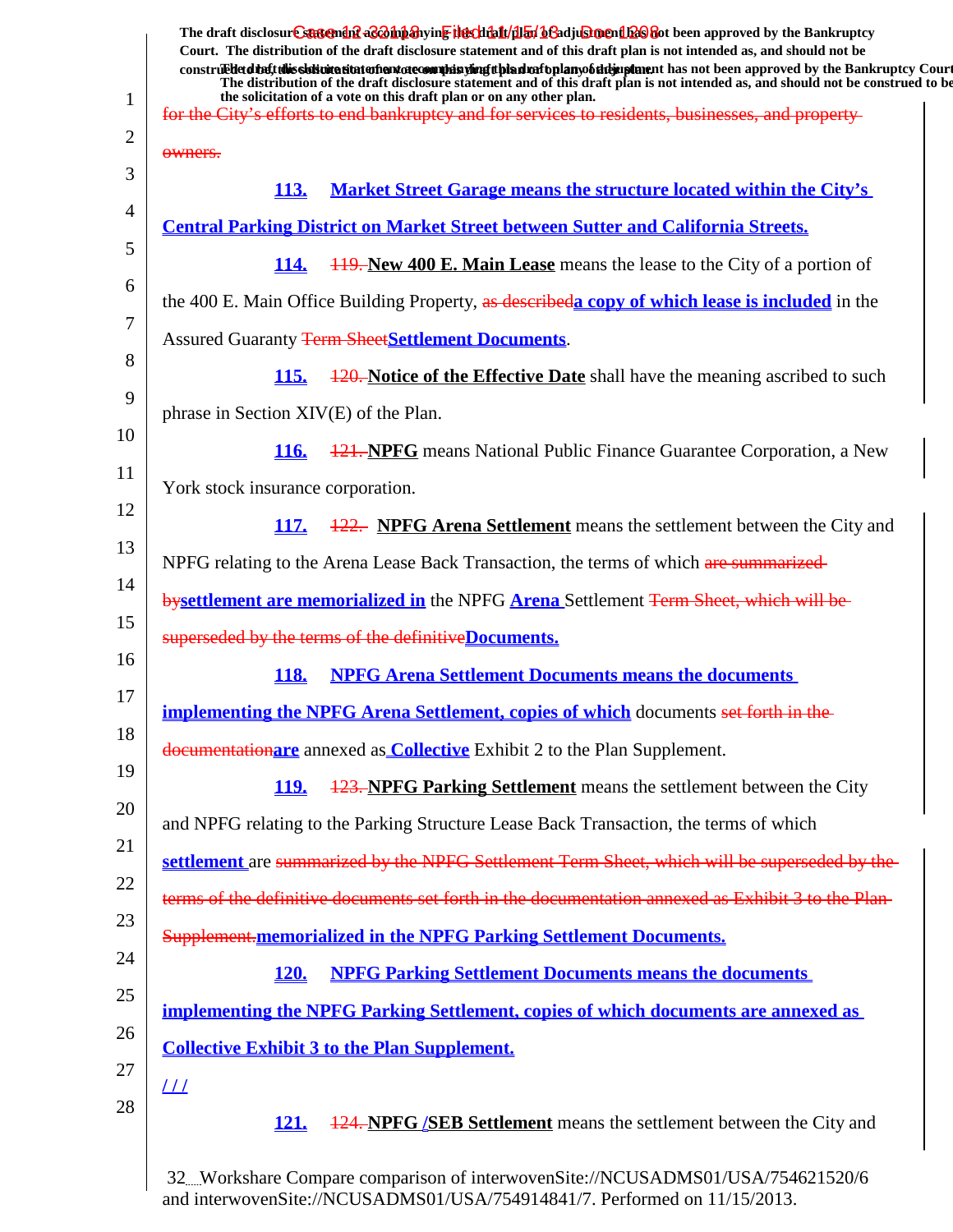| $\mathbf{1}$ | The draft disclosure sartendiff a coning the chialt (illar) be adjustment to be approved by the Bankruptcy<br>Court. The distribution of the draft disclosure statement and of this draft plan is not intended as, and should not be<br>construed detail this slok wite situation and accommode is virigit bian match plany of the implement has not been approved by the Bankruptcy Court<br>The distribution of the draft disclosure statement and of this draft plan is not intended as, and should not be construed to be<br>the solicitation of a vote on this draft plan or on any other plan.<br>for the City's efforts to end bankruptey and for services to residents, businesses, and property- |
|--------------|-----------------------------------------------------------------------------------------------------------------------------------------------------------------------------------------------------------------------------------------------------------------------------------------------------------------------------------------------------------------------------------------------------------------------------------------------------------------------------------------------------------------------------------------------------------------------------------------------------------------------------------------------------------------------------------------------------------|
| 2            |                                                                                                                                                                                                                                                                                                                                                                                                                                                                                                                                                                                                                                                                                                           |
| 3            | owners.<br><b>Market Street Garage means the structure located within the City's</b><br><b>113.</b>                                                                                                                                                                                                                                                                                                                                                                                                                                                                                                                                                                                                       |
| 4            | <b>Central Parking District on Market Street between Sutter and California Streets.</b>                                                                                                                                                                                                                                                                                                                                                                                                                                                                                                                                                                                                                   |
| 5            | 114.<br><b>119. New 400 E. Main Lease</b> means the lease to the City of a portion of                                                                                                                                                                                                                                                                                                                                                                                                                                                                                                                                                                                                                     |
| 6            | the 400 E. Main Office Building Property, as describeda copy of which lease is included in the                                                                                                                                                                                                                                                                                                                                                                                                                                                                                                                                                                                                            |
| 7            | <b>Assured Guaranty Term SheetSettlement Documents.</b>                                                                                                                                                                                                                                                                                                                                                                                                                                                                                                                                                                                                                                                   |
| 8<br>9       | 120. Notice of the Effective Date shall have the meaning ascribed to such<br><b>115.</b>                                                                                                                                                                                                                                                                                                                                                                                                                                                                                                                                                                                                                  |
|              | phrase in Section XIV(E) of the Plan.                                                                                                                                                                                                                                                                                                                                                                                                                                                                                                                                                                                                                                                                     |
| 10<br>11     | <b>121. NPFG</b> means National Public Finance Guarantee Corporation, a New<br>116.                                                                                                                                                                                                                                                                                                                                                                                                                                                                                                                                                                                                                       |
|              | York stock insurance corporation.                                                                                                                                                                                                                                                                                                                                                                                                                                                                                                                                                                                                                                                                         |
| 12<br>13     | 122. NPFG Arena Settlement means the settlement between the City and<br><b>117.</b>                                                                                                                                                                                                                                                                                                                                                                                                                                                                                                                                                                                                                       |
|              | NPFG relating to the Arena Lease Back Transaction, the terms of which are summarized-                                                                                                                                                                                                                                                                                                                                                                                                                                                                                                                                                                                                                     |
| 14           | bysettlement are memorialized in the NPFG Arena Settlement Term Sheet, which will be                                                                                                                                                                                                                                                                                                                                                                                                                                                                                                                                                                                                                      |
| 15<br>16     | superseded by the terms of the definitive Documents.                                                                                                                                                                                                                                                                                                                                                                                                                                                                                                                                                                                                                                                      |
|              | <b>NPFG Arena Settlement Documents means the documents</b><br>118.                                                                                                                                                                                                                                                                                                                                                                                                                                                                                                                                                                                                                                        |
| 17<br>18     | <b>implementing the NPFG Arena Settlement, copies of which</b> documents set forth in the                                                                                                                                                                                                                                                                                                                                                                                                                                                                                                                                                                                                                 |
|              | documentationare annexed as <b>Collective</b> Exhibit 2 to the Plan Supplement.                                                                                                                                                                                                                                                                                                                                                                                                                                                                                                                                                                                                                           |
| 19           | <b>123. NPFG Parking Settlement</b> means the settlement between the City<br><u>119.</u>                                                                                                                                                                                                                                                                                                                                                                                                                                                                                                                                                                                                                  |
| 20           | and NPFG relating to the Parking Structure Lease Back Transaction, the terms of which                                                                                                                                                                                                                                                                                                                                                                                                                                                                                                                                                                                                                     |
| 21           | settlement are summarized by the NPFG Settlement Term Sheet, which will be superseded by the                                                                                                                                                                                                                                                                                                                                                                                                                                                                                                                                                                                                              |
| 22           | terms of the definitive documents set forth in the documentation annexed as Exhibit 3 to the Plan-                                                                                                                                                                                                                                                                                                                                                                                                                                                                                                                                                                                                        |
| 23           | Supplement.memorialized in the NPFG Parking Settlement Documents.                                                                                                                                                                                                                                                                                                                                                                                                                                                                                                                                                                                                                                         |
| 24           | <b>NPFG Parking Settlement Documents means the documents</b><br><b>120.</b>                                                                                                                                                                                                                                                                                                                                                                                                                                                                                                                                                                                                                               |
| 25           | <u>implementing the NPFG Parking Settlement, copies of which documents are annexed as</u>                                                                                                                                                                                                                                                                                                                                                                                                                                                                                                                                                                                                                 |
| 26           | <b>Collective Exhibit 3 to the Plan Supplement.</b>                                                                                                                                                                                                                                                                                                                                                                                                                                                                                                                                                                                                                                                       |
| 27<br>28     | $_{LL}$<br><b>124. NPFG <i>(SEB Settlement</i></b> means the settlement between the City and<br><u>121.</u>                                                                                                                                                                                                                                                                                                                                                                                                                                                                                                                                                                                               |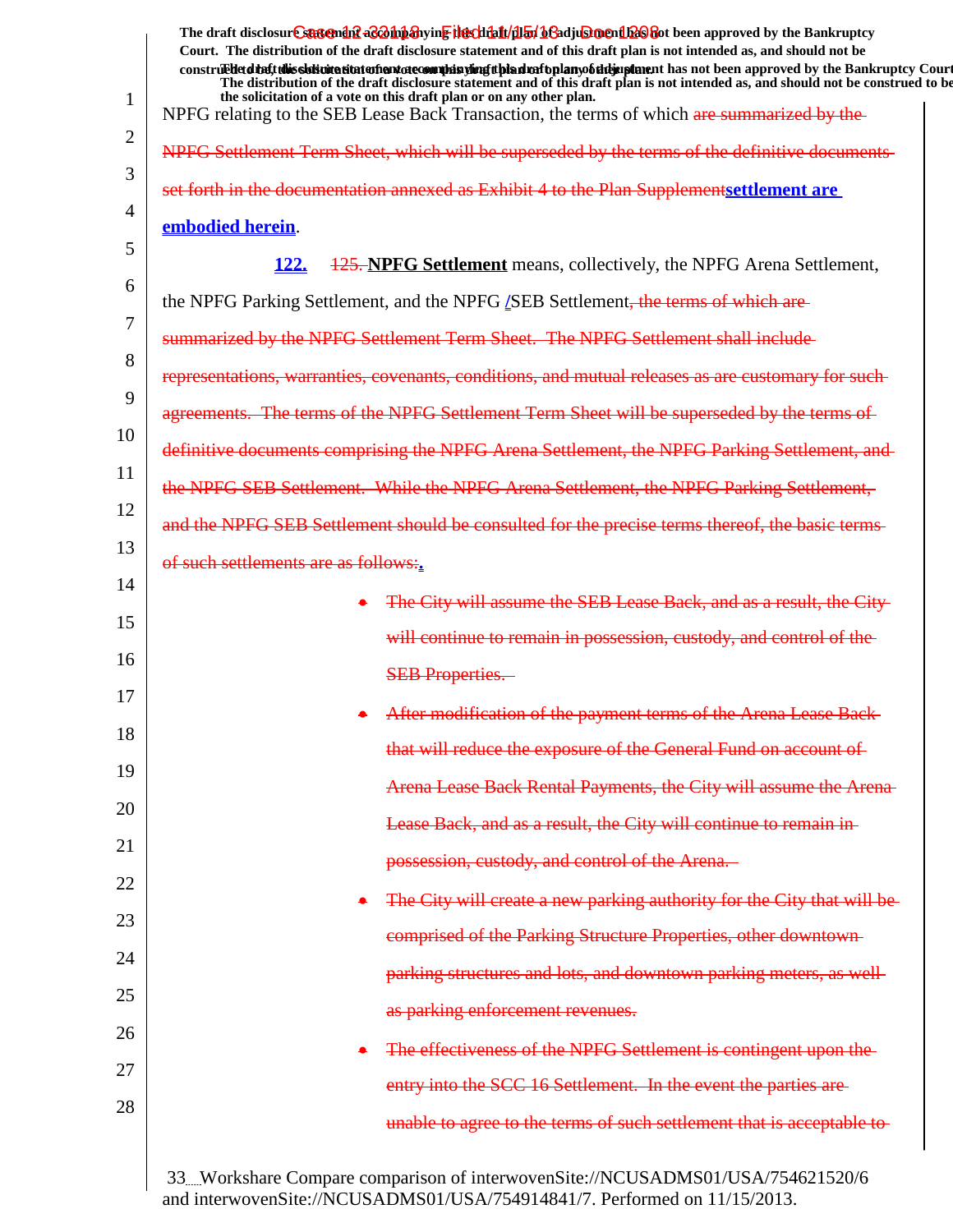|                | The draft disclosur Cantendal a & oh baying the click for began and a click of the Bankruptcy<br>Court. The distribution of the draft disclosure statement and of this draft plan is not intended as, and should not be                                                                |
|----------------|----------------------------------------------------------------------------------------------------------------------------------------------------------------------------------------------------------------------------------------------------------------------------------------|
|                | construedetdiet this sistemation entertainment of country in the industry of the manner of the manner in an order in proved by the Bankruptcy Court<br>The distribution of the draft disclosure statement and of this draft plan is not intended as, and should not be construed to be |
| 1              | the solicitation of a vote on this draft plan or on any other plan.<br>NPFG relating to the SEB Lease Back Transaction, the terms of which are summarized by the                                                                                                                       |
| $\overline{2}$ | NPFG Settlement Term Sheet, which will be superseded by the terms of the definitive documents                                                                                                                                                                                          |
| 3              | set forth in the documentation annexed as Exhibit 4 to the Plan Supplementsettlement are                                                                                                                                                                                               |
| 4              | embodied herein.                                                                                                                                                                                                                                                                       |
| 5              | <u>122.</u><br><b>125. NPFG Settlement</b> means, collectively, the NPFG Arena Settlement,                                                                                                                                                                                             |
| 6              | the NPFG Parking Settlement, and the NPFG <i>[SEB Settlement</i> , the terms of which are                                                                                                                                                                                              |
| 7              | summarized by the NPFG Settlement Term Sheet. The NPFG Settlement shall include-                                                                                                                                                                                                       |
| 8              | representations, warranties, covenants, conditions, and mutual releases as are customary for such-                                                                                                                                                                                     |
| 9              | agreements. The terms of the NPFG Settlement Term Sheet will be superseded by the terms of                                                                                                                                                                                             |
| 10             | definitive documents comprising the NPFG Arena Settlement, the NPFG Parking Settlement, and                                                                                                                                                                                            |
| 11             | the NPFG SEB Settlement. While the NPFG Arena Settlement, the NPFG Parking Settlement,                                                                                                                                                                                                 |
| 12             | and the NPFG SEB Settlement should be consulted for the precise terms thereof, the basic terms-                                                                                                                                                                                        |
| 13             | of such settlements are as follows:.                                                                                                                                                                                                                                                   |
| 14             | The City will assume the SEB Lease Back, and as a result, the City-                                                                                                                                                                                                                    |
| 15             | will continue to remain in possession, custody, and control of the                                                                                                                                                                                                                     |
| 16             | <b>SEB Properties.</b>                                                                                                                                                                                                                                                                 |
| 17             | After modification of the payment terms of the Arena Lease Back-                                                                                                                                                                                                                       |
| 18             | that will reduce the exposure of the General Fund on account of                                                                                                                                                                                                                        |
| 19             | Arena Lease Back Rental Payments, the City will assume the Arena-                                                                                                                                                                                                                      |
| 20             | Lease Back, and as a result, the City will continue to remain in-                                                                                                                                                                                                                      |
| 21             | possession, custody, and control of the Arena.                                                                                                                                                                                                                                         |
| 22             | The City will create a new parking authority for the City that will be                                                                                                                                                                                                                 |
| 23             | comprised of the Parking Structure Properties, other downtown-                                                                                                                                                                                                                         |
| 24             | parking structures and lots, and downtown parking meters, as well-                                                                                                                                                                                                                     |
| 25             | as parking enforcement revenues.                                                                                                                                                                                                                                                       |
| 26             | The effectiveness of the NPFG Settlement is contingent upon the                                                                                                                                                                                                                        |
| 27             | entry into the SCC 16 Settlement. In the event the parties are-                                                                                                                                                                                                                        |
| 28             | unable to agree to the terms of such settlement that is acceptable to-                                                                                                                                                                                                                 |
|                | 33Workshare Compare comparison of interwovenSite://NCUSADMS01/USA/754621520/6                                                                                                                                                                                                          |

and interwovenSite://NCUSADMS01/USA/754914841/7. Performed on 11/15/2013.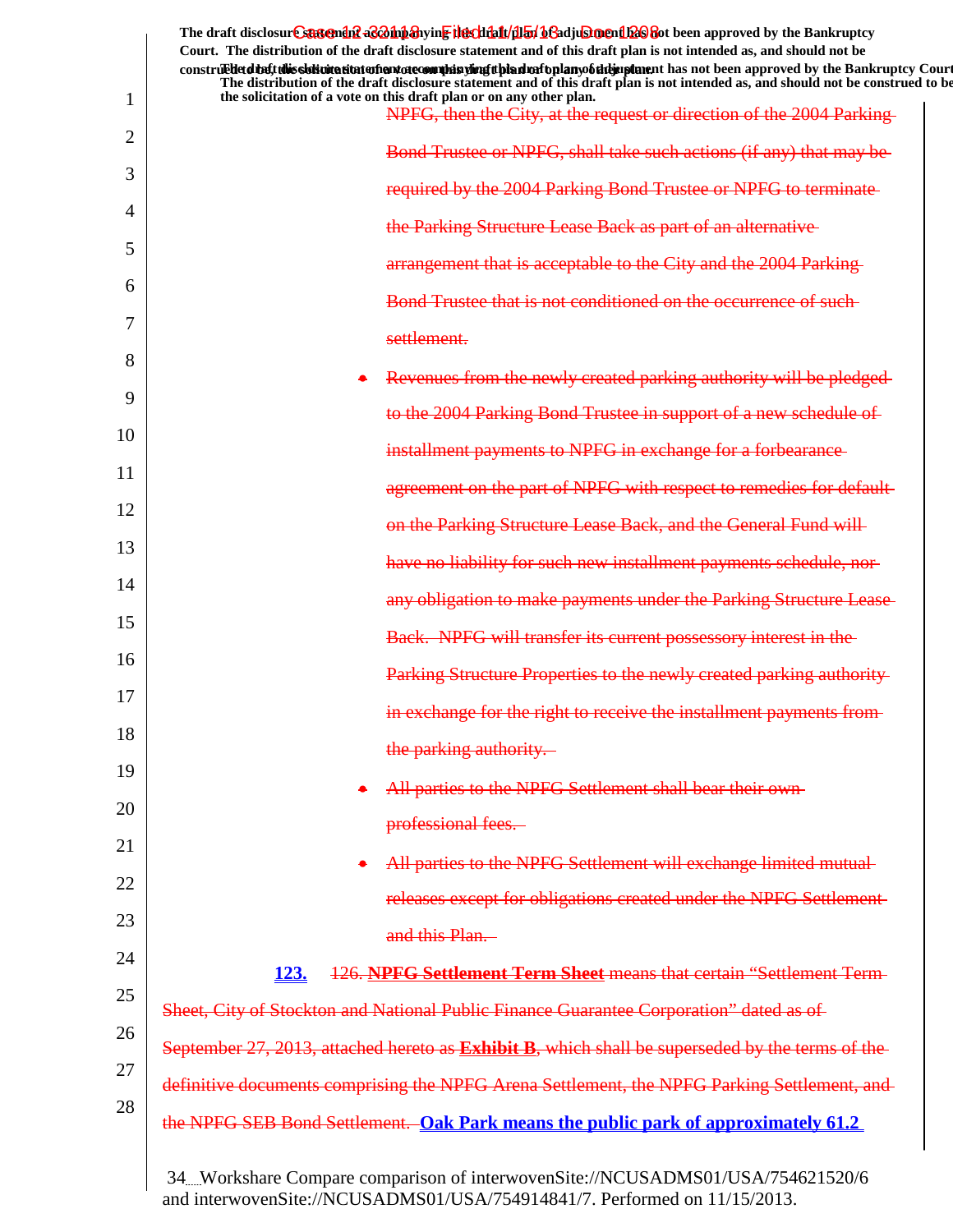|          | The draft disclosure sartendiff as <i>Dubb</i> ing in Files that (dlan beladjust not had been approved by the Bankruptcy<br>Court. The distribution of the draft disclosure statement and of this draft plan is not intended as, and should not be<br>construedetd the ft this slok wite site to the notate commission of the simple plany of the implement has not been approved by the Bankruptcy Court<br>The distribution of the draft disclosure statement and of this draft plan is not intended as, and should not be construed to be |
|----------|----------------------------------------------------------------------------------------------------------------------------------------------------------------------------------------------------------------------------------------------------------------------------------------------------------------------------------------------------------------------------------------------------------------------------------------------------------------------------------------------------------------------------------------------|
| 1        | the solicitation of a vote on this draft plan or on any other plan.<br>NPFG, then the City, at the request or direction of the 2004 Parking-                                                                                                                                                                                                                                                                                                                                                                                                 |
| 2        | Bond Trustee or NPFG, shall take such actions (if any) that may be                                                                                                                                                                                                                                                                                                                                                                                                                                                                           |
| 3        | required by the 2004 Parking Bond Trustee or NPFG to terminate-                                                                                                                                                                                                                                                                                                                                                                                                                                                                              |
| 4        | the Parking Structure Lease Back as part of an alternative                                                                                                                                                                                                                                                                                                                                                                                                                                                                                   |
| 5        | arrangement that is acceptable to the City and the 2004 Parking-                                                                                                                                                                                                                                                                                                                                                                                                                                                                             |
| 6        | Bond Trustee that is not conditioned on the occurrence of such-                                                                                                                                                                                                                                                                                                                                                                                                                                                                              |
| 7        | settlement.                                                                                                                                                                                                                                                                                                                                                                                                                                                                                                                                  |
| 8        | Revenues from the newly created parking authority will be pledged-                                                                                                                                                                                                                                                                                                                                                                                                                                                                           |
| 9        | to the 2004 Parking Bond Trustee in support of a new schedule of                                                                                                                                                                                                                                                                                                                                                                                                                                                                             |
| 10       | installment payments to NPFG in exchange for a forbearance                                                                                                                                                                                                                                                                                                                                                                                                                                                                                   |
| 11       | agreement on the part of NPFG with respect to remedies for default-                                                                                                                                                                                                                                                                                                                                                                                                                                                                          |
| 12       | on the Parking Structure Lease Back, and the General Fund will                                                                                                                                                                                                                                                                                                                                                                                                                                                                               |
| 13       | have no liability for such new installment payments schedule, nor-                                                                                                                                                                                                                                                                                                                                                                                                                                                                           |
| 14       | any obligation to make payments under the Parking Structure Lease-                                                                                                                                                                                                                                                                                                                                                                                                                                                                           |
| 15<br>16 | Back. NPFG will transfer its current possessory interest in the                                                                                                                                                                                                                                                                                                                                                                                                                                                                              |
| 17       | Parking Structure Properties to the newly created parking authority                                                                                                                                                                                                                                                                                                                                                                                                                                                                          |
| 18       | in exchange for the right to receive the installment payments from-                                                                                                                                                                                                                                                                                                                                                                                                                                                                          |
| 19       | the parking authority.                                                                                                                                                                                                                                                                                                                                                                                                                                                                                                                       |
| 20       | All parties to the NPFG Settlement shall bear their own-                                                                                                                                                                                                                                                                                                                                                                                                                                                                                     |
| 21       | professional fees.                                                                                                                                                                                                                                                                                                                                                                                                                                                                                                                           |
| 22       | All parties to the NPFG Settlement will exchange limited mutual-                                                                                                                                                                                                                                                                                                                                                                                                                                                                             |
| 23       | releases except for obligations created under the NPFG Settlement-                                                                                                                                                                                                                                                                                                                                                                                                                                                                           |
| 24       | and this Plan.                                                                                                                                                                                                                                                                                                                                                                                                                                                                                                                               |
| 25       | 126. NPFG Settlement Term Sheet means that certain "Settlement Term-<br><u>123.</u>                                                                                                                                                                                                                                                                                                                                                                                                                                                          |
| 26       | Sheet, City of Stockton and National Public Finance Guarantee Corporation" dated as of                                                                                                                                                                                                                                                                                                                                                                                                                                                       |
| 27       | September 27, 2013, attached hereto as <b>Exhibit B</b> , which shall be superseded by the terms of the                                                                                                                                                                                                                                                                                                                                                                                                                                      |
| 28       | definitive documents comprising the NPFG Arena Settlement, the NPFG Parking Settlement, and                                                                                                                                                                                                                                                                                                                                                                                                                                                  |
|          | the NPFG SEB Bond Settlement. Oak Park means the public park of approximately 61.2                                                                                                                                                                                                                                                                                                                                                                                                                                                           |
|          |                                                                                                                                                                                                                                                                                                                                                                                                                                                                                                                                              |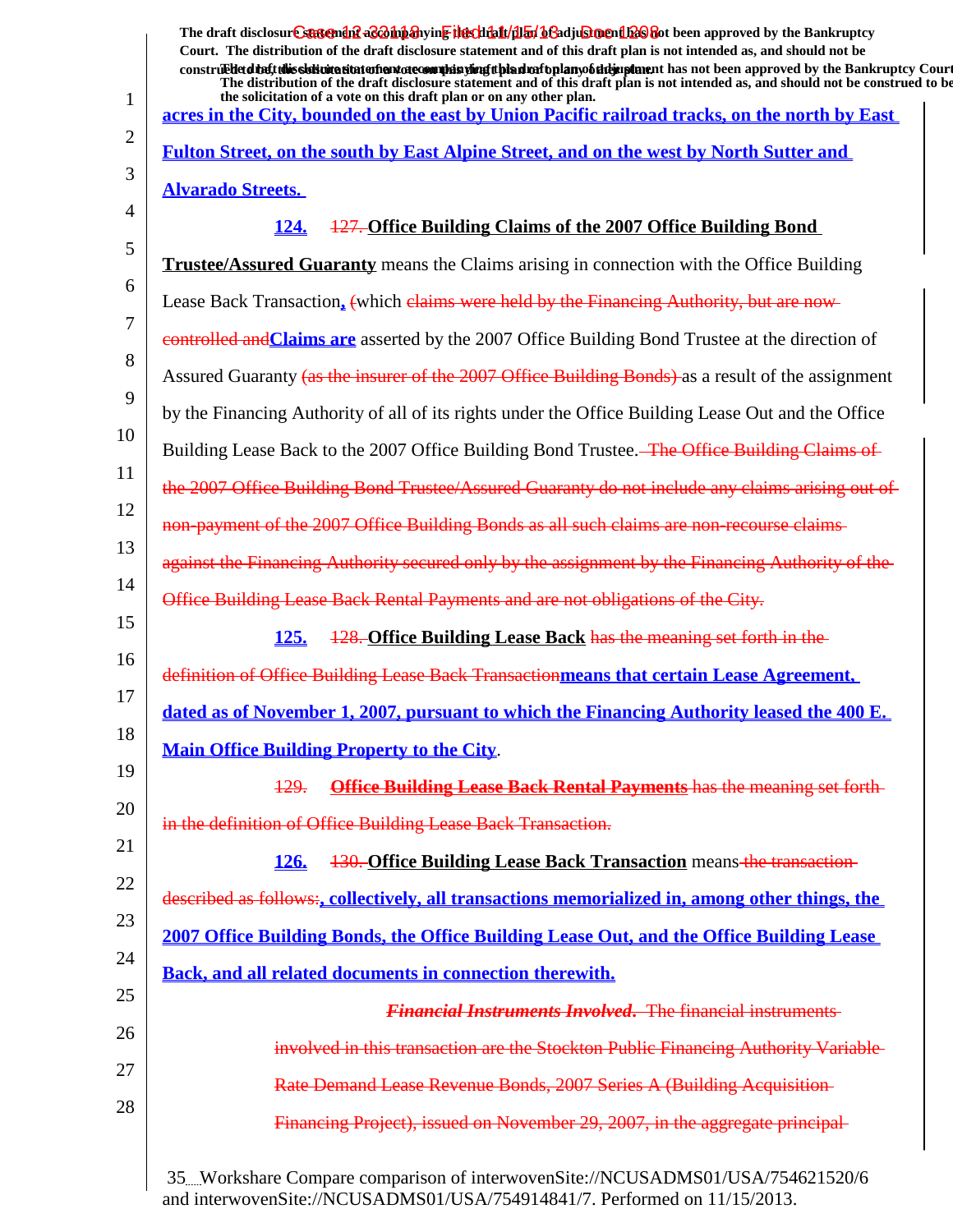|    | The draft disclosur Cantendal a control and the chieft and the chieft of a chieft of the Bankruptcy<br>Court. The distribution of the draft disclosure statement and of this draft plan is not intended as, and should not be<br>construedetding this sistemation of environment is until and the hold of the mann of the manner has not been approved by the Bankruptcy Court<br>The distribution of the draft disclosure statement and of this draft plan is not intended as, and should not be construed to be<br>the solicitation of a vote on this draft plan or on any other plan. |
|----|------------------------------------------------------------------------------------------------------------------------------------------------------------------------------------------------------------------------------------------------------------------------------------------------------------------------------------------------------------------------------------------------------------------------------------------------------------------------------------------------------------------------------------------------------------------------------------------|
| 1  | acres in the City, bounded on the east by Union Pacific railroad tracks, on the north by East                                                                                                                                                                                                                                                                                                                                                                                                                                                                                            |
| 2  | Fulton Street, on the south by East Alpine Street, and on the west by North Sutter and                                                                                                                                                                                                                                                                                                                                                                                                                                                                                                   |
| 3  | <b>Alvarado Streets.</b>                                                                                                                                                                                                                                                                                                                                                                                                                                                                                                                                                                 |
| 4  | 127. Office Building Claims of the 2007 Office Building Bond<br>124.                                                                                                                                                                                                                                                                                                                                                                                                                                                                                                                     |
| 5  | <b>Trustee/Assured Guaranty</b> means the Claims arising in connection with the Office Building                                                                                                                                                                                                                                                                                                                                                                                                                                                                                          |
| 6  | Lease Back Transaction, (which claims were held by the Financing Authority, but are now-                                                                                                                                                                                                                                                                                                                                                                                                                                                                                                 |
| 7  | controlled and Claims are asserted by the 2007 Office Building Bond Trustee at the direction of                                                                                                                                                                                                                                                                                                                                                                                                                                                                                          |
| 8  | Assured Guaranty (as the insurer of the 2007 Office Building Bonds) as a result of the assignment                                                                                                                                                                                                                                                                                                                                                                                                                                                                                        |
| 9  | by the Financing Authority of all of its rights under the Office Building Lease Out and the Office                                                                                                                                                                                                                                                                                                                                                                                                                                                                                       |
| 10 | Building Lease Back to the 2007 Office Building Bond Trustee. <del> The Office Building Claims of</del>                                                                                                                                                                                                                                                                                                                                                                                                                                                                                  |
| 11 | the 2007 Office Building Bond Trustee/Assured Guaranty do not include any claims arising out of                                                                                                                                                                                                                                                                                                                                                                                                                                                                                          |
| 12 | non-payment of the 2007 Office Building Bonds as all such claims are non-recourse claims-                                                                                                                                                                                                                                                                                                                                                                                                                                                                                                |
| 13 | against the Financing Authority secured only by the assignment by the Financing Authority of the                                                                                                                                                                                                                                                                                                                                                                                                                                                                                         |
| 14 | Office Building Lease Back Rental Payments and are not obligations of the City.                                                                                                                                                                                                                                                                                                                                                                                                                                                                                                          |
| 15 | 128. Office Building Lease Back has the meaning set forth in the<br><u>125.</u>                                                                                                                                                                                                                                                                                                                                                                                                                                                                                                          |
| 16 | definition of Office Building Lease Back Transactionmeans that certain Lease Agreement,                                                                                                                                                                                                                                                                                                                                                                                                                                                                                                  |
| 17 | dated as of November 1, 2007, pursuant to which the Financing Authority leased the 400 E.                                                                                                                                                                                                                                                                                                                                                                                                                                                                                                |
| 18 | <b>Main Office Building Property to the City.</b>                                                                                                                                                                                                                                                                                                                                                                                                                                                                                                                                        |
| 19 | <b>Office Building Lease Back Rental Payments has the meaning set forth-</b><br><u> 129.</u>                                                                                                                                                                                                                                                                                                                                                                                                                                                                                             |
| 20 | in the definition of Office Building Lease Back Transaction.                                                                                                                                                                                                                                                                                                                                                                                                                                                                                                                             |
| 21 | <b>130. Office Building Lease Back Transaction means-the transaction-</b><br><b>126.</b>                                                                                                                                                                                                                                                                                                                                                                                                                                                                                                 |
| 22 | described as follows:, collectively, all transactions memorialized in, among other things, the                                                                                                                                                                                                                                                                                                                                                                                                                                                                                           |
| 23 | 2007 Office Building Bonds, the Office Building Lease Out, and the Office Building Lease                                                                                                                                                                                                                                                                                                                                                                                                                                                                                                 |
| 24 | <b>Back, and all related documents in connection therewith.</b>                                                                                                                                                                                                                                                                                                                                                                                                                                                                                                                          |
| 25 | <b>Financial Instruments Involved.</b> The financial instruments                                                                                                                                                                                                                                                                                                                                                                                                                                                                                                                         |
| 26 | involved in this transaction are the Stockton Public Financing Authority Variable                                                                                                                                                                                                                                                                                                                                                                                                                                                                                                        |
| 27 | Rate Demand Lease Revenue Bonds, 2007 Series A (Building Acquisition-                                                                                                                                                                                                                                                                                                                                                                                                                                                                                                                    |
| 28 | Financing Project), issued on November 29, 2007, in the aggregate principal-                                                                                                                                                                                                                                                                                                                                                                                                                                                                                                             |
|    |                                                                                                                                                                                                                                                                                                                                                                                                                                                                                                                                                                                          |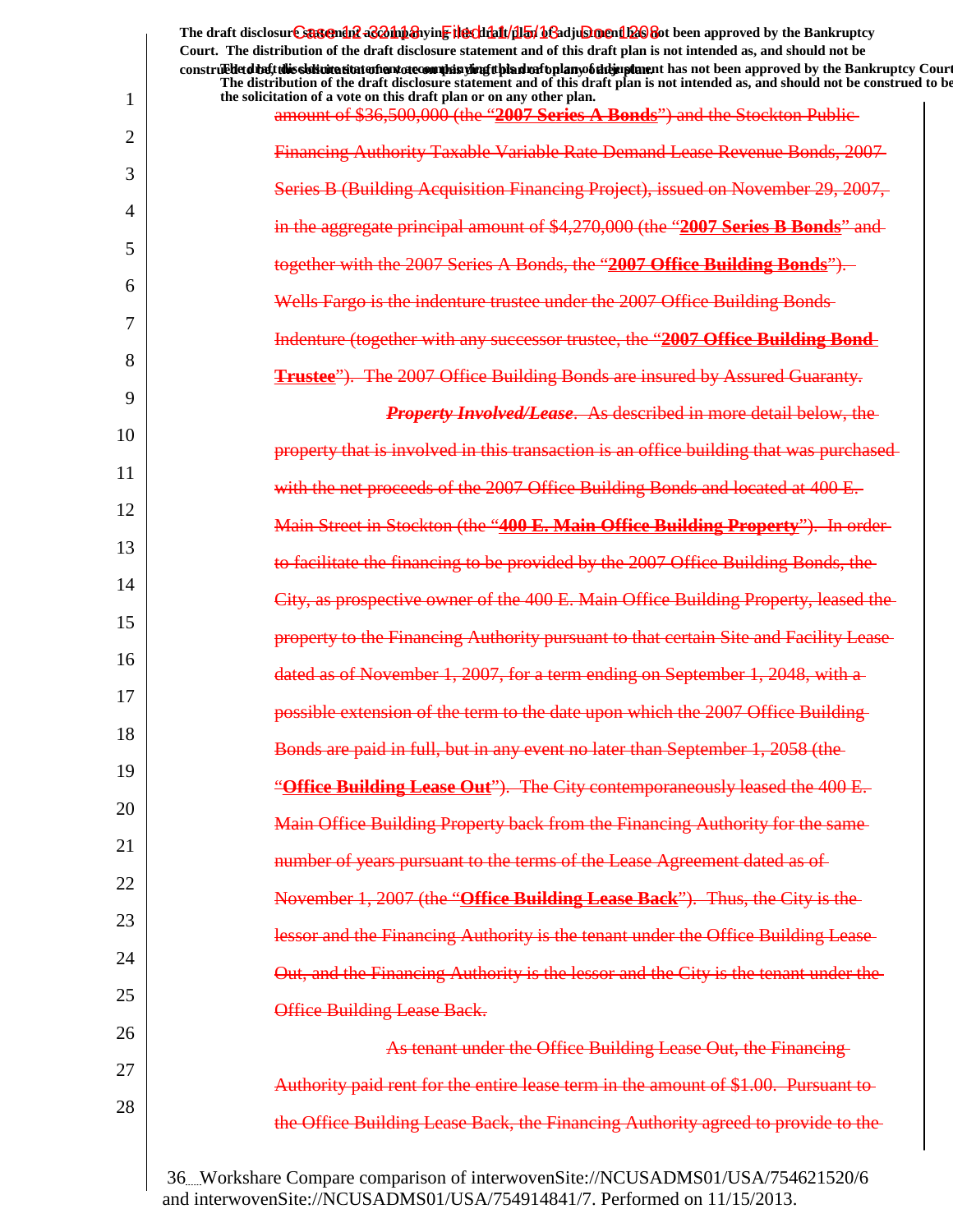|    | The draft disclosure sastement as a happy in File clinit (1151 b Gadjus ment be approved by the Bankruptcy<br>Court. The distribution of the draft disclosure statement and of this draft plan is not intended as, and should not be                             |
|----|------------------------------------------------------------------------------------------------------------------------------------------------------------------------------------------------------------------------------------------------------------------|
|    | construed detail this sistimation and one of manifesting the distribution of the mann of the approved by the Bankruptcy Court<br>The distribution of the draft disclosure statement and of this draft plan is not intended as, and should not be construed to be |
| 1  | the solicitation of a vote on this draft plan or on any other plan.<br>amount of \$36,500,000 (the "2007 Series A Bonds") and the Stockton Public-                                                                                                               |
| 2  | Financing Authority Taxable Variable Rate Demand Lease Revenue Bonds, 2007-                                                                                                                                                                                      |
| 3  | Series B (Building Acquisition Financing Project), issued on November 29, 2007,                                                                                                                                                                                  |
| 4  | in the aggregate principal amount of \$4,270,000 (the "2007 Series B Bonds" and                                                                                                                                                                                  |
| 5  | together with the 2007 Series A Bonds, the "2007 Office Building Bonds").                                                                                                                                                                                        |
| 6  | Wells Fargo is the indenture trustee under the 2007 Office Building Bonds-                                                                                                                                                                                       |
| 7  | Indenture (together with any successor trustee, the "2007 Office Building Bond-                                                                                                                                                                                  |
| 8  | <b>Trustee"</b> ). The 2007 Office Building Bonds are insured by Assured Guaranty.                                                                                                                                                                               |
| 9  | <b>Property Involved/Lease.</b> As described in more detail below, the                                                                                                                                                                                           |
| 10 | property that is involved in this transaction is an office building that was purchased                                                                                                                                                                           |
| 11 | with the net proceeds of the 2007 Office Building Bonds and located at 400 E.                                                                                                                                                                                    |
| 12 | Main Street in Stockton (the "400 E. Main Office Building Property"). In order                                                                                                                                                                                   |
| 13 | to facilitate the financing to be provided by the 2007 Office Building Bonds, the                                                                                                                                                                                |
| 14 | City, as prospective owner of the 400 E. Main Office Building Property, leased the                                                                                                                                                                               |
| 15 | property to the Financing Authority pursuant to that certain Site and Facility Lease                                                                                                                                                                             |
| 16 | dated as of November 1, 2007, for a term ending on September 1, 2048, with a                                                                                                                                                                                     |
| 17 | possible extension of the term to the date upon which the 2007 Office Building-                                                                                                                                                                                  |
| 18 | Bonds are paid in full, but in any event no later than September 1, 2058 (the                                                                                                                                                                                    |
| 19 | "Office Building Lease Out"). The City contemporaneously leased the 400 E.                                                                                                                                                                                       |
| 20 | Main Office Building Property back from the Financing Authority for the same-                                                                                                                                                                                    |
| 21 | number of years pursuant to the terms of the Lease Agreement dated as of                                                                                                                                                                                         |
| 22 | November 1, 2007 (the "Office Building Lease Back"). Thus, the City is the                                                                                                                                                                                       |
| 23 | lessor and the Financing Authority is the tenant under the Office Building Lease-                                                                                                                                                                                |
| 24 | Out, and the Financing Authority is the lessor and the City is the tenant under the                                                                                                                                                                              |
| 25 | Office Building Lease Back.                                                                                                                                                                                                                                      |
| 26 | As tenant under the Office Building Lease Out, the Financing-                                                                                                                                                                                                    |
| 27 | Authority paid rent for the entire lease term in the amount of \$1.00. Pursuant to-                                                                                                                                                                              |
| 28 | the Office Building Lease Back, the Financing Authority agreed to provide to the-                                                                                                                                                                                |
|    |                                                                                                                                                                                                                                                                  |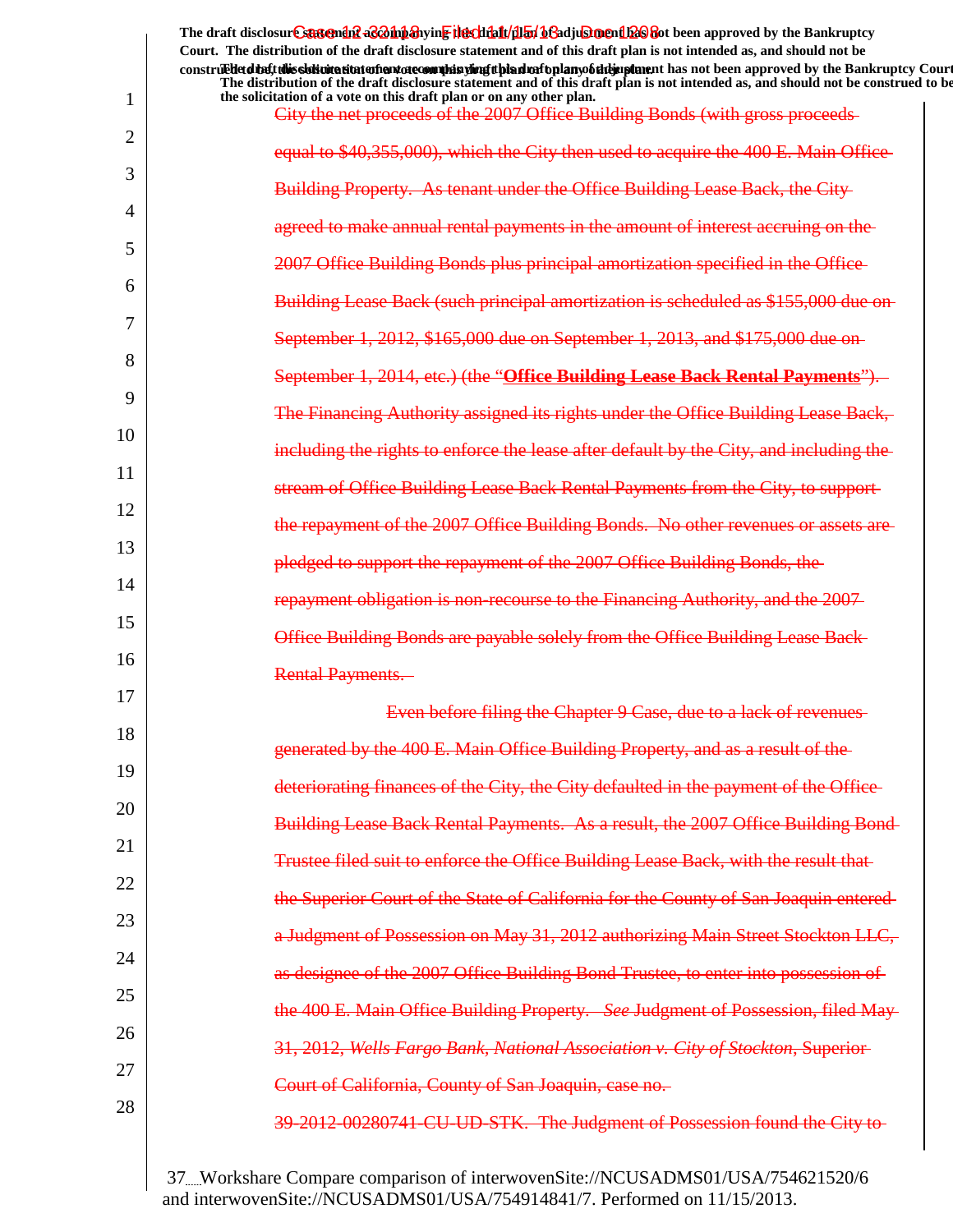|                | The draft disclosur Cantendal a control and the chieft and the chieft of a chieft of the Bankruptcy<br>Court. The distribution of the draft disclosure statement and of this draft plan is not intended as, and should not be                                                 |
|----------------|-------------------------------------------------------------------------------------------------------------------------------------------------------------------------------------------------------------------------------------------------------------------------------|
|                | construedetdiety this sistimation and one of manifer and the hand of the hand of the manifestion and been approved by the Bankruptcy Court<br>The distribution of the draft disclosure statement and of this draft plan is not intended as, and should not be construed to be |
| 1              | the solicitation of a vote on this draft plan or on any other plan.<br>City the net proceeds of the 2007 Office Building Bonds (with gross proceeds-                                                                                                                          |
| $\overline{2}$ |                                                                                                                                                                                                                                                                               |
| 3              | equal to \$40,355,000), which the City then used to acquire the 400 E. Main Office                                                                                                                                                                                            |
| 4              | Building Property. As tenant under the Office Building Lease Back, the City-                                                                                                                                                                                                  |
|                | agreed to make annual rental payments in the amount of interest accruing on the-                                                                                                                                                                                              |
| 5              | 2007 Office Building Bonds plus principal amortization specified in the Office-                                                                                                                                                                                               |
| 6              | <b>Building Lease Back (such principal amortization is scheduled as \$155,000 due on</b>                                                                                                                                                                                      |
| 7              | September 1, 2012, \$165,000 due on September 1, 2013, and \$175,000 due on                                                                                                                                                                                                   |
| 8              | September 1, 2014, etc.) (the "Office Building Lease Back Rental Payments").                                                                                                                                                                                                  |
| 9              | The Financing Authority assigned its rights under the Office Building Lease Back,                                                                                                                                                                                             |
| 10             |                                                                                                                                                                                                                                                                               |
| 11             | including the rights to enforce the lease after default by the City, and including the                                                                                                                                                                                        |
| 12             | stream of Office Building Lease Back Rental Payments from the City, to support-                                                                                                                                                                                               |
| 13             | the repayment of the 2007 Office Building Bonds. No other revenues or assets are-                                                                                                                                                                                             |
|                | pledged to support the repayment of the 2007 Office Building Bonds, the                                                                                                                                                                                                       |
| 14             | repayment obligation is non-recourse to the Financing Authority, and the 2007-                                                                                                                                                                                                |
| 15             | Office Building Bonds are payable solely from the Office Building Lease Back-                                                                                                                                                                                                 |
| 16             | <b>Rental Payments.</b>                                                                                                                                                                                                                                                       |
| 17             | Even before filing the Chapter 9 Case, due to a lack of revenues                                                                                                                                                                                                              |
| 18             | generated by the 400 E. Main Office Building Property, and as a result of the                                                                                                                                                                                                 |
| 19             |                                                                                                                                                                                                                                                                               |
| 20             | deteriorating finances of the City, the City defaulted in the payment of the Office-                                                                                                                                                                                          |
| 21             | Building Lease Back Rental Payments. As a result, the 2007 Office Building Bond-                                                                                                                                                                                              |
| 22             | Trustee filed suit to enforce the Office Building Lease Back, with the result that-                                                                                                                                                                                           |
|                | the Superior Court of the State of California for the County of San Joaquin entered-                                                                                                                                                                                          |
| 23             | a Judgment of Possession on May 31, 2012 authorizing Main Street Stockton LLC,                                                                                                                                                                                                |
| 24             | as designee of the 2007 Office Building Bond Trustee, to enter into possession of                                                                                                                                                                                             |
| 25             | the 400 E. Main Office Building Property. See Judgment of Possession, filed May-                                                                                                                                                                                              |
| 26             | 31, 2012, Wells Fargo Bank, National Association v. City of Stockton, Superior-                                                                                                                                                                                               |
| 27             | Court of California, County of San Joaquin, case no.                                                                                                                                                                                                                          |
| 28             |                                                                                                                                                                                                                                                                               |
|                | 39-2012-00280741-CU-UD-STK. The Judgment of Possession found the City to-                                                                                                                                                                                                     |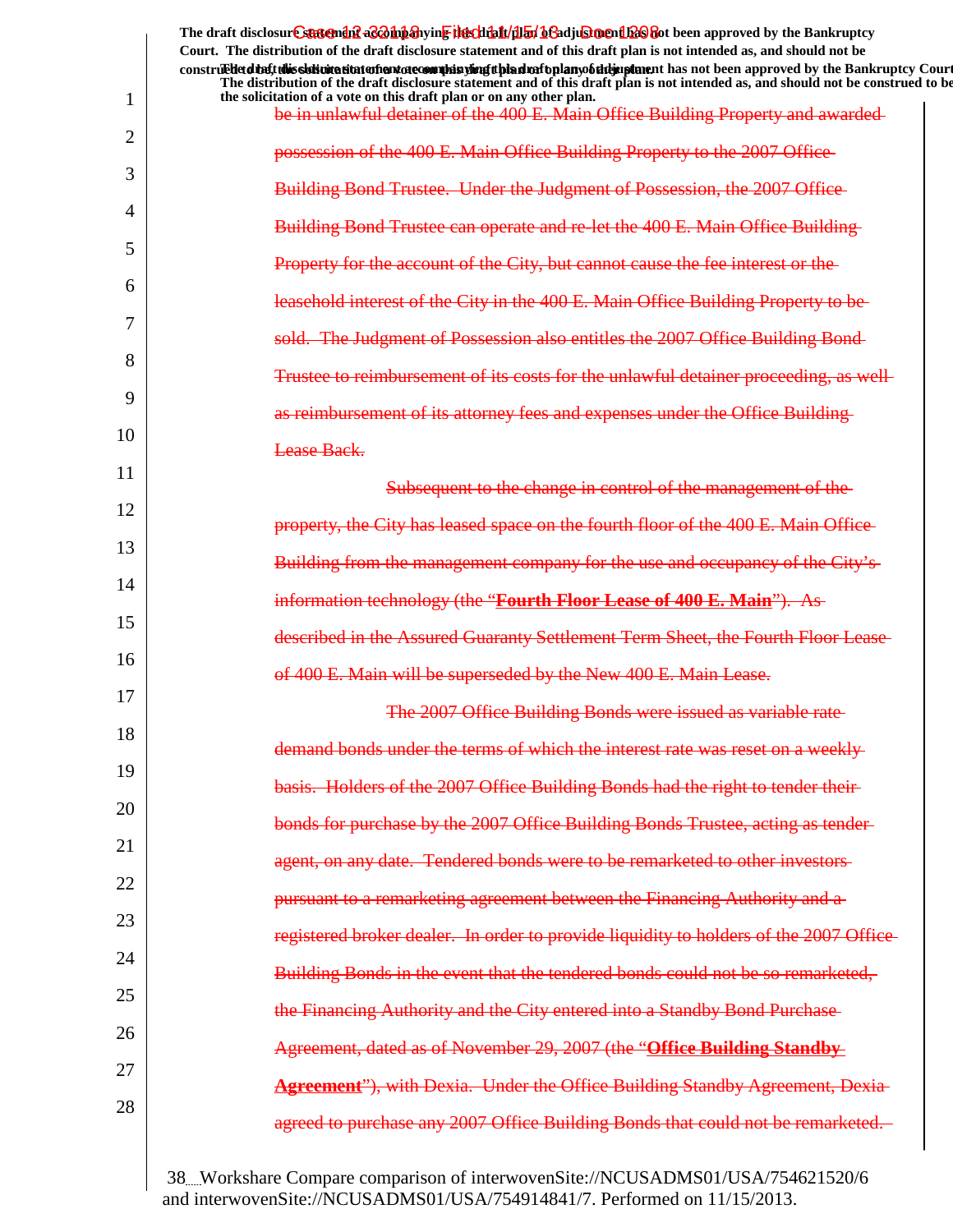|    | The draft disclosur Cantendal a Bohn any right that the California of the Cading on the Bankruptcy<br>Court. The distribution of the draft disclosure statement and of this draft plan is not intended as, and should not be<br>construedetdieft this sistimation and are complisying this draft plan to be individual that has not been approved by the Bankruptcy Court<br>The distribution of the draft disclosure statement and of this draft plan is not intended as, and should not be construed to be |
|----|--------------------------------------------------------------------------------------------------------------------------------------------------------------------------------------------------------------------------------------------------------------------------------------------------------------------------------------------------------------------------------------------------------------------------------------------------------------------------------------------------------------|
| 1  | the solicitation of a vote on this draft plan or on any other plan.<br>be in unlawful detainer of the 400 E. Main Office Building Property and awarded-                                                                                                                                                                                                                                                                                                                                                      |
| 2  | possession of the 400 E. Main Office Building Property to the 2007 Office                                                                                                                                                                                                                                                                                                                                                                                                                                    |
| 3  | <b>Building Bond Trustee. Under the Judgment of Possession, the 2007 Office-</b>                                                                                                                                                                                                                                                                                                                                                                                                                             |
| 4  | Building Bond Trustee can operate and re-let the 400 E. Main Office Building-                                                                                                                                                                                                                                                                                                                                                                                                                                |
| 5  | Property for the account of the City, but cannot cause the fee interest or the                                                                                                                                                                                                                                                                                                                                                                                                                               |
| 6  | leasehold interest of the City in the 400 E. Main Office Building Property to be-                                                                                                                                                                                                                                                                                                                                                                                                                            |
| 7  | sold. The Judgment of Possession also entitles the 2007 Office Building Bond-                                                                                                                                                                                                                                                                                                                                                                                                                                |
| 8  | Trustee to reimbursement of its costs for the unlawful detainer proceeding, as well-                                                                                                                                                                                                                                                                                                                                                                                                                         |
| 9  | as reimbursement of its attorney fees and expenses under the Office Building-                                                                                                                                                                                                                                                                                                                                                                                                                                |
| 10 | Lease Back.                                                                                                                                                                                                                                                                                                                                                                                                                                                                                                  |
| 11 | Subsequent to the change in control of the management of the                                                                                                                                                                                                                                                                                                                                                                                                                                                 |
| 12 | property, the City has leased space on the fourth floor of the 400 E. Main Office                                                                                                                                                                                                                                                                                                                                                                                                                            |
| 13 | Building from the management company for the use and occupancy of the City's-                                                                                                                                                                                                                                                                                                                                                                                                                                |
| 14 | information technology (the "Fourth Floor Lease of 400 E. Main"). As                                                                                                                                                                                                                                                                                                                                                                                                                                         |
| 15 |                                                                                                                                                                                                                                                                                                                                                                                                                                                                                                              |
| 16 | described in the Assured Guaranty Settlement Term Sheet, the Fourth Floor Lease                                                                                                                                                                                                                                                                                                                                                                                                                              |
| 17 | of 400 E. Main will be superseded by the New 400 E. Main Lease.                                                                                                                                                                                                                                                                                                                                                                                                                                              |
| 18 | The 2007 Office Building Bonds were issued as variable rate                                                                                                                                                                                                                                                                                                                                                                                                                                                  |
| 19 | demand bonds under the terms of which the interest rate was reset on a weekly-                                                                                                                                                                                                                                                                                                                                                                                                                               |
| 20 | basis. Holders of the 2007 Office Building Bonds had the right to tender their-                                                                                                                                                                                                                                                                                                                                                                                                                              |
| 21 | bonds for purchase by the 2007 Office Building Bonds Trustee, acting as tender-                                                                                                                                                                                                                                                                                                                                                                                                                              |
| 22 | agent, on any date. Tendered bonds were to be remarketed to other investors-                                                                                                                                                                                                                                                                                                                                                                                                                                 |
| 23 | pursuant to a remarketing agreement between the Financing Authority and a-                                                                                                                                                                                                                                                                                                                                                                                                                                   |
| 24 | registered broker dealer. In order to provide liquidity to holders of the 2007 Office-                                                                                                                                                                                                                                                                                                                                                                                                                       |
| 25 | Building Bonds in the event that the tendered bonds could not be so remarketed,                                                                                                                                                                                                                                                                                                                                                                                                                              |
| 26 | the Financing Authority and the City entered into a Standby Bond Purchase-                                                                                                                                                                                                                                                                                                                                                                                                                                   |
| 27 | Agreement, dated as of November 29, 2007 (the "Office Building Standby                                                                                                                                                                                                                                                                                                                                                                                                                                       |
| 28 | <b>Agreement</b> "), with Dexia. Under the Office Building Standby Agreement, Dexia-                                                                                                                                                                                                                                                                                                                                                                                                                         |
|    | agreed to purchase any 2007 Office Building Bonds that could not be remarketed.                                                                                                                                                                                                                                                                                                                                                                                                                              |
|    |                                                                                                                                                                                                                                                                                                                                                                                                                                                                                                              |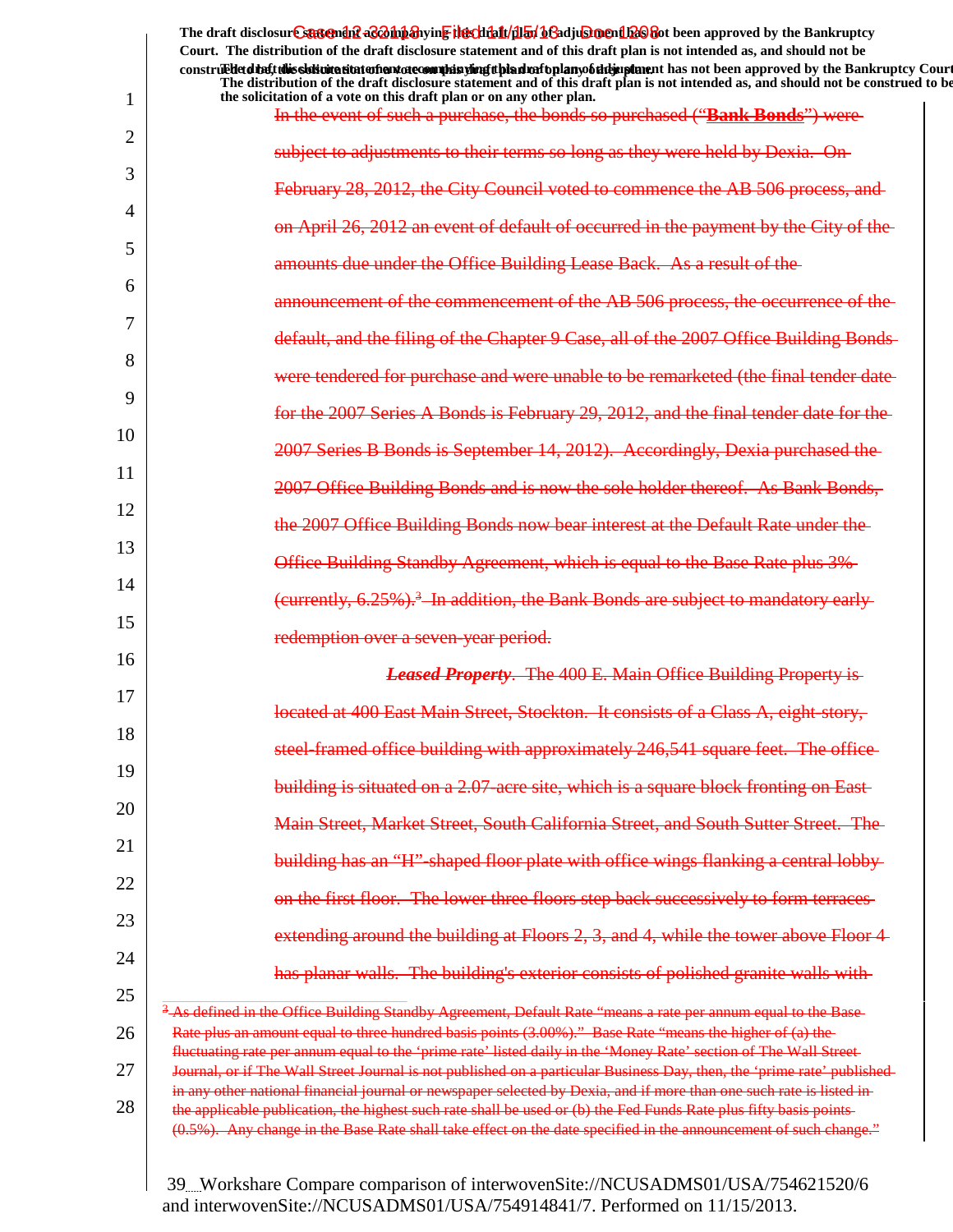| Court. The distribution of the draft disclosure statement and of this draft plan is not intended as, and should not be<br>construed detail this sidion at the model and other many displants of the detail and the model of the model of the Bankruptcy Court<br>The distribution of the draft disclosure statement and of this draft plan is not intended as, and should not be construed to be<br>the solicitation of a vote on this draft plan or on any other plan. |
|-------------------------------------------------------------------------------------------------------------------------------------------------------------------------------------------------------------------------------------------------------------------------------------------------------------------------------------------------------------------------------------------------------------------------------------------------------------------------|
| In the event of such a purchase, the bonds so purchased ("Bank Bonds") were-                                                                                                                                                                                                                                                                                                                                                                                            |
| subject to adjustments to their terms so long as they were held by Dexia. On-                                                                                                                                                                                                                                                                                                                                                                                           |
| February 28, 2012, the City Council voted to commence the AB 506 process, and                                                                                                                                                                                                                                                                                                                                                                                           |
|                                                                                                                                                                                                                                                                                                                                                                                                                                                                         |
| on April 26, 2012 an event of default of occurred in the payment by the City of the                                                                                                                                                                                                                                                                                                                                                                                     |
| amounts due under the Office Building Lease Back. As a result of the                                                                                                                                                                                                                                                                                                                                                                                                    |
| announcement of the commencement of the AB 506 process, the occurrence of the                                                                                                                                                                                                                                                                                                                                                                                           |
| default, and the filing of the Chapter 9 Case, all of the 2007 Office Building Bonds-                                                                                                                                                                                                                                                                                                                                                                                   |
| were tendered for purchase and were unable to be remarketed (the final tender date-                                                                                                                                                                                                                                                                                                                                                                                     |
| for the 2007 Series A Bonds is February 29, 2012, and the final tender date for the                                                                                                                                                                                                                                                                                                                                                                                     |
| 2007 Series B Bonds is September 14, 2012). Accordingly, Dexia purchased the                                                                                                                                                                                                                                                                                                                                                                                            |
| 2007 Office Building Bonds and is now the sole holder thereof. As Bank Bonds,                                                                                                                                                                                                                                                                                                                                                                                           |
| the 2007 Office Building Bonds now bear interest at the Default Rate under the                                                                                                                                                                                                                                                                                                                                                                                          |
| Office Building Standby Agreement, which is equal to the Base Rate plus 3%                                                                                                                                                                                                                                                                                                                                                                                              |
| (eurrently, $6.25\%$ ). <sup>3</sup> In addition, the Bank Bonds are subject to mandatory early                                                                                                                                                                                                                                                                                                                                                                         |
|                                                                                                                                                                                                                                                                                                                                                                                                                                                                         |
| redemption over a seven-year period.                                                                                                                                                                                                                                                                                                                                                                                                                                    |
| <b>Leased Property.</b> The 400 E. Main Office Building Property is-                                                                                                                                                                                                                                                                                                                                                                                                    |
| located at 400 East Main Street, Stockton. It consists of a Class A, eight-story,                                                                                                                                                                                                                                                                                                                                                                                       |
| steel-framed office building with approximately 246,541 square feet. The office-                                                                                                                                                                                                                                                                                                                                                                                        |
| building is situated on a 2.07-acre site, which is a square block fronting on East-                                                                                                                                                                                                                                                                                                                                                                                     |
| Main Street, Market Street, South California Street, and South Sutter Street. The-                                                                                                                                                                                                                                                                                                                                                                                      |
| building has an "H"-shaped floor plate with office wings flanking a central lobby-                                                                                                                                                                                                                                                                                                                                                                                      |
| on the first floor. The lower three floors step back successively to form terraces                                                                                                                                                                                                                                                                                                                                                                                      |
| extending around the building at Floors 2, 3, and 4, while the tower above Floor 4                                                                                                                                                                                                                                                                                                                                                                                      |
| has planar walls. The building's exterior consists of polished granite walls with-                                                                                                                                                                                                                                                                                                                                                                                      |
|                                                                                                                                                                                                                                                                                                                                                                                                                                                                         |
| <sup>3</sup> -As defined in the Office Building Standby Agreement, Default Rate "means a rate per annum equal to the Base-<br>Rate plus an amount equal to three hundred basis points (3.00%)." Base Rate "means the higher of (a) the                                                                                                                                                                                                                                  |
| fluctuating rate per annum equal to the 'prime rate' listed daily in the 'Money Rate' section of The Wall Street-                                                                                                                                                                                                                                                                                                                                                       |
| Journal, or if The Wall Street Journal is not published on a particular Business Day, then, the 'prime rate' published-                                                                                                                                                                                                                                                                                                                                                 |
| in any other national financial journal or newspaper selected by Dexia, and if more than one such rate is listed in-                                                                                                                                                                                                                                                                                                                                                    |
| the applicable publication, the highest such rate shall be used or (b) the Fed Funds Rate plus fifty basis points-                                                                                                                                                                                                                                                                                                                                                      |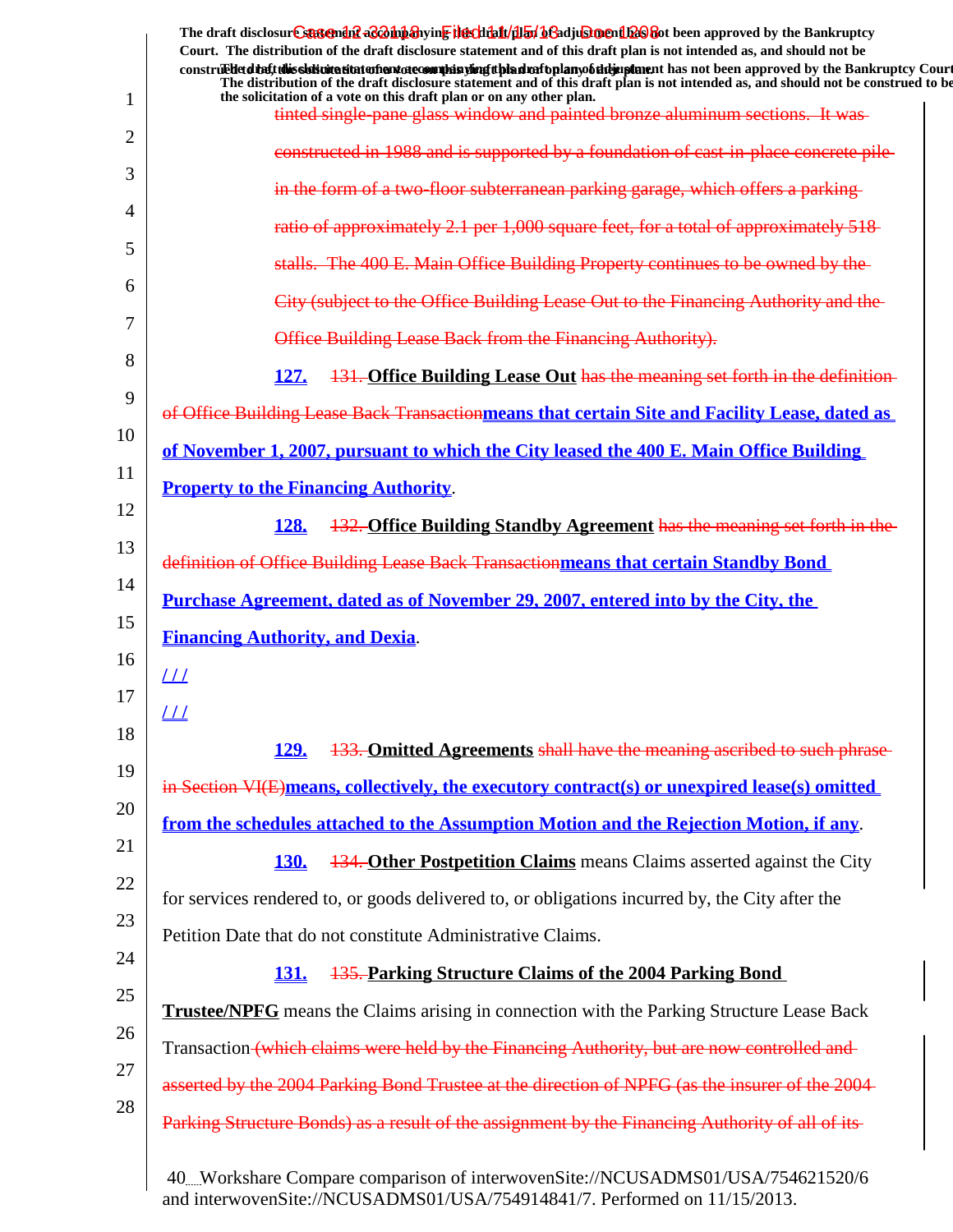|                                        | The draft disclosure sasement as a man and the client of the client of the client of the Bankruptcy<br>Court. The distribution of the draft disclosure statement and of this draft plan is not intended as, and should not be                                          |
|----------------------------------------|------------------------------------------------------------------------------------------------------------------------------------------------------------------------------------------------------------------------------------------------------------------------|
|                                        | construed detail this sidion at the model and other many displants of the detail and the model of the model of the Bankruptcy Court<br>The distribution of the draft disclosure statement and of this draft plan is not intended as, and should not be construed to be |
|                                        | the solicitation of a vote on this draft plan or on any other plan.<br>tinted single-pane glass window and painted bronze aluminum sections. It was-                                                                                                                   |
|                                        | constructed in 1988 and is supported by a foundation of cast-in-place concrete pile-                                                                                                                                                                                   |
|                                        | in the form of a two-floor subterranean parking garage, which offers a parking-                                                                                                                                                                                        |
|                                        |                                                                                                                                                                                                                                                                        |
|                                        | ratio of approximately 2.1 per 1,000 square feet, for a total of approximately 518                                                                                                                                                                                     |
|                                        | stalls. The 400 E. Main Office Building Property continues to be owned by the-                                                                                                                                                                                         |
|                                        | City (subject to the Office Building Lease Out to the Financing Authority and the                                                                                                                                                                                      |
|                                        | Office Building Lease Back from the Financing Authority).                                                                                                                                                                                                              |
| <b>127.</b>                            | 131. Office Building Lease Out has the meaning set forth in the definition-                                                                                                                                                                                            |
|                                        | of Office Building Lease Back Transactionmeans that certain Site and Facility Lease, dated as                                                                                                                                                                          |
|                                        | of November 1, 2007, pursuant to which the City leased the 400 E. Main Office Building                                                                                                                                                                                 |
|                                        | <b>Property to the Financing Authority.</b>                                                                                                                                                                                                                            |
| <b>128.</b>                            | 132. Office Building Standby Agreement has the meaning set forth in the                                                                                                                                                                                                |
|                                        | definition of Office Building Lease Back Transactionmeans that certain Standby Bond                                                                                                                                                                                    |
|                                        | <u>Purchase Agreement, dated as of November 29, 2007, entered into by the City, the</u>                                                                                                                                                                                |
|                                        |                                                                                                                                                                                                                                                                        |
| <b>Financing Authority, and Dexia.</b> |                                                                                                                                                                                                                                                                        |
| $_{LL}$                                |                                                                                                                                                                                                                                                                        |
| $_{III}$                               |                                                                                                                                                                                                                                                                        |
| <u>129.</u>                            | 133. Omitted Agreements shall have the meaning ascribed to such phrase                                                                                                                                                                                                 |
|                                        | in Section VI(E) means, collectively, the executory contract(s) or unexpired lease(s) omitted                                                                                                                                                                          |
|                                        | from the schedules attached to the Assumption Motion and the Rejection Motion, if any.                                                                                                                                                                                 |
| <b>130.</b>                            | <b>134. Other Postpetition Claims</b> means Claims asserted against the City                                                                                                                                                                                           |
|                                        | for services rendered to, or goods delivered to, or obligations incurred by, the City after the                                                                                                                                                                        |
|                                        | Petition Date that do not constitute Administrative Claims.                                                                                                                                                                                                            |
| <b>131.</b>                            | 135. Parking Structure Claims of the 2004 Parking Bond                                                                                                                                                                                                                 |
|                                        | <b>Trustee/NPFG</b> means the Claims arising in connection with the Parking Structure Lease Back                                                                                                                                                                       |
|                                        | Transaction (which claims were held by the Financing Authority, but are now controlled and                                                                                                                                                                             |
|                                        | asserted by the 2004 Parking Bond Trustee at the direction of NPFG (as the insurer of the 2004-                                                                                                                                                                        |

and interwovenSite://NCUSADMS01/USA/754914841/7. Performed on 11/15/2013.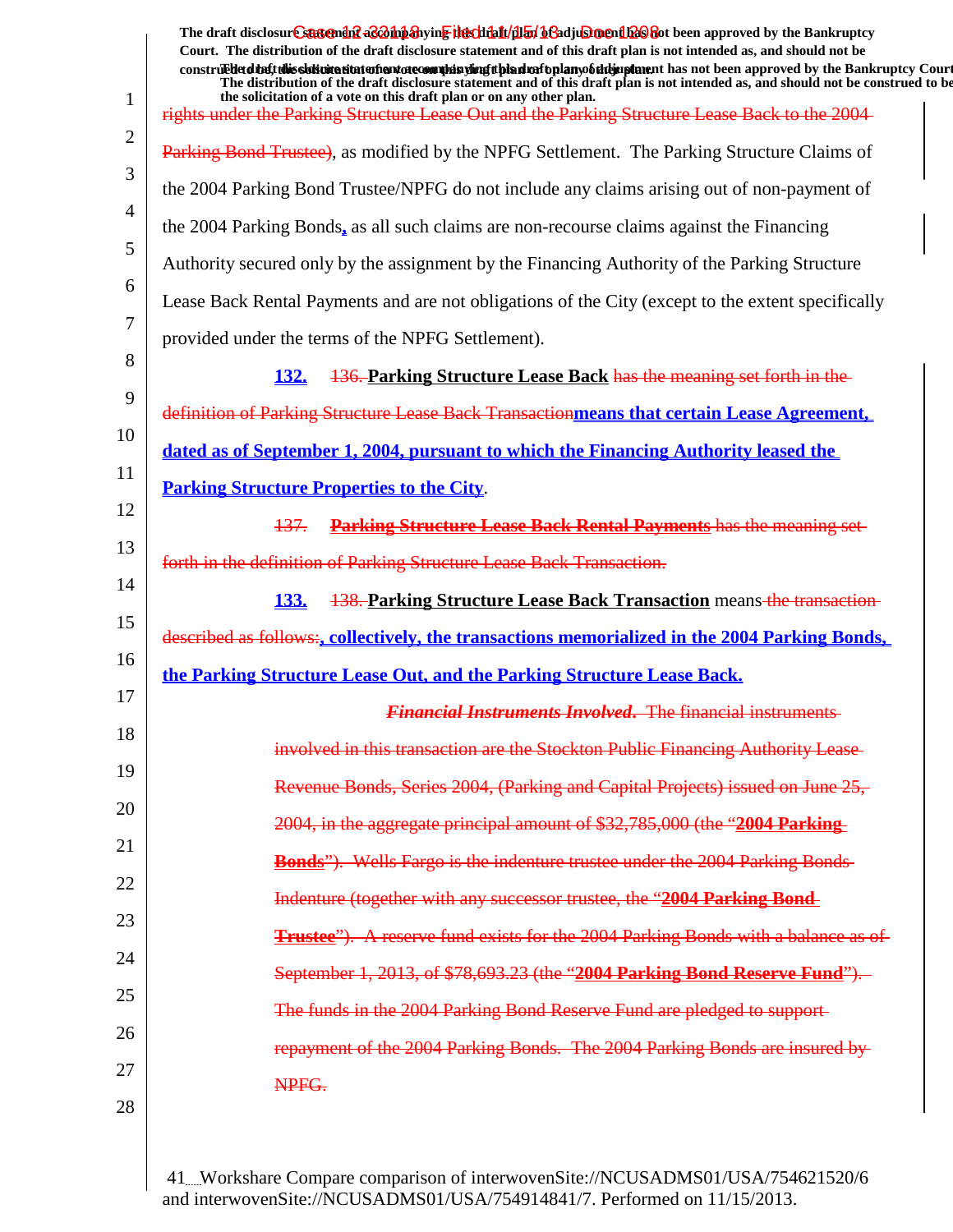|    | The draft disclosure suggended acompanying the climatical of adjustment has been approved by the Bankruptcy<br>Court. The distribution of the draft disclosure statement and of this draft plan is not intended as, and should not be<br>construed detail this sistimation and one of manifesting the hadrofoplany of the implement has not been approved by the Bankruptcy Court |
|----|-----------------------------------------------------------------------------------------------------------------------------------------------------------------------------------------------------------------------------------------------------------------------------------------------------------------------------------------------------------------------------------|
| 1  | The distribution of the draft disclosure statement and of this draft plan is not intended as, and should not be construed to be<br>the solicitation of a vote on this draft plan or on any other plan.<br>rights under the Parking Structure Lease Out and the Parking Structure Lease Back to the 2004-                                                                          |
| 2  |                                                                                                                                                                                                                                                                                                                                                                                   |
| 3  | Parking Bond Trustee), as modified by the NPFG Settlement. The Parking Structure Claims of                                                                                                                                                                                                                                                                                        |
| 4  | the 2004 Parking Bond Trustee/NPFG do not include any claims arising out of non-payment of                                                                                                                                                                                                                                                                                        |
| 5  | the 2004 Parking Bonds, as all such claims are non-recourse claims against the Financing                                                                                                                                                                                                                                                                                          |
| 6  | Authority secured only by the assignment by the Financing Authority of the Parking Structure                                                                                                                                                                                                                                                                                      |
| 7  | Lease Back Rental Payments and are not obligations of the City (except to the extent specifically                                                                                                                                                                                                                                                                                 |
| 8  | provided under the terms of the NPFG Settlement).                                                                                                                                                                                                                                                                                                                                 |
| 9  | 136. Parking Structure Lease Back has the meaning set forth in the<br><u>132.</u>                                                                                                                                                                                                                                                                                                 |
| 10 | definition of Parking Structure Lease Back Transactionmeans that certain Lease Agreement,                                                                                                                                                                                                                                                                                         |
| 11 | dated as of September 1, 2004, pursuant to which the Financing Authority leased the                                                                                                                                                                                                                                                                                               |
|    | <b>Parking Structure Properties to the City.</b>                                                                                                                                                                                                                                                                                                                                  |
| 12 | <b>Parking Structure Lease Back Rental Payments has the meaning set-</b><br><del>137.</del>                                                                                                                                                                                                                                                                                       |
| 13 | forth in the definition of Parking Structure Lease Back Transaction.                                                                                                                                                                                                                                                                                                              |
| 14 | <b>138. Parking Structure Lease Back Transaction means-the transaction-</b><br><b>133.</b>                                                                                                                                                                                                                                                                                        |
| 15 | described as follows:, collectively, the transactions memorialized in the 2004 Parking Bonds,                                                                                                                                                                                                                                                                                     |
| 16 | the Parking Structure Lease Out, and the Parking Structure Lease Back.                                                                                                                                                                                                                                                                                                            |
| 17 | <b>Financial Instruments Involved.</b> The financial instruments                                                                                                                                                                                                                                                                                                                  |
| 18 | involved in this transaction are the Stockton Public Financing Authority Lease-                                                                                                                                                                                                                                                                                                   |
| 19 | Revenue Bonds, Series 2004, (Parking and Capital Projects) issued on June 25,                                                                                                                                                                                                                                                                                                     |
| 20 | 2004, in the aggregate principal amount of \$32,785,000 (the "2004 Parking                                                                                                                                                                                                                                                                                                        |
| 21 | <b>Bonds</b> "). Wells Fargo is the indenture trustee under the 2004 Parking Bonds                                                                                                                                                                                                                                                                                                |
| 22 | Indenture (together with any successor trustee, the "2004 Parking Bond-                                                                                                                                                                                                                                                                                                           |
| 23 | Trustee"). A reserve fund exists for the 2004 Parking Bonds with a balance as of                                                                                                                                                                                                                                                                                                  |
| 24 | September 1, 2013, of \$78,693.23 (the "2004 Parking Bond Reserve Fund").                                                                                                                                                                                                                                                                                                         |
| 25 | The funds in the 2004 Parking Bond Reserve Fund are pledged to support-                                                                                                                                                                                                                                                                                                           |
| 26 | repayment of the 2004 Parking Bonds. The 2004 Parking Bonds are insured by                                                                                                                                                                                                                                                                                                        |
| 27 | NPFG.                                                                                                                                                                                                                                                                                                                                                                             |
| 28 |                                                                                                                                                                                                                                                                                                                                                                                   |
|    |                                                                                                                                                                                                                                                                                                                                                                                   |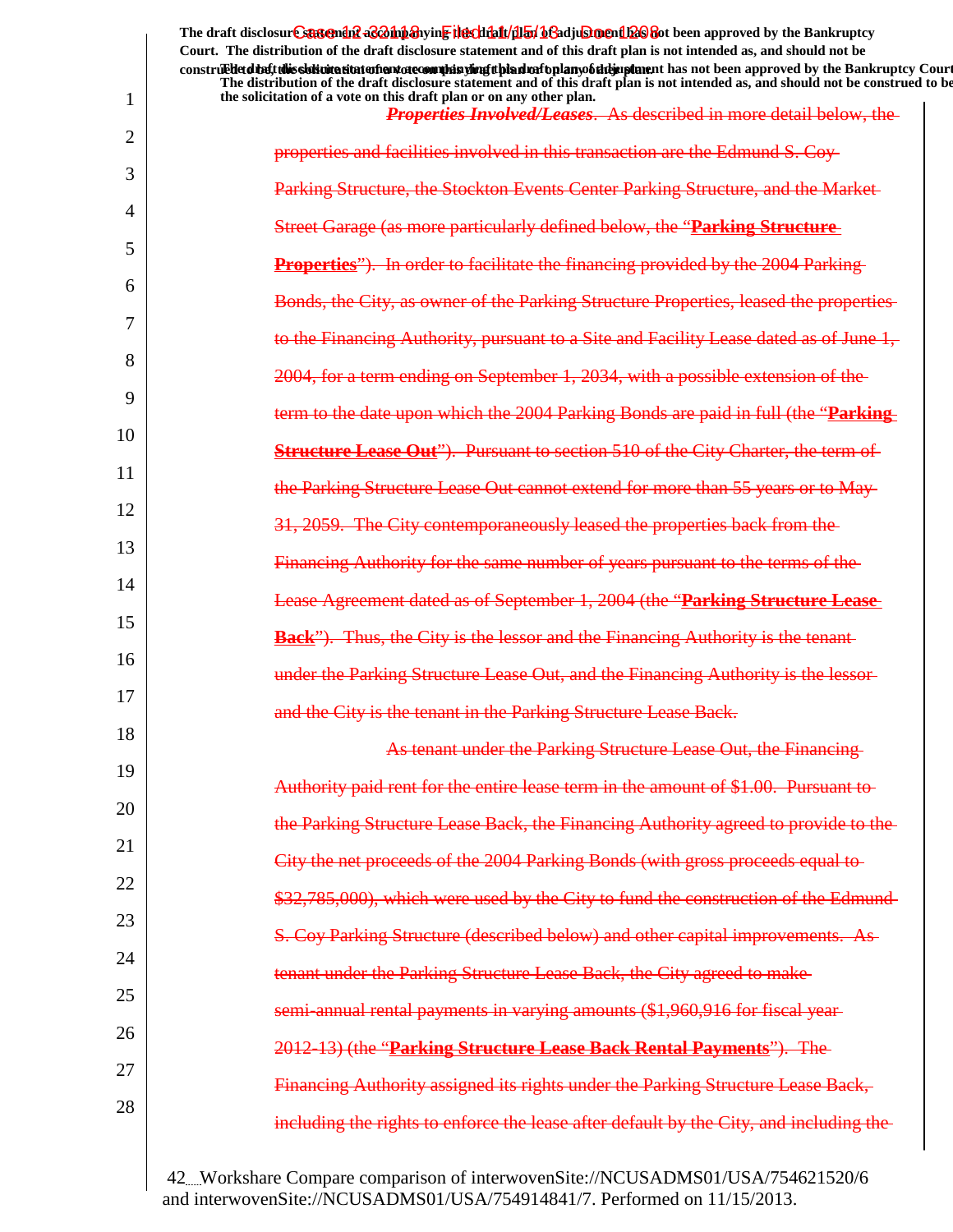|                | The draft disclosur Cantendal a & oh baying the click for began and a click of the Bankruptcy<br>Court. The distribution of the draft disclosure statement and of this draft plan is not intended as, and should not be                                                                                                                              |
|----------------|------------------------------------------------------------------------------------------------------------------------------------------------------------------------------------------------------------------------------------------------------------------------------------------------------------------------------------------------------|
| 1              | construedetdiety this sistimation and one of manifer and the hand of the hand of the manifestion and been approved by the Bankruptcy Court<br>The distribution of the draft disclosure statement and of this draft plan is not intended as, and should not be construed to be<br>the solicitation of a vote on this draft plan or on any other plan. |
|                | <b>Properties Involved/Leases.</b> As described in more detail below, the                                                                                                                                                                                                                                                                            |
| $\overline{2}$ | properties and facilities involved in this transaction are the Edmund S. Coy-                                                                                                                                                                                                                                                                        |
| 3              | Parking Structure, the Stockton Events Center Parking Structure, and the Market-                                                                                                                                                                                                                                                                     |
| 4              | Street Garage (as more particularly defined below, the "Parking Structure-                                                                                                                                                                                                                                                                           |
| 5              | <b>Properties</b> "). In order to facilitate the financing provided by the 2004 Parking                                                                                                                                                                                                                                                              |
| 6              | Bonds, the City, as owner of the Parking Structure Properties, leased the properties-                                                                                                                                                                                                                                                                |
| 7              | to the Financing Authority, pursuant to a Site and Facility Lease dated as of June 1,                                                                                                                                                                                                                                                                |
| 8              | 2004, for a term ending on September 1, 2034, with a possible extension of the                                                                                                                                                                                                                                                                       |
| 9              | term to the date upon which the 2004 Parking Bonds are paid in full (the "Parking-                                                                                                                                                                                                                                                                   |
| 10             | <b>Structure Lease Out"</b> ). Pursuant to section 510 of the City Charter, the term of                                                                                                                                                                                                                                                              |
| 11             | the Parking Structure Lease Out cannot extend for more than 55 years or to May-                                                                                                                                                                                                                                                                      |
| 12             | 31, 2059. The City contemporaneously leased the properties back from the                                                                                                                                                                                                                                                                             |
| 13             | <b>Financing Authority for the same number of years pursuant to the terms of the</b>                                                                                                                                                                                                                                                                 |
| 14             | Lease Agreement dated as of September 1, 2004 (the "Parking Structure Lease-                                                                                                                                                                                                                                                                         |
| 15             | Thus, the City is the lessor and the Financing Authority is the tenant-                                                                                                                                                                                                                                                                              |
| 16             | under the Parking Structure Lease Out, and the Financing Authority is the lessor-                                                                                                                                                                                                                                                                    |
| 17             | and the City is the tenant in the Parking Structure Lease Back.                                                                                                                                                                                                                                                                                      |
| 18             | As tenant under the Parking Structure Lease Out, the Financing-                                                                                                                                                                                                                                                                                      |
| 19             | Authority paid rent for the entire lease term in the amount of \$1.00. Pursuant to-                                                                                                                                                                                                                                                                  |
| 20             | the Parking Structure Lease Back, the Financing Authority agreed to provide to the-                                                                                                                                                                                                                                                                  |
| 21             | City the net proceeds of the 2004 Parking Bonds (with gross proceeds equal to-                                                                                                                                                                                                                                                                       |
| 22             | \$32,785,000), which were used by the City to fund the construction of the Edmund-                                                                                                                                                                                                                                                                   |
| 23             | S. Coy Parking Structure (described below) and other capital improvements. As-                                                                                                                                                                                                                                                                       |
| 24             | tenant under the Parking Structure Lease Back, the City agreed to make-                                                                                                                                                                                                                                                                              |
| 25             | semi-annual rental payments in varying amounts (\$1,960,916 for fiscal year-                                                                                                                                                                                                                                                                         |
| 26             | 2012-13) (the "Parking Structure Lease Back Rental Payments"). The                                                                                                                                                                                                                                                                                   |
| 27             | Financing Authority assigned its rights under the Parking Structure Lease Back,                                                                                                                                                                                                                                                                      |
| 28             | including the rights to enforce the lease after default by the City, and including the-                                                                                                                                                                                                                                                              |
|                |                                                                                                                                                                                                                                                                                                                                                      |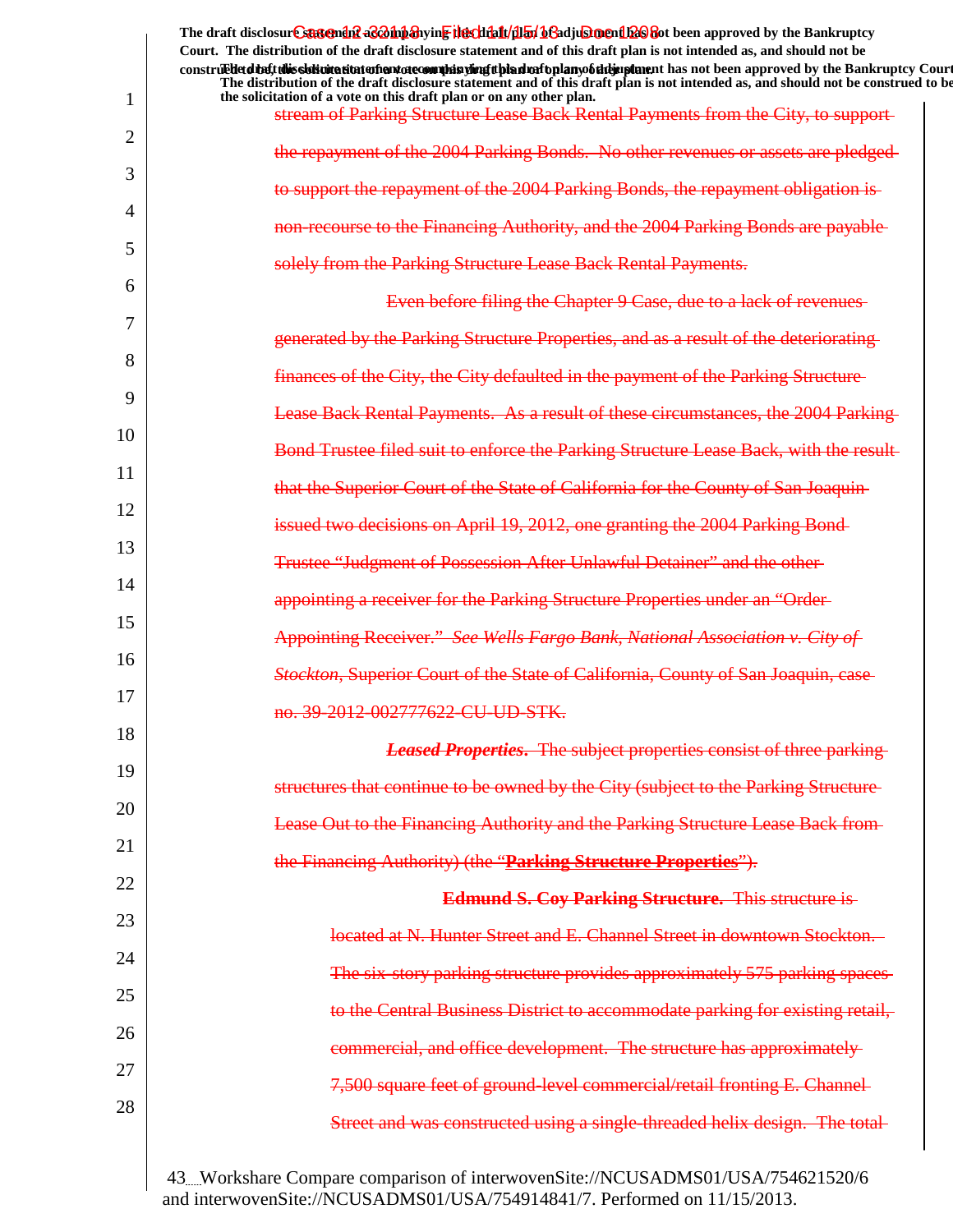|                | The draft disclosur Cantendal a control and the chieft and the chieft of a chieft of the Bankruptcy<br>Court. The distribution of the draft disclosure statement and of this draft plan is not intended as, and should not be                                                                                                                   |
|----------------|-------------------------------------------------------------------------------------------------------------------------------------------------------------------------------------------------------------------------------------------------------------------------------------------------------------------------------------------------|
|                | construedetding this sidion state of antarcomplisting the distribution of the importance in an order approved by the Bankruptcy Court<br>The distribution of the draft disclosure statement and of this draft plan is not intended as, and should not be construed to be<br>the solicitation of a vote on this draft plan or on any other plan. |
| 1              | stream of Parking Structure Lease Back Rental Payments from the City, to support-                                                                                                                                                                                                                                                               |
| $\overline{2}$ | the repayment of the 2004 Parking Bonds. No other revenues or assets are pledged-                                                                                                                                                                                                                                                               |
| 3              | to support the repayment of the 2004 Parking Bonds, the repayment obligation is-                                                                                                                                                                                                                                                                |
| 4              | non-recourse to the Financing Authority, and the 2004 Parking Bonds are payable-                                                                                                                                                                                                                                                                |
| 5              | solely from the Parking Structure Lease Back Rental Payments.                                                                                                                                                                                                                                                                                   |
| 6              | Even before filing the Chapter 9 Case, due to a lack of revenues                                                                                                                                                                                                                                                                                |
| 7              | generated by the Parking Structure Properties, and as a result of the deteriorating                                                                                                                                                                                                                                                             |
| 8              | finances of the City, the City defaulted in the payment of the Parking Structure                                                                                                                                                                                                                                                                |
| 9              | <b>Lease Back Rental Payments. As a result of these circumstances, the 2004 Parking</b>                                                                                                                                                                                                                                                         |
| 10             | Bond Trustee filed suit to enforce the Parking Structure Lease Back, with the result-                                                                                                                                                                                                                                                           |
| 11             | that the Superior Court of the State of California for the County of San Joaquin                                                                                                                                                                                                                                                                |
| 12             | issued two decisions on April 19, 2012, one granting the 2004 Parking Bond-                                                                                                                                                                                                                                                                     |
| 13             | Trustee "Judgment of Possession After Unlawful Detainer" and the other-                                                                                                                                                                                                                                                                         |
| 14             | appointing a receiver for the Parking Structure Properties under an "Order-                                                                                                                                                                                                                                                                     |
| 15             | <b>Appointing Receiver.</b> " See Wells Fargo Bank, National Association v. City of                                                                                                                                                                                                                                                             |
| 16             | <b>Stockton, Superior Court of the State of California, County of San Joaquin, case</b>                                                                                                                                                                                                                                                         |
| 17             | no. 39-2012-002777622-CU-UD-STK.                                                                                                                                                                                                                                                                                                                |
| 18             | <b>Leased Properties.</b> The subject properties consist of three parking                                                                                                                                                                                                                                                                       |
| 19             | structures that continue to be owned by the City (subject to the Parking Structure-                                                                                                                                                                                                                                                             |
| 20             | Lease Out to the Financing Authority and the Parking Structure Lease Back from-                                                                                                                                                                                                                                                                 |
| 21             | the Financing Authority) (the "Parking Structure Properties").                                                                                                                                                                                                                                                                                  |
| 22             | <b>Edmund S. Coy Parking Structure.</b> This structure is-                                                                                                                                                                                                                                                                                      |
| 23             | located at N. Hunter Street and E. Channel Street in downtown Stockton.                                                                                                                                                                                                                                                                         |
| 24             | The six-story parking structure provides approximately 575 parking spaces                                                                                                                                                                                                                                                                       |
| 25             | to the Central Business District to accommodate parking for existing retail,                                                                                                                                                                                                                                                                    |
| 26             | commercial, and office development. The structure has approximately-                                                                                                                                                                                                                                                                            |
| 27             | 7,500 square feet of ground-level commercial/retail fronting E. Channel-                                                                                                                                                                                                                                                                        |
| 28             | Street and was constructed using a single-threaded helix design. The total-                                                                                                                                                                                                                                                                     |
|                |                                                                                                                                                                                                                                                                                                                                                 |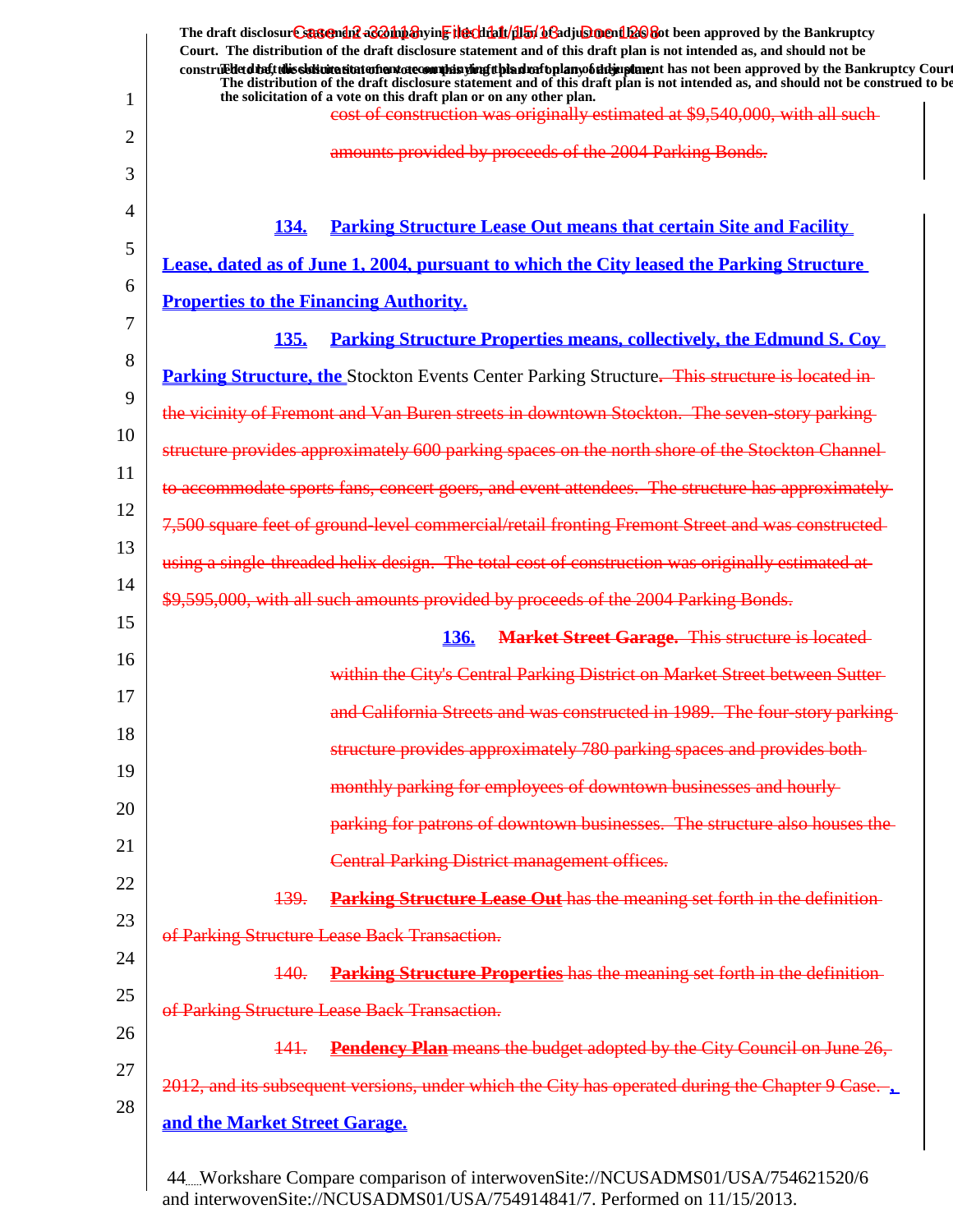|          | The draft disclosure statement as a hipshying the chialt/dial beadjusing in the approved by the Bankruptcy<br>Court. The distribution of the draft disclosure statement and of this draft plan is not intended as, and should not be<br>construed to the Bankruptcy Court              |
|----------|----------------------------------------------------------------------------------------------------------------------------------------------------------------------------------------------------------------------------------------------------------------------------------------|
| 1        | The distribution of the draft disclosure statement and of this draft plan is not intended as, and should not be construed to be<br>the solicitation of a vote on this draft plan or on any other plan.<br>cost of construction was originally estimated at \$9,540,000, with all such- |
| 2        | amounts provided by proceeds of the 2004 Parking Bonds.                                                                                                                                                                                                                                |
| 3        |                                                                                                                                                                                                                                                                                        |
| 4        | <b>Parking Structure Lease Out means that certain Site and Facility</b><br><b>134.</b>                                                                                                                                                                                                 |
| 5        | Lease, dated as of June 1, 2004, pursuant to which the City leased the Parking Structure                                                                                                                                                                                               |
| 6        | <b>Properties to the Financing Authority.</b>                                                                                                                                                                                                                                          |
| 7        | <b>135.</b><br><u>Parking Structure Properties means, collectively, the Edmund S. Coy</u>                                                                                                                                                                                              |
| 8        | <b>Parking Structure, the Stockton Events Center Parking Structure.</b> This structure is located in                                                                                                                                                                                   |
| 9        | the vicinity of Fremont and Van Buren streets in downtown Stockton. The seven-story parking-                                                                                                                                                                                           |
| 10       | structure provides approximately 600 parking spaces on the north shore of the Stockton Channel-                                                                                                                                                                                        |
| 11       | to accommodate sports fans, concert goers, and event attendees. The structure has approximately-                                                                                                                                                                                       |
| 12       | 7,500 square feet of ground-level commercial/retail fronting Fremont Street and was constructed-                                                                                                                                                                                       |
| 13       | using a single-threaded helix design. The total cost of construction was originally estimated at-                                                                                                                                                                                      |
| 14<br>15 | \$9,595,000, with all such amounts provided by proceeds of the 2004 Parking Bonds.                                                                                                                                                                                                     |
| 16       | <b>Market Street Garage.</b> This structure is located<br><b>136.</b>                                                                                                                                                                                                                  |
| 17       | within the City's Central Parking District on Market Street between Sutter-                                                                                                                                                                                                            |
| 18       | and California Streets and was constructed in 1989. The four-story parking-                                                                                                                                                                                                            |
| 19       | structure provides approximately 780 parking spaces and provides both-                                                                                                                                                                                                                 |
| 20       | monthly parking for employees of downtown businesses and hourly-                                                                                                                                                                                                                       |
| 21       | parking for patrons of downtown businesses. The structure also houses the                                                                                                                                                                                                              |
| 22       | <b>Central Parking District management offices.</b>                                                                                                                                                                                                                                    |
| 23       | <b>Parking Structure Lease Out</b> has the meaning set forth in the definition-<br><del>139.</del>                                                                                                                                                                                     |
| 24       | of Parking Structure Lease Back Transaction.                                                                                                                                                                                                                                           |
| 25       | <b>Parking Structure Properties</b> has the meaning set forth in the definition-<br><b>140.</b>                                                                                                                                                                                        |
| 26       | of Parking Structure Lease Back Transaction.                                                                                                                                                                                                                                           |
| 27       | Pendency Plan means the budget adopted by the City Council on June 26,<br>141.                                                                                                                                                                                                         |
| 28       | 2012, and its subsequent versions, under which the City has operated during the Chapter 9 Case.                                                                                                                                                                                        |
|          | and the Market Street Garage.                                                                                                                                                                                                                                                          |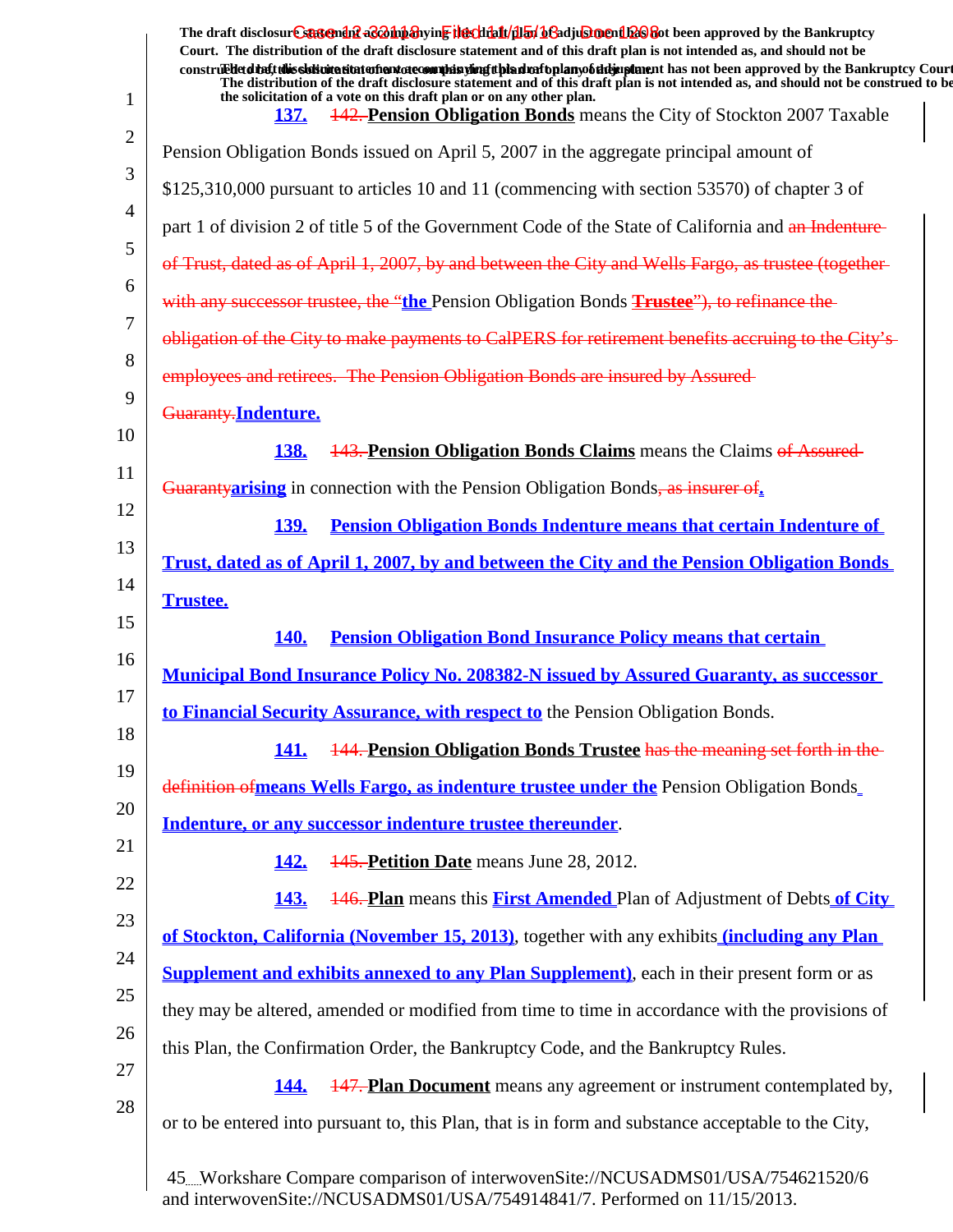| 1                          | The draft disclosure statement as a hipshying the chialt/dial beadjusing in the approved by the Bankruptcy<br>Court. The distribution of the draft disclosure statement and of this draft plan is not intended as, and should not be<br>construed detail this sistimation and one of manifesting the hadrofoplany of the implement has not been approved by the Bankruptcy Court<br>The distribution of the draft disclosure statement and of this draft plan is not intended as, and should not be construed to be<br>the solicitation of a vote on this draft plan or on any other plan. |
|----------------------------|--------------------------------------------------------------------------------------------------------------------------------------------------------------------------------------------------------------------------------------------------------------------------------------------------------------------------------------------------------------------------------------------------------------------------------------------------------------------------------------------------------------------------------------------------------------------------------------------|
| 2                          | <b>442. Pension Obligation Bonds</b> means the City of Stockton 2007 Taxable<br><b>137.</b>                                                                                                                                                                                                                                                                                                                                                                                                                                                                                                |
| 3                          | Pension Obligation Bonds issued on April 5, 2007 in the aggregate principal amount of                                                                                                                                                                                                                                                                                                                                                                                                                                                                                                      |
| 4                          | \$125,310,000 pursuant to articles 10 and 11 (commencing with section 53570) of chapter 3 of                                                                                                                                                                                                                                                                                                                                                                                                                                                                                               |
| 5                          | part 1 of division 2 of title 5 of the Government Code of the State of California and an Indenture-                                                                                                                                                                                                                                                                                                                                                                                                                                                                                        |
|                            | of Trust, dated as of April 1, 2007, by and between the City and Wells Fargo, as trustee (together-                                                                                                                                                                                                                                                                                                                                                                                                                                                                                        |
| 6                          | with any successor trustee, the "the Pension Obligation Bonds Trustee"), to refinance the                                                                                                                                                                                                                                                                                                                                                                                                                                                                                                  |
| 7                          | obligation of the City to make payments to CalPERS for retirement benefits accruing to the City's-                                                                                                                                                                                                                                                                                                                                                                                                                                                                                         |
| 8                          | employees and retirees. The Pension Obligation Bonds are insured by Assured-                                                                                                                                                                                                                                                                                                                                                                                                                                                                                                               |
| 9                          | Guaranty.Indenture.                                                                                                                                                                                                                                                                                                                                                                                                                                                                                                                                                                        |
| 10                         | <b>143. Pension Obligation Bonds Claims</b> means the Claims of Assured<br><b>138.</b>                                                                                                                                                                                                                                                                                                                                                                                                                                                                                                     |
| 11                         | Guaranty arising in connection with the Pension Obligation Bonds, as insurer $of$ .                                                                                                                                                                                                                                                                                                                                                                                                                                                                                                        |
| 12                         | <b>Pension Obligation Bonds Indenture means that certain Indenture of</b><br><b>139.</b>                                                                                                                                                                                                                                                                                                                                                                                                                                                                                                   |
| 13                         | <u>Trust, dated as of April 1, 2007, by and between the City and the Pension Obligation Bonds</u>                                                                                                                                                                                                                                                                                                                                                                                                                                                                                          |
| 14                         | <b>Trustee.</b>                                                                                                                                                                                                                                                                                                                                                                                                                                                                                                                                                                            |
| 15                         | <b>Pension Obligation Bond Insurance Policy means that certain</b><br><b>140.</b>                                                                                                                                                                                                                                                                                                                                                                                                                                                                                                          |
| 16                         | <b>Municipal Bond Insurance Policy No. 208382-N issued by Assured Guaranty, as successor</b>                                                                                                                                                                                                                                                                                                                                                                                                                                                                                               |
| 17                         | to Financial Security Assurance, with respect to the Pension Obligation Bonds.                                                                                                                                                                                                                                                                                                                                                                                                                                                                                                             |
| 18                         | 144. Pension Obligation Bonds Trustee has the meaning set forth in the<br><b>141.</b>                                                                                                                                                                                                                                                                                                                                                                                                                                                                                                      |
| 19                         | definition of means Wells Fargo, as indenture trustee under the Pension Obligation Bonds                                                                                                                                                                                                                                                                                                                                                                                                                                                                                                   |
| 20                         | Indenture, or any successor indenture trustee thereunder.                                                                                                                                                                                                                                                                                                                                                                                                                                                                                                                                  |
| 21                         | 145. Petition Date means June 28, 2012.<br><u>142.</u>                                                                                                                                                                                                                                                                                                                                                                                                                                                                                                                                     |
| 22                         | <b>146. Plan</b> means this <b>First Amended</b> Plan of Adjustment of Debts of City<br><b>143.</b>                                                                                                                                                                                                                                                                                                                                                                                                                                                                                        |
| 23                         | of Stockton, California (November 15, 2013), together with any exhibits <i>(including any Plan</i>                                                                                                                                                                                                                                                                                                                                                                                                                                                                                         |
|                            |                                                                                                                                                                                                                                                                                                                                                                                                                                                                                                                                                                                            |
|                            | <b>Supplement and exhibits annexed to any Plan Supplement</b> ), each in their present form or as                                                                                                                                                                                                                                                                                                                                                                                                                                                                                          |
|                            | they may be altered, amended or modified from time to time in accordance with the provisions of                                                                                                                                                                                                                                                                                                                                                                                                                                                                                            |
|                            | this Plan, the Confirmation Order, the Bankruptcy Code, and the Bankruptcy Rules.                                                                                                                                                                                                                                                                                                                                                                                                                                                                                                          |
|                            | <b>147. Plan Document</b> means any agreement or instrument contemplated by,<br>144.                                                                                                                                                                                                                                                                                                                                                                                                                                                                                                       |
| 24<br>25<br>26<br>27<br>28 | or to be entered into pursuant to, this Plan, that is in form and substance acceptable to the City,                                                                                                                                                                                                                                                                                                                                                                                                                                                                                        |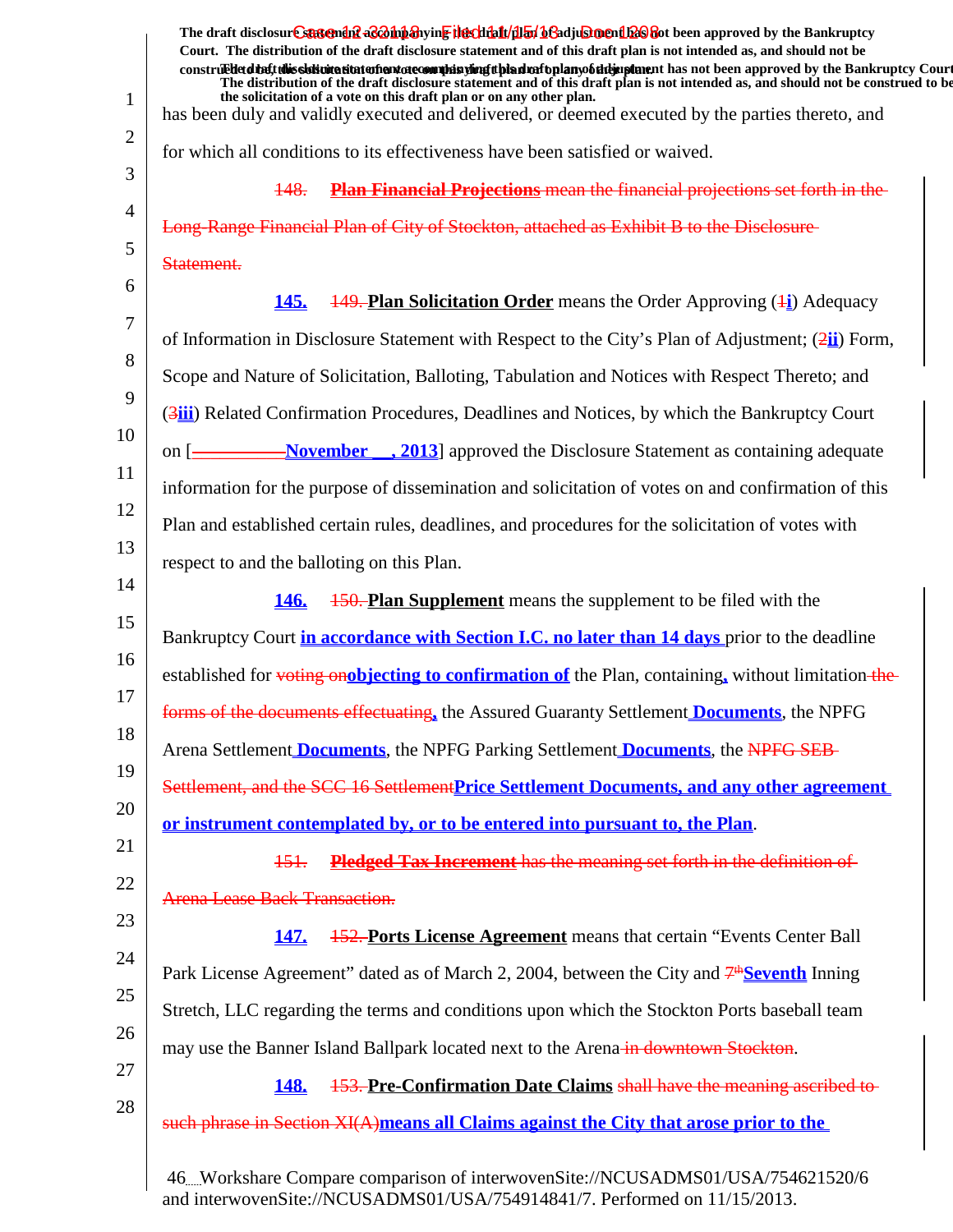|                | The draft disclosure sartendiff as <i>Dubb</i> ing in Files that (dlan beladjust not had been approved by the Bankruptcy<br>Court. The distribution of the draft disclosure statement and of this draft plan is not intended as, and should not be<br>construedetdinent this sistimite situte of environment is purposed in the hand of the part of the manner in an order in proved by the Bankruptcy Court |
|----------------|--------------------------------------------------------------------------------------------------------------------------------------------------------------------------------------------------------------------------------------------------------------------------------------------------------------------------------------------------------------------------------------------------------------|
|                | The distribution of the draft disclosure statement and of this draft plan is not intended as, and should not be construed to be<br>the solicitation of a vote on this draft plan or on any other plan.                                                                                                                                                                                                       |
| $\mathbf{1}$   | has been duly and validly executed and delivered, or deemed executed by the parties thereto, and                                                                                                                                                                                                                                                                                                             |
| $\overline{2}$ | for which all conditions to its effectiveness have been satisfied or waived.                                                                                                                                                                                                                                                                                                                                 |
| 3              | <b>Plan Financial Projections</b> mean the financial projections set forth in the<br>148.                                                                                                                                                                                                                                                                                                                    |
| 4              | Long-Range Financial Plan of City of Stockton, attached as Exhibit B to the Disclosure                                                                                                                                                                                                                                                                                                                       |
| 5              | Statement.                                                                                                                                                                                                                                                                                                                                                                                                   |
| 6              | <b>149. Plan Solicitation Order</b> means the Order Approving $(1)$ Adequacy<br><u>145.</u>                                                                                                                                                                                                                                                                                                                  |
| 7              | of Information in Disclosure Statement with Respect to the City's Plan of Adjustment; (2ii) Form,                                                                                                                                                                                                                                                                                                            |
| 8              | Scope and Nature of Solicitation, Balloting, Tabulation and Notices with Respect Thereto; and                                                                                                                                                                                                                                                                                                                |
| 9              | (3iii) Related Confirmation Procedures, Deadlines and Notices, by which the Bankruptcy Court                                                                                                                                                                                                                                                                                                                 |
| 10             | on [ <u>November, 2013</u> ] approved the Disclosure Statement as containing adequate                                                                                                                                                                                                                                                                                                                        |
| 11             | information for the purpose of dissemination and solicitation of votes on and confirmation of this                                                                                                                                                                                                                                                                                                           |
| 12             | Plan and established certain rules, deadlines, and procedures for the solicitation of votes with                                                                                                                                                                                                                                                                                                             |
| 13             | respect to and the balloting on this Plan.                                                                                                                                                                                                                                                                                                                                                                   |
| 14             | <b>150. Plan Supplement</b> means the supplement to be filed with the<br><b>146.</b>                                                                                                                                                                                                                                                                                                                         |
| 15             | Bankruptcy Court in accordance with Section I.C. no later than 14 days prior to the deadline                                                                                                                                                                                                                                                                                                                 |
| 16             | established for voting onobjecting to confirmation of the Plan, containing, without limitation-the-                                                                                                                                                                                                                                                                                                          |
| 17             | forms of the documents effectuating, the Assured Guaranty Settlement <b>Documents</b> , the NPFG                                                                                                                                                                                                                                                                                                             |
| 18             | Arena Settlement <b>Documents</b> , the NPFG Parking Settlement <b>Documents</b> , the NPFG SEB-                                                                                                                                                                                                                                                                                                             |
| 19             | Settlement, and the SCC 16 Settlement Price Settlement Documents, and any other agreement                                                                                                                                                                                                                                                                                                                    |
| 20             | or instrument contemplated by, or to be entered into pursuant to, the Plan.                                                                                                                                                                                                                                                                                                                                  |
| 21             | Pledged Tax Increment has the meaning set forth in the definition of<br>151.                                                                                                                                                                                                                                                                                                                                 |
| 22             | <b>Arena Lease Back Transaction.</b>                                                                                                                                                                                                                                                                                                                                                                         |
| 23             | <b>152. Ports License Agreement</b> means that certain "Events Center Ball"<br><b>147.</b>                                                                                                                                                                                                                                                                                                                   |
| 24             | Park License Agreement" dated as of March 2, 2004, between the City and $7^{\text{th}}$ Seventh Inning                                                                                                                                                                                                                                                                                                       |
| 25             | Stretch, LLC regarding the terms and conditions upon which the Stockton Ports baseball team                                                                                                                                                                                                                                                                                                                  |
| 26             | may use the Banner Island Ballpark located next to the Arena-in-downtown Stockton.                                                                                                                                                                                                                                                                                                                           |
| 27             | 153. Pre-Confirmation Date Claims shall have the meaning ascribed to-<br><b>148.</b>                                                                                                                                                                                                                                                                                                                         |
| 28             | such phrase in Section XI(A)means all Claims against the City that arose prior to the                                                                                                                                                                                                                                                                                                                        |
|                | 46. Workshare Compare comparison of interwovenSite://NCUSADMS01/USA/754621520/6                                                                                                                                                                                                                                                                                                                              |

and interwovenSite://NCUSADMS01/USA/754914841/7. Performed on 11/15/2013.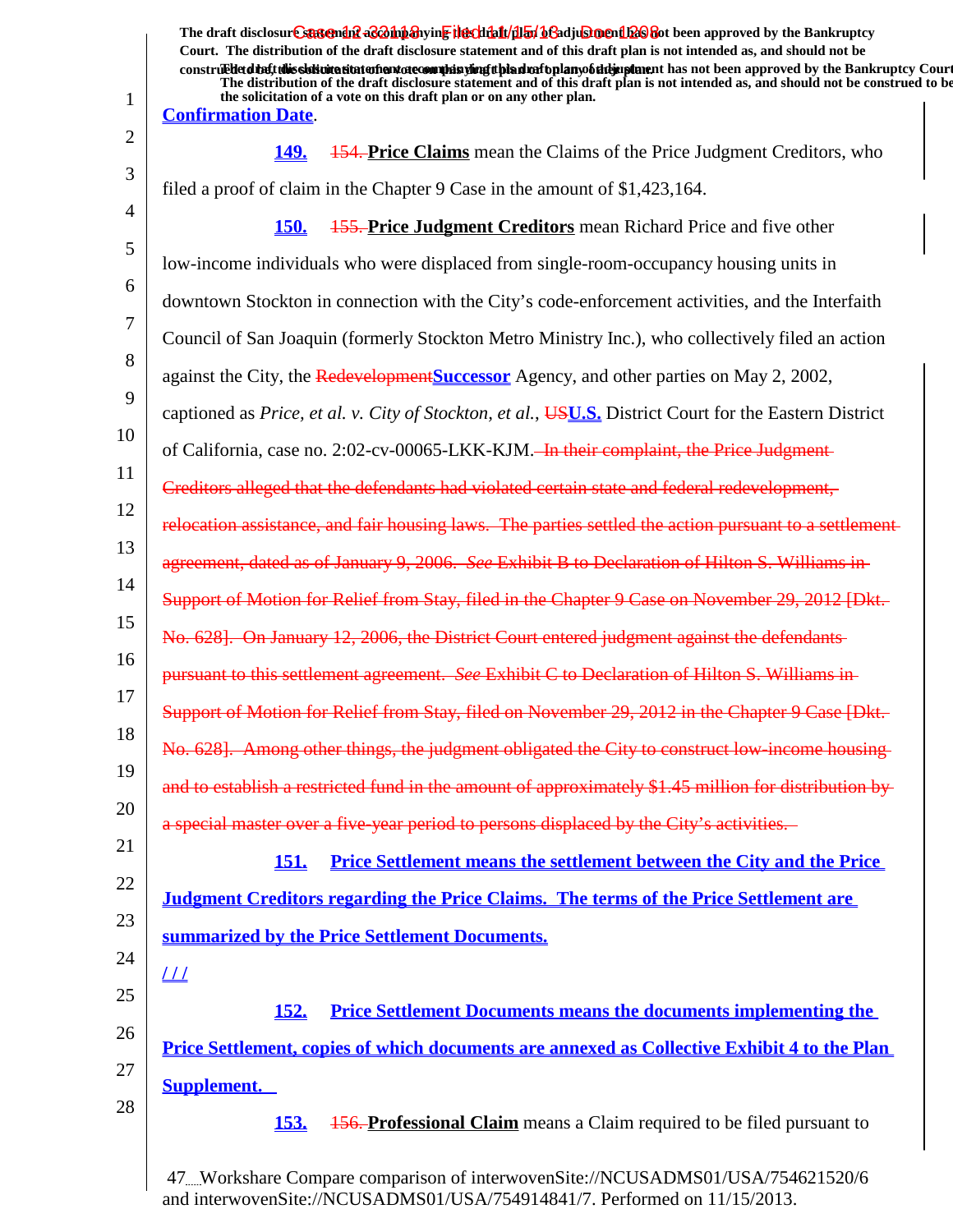| $\mathbf{1}$ | The draft disclosure sartendiff a coning the chialt (illar) be adjustment to be approved by the Bankruptcy<br>Court. The distribution of the draft disclosure statement and of this draft plan is not intended as, and should not be<br>construed that this sidivitation and are completed in the deal and the construction of the paper of the Bankruptcy Court<br>The distribution of the draft disclosure statement and of this draft plan is not intended as, and should not be construed to be<br>the solicitation of a vote on this draft plan or on any other plan.<br><b>Confirmation Date.</b> |
|--------------|---------------------------------------------------------------------------------------------------------------------------------------------------------------------------------------------------------------------------------------------------------------------------------------------------------------------------------------------------------------------------------------------------------------------------------------------------------------------------------------------------------------------------------------------------------------------------------------------------------|
| 2            | <b>154. Price Claims</b> mean the Claims of the Price Judgment Creditors, who<br><u>149.</u>                                                                                                                                                                                                                                                                                                                                                                                                                                                                                                            |
| 3            | filed a proof of claim in the Chapter 9 Case in the amount of \$1,423,164.                                                                                                                                                                                                                                                                                                                                                                                                                                                                                                                              |
| 4            | <b>155. Price Judgment Creditors</b> mean Richard Price and five other<br><b>150.</b>                                                                                                                                                                                                                                                                                                                                                                                                                                                                                                                   |
| 5            | low-income individuals who were displaced from single-room-occupancy housing units in                                                                                                                                                                                                                                                                                                                                                                                                                                                                                                                   |
| 6            | downtown Stockton in connection with the City's code-enforcement activities, and the Interfaith                                                                                                                                                                                                                                                                                                                                                                                                                                                                                                         |
| 7            | Council of San Joaquin (formerly Stockton Metro Ministry Inc.), who collectively filed an action                                                                                                                                                                                                                                                                                                                                                                                                                                                                                                        |
| 8            | against the City, the Redevelopment Successor Agency, and other parties on May 2, 2002,                                                                                                                                                                                                                                                                                                                                                                                                                                                                                                                 |
| 9            | captioned as Price, et al. v. City of Stockton, et al., <b>USU.S.</b> District Court for the Eastern District                                                                                                                                                                                                                                                                                                                                                                                                                                                                                           |
| 10           | of California, case no. 2:02-cv-00065-LKK-KJM. <del> In their complaint, the Price Judgment</del>                                                                                                                                                                                                                                                                                                                                                                                                                                                                                                       |
| 11           | Creditors alleged that the defendants had violated certain state and federal redevelopment,                                                                                                                                                                                                                                                                                                                                                                                                                                                                                                             |
| 12           | relocation assistance, and fair housing laws. The parties settled the action pursuant to a settlement-                                                                                                                                                                                                                                                                                                                                                                                                                                                                                                  |
| 13           | agreement, dated as of January 9, 2006. See Exhibit B to Declaration of Hilton S. Williams in-                                                                                                                                                                                                                                                                                                                                                                                                                                                                                                          |
| 14           | Support of Motion for Relief from Stay, filed in the Chapter 9 Case on November 29, 2012 [Dkt.-                                                                                                                                                                                                                                                                                                                                                                                                                                                                                                         |
| 15           | No. 628]. On January 12, 2006, the District Court entered judgment against the defendants                                                                                                                                                                                                                                                                                                                                                                                                                                                                                                               |
| 16           | pursuant to this settlement agreement. See Exhibit C to Declaration of Hilton S. Williams in-                                                                                                                                                                                                                                                                                                                                                                                                                                                                                                           |
| 17           | Support of Motion for Relief from Stay, filed on November 29, 2012 in the Chapter 9 Case [Dkt.                                                                                                                                                                                                                                                                                                                                                                                                                                                                                                          |
| 18           | No. 628]. Among other things, the judgment obligated the City to construct low-income housing-                                                                                                                                                                                                                                                                                                                                                                                                                                                                                                          |
| 19           | and to establish a restricted fund in the amount of approximately \$1.45 million for distribution by-                                                                                                                                                                                                                                                                                                                                                                                                                                                                                                   |
| 20           | a special master over a five-year period to persons displaced by the City's activities.                                                                                                                                                                                                                                                                                                                                                                                                                                                                                                                 |
| 21           | <b>Price Settlement means the settlement between the City and the Price</b><br><u>151.</u>                                                                                                                                                                                                                                                                                                                                                                                                                                                                                                              |
| 22           | <b>Judgment Creditors regarding the Price Claims. The terms of the Price Settlement are</b>                                                                                                                                                                                                                                                                                                                                                                                                                                                                                                             |
| 23           | summarized by the Price Settlement Documents.                                                                                                                                                                                                                                                                                                                                                                                                                                                                                                                                                           |
| 24           | $\perp\!\!\!\perp$                                                                                                                                                                                                                                                                                                                                                                                                                                                                                                                                                                                      |
| 25           | <b>Price Settlement Documents means the documents implementing the</b><br><u>152.</u>                                                                                                                                                                                                                                                                                                                                                                                                                                                                                                                   |
| 26           | <b>Price Settlement, copies of which documents are annexed as Collective Exhibit 4 to the Plan</b>                                                                                                                                                                                                                                                                                                                                                                                                                                                                                                      |
| 27           | <b>Supplement.</b>                                                                                                                                                                                                                                                                                                                                                                                                                                                                                                                                                                                      |
| 28           | <b>156. Professional Claim</b> means a Claim required to be filed pursuant to<br><u>153.</u>                                                                                                                                                                                                                                                                                                                                                                                                                                                                                                            |
|              |                                                                                                                                                                                                                                                                                                                                                                                                                                                                                                                                                                                                         |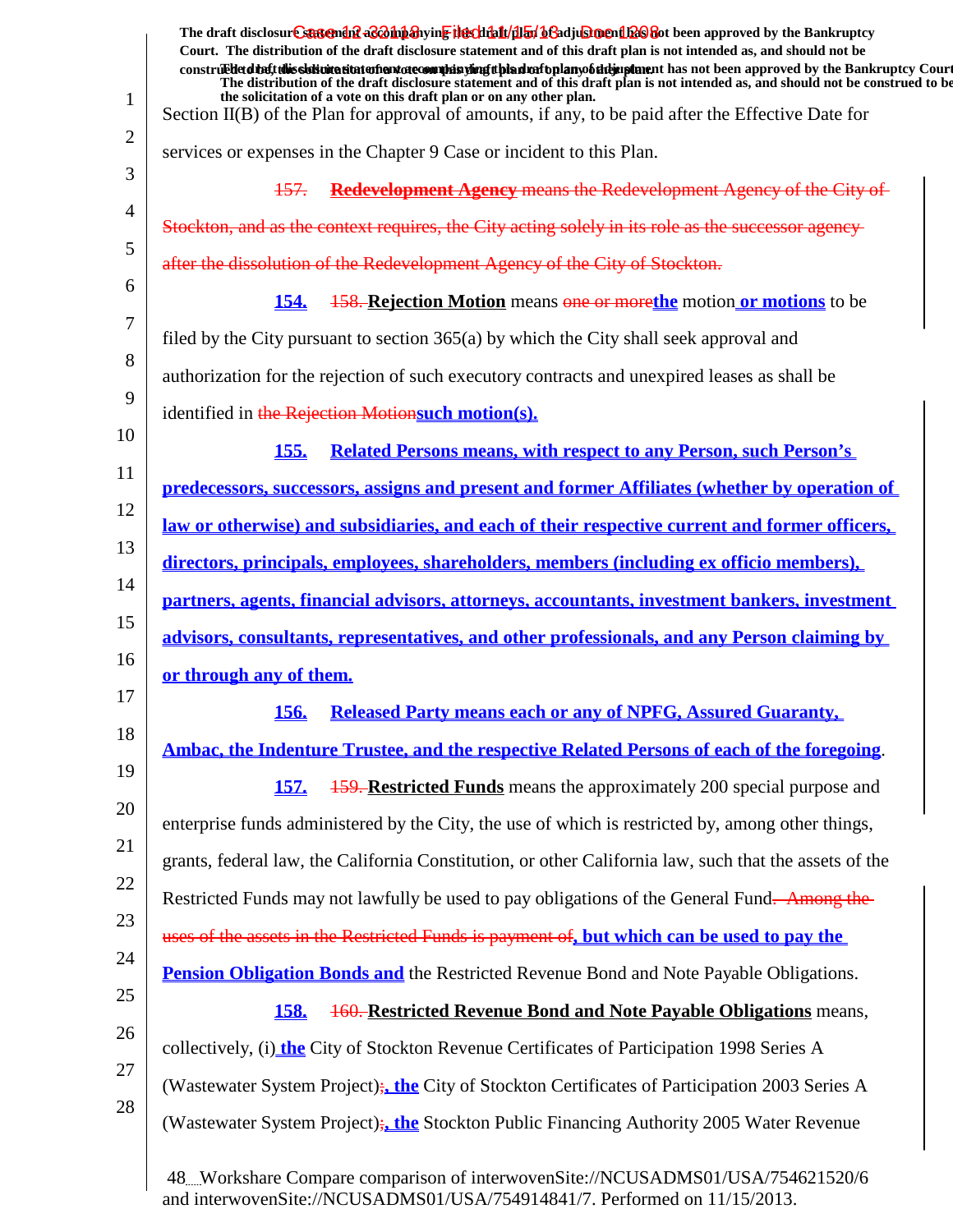|                | The draft disclosure suggended acompanying the climatical of adjustment been approved by the Bankruptcy<br>Court. The distribution of the draft disclosure statement and of this draft plan is not intended as, and should not be<br>construedetdiate this signification at the manufacture of the signification of the manufacture in the star approved by the Bankruptcy Court<br>The distribution of the draft disclosure statement and of this draft plan is not intended as, and should not be construed to be |
|----------------|---------------------------------------------------------------------------------------------------------------------------------------------------------------------------------------------------------------------------------------------------------------------------------------------------------------------------------------------------------------------------------------------------------------------------------------------------------------------------------------------------------------------|
| $\mathbf{1}$   | the solicitation of a vote on this draft plan or on any other plan.<br>Section II(B) of the Plan for approval of amounts, if any, to be paid after the Effective Date for                                                                                                                                                                                                                                                                                                                                           |
| 2              | services or expenses in the Chapter 9 Case or incident to this Plan.                                                                                                                                                                                                                                                                                                                                                                                                                                                |
| 3              | 157. Redevelopment Agency means the Redevelopment Agency of the City of                                                                                                                                                                                                                                                                                                                                                                                                                                             |
| $\overline{4}$ | Stockton, and as the context requires, the City acting solely in its role as the successor agency                                                                                                                                                                                                                                                                                                                                                                                                                   |
| 5              | after the dissolution of the Redevelopment Agency of the City of Stockton.                                                                                                                                                                                                                                                                                                                                                                                                                                          |
| 6              | <b>158. Rejection Motion</b> means one or more the motion or motions to be<br><b>154.</b>                                                                                                                                                                                                                                                                                                                                                                                                                           |
| 7              | filed by the City pursuant to section 365(a) by which the City shall seek approval and                                                                                                                                                                                                                                                                                                                                                                                                                              |
| 8              | authorization for the rejection of such executory contracts and unexpired leases as shall be                                                                                                                                                                                                                                                                                                                                                                                                                        |
| 9              | identified in the Rejection Motionsuch motion(s).                                                                                                                                                                                                                                                                                                                                                                                                                                                                   |
| 10             | <b>Related Persons means, with respect to any Person, such Person's</b><br><b>155.</b>                                                                                                                                                                                                                                                                                                                                                                                                                              |
| 11             | predecessors, successors, assigns and present and former Affiliates (whether by operation of                                                                                                                                                                                                                                                                                                                                                                                                                        |
| 12             | <u>law or otherwise) and subsidiaries, and each of their respective current and former officers,</u>                                                                                                                                                                                                                                                                                                                                                                                                                |
| 13             | directors, principals, employees, shareholders, members (including ex officio members),                                                                                                                                                                                                                                                                                                                                                                                                                             |
| 14             | <u>partners, agents, financial advisors, attorneys, accountants, investment bankers, investment</u>                                                                                                                                                                                                                                                                                                                                                                                                                 |
| 15             | advisors, consultants, representatives, and other professionals, and any Person claiming by                                                                                                                                                                                                                                                                                                                                                                                                                         |
| 16             | or through any of them.                                                                                                                                                                                                                                                                                                                                                                                                                                                                                             |
| 17             | 156. Released Party means each or any of NPFG, Assured Guaranty,                                                                                                                                                                                                                                                                                                                                                                                                                                                    |
| 18             | Ambac, the Indenture Trustee, and the respective Related Persons of each of the foregoing.                                                                                                                                                                                                                                                                                                                                                                                                                          |
| 19             | <b>159. Restricted Funds</b> means the approximately 200 special purpose and<br><b>157.</b>                                                                                                                                                                                                                                                                                                                                                                                                                         |
| 20             | enterprise funds administered by the City, the use of which is restricted by, among other things,                                                                                                                                                                                                                                                                                                                                                                                                                   |
| 21             | grants, federal law, the California Constitution, or other California law, such that the assets of the                                                                                                                                                                                                                                                                                                                                                                                                              |
| 22             | Restricted Funds may not lawfully be used to pay obligations of the General Fund. Among the                                                                                                                                                                                                                                                                                                                                                                                                                         |
| 23             | uses of the assets in the Restricted Funds is payment of, but which can be used to pay the                                                                                                                                                                                                                                                                                                                                                                                                                          |
| 24             | <b>Pension Obligation Bonds and the Restricted Revenue Bond and Note Payable Obligations.</b>                                                                                                                                                                                                                                                                                                                                                                                                                       |
| 25             | <b>160. Restricted Revenue Bond and Note Payable Obligations</b> means,<br><b>158.</b>                                                                                                                                                                                                                                                                                                                                                                                                                              |
| 26             | collectively, (i) the City of Stockton Revenue Certificates of Participation 1998 Series A                                                                                                                                                                                                                                                                                                                                                                                                                          |
| 27             | (Wastewater System Project); the City of Stockton Certificates of Participation 2003 Series A                                                                                                                                                                                                                                                                                                                                                                                                                       |
| 28             | (Wastewater System Project); the Stockton Public Financing Authority 2005 Water Revenue                                                                                                                                                                                                                                                                                                                                                                                                                             |
|                | 48Workshare Compare comparison of interwovenSite://NCUSADMS01/USA/754621520/6                                                                                                                                                                                                                                                                                                                                                                                                                                       |

and interwovenSite://NCUSADMS01/USA/754914841/7. Performed on 11/15/2013.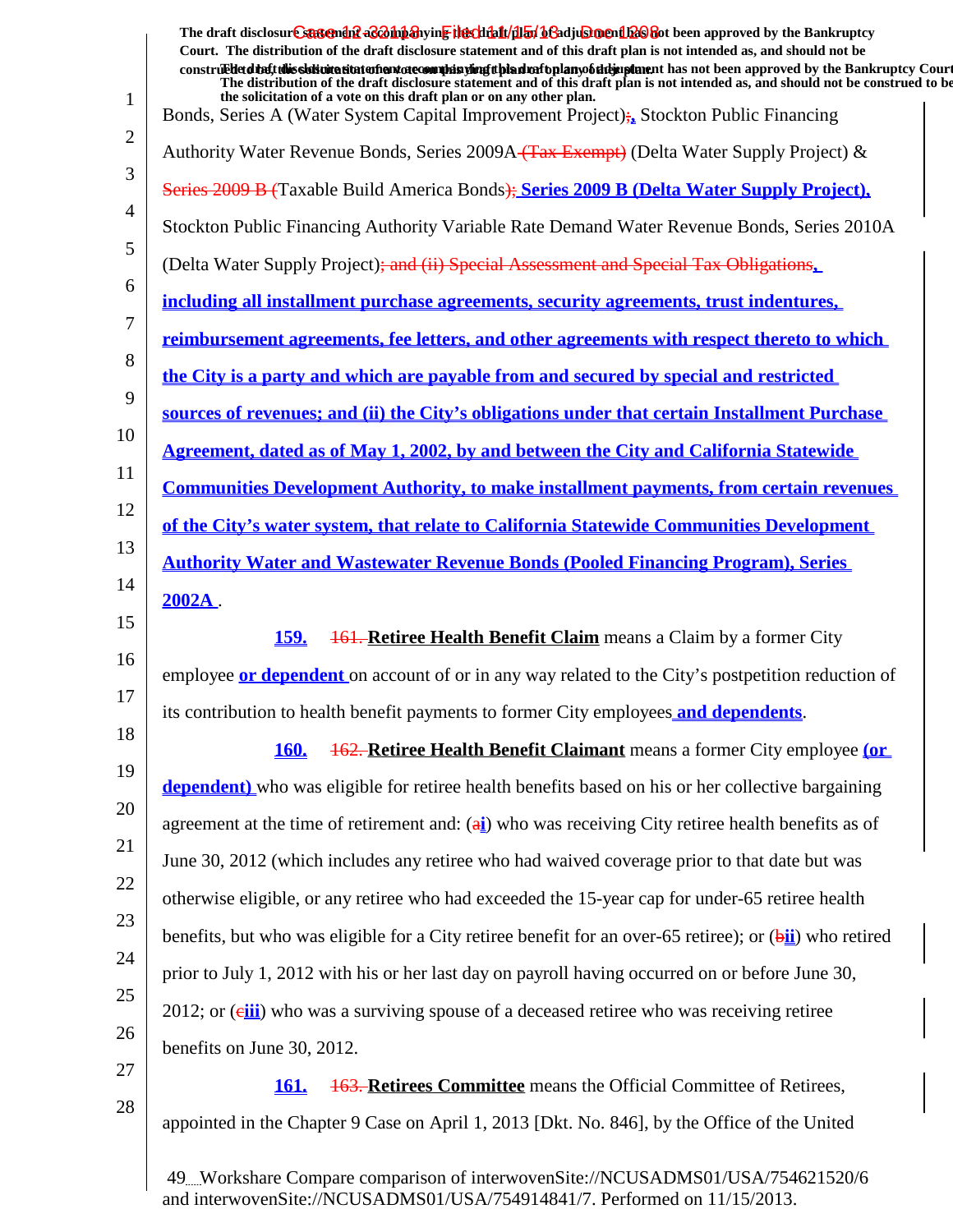1 2 3 4 5 6 7 8 9 10 11 12 13 14 15 16 17 18 19 20 21 22 23 24 25 26 27 28 The draft disclosur<del>t Suggendn2 aC201np3</del>hyin<mark>e the chip11/1151/163adjushorenth26</mark>860t been approved by the Bankruptcy **Court. The distribution of the draft disclosure statement and of this draft plan is not intended as, and should not be** construed to the solicit this solicitation to the number of the solution of the draft plan of the dramatic disclosure in the statement of the Bankruptcy Court. **The distribution of the draft disclosure statement and of this draft plan is not intended as, and should not be construed to be, the solicitation of a vote on this draft plan or on any other plan.** Bonds, Series A (Water System Capital Improvement Project);**,** Stockton Public Financing Authority Water Revenue Bonds, Series 2009A (Tax Exempt) (Delta Water Supply Project) & Series 2009 B (Taxable Build America Bonds); **Series 2009 B (Delta Water Supply Project),** Stockton Public Financing Authority Variable Rate Demand Water Revenue Bonds, Series 2010A (Delta Water Supply Project); and (ii) Special Assessment and Special Tax Obligations**, including all installment purchase agreements, security agreements, trust indentures, reimbursement agreements, fee letters, and other agreements with respect thereto to which the City is a party and which are payable from and secured by special and restricted sources of revenues; and (ii) the City's obligations under that certain Installment Purchase Agreement, dated as of May 1, 2002, by and between the City and California Statewide Communities Development Authority, to make installment payments, from certain revenues of the City's water system, that relate to California Statewide Communities Development Authority Water and Wastewater Revenue Bonds (Pooled Financing Program), Series 2002A** . **159.** 161. **Retiree Health Benefit Claim** means a Claim by a former City employee **or dependent** on account of or in any way related to the City's postpetition reduction of its contribution to health benefit payments to former City employees **and dependents**. **160.** 162. **Retiree Health Benefit Claimant** means a former City employee **(or dependent)** who was eligible for retiree health benefits based on his or her collective bargaining agreement at the time of retirement and: (a**i**) who was receiving City retiree health benefits as of June 30, 2012 (which includes any retiree who had waived coverage prior to that date but was otherwise eligible, or any retiree who had exceeded the 15-year cap for under-65 retiree health benefits, but who was eligible for a City retiree benefit for an over-65 retiree); or (b**ii**) who retired prior to July 1, 2012 with his or her last day on payroll having occurred on or before June 30, 2012; or (eiii) who was a surviving spouse of a deceased retiree who was receiving retiree benefits on June 30, 2012. **161.** 163. **Retirees Committee** means the Official Committee of Retirees, appointed in the Chapter 9 Case on April 1, 2013 [Dkt. No. 846], by the Office of the United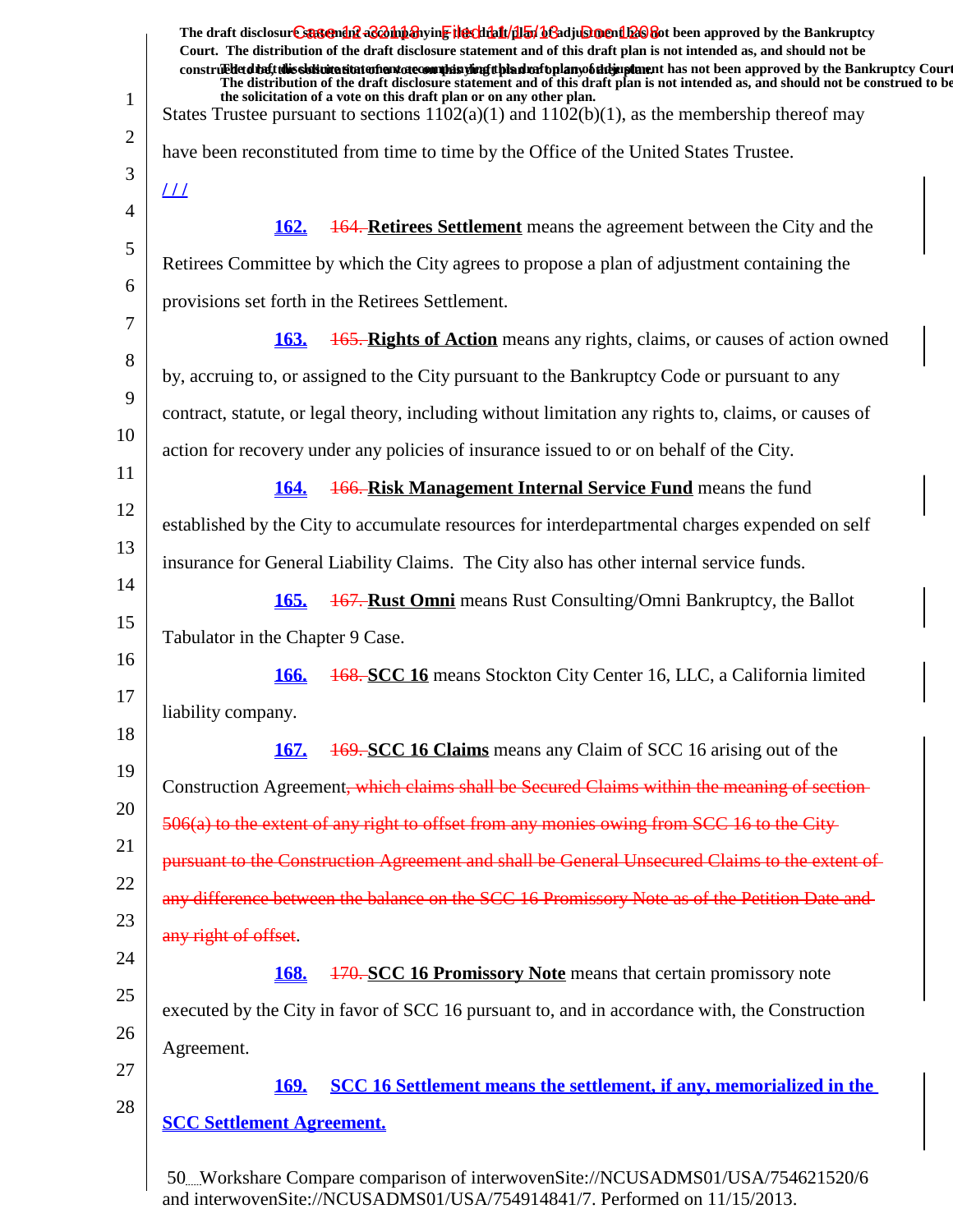|                | The draft disclosure sasement as a hypothesive the client of the final of a disclosure and the Bankruptcy<br>Court. The distribution of the draft disclosure statement and of this draft plan is not intended as, and should not be                                                                                                      |
|----------------|------------------------------------------------------------------------------------------------------------------------------------------------------------------------------------------------------------------------------------------------------------------------------------------------------------------------------------------|
|                | construedetdiet this sistemation entertainment of committee of the simulation of the hand of the state of the bankruptcy Court<br>The distribution of the draft disclosure statement and of this draft plan is not intended as, and should not be construed to be<br>the solicitation of a vote on this draft plan or on any other plan. |
| $\mathbf{1}$   | States Trustee pursuant to sections $1102(a)(1)$ and $1102(b)(1)$ , as the membership thereof may                                                                                                                                                                                                                                        |
| $\overline{2}$ | have been reconstituted from time to time by the Office of the United States Trustee.                                                                                                                                                                                                                                                    |
| 3              | $L\!\!\!L\!\!\!L$                                                                                                                                                                                                                                                                                                                        |
| $\overline{4}$ | <b>164. Retirees Settlement</b> means the agreement between the City and the<br><b>162.</b>                                                                                                                                                                                                                                              |
| 5              | Retirees Committee by which the City agrees to propose a plan of adjustment containing the                                                                                                                                                                                                                                               |
| 6              | provisions set forth in the Retirees Settlement.                                                                                                                                                                                                                                                                                         |
| 7              | <b>165. Rights of Action</b> means any rights, claims, or causes of action owned<br><b>163.</b>                                                                                                                                                                                                                                          |
| 8              | by, accruing to, or assigned to the City pursuant to the Bankruptcy Code or pursuant to any                                                                                                                                                                                                                                              |
| 9              | contract, statute, or legal theory, including without limitation any rights to, claims, or causes of                                                                                                                                                                                                                                     |
| 10             | action for recovery under any policies of insurance issued to or on behalf of the City.                                                                                                                                                                                                                                                  |
| 11             | <b>166. Risk Management Internal Service Fund</b> means the fund<br><b>164.</b>                                                                                                                                                                                                                                                          |
| 12             | established by the City to accumulate resources for interdepartmental charges expended on self                                                                                                                                                                                                                                           |
| 13             | insurance for General Liability Claims. The City also has other internal service funds.                                                                                                                                                                                                                                                  |
| 14             | <b>167. Rust Omni</b> means Rust Consulting/Omni Bankruptcy, the Ballot<br><b>165.</b>                                                                                                                                                                                                                                                   |
| 15             | Tabulator in the Chapter 9 Case.                                                                                                                                                                                                                                                                                                         |
| 16             | 168. SCC 16 means Stockton City Center 16, LLC, a California limited<br><b>166.</b>                                                                                                                                                                                                                                                      |
| 17             | liability company.                                                                                                                                                                                                                                                                                                                       |
| 18             | 169. SCC 16 Claims means any Claim of SCC 16 arising out of the<br><b>167.</b>                                                                                                                                                                                                                                                           |
| 19             | Construction Agreement, which claims shall be Secured Claims within the meaning of section-                                                                                                                                                                                                                                              |
| 20             | $506(a)$ to the extent of any right to offset from any monies owing from SCC 16 to the City-                                                                                                                                                                                                                                             |
| 21             | pursuant to the Construction Agreement and shall be General Unsecured Claims to the extent of                                                                                                                                                                                                                                            |
| 22             | any difference between the balance on the SCC 16 Promissory Note as of the Petition Date and                                                                                                                                                                                                                                             |
| 23             | any right of offset.                                                                                                                                                                                                                                                                                                                     |
| 24             | 170. SCC 16 Promissory Note means that certain promissory note<br><b>168.</b>                                                                                                                                                                                                                                                            |
| 25             | executed by the City in favor of SCC 16 pursuant to, and in accordance with, the Construction                                                                                                                                                                                                                                            |
| 26             | Agreement.                                                                                                                                                                                                                                                                                                                               |
| 27             | <b>SCC 16 Settlement means the settlement, if any, memorialized in the</b><br><b>169.</b>                                                                                                                                                                                                                                                |
| 28             | <b>SCC Settlement Agreement.</b>                                                                                                                                                                                                                                                                                                         |
|                |                                                                                                                                                                                                                                                                                                                                          |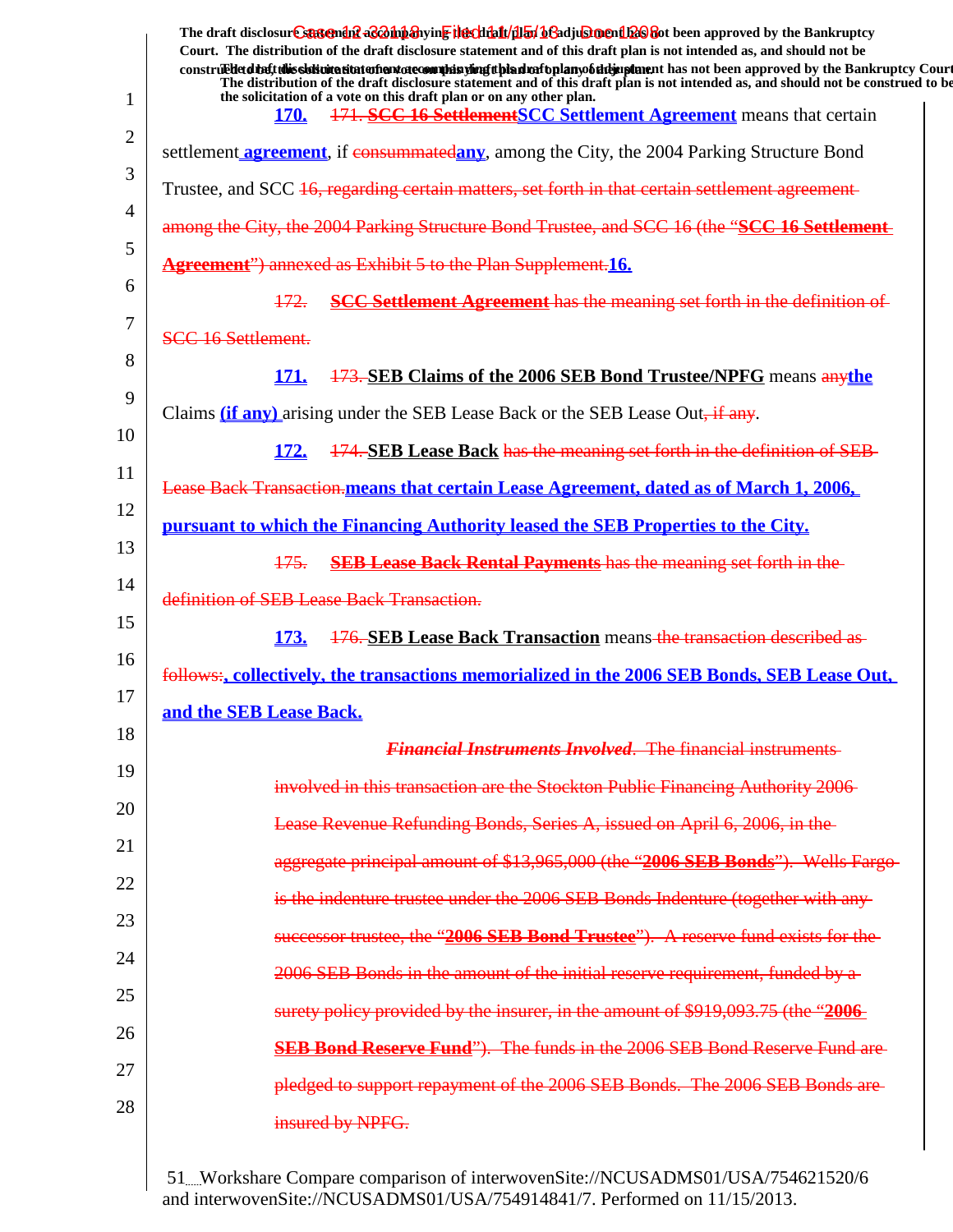|                | The draft disclosure sastement as a having the client full by beading ment been approved by the Bankruptcy<br>Court. The distribution of the draft disclosure statement and of this draft plan is not intended as, and should not be<br>construed detail this sistimation and one of manifesting the distribution of the mann of the approved by the Bankruptcy Court<br>The distribution of the draft disclosure statement and of this draft plan is not intended as, and should not be construed to be |
|----------------|----------------------------------------------------------------------------------------------------------------------------------------------------------------------------------------------------------------------------------------------------------------------------------------------------------------------------------------------------------------------------------------------------------------------------------------------------------------------------------------------------------|
| 1              | the solicitation of a vote on this draft plan or on any other plan.<br>171. SCC 16 Settlement SCC Settlement Agreement means that certain<br><b>170.</b>                                                                                                                                                                                                                                                                                                                                                 |
| $\overline{2}$ | settlement <b>agreement</b> , if consummatedany, among the City, the 2004 Parking Structure Bond                                                                                                                                                                                                                                                                                                                                                                                                         |
| 3              | Trustee, and SCC 16, regarding certain matters, set forth in that certain settlement agreement-                                                                                                                                                                                                                                                                                                                                                                                                          |
| $\overline{4}$ | among the City, the 2004 Parking Structure Bond Trustee, and SCC 16 (the "SCC 16 Settlement-                                                                                                                                                                                                                                                                                                                                                                                                             |
| 5              | <b>Agreement</b> ") annexed as Exhibit 5 to the Plan Supplement.16.                                                                                                                                                                                                                                                                                                                                                                                                                                      |
| 6              | <b>SCC Settlement Agreement</b> has the meaning set forth in the definition of<br>172.                                                                                                                                                                                                                                                                                                                                                                                                                   |
| 7              | SCC 16 Settlement.                                                                                                                                                                                                                                                                                                                                                                                                                                                                                       |
| 8              | <b>173. SEB Claims of the 2006 SEB Bond Trustee/NPFG means anythe</b><br>171.                                                                                                                                                                                                                                                                                                                                                                                                                            |
| 9              | Claims (if any) arising under the SEB Lease Back or the SEB Lease Out. if any.                                                                                                                                                                                                                                                                                                                                                                                                                           |
| 10             | 174. SEB Lease Back has the meaning set forth in the definition of SEB-<br><b>172.</b>                                                                                                                                                                                                                                                                                                                                                                                                                   |
| 11             | <b>Lease Back Transaction, means that certain Lease Agreement, dated as of March 1, 2006.</b>                                                                                                                                                                                                                                                                                                                                                                                                            |
| 12             | pursuant to which the Financing Authority leased the SEB Properties to the City.                                                                                                                                                                                                                                                                                                                                                                                                                         |
| 13             | <b>SEB Lease Back Rental Payments has the meaning set forth in the</b><br>175.                                                                                                                                                                                                                                                                                                                                                                                                                           |
| 14             | definition of SEB Lease Back Transaction.                                                                                                                                                                                                                                                                                                                                                                                                                                                                |
| 15             | 176. SEB Lease Back Transaction means the transaction described as<br><u>173.</u>                                                                                                                                                                                                                                                                                                                                                                                                                        |
| 16             | follows:, collectively, the transactions memorialized in the 2006 SEB Bonds, SEB Lease Out,                                                                                                                                                                                                                                                                                                                                                                                                              |
| 17             | and the SEB Lease Back.                                                                                                                                                                                                                                                                                                                                                                                                                                                                                  |
| 18             | <b>Financial Instruments Involved. The financial instruments</b>                                                                                                                                                                                                                                                                                                                                                                                                                                         |
| 19             | involved in this transaction are the Stockton Public Financing Authority 2006                                                                                                                                                                                                                                                                                                                                                                                                                            |
| 20             | Lease Revenue Refunding Bonds, Series A, issued on April 6, 2006, in the                                                                                                                                                                                                                                                                                                                                                                                                                                 |
| 21             | aggregate principal amount of \$13,965,000 (the "2006 SEB Bonds"). Wells Fargo-                                                                                                                                                                                                                                                                                                                                                                                                                          |
| 22             | is the indenture trustee under the 2006 SEB Bonds Indenture (together with any-                                                                                                                                                                                                                                                                                                                                                                                                                          |
| 23             | successor trustee, the "2006 SEB Bond Trustee"). A reserve fund exists for the                                                                                                                                                                                                                                                                                                                                                                                                                           |
| 24             | 2006 SEB Bonds in the amount of the initial reserve requirement, funded by a-                                                                                                                                                                                                                                                                                                                                                                                                                            |
| 25             | surety policy provided by the insurer, in the amount of \$919,093.75 (the "2006                                                                                                                                                                                                                                                                                                                                                                                                                          |
| 26             | <b>SEB Bond Reserve Fund</b> "). The funds in the 2006 SEB Bond Reserve Fund are                                                                                                                                                                                                                                                                                                                                                                                                                         |
| 27             | pledged to support repayment of the 2006 SEB Bonds. The 2006 SEB Bonds are                                                                                                                                                                                                                                                                                                                                                                                                                               |
| 28             | insured by NPFG.                                                                                                                                                                                                                                                                                                                                                                                                                                                                                         |
|                |                                                                                                                                                                                                                                                                                                                                                                                                                                                                                                          |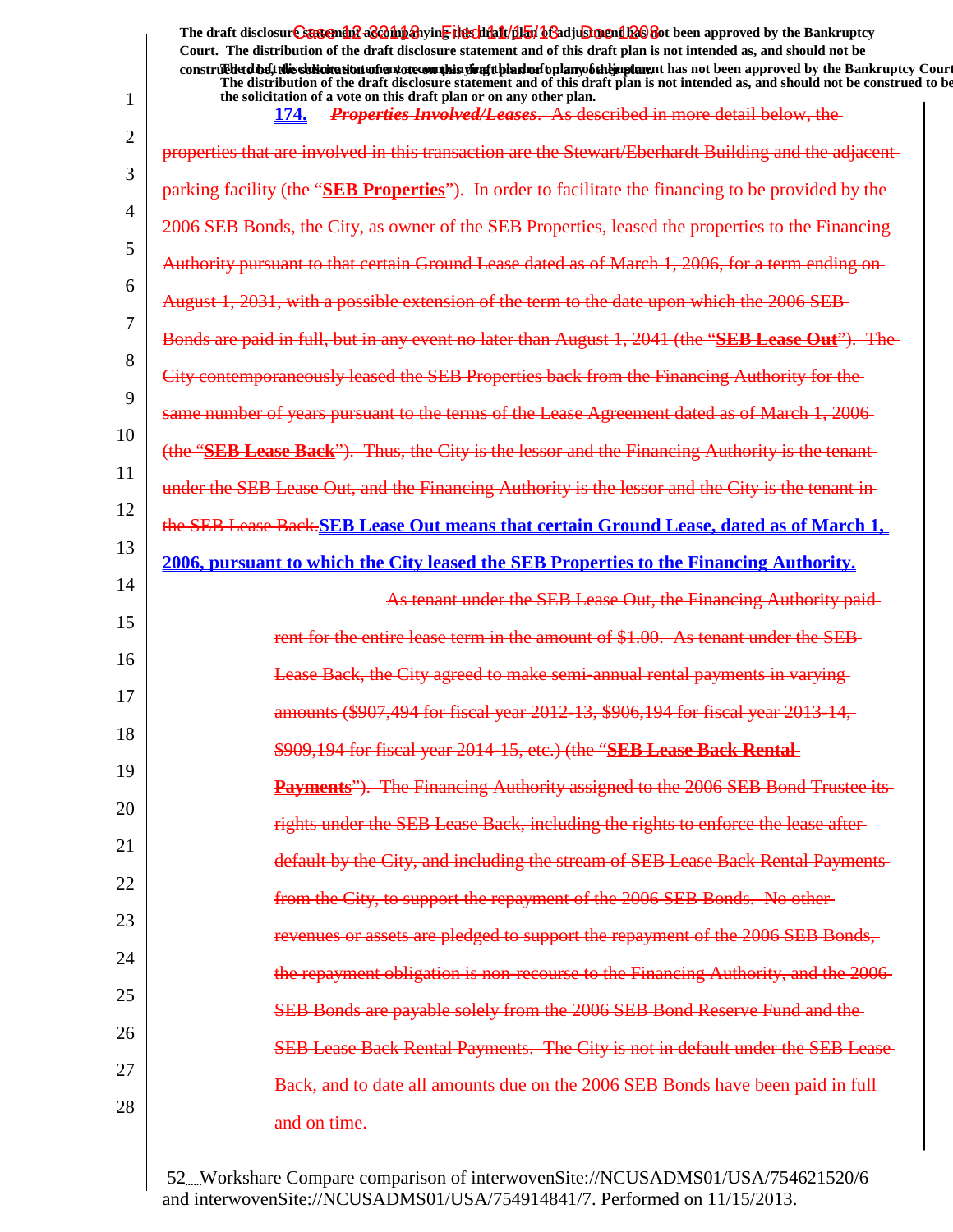|                | The draft disclosure suggended acompanying the climatical of adjustment been approved by the Bankruptcy<br>Court. The distribution of the draft disclosure statement and of this draft plan is not intended as, and should not be                                             |
|----------------|-------------------------------------------------------------------------------------------------------------------------------------------------------------------------------------------------------------------------------------------------------------------------------|
|                | construedetdiety this sistimation and one of manifer and the hand of the hand of the manifestion and been approved by the Bankruptcy Court<br>The distribution of the draft disclosure statement and of this draft plan is not intended as, and should not be construed to be |
| $\mathbf{1}$   | the solicitation of a vote on this draft plan or on any other plan.<br>Properties Involved/Leases. As described in more detail below, the<br>174.                                                                                                                             |
| $\overline{2}$ | properties that are involved in this transaction are the Stewart/Eberhardt Building and the adjacent-                                                                                                                                                                         |
| 3              | parking facility (the "SEB Properties"). In order to facilitate the financing to be provided by the                                                                                                                                                                           |
| 4              | 2006 SEB Bonds, the City, as owner of the SEB Properties, leased the properties to the Financing-                                                                                                                                                                             |
| 5              | Authority pursuant to that certain Ground Lease dated as of March 1, 2006, for a term ending on-                                                                                                                                                                              |
| 6              | August 1, 2031, with a possible extension of the term to the date upon which the 2006 SEB                                                                                                                                                                                     |
| 7              | Bonds are paid in full, but in any event no later than August 1, 2041 (the "SEB Lease Out"). The                                                                                                                                                                              |
| 8              | City contemporaneously leased the SEB Properties back from the Financing Authority for the                                                                                                                                                                                    |
| 9              | same number of years pursuant to the terms of the Lease Agreement dated as of March 1, 2006                                                                                                                                                                                   |
| 10             | (the "SEB Lease Back"). Thus, the City is the lessor and the Financing Authority is the tenant-                                                                                                                                                                               |
| 11             | under the SEB Lease Out, and the Financing Authority is the lessor and the City is the tenant in                                                                                                                                                                              |
| 12             | the SEB Lease Back, SEB Lease Out means that certain Ground Lease, dated as of March 1,                                                                                                                                                                                       |
| 13             | 2006, pursuant to which the City leased the SEB Properties to the Financing Authority.                                                                                                                                                                                        |
| 14             | As tenant under the SEB Lease Out, the Financing Authority paid-                                                                                                                                                                                                              |
| 15             | rent for the entire lease term in the amount of \$1.00. As tenant under the SEB-                                                                                                                                                                                              |
| 16             | Lease Back, the City agreed to make semi-annual rental payments in varying                                                                                                                                                                                                    |
| 17             | amounts (\$907,494 for fiscal year 2012-13, \$906,194 for fiscal year 2013-14.                                                                                                                                                                                                |
| 18             | \$909,194 for fiscal year 2014 15, etc.) (the "SEB Lease Back Rental                                                                                                                                                                                                          |
| 19             | Payments"). The Financing Authority assigned to the 2006 SEB Bond Trustee its-                                                                                                                                                                                                |
| 20             | rights under the SEB Lease Back, including the rights to enforce the lease after-                                                                                                                                                                                             |
| 21             | default by the City, and including the stream of SEB Lease Back Rental Payments-                                                                                                                                                                                              |
| 22             | from the City, to support the repayment of the 2006 SEB Bonds. No other-                                                                                                                                                                                                      |
| 23             | revenues or assets are pledged to support the repayment of the 2006 SEB Bonds,                                                                                                                                                                                                |
| 24             | the repayment obligation is non-recourse to the Financing Authority, and the 2006                                                                                                                                                                                             |
| 25             | SEB Bonds are payable solely from the 2006 SEB Bond Reserve Fund and the                                                                                                                                                                                                      |
| 26             | SEB Lease Back Rental Payments. The City is not in default under the SEB Lease-                                                                                                                                                                                               |
| 27             | Back, and to date all amounts due on the 2006 SEB Bonds have been paid in full-                                                                                                                                                                                               |
| 28             | and on time.                                                                                                                                                                                                                                                                  |
|                |                                                                                                                                                                                                                                                                               |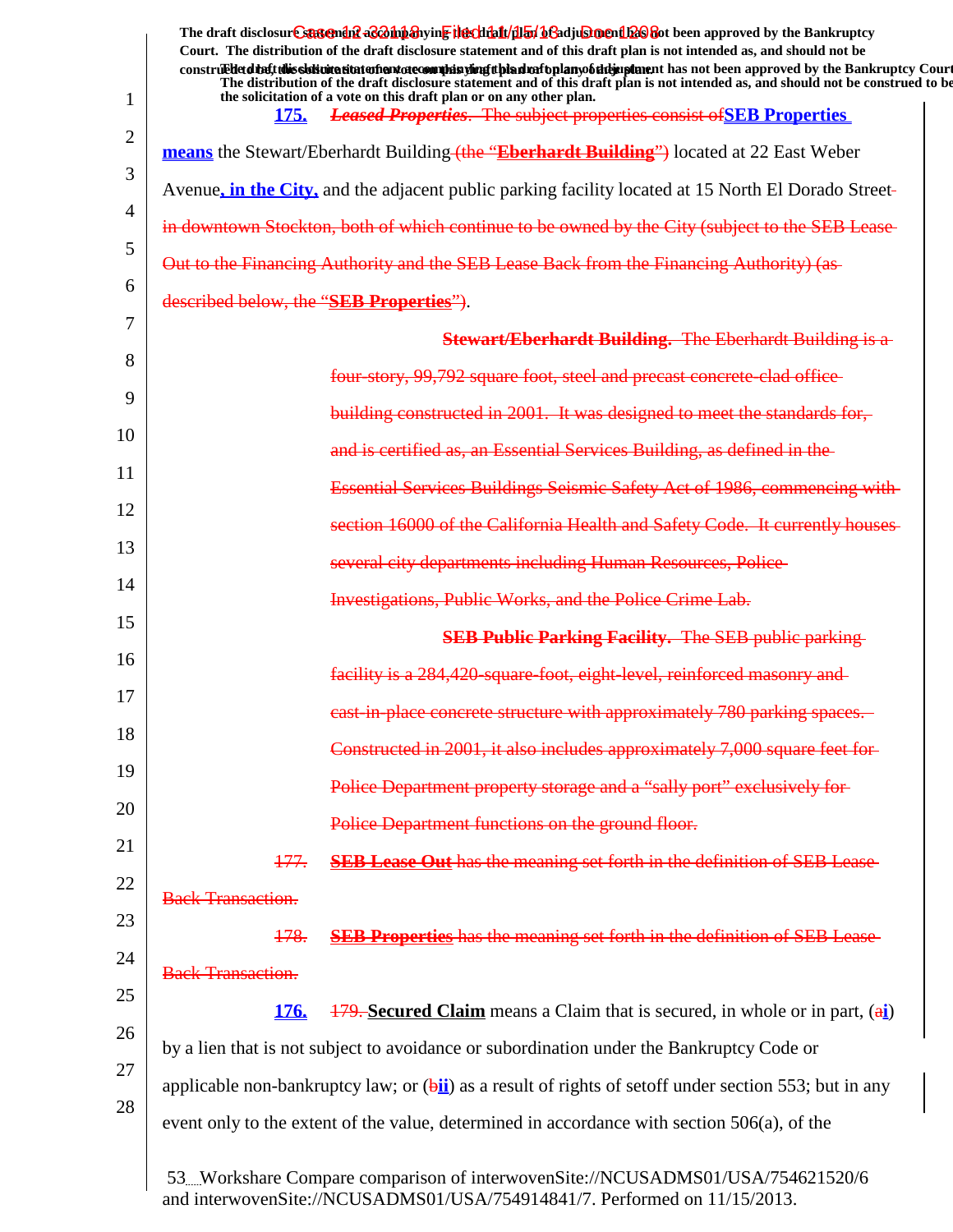|    | The draft disclosure sasement as a man and the client of the client of the client of the Bankruptcy<br>Court. The distribution of the draft disclosure statement and of this draft plan is not intended as, and should not be<br>construed detail this sistemation of antarcommultisting than more than you this ment has not been approved by the Bankruptcy Court<br>The distribution of the draft disclosure statement and of this draft plan is not intended as, and should not be construed to be |
|----|--------------------------------------------------------------------------------------------------------------------------------------------------------------------------------------------------------------------------------------------------------------------------------------------------------------------------------------------------------------------------------------------------------------------------------------------------------------------------------------------------------|
| 1  | the solicitation of a vote on this draft plan or on any other plan.<br><b>Leased Properties.</b> The subject properties consist of SEB Properties<br><b>175.</b>                                                                                                                                                                                                                                                                                                                                       |
| 2  | means the Stewart/Eberhardt Building (the "Eberhardt Building") located at 22 East Weber                                                                                                                                                                                                                                                                                                                                                                                                               |
| 3  | Avenue, in the City, and the adjacent public parking facility located at 15 North El Dorado Street-                                                                                                                                                                                                                                                                                                                                                                                                    |
| 4  | in downtown Stockton, both of which continue to be owned by the City (subject to the SEB Lease-                                                                                                                                                                                                                                                                                                                                                                                                        |
| 5  | Out to the Financing Authority and the SEB Lease Back from the Financing Authority) (as-                                                                                                                                                                                                                                                                                                                                                                                                               |
| 6  | described below, the "SEB Properties").                                                                                                                                                                                                                                                                                                                                                                                                                                                                |
| 7  | <b>Stewart/Eberhardt Building.</b> The Eberhardt Building is a                                                                                                                                                                                                                                                                                                                                                                                                                                         |
| 8  | four-story, 99,792 square foot, steel and precast concrete-clad office-                                                                                                                                                                                                                                                                                                                                                                                                                                |
| 9  | building constructed in 2001. It was designed to meet the standards for,                                                                                                                                                                                                                                                                                                                                                                                                                               |
| 10 | and is certified as, an Essential Services Building, as defined in the                                                                                                                                                                                                                                                                                                                                                                                                                                 |
| 11 |                                                                                                                                                                                                                                                                                                                                                                                                                                                                                                        |
| 12 | Essential Services Buildings Seismic Safety Act of 1986, commencing with-                                                                                                                                                                                                                                                                                                                                                                                                                              |
| 13 | section 16000 of the California Health and Safety Code. It currently houses                                                                                                                                                                                                                                                                                                                                                                                                                            |
| 14 | several city departments including Human Resources, Police                                                                                                                                                                                                                                                                                                                                                                                                                                             |
| 15 | <b>Investigations, Public Works, and the Police Crime Lab.</b>                                                                                                                                                                                                                                                                                                                                                                                                                                         |
| 16 | <b>SEB Public Parking Facility.</b> The SEB public parking                                                                                                                                                                                                                                                                                                                                                                                                                                             |
| 17 | facility is a 284,420-square-foot, eight-level, reinforced masonry and                                                                                                                                                                                                                                                                                                                                                                                                                                 |
| 18 | east-in-place concrete structure with approximately 780 parking spaces.                                                                                                                                                                                                                                                                                                                                                                                                                                |
| 19 | Constructed in 2001, it also includes approximately 7,000 square feet for-                                                                                                                                                                                                                                                                                                                                                                                                                             |
|    | Police Department property storage and a "sally port" exclusively for-                                                                                                                                                                                                                                                                                                                                                                                                                                 |
| 20 | Police Department functions on the ground floor.                                                                                                                                                                                                                                                                                                                                                                                                                                                       |
| 21 | 177.<br><b>SEB Lease Out</b> has the meaning set forth in the definition of SEB Lease-                                                                                                                                                                                                                                                                                                                                                                                                                 |
| 22 | <b>Back Transaction.</b>                                                                                                                                                                                                                                                                                                                                                                                                                                                                               |
| 23 | <b>SEB Properties</b> has the meaning set forth in the definition of SEB Lease-<br>178.                                                                                                                                                                                                                                                                                                                                                                                                                |
| 24 | <b>Back Transaction.</b>                                                                                                                                                                                                                                                                                                                                                                                                                                                                               |
| 25 | <b>179. Secured Claim</b> means a Claim that is secured, in whole or in part, $(\frac{ai}{b})$<br>176.                                                                                                                                                                                                                                                                                                                                                                                                 |
| 26 | by a lien that is not subject to avoidance or subordination under the Bankruptcy Code or                                                                                                                                                                                                                                                                                                                                                                                                               |
| 27 | applicable non-bankruptcy law; or $(\frac{\pi}{2})$ as a result of rights of set of under section 553; but in any                                                                                                                                                                                                                                                                                                                                                                                      |
| 28 | event only to the extent of the value, determined in accordance with section 506(a), of the                                                                                                                                                                                                                                                                                                                                                                                                            |
|    | 53Workshare Compare comparison of interwovenSite://NCUSADMS01/USA/754621520/6                                                                                                                                                                                                                                                                                                                                                                                                                          |

and interwovenSite://NCUSADMS01/USA/754914841/7. Performed on 11/15/2013.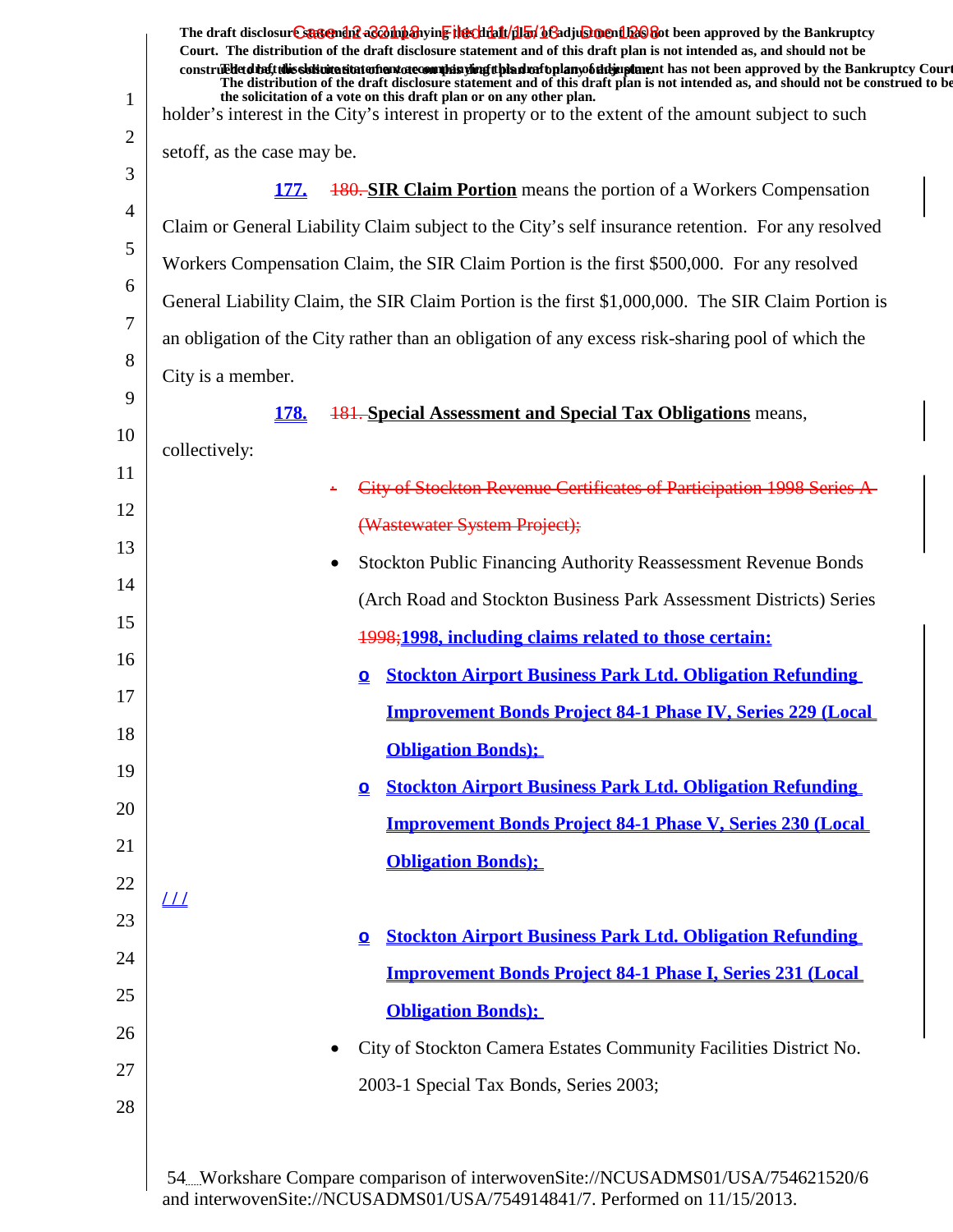| Court. The distribution of the draft disclosure statement and of this draft plan is not intended as, and should not be<br>construed that this sidivitation and one commission of this dual oplany of the instance has not been approved by the Bankruptcy Court |  |
|-----------------------------------------------------------------------------------------------------------------------------------------------------------------------------------------------------------------------------------------------------------------|--|
| The distribution of the draft disclosure statement and of this draft plan is not intended as, and should not be construed to be<br>the solicitation of a vote on this draft plan or on any other plan.                                                          |  |
| holder's interest in the City's interest in property or to the extent of the amount subject to such                                                                                                                                                             |  |
| set off, as the case may be.                                                                                                                                                                                                                                    |  |
| <b>180. SIR Claim Portion</b> means the portion of a Workers Compensation<br><b>177.</b>                                                                                                                                                                        |  |
| Claim or General Liability Claim subject to the City's self insurance retention. For any resolved                                                                                                                                                               |  |
| Workers Compensation Claim, the SIR Claim Portion is the first \$500,000. For any resolved                                                                                                                                                                      |  |
| General Liability Claim, the SIR Claim Portion is the first \$1,000,000. The SIR Claim Portion is                                                                                                                                                               |  |
| an obligation of the City rather than an obligation of any excess risk-sharing pool of which the                                                                                                                                                                |  |
| City is a member.                                                                                                                                                                                                                                               |  |
| <b>181. Special Assessment and Special Tax Obligations</b> means,<br><b>178.</b>                                                                                                                                                                                |  |
| collectively:                                                                                                                                                                                                                                                   |  |
| City of Stockton Revenue Certificates of Participation 1998 Series A-                                                                                                                                                                                           |  |
| (Wastewater System Project);                                                                                                                                                                                                                                    |  |
| <b>Stockton Public Financing Authority Reassessment Revenue Bonds</b>                                                                                                                                                                                           |  |
| (Arch Road and Stockton Business Park Assessment Districts) Series                                                                                                                                                                                              |  |
| 1998;1998, including claims related to those certain:                                                                                                                                                                                                           |  |
| <b>Stockton Airport Business Park Ltd. Obligation Refunding</b><br>$\Omega$                                                                                                                                                                                     |  |
| <b>Improvement Bonds Project 84-1 Phase IV, Series 229 (Local</b>                                                                                                                                                                                               |  |
| <b>Obligation Bonds</b> );                                                                                                                                                                                                                                      |  |
| <b>Stockton Airport Business Park Ltd. Obligation Refunding</b><br>$\mathbf{\Omega}$                                                                                                                                                                            |  |
| <b>Improvement Bonds Project 84-1 Phase V, Series 230 (Local</b>                                                                                                                                                                                                |  |
|                                                                                                                                                                                                                                                                 |  |
| <b>Obligation Bonds</b> );                                                                                                                                                                                                                                      |  |
| $_{III}$                                                                                                                                                                                                                                                        |  |
| <b>Stockton Airport Business Park Ltd. Obligation Refunding</b><br>$\Omega$                                                                                                                                                                                     |  |
| <b>Improvement Bonds Project 84-1 Phase I, Series 231 (Local</b>                                                                                                                                                                                                |  |
| <b>Obligation Bonds</b> );                                                                                                                                                                                                                                      |  |
| City of Stockton Camera Estates Community Facilities District No.                                                                                                                                                                                               |  |
| 2003-1 Special Tax Bonds, Series 2003;                                                                                                                                                                                                                          |  |
|                                                                                                                                                                                                                                                                 |  |
|                                                                                                                                                                                                                                                                 |  |
| 54. Workshare Compare comparison of interwovenSite://NCUSADMS01/USA/754621520/6<br>and interwoven Site://NCUSADMS01/USA/754914841/7 Performed on 11/15/2013                                                                                                     |  |

and interwovenSite://NCUSADMS01/USA/754914841/7. Performed on 11/15/2013.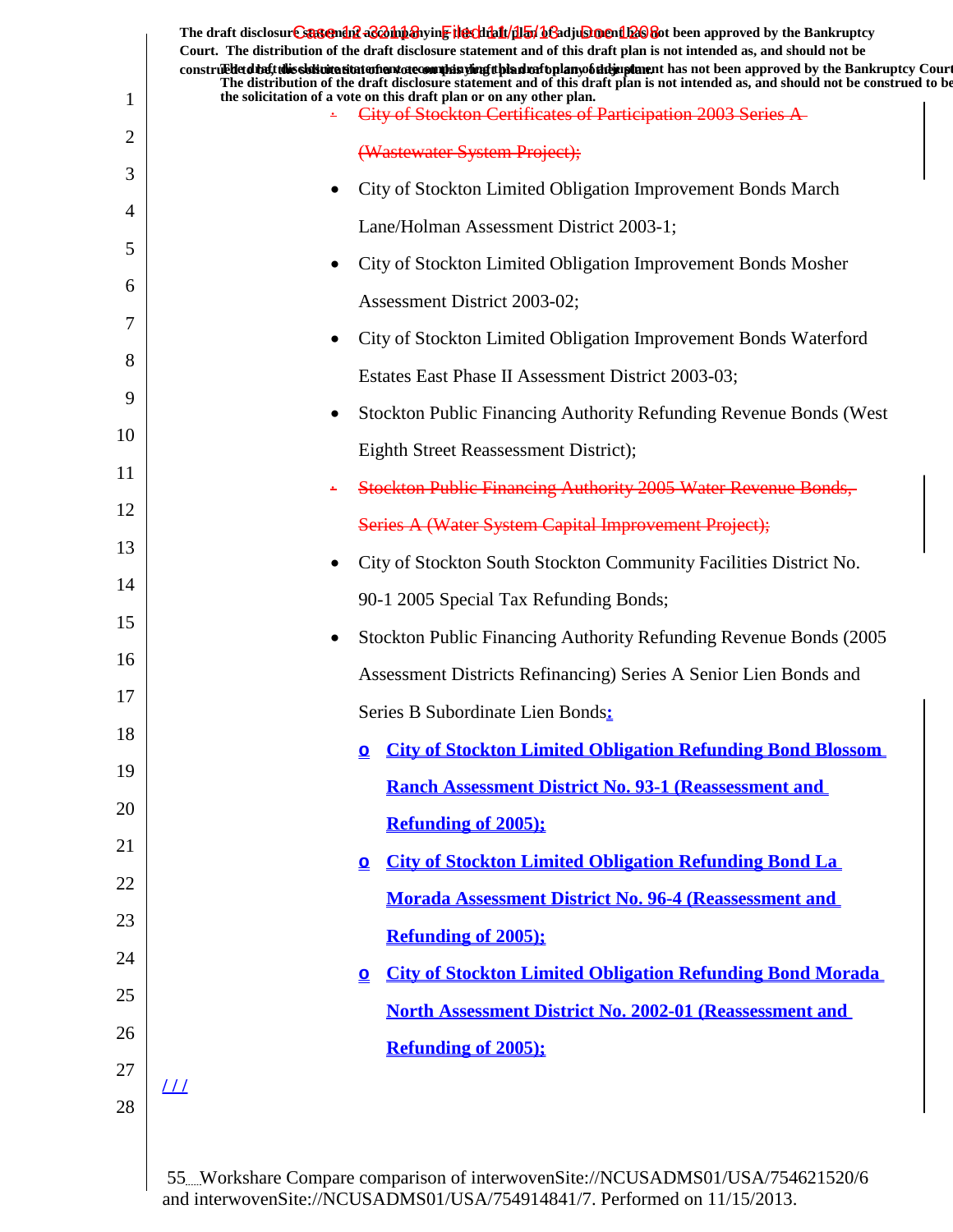|               | The draft disclosure sasement as a man and the client of the client of the client of the Bankruptcy<br>Court. The distribution of the draft disclosure statement and of this draft plan is not intended as, and should not be<br>construed due to this sidion attacher decomples wing the draft play of the pay of the next has not been approved by the Bankruptcy Court<br>The distribution of the draft disclosure statement and of this draft plan is not intended as, and should not be construed to be |
|---------------|--------------------------------------------------------------------------------------------------------------------------------------------------------------------------------------------------------------------------------------------------------------------------------------------------------------------------------------------------------------------------------------------------------------------------------------------------------------------------------------------------------------|
| 1             | the solicitation of a vote on this draft plan or on any other plan.<br>City of Stockton Certificates of Participation 2003 Series A-                                                                                                                                                                                                                                                                                                                                                                         |
| 2             | (Wastewater System Project);                                                                                                                                                                                                                                                                                                                                                                                                                                                                                 |
| 3             | City of Stockton Limited Obligation Improvement Bonds March                                                                                                                                                                                                                                                                                                                                                                                                                                                  |
| 4             | Lane/Holman Assessment District 2003-1;                                                                                                                                                                                                                                                                                                                                                                                                                                                                      |
| 5             | City of Stockton Limited Obligation Improvement Bonds Mosher                                                                                                                                                                                                                                                                                                                                                                                                                                                 |
| $\mathfrak b$ | Assessment District 2003-02;                                                                                                                                                                                                                                                                                                                                                                                                                                                                                 |
| 7             | City of Stockton Limited Obligation Improvement Bonds Waterford                                                                                                                                                                                                                                                                                                                                                                                                                                              |
| 8             | Estates East Phase II Assessment District 2003-03;                                                                                                                                                                                                                                                                                                                                                                                                                                                           |
| 9             | Stockton Public Financing Authority Refunding Revenue Bonds (West)                                                                                                                                                                                                                                                                                                                                                                                                                                           |
| 10            | Eighth Street Reassessment District);                                                                                                                                                                                                                                                                                                                                                                                                                                                                        |
| 11            | <b>Stockton Public Financing Authority 2005 Water Revenue Bonds,</b>                                                                                                                                                                                                                                                                                                                                                                                                                                         |
| 12            | Series A (Water System Capital Improvement Project);                                                                                                                                                                                                                                                                                                                                                                                                                                                         |
| 13            | City of Stockton South Stockton Community Facilities District No.                                                                                                                                                                                                                                                                                                                                                                                                                                            |
| 14            | 90-1 2005 Special Tax Refunding Bonds;                                                                                                                                                                                                                                                                                                                                                                                                                                                                       |
| 15            | Stockton Public Financing Authority Refunding Revenue Bonds (2005)                                                                                                                                                                                                                                                                                                                                                                                                                                           |
| 16            | Assessment Districts Refinancing) Series A Senior Lien Bonds and                                                                                                                                                                                                                                                                                                                                                                                                                                             |
| 17            | Series B Subordinate Lien Bonds:                                                                                                                                                                                                                                                                                                                                                                                                                                                                             |
| 18            | <b>City of Stockton Limited Obligation Refunding Bond Blossom</b><br>$\Omega$                                                                                                                                                                                                                                                                                                                                                                                                                                |
| 19            | <b>Ranch Assessment District No. 93-1 (Reassessment and</b>                                                                                                                                                                                                                                                                                                                                                                                                                                                  |
| 20            | <b>Refunding of 2005);</b>                                                                                                                                                                                                                                                                                                                                                                                                                                                                                   |
| 21            | <b>City of Stockton Limited Obligation Refunding Bond La</b><br>$\mathbf{\Omega}$                                                                                                                                                                                                                                                                                                                                                                                                                            |
| 22            | <b>Morada Assessment District No. 96-4 (Reassessment and</b>                                                                                                                                                                                                                                                                                                                                                                                                                                                 |
| 23            | <b>Refunding of 2005);</b>                                                                                                                                                                                                                                                                                                                                                                                                                                                                                   |
| 24            | <b>City of Stockton Limited Obligation Refunding Bond Morada</b><br>$\Omega$                                                                                                                                                                                                                                                                                                                                                                                                                                 |
| 25            | <b>North Assessment District No. 2002-01 (Reassessment and</b>                                                                                                                                                                                                                                                                                                                                                                                                                                               |
| 26            | <b>Refunding of 2005);</b>                                                                                                                                                                                                                                                                                                                                                                                                                                                                                   |
| 27            | $_{III}$                                                                                                                                                                                                                                                                                                                                                                                                                                                                                                     |
| 28            |                                                                                                                                                                                                                                                                                                                                                                                                                                                                                                              |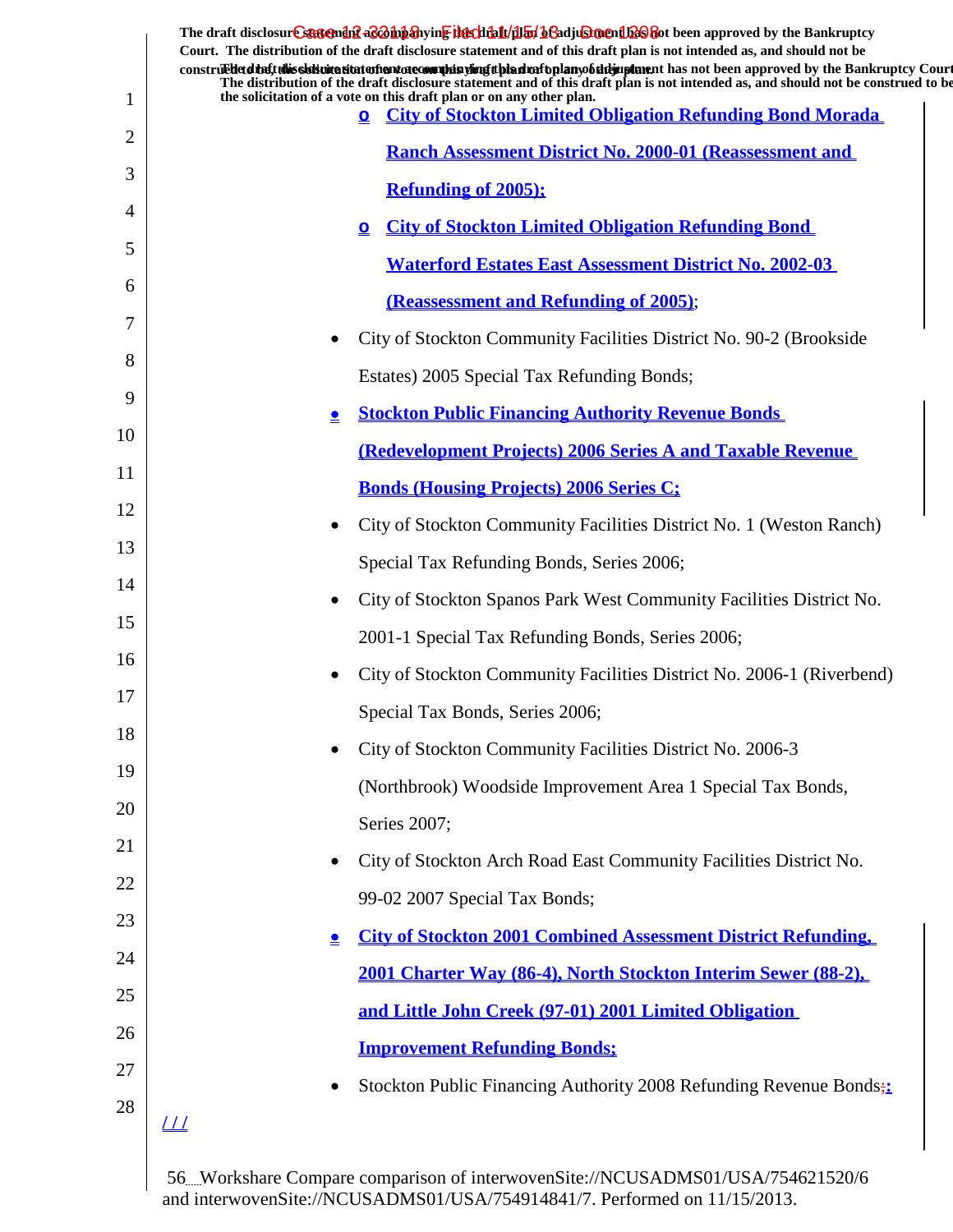|    | The draft disclosure suggended acompanying the climatical of adjustment been approved by the Bankruptcy<br>Court. The distribution of the draft disclosure statement and of this draft plan is not intended as, and should not be<br>construedetdiet this sistemation entertainment of country in the industry of the manner of the manner in an order in proved by the Bankruptcy Court<br>The distribution of the draft disclosure statement and of this draft plan is not intended as, and should not be construed to be |
|----|-----------------------------------------------------------------------------------------------------------------------------------------------------------------------------------------------------------------------------------------------------------------------------------------------------------------------------------------------------------------------------------------------------------------------------------------------------------------------------------------------------------------------------|
| 1  | the solicitation of a vote on this draft plan or on any other plan.<br><b>City of Stockton Limited Obligation Refunding Bond Morada</b><br>$\mathbf{Q}$                                                                                                                                                                                                                                                                                                                                                                     |
| 2  | <b>Ranch Assessment District No. 2000-01 (Reassessment and</b>                                                                                                                                                                                                                                                                                                                                                                                                                                                              |
| 3  | <b>Refunding of 2005);</b>                                                                                                                                                                                                                                                                                                                                                                                                                                                                                                  |
| 4  | <b>City of Stockton Limited Obligation Refunding Bond</b><br>$\mathbf{\Omega}$                                                                                                                                                                                                                                                                                                                                                                                                                                              |
| 5  | <b>Waterford Estates East Assessment District No. 2002-03</b>                                                                                                                                                                                                                                                                                                                                                                                                                                                               |
| 6  | (Reassessment and Refunding of 2005);                                                                                                                                                                                                                                                                                                                                                                                                                                                                                       |
| 7  | City of Stockton Community Facilities District No. 90-2 (Brookside                                                                                                                                                                                                                                                                                                                                                                                                                                                          |
| 8  | Estates) 2005 Special Tax Refunding Bonds;                                                                                                                                                                                                                                                                                                                                                                                                                                                                                  |
| 9  | <b>Stockton Public Financing Authority Revenue Bonds</b><br>$\triangleq$                                                                                                                                                                                                                                                                                                                                                                                                                                                    |
| 10 | <b>(Redevelopment Projects) 2006 Series A and Taxable Revenue</b>                                                                                                                                                                                                                                                                                                                                                                                                                                                           |
| 11 | <b>Bonds (Housing Projects) 2006 Series C;</b>                                                                                                                                                                                                                                                                                                                                                                                                                                                                              |
| 12 | City of Stockton Community Facilities District No. 1 (Weston Ranch)                                                                                                                                                                                                                                                                                                                                                                                                                                                         |
| 13 | Special Tax Refunding Bonds, Series 2006;                                                                                                                                                                                                                                                                                                                                                                                                                                                                                   |
| 14 | City of Stockton Spanos Park West Community Facilities District No.                                                                                                                                                                                                                                                                                                                                                                                                                                                         |
| 15 | 2001-1 Special Tax Refunding Bonds, Series 2006;                                                                                                                                                                                                                                                                                                                                                                                                                                                                            |
| 16 | City of Stockton Community Facilities District No. 2006-1 (Riverbend)                                                                                                                                                                                                                                                                                                                                                                                                                                                       |
| 17 | Special Tax Bonds, Series 2006;                                                                                                                                                                                                                                                                                                                                                                                                                                                                                             |
| 18 | City of Stockton Community Facilities District No. 2006-3                                                                                                                                                                                                                                                                                                                                                                                                                                                                   |
| 19 | (Northbrook) Woodside Improvement Area 1 Special Tax Bonds,                                                                                                                                                                                                                                                                                                                                                                                                                                                                 |
| 20 | Series 2007;                                                                                                                                                                                                                                                                                                                                                                                                                                                                                                                |
| 21 | City of Stockton Arch Road East Community Facilities District No.                                                                                                                                                                                                                                                                                                                                                                                                                                                           |
| 22 |                                                                                                                                                                                                                                                                                                                                                                                                                                                                                                                             |
| 23 | 99-02 2007 Special Tax Bonds;                                                                                                                                                                                                                                                                                                                                                                                                                                                                                               |
| 24 | <b>City of Stockton 2001 Combined Assessment District Refunding,</b><br>$\bullet$                                                                                                                                                                                                                                                                                                                                                                                                                                           |
| 25 | 2001 Charter Way (86-4), North Stockton Interim Sewer (88-2),                                                                                                                                                                                                                                                                                                                                                                                                                                                               |
| 26 | and Little John Creek (97-01) 2001 Limited Obligation                                                                                                                                                                                                                                                                                                                                                                                                                                                                       |
| 27 | <b>Improvement Refunding Bonds;</b>                                                                                                                                                                                                                                                                                                                                                                                                                                                                                         |
| 28 | Stockton Public Financing Authority 2008 Refunding Revenue Bonds;                                                                                                                                                                                                                                                                                                                                                                                                                                                           |
|    | <u> 11</u>                                                                                                                                                                                                                                                                                                                                                                                                                                                                                                                  |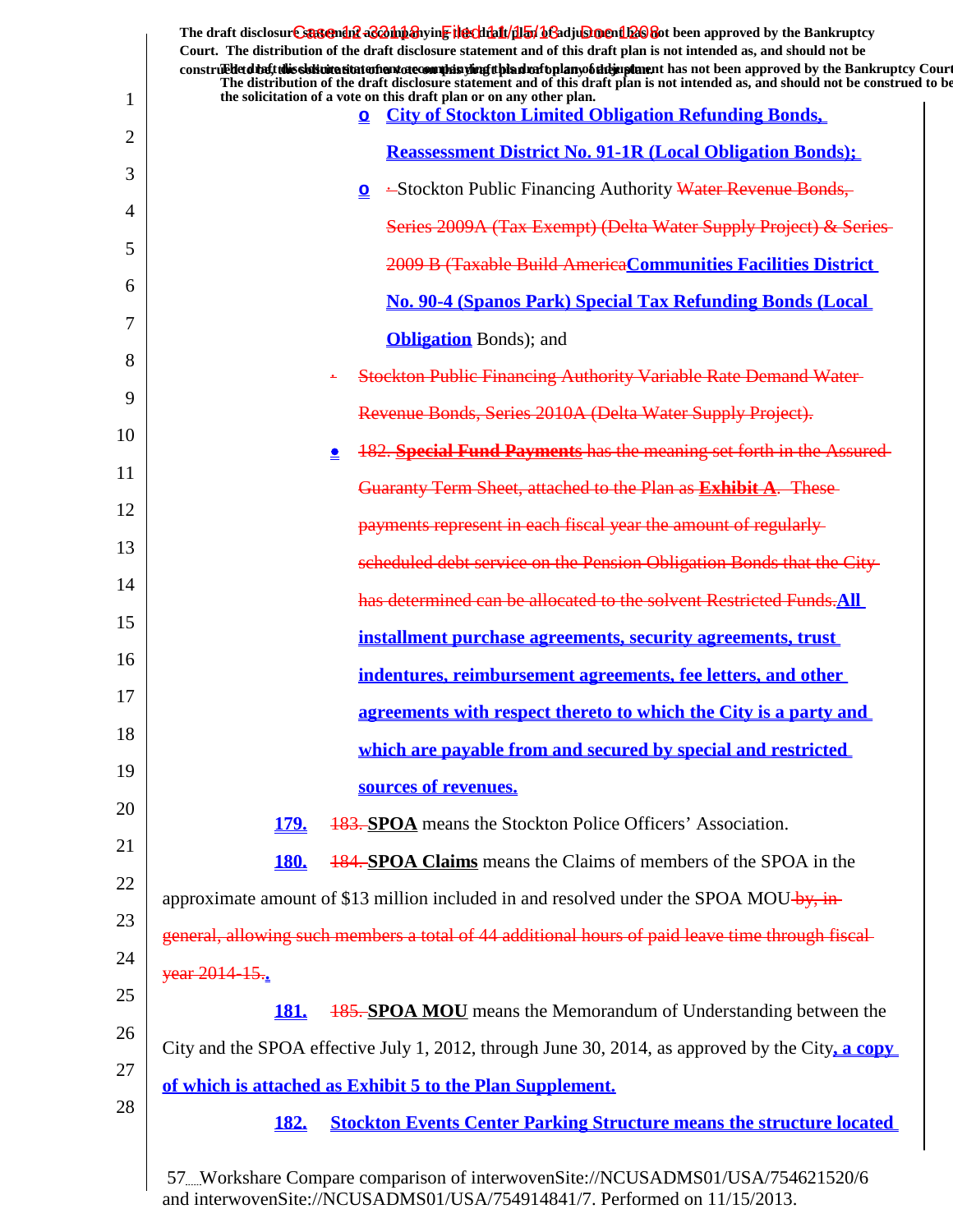| 1  | The draft disclosure sasement as a man and the client of the client of the client of the Bankruptcy<br>Court. The distribution of the draft disclosure statement and of this draft plan is not intended as, and should not be<br>construed detail this signification and are completed in the detail and the detail and the approved by the Bankruptcy Court<br>The distribution of the draft disclosure statement and of this draft plan is not intended as, and should not be construed to be<br>the solicitation of a vote on this draft plan or on any other plan.<br><b>City of Stockton Limited Obligation Refunding Bonds,</b><br>$\mathbf{\Omega}$ |
|----|------------------------------------------------------------------------------------------------------------------------------------------------------------------------------------------------------------------------------------------------------------------------------------------------------------------------------------------------------------------------------------------------------------------------------------------------------------------------------------------------------------------------------------------------------------------------------------------------------------------------------------------------------------|
| 2  | <b>Reassessment District No. 91-1R (Local Obligation Bonds);</b>                                                                                                                                                                                                                                                                                                                                                                                                                                                                                                                                                                                           |
| 3  | -Stockton Public Financing Authority Water Revenue Bonds,<br>$\mathbf{Q}$                                                                                                                                                                                                                                                                                                                                                                                                                                                                                                                                                                                  |
| 4  | Series 2009A (Tax Exempt) (Delta Water Supply Project) & Series                                                                                                                                                                                                                                                                                                                                                                                                                                                                                                                                                                                            |
| 5  | 2009 B (Taxable Build America Communities Facilities District                                                                                                                                                                                                                                                                                                                                                                                                                                                                                                                                                                                              |
| 6  |                                                                                                                                                                                                                                                                                                                                                                                                                                                                                                                                                                                                                                                            |
| 7  | <b>No. 90-4 (Spanos Park) Special Tax Refunding Bonds (Local</b>                                                                                                                                                                                                                                                                                                                                                                                                                                                                                                                                                                                           |
| 8  | <b>Obligation</b> Bonds); and                                                                                                                                                                                                                                                                                                                                                                                                                                                                                                                                                                                                                              |
| 9  | <b>Stockton Public Financing Authority Variable Rate Demand Water-</b>                                                                                                                                                                                                                                                                                                                                                                                                                                                                                                                                                                                     |
| 10 | Revenue Bonds, Series 2010A (Delta Water Supply Project).                                                                                                                                                                                                                                                                                                                                                                                                                                                                                                                                                                                                  |
| 11 | 182. Special Fund Payments has the meaning set forth in the Assured-<br>Չ                                                                                                                                                                                                                                                                                                                                                                                                                                                                                                                                                                                  |
| 12 | Guaranty Term Sheet, attached to the Plan as Exhibit A. These                                                                                                                                                                                                                                                                                                                                                                                                                                                                                                                                                                                              |
|    | payments represent in each fiscal year the amount of regularly                                                                                                                                                                                                                                                                                                                                                                                                                                                                                                                                                                                             |
| 13 | scheduled debt service on the Pension Obligation Bonds that the City-                                                                                                                                                                                                                                                                                                                                                                                                                                                                                                                                                                                      |
| 14 | has determined can be allocated to the solvent Restricted Funds. All                                                                                                                                                                                                                                                                                                                                                                                                                                                                                                                                                                                       |
| 15 | installment purchase agreements, security agreements, trust                                                                                                                                                                                                                                                                                                                                                                                                                                                                                                                                                                                                |
| 16 | indentures, reimbursement agreements, fee letters, and other                                                                                                                                                                                                                                                                                                                                                                                                                                                                                                                                                                                               |
| 17 | agreements with respect thereto to which the City is a party and                                                                                                                                                                                                                                                                                                                                                                                                                                                                                                                                                                                           |
| 18 | which are payable from and secured by special and restricted                                                                                                                                                                                                                                                                                                                                                                                                                                                                                                                                                                                               |
| 19 | sources of revenues.                                                                                                                                                                                                                                                                                                                                                                                                                                                                                                                                                                                                                                       |
| 20 | <b>179.</b><br><b>183. SPOA</b> means the Stockton Police Officers' Association.                                                                                                                                                                                                                                                                                                                                                                                                                                                                                                                                                                           |
| 21 | <b>184. SPOA Claims</b> means the Claims of members of the SPOA in the<br><b>180.</b>                                                                                                                                                                                                                                                                                                                                                                                                                                                                                                                                                                      |
| 22 | approximate amount of \$13 million included in and resolved under the SPOA MOU-by, in-                                                                                                                                                                                                                                                                                                                                                                                                                                                                                                                                                                     |
| 23 | general, allowing such members a total of 44 additional hours of paid leave time through fiscal-                                                                                                                                                                                                                                                                                                                                                                                                                                                                                                                                                           |
| 24 | year 2014 15.                                                                                                                                                                                                                                                                                                                                                                                                                                                                                                                                                                                                                                              |
| 25 | <b>185. SPOA MOU</b> means the Memorandum of Understanding between the<br><u>181.</u>                                                                                                                                                                                                                                                                                                                                                                                                                                                                                                                                                                      |
| 26 |                                                                                                                                                                                                                                                                                                                                                                                                                                                                                                                                                                                                                                                            |
| 27 | City and the SPOA effective July 1, 2012, through June 30, 2014, as approved by the City, a copy                                                                                                                                                                                                                                                                                                                                                                                                                                                                                                                                                           |
| 28 | of which is attached as Exhibit 5 to the Plan Supplement.                                                                                                                                                                                                                                                                                                                                                                                                                                                                                                                                                                                                  |
|    | <b>Stockton Events Center Parking Structure means the structure located</b><br><b>182.</b>                                                                                                                                                                                                                                                                                                                                                                                                                                                                                                                                                                 |
|    |                                                                                                                                                                                                                                                                                                                                                                                                                                                                                                                                                                                                                                                            |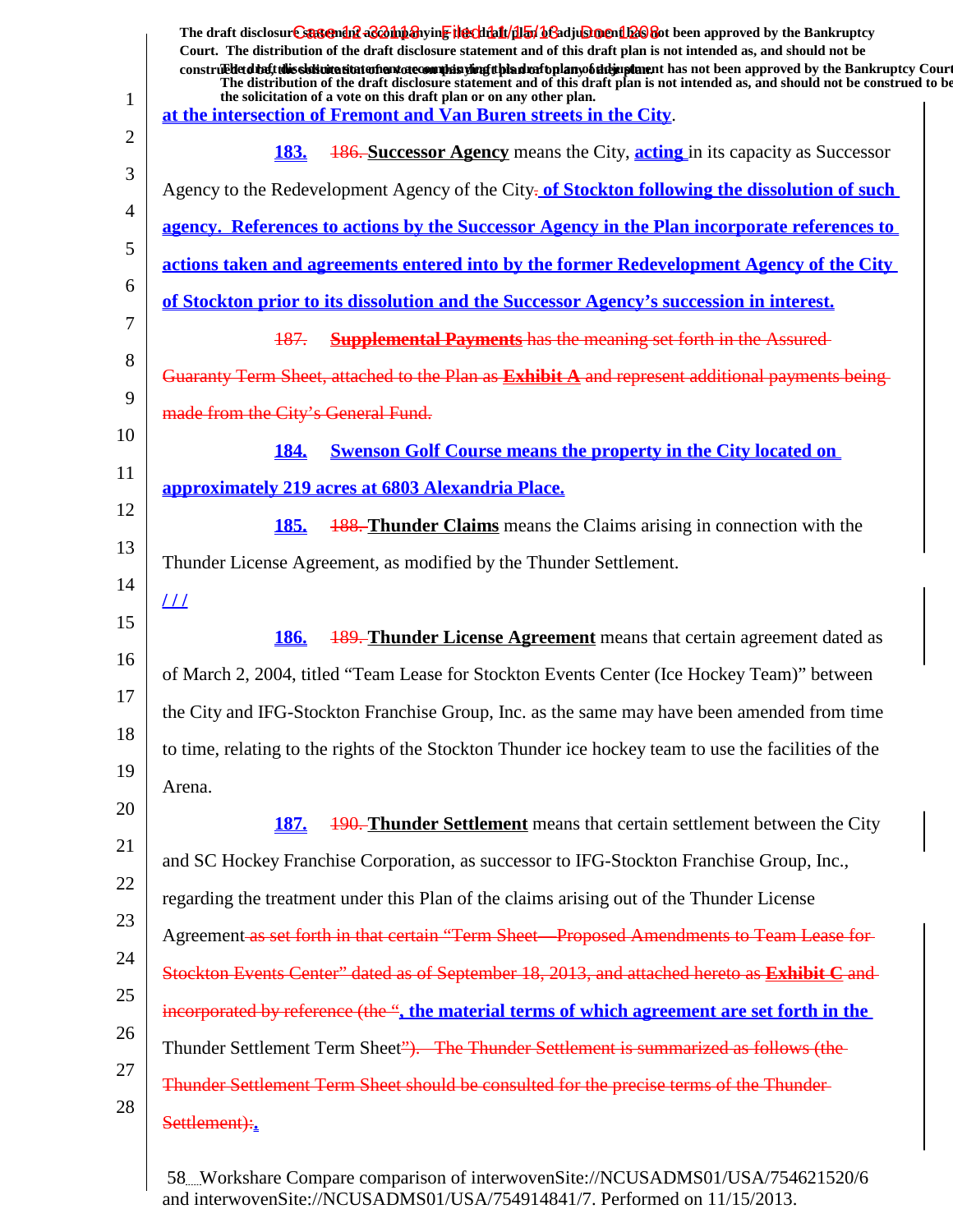| 1  | The draft disclosur Cantendal a control and the chieft and the chieft of a chieft of the Bankruptcy<br>Court. The distribution of the draft disclosure statement and of this draft plan is not intended as, and should not be<br>construed to the Bankruptcy Court<br>The distribution of the draft disclosure statement and of this draft plan is not intended as, and should not be construed to be<br>the solicitation of a vote on this draft plan or on any other plan.<br>at the intersection of Fremont and Van Buren streets in the City. |
|----|---------------------------------------------------------------------------------------------------------------------------------------------------------------------------------------------------------------------------------------------------------------------------------------------------------------------------------------------------------------------------------------------------------------------------------------------------------------------------------------------------------------------------------------------------|
| 2  | <b>186. Successor Agency</b> means the City, <b>acting</b> in its capacity as Successor<br><b>183.</b>                                                                                                                                                                                                                                                                                                                                                                                                                                            |
| 3  | Agency to the Redevelopment Agency of the City-of Stockton following the dissolution of such                                                                                                                                                                                                                                                                                                                                                                                                                                                      |
| 4  |                                                                                                                                                                                                                                                                                                                                                                                                                                                                                                                                                   |
| 5  | agency. References to actions by the Successor Agency in the Plan incorporate references to                                                                                                                                                                                                                                                                                                                                                                                                                                                       |
| 6  | actions taken and agreements entered into by the former Redevelopment Agency of the City                                                                                                                                                                                                                                                                                                                                                                                                                                                          |
| 7  | <u>of Stockton prior to its dissolution and the Successor Agency's succession in interest.</u>                                                                                                                                                                                                                                                                                                                                                                                                                                                    |
| 8  | 187.<br><b>Supplemental Payments has the meaning set forth in the Assured-</b>                                                                                                                                                                                                                                                                                                                                                                                                                                                                    |
| 9  | Guaranty Term Sheet, attached to the Plan as <b>Exhibit A</b> and represent additional payments being                                                                                                                                                                                                                                                                                                                                                                                                                                             |
|    | made from the City's General Fund.                                                                                                                                                                                                                                                                                                                                                                                                                                                                                                                |
| 10 | <b>Swenson Golf Course means the property in the City located on</b><br><b>184.</b>                                                                                                                                                                                                                                                                                                                                                                                                                                                               |
| 11 | approximately 219 acres at 6803 Alexandria Place.                                                                                                                                                                                                                                                                                                                                                                                                                                                                                                 |
| 12 | <b>188. Thunder Claims</b> means the Claims arising in connection with the<br><u>185.</u>                                                                                                                                                                                                                                                                                                                                                                                                                                                         |
| 13 | Thunder License Agreement, as modified by the Thunder Settlement.                                                                                                                                                                                                                                                                                                                                                                                                                                                                                 |
| 14 | <u> 11</u>                                                                                                                                                                                                                                                                                                                                                                                                                                                                                                                                        |
| 15 | <b>189. Thunder License Agreement</b> means that certain agreement dated as<br><b>186.</b>                                                                                                                                                                                                                                                                                                                                                                                                                                                        |
| 16 | of March 2, 2004, titled "Team Lease for Stockton Events Center (Ice Hockey Team)" between                                                                                                                                                                                                                                                                                                                                                                                                                                                        |
| 17 | the City and IFG-Stockton Franchise Group, Inc. as the same may have been amended from time                                                                                                                                                                                                                                                                                                                                                                                                                                                       |
| 18 | to time, relating to the rights of the Stockton Thunder ice hockey team to use the facilities of the                                                                                                                                                                                                                                                                                                                                                                                                                                              |
| 19 |                                                                                                                                                                                                                                                                                                                                                                                                                                                                                                                                                   |
| 20 | Arena.                                                                                                                                                                                                                                                                                                                                                                                                                                                                                                                                            |
| 21 | <b>190. Thunder Settlement</b> means that certain settlement between the City<br><u>187.</u>                                                                                                                                                                                                                                                                                                                                                                                                                                                      |
| 22 | and SC Hockey Franchise Corporation, as successor to IFG-Stockton Franchise Group, Inc.,                                                                                                                                                                                                                                                                                                                                                                                                                                                          |
| 23 | regarding the treatment under this Plan of the claims arising out of the Thunder License                                                                                                                                                                                                                                                                                                                                                                                                                                                          |
| 24 | Agreement as set forth in that certain "Term Sheet—Proposed Amendments to Team Lease for-                                                                                                                                                                                                                                                                                                                                                                                                                                                         |
| 25 | Stockton Events Center" dated as of September 18, 2013, and attached hereto as Exhibit C and                                                                                                                                                                                                                                                                                                                                                                                                                                                      |
|    | incorporated by reference (the ", the material terms of which agreement are set forth in the                                                                                                                                                                                                                                                                                                                                                                                                                                                      |
| 26 | Thunder Settlement Term Sheet"). The Thunder Settlement is summarized as follows (the                                                                                                                                                                                                                                                                                                                                                                                                                                                             |
| 27 | Thunder Settlement Term Sheet should be consulted for the precise terms of the Thunder-                                                                                                                                                                                                                                                                                                                                                                                                                                                           |
| 28 | Settlement):                                                                                                                                                                                                                                                                                                                                                                                                                                                                                                                                      |
|    |                                                                                                                                                                                                                                                                                                                                                                                                                                                                                                                                                   |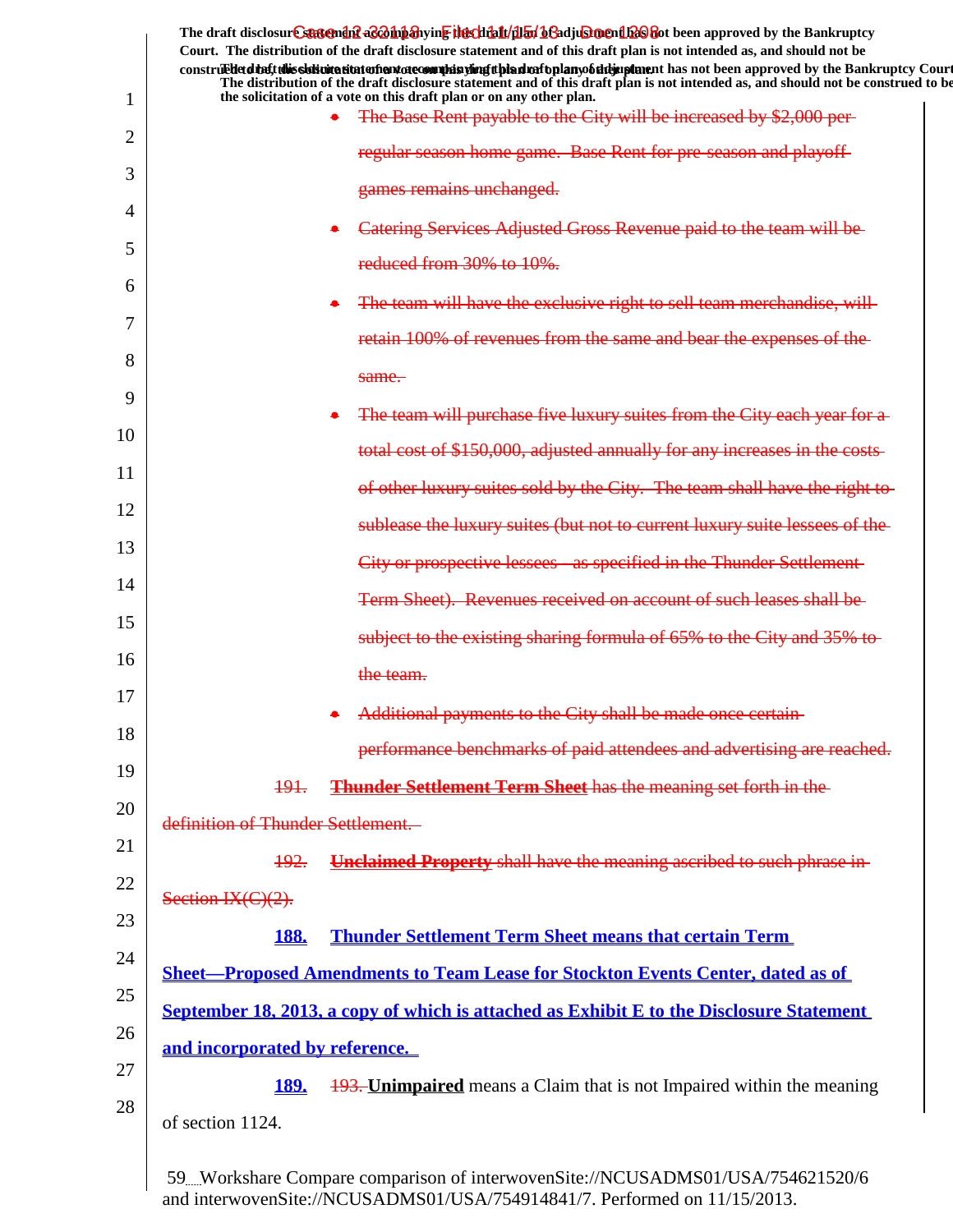|               | The draft disclosure sastement as a having the client of the fit of a set of the set of the Bankruptcy<br>Court. The distribution of the draft disclosure statement and of this draft plan is not intended as, and should not be                                       |
|---------------|------------------------------------------------------------------------------------------------------------------------------------------------------------------------------------------------------------------------------------------------------------------------|
|               | construed detail this sidion at the model and other many displants of the detail and the model of the model of the Bankruptcy Court<br>The distribution of the draft disclosure statement and of this draft plan is not intended as, and should not be construed to be |
| 1             | the solicitation of a vote on this draft plan or on any other plan.<br>The Base Rent payable to the City will be increased by \$2,000 per-                                                                                                                             |
| 2             | regular season home game. Base Rent for pre-season and playoff-                                                                                                                                                                                                        |
| 3             | games remains unchanged.                                                                                                                                                                                                                                               |
| 4             | Catering Services Adjusted Gross Revenue paid to the team will be                                                                                                                                                                                                      |
| 5             | reduced from 30% to 10%.                                                                                                                                                                                                                                               |
| $\mathfrak b$ | The team will have the exclusive right to sell team merchandise, will                                                                                                                                                                                                  |
| 7             | retain 100% of revenues from the same and bear the expenses of the                                                                                                                                                                                                     |
| 8             | same.                                                                                                                                                                                                                                                                  |
| 9             | The team will purchase five luxury suites from the City each year for a                                                                                                                                                                                                |
| 10            | total cost of \$150,000, adjusted annually for any increases in the costs-                                                                                                                                                                                             |
| 11            | of other luxury suites sold by the City. The team shall have the right to-                                                                                                                                                                                             |
| 12            |                                                                                                                                                                                                                                                                        |
| 13            | sublease the luxury suites (but not to current luxury suite lessees of the                                                                                                                                                                                             |
| 14            | City or prospective lessees - as specified in the Thunder Settlement-                                                                                                                                                                                                  |
| 15            | Term Sheet). Revenues received on account of such leases shall be                                                                                                                                                                                                      |
| 16            | subject to the existing sharing formula of 65% to the City and 35% to                                                                                                                                                                                                  |
| 17            | the team.                                                                                                                                                                                                                                                              |
| 18            | Additional payments to the City shall be made once certain                                                                                                                                                                                                             |
| 19            | performance benchmarks of paid attendees and advertising are reached.                                                                                                                                                                                                  |
| 20            | <b>Thunder Settlement Term Sheet</b> has the meaning set forth in the<br><del>191.</del>                                                                                                                                                                               |
|               | definition of Thunder Settlement.                                                                                                                                                                                                                                      |
| 21            | <b>Unclaimed Property</b> shall have the meaning ascribed to such phrase in-<br><del>192.</del>                                                                                                                                                                        |
| 22            | Section IX(C)(2).                                                                                                                                                                                                                                                      |
| 23            | <b>Thunder Settlement Term Sheet means that certain Term</b><br><b>188.</b>                                                                                                                                                                                            |
| 24            | <b>Sheet-Proposed Amendments to Team Lease for Stockton Events Center, dated as of</b>                                                                                                                                                                                 |
| 25            | September 18, 2013, a copy of which is attached as Exhibit E to the Disclosure Statement                                                                                                                                                                               |
| 26            | and incorporated by reference.                                                                                                                                                                                                                                         |
| 27            | <u>189.</u><br><b>193. Unimpaired</b> means a Claim that is not Impaired within the meaning                                                                                                                                                                            |
| 28            | of section 1124.                                                                                                                                                                                                                                                       |
|               |                                                                                                                                                                                                                                                                        |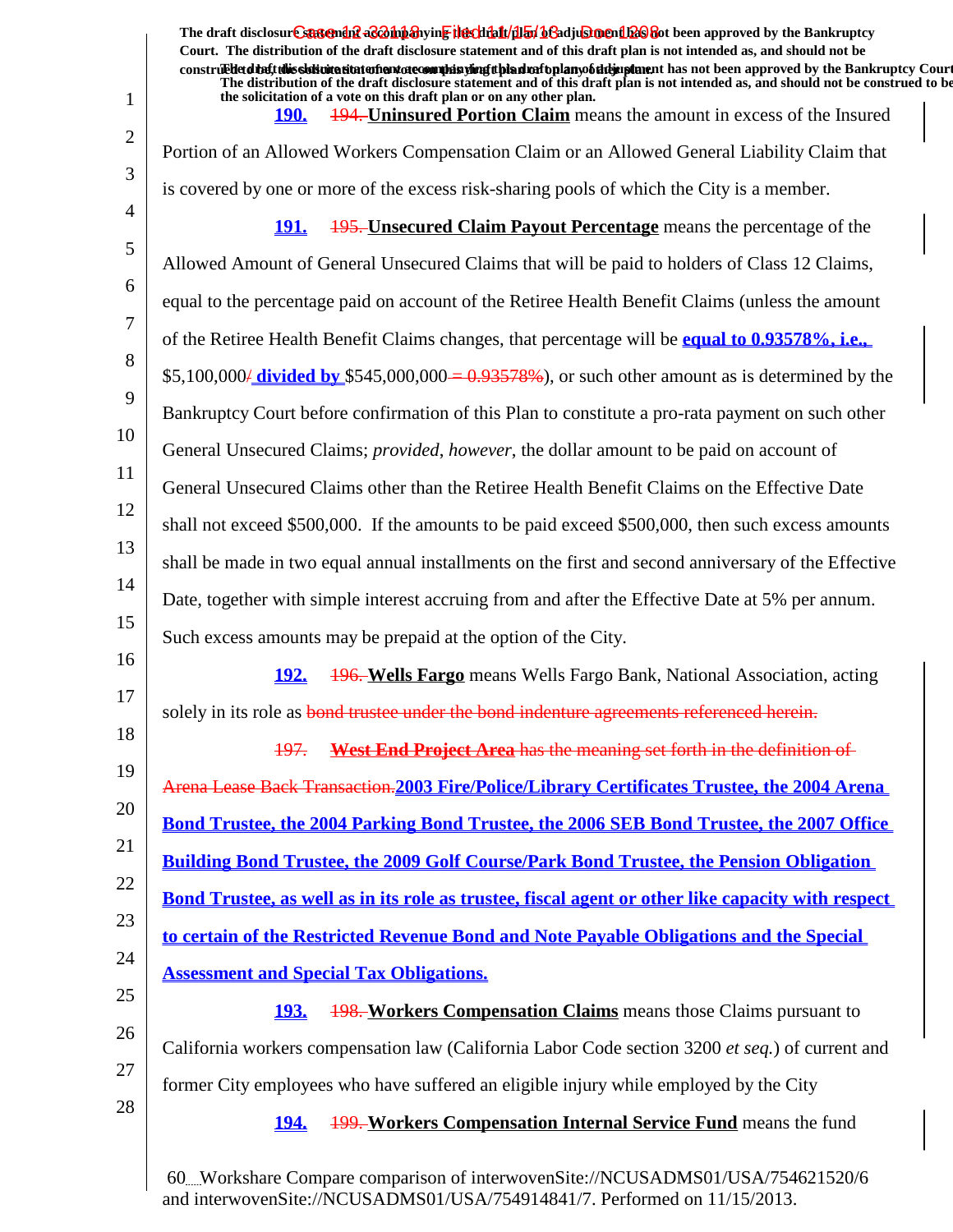|                | The draft disclosur Canteman & Boh baying the clining of adjustment Es and the Bankruptcy<br>Court. The distribution of the draft disclosure statement and of this draft plan is not intended as, and should not be<br>construed that this sidion attatoment atecomulas simplifying and the plany of the paper and been approved by the Bankruptcy Court<br>The distribution of the draft disclosure statement and of this draft plan is not intended as, and should not be construed to be |
|----------------|---------------------------------------------------------------------------------------------------------------------------------------------------------------------------------------------------------------------------------------------------------------------------------------------------------------------------------------------------------------------------------------------------------------------------------------------------------------------------------------------|
| 1              | the solicitation of a vote on this draft plan or on any other plan.<br>194. Uninsured Portion Claim means the amount in excess of the Insured<br><b>190.</b>                                                                                                                                                                                                                                                                                                                                |
| $\overline{2}$ | Portion of an Allowed Workers Compensation Claim or an Allowed General Liability Claim that                                                                                                                                                                                                                                                                                                                                                                                                 |
| 3              | is covered by one or more of the excess risk-sharing pools of which the City is a member.                                                                                                                                                                                                                                                                                                                                                                                                   |
| 4              | <b>195. Unsecured Claim Payout Percentage</b> means the percentage of the<br><u> 191. </u>                                                                                                                                                                                                                                                                                                                                                                                                  |
| 5              | Allowed Amount of General Unsecured Claims that will be paid to holders of Class 12 Claims,                                                                                                                                                                                                                                                                                                                                                                                                 |
| 6              | equal to the percentage paid on account of the Retiree Health Benefit Claims (unless the amount                                                                                                                                                                                                                                                                                                                                                                                             |
| 7              | of the Retiree Health Benefit Claims changes, that percentage will be equal to 0.93578%, i.e.,                                                                                                                                                                                                                                                                                                                                                                                              |
| 8              | \$5,100,000/ <b>divided by</b> \$545,000,000 = $0.93578\%$ ), or such other amount as is determined by the                                                                                                                                                                                                                                                                                                                                                                                  |
| 9              | Bankruptcy Court before confirmation of this Plan to constitute a pro-rata payment on such other                                                                                                                                                                                                                                                                                                                                                                                            |
| 10             | General Unsecured Claims; <i>provided, however</i> , the dollar amount to be paid on account of                                                                                                                                                                                                                                                                                                                                                                                             |
| 11             | General Unsecured Claims other than the Retiree Health Benefit Claims on the Effective Date                                                                                                                                                                                                                                                                                                                                                                                                 |
| 12             | shall not exceed \$500,000. If the amounts to be paid exceed \$500,000, then such excess amounts                                                                                                                                                                                                                                                                                                                                                                                            |
| 13             | shall be made in two equal annual installments on the first and second anniversary of the Effective                                                                                                                                                                                                                                                                                                                                                                                         |
| 14             | Date, together with simple interest accruing from and after the Effective Date at 5% per annum.                                                                                                                                                                                                                                                                                                                                                                                             |
| 15             | Such excess amounts may be prepaid at the option of the City.                                                                                                                                                                                                                                                                                                                                                                                                                               |
| 16             | <u>192.</u><br><b>496. Wells Fargo</b> means Wells Fargo Bank, National Association, acting                                                                                                                                                                                                                                                                                                                                                                                                 |
| 17             | solely in its role as bond trustee under the bond indenture agreements referenced herein.                                                                                                                                                                                                                                                                                                                                                                                                   |
| 18             | <b>West End Project Area has the meaning set forth in the definition of</b><br><del>197.</del>                                                                                                                                                                                                                                                                                                                                                                                              |
| 19             | Arena Lease Back Transaction. 2003 Fire/Police/Library Certificates Trustee, the 2004 Arena                                                                                                                                                                                                                                                                                                                                                                                                 |
| 20             | <b>Bond Trustee, the 2004 Parking Bond Trustee, the 2006 SEB Bond Trustee, the 2007 Office</b>                                                                                                                                                                                                                                                                                                                                                                                              |
| 21             | <b>Building Bond Trustee, the 2009 Golf Course/Park Bond Trustee, the Pension Obligation</b>                                                                                                                                                                                                                                                                                                                                                                                                |
| 22             | Bond Trustee, as well as in its role as trustee, fiscal agent or other like capacity with respect                                                                                                                                                                                                                                                                                                                                                                                           |
| 23             | to certain of the Restricted Revenue Bond and Note Payable Obligations and the Special                                                                                                                                                                                                                                                                                                                                                                                                      |
| 24             | <b>Assessment and Special Tax Obligations.</b>                                                                                                                                                                                                                                                                                                                                                                                                                                              |
| 25             | <b>198. Workers Compensation Claims</b> means those Claims pursuant to<br><u>193.</u>                                                                                                                                                                                                                                                                                                                                                                                                       |
| 26             | California workers compensation law (California Labor Code section 3200 et seq.) of current and                                                                                                                                                                                                                                                                                                                                                                                             |
| 27             | former City employees who have suffered an eligible injury while employed by the City                                                                                                                                                                                                                                                                                                                                                                                                       |
| 28             | <b>199. Workers Compensation Internal Service Fund</b> means the fund<br><b>194.</b>                                                                                                                                                                                                                                                                                                                                                                                                        |
|                |                                                                                                                                                                                                                                                                                                                                                                                                                                                                                             |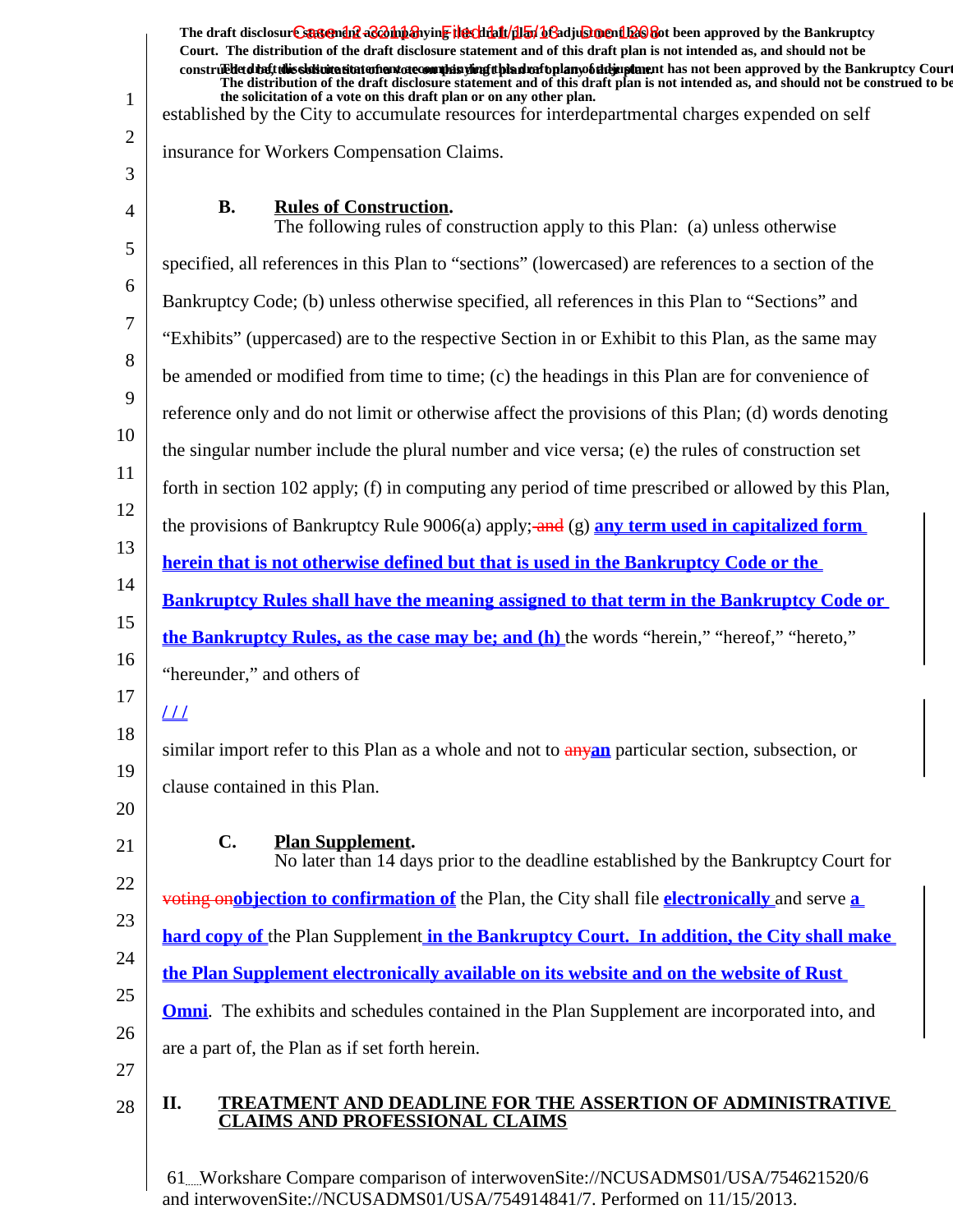The draft disclosur<del>t Suggendn2 aC201np3</del>hyin<mark>e the chip11/1151/163adjushorenth26</mark>860t been approved by the Bankruptcy **Court. The distribution of the draft disclosure statement and of this draft plan is not intended as, and should not be** construed to the solicit this solicitation to the number of the solution of the draft plan of the dramatic disclosure in the statement of the Bankruptcy Court. **The distribution of the draft disclosure statement and of this draft plan is not intended as, and should not be construed to be, the solicitation of a vote on this draft plan or on any other plan.**

established by the City to accumulate resources for interdepartmental charges expended on self

insurance for Workers Compensation Claims.

3

1

2

## **Rules of Construction.**

4 5 6 7 8 9 10 11 12 13 14 15 16 17 18 19 20 21 22 23 24 25 26 27 28 The following rules of construction apply to this Plan: (a) unless otherwise specified, all references in this Plan to "sections" (lowercased) are references to a section of the Bankruptcy Code; (b) unless otherwise specified, all references in this Plan to "Sections" and "Exhibits" (uppercased) are to the respective Section in or Exhibit to this Plan, as the same may be amended or modified from time to time; (c) the headings in this Plan are for convenience of reference only and do not limit or otherwise affect the provisions of this Plan; (d) words denoting the singular number include the plural number and vice versa; (e) the rules of construction set forth in section 102 apply; (f) in computing any period of time prescribed or allowed by this Plan, the provisions of Bankruptcy Rule 9006(a) apply; and (g) **any term used in capitalized form herein that is not otherwise defined but that is used in the Bankruptcy Code or the Bankruptcy Rules shall have the meaning assigned to that term in the Bankruptcy Code or the Bankruptcy Rules, as the case may be; and (h)** the words "herein," "hereof," "hereto," "hereunder," and others of **/ / /** similar import refer to this Plan as a whole and not to any**an** particular section, subsection, or clause contained in this Plan. **C.** Plan Supplement. No later than 14 days prior to the deadline established by the Bankruptcy Court for voting on**objection to confirmation of** the Plan, the City shall file **electronically** and serve **a hard copy of** the Plan Supplement **in the Bankruptcy Court. In addition, the City shall make the Plan Supplement electronically available on its website and on the website of Rust Omni**. The exhibits and schedules contained in the Plan Supplement are incorporated into, and are a part of, the Plan as if set forth herein.

## **II. TREATMENT AND DEADLINE FOR THE ASSERTION OF ADMINISTRATIVE CLAIMS AND PROFESSIONAL CLAIMS**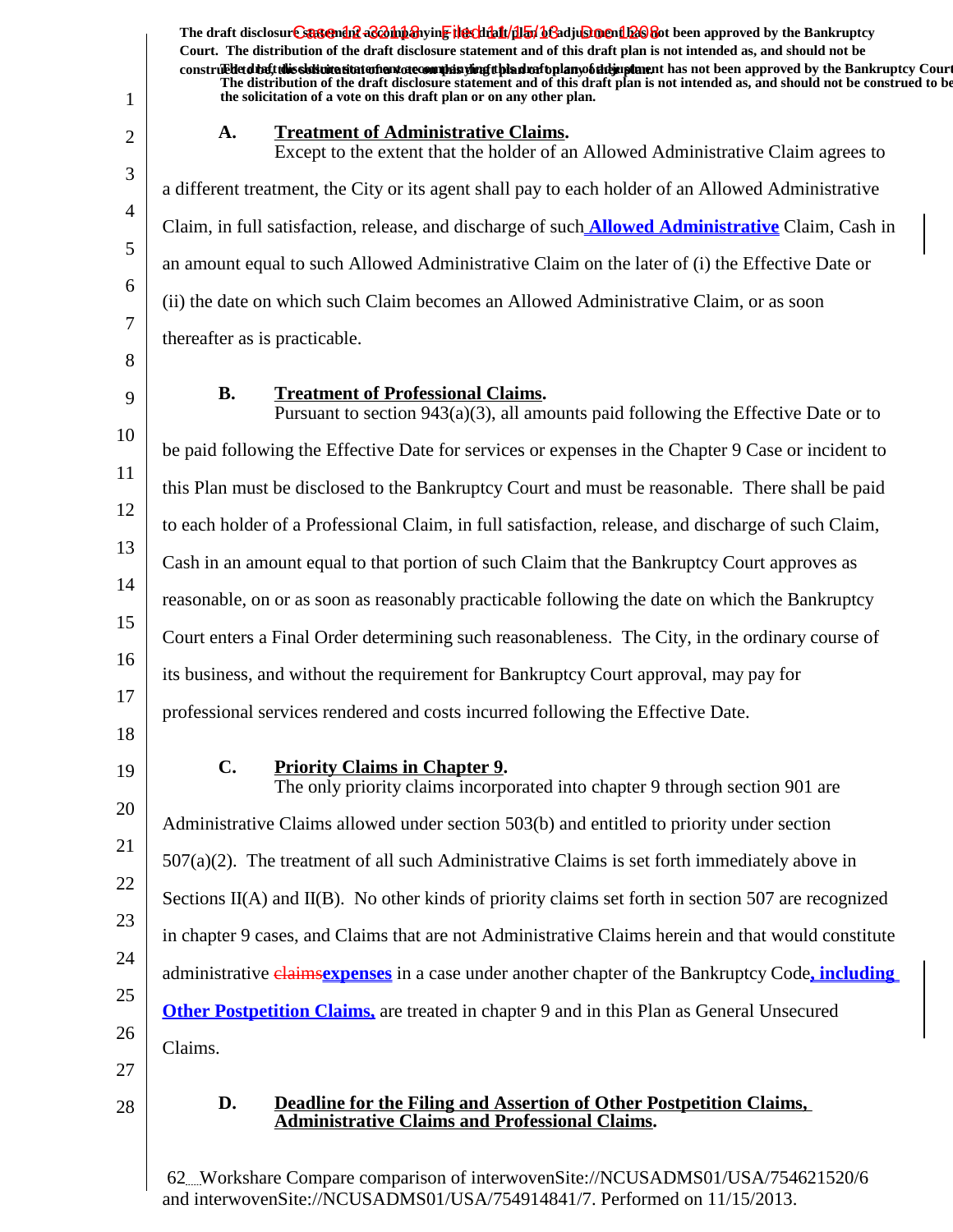The draft disclosur<del>t Suggendn2 aC201np3</del>hyin<mark>e the chip11/1151/163adjushorenth26</mark>860t been approved by the Bankruptcy **Court. The distribution of the draft disclosure statement and of this draft plan is not intended as, and should not be** construed to the solicit this solicitation to the number of the solution of the draft plan of the dramatic disclosure in the statement of the Bankruptcy Court. **The distribution of the draft disclosure statement and of this draft plan is not intended as, and should not be construed to be, the solicitation of a vote on this draft plan or on any other plan.**

#### A. Treatment of Administrative Claims.

Except to the extent that the holder of an Allowed Administrative Claim agrees to a different treatment, the City or its agent shall pay to each holder of an Allowed Administrative Claim, in full satisfaction, release, and discharge of such **Allowed Administrative** Claim, Cash in an amount equal to such Allowed Administrative Claim on the later of (i) the Effective Date or (ii) the date on which such Claim becomes an Allowed Administrative Claim, or as soon thereafter as is practicable.

8 9

1

2

3

4

5

6

7

**B.** Treatment of Professional Claims.

10 11 12 13 14 15 16 17 Pursuant to section  $943(a)(3)$ , all amounts paid following the Effective Date or to be paid following the Effective Date for services or expenses in the Chapter 9 Case or incident to this Plan must be disclosed to the Bankruptcy Court and must be reasonable. There shall be paid to each holder of a Professional Claim, in full satisfaction, release, and discharge of such Claim, Cash in an amount equal to that portion of such Claim that the Bankruptcy Court approves as reasonable, on or as soon as reasonably practicable following the date on which the Bankruptcy Court enters a Final Order determining such reasonableness. The City, in the ordinary course of its business, and without the requirement for Bankruptcy Court approval, may pay for professional services rendered and costs incurred following the Effective Date.

- 18
- 19

## **C.** Priority Claims in Chapter 9.

20 21 22 23 24 25 26 The only priority claims incorporated into chapter 9 through section 901 are Administrative Claims allowed under section 503(b) and entitled to priority under section  $507(a)(2)$ . The treatment of all such Administrative Claims is set forth immediately above in Sections  $II(A)$  and  $II(B)$ . No other kinds of priority claims set forth in section 507 are recognized in chapter 9 cases, and Claims that are not Administrative Claims herein and that would constitute administrative **claims expenses** in a case under another chapter of the Bankruptcy Code, *including* **Other Postpetition Claims,** are treated in chapter 9 and in this Plan as General Unsecured Claims.

- 27
- 28

#### **D. Deadline for the Filing and Assertion of Other Postpetition Claims, Administrative Claims and Professional Claims.**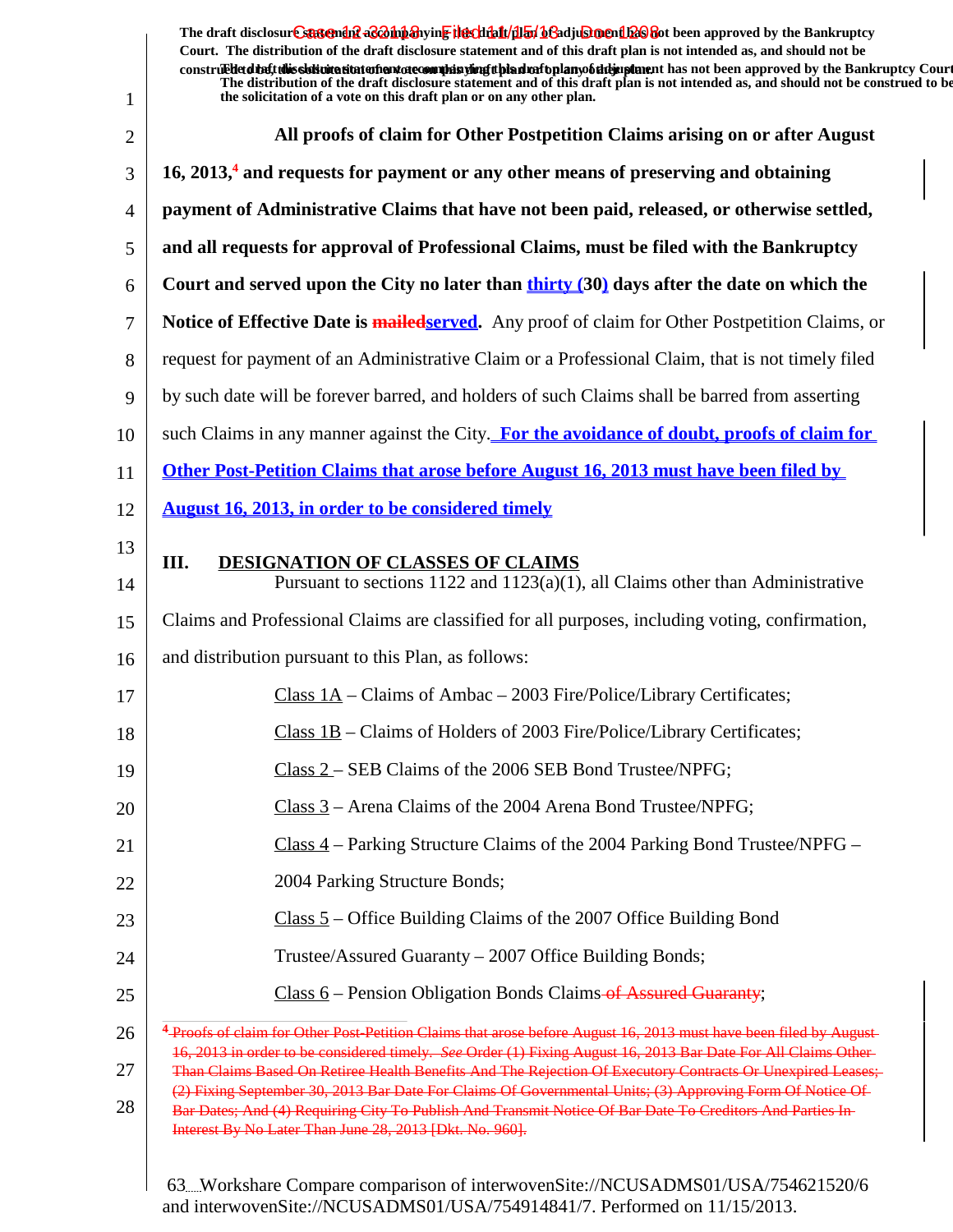The draft disclosur<del>t Suggendn2 aC201np3</del>hyin<mark>e the chip11/1151/163adjushorenth26</mark>860t been approved by the Bankruptcy **Court. The distribution of the draft disclosure statement and of this draft plan is not intended as, and should not be** constru**Edet disclosions disclosure to a vote of a vote on the solution of the dram** of the dramatic disclosure that the statement court. Court **The distribution of the draft disclosure statement and of this draft plan is not intended as, and should not be construed to be, the solicitation of a vote on this draft plan or on any other plan.**

| 1              | the solicitation of a vote on this draft plan or on any other plan.                                                                                                                                                                                                              |
|----------------|----------------------------------------------------------------------------------------------------------------------------------------------------------------------------------------------------------------------------------------------------------------------------------|
| $\overline{2}$ | All proofs of claim for Other Postpetition Claims arising on or after August                                                                                                                                                                                                     |
| 3              | $16, 2013$ , and requests for payment or any other means of preserving and obtaining                                                                                                                                                                                             |
| $\overline{4}$ | payment of Administrative Claims that have not been paid, released, or otherwise settled,                                                                                                                                                                                        |
| 5              | and all requests for approval of Professional Claims, must be filed with the Bankruptcy                                                                                                                                                                                          |
| 6              | Court and served upon the City no later than thirty (30) days after the date on which the                                                                                                                                                                                        |
| 7              | Notice of Effective Date is <b>mailedserved</b> . Any proof of claim for Other Postpetition Claims, or                                                                                                                                                                           |
| 8              | request for payment of an Administrative Claim or a Professional Claim, that is not timely filed                                                                                                                                                                                 |
| 9              | by such date will be forever barred, and holders of such Claims shall be barred from asserting                                                                                                                                                                                   |
| 10             | such Claims in any manner against the City. For the avoidance of doubt, proofs of claim for                                                                                                                                                                                      |
| 11             | Other Post-Petition Claims that arose before August 16, 2013 must have been filed by                                                                                                                                                                                             |
| 12             | <b>August 16, 2013, in order to be considered timely</b>                                                                                                                                                                                                                         |
| 13             | III.<br><b>DESIGNATION OF CLASSES OF CLAIMS</b>                                                                                                                                                                                                                                  |
| 14             | Pursuant to sections $1122$ and $1123(a)(1)$ , all Claims other than Administrative                                                                                                                                                                                              |
| 15             | Claims and Professional Claims are classified for all purposes, including voting, confirmation,                                                                                                                                                                                  |
| 16             | and distribution pursuant to this Plan, as follows:                                                                                                                                                                                                                              |
| 17             | Class $1A$ – Claims of Ambac – 2003 Fire/Police/Library Certificates;                                                                                                                                                                                                            |
| 18             | Class 1B - Claims of Holders of 2003 Fire/Police/Library Certificates;                                                                                                                                                                                                           |
| 19             | Class 2 – SEB Claims of the 2006 SEB Bond Trustee/NPFG;                                                                                                                                                                                                                          |
| 20             | Class 3 – Arena Claims of the 2004 Arena Bond Trustee/NPFG;                                                                                                                                                                                                                      |
| 21             | $Class 4$ – Parking Structure Claims of the 2004 Parking Bond Trustee/NPFG –                                                                                                                                                                                                     |
| 22             | 2004 Parking Structure Bonds;                                                                                                                                                                                                                                                    |
| 23             | $Class 5 - Office Building Claims of the 2007 Office Building Bond$                                                                                                                                                                                                              |
| 24             | Trustee/Assured Guaranty – 2007 Office Building Bonds;                                                                                                                                                                                                                           |
| 25             | Class $6$ – Pension Obligation Bonds Claims of Assured Guaranty;                                                                                                                                                                                                                 |
| 26             | <sup>4</sup> Proofs of claim for Other Post Petition Claims that arose before August 16, 2013 must have been filed by August-<br>16, 2013 in order to be considered timely. See Order (1) Fixing August 16, 2013 Bar Date For All Claims Other-                                  |
| 27             | Than Claims Based On Retiree Health Benefits And The Rejection Of Executory Contracts Or Unexpired Leases;                                                                                                                                                                       |
| 28             | (2) Fixing September 30, 2013 Bar Date For Claims Of Governmental Units; (3) Approving Form Of Notice Of<br>Bar Dates; And (4) Requiring City To Publish And Transmit Notice Of Bar Date To Creditors And Parties In-<br>Interest By No Later Than June 28, 2013 [Dkt. No. 960]. |
|                | 63. Workshare Compare comparison of interwovenSite://NCUSADMS01/USA/754621520/6                                                                                                                                                                                                  |

and interwovenSite://NCUSADMS01/USA/754914841/7. Performed on 11/15/2013.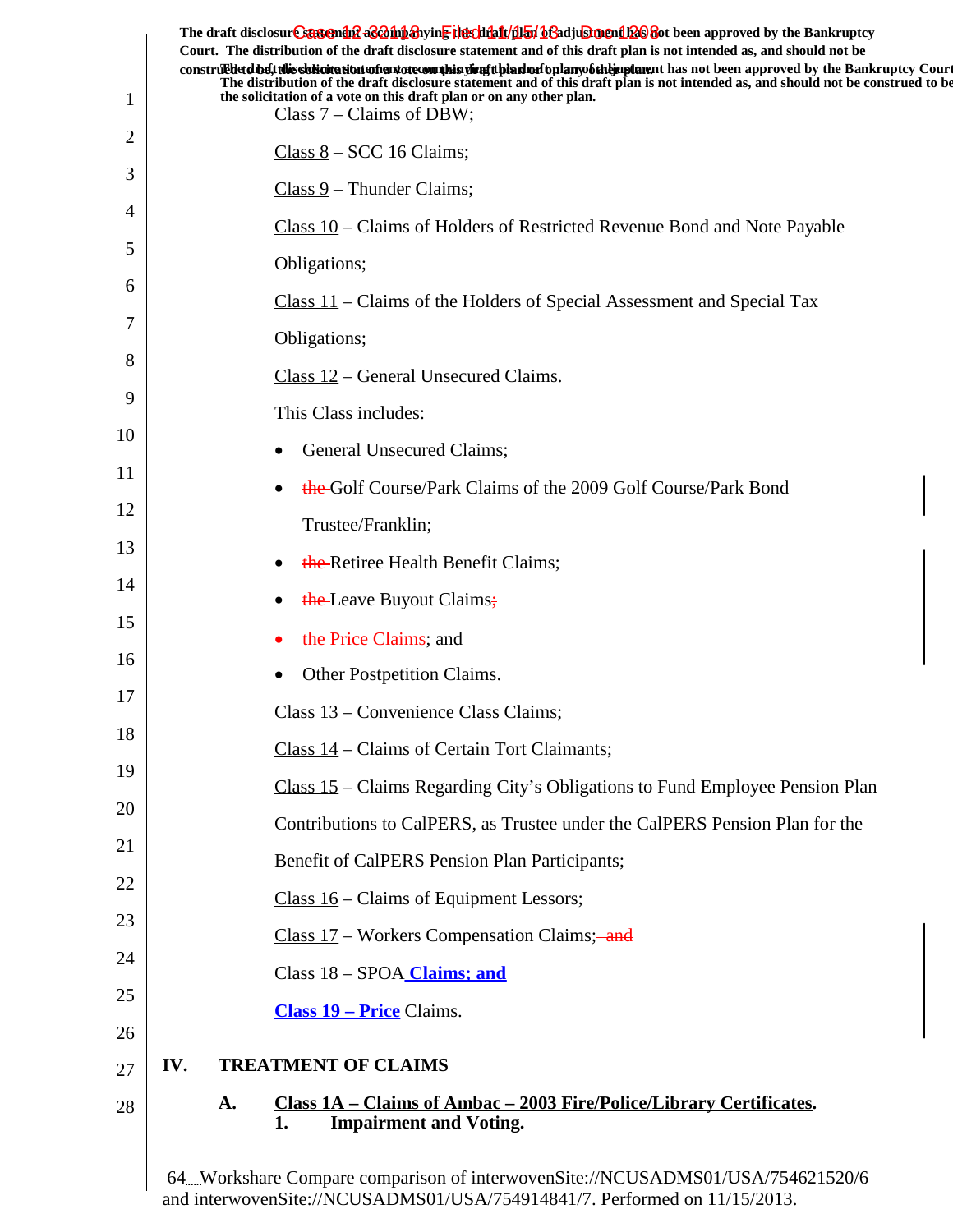|    |     |    | The draft disclosure sasement as a hypothesive the client of the final of a disclosure and the Bankruptcy<br>Court. The distribution of the draft disclosure statement and of this draft plan is not intended as, and should not be<br>construed detail this slok wite situation and accommode is virigit bian match plany of the implement has not been approved by the Bankruptcy Court |  |
|----|-----|----|-------------------------------------------------------------------------------------------------------------------------------------------------------------------------------------------------------------------------------------------------------------------------------------------------------------------------------------------------------------------------------------------|--|
| 1  |     |    | The distribution of the draft disclosure statement and of this draft plan is not intended as, and should not be construed to be<br>the solicitation of a vote on this draft plan or on any other plan.<br>Class $7$ – Claims of DBW;                                                                                                                                                      |  |
| 2  |     |    | $Class 8 - SCC 16 Clains;$                                                                                                                                                                                                                                                                                                                                                                |  |
| 3  |     |    | $Class 9$ – Thunder Claims;                                                                                                                                                                                                                                                                                                                                                               |  |
| 4  |     |    | Class 10 – Claims of Holders of Restricted Revenue Bond and Note Payable                                                                                                                                                                                                                                                                                                                  |  |
| 5  |     |    | Obligations;                                                                                                                                                                                                                                                                                                                                                                              |  |
| 6  |     |    | $Class 11$ – Claims of the Holders of Special Assessment and Special Tax                                                                                                                                                                                                                                                                                                                  |  |
| 7  |     |    | Obligations;                                                                                                                                                                                                                                                                                                                                                                              |  |
| 8  |     |    | Class 12 – General Unsecured Claims.                                                                                                                                                                                                                                                                                                                                                      |  |
| 9  |     |    | This Class includes:                                                                                                                                                                                                                                                                                                                                                                      |  |
| 10 |     |    | General Unsecured Claims;                                                                                                                                                                                                                                                                                                                                                                 |  |
| 11 |     |    | the Golf Course/Park Claims of the 2009 Golf Course/Park Bond                                                                                                                                                                                                                                                                                                                             |  |
| 12 |     |    | Trustee/Franklin;                                                                                                                                                                                                                                                                                                                                                                         |  |
| 13 |     |    | the-Retiree Health Benefit Claims;                                                                                                                                                                                                                                                                                                                                                        |  |
| 14 |     |    | the Leave Buyout Claims;                                                                                                                                                                                                                                                                                                                                                                  |  |
| 15 |     |    | the Price Claims; and                                                                                                                                                                                                                                                                                                                                                                     |  |
| 16 |     |    | Other Postpetition Claims.                                                                                                                                                                                                                                                                                                                                                                |  |
| 17 |     |    | Class 13 – Convenience Class Claims;                                                                                                                                                                                                                                                                                                                                                      |  |
| 18 |     |    | Class 14 – Claims of Certain Tort Claimants;                                                                                                                                                                                                                                                                                                                                              |  |
| 19 |     |    | Class 15 - Claims Regarding City's Obligations to Fund Employee Pension Plan                                                                                                                                                                                                                                                                                                              |  |
| 20 |     |    | Contributions to CalPERS, as Trustee under the CalPERS Pension Plan for the                                                                                                                                                                                                                                                                                                               |  |
| 21 |     |    | Benefit of CalPERS Pension Plan Participants;                                                                                                                                                                                                                                                                                                                                             |  |
| 22 |     |    | Class $16$ – Claims of Equipment Lessors;                                                                                                                                                                                                                                                                                                                                                 |  |
| 23 |     |    | Class 17 – Workers Compensation Claims; and                                                                                                                                                                                                                                                                                                                                               |  |
| 24 |     |    | Class 18 - SPOA Claims; and                                                                                                                                                                                                                                                                                                                                                               |  |
| 25 |     |    | <b>Class 19 – Price Claims.</b>                                                                                                                                                                                                                                                                                                                                                           |  |
| 26 |     |    |                                                                                                                                                                                                                                                                                                                                                                                           |  |
| 27 | IV. |    | <b>TREATMENT OF CLAIMS</b>                                                                                                                                                                                                                                                                                                                                                                |  |
| 28 |     | A. | <u> Class 1A – Claims of Ambac – 2003 Fire/Police/Library Certificates.</u><br><b>Impairment and Voting.</b><br>1.                                                                                                                                                                                                                                                                        |  |
|    |     |    |                                                                                                                                                                                                                                                                                                                                                                                           |  |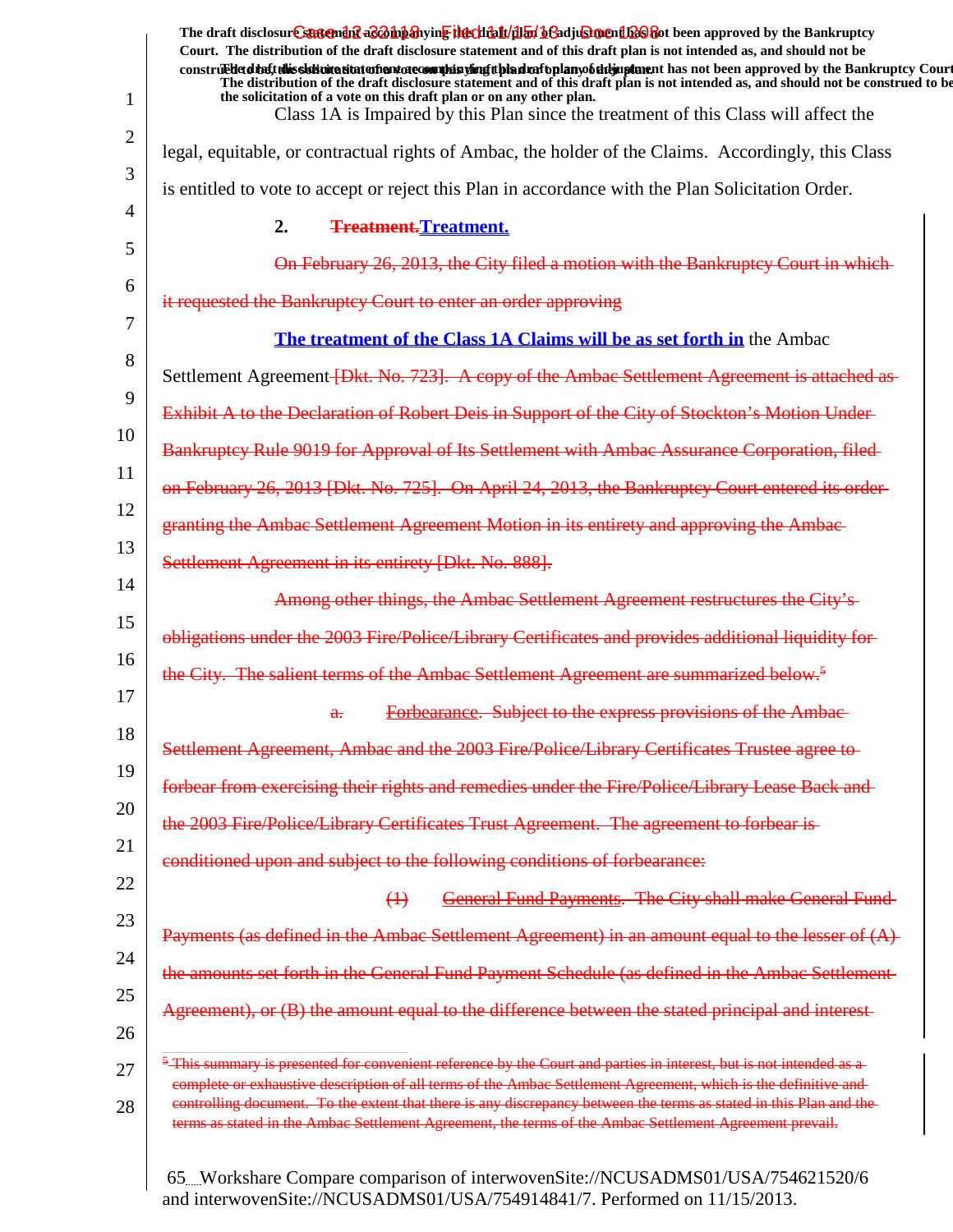|                | The draft disclosure suggended acompanying the climatical of adjustment been approved by the Bankruptcy<br>Court. The distribution of the draft disclosure statement and of this draft plan is not intended as, and should not be                                                                                                               |
|----------------|-------------------------------------------------------------------------------------------------------------------------------------------------------------------------------------------------------------------------------------------------------------------------------------------------------------------------------------------------|
| 1              | construedetdine tubis sistemation enterto commission and properties and properties and has not been approved by the Bankruptcy Court<br>The distribution of the draft disclosure statement and of this draft plan is not intended as, and should not be construed to be<br>the solicitation of a vote on this draft plan or on any other plan.  |
|                | Class 1A is Impaired by this Plan since the treatment of this Class will affect the                                                                                                                                                                                                                                                             |
| $\overline{2}$ | legal, equitable, or contractual rights of Ambac, the holder of the Claims. Accordingly, this Class                                                                                                                                                                                                                                             |
| 3              | is entitled to vote to accept or reject this Plan in accordance with the Plan Solicitation Order.                                                                                                                                                                                                                                               |
| 4              | 2.<br><b>Treatment.Treatment.</b>                                                                                                                                                                                                                                                                                                               |
| 5              | On February 26, 2013, the City filed a motion with the Bankruptcy Court in which                                                                                                                                                                                                                                                                |
| 6              | it requested the Bankruptcy Court to enter an order approving                                                                                                                                                                                                                                                                                   |
| 7              | The treatment of the Class 1A Claims will be as set forth in the Ambac                                                                                                                                                                                                                                                                          |
| 8              | Settlement Agreement <i>Dist. No. 723</i> . A copy of the Ambac Settlement Agreement is attached as                                                                                                                                                                                                                                             |
| 9              | Exhibit A to the Declaration of Robert Deis in Support of the City of Stockton's Motion Under-                                                                                                                                                                                                                                                  |
| 10             | Bankruptcy Rule 9019 for Approval of Its Settlement with Ambac Assurance Corporation, filed-                                                                                                                                                                                                                                                    |
| 11             | on February 26, 2013 [Dkt. No. 725]. On April 24, 2013, the Bankruptcy Court entered its order-                                                                                                                                                                                                                                                 |
| 12             | granting the Ambac Settlement Agreement Motion in its entirety and approving the Ambac-                                                                                                                                                                                                                                                         |
| 13             | Settlement Agreement in its entirety [Dkt. No. 888].                                                                                                                                                                                                                                                                                            |
| 14             | Among other things, the Ambac Settlement Agreement restructures the City's-                                                                                                                                                                                                                                                                     |
| 15             | obligations under the 2003 Fire/Police/Library Certificates and provides additional liquidity for-                                                                                                                                                                                                                                              |
| 16             | the City. The salient terms of the Ambac Settlement Agreement are summarized below. <sup>5</sup>                                                                                                                                                                                                                                                |
| 17             | Forbearance. Subject to the express provisions of the Ambac-<br>$\mathbf{a}$ .                                                                                                                                                                                                                                                                  |
| 18             | Settlement Agreement, Ambac and the 2003 Fire/Police/Library Certificates Trustee agree to                                                                                                                                                                                                                                                      |
| 19             | forbear from exercising their rights and remedies under the Fire/Police/Library Lease Back and                                                                                                                                                                                                                                                  |
| 20             | the 2003 Fire/Police/Library Certificates Trust Agreement. The agreement to forbear is-                                                                                                                                                                                                                                                         |
| 21             | conditioned upon and subject to the following conditions of forbearance:                                                                                                                                                                                                                                                                        |
| 22             | <b>General Fund Payments. The City shall make General Fund-</b><br>$\leftrightarrow$                                                                                                                                                                                                                                                            |
| 23             | Payments (as defined in the Ambac Settlement Agreement) in an amount equal to the lesser of (A)                                                                                                                                                                                                                                                 |
| 24             | the amounts set forth in the General Fund Payment Schedule (as defined in the Ambac Settlement-                                                                                                                                                                                                                                                 |
| 25<br>26       | Agreement), or (B) the amount equal to the difference between the stated principal and interest-                                                                                                                                                                                                                                                |
| 27             | <sup>5</sup> This summary is presented for convenient reference by the Court and parties in interest, but is not intended as a                                                                                                                                                                                                                  |
| 28             | complete or exhaustive description of all terms of the Ambac Settlement Agreement, which is the definitive and<br>controlling document. To the extent that there is any discrepancy between the terms as stated in this Plan and the<br>terms as stated in the Ambac Settlement Agreement, the terms of the Ambac Settlement Agreement prevail. |
|                |                                                                                                                                                                                                                                                                                                                                                 |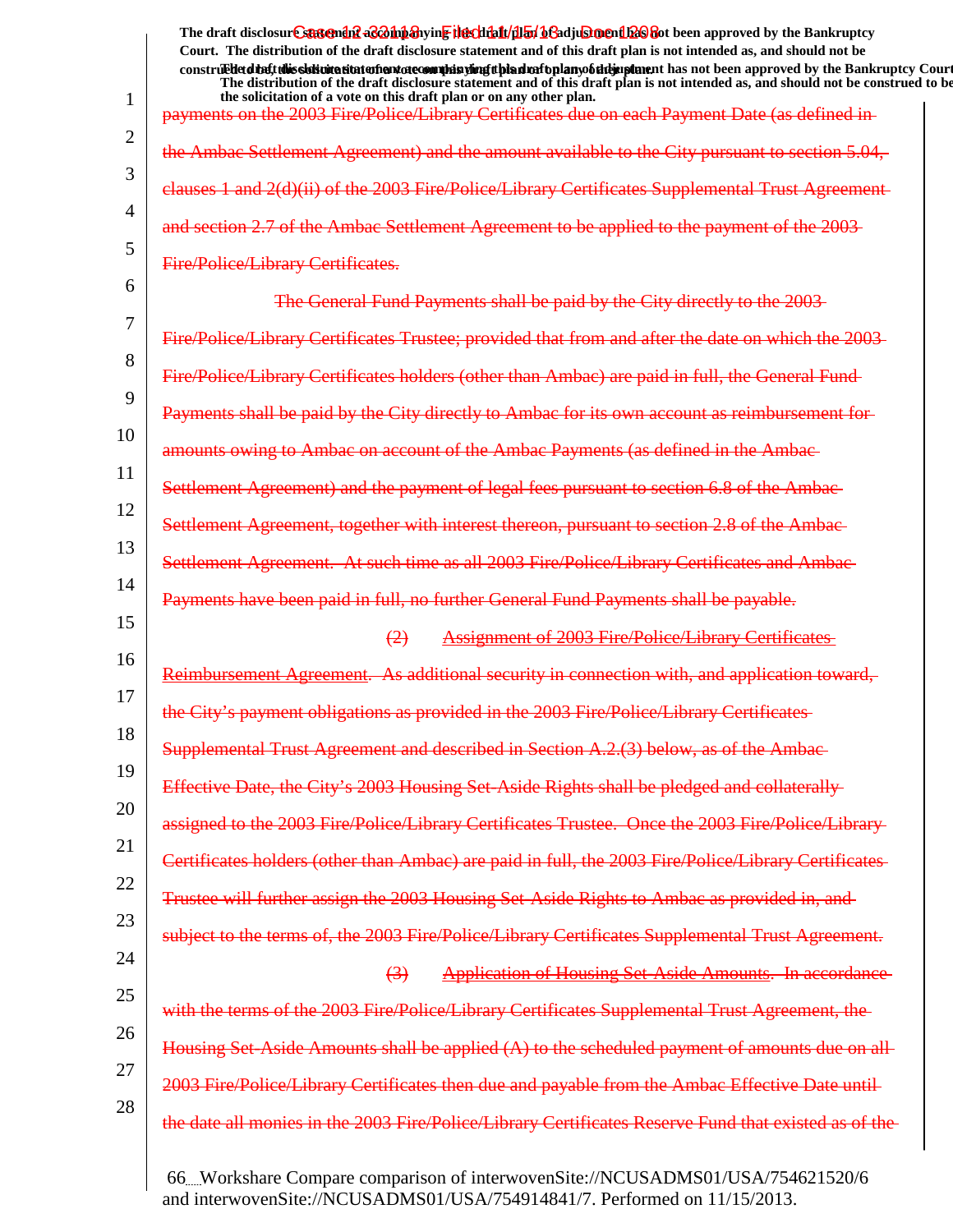1 2 3 4 5 6 7 8 9 10 11 12 13 14 15 16 17 18 19 20 21 22 23 24 25 26 27 28 The draft disclosur<del>t Suggendn2 aC201np3</del>hyin<mark>e the chip11/1151/163adjushorenth26</mark>860t been approved by the Bankruptcy **Court. The distribution of the draft disclosure statement and of this draft plan is not intended as, and should not be** construed to the state of this solicitation to the word of a variant disclosure and a voto any of the draft disclosure statement and a variant disclosure of a plan of a variant plan of the Bankruptcy Court. **The distribution of the draft disclosure statement and of this draft plan is not intended as, and should not be construed to be, the solicitation of a vote on this draft plan or on any other plan.** payments on the 2003 Fire/Police/Library Certificates due on each Payment Date (as defined in the Ambac Settlement Agreement) and the amount available to the City pursuant to section clauses 1 and 2(d)(ii) of the 2003 Fire/Police/Library Certificates and section 2.7 of the Ambac Settlement Agreement to be applied to the payment Fire/Police/Library Certificates. The General Fund Payments shall be paid by the City directly to the 2003 Fire/Police/Library Certificates Trustee; provided that from and after the date on which the 2003 Fire/Police/Library Certificates holders (other than Ambac) are paid in full, the General Fund Payments shall be paid by the City directly to Ambac for its amounts owing to Ambac on account of the Ambac Payments (as defined in the Ambac Settlement Agreement) and the payment of legal fees pursuant Settlement Agreement, together with interest thereon, pursuant to section Settlement Agreement. At such time as all 2003 Fire/Police/Library Payments have been paid in full, no further General Fund Payments (2) Assignment of 2003 Fire/Police/Library Certificates itional security in connection with, the City's payment obligations as provided in the 2003 Fire/Police/L Supplemental Trust Agreement and described Effective Date, the City's 2003 Housing Set-Aside Rights shall be pledged and collaterally assigned to the 2003 Fire/Police/Library Certificates Trustee. Once the 2003 Fire/Police/Library Certificates holders (other than Ambac) are paid in full, the 2003 Fire/Police/Library Certificates Trustee will further assign the 2003 Housing subject to the terms of, the 2003 Fire/Police/Library Certificates Supplemental Trust Agreement. (3) Application of Housing Set-Aside Amounts. In accordance with the terms of the 2003 Fire/Police/Library Certificates Supplemental Housing Set-Aside Amounts shall be applied (A) to the scheduled payment of amounts due on all 2003 Fire/Police/Library Certificates then due and payable from the the date all monies in the 2003 Fire/Police/Library Certificates Reserve Fund that existed as of the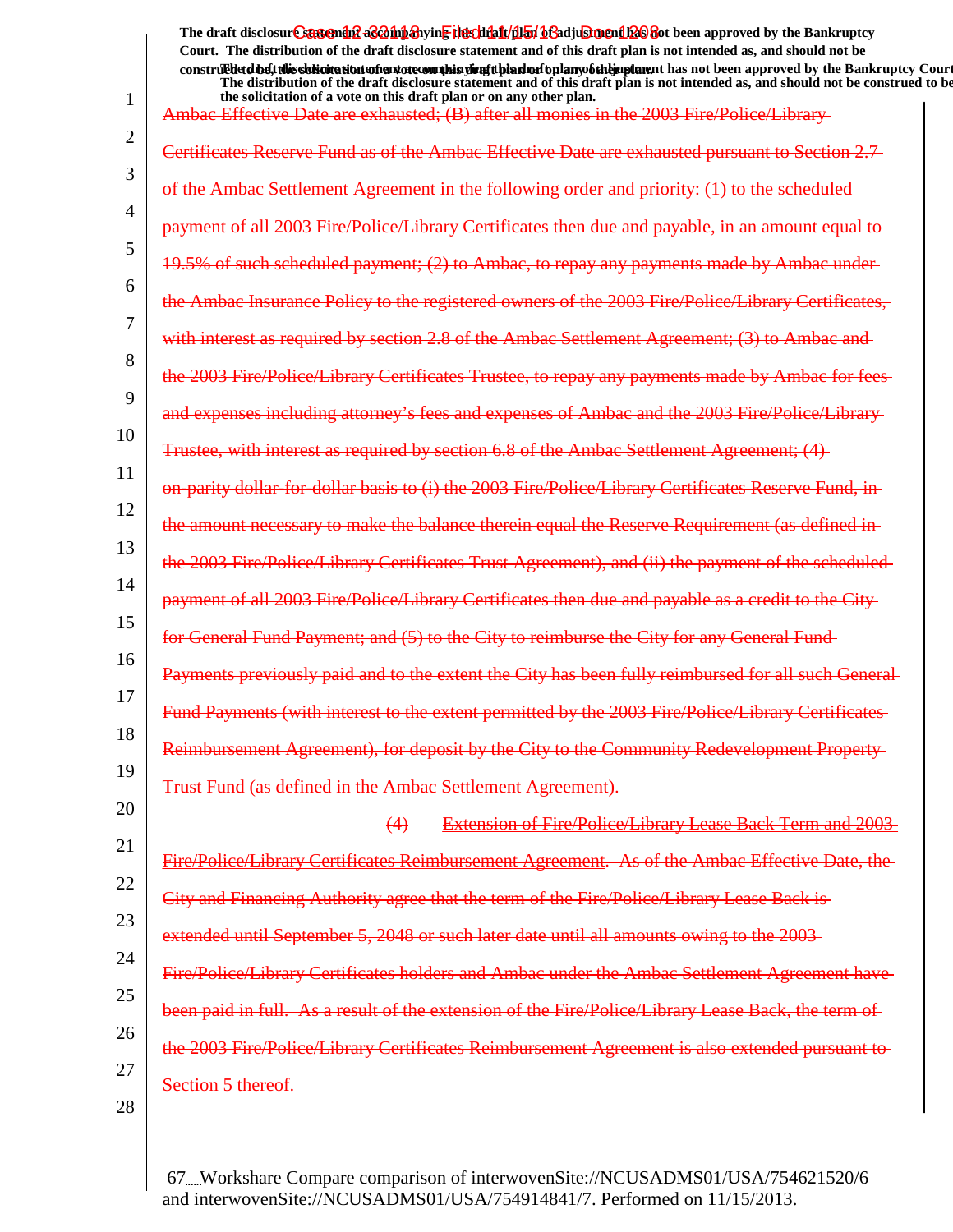The draft disclosur<del>t Suggendn2 aC201np3</del>hyin<mark>e the chip11/1151/163adjushorenth26</mark>860t been approved by the Bankruptcy **Court. The distribution of the draft disclosure statement and of this draft plan is not intended as, and should not be** construed to the solicit this delivited that of a variant decomplise the plan of the plan of the draft draft disclosure in the statement and been approved by the Bankruptcy Court. **The distribution of the draft disclosure statement and of this draft plan is not intended as, and should not be construed to be,**

| 1                | the solicitation of a vote on this draft plan or on any other plan.<br>Ambae Effective Date are exhausted; (B) after all monies in the 2003 Fire/Police/Library |
|------------------|-----------------------------------------------------------------------------------------------------------------------------------------------------------------|
| 2                | Certificates Reserve Fund as of the Ambac Effective Date are exhausted pursuant to Section 2.7                                                                  |
| 3                | of the Ambac Settlement Agreement in the following order and priority: (1) to the scheduled                                                                     |
| 4                | payment of all 2003 Fire/Police/Library Certificates then due and payable, in an amount equal to                                                                |
| 5                | 19.5% of such scheduled payment; (2) to Ambac, to repay any payments made by Ambac under-                                                                       |
| 6                | the Ambac Insurance Policy to the registered owners of the 2003 Fire/Police/Library Certificates,                                                               |
| 7                | with interest as required by section 2.8 of the Ambac Settlement Agreement; (3) to Ambac and                                                                    |
| 8<br>$\mathbf Q$ | the 2003 Fire/Police/Library Certificates Trustee, to repay any payments made by Ambac for fees-                                                                |
| 10               | and expenses including attorney's fees and expenses of Ambac and the 2003 Fire/Police/Library-                                                                  |
| 11               | Trustee, with interest as required by section 6.8 of the Ambac Settlement Agreement; (4)                                                                        |
| 12               | on-parity dollar-for-dollar basis to (i) the 2003 Fire/Police/Library Certificates Reserve Fund, in                                                             |
| 13               | the amount necessary to make the balance therein equal the Reserve Requirement (as defined in                                                                   |
| 14               | the 2003 Fire/Police/Library Certificates Trust Agreement), and (ii) the payment of the scheduled-                                                              |
| 15               | payment of all 2003 Fire/Police/Library Certificates then due and payable as a credit to the City                                                               |
| 16               | for General Fund Payment; and (5) to the City to reimburse the City for any General Fund-                                                                       |
| 17               | Payments previously paid and to the extent the City has been fully reimbursed for all such General                                                              |
| 18               | Fund Payments (with interest to the extent permitted by the 2003 Fire/Police/Library Certificates                                                               |
| 19               | Reimbursement Agreement), for deposit by the City to the Community Redevelopment Property                                                                       |
| 20               | Trust Fund (as defined in the Ambac Settlement Agreement).                                                                                                      |
| 21               | <b>Extension of Fire/Police/Library Lease Back Term and 2003</b><br>(4)                                                                                         |
| 22               | Fire/Police/Library Certificates Reimbursement Agreement. As of the Ambac Effective Date, the                                                                   |
| 23               | City and Financing Authority agree that the term of the Fire/Police/Library Lease Back is                                                                       |
| 24               | extended until September 5, 2048 or such later date until all amounts owing to the 2003-                                                                        |
| 25               | Fire/Police/Library Certificates holders and Ambac under the Ambac Settlement Agreement have-                                                                   |
| 26               | been paid in full. As a result of the extension of the Fire/Police/Library Lease Back, the term of                                                              |
| 27               | the 2003 Fire/Police/Library Certificates Reimbursement Agreement is also extended pursuant to-                                                                 |
| 28               | Section 5 thereof.                                                                                                                                              |
|                  |                                                                                                                                                                 |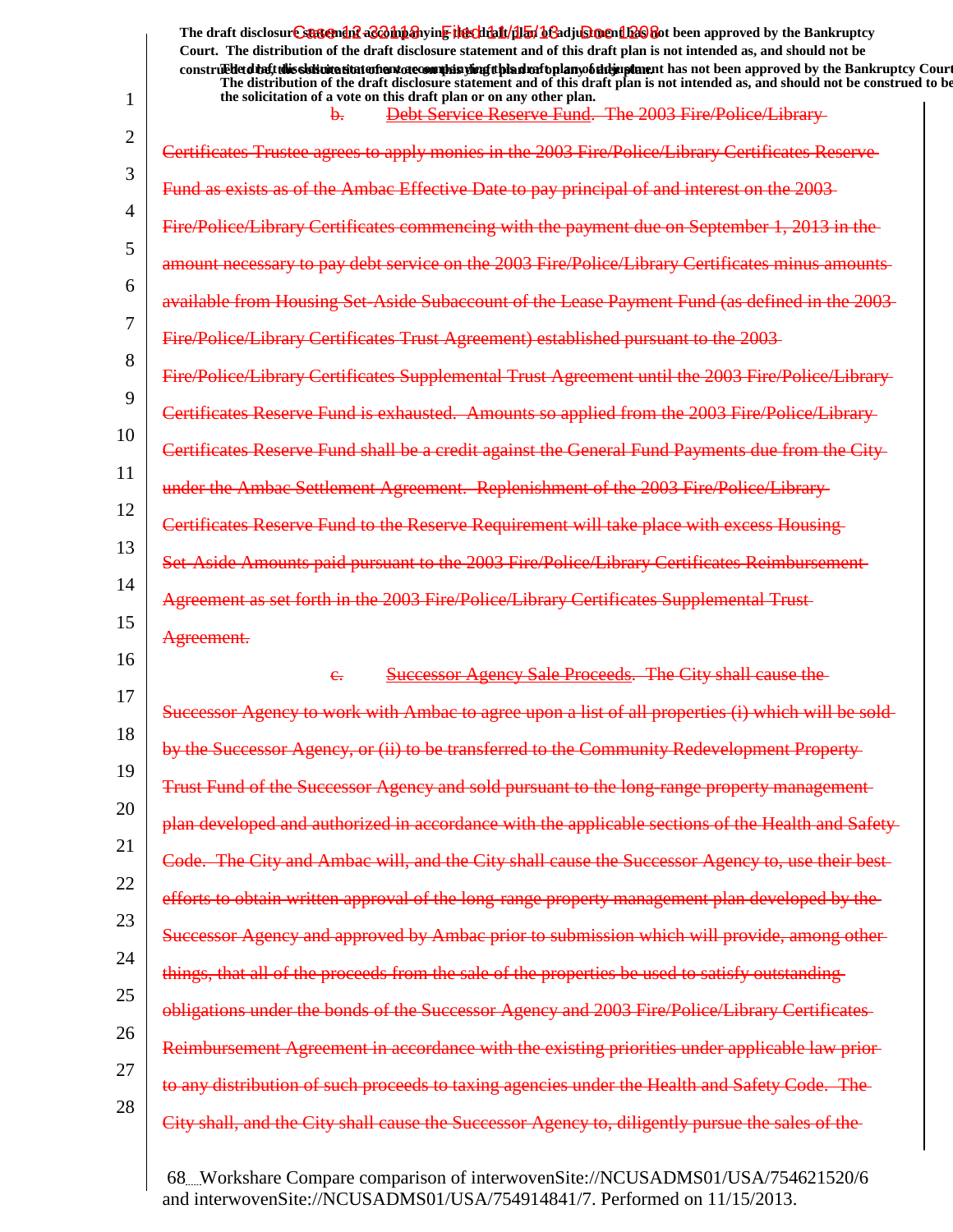The draft disclosur<del>t Suggendn2 aC201np3</del>hyin<mark>e the chip11/1151/163adjushorenth26</mark>860t been approved by the Bankruptcy **Court. The distribution of the draft disclosure statement and of this draft plan is not intended as, and should not be** construed to the solicit this delivited that of a variant decomplise the plan of the plan of the draft draft disclosure in the statement and been approved by the Bankruptcy Court. **The distribution of the draft disclosure statement and of this draft plan is not intended as, and should not be construed to be,**

| 1  | the solicitation of a vote on this draft plan or on any other plan.<br>Debt Service Reserve Fund. The 2003 Fire/Police/Library |
|----|--------------------------------------------------------------------------------------------------------------------------------|
| 2  | Certificates Trustee agrees to apply monies in the 2003 Fire/Police/Library Certificates Reserve-                              |
| 3  | Fund as exists as of the Ambac Effective Date to pay principal of and interest on the 2003-                                    |
| 4  | Fire/Police/Library Certificates commencing with the payment due on September 1, 2013 in the                                   |
| 5  | amount necessary to pay debt service on the 2003 Fire/Police/Library Certificates minus amounts                                |
| 6  | available from Housing Set-Aside Subaccount of the Lease Payment Fund (as defined in the 2003-                                 |
| 7  | Fire/Police/Library Certificates Trust Agreement) established pursuant to the 2003-                                            |
| 8  | Fire/Police/Library Certificates Supplemental Trust Agreement until the 2003 Fire/Police/Library-                              |
| 9  | Certificates Reserve Fund is exhausted. Amounts so applied from the 2003 Fire/Police/Library-                                  |
| 10 | Certificates Reserve Fund shall be a credit against the General Fund Payments due from the City                                |
| 11 | under the Ambac Settlement Agreement. Replenishment of the 2003 Fire/Police/Library-                                           |
| 12 | Certificates Reserve Fund to the Reserve Requirement will take place with excess Housing-                                      |
| 13 | Set-Aside Amounts paid pursuant to the 2003 Fire/Police/Library Certificates Reimbursement                                     |
| 14 | Agreement as set forth in the 2003 Fire/Police/Library Certificates Supplemental Trust-                                        |
|    |                                                                                                                                |
| 15 | Agreement.                                                                                                                     |
| 16 | <b>Successor Agency Sale Proceeds. The City shall cause the</b><br>$e_{i}$                                                     |
| 17 | Successor Agency to work with Ambac to agree upon a list of all properties (i) which will be sold-                             |
| 18 | by the Successor Agency, or (ii) to be transferred to the Community Redevelopment Property-                                    |
| 19 | Trust Fund of the Successor Agency and sold pursuant to the long-range property management                                     |
| 20 | plan developed and authorized in accordance with the applicable sections of the Health and Safety-                             |
| 21 | Code. The City and Ambac will, and the City shall cause the Successor Agency to, use their best-                               |
| 22 | efforts to obtain written approval of the long-range property management plan developed by the-                                |
| 23 | Successor Agency and approved by Ambac prior to submission which will provide, among other-                                    |
| 24 | things, that all of the proceeds from the sale of the properties be used to satisfy outstanding-                               |
| 25 | obligations under the bonds of the Successor Agency and 2003 Fire/Police/Library Certificates-                                 |
| 26 | Reimbursement Agreement in accordance with the existing priorities under applicable law prior-                                 |
| 27 | to any distribution of such proceeds to taxing agencies under the Health and Safety Code. The                                  |
| 28 | City shall, and the City shall cause the Successor Agency to, diligently pursue the sales of the-                              |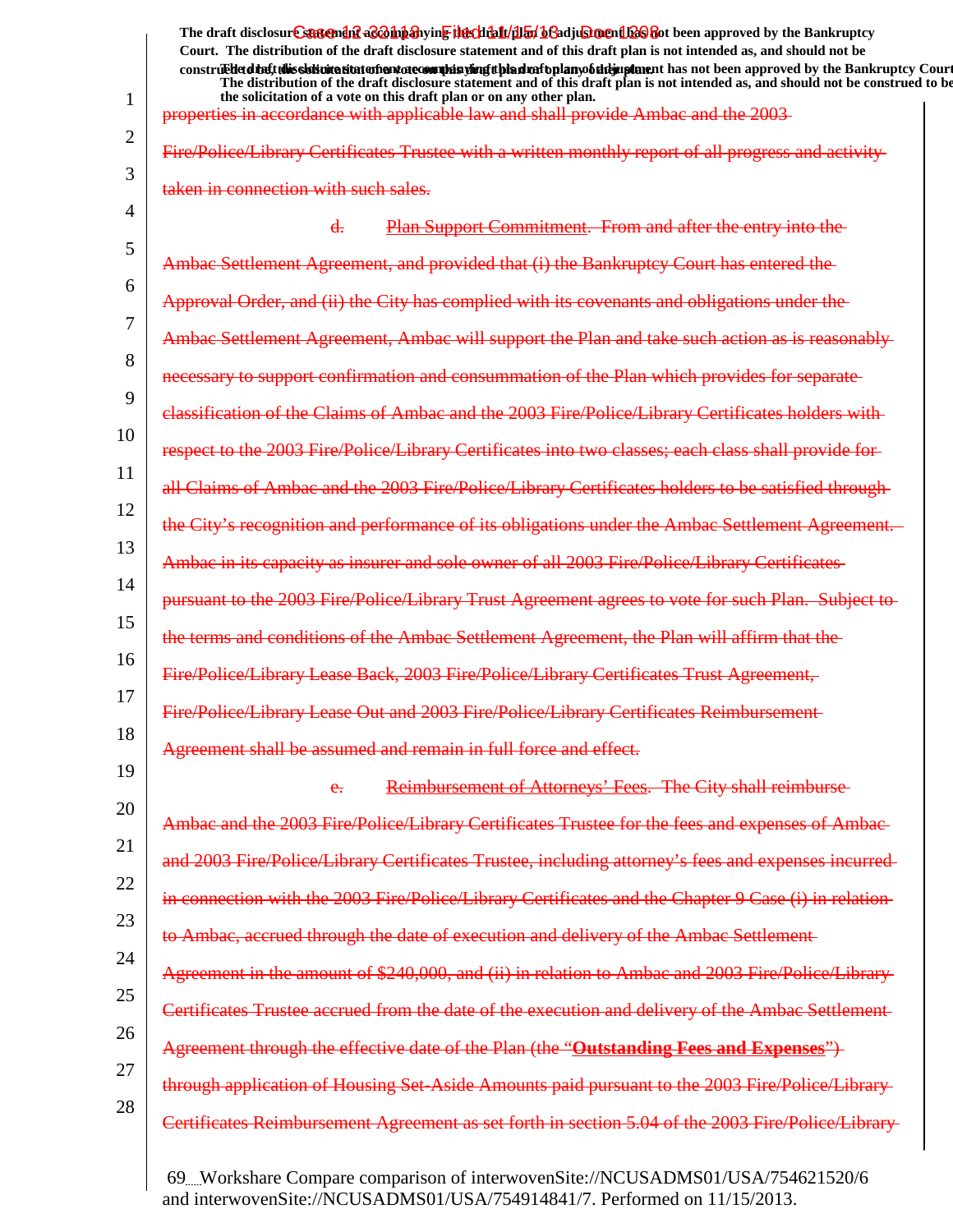|          | The draft disclosure sastement as a having the client full by beading ment been approved by the Bankruptcy<br>Court. The distribution of the draft disclosure statement and of this draft plan is not intended as, and should not be                                                                                                              |
|----------|---------------------------------------------------------------------------------------------------------------------------------------------------------------------------------------------------------------------------------------------------------------------------------------------------------------------------------------------------|
|          | construedetdiatt this sidioite state of entate comples ying than rational mobility up and has not been approved by the Bankruptcy Court<br>The distribution of the draft disclosure statement and of this draft plan is not intended as, and should not be construed to be<br>the solicitation of a vote on this draft plan or on any other plan. |
|          | properties in accordance with applicable law and shall provide Ambac and the 2003-                                                                                                                                                                                                                                                                |
|          | Fire/Police/Library Certificates Trustee with a written monthly report of all progress and activity                                                                                                                                                                                                                                               |
|          | taken in connection with such sales.                                                                                                                                                                                                                                                                                                              |
|          | Plan Support Commitment. From and after the entry into the<br>$\overline{d}$ .                                                                                                                                                                                                                                                                    |
|          | Ambac Settlement Agreement, and provided that (i) the Bankruptcy Court has entered the                                                                                                                                                                                                                                                            |
|          | Approval Order, and (ii) the City has complied with its covenants and obligations under the                                                                                                                                                                                                                                                       |
|          | Ambac Settlement Agreement, Ambac will support the Plan and take such action as is reasonably-                                                                                                                                                                                                                                                    |
|          | necessary to support confirmation and consummation of the Plan which provides for separate                                                                                                                                                                                                                                                        |
|          | elassification of the Claims of Ambac and the 2003 Fire/Police/Library Certificates holders with                                                                                                                                                                                                                                                  |
|          | respect to the 2003 Fire/Police/Library Certificates into two classes; each class shall provide for-                                                                                                                                                                                                                                              |
|          | all Claims of Ambac and the 2003 Fire/Police/Library Certificates holders to be satisfied through                                                                                                                                                                                                                                                 |
|          | the City's recognition and performance of its obligations under the Ambac Settlement Agreement.                                                                                                                                                                                                                                                   |
| 14       | Ambae in its capacity as insurer and sole owner of all 2003 Fire/Police/Library Certificates                                                                                                                                                                                                                                                      |
|          | 2003 Fire/Police/Library Trust Agreement agrees to vote for such Plan. Subject to<br><del>pursuant to the</del>                                                                                                                                                                                                                                   |
| 15<br>16 | the terms and conditions of the Ambac Settlement Agreement, the Plan will affirm that the                                                                                                                                                                                                                                                         |
|          | Fire/Police/Library Lease Back, 2003 Fire/Police/Library Certificates Trust Agreement,                                                                                                                                                                                                                                                            |
| 18       | Fire/Police/Library Lease Out and 2003 Fire/Police/Library Certificates Reimbursement                                                                                                                                                                                                                                                             |
|          | Agreement shall be assumed and remain in full force and effect.                                                                                                                                                                                                                                                                                   |
|          | Reimbursement of Attorneys' Fees. The City shall reimburse<br>e.                                                                                                                                                                                                                                                                                  |
| 20       | Ambae and the 2003 Fire/Police/Library Certificates Trustee for the fees and expenses of Ambae                                                                                                                                                                                                                                                    |
|          | and 2003 Fire/Police/Library Certificates Trustee, including attorney's fees and expenses incurred-                                                                                                                                                                                                                                               |
| 22       | in connection with the 2003 Fire/Police/Library Certificates and the Chapter 9 Case (i) in relation-                                                                                                                                                                                                                                              |
| 24       | to Ambac, accrued through the date of execution and delivery of the Ambac Settlement-                                                                                                                                                                                                                                                             |
| 25       | Agreement in the amount of \$240,000, and (ii) in relation to Ambac and 2003 Fire/Police/Library-                                                                                                                                                                                                                                                 |
| 26       | Certificates Trustee accrued from the date of the execution and delivery of the Ambac Settlement-                                                                                                                                                                                                                                                 |
| 27       | Agreement through the effective date of the Plan (the "Outstanding Fees and Expenses")                                                                                                                                                                                                                                                            |
| 28       | through application of Housing Set-Aside Amounts paid pursuant to the 2003 Fire/Police/Library-                                                                                                                                                                                                                                                   |
|          | Certificates Reimbursement Agreement as set forth in section 5.04 of the 2003 Fire/Police/Library-                                                                                                                                                                                                                                                |
|          |                                                                                                                                                                                                                                                                                                                                                   |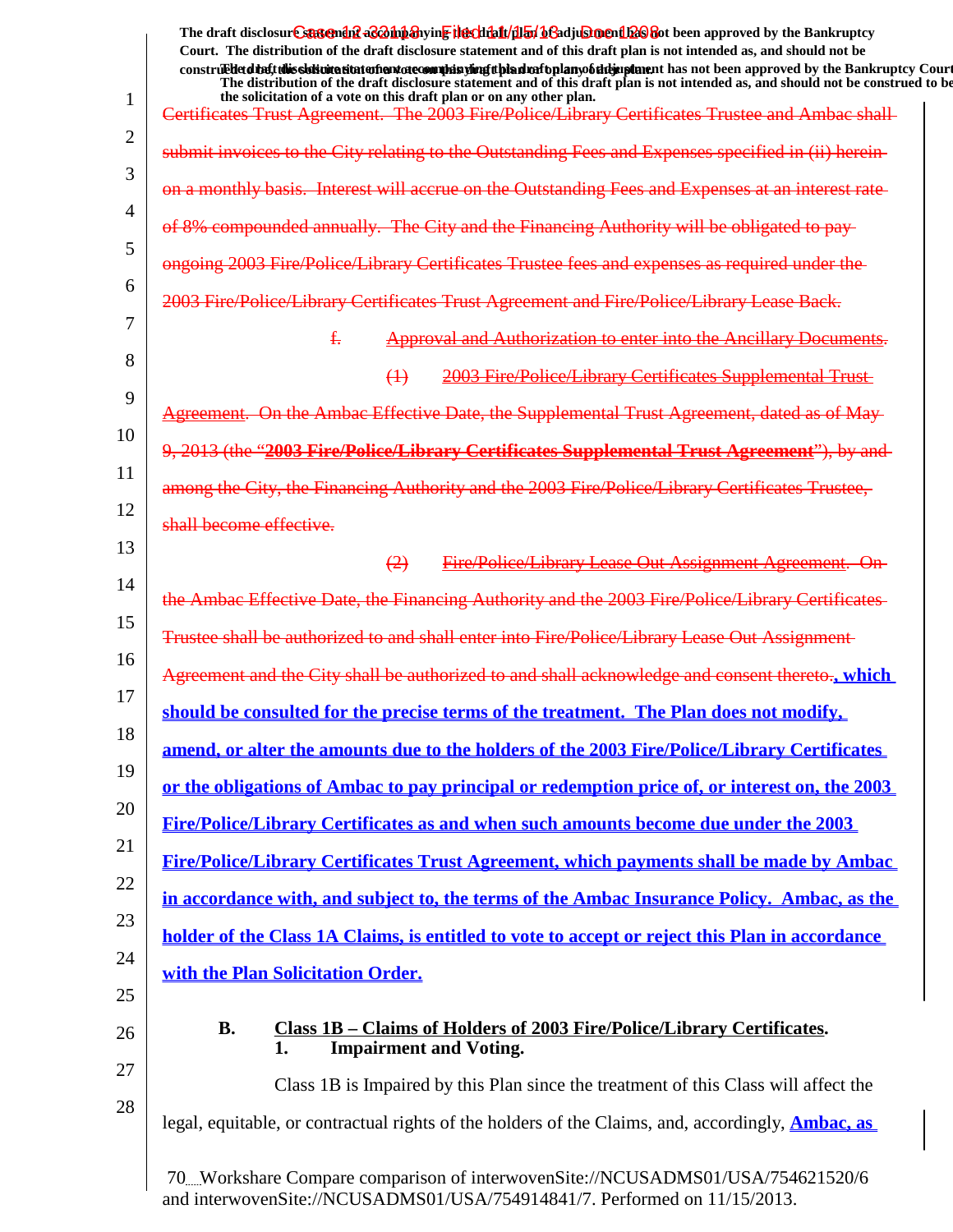| submit invoices to the City relating to the Outstanding Fees and Expenses specified in (ii) herein-<br>on a monthly basis. Interest will accrue on the Outstanding Fees and Expenses at an interest rate-<br>of 8% compounded annually. The City and the Financing Authority will be obligated to pay-<br>ongoing 2003 Fire/Police/Library Certificates Trustee fees and expenses as required under the<br>2003 Fire/Police/Library Certificates Trust Agreement and Fire/Police/Library Lease Back.<br>$f_{\tau}$<br><b>2003 Fire/Police/Library Certificates Supplemental Trust-</b><br>$\leftrightarrow$<br>Agreement. On the Ambac Effective Date, the Supplemental Trust Agreement, dated as of May-<br>9, 2013 (the "2003 Fire/Police/Library Certificates Supplemental Trust Agreement"), by and-<br>among the City, the Financing Authority and the 2003 Fire/Police/Library Certificates Trustee,<br>shall become effective.<br>(2)<br>the Ambac Effective Date, the Financing Authority and the 2003 Fire/Police/Library Certificates-<br>Trustee shall be authorized to and shall enter into Fire/Police/Library Lease Out Assignment<br>Agreement and the City shall be authorized to and shall acknowledge and consent thereto., which<br>should be consulted for the precise terms of the treatment. The Plan does not modify,<br>amend, or alter the amounts due to the holders of the 2003 Fire/Police/Library Certificates<br>or the obligations of Ambac to pay principal or redemption price of, or interest on, the 2003<br>Fire/Police/Library Certificates as and when such amounts become due under the 2003<br>Fire/Police/Library Certificates Trust Agreement, which payments shall be made by Ambac<br>in accordance with, and subject to, the terms of the Ambac Insurance Policy. Ambac, as the<br>holder of the Class 1A Claims, is entitled to vote to accept or reject this Plan in accordance<br>with the Plan Solicitation Order.<br><b>B.</b><br>Class 1B – Claims of Holders of 2003 Fire/Police/Library Certificates.<br><b>Impairment and Voting.</b><br>1.<br>Class 1B is Impaired by this Plan since the treatment of this Class will affect the | the solicitation of a vote on this draft plan or on any other plan.<br>Certificates Trust Agreement. The 2003 Fire/Police/Library Certificates Trustee and Ambac shall- |
|------------------------------------------------------------------------------------------------------------------------------------------------------------------------------------------------------------------------------------------------------------------------------------------------------------------------------------------------------------------------------------------------------------------------------------------------------------------------------------------------------------------------------------------------------------------------------------------------------------------------------------------------------------------------------------------------------------------------------------------------------------------------------------------------------------------------------------------------------------------------------------------------------------------------------------------------------------------------------------------------------------------------------------------------------------------------------------------------------------------------------------------------------------------------------------------------------------------------------------------------------------------------------------------------------------------------------------------------------------------------------------------------------------------------------------------------------------------------------------------------------------------------------------------------------------------------------------------------------------------------------------------------------------------------------------------------------------------------------------------------------------------------------------------------------------------------------------------------------------------------------------------------------------------------------------------------------------------------------------------------------------------------------------------------------------------------------------------------------------------------------------------------------------------------------------------|-------------------------------------------------------------------------------------------------------------------------------------------------------------------------|
|                                                                                                                                                                                                                                                                                                                                                                                                                                                                                                                                                                                                                                                                                                                                                                                                                                                                                                                                                                                                                                                                                                                                                                                                                                                                                                                                                                                                                                                                                                                                                                                                                                                                                                                                                                                                                                                                                                                                                                                                                                                                                                                                                                                          |                                                                                                                                                                         |
|                                                                                                                                                                                                                                                                                                                                                                                                                                                                                                                                                                                                                                                                                                                                                                                                                                                                                                                                                                                                                                                                                                                                                                                                                                                                                                                                                                                                                                                                                                                                                                                                                                                                                                                                                                                                                                                                                                                                                                                                                                                                                                                                                                                          |                                                                                                                                                                         |
|                                                                                                                                                                                                                                                                                                                                                                                                                                                                                                                                                                                                                                                                                                                                                                                                                                                                                                                                                                                                                                                                                                                                                                                                                                                                                                                                                                                                                                                                                                                                                                                                                                                                                                                                                                                                                                                                                                                                                                                                                                                                                                                                                                                          |                                                                                                                                                                         |
|                                                                                                                                                                                                                                                                                                                                                                                                                                                                                                                                                                                                                                                                                                                                                                                                                                                                                                                                                                                                                                                                                                                                                                                                                                                                                                                                                                                                                                                                                                                                                                                                                                                                                                                                                                                                                                                                                                                                                                                                                                                                                                                                                                                          |                                                                                                                                                                         |
|                                                                                                                                                                                                                                                                                                                                                                                                                                                                                                                                                                                                                                                                                                                                                                                                                                                                                                                                                                                                                                                                                                                                                                                                                                                                                                                                                                                                                                                                                                                                                                                                                                                                                                                                                                                                                                                                                                                                                                                                                                                                                                                                                                                          |                                                                                                                                                                         |
|                                                                                                                                                                                                                                                                                                                                                                                                                                                                                                                                                                                                                                                                                                                                                                                                                                                                                                                                                                                                                                                                                                                                                                                                                                                                                                                                                                                                                                                                                                                                                                                                                                                                                                                                                                                                                                                                                                                                                                                                                                                                                                                                                                                          | <b>Approval and Authorization to enter into the Ancillary Documents.</b>                                                                                                |
|                                                                                                                                                                                                                                                                                                                                                                                                                                                                                                                                                                                                                                                                                                                                                                                                                                                                                                                                                                                                                                                                                                                                                                                                                                                                                                                                                                                                                                                                                                                                                                                                                                                                                                                                                                                                                                                                                                                                                                                                                                                                                                                                                                                          |                                                                                                                                                                         |
|                                                                                                                                                                                                                                                                                                                                                                                                                                                                                                                                                                                                                                                                                                                                                                                                                                                                                                                                                                                                                                                                                                                                                                                                                                                                                                                                                                                                                                                                                                                                                                                                                                                                                                                                                                                                                                                                                                                                                                                                                                                                                                                                                                                          |                                                                                                                                                                         |
|                                                                                                                                                                                                                                                                                                                                                                                                                                                                                                                                                                                                                                                                                                                                                                                                                                                                                                                                                                                                                                                                                                                                                                                                                                                                                                                                                                                                                                                                                                                                                                                                                                                                                                                                                                                                                                                                                                                                                                                                                                                                                                                                                                                          |                                                                                                                                                                         |
|                                                                                                                                                                                                                                                                                                                                                                                                                                                                                                                                                                                                                                                                                                                                                                                                                                                                                                                                                                                                                                                                                                                                                                                                                                                                                                                                                                                                                                                                                                                                                                                                                                                                                                                                                                                                                                                                                                                                                                                                                                                                                                                                                                                          |                                                                                                                                                                         |
|                                                                                                                                                                                                                                                                                                                                                                                                                                                                                                                                                                                                                                                                                                                                                                                                                                                                                                                                                                                                                                                                                                                                                                                                                                                                                                                                                                                                                                                                                                                                                                                                                                                                                                                                                                                                                                                                                                                                                                                                                                                                                                                                                                                          |                                                                                                                                                                         |
|                                                                                                                                                                                                                                                                                                                                                                                                                                                                                                                                                                                                                                                                                                                                                                                                                                                                                                                                                                                                                                                                                                                                                                                                                                                                                                                                                                                                                                                                                                                                                                                                                                                                                                                                                                                                                                                                                                                                                                                                                                                                                                                                                                                          | Fire/Police/Library Lease Out Assignment Agreement. On-                                                                                                                 |
|                                                                                                                                                                                                                                                                                                                                                                                                                                                                                                                                                                                                                                                                                                                                                                                                                                                                                                                                                                                                                                                                                                                                                                                                                                                                                                                                                                                                                                                                                                                                                                                                                                                                                                                                                                                                                                                                                                                                                                                                                                                                                                                                                                                          |                                                                                                                                                                         |
|                                                                                                                                                                                                                                                                                                                                                                                                                                                                                                                                                                                                                                                                                                                                                                                                                                                                                                                                                                                                                                                                                                                                                                                                                                                                                                                                                                                                                                                                                                                                                                                                                                                                                                                                                                                                                                                                                                                                                                                                                                                                                                                                                                                          |                                                                                                                                                                         |
|                                                                                                                                                                                                                                                                                                                                                                                                                                                                                                                                                                                                                                                                                                                                                                                                                                                                                                                                                                                                                                                                                                                                                                                                                                                                                                                                                                                                                                                                                                                                                                                                                                                                                                                                                                                                                                                                                                                                                                                                                                                                                                                                                                                          |                                                                                                                                                                         |
|                                                                                                                                                                                                                                                                                                                                                                                                                                                                                                                                                                                                                                                                                                                                                                                                                                                                                                                                                                                                                                                                                                                                                                                                                                                                                                                                                                                                                                                                                                                                                                                                                                                                                                                                                                                                                                                                                                                                                                                                                                                                                                                                                                                          |                                                                                                                                                                         |
|                                                                                                                                                                                                                                                                                                                                                                                                                                                                                                                                                                                                                                                                                                                                                                                                                                                                                                                                                                                                                                                                                                                                                                                                                                                                                                                                                                                                                                                                                                                                                                                                                                                                                                                                                                                                                                                                                                                                                                                                                                                                                                                                                                                          |                                                                                                                                                                         |
|                                                                                                                                                                                                                                                                                                                                                                                                                                                                                                                                                                                                                                                                                                                                                                                                                                                                                                                                                                                                                                                                                                                                                                                                                                                                                                                                                                                                                                                                                                                                                                                                                                                                                                                                                                                                                                                                                                                                                                                                                                                                                                                                                                                          |                                                                                                                                                                         |
|                                                                                                                                                                                                                                                                                                                                                                                                                                                                                                                                                                                                                                                                                                                                                                                                                                                                                                                                                                                                                                                                                                                                                                                                                                                                                                                                                                                                                                                                                                                                                                                                                                                                                                                                                                                                                                                                                                                                                                                                                                                                                                                                                                                          |                                                                                                                                                                         |
|                                                                                                                                                                                                                                                                                                                                                                                                                                                                                                                                                                                                                                                                                                                                                                                                                                                                                                                                                                                                                                                                                                                                                                                                                                                                                                                                                                                                                                                                                                                                                                                                                                                                                                                                                                                                                                                                                                                                                                                                                                                                                                                                                                                          |                                                                                                                                                                         |
|                                                                                                                                                                                                                                                                                                                                                                                                                                                                                                                                                                                                                                                                                                                                                                                                                                                                                                                                                                                                                                                                                                                                                                                                                                                                                                                                                                                                                                                                                                                                                                                                                                                                                                                                                                                                                                                                                                                                                                                                                                                                                                                                                                                          |                                                                                                                                                                         |
|                                                                                                                                                                                                                                                                                                                                                                                                                                                                                                                                                                                                                                                                                                                                                                                                                                                                                                                                                                                                                                                                                                                                                                                                                                                                                                                                                                                                                                                                                                                                                                                                                                                                                                                                                                                                                                                                                                                                                                                                                                                                                                                                                                                          |                                                                                                                                                                         |
|                                                                                                                                                                                                                                                                                                                                                                                                                                                                                                                                                                                                                                                                                                                                                                                                                                                                                                                                                                                                                                                                                                                                                                                                                                                                                                                                                                                                                                                                                                                                                                                                                                                                                                                                                                                                                                                                                                                                                                                                                                                                                                                                                                                          |                                                                                                                                                                         |
|                                                                                                                                                                                                                                                                                                                                                                                                                                                                                                                                                                                                                                                                                                                                                                                                                                                                                                                                                                                                                                                                                                                                                                                                                                                                                                                                                                                                                                                                                                                                                                                                                                                                                                                                                                                                                                                                                                                                                                                                                                                                                                                                                                                          |                                                                                                                                                                         |
|                                                                                                                                                                                                                                                                                                                                                                                                                                                                                                                                                                                                                                                                                                                                                                                                                                                                                                                                                                                                                                                                                                                                                                                                                                                                                                                                                                                                                                                                                                                                                                                                                                                                                                                                                                                                                                                                                                                                                                                                                                                                                                                                                                                          |                                                                                                                                                                         |
|                                                                                                                                                                                                                                                                                                                                                                                                                                                                                                                                                                                                                                                                                                                                                                                                                                                                                                                                                                                                                                                                                                                                                                                                                                                                                                                                                                                                                                                                                                                                                                                                                                                                                                                                                                                                                                                                                                                                                                                                                                                                                                                                                                                          | legal, equitable, or contractual rights of the holders of the Claims, and, accordingly, <b>Ambac, as</b>                                                                |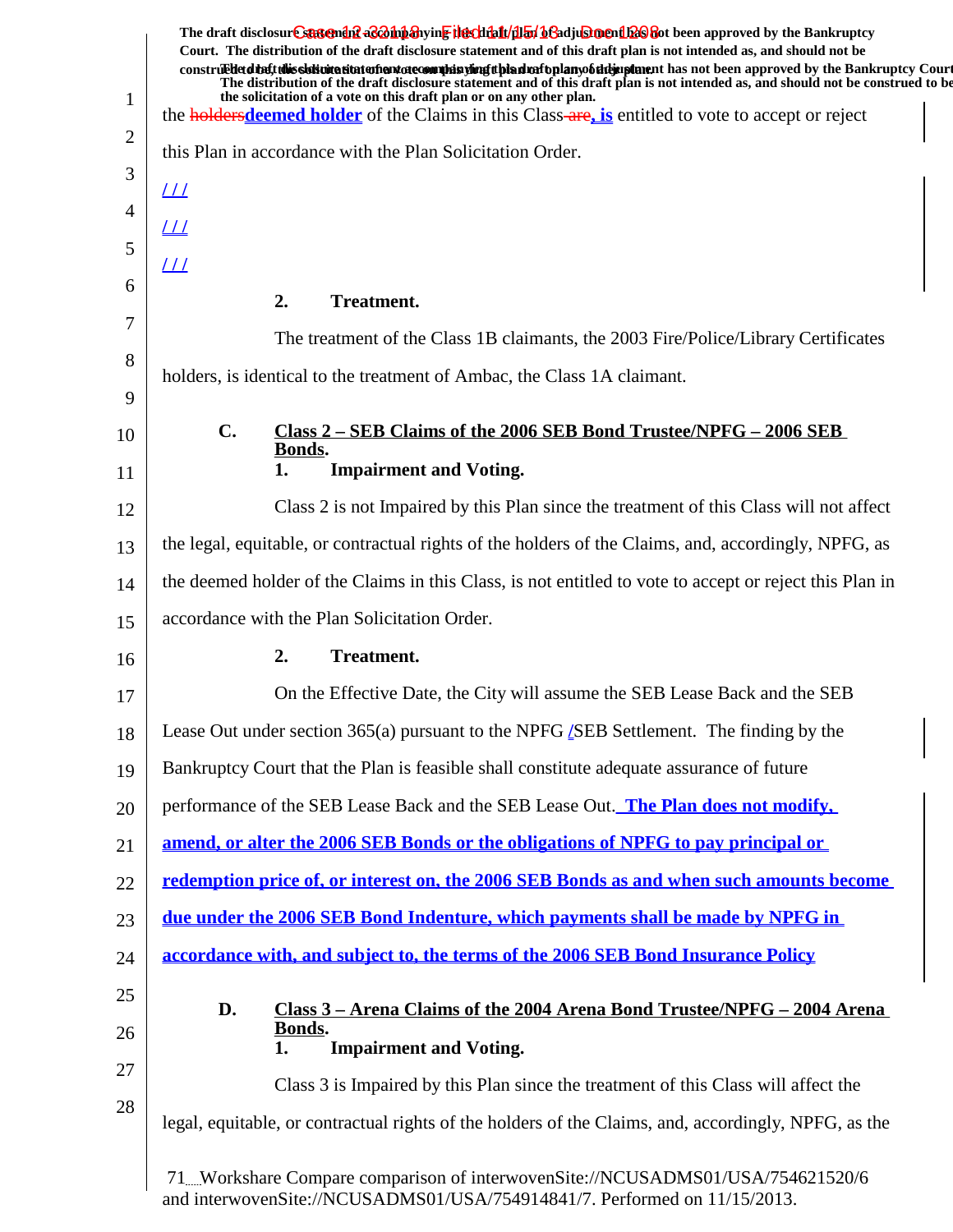|              | The draft disclosure suggended as on the hearth of the file of the final of a disclosure of the Bankruptcy<br>Court. The distribution of the draft disclosure statement and of this draft plan is not intended as, and should not be                                                                                                                  |
|--------------|-------------------------------------------------------------------------------------------------------------------------------------------------------------------------------------------------------------------------------------------------------------------------------------------------------------------------------------------------------|
|              | construedetd the ft this slot intertion to the manufacture of the simulation of the hands of the same than the same of the Bankruptcy Court<br>The distribution of the draft disclosure statement and of this draft plan is not intended as, and should not be construed to be<br>the solicitation of a vote on this draft plan or on any other plan. |
| $\mathbf{1}$ | the <b>holders deemed holder</b> of the Claims in this Class-are, is entitled to vote to accept or reject                                                                                                                                                                                                                                             |
| 2            | this Plan in accordance with the Plan Solicitation Order.                                                                                                                                                                                                                                                                                             |
| 3            | $\perp\!\!\!\perp$                                                                                                                                                                                                                                                                                                                                    |
| 4            | <u> 11</u>                                                                                                                                                                                                                                                                                                                                            |
| 5            | $L\!\!\!L\!\!\!L$                                                                                                                                                                                                                                                                                                                                     |
| 6            | 2.<br><b>Treatment.</b>                                                                                                                                                                                                                                                                                                                               |
| 7            | The treatment of the Class 1B claimants, the 2003 Fire/Police/Library Certificates                                                                                                                                                                                                                                                                    |
| 8            | holders, is identical to the treatment of Ambac, the Class 1A claimant.                                                                                                                                                                                                                                                                               |
| 9            |                                                                                                                                                                                                                                                                                                                                                       |
| 10           | $\mathbf{C}$ .<br>Class 2 – SEB Claims of the 2006 SEB Bond Trustee/NPFG – 2006 SEB<br>Bonds.                                                                                                                                                                                                                                                         |
| 11           | <b>Impairment and Voting.</b><br>1.                                                                                                                                                                                                                                                                                                                   |
| 12           | Class 2 is not Impaired by this Plan since the treatment of this Class will not affect                                                                                                                                                                                                                                                                |
| 13           | the legal, equitable, or contractual rights of the holders of the Claims, and, accordingly, NPFG, as                                                                                                                                                                                                                                                  |
| 14           | the deemed holder of the Claims in this Class, is not entitled to vote to accept or reject this Plan in                                                                                                                                                                                                                                               |
| 15           | accordance with the Plan Solicitation Order.                                                                                                                                                                                                                                                                                                          |
| 16           | 2.<br><b>Treatment.</b>                                                                                                                                                                                                                                                                                                                               |
| 17           | On the Effective Date, the City will assume the SEB Lease Back and the SEB                                                                                                                                                                                                                                                                            |
| 18           | Lease Out under section 365(a) pursuant to the NPFG <i>[SEB Settlement</i> . The finding by the                                                                                                                                                                                                                                                       |
| 19           | Bankruptcy Court that the Plan is feasible shall constitute adequate assurance of future                                                                                                                                                                                                                                                              |
| 20           | performance of the SEB Lease Back and the SEB Lease Out. The Plan does not modify,                                                                                                                                                                                                                                                                    |
| 21           | amend, or alter the 2006 SEB Bonds or the obligations of NPFG to pay principal or                                                                                                                                                                                                                                                                     |
| 22           | redemption price of, or interest on, the 2006 SEB Bonds as and when such amounts become                                                                                                                                                                                                                                                               |
| 23           | due under the 2006 SEB Bond Indenture, which payments shall be made by NPFG in                                                                                                                                                                                                                                                                        |
| 24           | accordance with, and subject to, the terms of the 2006 SEB Bond Insurance Policy                                                                                                                                                                                                                                                                      |
| 25           | D.<br>Class 3 - Arena Claims of the 2004 Arena Bond Trustee/NPFG - 2004 Arena                                                                                                                                                                                                                                                                         |
| 26           | Bonds.                                                                                                                                                                                                                                                                                                                                                |
| 27           | <b>Impairment and Voting.</b><br>1.                                                                                                                                                                                                                                                                                                                   |
| 28           | Class 3 is Impaired by this Plan since the treatment of this Class will affect the                                                                                                                                                                                                                                                                    |
|              | legal, equitable, or contractual rights of the holders of the Claims, and, accordingly, NPFG, as the                                                                                                                                                                                                                                                  |
|              | 71Workshare Compare comparison of interwovenSite://NCUSADMS01/USA/754621520/6                                                                                                                                                                                                                                                                         |

and interwovenSite://NCUSADMS01/USA/754914841/7. Performed on 11/15/2013.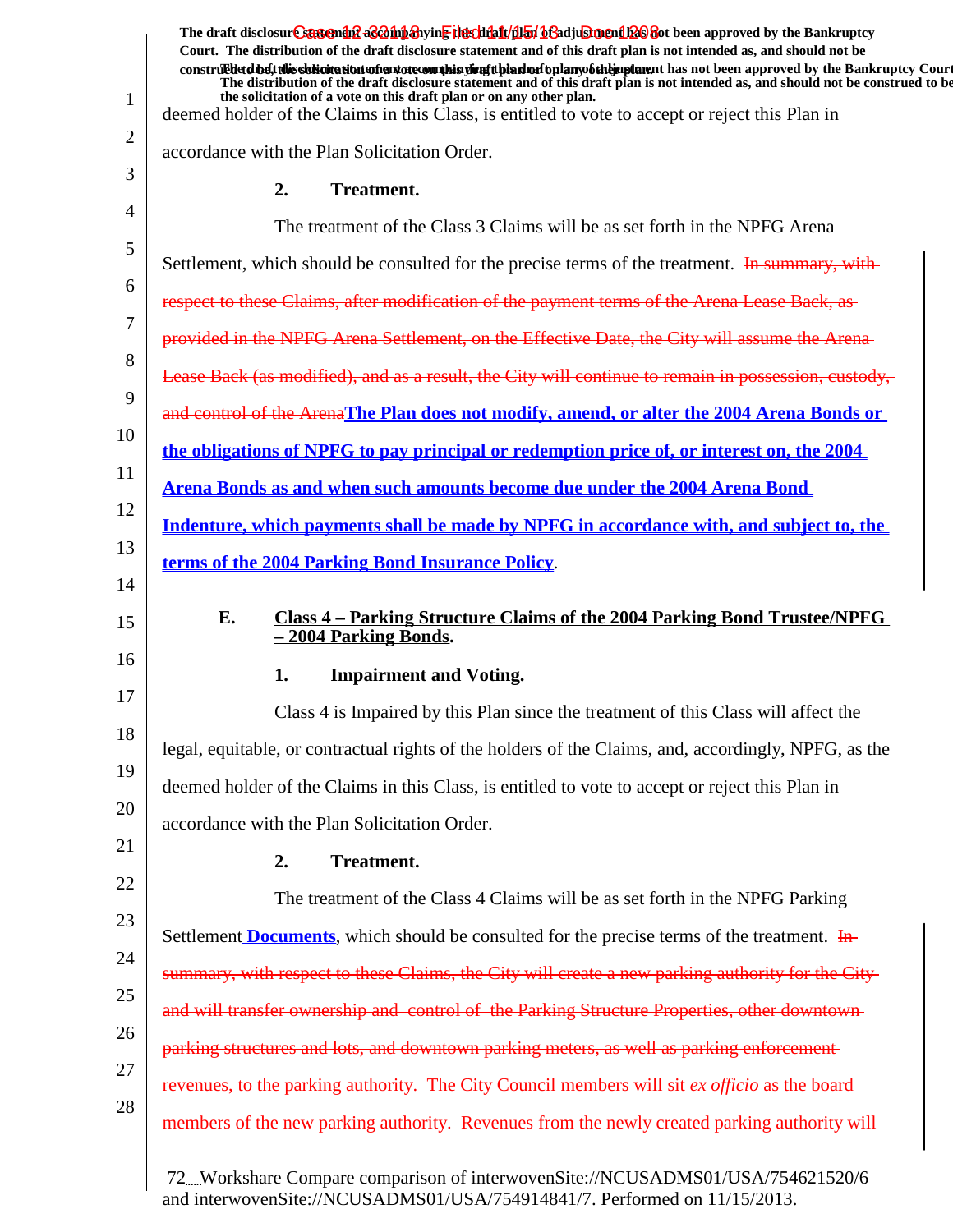|          | The draft disclosure sasement as a hypothesive the client of the final of a disclosure hypothesis approved by the Bankruptcy<br>Court. The distribution of the draft disclosure statement and of this draft plan is not intended as, and should not be<br>construed detail this sistimation and one of manifesting the hadrofoplany of detaining the not been approved by the Bankruptcy Court |
|----------|------------------------------------------------------------------------------------------------------------------------------------------------------------------------------------------------------------------------------------------------------------------------------------------------------------------------------------------------------------------------------------------------|
| 1        | The distribution of the draft disclosure statement and of this draft plan is not intended as, and should not be construed to be<br>the solicitation of a vote on this draft plan or on any other plan.<br>deemed holder of the Claims in this Class, is entitled to vote to accept or reject this Plan in                                                                                      |
| 2        | accordance with the Plan Solicitation Order.                                                                                                                                                                                                                                                                                                                                                   |
| 3        |                                                                                                                                                                                                                                                                                                                                                                                                |
| 4        | 2.<br><b>Treatment.</b>                                                                                                                                                                                                                                                                                                                                                                        |
| 5        | The treatment of the Class 3 Claims will be as set forth in the NPFG Arena                                                                                                                                                                                                                                                                                                                     |
| 6        | Settlement, which should be consulted for the precise terms of the treatment. In summary, with-                                                                                                                                                                                                                                                                                                |
|          | respect to these Claims, after modification of the payment terms of the Arena Lease Back, as-                                                                                                                                                                                                                                                                                                  |
| 7        | provided in the NPFG Arena Settlement, on the Effective Date, the City will assume the Arena-                                                                                                                                                                                                                                                                                                  |
| 8        | Lease Back (as modified), and as a result, the City will continue to remain in possession, custody,                                                                                                                                                                                                                                                                                            |
| 9        | and control of the ArenaThe Plan does not modify, amend, or alter the 2004 Arena Bonds or                                                                                                                                                                                                                                                                                                      |
| 10       | <u>the obligations of NPFG to pay principal or redemption price of, or interest on, the 2004</u>                                                                                                                                                                                                                                                                                               |
| 11       | Arena Bonds as and when such amounts become due under the 2004 Arena Bond                                                                                                                                                                                                                                                                                                                      |
| 12       | Indenture, which payments shall be made by NPFG in accordance with, and subject to, the                                                                                                                                                                                                                                                                                                        |
| 13       | terms of the 2004 Parking Bond Insurance Policy.                                                                                                                                                                                                                                                                                                                                               |
| 14<br>15 | E.<br>Class 4 – Parking Structure Claims of the 2004 Parking Bond Trustee/NPFG<br>$-2004$ Parking Bonds.                                                                                                                                                                                                                                                                                       |
| 16       | <b>Impairment and Voting.</b><br>1.                                                                                                                                                                                                                                                                                                                                                            |
| 17       | Class 4 is Impaired by this Plan since the treatment of this Class will affect the                                                                                                                                                                                                                                                                                                             |
| 18       | legal, equitable, or contractual rights of the holders of the Claims, and, accordingly, NPFG, as the                                                                                                                                                                                                                                                                                           |
| 19       |                                                                                                                                                                                                                                                                                                                                                                                                |
| 20       | deemed holder of the Claims in this Class, is entitled to vote to accept or reject this Plan in                                                                                                                                                                                                                                                                                                |
| 21       | accordance with the Plan Solicitation Order.                                                                                                                                                                                                                                                                                                                                                   |
| 22       | <b>Treatment.</b><br>2.                                                                                                                                                                                                                                                                                                                                                                        |
|          | The treatment of the Class 4 Claims will be as set forth in the NPFG Parking                                                                                                                                                                                                                                                                                                                   |
| 23       | Settlement <b>Documents</b> , which should be consulted for the precise terms of the treatment. In                                                                                                                                                                                                                                                                                             |
| 24       | summary, with respect to these Claims, the City will create a new parking authority for the City-                                                                                                                                                                                                                                                                                              |
| 25       | and will transfer ownership and control of the Parking Structure Properties, other downtown-                                                                                                                                                                                                                                                                                                   |
| 26       | parking structures and lots, and downtown parking meters, as well as parking enforcement-                                                                                                                                                                                                                                                                                                      |
| 27       | revenues, to the parking authority. The City Council members will sit ex officio as the board-                                                                                                                                                                                                                                                                                                 |
| 28       | members of the new parking authority. Revenues from the newly created parking authority will-                                                                                                                                                                                                                                                                                                  |
|          | 72Workshare Compare comparison of interwovenSite://NCUSADMS01/USA/754621520/6                                                                                                                                                                                                                                                                                                                  |

and interwovenSite://NCUSADMS01/USA/754914841/7. Performed on 11/15/2013.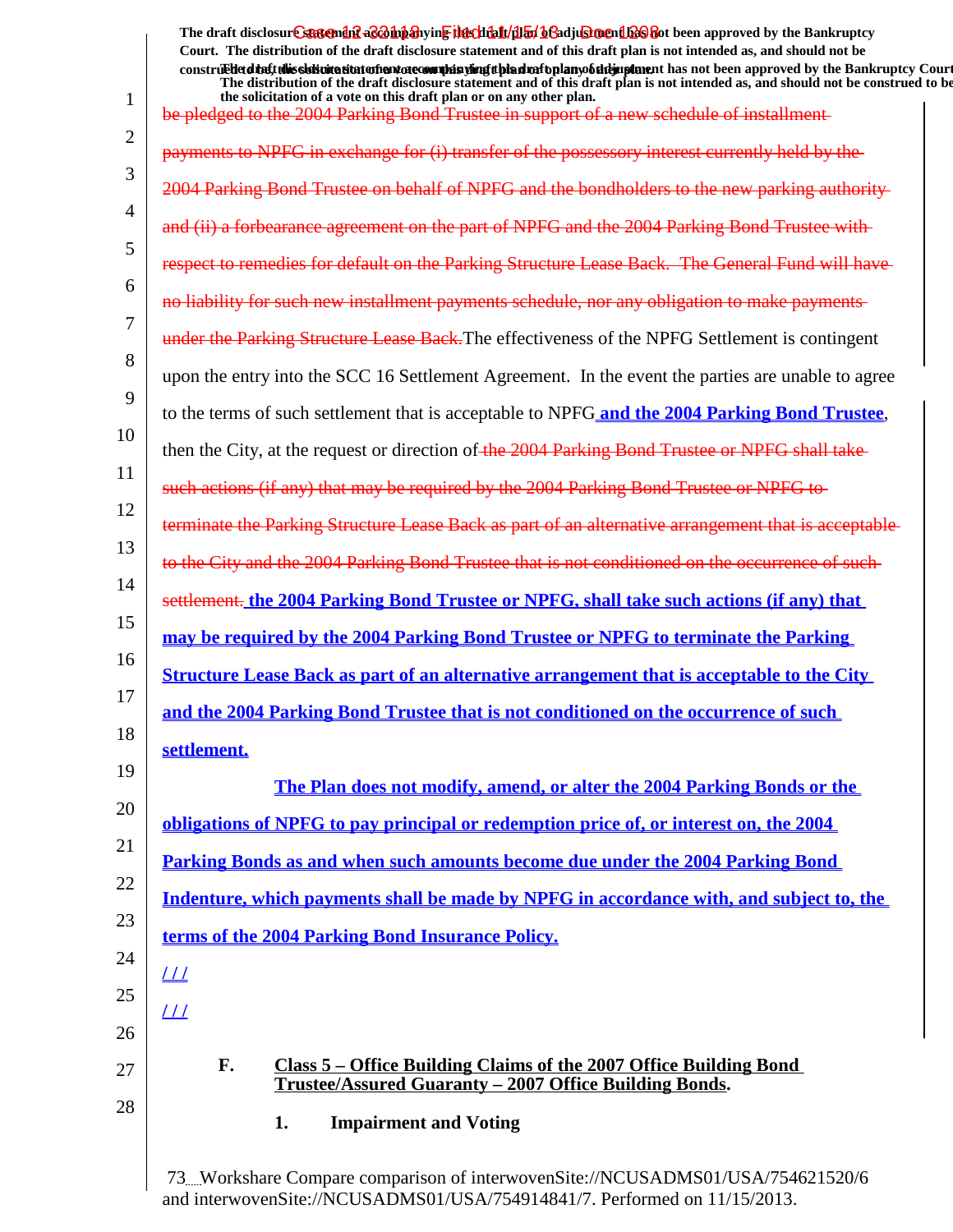1 2 3 4 5 6 7 8 9 10 11 12 13 14 15 16 17 18 19 20 21 22 23 24 25 26 27 28 The draft disclosur<del>t Suggendn2 aC201np3</del>hyin<mark>e the chip11/1151/163adjushorenth26</mark>860t been approved by the Bankruptcy **Court. The distribution of the draft disclosure statement and of this draft plan is not intended as, and should not be** construed to the solicit this solicitation to the number of the solution of the draft plan of the dramatic draft disclosure in the statement of the Bankruptcy Court. **The distribution of the draft disclosure statement and of this draft plan is not intended as, and should not be construed to be, the solicitation of a vote on this draft plan or on any other plan.** be pledged to the 2004 Parking Bond Trustee in support of a new schedule of installment payments to NPFG in exchange for (i) transfer of the possessory interest currently held by the and the bondholders and (ii) a forbearance agreement on the part of NPFG and the efault on the Parking Structure Lease Back. The General Fund will have. no liability for such new installment payments schedule, nor any obligation to make payments under the Parking Structure Lease Back. The effectiveness of the NPFG Settlement is contingent upon the entry into the SCC 16 Settlement Agreement. In the event the parties are unable to agree to the terms of such settlement that is acceptable to NPFG **and the 2004 Parking Bond Trustee**, then the City, at the request or direction of the 2004 Parking Bond Trustee or NPFG shall take any) that may be required by the 2004 Parking Bond terminate the Parking Structure Lease Back as part of an alternative arrangement that is to the City and the 2004 Parking Bond Trustee that is not conditioned on the occurrence of such settlement. **the 2004 Parking Bond Trustee or NPFG, shall take such actions (if any) that may be required by the 2004 Parking Bond Trustee or NPFG to terminate the Parking Structure Lease Back as part of an alternative arrangement that is acceptable to the City and the 2004 Parking Bond Trustee that is not conditioned on the occurrence of such settlement. The Plan does not modify, amend, or alter the 2004 Parking Bonds or the obligations of NPFG to pay principal or redemption price of, or interest on, the 2004 Parking Bonds as and when such amounts become due under the 2004 Parking Bond Indenture, which payments shall be made by NPFG in accordance with, and subject to, the terms of the 2004 Parking Bond Insurance Policy. / / / / / / F. Class 5 – Office Building Claims of the 2007 Office Building Bond Trustee/Assured Guaranty – 2007 Office Building Bonds. 1.** Impairment and Voting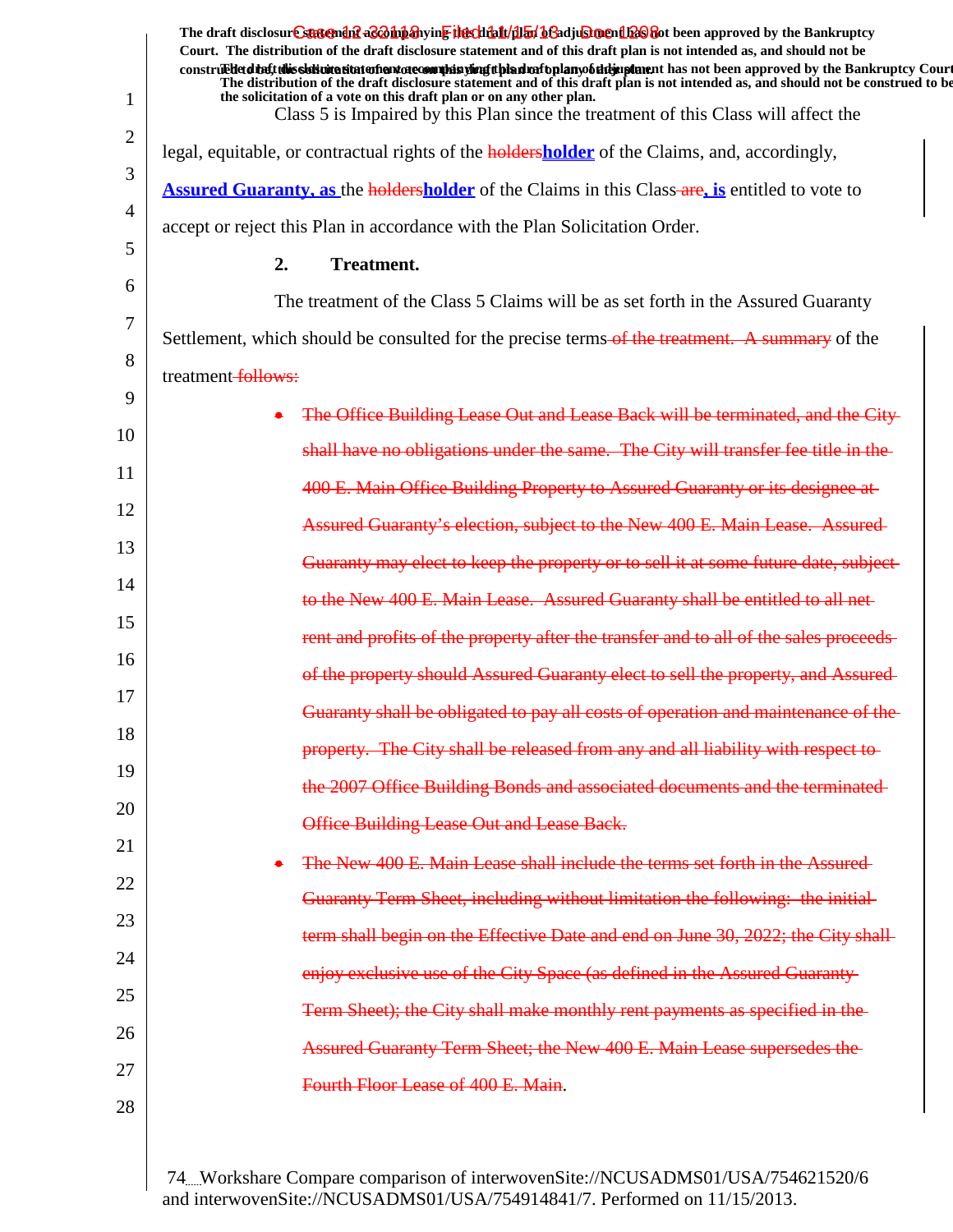|              | The draft disclosur <del>e statendef</del> aconiparying the that dialy bending one had been approved by the Bankruptcy<br>Court. The distribution of the draft disclosure statement and of this draft plan is not intended as, and should not be<br>construedetdine tubis sistemation of antatecomula sumplished to had raftplany of the implement has not been approved by the Bankruptcy Court<br>The distribution of the draft disclosure statement and of this draft plan is not intended as, and should not be construed to be |
|--------------|-------------------------------------------------------------------------------------------------------------------------------------------------------------------------------------------------------------------------------------------------------------------------------------------------------------------------------------------------------------------------------------------------------------------------------------------------------------------------------------------------------------------------------------|
| $\mathbf{1}$ | the solicitation of a vote on this draft plan or on any other plan.<br>Class 5 is Impaired by this Plan since the treatment of this Class will affect the                                                                                                                                                                                                                                                                                                                                                                           |
| 2            | legal, equitable, or contractual rights of the <b>holdersholder</b> of the Claims, and, accordingly,                                                                                                                                                                                                                                                                                                                                                                                                                                |
| 3            | <b>Assured Guaranty, as the holdersholder</b> of the Claims in this Class-are, is entitled to vote to                                                                                                                                                                                                                                                                                                                                                                                                                               |
| 4            | accept or reject this Plan in accordance with the Plan Solicitation Order.                                                                                                                                                                                                                                                                                                                                                                                                                                                          |
| 5            | 2.<br><b>Treatment.</b>                                                                                                                                                                                                                                                                                                                                                                                                                                                                                                             |
| 6            | The treatment of the Class 5 Claims will be as set forth in the Assured Guaranty                                                                                                                                                                                                                                                                                                                                                                                                                                                    |
| 7            | Settlement, which should be consulted for the precise terms of the treatment. A summary of the                                                                                                                                                                                                                                                                                                                                                                                                                                      |
| 8            | treatment-follows:                                                                                                                                                                                                                                                                                                                                                                                                                                                                                                                  |
| 9            | The Office Building Lease Out and Lease Back will be terminated, and the City-                                                                                                                                                                                                                                                                                                                                                                                                                                                      |
| 10           | shall have no obligations under the same. The City will transfer fee title in the                                                                                                                                                                                                                                                                                                                                                                                                                                                   |
| 11           | 400 E. Main Office Building Property to Assured Guaranty or its designee at                                                                                                                                                                                                                                                                                                                                                                                                                                                         |
| 12           | Assured Guaranty's election, subject to the New 400 E. Main Lease. Assured-                                                                                                                                                                                                                                                                                                                                                                                                                                                         |
| 13           | Guaranty may elect to keep the property or to sell it at some future date, subject-                                                                                                                                                                                                                                                                                                                                                                                                                                                 |
| 14           | to the New 400 E. Main Lease. Assured Guaranty shall be entitled to all net-                                                                                                                                                                                                                                                                                                                                                                                                                                                        |
| 15           | rent and profits of the property after the transfer and to all of the sales proceeds                                                                                                                                                                                                                                                                                                                                                                                                                                                |
| 16           | of the property should Assured Guaranty elect to sell the property, and Assured-                                                                                                                                                                                                                                                                                                                                                                                                                                                    |
| 17           | Guaranty shall be obligated to pay all costs of operation and maintenance of the-                                                                                                                                                                                                                                                                                                                                                                                                                                                   |
| 18           | property. The City shall be released from any and all liability with respect to-                                                                                                                                                                                                                                                                                                                                                                                                                                                    |
| 19           | the 2007 Office Building Bonds and associated documents and the terminated-                                                                                                                                                                                                                                                                                                                                                                                                                                                         |
| 20           | Office Building Lease Out and Lease Back.                                                                                                                                                                                                                                                                                                                                                                                                                                                                                           |
| 21           | The New 400 E. Main Lease shall include the terms set forth in the Assured                                                                                                                                                                                                                                                                                                                                                                                                                                                          |
| 22           | Guaranty Term Sheet, including without limitation the following: the initial-                                                                                                                                                                                                                                                                                                                                                                                                                                                       |
| 23           | term shall begin on the Effective Date and end on June 30, 2022; the City shall-                                                                                                                                                                                                                                                                                                                                                                                                                                                    |
| 24           | enjoy exclusive use of the City Space (as defined in the Assured Guaranty-                                                                                                                                                                                                                                                                                                                                                                                                                                                          |
| 25           | Term Sheet); the City shall make monthly rent payments as specified in the-                                                                                                                                                                                                                                                                                                                                                                                                                                                         |
| 26           | Assured Guaranty Term Sheet; the New 400 E. Main Lease supersedes the                                                                                                                                                                                                                                                                                                                                                                                                                                                               |
| 27           | Fourth Floor Lease of 400 E. Main.                                                                                                                                                                                                                                                                                                                                                                                                                                                                                                  |
| 28           |                                                                                                                                                                                                                                                                                                                                                                                                                                                                                                                                     |
|              |                                                                                                                                                                                                                                                                                                                                                                                                                                                                                                                                     |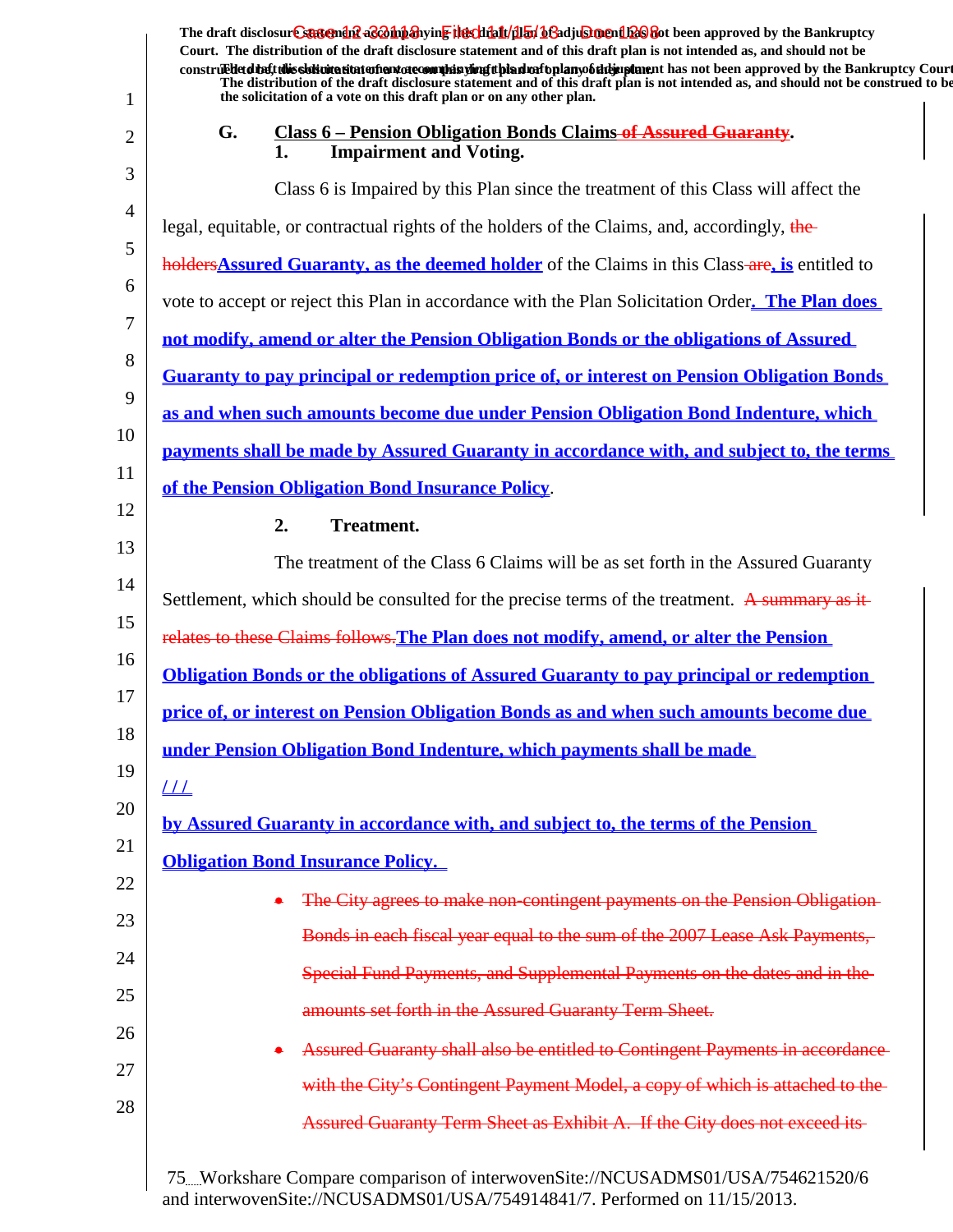| 1  | The draft disclosur <del>Csusendif aCohhanyinE Hechhalt/dl51</del> hGadjuSmendl2C Bot been approved by the Bankruptcy<br>Court. The distribution of the draft disclosure statement and of this draft plan is not intended as, and should not be<br>construed detail this slok wite situation and accommode is virigit bian match plany of the implement has not been approved by the Bankruptcy Court<br>The distribution of the draft disclosure statement and of this draft plan is not intended as, and should not be construed to be<br>the solicitation of a vote on this draft plan or on any other plan. |
|----|-----------------------------------------------------------------------------------------------------------------------------------------------------------------------------------------------------------------------------------------------------------------------------------------------------------------------------------------------------------------------------------------------------------------------------------------------------------------------------------------------------------------------------------------------------------------------------------------------------------------|
| 2  | G.<br><b>Class 6 - Pension Obligation Bonds Claims of Assured Guaranty.</b><br><b>Impairment and Voting.</b><br>1.                                                                                                                                                                                                                                                                                                                                                                                                                                                                                              |
| 3  | Class 6 is Impaired by this Plan since the treatment of this Class will affect the                                                                                                                                                                                                                                                                                                                                                                                                                                                                                                                              |
| 4  | legal, equitable, or contractual rights of the holders of the Claims, and, accordingly, the                                                                                                                                                                                                                                                                                                                                                                                                                                                                                                                     |
| 5  | holders Assured Guaranty, as the deemed holder of the Claims in this Class-are, is entitled to                                                                                                                                                                                                                                                                                                                                                                                                                                                                                                                  |
| 6  | vote to accept or reject this Plan in accordance with the Plan Solicitation Order. The Plan does                                                                                                                                                                                                                                                                                                                                                                                                                                                                                                                |
| 7  | not modify, amend or alter the Pension Obligation Bonds or the obligations of Assured                                                                                                                                                                                                                                                                                                                                                                                                                                                                                                                           |
| 8  | Guaranty to pay principal or redemption price of, or interest on Pension Obligation Bonds                                                                                                                                                                                                                                                                                                                                                                                                                                                                                                                       |
| 9  | as and when such amounts become due under Pension Obligation Bond Indenture, which                                                                                                                                                                                                                                                                                                                                                                                                                                                                                                                              |
| 10 | payments shall be made by Assured Guaranty in accordance with, and subject to, the terms                                                                                                                                                                                                                                                                                                                                                                                                                                                                                                                        |
| 11 | of the Pension Obligation Bond Insurance Policy.                                                                                                                                                                                                                                                                                                                                                                                                                                                                                                                                                                |
| 12 | 2.<br><b>Treatment.</b>                                                                                                                                                                                                                                                                                                                                                                                                                                                                                                                                                                                         |
| 13 | The treatment of the Class 6 Claims will be as set forth in the Assured Guaranty                                                                                                                                                                                                                                                                                                                                                                                                                                                                                                                                |
| 14 | Settlement, which should be consulted for the precise terms of the treatment. A summary as it-                                                                                                                                                                                                                                                                                                                                                                                                                                                                                                                  |
| 15 | relates to these Claims follows. The Plan does not modify, amend, or alter the Pension                                                                                                                                                                                                                                                                                                                                                                                                                                                                                                                          |
| 16 | <b>Obligation Bonds or the obligations of Assured Guaranty to pay principal or redemption</b>                                                                                                                                                                                                                                                                                                                                                                                                                                                                                                                   |
| 17 | price of, or interest on Pension Obligation Bonds as and when such amounts become due                                                                                                                                                                                                                                                                                                                                                                                                                                                                                                                           |
| 18 | under Pension Obligation Bond Indenture, which payments shall be made                                                                                                                                                                                                                                                                                                                                                                                                                                                                                                                                           |
| 19 | $\frac{1}{1}$                                                                                                                                                                                                                                                                                                                                                                                                                                                                                                                                                                                                   |
| 20 | by Assured Guaranty in accordance with, and subject to, the terms of the Pension                                                                                                                                                                                                                                                                                                                                                                                                                                                                                                                                |
| 21 | <b>Obligation Bond Insurance Policy.</b>                                                                                                                                                                                                                                                                                                                                                                                                                                                                                                                                                                        |
| 22 | The City agrees to make non-contingent payments on the Pension Obligation                                                                                                                                                                                                                                                                                                                                                                                                                                                                                                                                       |
| 23 | Bonds in each fiscal year equal to the sum of the 2007 Lease Ask Payments,                                                                                                                                                                                                                                                                                                                                                                                                                                                                                                                                      |
| 24 | Special Fund Payments, and Supplemental Payments on the dates and in the                                                                                                                                                                                                                                                                                                                                                                                                                                                                                                                                        |
| 25 | amounts set forth in the Assured Guaranty Term Sheet.                                                                                                                                                                                                                                                                                                                                                                                                                                                                                                                                                           |
| 26 | Assured Guaranty shall also be entitled to Contingent Payments in accordance                                                                                                                                                                                                                                                                                                                                                                                                                                                                                                                                    |
| 27 | with the City's Contingent Payment Model, a copy of which is attached to the-                                                                                                                                                                                                                                                                                                                                                                                                                                                                                                                                   |
| 28 | Assured Guaranty Term Sheet as Exhibit A. If the City does not exceed its-                                                                                                                                                                                                                                                                                                                                                                                                                                                                                                                                      |
|    | 75. Workshare Compare comparison of interwovenSite://NCUSADMS01/USA/754621520/6                                                                                                                                                                                                                                                                                                                                                                                                                                                                                                                                 |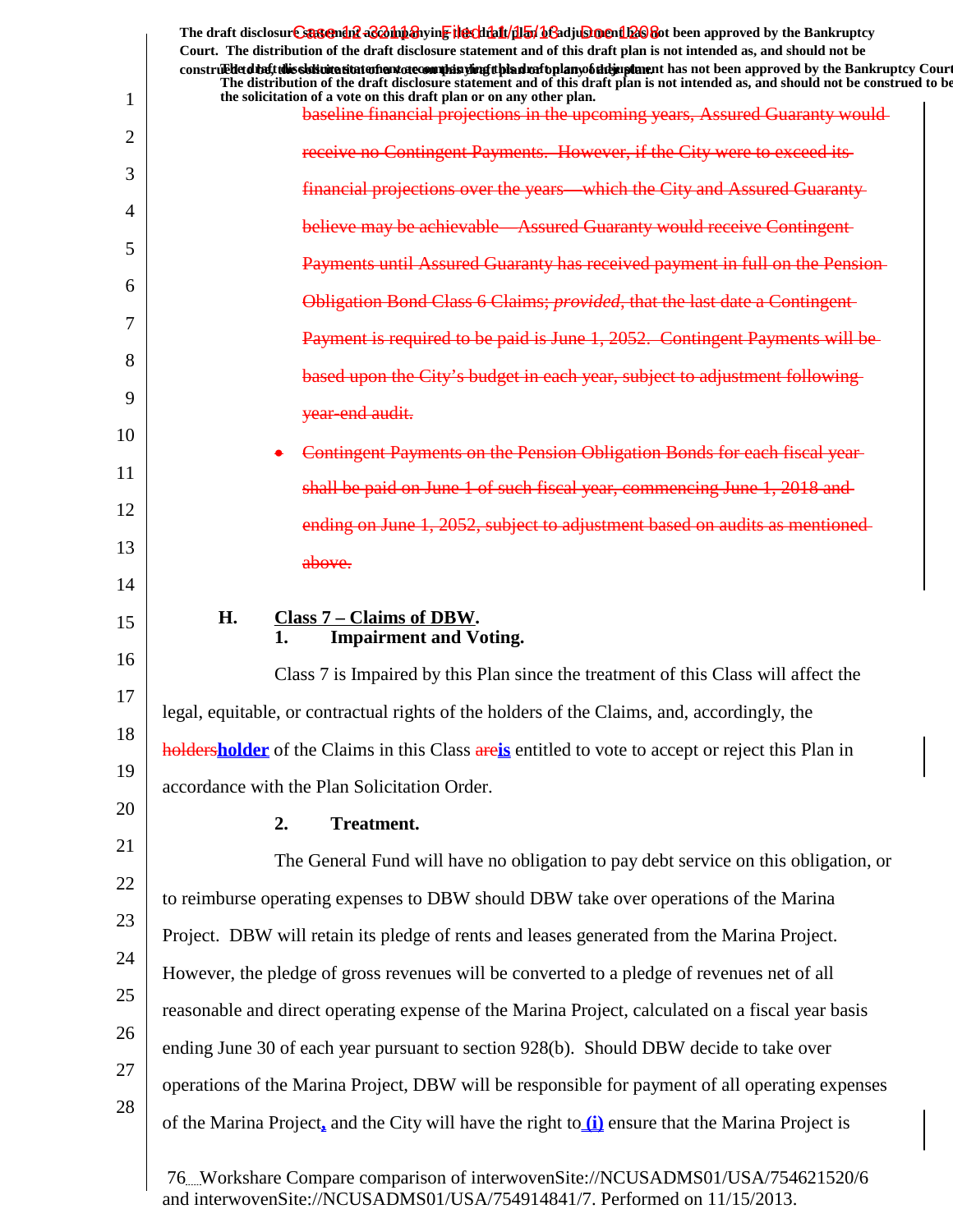|        | The draft disclosure suggended acompanying the climatical of adjustment been approved by the Bankruptcy                                                                                                                                                           |
|--------|-------------------------------------------------------------------------------------------------------------------------------------------------------------------------------------------------------------------------------------------------------------------|
|        | Court. The distribution of the draft disclosure statement and of this draft plan is not intended as, and should not be<br>construedded the tubis sistemation entertainment of country in the state of the state of the state of the state of the Bankruptcy Court |
| 1      | The distribution of the draft disclosure statement and of this draft plan is not intended as, and should not be construed to be<br>the solicitation of a vote on this draft plan or on any other plan.                                                            |
| 2      | baseline financial projections in the upcoming years, Assured Guaranty would-                                                                                                                                                                                     |
| 3      | receive no Contingent Payments. However, if the City were to exceed its-                                                                                                                                                                                          |
|        | financial projections over the years—which the City and Assured Guaranty-                                                                                                                                                                                         |
| 4<br>5 | believe may be achievable—Assured Guaranty would receive Contingent-                                                                                                                                                                                              |
| 6      | <b>Payments until Assured Guaranty has received payment in full on the Pension-</b>                                                                                                                                                                               |
| 7      | Obligation Bond Class 6 Claims; <i>provided</i> , that the last date a Contingent-                                                                                                                                                                                |
| 8      | Payment is required to be paid is June 1, 2052. Contingent Payments will be                                                                                                                                                                                       |
| 9      | based upon the City's budget in each year, subject to adjustment following-                                                                                                                                                                                       |
| 10     | year-end audit.                                                                                                                                                                                                                                                   |
| 11     | Contingent Payments on the Pension Obligation Bonds for each fiscal year-                                                                                                                                                                                         |
| 12     | shall be paid on June 1 of such fiscal year, commencing June 1, 2018 and                                                                                                                                                                                          |
| 13     | ending on June 1, 2052, subject to adjustment based on audits as mentioned                                                                                                                                                                                        |
| 14     | above.                                                                                                                                                                                                                                                            |
|        |                                                                                                                                                                                                                                                                   |
| 15     | H.<br>Class 7 – Claims of DBW.<br><b>Impairment and Voting.</b><br>1.                                                                                                                                                                                             |
| 16     | Class 7 is Impaired by this Plan since the treatment of this Class will affect the                                                                                                                                                                                |
| 17     | legal, equitable, or contractual rights of the holders of the Claims, and, accordingly, the                                                                                                                                                                       |
| 18     | <b>holdersholder</b> of the Claims in this Class are is entitled to vote to accept or reject this Plan in                                                                                                                                                         |
| 19     | accordance with the Plan Solicitation Order.                                                                                                                                                                                                                      |
| 20     | <b>Treatment.</b><br>2.                                                                                                                                                                                                                                           |
| 21     | The General Fund will have no obligation to pay debt service on this obligation, or                                                                                                                                                                               |
| 22     | to reimburse operating expenses to DBW should DBW take over operations of the Marina                                                                                                                                                                              |
| 23     | Project. DBW will retain its pledge of rents and leases generated from the Marina Project.                                                                                                                                                                        |
| 24     | However, the pledge of gross revenues will be converted to a pledge of revenues net of all                                                                                                                                                                        |
| 25     | reasonable and direct operating expense of the Marina Project, calculated on a fiscal year basis                                                                                                                                                                  |
| 26     | ending June 30 of each year pursuant to section 928(b). Should DBW decide to take over                                                                                                                                                                            |
| 27     | operations of the Marina Project, DBW will be responsible for payment of all operating expenses                                                                                                                                                                   |
| 28     | of the Marina Project, and the City will have the right to $(i)$ ensure that the Marina Project is                                                                                                                                                                |
|        |                                                                                                                                                                                                                                                                   |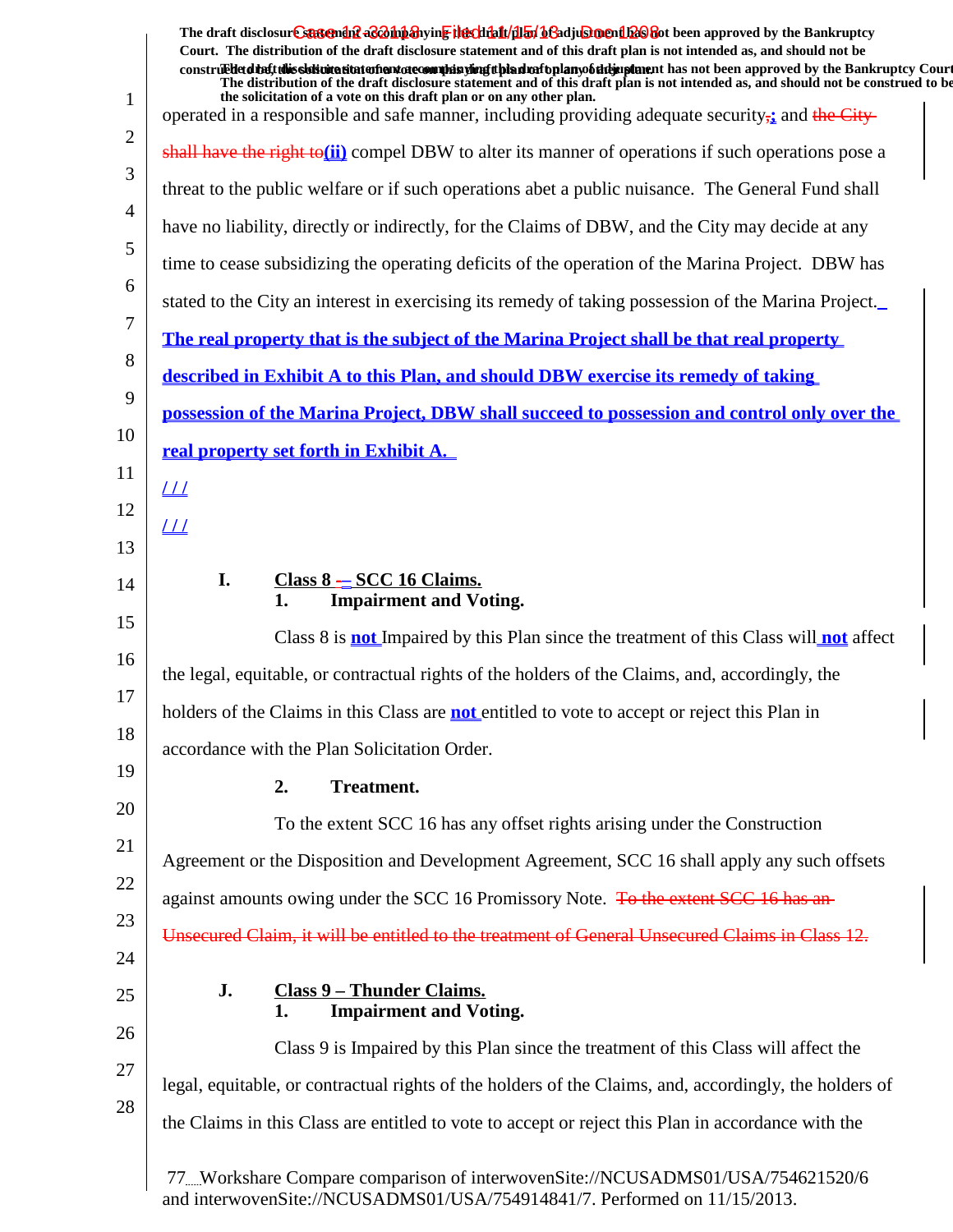|                | The draft disclosur Cantendal a & hip a ying the clinical product of a clinical provides the Bankruptcy<br>Court. The distribution of the draft disclosure statement and of this draft plan is not intended as, and should not be                                                                                                                     |
|----------------|-------------------------------------------------------------------------------------------------------------------------------------------------------------------------------------------------------------------------------------------------------------------------------------------------------------------------------------------------------|
|                | construedetd the ft this slot intertion to the manufacture of the simulation of the hands of the same than the same of the Bankruptcy Court<br>The distribution of the draft disclosure statement and of this draft plan is not intended as, and should not be construed to be<br>the solicitation of a vote on this draft plan or on any other plan. |
| $\mathbf{1}$   | operated in a responsible and safe manner, including providing adequate security <sub>i</sub> and the City-                                                                                                                                                                                                                                           |
| $\overline{2}$ | shall have the right to( $\mathbf{ii}$ ) compel DBW to alter its manner of operations if such operations pose a                                                                                                                                                                                                                                       |
| 3              | threat to the public welfare or if such operations abet a public nuisance. The General Fund shall                                                                                                                                                                                                                                                     |
| $\overline{4}$ | have no liability, directly or indirectly, for the Claims of DBW, and the City may decide at any                                                                                                                                                                                                                                                      |
| 5              | time to cease subsidizing the operating deficits of the operation of the Marina Project. DBW has                                                                                                                                                                                                                                                      |
| 6              | stated to the City an interest in exercising its remedy of taking possession of the Marina Project                                                                                                                                                                                                                                                    |
| 7              | The real property that is the subject of the Marina Project shall be that real property                                                                                                                                                                                                                                                               |
| 8              | described in Exhibit A to this Plan, and should DBW exercise its remedy of taking                                                                                                                                                                                                                                                                     |
| 9              | possession of the Marina Project, DBW shall succeed to possession and control only over the                                                                                                                                                                                                                                                           |
| 10             | real property set forth in Exhibit A.                                                                                                                                                                                                                                                                                                                 |
| 11             | $L\bot$                                                                                                                                                                                                                                                                                                                                               |
| 12             | $\perp\!\!\!\perp$                                                                                                                                                                                                                                                                                                                                    |
| 13             |                                                                                                                                                                                                                                                                                                                                                       |
| 14             | I.<br>$Class 8 - SCC 16 Clains.$<br><b>Impairment and Voting.</b><br>1.                                                                                                                                                                                                                                                                               |
| 15             | Class 8 is <b>not</b> Impaired by this Plan since the treatment of this Class will <b>not</b> affect                                                                                                                                                                                                                                                  |
| 16             | the legal, equitable, or contractual rights of the holders of the Claims, and, accordingly, the                                                                                                                                                                                                                                                       |
| 17             | holders of the Claims in this Class are <b>not</b> entitled to vote to accept or reject this Plan in                                                                                                                                                                                                                                                  |
| 18             | accordance with the Plan Solicitation Order.                                                                                                                                                                                                                                                                                                          |
| 19             | <b>Treatment.</b><br>2.                                                                                                                                                                                                                                                                                                                               |
| 20             | To the extent SCC 16 has any offset rights arising under the Construction                                                                                                                                                                                                                                                                             |
| 21             | Agreement or the Disposition and Development Agreement, SCC 16 shall apply any such offsets                                                                                                                                                                                                                                                           |
| 22             | against amounts owing under the SCC 16 Promissory Note. To the extent SCC 16 has an-                                                                                                                                                                                                                                                                  |
| 23             | Unsecured Claim, it will be entitled to the treatment of General Unsecured Claims in Class 12.                                                                                                                                                                                                                                                        |
| 24             |                                                                                                                                                                                                                                                                                                                                                       |
| 25             | J.<br><b>Class 9 - Thunder Claims.</b><br><b>Impairment and Voting.</b><br>1.                                                                                                                                                                                                                                                                         |
| 26             | Class 9 is Impaired by this Plan since the treatment of this Class will affect the                                                                                                                                                                                                                                                                    |
| 27             | legal, equitable, or contractual rights of the holders of the Claims, and, accordingly, the holders of                                                                                                                                                                                                                                                |
| 28             | the Claims in this Class are entitled to vote to accept or reject this Plan in accordance with the                                                                                                                                                                                                                                                    |
|                | 77Workshare Compare comparison of interwovenSite://NCUSADMS01/USA/754621520/6<br>and interwoven $\text{Site}$ ://NCUS ADMS01/US A/75/01/8/1/7 Performed on 11/15/2013                                                                                                                                                                                 |

and interwovenSite://NCUSADMS01/USA/754914841/7. Performed on 11/15/2013.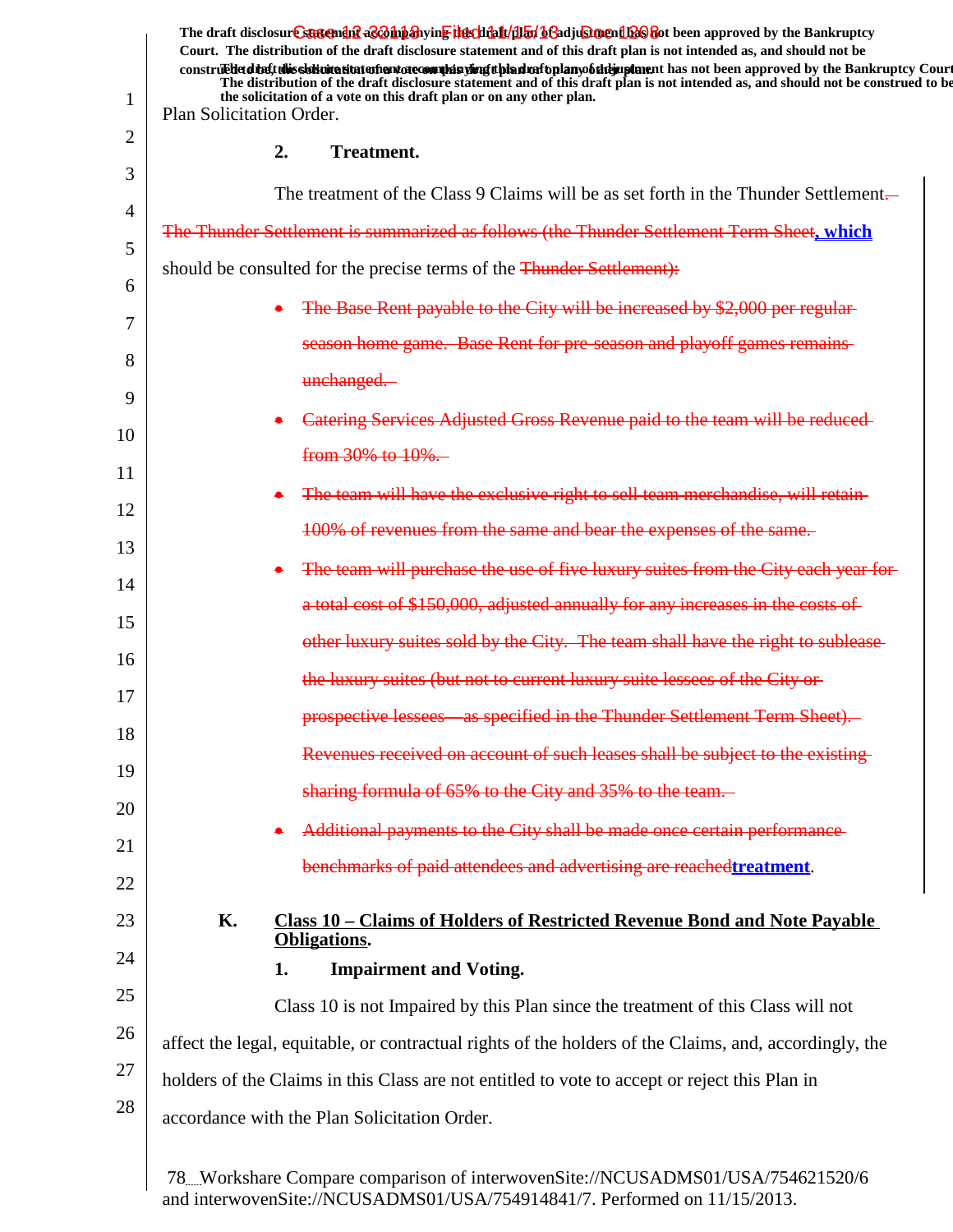| 1  | Plan Solicitation Order. |    | The draft disclosure sasement as a hypothesive the clinical of a disclosed began the Bankruptcy<br>Court. The distribution of the draft disclosure statement and of this draft plan is not intended as, and should not be<br>construed detail this signification and are completed in the detail and the plany of the importance in that not been approved by the Bankruptcy Court<br>The distribution of the draft disclosure statement and of this draft plan is not intended as, and should not be construed to be<br>the solicitation of a vote on this draft plan or on any other plan. |
|----|--------------------------|----|----------------------------------------------------------------------------------------------------------------------------------------------------------------------------------------------------------------------------------------------------------------------------------------------------------------------------------------------------------------------------------------------------------------------------------------------------------------------------------------------------------------------------------------------------------------------------------------------|
| 2  |                          | 2. | <b>Treatment.</b>                                                                                                                                                                                                                                                                                                                                                                                                                                                                                                                                                                            |
| 3  |                          |    | The treatment of the Class 9 Claims will be as set forth in the Thunder Settlement—                                                                                                                                                                                                                                                                                                                                                                                                                                                                                                          |
| 4  |                          |    | The Thunder Settlement is summarized as follows (the Thunder Settlement Term Sheet, which                                                                                                                                                                                                                                                                                                                                                                                                                                                                                                    |
| 5  |                          |    | should be consulted for the precise terms of the Thunder Settlement):                                                                                                                                                                                                                                                                                                                                                                                                                                                                                                                        |
| 6  |                          |    | The Base Rent payable to the City will be increased by \$2,000 per regular-                                                                                                                                                                                                                                                                                                                                                                                                                                                                                                                  |
| 7  |                          |    | season home game. Base Rent for pre-season and playoff games remains-                                                                                                                                                                                                                                                                                                                                                                                                                                                                                                                        |
| 8  |                          |    | unchanged.                                                                                                                                                                                                                                                                                                                                                                                                                                                                                                                                                                                   |
| 9  |                          |    | Catering Services Adjusted Gross Revenue paid to the team will be reduced                                                                                                                                                                                                                                                                                                                                                                                                                                                                                                                    |
| 10 |                          |    | from 30% to 10%.                                                                                                                                                                                                                                                                                                                                                                                                                                                                                                                                                                             |
| 11 |                          |    | The team will have the exclusive right to sell team merchandise, will retain-                                                                                                                                                                                                                                                                                                                                                                                                                                                                                                                |
| 12 |                          |    | 100% of revenues from the same and bear the expenses of the same.                                                                                                                                                                                                                                                                                                                                                                                                                                                                                                                            |
| 13 |                          |    | The team will purchase the use of five luxury suites from the City each year for-                                                                                                                                                                                                                                                                                                                                                                                                                                                                                                            |
| 14 |                          |    | a total cost of \$150,000, adjusted annually for any increases in the costs of                                                                                                                                                                                                                                                                                                                                                                                                                                                                                                               |
| 15 |                          |    | other luxury suites sold by the City. The team shall have the right to sublease                                                                                                                                                                                                                                                                                                                                                                                                                                                                                                              |
| 16 |                          |    | the luxury suites (but not to current luxury suite lessees of the City or-                                                                                                                                                                                                                                                                                                                                                                                                                                                                                                                   |
| 17 |                          |    | prospective lessees—as specified in the Thunder Settlement Term Sheet).                                                                                                                                                                                                                                                                                                                                                                                                                                                                                                                      |
| 18 |                          |    | Revenues received on account of such leases shall be subject to the existing-                                                                                                                                                                                                                                                                                                                                                                                                                                                                                                                |
| 19 |                          |    | sharing formula of 65% to the City and 35% to the team.                                                                                                                                                                                                                                                                                                                                                                                                                                                                                                                                      |
| 20 |                          |    | Additional payments to the City shall be made once certain performance                                                                                                                                                                                                                                                                                                                                                                                                                                                                                                                       |
| 21 |                          |    | benchmarks of paid attendees and advertising are reached treatment.                                                                                                                                                                                                                                                                                                                                                                                                                                                                                                                          |
| 22 |                          |    |                                                                                                                                                                                                                                                                                                                                                                                                                                                                                                                                                                                              |
| 23 | <b>K.</b>                |    | <u>Class 10 – Claims of Holders of Restricted Revenue Bond and Note Payable</u><br><b>Obligations.</b>                                                                                                                                                                                                                                                                                                                                                                                                                                                                                       |
| 24 |                          | 1. | <b>Impairment and Voting.</b>                                                                                                                                                                                                                                                                                                                                                                                                                                                                                                                                                                |
| 25 |                          |    | Class 10 is not Impaired by this Plan since the treatment of this Class will not                                                                                                                                                                                                                                                                                                                                                                                                                                                                                                             |
| 26 |                          |    | affect the legal, equitable, or contractual rights of the holders of the Claims, and, accordingly, the                                                                                                                                                                                                                                                                                                                                                                                                                                                                                       |
| 27 |                          |    | holders of the Claims in this Class are not entitled to vote to accept or reject this Plan in                                                                                                                                                                                                                                                                                                                                                                                                                                                                                                |
| 28 |                          |    | accordance with the Plan Solicitation Order.                                                                                                                                                                                                                                                                                                                                                                                                                                                                                                                                                 |
|    |                          |    | 78. Workshare Compare comparison of interwoven Site://NCUSADMS01/USA/754621520/6<br>and interwoven Site://NCUSADMS01/USA/75/01/8/1/7 Performed on $11/15/2013$                                                                                                                                                                                                                                                                                                                                                                                                                               |

and interwovenSite://NCUSADMS01/USA/754914841/7. Performed on 11/15/2013.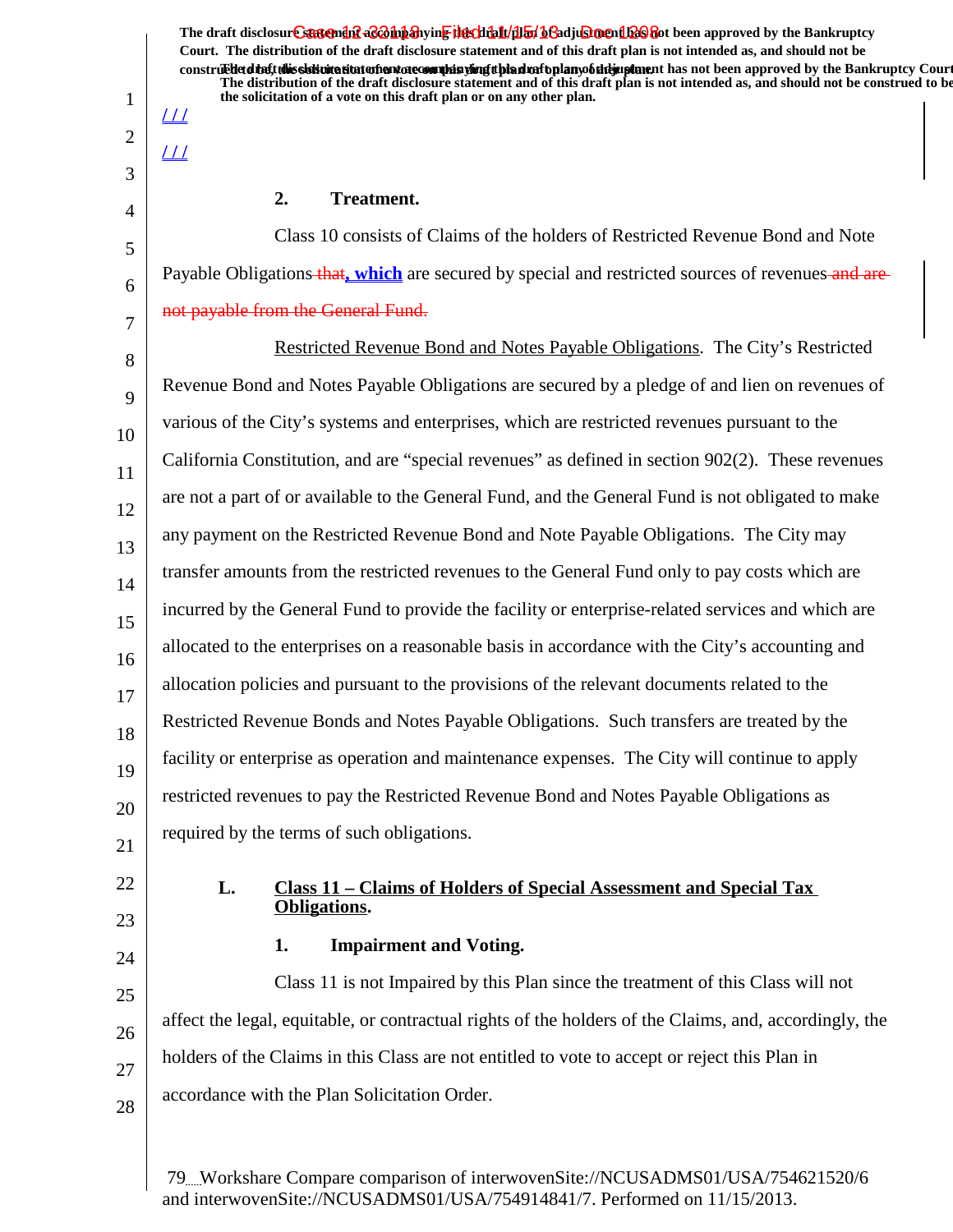The draft disclosur<del>t Suggendn2 aC201np3</del>hyin<mark>e the chip11/1151/163adjushorenth26</mark>860t been approved by the Bankruptcy **Court. The distribution of the draft disclosure statement and of this draft plan is not intended as, and should not be** construed to the solicit this solicitation to the number of the solution of the draft plan of the dramatic disclosure in the statement of the Bankruptcy Court. **The distribution of the draft disclosure statement and of this draft plan is not intended as, and should not be construed to be, the solicitation of a vote on this draft plan or on any other plan.**

## 2. Treatment.

Class 10 consists of Claims of the holders of Restricted Revenue Bond and Note Payable Obligations that, which are secured by special and restricted sources of revenues and arenot payable from the General Fund.

8 9 10 11 12 13 14 15 16 17 18 19 20 21 Restricted Revenue Bond and Notes Payable Obligations. The City's Restricted Revenue Bond and Notes Payable Obligations are secured by a pledge of and lien on revenues of various of the City's systems and enterprises, which are restricted revenues pursuant to the California Constitution, and are "special revenues" as defined in section 902(2). These revenues are not a part of or available to the General Fund, and the General Fund is not obligated to make any payment on the Restricted Revenue Bond and Note Payable Obligations. The City may transfer amounts from the restricted revenues to the General Fund only to pay costs which are incurred by the General Fund to provide the facility or enterprise-related services and which are allocated to the enterprises on a reasonable basis in accordance with the City's accounting and allocation policies and pursuant to the provisions of the relevant documents related to the Restricted Revenue Bonds and Notes Payable Obligations. Such transfers are treated by the facility or enterprise as operation and maintenance expenses. The City will continue to apply restricted revenues to pay the Restricted Revenue Bond and Notes Payable Obligations as required by the terms of such obligations.

22

1

**/ / /**

**/ / /**

2

3

4

5

6

7

- 23
- 24

25

26

27

28

# **1.** Impairment and Voting.

**Obligations.**

Class 11 is not Impaired by this Plan since the treatment of this Class will not affect the legal, equitable, or contractual rights of the holders of the Claims, and, accordingly, the holders of the Claims in this Class are not entitled to vote to accept or reject this Plan in accordance with the Plan Solicitation Order.

**L. Class 11 – Claims of Holders of Special Assessment and Special Tax**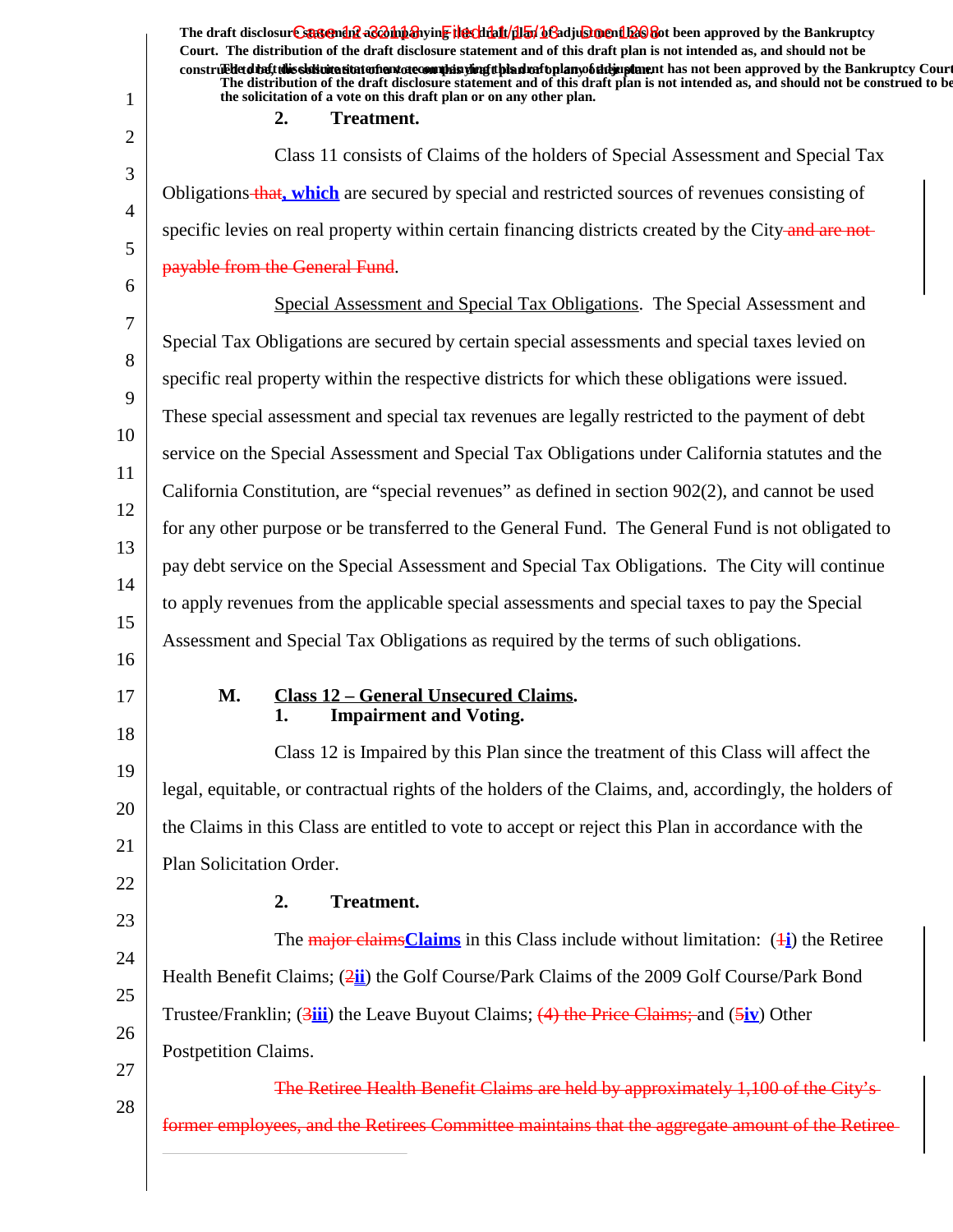1 2 3 4 5 6 7 8 9 10 11 12 13 14 15 16 17 18 19 20 21 22 23 24 25 26 27 28 The draft disclosur<del>t Suggendn2 aC201np3</del>hyin<mark>e the chip11/1151/163adjushorenth26</mark>860t been approved by the Bankruptcy **Court. The distribution of the draft disclosure statement and of this draft plan is not intended as, and should not be** construed to the solicit this solicitation to the number of the solution of the draft plan of the dramatic disclosure in the statement of the Bankruptcy Court. **The distribution of the draft disclosure statement and of this draft plan is not intended as, and should not be construed to be, the solicitation of a vote on this draft plan or on any other plan.** 2. Treatment. Class 11 consists of Claims of the holders of Special Assessment and Special Tax Obligations that**, which** are secured by special and restricted sources of revenues consisting of specific levies on real property within certain financing districts created by the City-and are notpayable from the General Fund. Special Assessment and Special Tax Obligations. The Special Assessment and Special Tax Obligations are secured by certain special assessments and special taxes levied on specific real property within the respective districts for which these obligations were issued. These special assessment and special tax revenues are legally restricted to the payment of debt service on the Special Assessment and Special Tax Obligations under California statutes and the California Constitution, are "special revenues" as defined in section 902(2), and cannot be used for any other purpose or be transferred to the General Fund. The General Fund is not obligated to pay debt service on the Special Assessment and Special Tax Obligations. The City will continue to apply revenues from the applicable special assessments and special taxes to pay the Special Assessment and Special Tax Obligations as required by the terms of such obligations. **M.** Class 12 – General Unsecured Claims. **1.** Impairment and Voting. Class 12 is Impaired by this Plan since the treatment of this Class will affect the legal, equitable, or contractual rights of the holders of the Claims, and, accordingly, the holders of the Claims in this Class are entitled to vote to accept or reject this Plan in accordance with the Plan Solicitation Order. 2. **Treatment.** The major claims**Claims** in this Class include without limitation: (1**i**) the Retiree Health Benefit Claims; (2**ii**) the Golf Course/Park Claims of the 2009 Golf Course/Park Bond Trustee/Franklin; (3**iii**) the Leave Buyout Claims; (4) the Price Claims; and (5**iv**) Other Postpetition Claims. The Retiree Health Benefit Claims are held by approximately former employees, and the Retirees Committee maintains that the aggregate amount of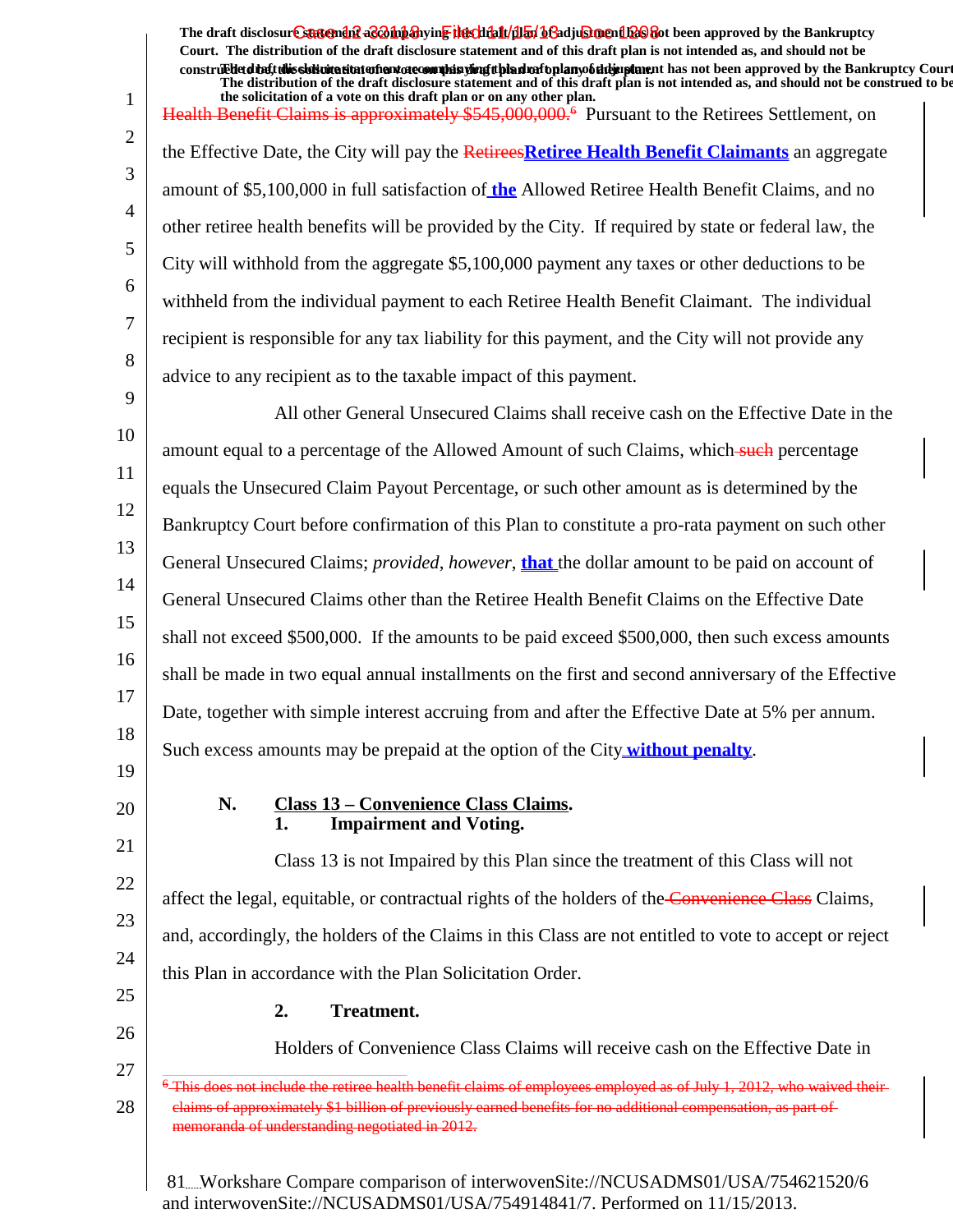The draft disclosur<del>t Suggendn2 aC201np3</del>hyin<mark>e the chip11/1151/163adjushorenth26</mark>860t been approved by the Bankruptcy **Court. The distribution of the draft disclosure statement and of this draft plan is not intended as, and should not be** construed to the solicit this solicitation to the number of the solution of the draft plan of the dramatic disclosure in the statement of the Bankruptcy Court. **The distribution of the draft disclosure statement and of this draft plan is not intended as, and should not be construed to be,**

1 2 3 4 5 6 7 8 9 10 11 12 13 14 15 16 17 18 19 20 21 22 23 24 25 26 27 28 **the solicitation of a vote on this draft plan or on any other plan.** Health Benefit Claims is approximately \$545,000,000.<sup>6</sup> Pursuant to the Retirees Settlement, on the Effective Date, the City will pay the Retirees**Retiree Health Benefit Claimants** an aggregate amount of \$5,100,000 in full satisfaction of **the** Allowed Retiree Health Benefit Claims, and no other retiree health benefits will be provided by the City. If required by state or federal law, the City will withhold from the aggregate \$5,100,000 payment any taxes or other deductions to be withheld from the individual payment to each Retiree Health Benefit Claimant. The individual recipient is responsible for any tax liability for this payment, and the City will not provide any advice to any recipient as to the taxable impact of this payment. All other General Unsecured Claims shall receive cash on the Effective Date in the amount equal to a percentage of the Allowed Amount of such Claims, which such percentage equals the Unsecured Claim Payout Percentage, or such other amount as is determined by the Bankruptcy Court before confirmation of this Plan to constitute a pro-rata payment on such other General Unsecured Claims; *provided*, *however*, **that** the dollar amount to be paid on account of General Unsecured Claims other than the Retiree Health Benefit Claims on the Effective Date shall not exceed \$500,000. If the amounts to be paid exceed \$500,000, then such excess amounts shall be made in two equal annual installments on the first and second anniversary of the Effective Date, together with simple interest accruing from and after the Effective Date at 5% per annum. Such excess amounts may be prepaid at the option of the City **without penalty**. N. Class 13 – Convenience Class Claims. **1.** Impairment and Voting. Class 13 is not Impaired by this Plan since the treatment of this Class will not affect the legal, equitable, or contractual rights of the holders of the Convenience Class Claims, and, accordingly, the holders of the Claims in this Class are not entitled to vote to accept or reject this Plan in accordance with the Plan Solicitation Order. 2. Treatment. Holders of Convenience Class Claims will receive cash on the Effective Date in 81 Workshare Compare comparison of interwovenSite://NCUSADMS01/USA/754621520/6 <sup>6</sup> This does not include the retiree health benefit claims of employees employed as of July 1, 2012, who waived their claims of approximately \$1 billion of previously earned benefits for no additional compensation, as part of memoranda of understanding negotiated in 2012.

and interwovenSite://NCUSADMS01/USA/754914841/7. Performed on 11/15/2013.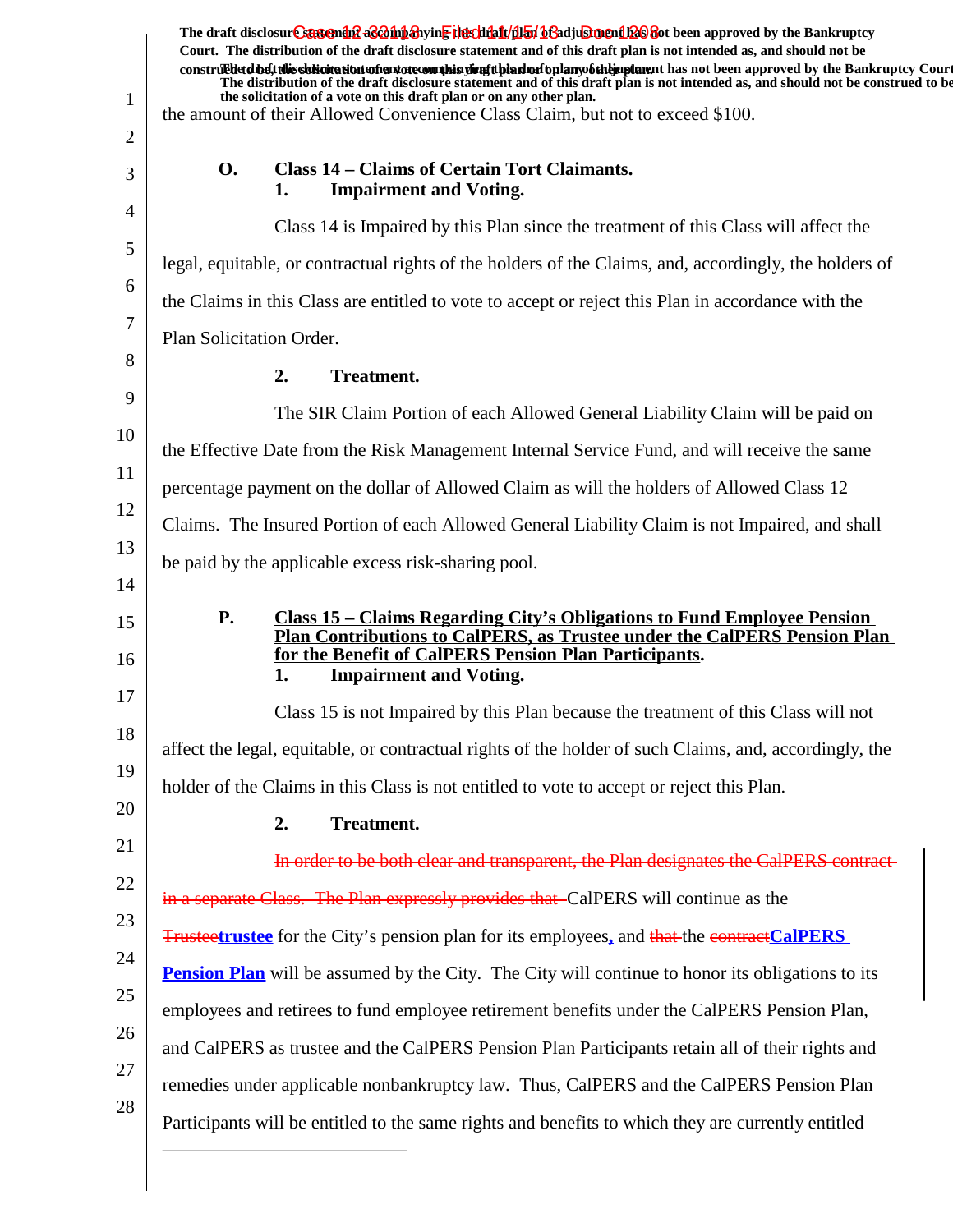|                | The draft disclosur Canteman & Companying the chialt/flay bGadjus ment been approved by the Bankruptcy<br>Court. The distribution of the draft disclosure statement and of this draft plan is not intended as, and should not be<br>construed that this sidion attatoment atecomple a simplifying that entoplany of the paparent has not been approved by the Bankruptcy Court |
|----------------|--------------------------------------------------------------------------------------------------------------------------------------------------------------------------------------------------------------------------------------------------------------------------------------------------------------------------------------------------------------------------------|
| 1              | The distribution of the draft disclosure statement and of this draft plan is not intended as, and should not be construed to be<br>the solicitation of a vote on this draft plan or on any other plan.<br>the amount of their Allowed Convenience Class Claim, but not to exceed \$100.                                                                                        |
| 2              |                                                                                                                                                                                                                                                                                                                                                                                |
| 3              | <b>O.</b><br><b>Class 14 – Claims of Certain Tort Claimants.</b><br><b>Impairment and Voting.</b><br>1.                                                                                                                                                                                                                                                                        |
| $\overline{4}$ | Class 14 is Impaired by this Plan since the treatment of this Class will affect the                                                                                                                                                                                                                                                                                            |
| 5              | legal, equitable, or contractual rights of the holders of the Claims, and, accordingly, the holders of                                                                                                                                                                                                                                                                         |
| 6              | the Claims in this Class are entitled to vote to accept or reject this Plan in accordance with the                                                                                                                                                                                                                                                                             |
| 7              | Plan Solicitation Order.                                                                                                                                                                                                                                                                                                                                                       |
| 8              | 2.<br><b>Treatment.</b>                                                                                                                                                                                                                                                                                                                                                        |
| 9              | The SIR Claim Portion of each Allowed General Liability Claim will be paid on                                                                                                                                                                                                                                                                                                  |
| 10             | the Effective Date from the Risk Management Internal Service Fund, and will receive the same                                                                                                                                                                                                                                                                                   |
| 11             | percentage payment on the dollar of Allowed Claim as will the holders of Allowed Class 12                                                                                                                                                                                                                                                                                      |
| 12             | Claims. The Insured Portion of each Allowed General Liability Claim is not Impaired, and shall                                                                                                                                                                                                                                                                                 |
| 13<br>14       | be paid by the applicable excess risk-sharing pool.                                                                                                                                                                                                                                                                                                                            |
| 15<br>16       | <b>P.</b><br><u> Class 15 – Claims Regarding City's Obligations to Fund Employee Pension</u><br>Plan Contributions to CalPERS, as Trustee under the CalPERS Pension Plan<br>for the Benefit of CalPERS Pension Plan Participants.<br><b>Impairment and Voting.</b><br>1.                                                                                                       |
| 17             | Class 15 is not Impaired by this Plan because the treatment of this Class will not                                                                                                                                                                                                                                                                                             |
| 18             | affect the legal, equitable, or contractual rights of the holder of such Claims, and, accordingly, the                                                                                                                                                                                                                                                                         |
| 19             | holder of the Claims in this Class is not entitled to vote to accept or reject this Plan.                                                                                                                                                                                                                                                                                      |
| 20             | Treatment.<br>2.                                                                                                                                                                                                                                                                                                                                                               |
| 21             | In order to be both clear and transparent, the Plan designates the CalPERS contract-                                                                                                                                                                                                                                                                                           |
| 22             | in a separate Class. The Plan expressly provides that CalPERS will continue as the                                                                                                                                                                                                                                                                                             |
| 23             | <b>Trusteetrustee</b> for the City's pension plan for its employees, and that the contract CalPERS                                                                                                                                                                                                                                                                             |
| 24             | <b>Pension Plan</b> will be assumed by the City. The City will continue to honor its obligations to its                                                                                                                                                                                                                                                                        |
| 25             | employees and retirees to fund employee retirement benefits under the CalPERS Pension Plan,                                                                                                                                                                                                                                                                                    |
| 26             | and CalPERS as trustee and the CalPERS Pension Plan Participants retain all of their rights and                                                                                                                                                                                                                                                                                |
| 27             | remedies under applicable nonbankruptcy law. Thus, CalPERS and the CalPERS Pension Plan                                                                                                                                                                                                                                                                                        |
| 28             | Participants will be entitled to the same rights and benefits to which they are currently entitled                                                                                                                                                                                                                                                                             |
|                |                                                                                                                                                                                                                                                                                                                                                                                |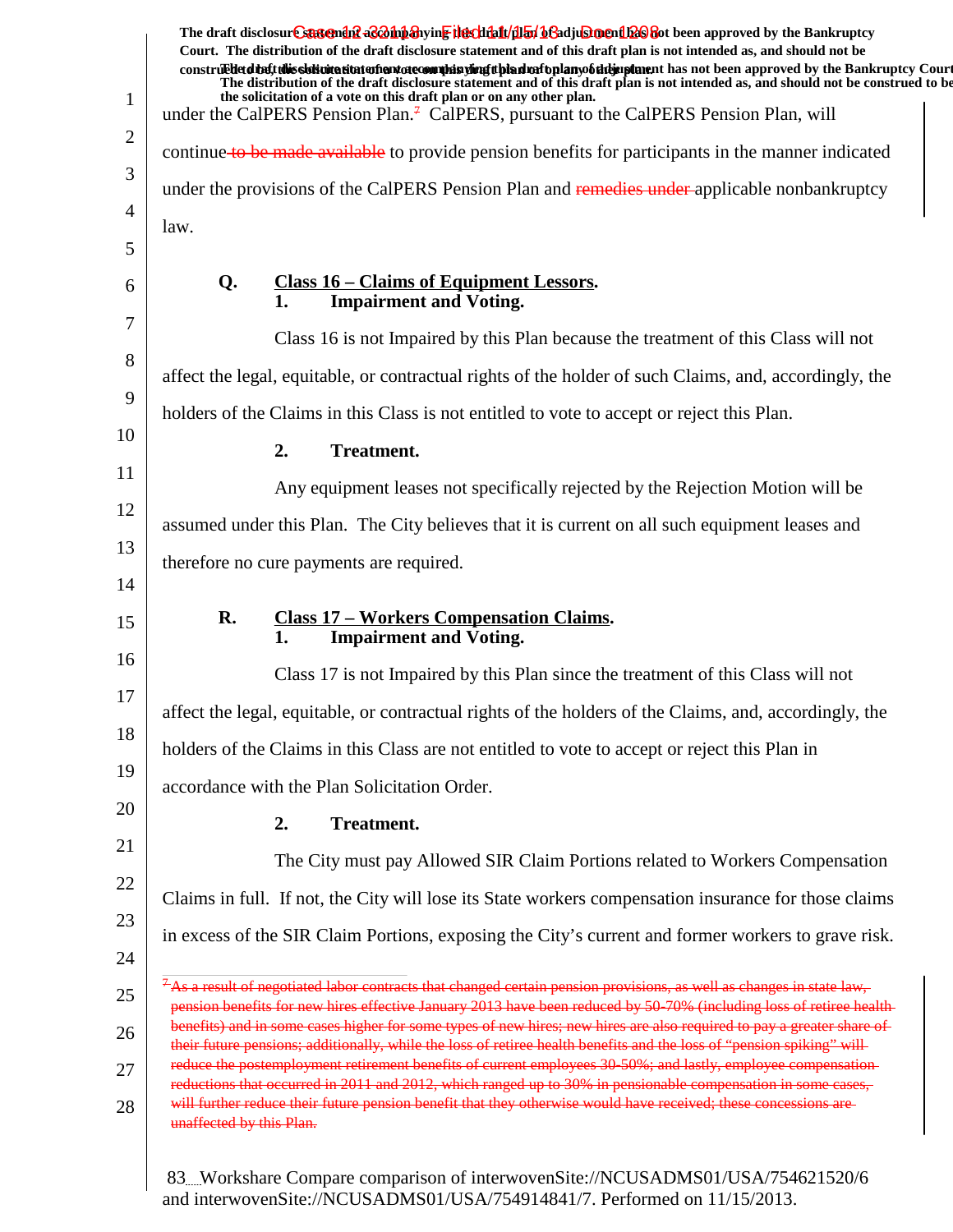|                | The draft disclosur Cantendal a & bip anying the chieff (half of a diu shell as approved by the Bankruptcy<br>Court. The distribution of the draft disclosure statement and of this draft plan is not intended as, and should not be                                    |
|----------------|-------------------------------------------------------------------------------------------------------------------------------------------------------------------------------------------------------------------------------------------------------------------------|
|                | construed that this sidivitation and one commission of this dual oplany of the purpose has not been approved by the Bankruptcy Court<br>The distribution of the draft disclosure statement and of this draft plan is not intended as, and should not be construed to be |
| $\mathbf{1}$   | the solicitation of a vote on this draft plan or on any other plan.<br>under the CalPERS Pension Plan. <sup>7</sup> CalPERS, pursuant to the CalPERS Pension Plan, will                                                                                                 |
| $\overline{2}$ | continue to be made available to provide pension benefits for participants in the manner indicated                                                                                                                                                                      |
| 3              | under the provisions of the CalPERS Pension Plan and remedies under-applicable nonbankruptcy                                                                                                                                                                            |
| $\overline{4}$ | law.                                                                                                                                                                                                                                                                    |
| 5              |                                                                                                                                                                                                                                                                         |
| 6              | <u>Class 16 – Claims of Equipment Lessors.</u><br>Q.<br><b>Impairment and Voting.</b><br>1.                                                                                                                                                                             |
| 7              | Class 16 is not Impaired by this Plan because the treatment of this Class will not                                                                                                                                                                                      |
| 8              | affect the legal, equitable, or contractual rights of the holder of such Claims, and, accordingly, the                                                                                                                                                                  |
| 9              | holders of the Claims in this Class is not entitled to vote to accept or reject this Plan.                                                                                                                                                                              |
| 10             | 2.<br><b>Treatment.</b>                                                                                                                                                                                                                                                 |
| 11             | Any equipment leases not specifically rejected by the Rejection Motion will be                                                                                                                                                                                          |
| 12             | assumed under this Plan. The City believes that it is current on all such equipment leases and                                                                                                                                                                          |
| 13             | therefore no cure payments are required.                                                                                                                                                                                                                                |
| 14             |                                                                                                                                                                                                                                                                         |
| 15             | <b>Class 17 - Workers Compensation Claims.</b><br>R.<br><b>Impairment and Voting.</b><br>1.                                                                                                                                                                             |
| 16             | Class 17 is not Impaired by this Plan since the treatment of this Class will not                                                                                                                                                                                        |
| 17             | affect the legal, equitable, or contractual rights of the holders of the Claims, and, accordingly, the                                                                                                                                                                  |
| 18             | holders of the Claims in this Class are not entitled to vote to accept or reject this Plan in                                                                                                                                                                           |
| 19             | accordance with the Plan Solicitation Order.                                                                                                                                                                                                                            |
| 20             | <b>Treatment.</b><br>2.                                                                                                                                                                                                                                                 |
| 21             | The City must pay Allowed SIR Claim Portions related to Workers Compensation                                                                                                                                                                                            |
| 22             | Claims in full. If not, the City will lose its State workers compensation insurance for those claims                                                                                                                                                                    |
| 23             | in excess of the SIR Claim Portions, exposing the City's current and former workers to grave risk.                                                                                                                                                                      |
| 24             |                                                                                                                                                                                                                                                                         |
| 25             | $+$ As a result of negotiated labor contracts that changed certain pension provisions, as well as changes in state law,<br>pension benefits for new hires effective January 2013 have been reduced by 50 70% (including loss of retiree health-                         |
| 26             | benefits) and in some cases higher for some types of new hires; new hires are also required to pay a greater share of<br>their future pensions; additionally, while the loss of retiree health benefits and the loss of "pension spiking" will                          |
| 27             | reduce the postemployment retirement benefits of current employees 30-50%; and lastly, employee compensation-<br>reductions that occurred in 2011 and 2012, which ranged up to 30% in pensionable compensation in some cases,                                           |
| 28             | will further reduce their future pension benefit that they otherwise would have received; these concessions are-<br>unaffected by this Plan.                                                                                                                            |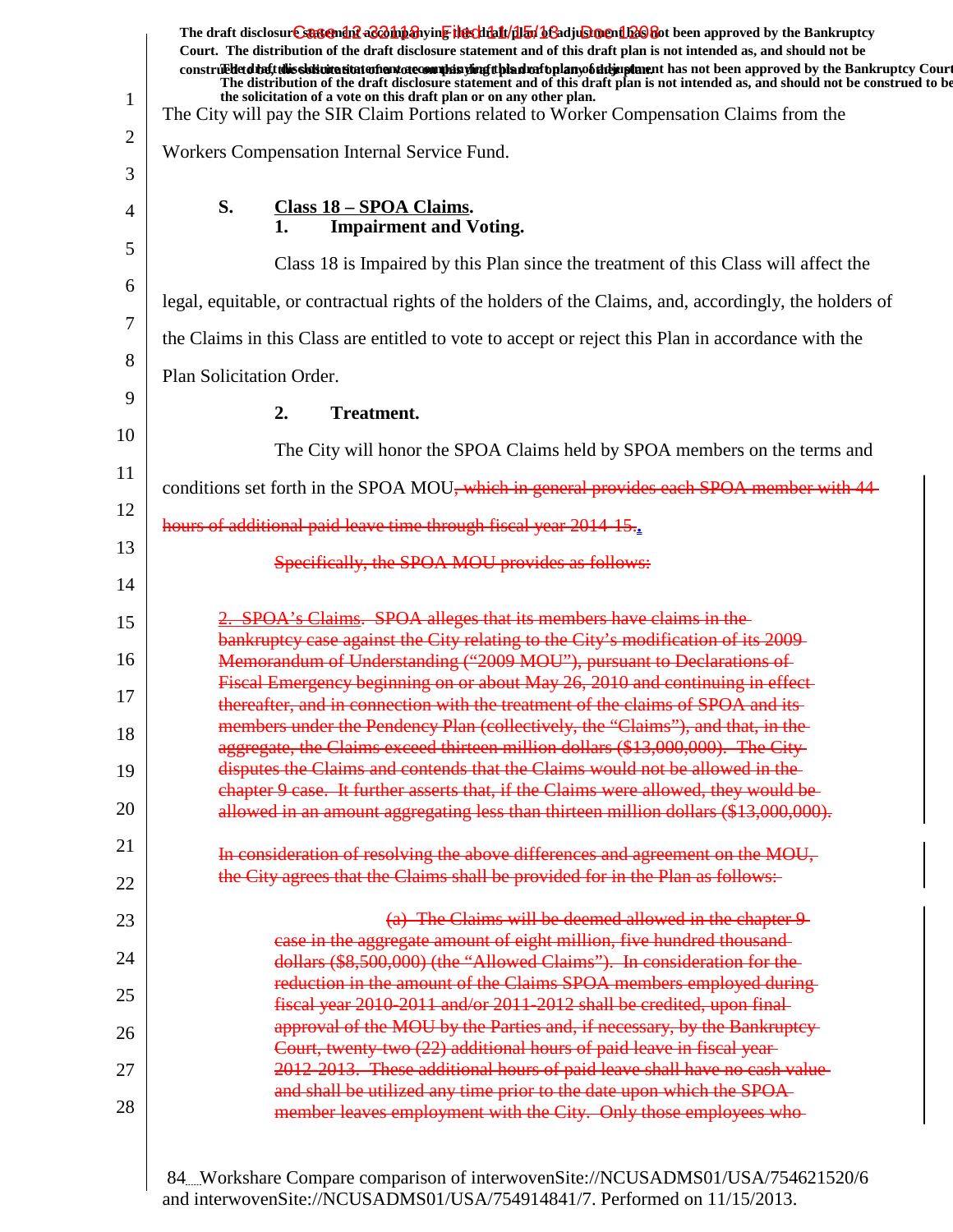| $\mathbf{1}$ | The draft disclosure suggended acompanying the climatical of adjustment been approved by the Bankruptcy<br>Court. The distribution of the draft disclosure statement and of this draft plan is not intended as, and should not be<br>construedetdinent this sidivite situte of environment is until and the high probability of the same that not been approved by the Bankruptcy Court<br>The distribution of the draft disclosure statement and of this draft plan is not intended as, and should not be construed to be<br>the solicitation of a vote on this draft plan or on any other plan.<br>The City will pay the SIR Claim Portions related to Worker Compensation Claims from the |
|--------------|----------------------------------------------------------------------------------------------------------------------------------------------------------------------------------------------------------------------------------------------------------------------------------------------------------------------------------------------------------------------------------------------------------------------------------------------------------------------------------------------------------------------------------------------------------------------------------------------------------------------------------------------------------------------------------------------|
| 2            | Workers Compensation Internal Service Fund.                                                                                                                                                                                                                                                                                                                                                                                                                                                                                                                                                                                                                                                  |
| 3            |                                                                                                                                                                                                                                                                                                                                                                                                                                                                                                                                                                                                                                                                                              |
| 4            | S.<br>Class 18 - SPOA Claims.<br><b>Impairment and Voting.</b><br>1.                                                                                                                                                                                                                                                                                                                                                                                                                                                                                                                                                                                                                         |
| 5            | Class 18 is Impaired by this Plan since the treatment of this Class will affect the                                                                                                                                                                                                                                                                                                                                                                                                                                                                                                                                                                                                          |
| 6<br>7       | legal, equitable, or contractual rights of the holders of the Claims, and, accordingly, the holders of                                                                                                                                                                                                                                                                                                                                                                                                                                                                                                                                                                                       |
|              | the Claims in this Class are entitled to vote to accept or reject this Plan in accordance with the                                                                                                                                                                                                                                                                                                                                                                                                                                                                                                                                                                                           |
| 8            | Plan Solicitation Order.                                                                                                                                                                                                                                                                                                                                                                                                                                                                                                                                                                                                                                                                     |
| 9            | 2.<br><b>Treatment.</b>                                                                                                                                                                                                                                                                                                                                                                                                                                                                                                                                                                                                                                                                      |
| 10           | The City will honor the SPOA Claims held by SPOA members on the terms and                                                                                                                                                                                                                                                                                                                                                                                                                                                                                                                                                                                                                    |
| 11           | conditions set forth in the SPOA MOU, which in general provides each SPOA member with 44                                                                                                                                                                                                                                                                                                                                                                                                                                                                                                                                                                                                     |
| 12           | hours of additional paid leave time through fiscal year 2014-15.                                                                                                                                                                                                                                                                                                                                                                                                                                                                                                                                                                                                                             |
| 13<br>14     | Specifically, the SPOA MOU provides as follows:                                                                                                                                                                                                                                                                                                                                                                                                                                                                                                                                                                                                                                              |
|              | 2. SPOA's Claims. SPOA alleges that its members have claims in the                                                                                                                                                                                                                                                                                                                                                                                                                                                                                                                                                                                                                           |
| 15           | bankruptcy case against the City relating to the City's modification of its 2009-                                                                                                                                                                                                                                                                                                                                                                                                                                                                                                                                                                                                            |
| 16           | Memorandum of Understanding ("2009 MOU"), pursuant to Declarations of<br>Fiscal Emergency beginning on or about May 26, 2010 and continuing in effect-                                                                                                                                                                                                                                                                                                                                                                                                                                                                                                                                       |
| 17           | thereafter, and in connection with the treatment of the claims of SPOA and its-                                                                                                                                                                                                                                                                                                                                                                                                                                                                                                                                                                                                              |
| 18           | members under the Pendency Plan (collectively, the "Claims"), and that, in the<br>aggregate, the Claims exceed thirteen million dollars (\$13,000,000). The City                                                                                                                                                                                                                                                                                                                                                                                                                                                                                                                             |
| 19           | disputes the Claims and contends that the Claims would not be allowed in the                                                                                                                                                                                                                                                                                                                                                                                                                                                                                                                                                                                                                 |
| 20           | chapter 9 case. It further asserts that, if the Claims were allowed, they would be<br>allowed in an amount aggregating less than thirteen million dollars (\$13,000,000).                                                                                                                                                                                                                                                                                                                                                                                                                                                                                                                    |
| 21           | In consideration of resolving the above differences and agreement on the MOU,                                                                                                                                                                                                                                                                                                                                                                                                                                                                                                                                                                                                                |
| 22           | the City agrees that the Claims shall be provided for in the Plan as follows:-                                                                                                                                                                                                                                                                                                                                                                                                                                                                                                                                                                                                               |
| 23           | (a) The Claims will be deemed allowed in the chapter 9                                                                                                                                                                                                                                                                                                                                                                                                                                                                                                                                                                                                                                       |
| 24           | case in the aggregate amount of eight million, five hundred thousand-<br>dollars (\$8,500,000) (the "Allowed Claims"). In consideration for the                                                                                                                                                                                                                                                                                                                                                                                                                                                                                                                                              |
| 25           | reduction in the amount of the Claims SPOA members employed during-                                                                                                                                                                                                                                                                                                                                                                                                                                                                                                                                                                                                                          |
|              | fiscal year 2010-2011 and/or 2011-2012 shall be credited, upon final-                                                                                                                                                                                                                                                                                                                                                                                                                                                                                                                                                                                                                        |
| 26           | approval of the MOU by the Parties and, if necessary, by the Bankruptcy-<br>Court, twenty-two (22) additional hours of paid leave in fiscal year-                                                                                                                                                                                                                                                                                                                                                                                                                                                                                                                                            |
| 27           | 2012-2013. These additional hours of paid leave shall have no cash value                                                                                                                                                                                                                                                                                                                                                                                                                                                                                                                                                                                                                     |
| 28           | and shall be utilized any time prior to the date upon which the SPOA-<br>member leaves employment with the City. Only those employees who-                                                                                                                                                                                                                                                                                                                                                                                                                                                                                                                                                   |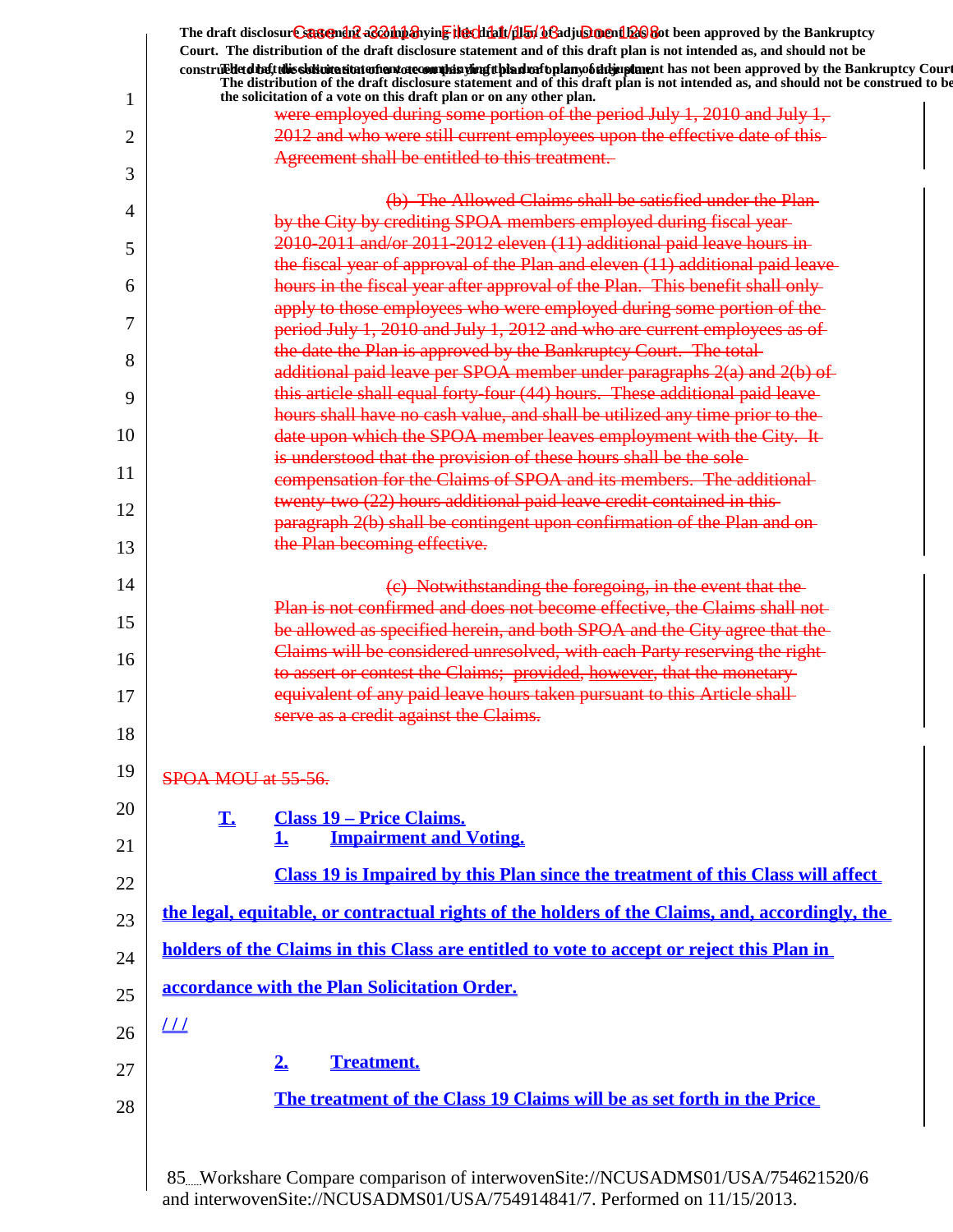|    | The draft disclosur Canteman & Companying the chialt (flat bead using cheap and been approved by the Bankruptcy                                                                                                                                                                                                                                        |
|----|--------------------------------------------------------------------------------------------------------------------------------------------------------------------------------------------------------------------------------------------------------------------------------------------------------------------------------------------------------|
|    | Court. The distribution of the draft disclosure statement and of this draft plan is not intended as, and should not be                                                                                                                                                                                                                                 |
| 1  | construed that this sidion attatom and of community in the deal and the plany of the paper and has not been approved by the Bankruptcy Court<br>The distribution of the draft disclosure statement and of this draft plan is not intended as, and should not be construed to be<br>the solicitation of a vote on this draft plan or on any other plan. |
|    | were employed during some portion of the period July 1, 2010 and July 1,                                                                                                                                                                                                                                                                               |
| 2  | 2012 and who were still current employees upon the effective date of this-                                                                                                                                                                                                                                                                             |
| 3  | Agreement shall be entitled to this treatment.                                                                                                                                                                                                                                                                                                         |
|    | (b) The Allowed Claims shall be satisfied under the Plan-                                                                                                                                                                                                                                                                                              |
| 4  | by the City by crediting SPOA members employed during fiscal year-                                                                                                                                                                                                                                                                                     |
| 5  | 2010-2011 and/or 2011-2012 eleven (11) additional paid leave hours in-                                                                                                                                                                                                                                                                                 |
|    | the fiscal year of approval of the Plan and eleven (11) additional paid leave-                                                                                                                                                                                                                                                                         |
| 6  | hours in the fiscal year after approval of the Plan. This benefit shall only-                                                                                                                                                                                                                                                                          |
|    | apply to those employees who were employed during some portion of the-                                                                                                                                                                                                                                                                                 |
| 7  | period July 1, 2010 and July 1, 2012 and who are current employees as of                                                                                                                                                                                                                                                                               |
| 8  | the date the Plan is approved by the Bankruptcy Court. The total-                                                                                                                                                                                                                                                                                      |
|    | additional paid leave per SPOA member under paragraphs 2(a) and 2(b) of                                                                                                                                                                                                                                                                                |
| 9  | this article shall equal forty four (44) hours. These additional paid leave-                                                                                                                                                                                                                                                                           |
|    | hours shall have no cash value, and shall be utilized any time prior to the                                                                                                                                                                                                                                                                            |
| 10 | date upon which the SPOA member leaves employment with the City. It-                                                                                                                                                                                                                                                                                   |
| 11 | is understood that the provision of these hours shall be the sole-                                                                                                                                                                                                                                                                                     |
|    | compensation for the Claims of SPOA and its members. The additional-                                                                                                                                                                                                                                                                                   |
| 12 | twenty two (22) hours additional paid leave credit contained in this-                                                                                                                                                                                                                                                                                  |
|    | paragraph 2(b) shall be contingent upon confirmation of the Plan and on-                                                                                                                                                                                                                                                                               |
| 13 | the Plan becoming effective.                                                                                                                                                                                                                                                                                                                           |
| 14 |                                                                                                                                                                                                                                                                                                                                                        |
|    | (c) Notwithstanding the foregoing, in the event that the<br>Plan is not confirmed and does not become effective, the Claims shall not-                                                                                                                                                                                                                 |
| 15 | be allowed as specified herein, and both SPOA and the City agree that the                                                                                                                                                                                                                                                                              |
|    | Claims will be considered unresolved, with each Party reserving the right-                                                                                                                                                                                                                                                                             |
| 16 | to assert or contest the Claims; provided, however, that the monetary-                                                                                                                                                                                                                                                                                 |
| 17 | equivalent of any paid leave hours taken pursuant to this Article shall                                                                                                                                                                                                                                                                                |
|    | serve as a credit against the Claims.                                                                                                                                                                                                                                                                                                                  |
| 18 |                                                                                                                                                                                                                                                                                                                                                        |
| 19 |                                                                                                                                                                                                                                                                                                                                                        |
|    | SPOA MOU at 55-56.                                                                                                                                                                                                                                                                                                                                     |
| 20 | T.<br><b>Class 19 – Price Claims.</b>                                                                                                                                                                                                                                                                                                                  |
|    | <b>Impairment and Voting.</b><br>1.                                                                                                                                                                                                                                                                                                                    |
| 21 |                                                                                                                                                                                                                                                                                                                                                        |
| 22 | Class 19 is Impaired by this Plan since the treatment of this Class will affect                                                                                                                                                                                                                                                                        |
| 23 | the legal, equitable, or contractual rights of the holders of the Claims, and, accordingly, the                                                                                                                                                                                                                                                        |
| 24 | holders of the Claims in this Class are entitled to vote to accept or reject this Plan in                                                                                                                                                                                                                                                              |
| 25 | accordance with the Plan Solicitation Order.                                                                                                                                                                                                                                                                                                           |
| 26 | $\perp\!\!\!\perp$                                                                                                                                                                                                                                                                                                                                     |
|    |                                                                                                                                                                                                                                                                                                                                                        |
| 27 | <b>Treatment.</b><br>2.                                                                                                                                                                                                                                                                                                                                |
| 28 | The treatment of the Class 19 Claims will be as set forth in the Price                                                                                                                                                                                                                                                                                 |
|    |                                                                                                                                                                                                                                                                                                                                                        |
|    |                                                                                                                                                                                                                                                                                                                                                        |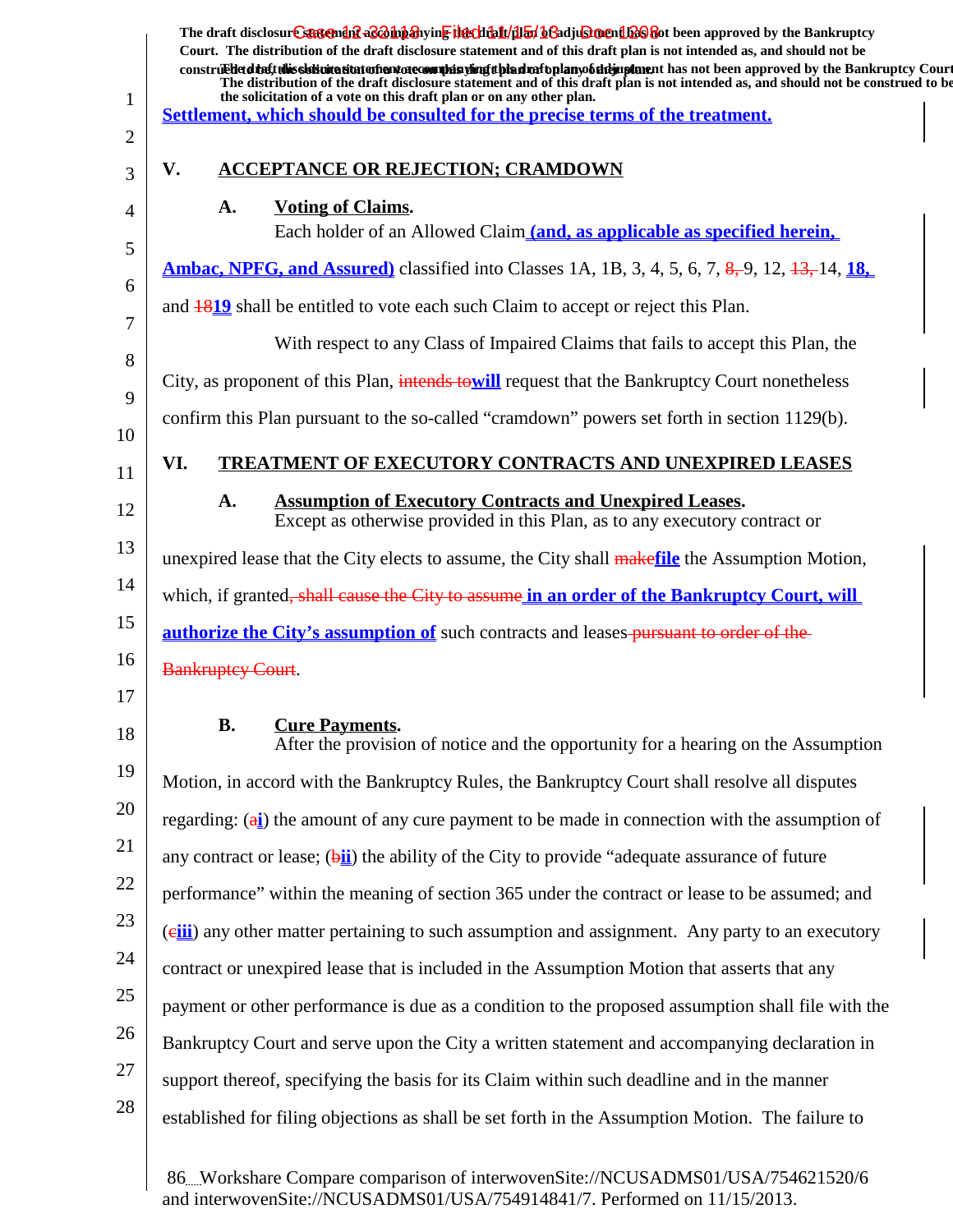| 1              | The draft disclosur Canteman & Boh baying the clining of a djustment Es and the Bankruptcy<br>Court. The distribution of the draft disclosure statement and of this draft plan is not intended as, and should not be<br>construed detail this sistemation of antarctecommission of the distribution of the manufacture has not been approved by the Bankruptcy Court<br>The distribution of the draft disclosure statement and of this draft plan is not intended as, and should not be construed to be<br>the solicitation of a vote on this draft plan or on any other plan.<br>Settlement, which should be consulted for the precise terms of the treatment. |
|----------------|-----------------------------------------------------------------------------------------------------------------------------------------------------------------------------------------------------------------------------------------------------------------------------------------------------------------------------------------------------------------------------------------------------------------------------------------------------------------------------------------------------------------------------------------------------------------------------------------------------------------------------------------------------------------|
| $\overline{2}$ |                                                                                                                                                                                                                                                                                                                                                                                                                                                                                                                                                                                                                                                                 |
| 3              | <b>ACCEPTANCE OR REJECTION; CRAMDOWN</b><br>V.                                                                                                                                                                                                                                                                                                                                                                                                                                                                                                                                                                                                                  |
| 4              | <b>Voting of Claims.</b><br>A.<br>Each holder of an Allowed Claim (and, as applicable as specified herein,                                                                                                                                                                                                                                                                                                                                                                                                                                                                                                                                                      |
| 5              | <b>Ambac, NPFG, and Assured</b> ) classified into Classes 1A, 1B, 3, 4, 5, 6, 7, 8, 9, 12, 13, 14, 18,                                                                                                                                                                                                                                                                                                                                                                                                                                                                                                                                                          |
| 6              | and 1819 shall be entitled to vote each such Claim to accept or reject this Plan.                                                                                                                                                                                                                                                                                                                                                                                                                                                                                                                                                                               |
| 7              | With respect to any Class of Impaired Claims that fails to accept this Plan, the                                                                                                                                                                                                                                                                                                                                                                                                                                                                                                                                                                                |
| 8              | City, as proponent of this Plan, intends towill request that the Bankruptcy Court nonetheless                                                                                                                                                                                                                                                                                                                                                                                                                                                                                                                                                                   |
| 9<br>10        | confirm this Plan pursuant to the so-called "cramdown" powers set forth in section 1129(b).                                                                                                                                                                                                                                                                                                                                                                                                                                                                                                                                                                     |
| 11             | VI.<br><b>TREATMENT OF EXECUTORY CONTRACTS AND UNEXPIRED LEASES</b>                                                                                                                                                                                                                                                                                                                                                                                                                                                                                                                                                                                             |
| 12             | <b>Assumption of Executory Contracts and Unexpired Leases.</b><br>A.<br>Except as otherwise provided in this Plan, as to any executory contract or                                                                                                                                                                                                                                                                                                                                                                                                                                                                                                              |
| 13             | unexpired lease that the City elects to assume, the City shall makefile the Assumption Motion,                                                                                                                                                                                                                                                                                                                                                                                                                                                                                                                                                                  |
| 14             | which, if granted, shall cause the City to assume in an order of the Bankruptcy Court, will                                                                                                                                                                                                                                                                                                                                                                                                                                                                                                                                                                     |
| 15             | <b>authorize the City's assumption of</b> such contracts and leases-pursuant to order of the                                                                                                                                                                                                                                                                                                                                                                                                                                                                                                                                                                    |
| 16             | <b>Bankruptey Court.</b>                                                                                                                                                                                                                                                                                                                                                                                                                                                                                                                                                                                                                                        |
| 17             |                                                                                                                                                                                                                                                                                                                                                                                                                                                                                                                                                                                                                                                                 |
| 18             | <b>B.</b><br><b>Cure Payments.</b><br>After the provision of notice and the opportunity for a hearing on the Assumption                                                                                                                                                                                                                                                                                                                                                                                                                                                                                                                                         |
| 19             | Motion, in accord with the Bankruptcy Rules, the Bankruptcy Court shall resolve all disputes                                                                                                                                                                                                                                                                                                                                                                                                                                                                                                                                                                    |
| 20             | regarding: $(a_i)$ the amount of any cure payment to be made in connection with the assumption of                                                                                                                                                                                                                                                                                                                                                                                                                                                                                                                                                               |
| 21             | any contract or lease; $(\frac{bii}{c})$ the ability of the City to provide "adequate assurance of future"                                                                                                                                                                                                                                                                                                                                                                                                                                                                                                                                                      |
| 22             | performance" within the meaning of section 365 under the contract or lease to be assumed; and                                                                                                                                                                                                                                                                                                                                                                                                                                                                                                                                                                   |
| 23             | (eiii) any other matter pertaining to such assumption and assignment. Any party to an executory                                                                                                                                                                                                                                                                                                                                                                                                                                                                                                                                                                 |
| 24             | contract or unexpired lease that is included in the Assumption Motion that asserts that any                                                                                                                                                                                                                                                                                                                                                                                                                                                                                                                                                                     |
| 25             | payment or other performance is due as a condition to the proposed assumption shall file with the                                                                                                                                                                                                                                                                                                                                                                                                                                                                                                                                                               |
| 26             | Bankruptcy Court and serve upon the City a written statement and accompanying declaration in                                                                                                                                                                                                                                                                                                                                                                                                                                                                                                                                                                    |
| 27             | support thereof, specifying the basis for its Claim within such deadline and in the manner                                                                                                                                                                                                                                                                                                                                                                                                                                                                                                                                                                      |
| 28             | established for filing objections as shall be set forth in the Assumption Motion. The failure to                                                                                                                                                                                                                                                                                                                                                                                                                                                                                                                                                                |
|                |                                                                                                                                                                                                                                                                                                                                                                                                                                                                                                                                                                                                                                                                 |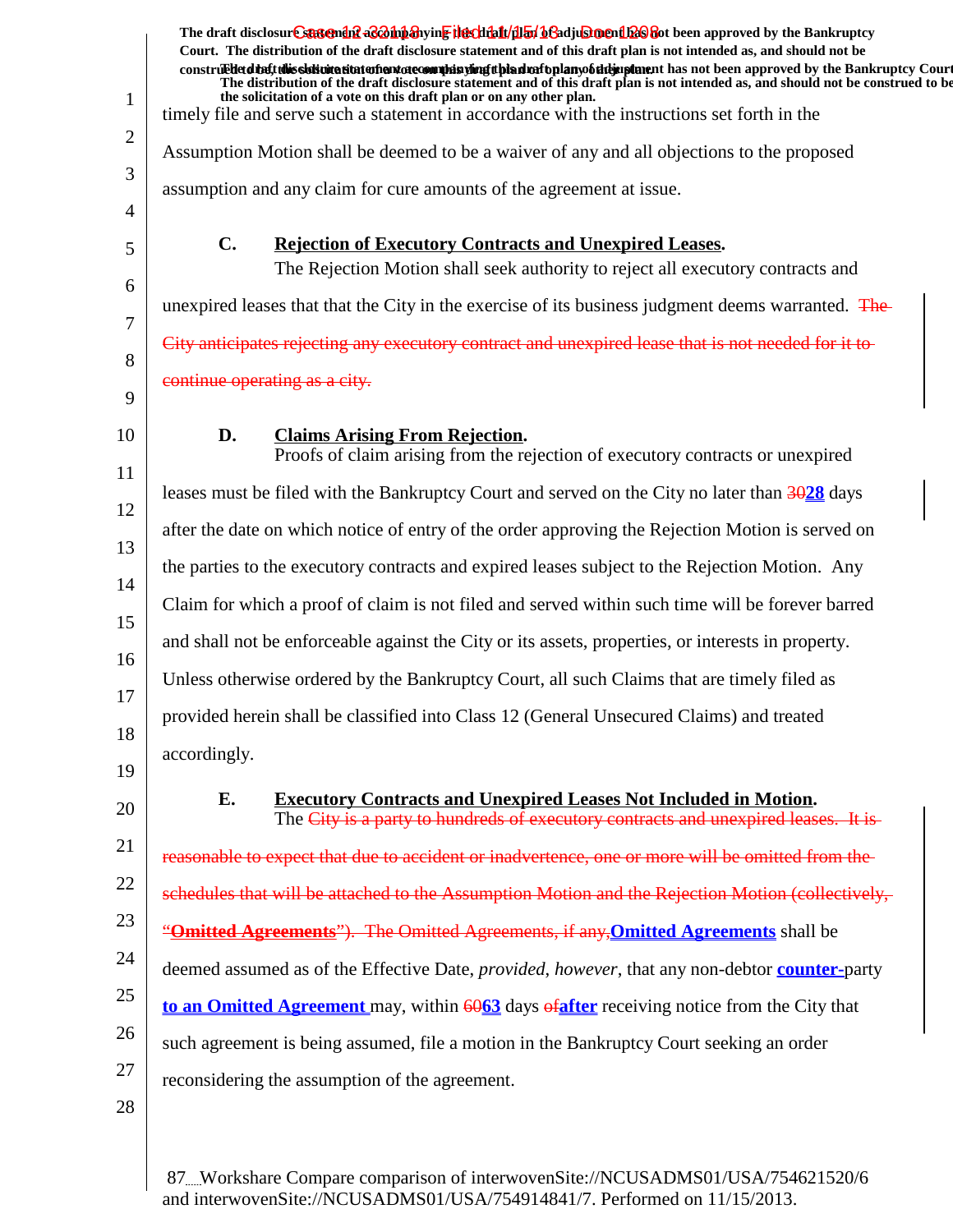|                | The draft disclosure suggended as on the hearth of the fit of the fit of the fit of the Bankruptcy<br>Court. The distribution of the draft disclosure statement and of this draft plan is not intended as, and should not be |
|----------------|------------------------------------------------------------------------------------------------------------------------------------------------------------------------------------------------------------------------------|
|                | construed that this sidion attatoment atecomulas simplifying and the plany of the paper and been approved by the Bankruptcy Court                                                                                            |
| $\mathbf{1}$   | The distribution of the draft disclosure statement and of this draft plan is not intended as, and should not be construed to be<br>the solicitation of a vote on this draft plan or on any other plan.                       |
| $\overline{2}$ | timely file and serve such a statement in accordance with the instructions set forth in the                                                                                                                                  |
| 3              | Assumption Motion shall be deemed to be a waiver of any and all objections to the proposed                                                                                                                                   |
| 4              | assumption and any claim for cure amounts of the agreement at issue.                                                                                                                                                         |
| 5              | $C_{\bullet}$<br><b>Rejection of Executory Contracts and Unexpired Leases.</b>                                                                                                                                               |
| 6              | The Rejection Motion shall seek authority to reject all executory contracts and                                                                                                                                              |
| 7              | unexpired leases that that the City in the exercise of its business judgment deems warranted. The                                                                                                                            |
| 8              | City anticipates rejecting any executory contract and unexpired lease that is not needed for it to                                                                                                                           |
| 9              | continue operating as a city.                                                                                                                                                                                                |
| 10             | D.<br><b>Claims Arising From Rejection.</b>                                                                                                                                                                                  |
| 11             | Proofs of claim arising from the rejection of executory contracts or unexpired                                                                                                                                               |
| 12             | leases must be filed with the Bankruptcy Court and served on the City no later than 3028 days                                                                                                                                |
| 13             | after the date on which notice of entry of the order approving the Rejection Motion is served on                                                                                                                             |
| 14             | the parties to the executory contracts and expired leases subject to the Rejection Motion. Any                                                                                                                               |
| 15             | Claim for which a proof of claim is not filed and served within such time will be forever barred                                                                                                                             |
| 16             | and shall not be enforceable against the City or its assets, properties, or interests in property.                                                                                                                           |
| 17             | Unless otherwise ordered by the Bankruptcy Court, all such Claims that are timely filed as                                                                                                                                   |
| 18             | provided herein shall be classified into Class 12 (General Unsecured Claims) and treated                                                                                                                                     |
|                | accordingly.                                                                                                                                                                                                                 |
| 19             | E.<br><b>Executory Contracts and Unexpired Leases Not Included in Motion.</b>                                                                                                                                                |
| 20             | The City is a party to hundreds of executory contracts and unexpired leases. It is-                                                                                                                                          |
| 21             | reasonable to expect that due to accident or inadvertence, one or more will be omitted from the                                                                                                                              |
| 22             | schedules that will be attached to the Assumption Motion and the Rejection Motion (collectively,                                                                                                                             |
| 23             | "Omitted Agreements"). The Omitted Agreements, if any, Omitted Agreements shall be                                                                                                                                           |
| 24             | deemed assumed as of the Effective Date, <i>provided</i> , <i>however</i> , that any non-debtor <b>counter-party</b>                                                                                                         |
| 25             | to an Omitted Agreement may, within $\frac{6063}{2}$ days $\frac{64}{2}$ flex receiving notice from the City that                                                                                                            |
| 26             | such agreement is being assumed, file a motion in the Bankruptcy Court seeking an order                                                                                                                                      |
| 27             | reconsidering the assumption of the agreement.                                                                                                                                                                               |
| 28             |                                                                                                                                                                                                                              |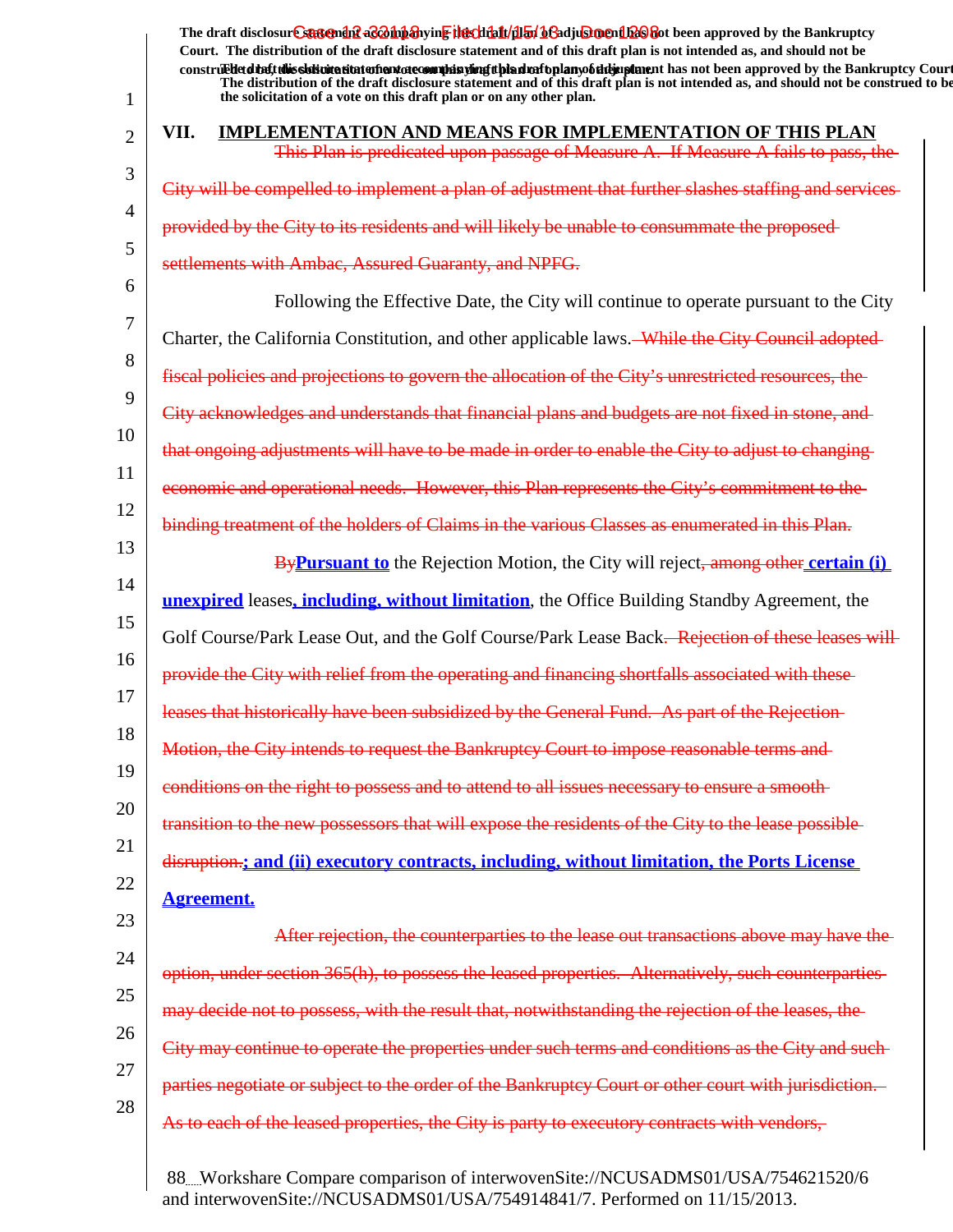1 2 3 4 5 6 7 8 9 10 11 12 13 14 15 16 17 18 19 20 21 22 23 24 25 26 27 28 The draft disclosur<del>t Suggendn2 aC201np3</del>hyin<mark>e the chip11/1151/163adjushorenth26</mark>860t been approved by the Bankruptcy **Court. The distribution of the draft disclosure statement and of this draft plan is not intended as, and should not be** construed to the solicit this solicitation to the number of the solution of the draft plan of the dramatic disclosure in the statement of the Bankruptcy Court. **The distribution of the draft disclosure statement and of this draft plan is not intended as, and should not be construed to be, the solicitation of a vote on this draft plan or on any other plan. VII. IMPLEMENTATION AND MEANS FOR IMPLEMENTATION OF THIS PLAN** This Plan is predicated upon passage of Measure A. If Measure A fails to pass, the City will be compelled to implement a plan of adjustment that provided by the City to its residents and will likely be unable to consummate the settlements with Ambac, Assured Guaranty, and NPFG. Following the Effective Date, the City will continue to operate pursuant to the City Charter, the California Constitution, and other applicable laws. While the City Council adopted fiscal policies and projections to govern the allocation of the City's unrestricted resources City acknowledges and understands that financial plans and budgets that ongoing adjustments will have to be made in order to enable the City to adjust to However, this Plan represents binding treatment of the holders of Claims in the various Classes as enumerated in this Plan. **By Pursuant to** the Rejection Motion, the City will reject, among other certain (i) **unexpired** leases**, including, without limitation**, the Office Building Standby Agreement, the Golf Course/Park Lease Out, and the Golf Course/Park Lease Back. Rejection of these leases will provide the City with relief from the operating and financing shortfalls associleases that historically have been subsidized by the General Fund. Motion, the City intends to request the Bankruptcy Court to impose reasonable terms and conditions on the right to possess and to attend to all issues necessary to ensure transition to the new possessors that will expose the residents of the City to the lease possible disruption.**; and (ii) executory contracts, including, without limitation, the Ports License Agreement.** counterparties to the lease out transactions option, under section 365(h), to possess the leased properties. Alternatively, such counterparties may decide not to possess, with the result that, notwithstanding the rejection of the leases, the <del>under such terms and</del> the Bankruptcy Court or other court As to each of the leased properties, the City is party to executory contracts with vendors,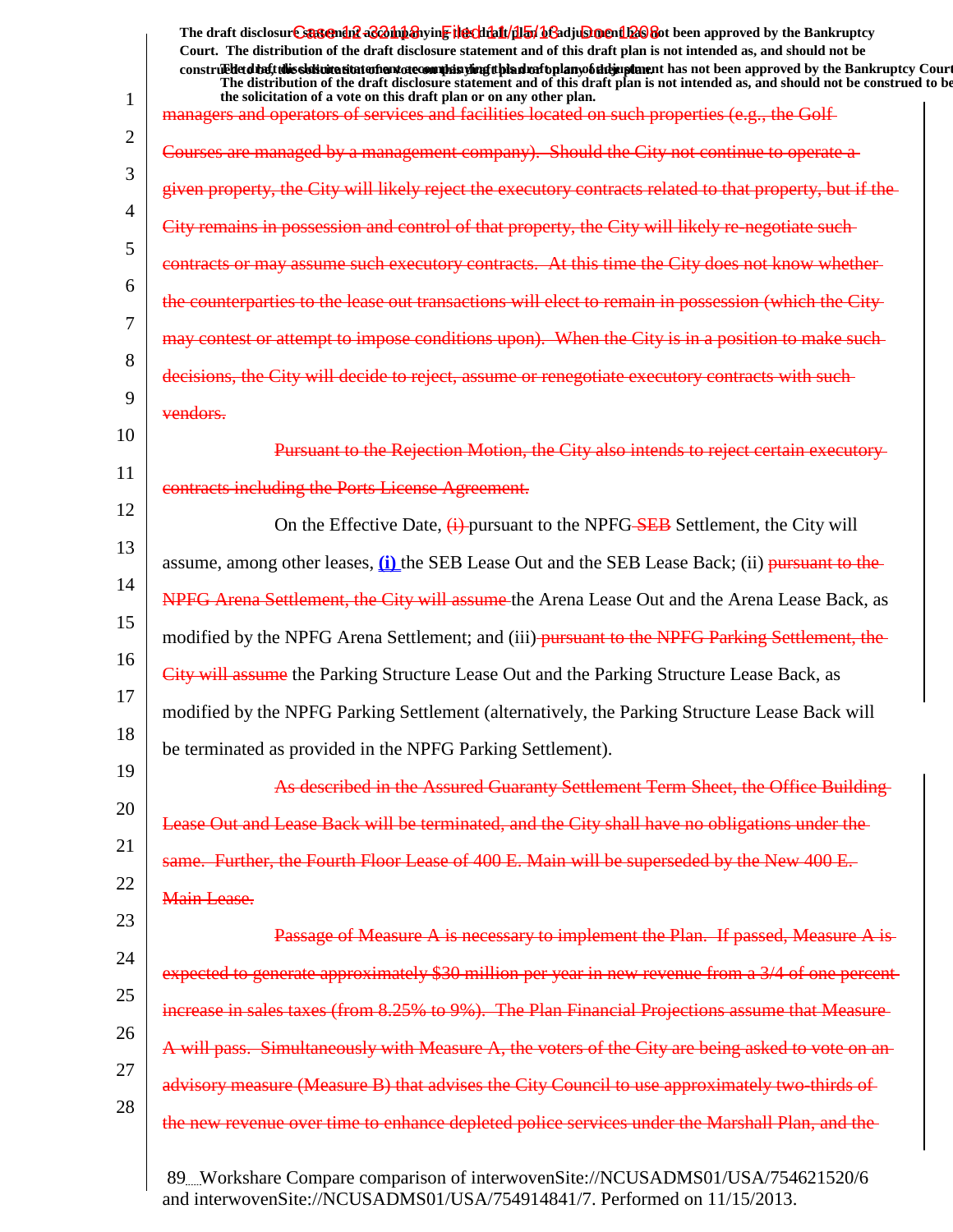|          | The draft disclosure sasement as a man and the client of the client of the client of the Bankruptcy<br>Court. The distribution of the draft disclosure statement and of this draft plan is not intended as, and should not be                                                                                                                           |
|----------|---------------------------------------------------------------------------------------------------------------------------------------------------------------------------------------------------------------------------------------------------------------------------------------------------------------------------------------------------------|
| 1        | construed detail this slok wite situation and accomplete wing tthe advantage of the importance that not been approved by the Bankruptcy Court<br>The distribution of the draft disclosure statement and of this draft plan is not intended as, and should not be construed to be<br>the solicitation of a vote on this draft plan or on any other plan. |
|          | managers and operators of services and facilities located on such properties (e.g., the Golf-                                                                                                                                                                                                                                                           |
| 2        | Courses are managed by a management company). Should the City not continue to operate a                                                                                                                                                                                                                                                                 |
| 3        | given property, the City will likely reject the executory contracts related to that property, but if the                                                                                                                                                                                                                                                |
| 4        | City remains in possession and control of that property, the City will likely re-negotiate such-                                                                                                                                                                                                                                                        |
| 5        | contracts or may assume such executory contracts. At this time the City does not know whether-                                                                                                                                                                                                                                                          |
| 6        | the counterparties to the lease out transactions will elect to remain in possession (which the City-                                                                                                                                                                                                                                                    |
| 7        | may contest or attempt to impose conditions upon). When the City is in a position to make such-                                                                                                                                                                                                                                                         |
| 8        | decisions, the City will decide to reject, assume or renegotiate executory contracts with such-                                                                                                                                                                                                                                                         |
| 9        | vendors.                                                                                                                                                                                                                                                                                                                                                |
| 10       | Pursuant to the Rejection Motion, the City also intends to reject certain executory                                                                                                                                                                                                                                                                     |
| 11       | contracts including the Ports License Agreement.                                                                                                                                                                                                                                                                                                        |
| 12       | On the Effective Date, $\left(\frac{1}{1}\right)$ -pursuant to the NPFG-SEB Settlement, the City will                                                                                                                                                                                                                                                   |
| 13       | assume, among other leases, (i) the SEB Lease Out and the SEB Lease Back; (ii) pursuant to the                                                                                                                                                                                                                                                          |
| 14       | NPFG Arena Settlement, the City will assume the Arena Lease Out and the Arena Lease Back, as                                                                                                                                                                                                                                                            |
| 15       | modified by the NPFG Arena Settlement; and (iii)-pursuant to the NPFG Parking Settlement, the                                                                                                                                                                                                                                                           |
| 16       | City will assume the Parking Structure Lease Out and the Parking Structure Lease Back, as                                                                                                                                                                                                                                                               |
| 17       | modified by the NPFG Parking Settlement (alternatively, the Parking Structure Lease Back will                                                                                                                                                                                                                                                           |
| 18       | be terminated as provided in the NPFG Parking Settlement).                                                                                                                                                                                                                                                                                              |
| 19       | As described in the Assured Guaranty Settlement Term Sheet, the Office Building-                                                                                                                                                                                                                                                                        |
| 20       | Lease Out and Lease Back will be terminated, and the City shall have no obligations under the                                                                                                                                                                                                                                                           |
| 21<br>22 | same. Further, the Fourth Floor Lease of 400 E. Main will be superseded by the New 400 E.                                                                                                                                                                                                                                                               |
|          | Main Lease.                                                                                                                                                                                                                                                                                                                                             |
| 23       | Passage of Measure A is necessary to implement the Plan. If passed, Measure A is-                                                                                                                                                                                                                                                                       |
| 24       | expected to generate approximately \$30 million per year in new revenue from a 3/4 of one percent-                                                                                                                                                                                                                                                      |
| 25<br>26 | increase in sales taxes (from 8.25% to 9%). The Plan Financial Projections assume that Measure-                                                                                                                                                                                                                                                         |
| 27       | A will pass. Simultaneously with Measure A, the voters of the City are being asked to vote on an-                                                                                                                                                                                                                                                       |
| 28       | advisory measure (Measure B) that advises the City Council to use approximately two-thirds of                                                                                                                                                                                                                                                           |
|          | the new revenue over time to enhance depleted police services under the Marshall Plan, and the-                                                                                                                                                                                                                                                         |
|          |                                                                                                                                                                                                                                                                                                                                                         |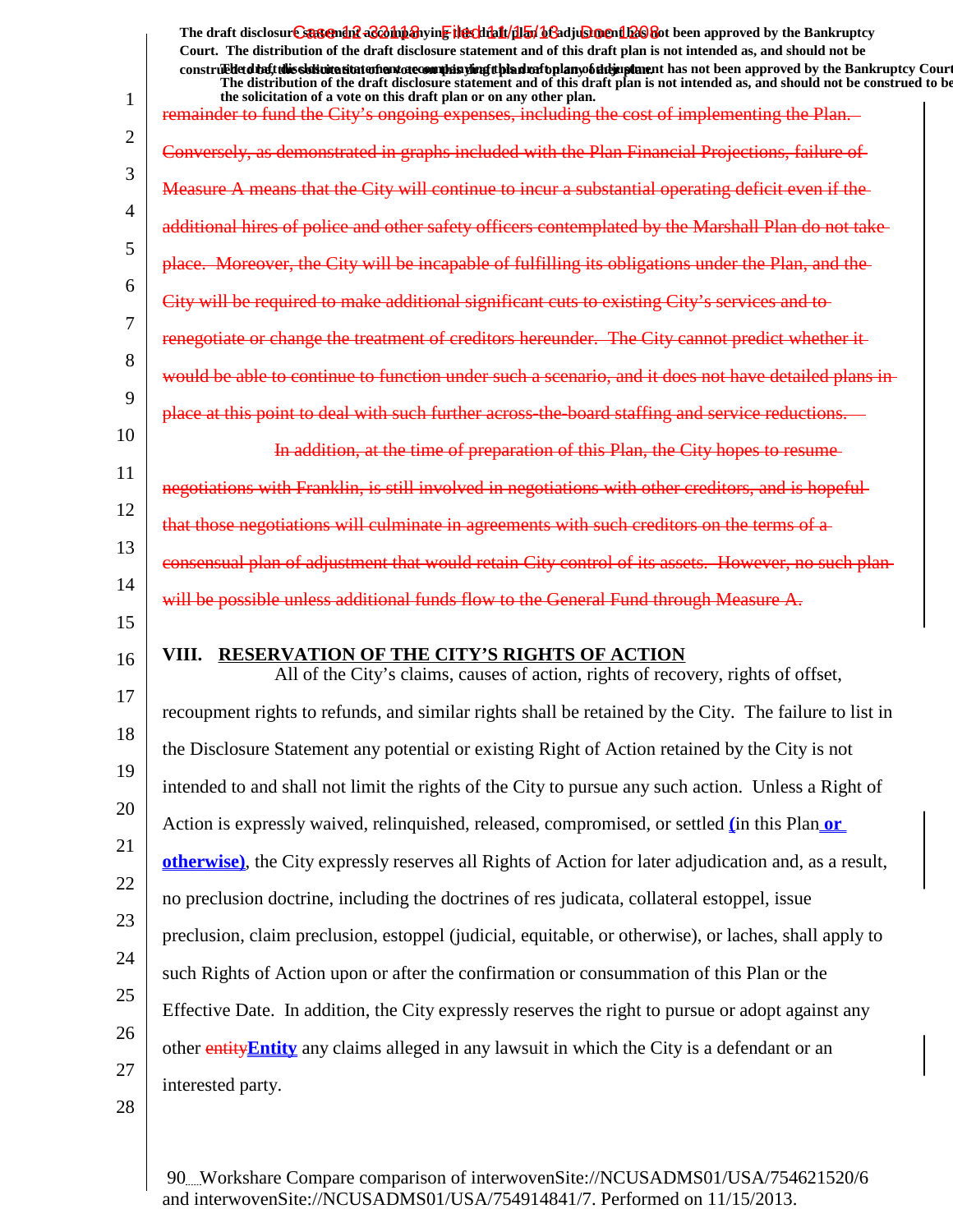1 2 3 4 5 6 7 8 9 10 11 12 13 14 15 16 17 18 19 20 21 22 23 24 25 26 27 28 The draft disclosur<del>t Suggendn2 aC201np3</del>hyin<mark>e the chip11/1151/163adjushorenth26</mark>860t been approved by the Bankruptcy **Court. The distribution of the draft disclosure statement and of this draft plan is not intended as, and should not be** construed to the solicit this solicitation to the number of the solution of the draft plan of the dramatic disclosure in the statement of the Bankruptcy Court. **The distribution of the draft disclosure statement and of this draft plan is not intended as, and should not be construed to be, the solicitation of a vote on this draft plan or on any other plan.** remainder to fund the City's ongoing expenses, including the cost of implementing the Plan. Conversely, as demonstrated in graphs included with the Plan Financial Projections. Measure A means that the City will continue to incur a additional hires of police and other safety officers contemplated  $\theta$ place. Moreover, the City will be incapable of fulfilling its obligations plan, and the Plan, and the Plan, an City will be required to make additional significant cuts to existing Cit the treatment of creditors hereunder. The City cannot predict would be able to continue to function under such a scenario, and it does not have detailed plans across-the-board staffing and at the time of preparation of this Plan, the City hopes to resume that still involved in negotiations that those negotiations will culminate in agreements with such creditors on the terms consensual plan of adjustment that would retain City control of its assets. will be possible unless additional funds flow to the General Fund through **VIII. RESERVATION OF THE CITY'S RIGHTS OF ACTION** All of the City's claims, causes of action, rights of recovery, rights of offset, recoupment rights to refunds, and similar rights shall be retained by the City. The failure to list in the Disclosure Statement any potential or existing Right of Action retained by the City is not intended to and shall not limit the rights of the City to pursue any such action. Unless a Right of Action is expressly waived, relinquished, released, compromised, or settled **(**in this Plan **or otherwise)**, the City expressly reserves all Rights of Action for later adjudication and, as a result, no preclusion doctrine, including the doctrines of res judicata, collateral estoppel, issue preclusion, claim preclusion, estoppel (judicial, equitable, or otherwise), or laches, shall apply to such Rights of Action upon or after the confirmation or consummation of this Plan or the Effective Date. In addition, the City expressly reserves the right to pursue or adopt against any other entity**Entity** any claims alleged in any lawsuit in which the City is a defendant or an interested party.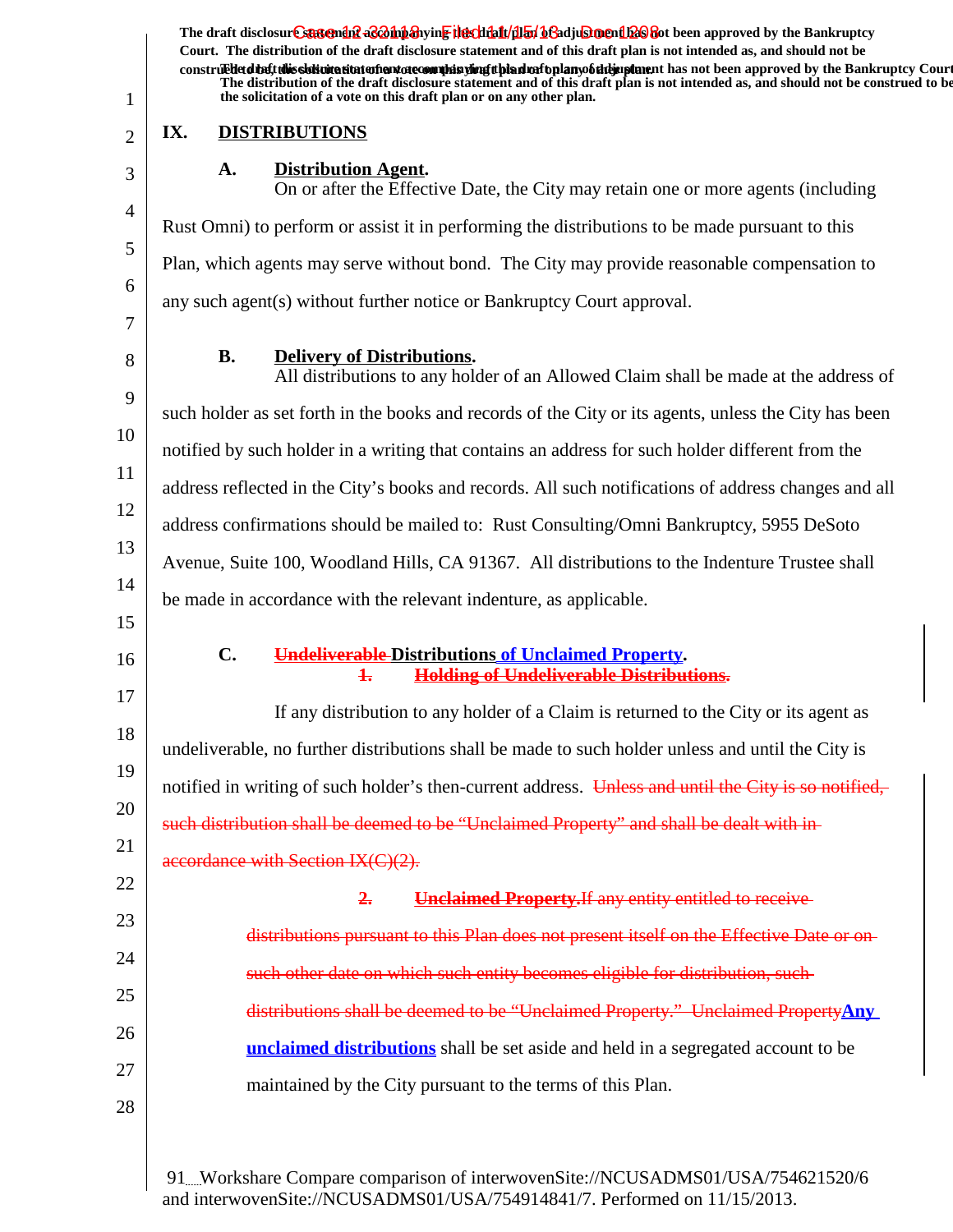| 1              |                | The draft disclosure sasement as a hypothesive the client of the final of a disclosure and the Bankruptcy<br>Court. The distribution of the draft disclosure statement and of this draft plan is not intended as, and should not be<br>construedetdiate this sidion a statement of commission of the distribution of the mann of the approved by the Bankruptcy Court<br>The distribution of the draft disclosure statement and of this draft plan is not intended as, and should not be construed to be<br>the solicitation of a vote on this draft plan or on any other plan. |
|----------------|----------------|---------------------------------------------------------------------------------------------------------------------------------------------------------------------------------------------------------------------------------------------------------------------------------------------------------------------------------------------------------------------------------------------------------------------------------------------------------------------------------------------------------------------------------------------------------------------------------|
| $\overline{2}$ | IX.            | <b>DISTRIBUTIONS</b>                                                                                                                                                                                                                                                                                                                                                                                                                                                                                                                                                            |
| 3              | A.             | <b>Distribution Agent.</b><br>On or after the Effective Date, the City may retain one or more agents (including                                                                                                                                                                                                                                                                                                                                                                                                                                                                 |
| $\overline{4}$ |                | Rust Omni) to perform or assist it in performing the distributions to be made pursuant to this                                                                                                                                                                                                                                                                                                                                                                                                                                                                                  |
| 5              |                | Plan, which agents may serve without bond. The City may provide reasonable compensation to                                                                                                                                                                                                                                                                                                                                                                                                                                                                                      |
| 6<br>7         |                | any such agent(s) without further notice or Bankruptcy Court approval.                                                                                                                                                                                                                                                                                                                                                                                                                                                                                                          |
| 8              | <b>B.</b>      | <b>Delivery of Distributions.</b><br>All distributions to any holder of an Allowed Claim shall be made at the address of                                                                                                                                                                                                                                                                                                                                                                                                                                                        |
| 9              |                | such holder as set forth in the books and records of the City or its agents, unless the City has been                                                                                                                                                                                                                                                                                                                                                                                                                                                                           |
| 10             |                | notified by such holder in a writing that contains an address for such holder different from the                                                                                                                                                                                                                                                                                                                                                                                                                                                                                |
| 11             |                | address reflected in the City's books and records. All such notifications of address changes and all                                                                                                                                                                                                                                                                                                                                                                                                                                                                            |
| 12             |                | address confirmations should be mailed to: Rust Consulting/Omni Bankruptcy, 5955 DeSoto                                                                                                                                                                                                                                                                                                                                                                                                                                                                                         |
| 13             |                | Avenue, Suite 100, Woodland Hills, CA 91367. All distributions to the Indenture Trustee shall                                                                                                                                                                                                                                                                                                                                                                                                                                                                                   |
| 14<br>15       |                | be made in accordance with the relevant indenture, as applicable.                                                                                                                                                                                                                                                                                                                                                                                                                                                                                                               |
| 16             | $\mathbf{C}$ . | <b>Undeliverable-Distributions of Unclaimed Property.</b><br><b>Holding of Undeliverable Distributions.</b><br>$\ddagger$                                                                                                                                                                                                                                                                                                                                                                                                                                                       |
| 17             |                | If any distribution to any holder of a Claim is returned to the City or its agent as                                                                                                                                                                                                                                                                                                                                                                                                                                                                                            |
| 18             |                | undeliverable, no further distributions shall be made to such holder unless and until the City is                                                                                                                                                                                                                                                                                                                                                                                                                                                                               |
| 19             |                | notified in writing of such holder's then-current address. Unless and until the City is so notified,                                                                                                                                                                                                                                                                                                                                                                                                                                                                            |
| 20             |                | such distribution shall be deemed to be "Unclaimed Property" and shall be dealt with in-                                                                                                                                                                                                                                                                                                                                                                                                                                                                                        |
| 21             |                | accordance with Section IX(C)(2).                                                                                                                                                                                                                                                                                                                                                                                                                                                                                                                                               |
| 22             |                | 2.<br><b>Unclaimed Property. If any entity entitled to receive</b>                                                                                                                                                                                                                                                                                                                                                                                                                                                                                                              |
| 23             |                | distributions pursuant to this Plan does not present itself on the Effective Date or on                                                                                                                                                                                                                                                                                                                                                                                                                                                                                         |
| 24             |                | such other date on which such entity becomes eligible for distribution, such-                                                                                                                                                                                                                                                                                                                                                                                                                                                                                                   |
| 25             |                | distributions shall be deemed to be "Unclaimed Property." Unclaimed PropertyAny                                                                                                                                                                                                                                                                                                                                                                                                                                                                                                 |
| 26             |                | <b>unclaimed distributions</b> shall be set aside and held in a segregated account to be                                                                                                                                                                                                                                                                                                                                                                                                                                                                                        |
| 27             |                | maintained by the City pursuant to the terms of this Plan.                                                                                                                                                                                                                                                                                                                                                                                                                                                                                                                      |
| 28             |                |                                                                                                                                                                                                                                                                                                                                                                                                                                                                                                                                                                                 |
|                |                |                                                                                                                                                                                                                                                                                                                                                                                                                                                                                                                                                                                 |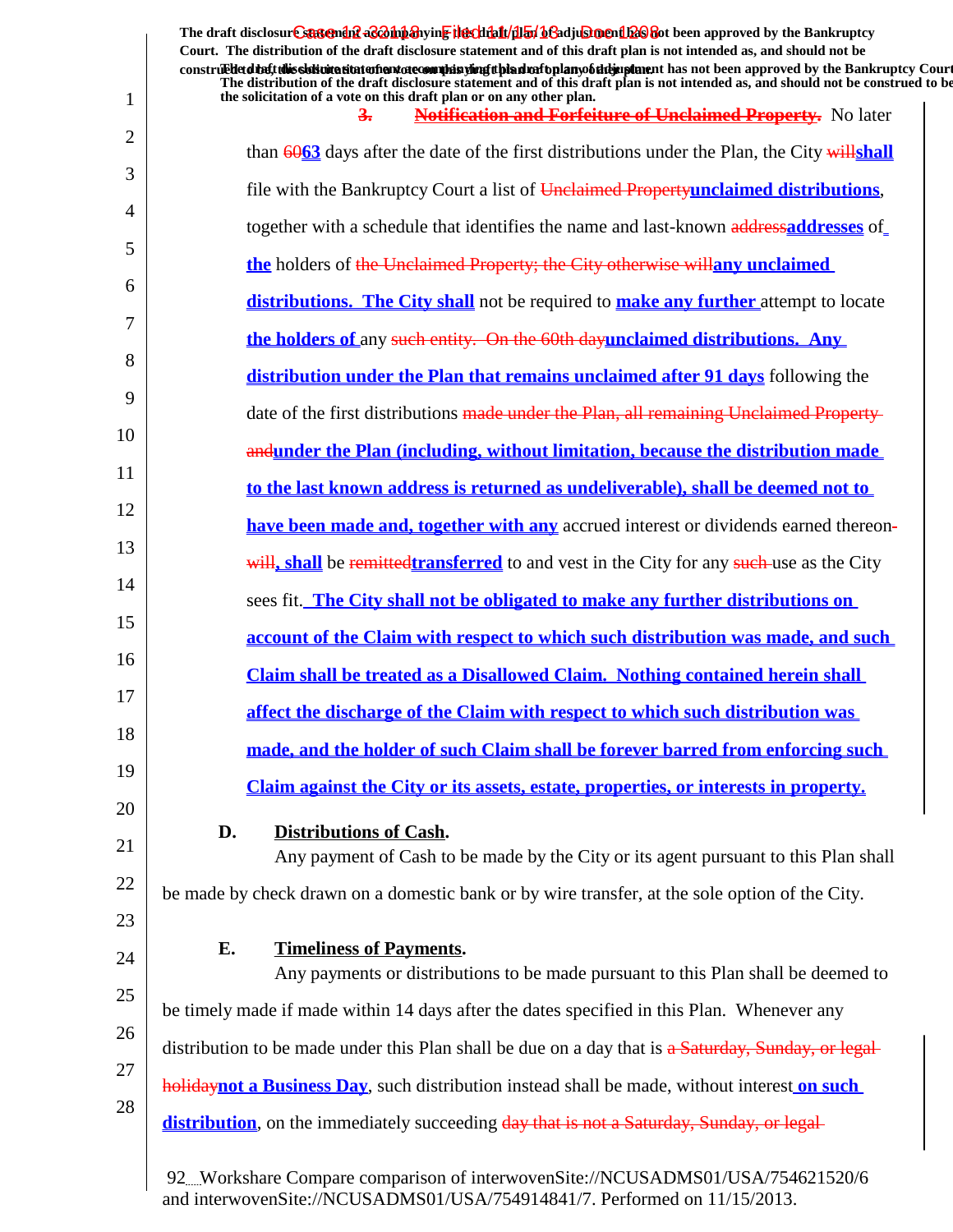|    | The draft disclosure suggendif a control and the chieft (illuminate) beneficially and the Bankruptcy<br>Court. The distribution of the draft disclosure statement and of this draft plan is not intended as, and should not be                                                  |
|----|---------------------------------------------------------------------------------------------------------------------------------------------------------------------------------------------------------------------------------------------------------------------------------|
|    | construed detail this sistemation of antarctecommission of the distribution of the manufacture has not been approved by the Bankruptcy Court<br>The distribution of the draft disclosure statement and of this draft plan is not intended as, and should not be construed to be |
| 1  | the solicitation of a vote on this draft plan or on any other plan.<br><b>Notification and Forfeiture of Unclaimed Property.</b> No later<br>$\frac{3}{2}$                                                                                                                      |
| 2  | than $6063$ days after the date of the first distributions under the Plan, the City willshall                                                                                                                                                                                   |
| 3  | file with the Bankruptcy Court a list of Unclaimed Propertyunclaimed distributions.                                                                                                                                                                                             |
| 4  | together with a schedule that identifies the name and last-known addressaddresses of                                                                                                                                                                                            |
| 5  | the holders of the Unclaimed Property; the City otherwise willar unclaimed                                                                                                                                                                                                      |
| 6  | <b>distributions. The City shall</b> not be required to <b>make any further</b> attempt to locate                                                                                                                                                                               |
| 7  | the holders of any such entity. On the 60th dayunclaimed distributions. Any                                                                                                                                                                                                     |
| 8  | distribution under the Plan that remains unclaimed after 91 days following the                                                                                                                                                                                                  |
| 9  | date of the first distributions made under the Plan, all remaining Unclaimed Property-                                                                                                                                                                                          |
| 10 | andunder the Plan (including, without limitation, because the distribution made                                                                                                                                                                                                 |
| 11 | to the last known address is returned as undeliverable), shall be deemed not to                                                                                                                                                                                                 |
| 12 | have been made and, together with any accrued interest or dividends earned thereon-                                                                                                                                                                                             |
| 13 | will, shall be remittedtransferred to and vest in the City for any such-use as the City                                                                                                                                                                                         |
| 14 | sees fit. The City shall not be obligated to make any further distributions on                                                                                                                                                                                                  |
| 15 | account of the Claim with respect to which such distribution was made, and such                                                                                                                                                                                                 |
| 16 | <b>Claim shall be treated as a Disallowed Claim. Nothing contained herein shall</b>                                                                                                                                                                                             |
| 17 | affect the discharge of the Claim with respect to which such distribution was                                                                                                                                                                                                   |
| 18 | made, and the holder of such Claim shall be forever barred from enforcing such                                                                                                                                                                                                  |
| 19 | <u>Claim against the City or its assets, estate, properties, or interests in property.</u>                                                                                                                                                                                      |
| 20 |                                                                                                                                                                                                                                                                                 |
| 21 | D.<br><b>Distributions of Cash.</b><br>Any payment of Cash to be made by the City or its agent pursuant to this Plan shall                                                                                                                                                      |
| 22 | be made by check drawn on a domestic bank or by wire transfer, at the sole option of the City.                                                                                                                                                                                  |
| 23 |                                                                                                                                                                                                                                                                                 |
| 24 | <b>Timeliness of Payments.</b><br>Е.                                                                                                                                                                                                                                            |
| 25 | Any payments or distributions to be made pursuant to this Plan shall be deemed to                                                                                                                                                                                               |
| 26 | be timely made if made within 14 days after the dates specified in this Plan. Whenever any                                                                                                                                                                                      |
| 27 | distribution to be made under this Plan shall be due on a day that is a Saturday, Sunday, or legal-                                                                                                                                                                             |
| 28 | <b>holiday not a Business Day</b> , such distribution instead shall be made, without interest on such                                                                                                                                                                           |
|    | distribution, on the immediately succeeding day that is not a Saturday, Sunday, or legal-                                                                                                                                                                                       |
|    | 92. Workshare Compare comparison of interwovenSite://NCUSADMS01/USA/754621520/6<br>and interwovenSite://NCUSADMS01/USA/754914841/7. Performed on 11/15/2013.                                                                                                                    |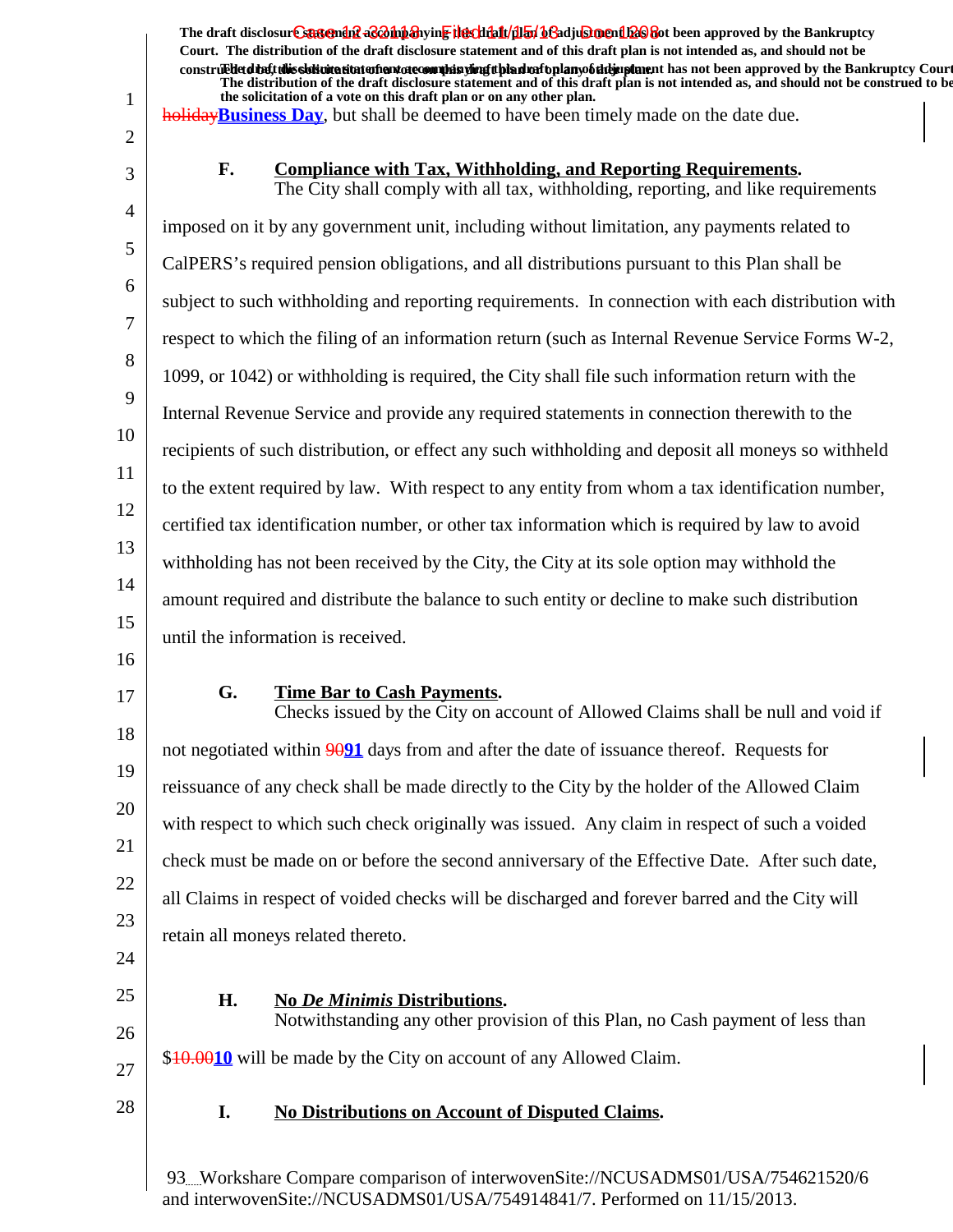1 2 3 4 5 6 7 8 9 10 11 12 13 14 15 16 17 18 19 20 21 22 23 24 25 26 27 28 The draft disclosur<del>t Suggendn2 aC201np3</del>hyin<mark>e the chip11/1151/163adjushorenth26</mark>860t been approved by the Bankruptcy **Court. The distribution of the draft disclosure statement and of this draft plan is not intended as, and should not be** construed to the solicit this solicitation to the number of the solution of the draft plan of the dramatic disclosure in the statement of the Bankruptcy Court. **The distribution of the draft disclosure statement and of this draft plan is not intended as, and should not be construed to be, the solicitation of a vote on this draft plan or on any other plan.** holiday**Business Day**, but shall be deemed to have been timely made on the date due. F. Compliance with Tax, Withholding, and Reporting Requirements. The City shall comply with all tax, withholding, reporting, and like requirements imposed on it by any government unit, including without limitation, any payments related to CalPERS's required pension obligations, and all distributions pursuant to this Plan shall be subject to such withholding and reporting requirements. In connection with each distribution with respect to which the filing of an information return (such as Internal Revenue Service Forms W-2, 1099, or 1042) or withholding is required, the City shall file such information return with the Internal Revenue Service and provide any required statements in connection therewith to the recipients of such distribution, or effect any such withholding and deposit all moneys so withheld to the extent required by law. With respect to any entity from whom a tax identification number, certified tax identification number, or other tax information which is required by law to avoid withholding has not been received by the City, the City at its sole option may withhold the amount required and distribute the balance to such entity or decline to make such distribution until the information is received. **G.** Time Bar to Cash Payments. Checks issued by the City on account of Allowed Claims shall be null and void if not negotiated within 90**91** days from and after the date of issuance thereof. Requests for reissuance of any check shall be made directly to the City by the holder of the Allowed Claim with respect to which such check originally was issued. Any claim in respect of such a voided check must be made on or before the second anniversary of the Effective Date. After such date, all Claims in respect of voided checks will be discharged and forever barred and the City will retain all moneys related thereto. **H.** No *De Minimis* Distributions. Notwithstanding any other provision of this Plan, no Cash payment of less than \$10.00**10** will be made by the City on account of any Allowed Claim. **I. No Distributions on Account of Disputed Claims.**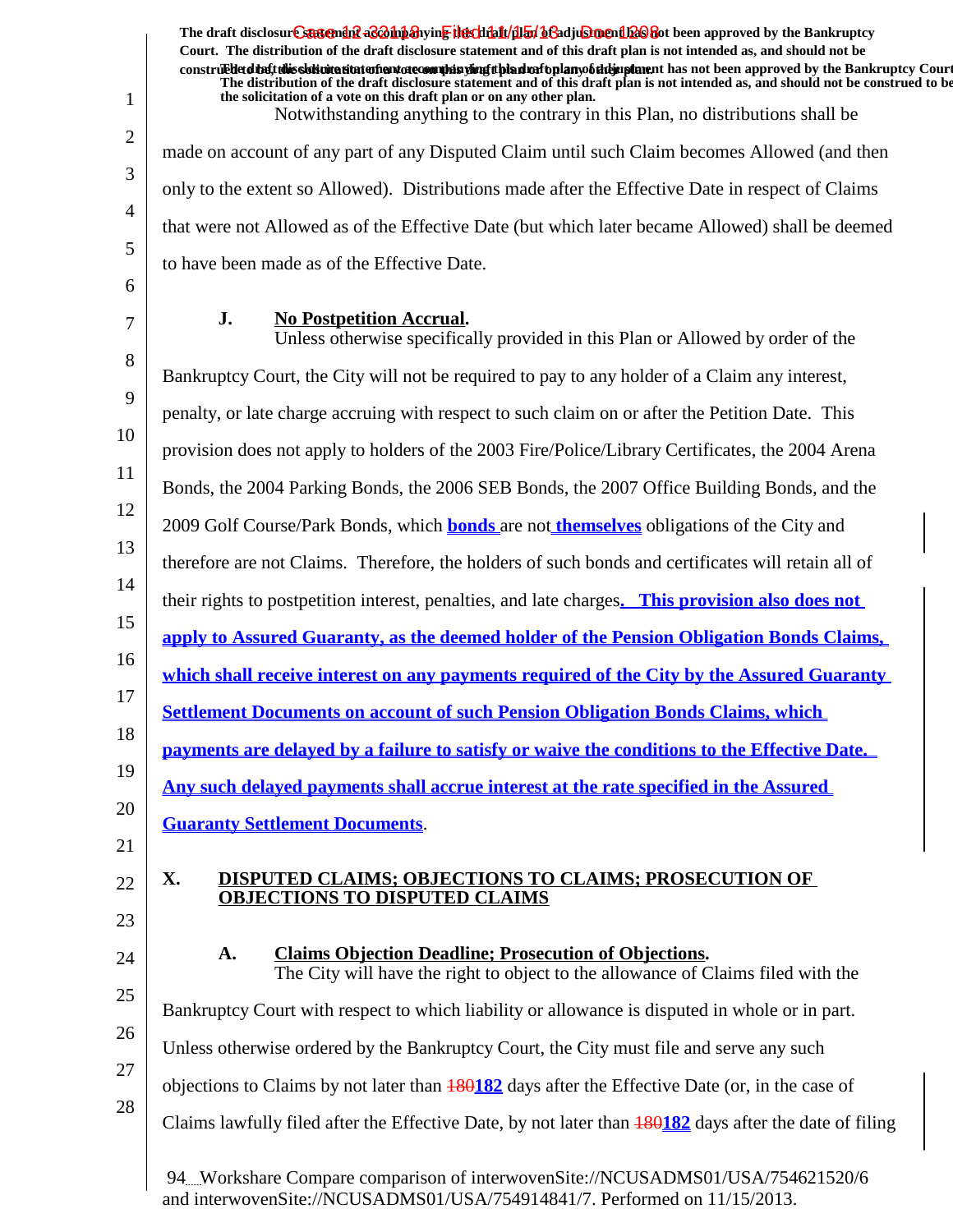The draft disclosur<del>t Suggendn2 aC201np3</del>hyin<mark>e the chip11/1151/163adjushorenth26</mark>860t been approved by the Bankruptcy **Court. The distribution of the draft disclosure statement and of this draft plan is not intended as, and should not be** construed to the solicit this solicitation to the number of the solution of the draft plan of the dramatic disclosure in the statement of the Bankruptcy Court. **The distribution of the draft disclosure statement and of this draft plan is not intended as, and should not be construed to be, the solicitation of a vote on this draft plan or on any other plan.** Notwithstanding anything to the contrary in this Plan, no distributions shall be made on account of any part of any Disputed Claim until such Claim becomes Allowed (and then only to the extent so Allowed). Distributions made after the Effective Date in respect of Claims that were not Allowed as of the Effective Date (but which later became Allowed) shall be deemed to have been made as of the Effective Date.

## **J.** No Postpetition Accrual.

1

2

3

4

5

6

7 8 9 10 11 12 13 14 15 16 17 18 19 20 21 22 23 24 25 26 27 28 Unless otherwise specifically provided in this Plan or Allowed by order of the Bankruptcy Court, the City will not be required to pay to any holder of a Claim any interest, penalty, or late charge accruing with respect to such claim on or after the Petition Date. This provision does not apply to holders of the 2003 Fire/Police/Library Certificates, the 2004 Arena Bonds, the 2004 Parking Bonds, the 2006 SEB Bonds, the 2007 Office Building Bonds, and the 2009 Golf Course/Park Bonds, which **bonds** are not **themselves** obligations of the City and therefore are not Claims. Therefore, the holders of such bonds and certificates will retain all of their rights to postpetition interest, penalties, and late charges**. This provision also does not apply to Assured Guaranty, as the deemed holder of the Pension Obligation Bonds Claims, which shall receive interest on any payments required of the City by the Assured Guaranty Settlement Documents on account of such Pension Obligation Bonds Claims, which payments are delayed by a failure to satisfy or waive the conditions to the Effective Date. Any such delayed payments shall accrue interest at the rate specified in the Assured Guaranty Settlement Documents**. **X. DISPUTED CLAIMS; OBJECTIONS TO CLAIMS; PROSECUTION OF OBJECTIONS TO DISPUTED CLAIMS** A. Claims Objection Deadline; Prosecution of Objections. The City will have the right to object to the allowance of Claims filed with the Bankruptcy Court with respect to which liability or allowance is disputed in whole or in part. Unless otherwise ordered by the Bankruptcy Court, the City must file and serve any such objections to Claims by not later than 180**182** days after the Effective Date (or, in the case of Claims lawfully filed after the Effective Date, by not later than 180**182** days after the date of filing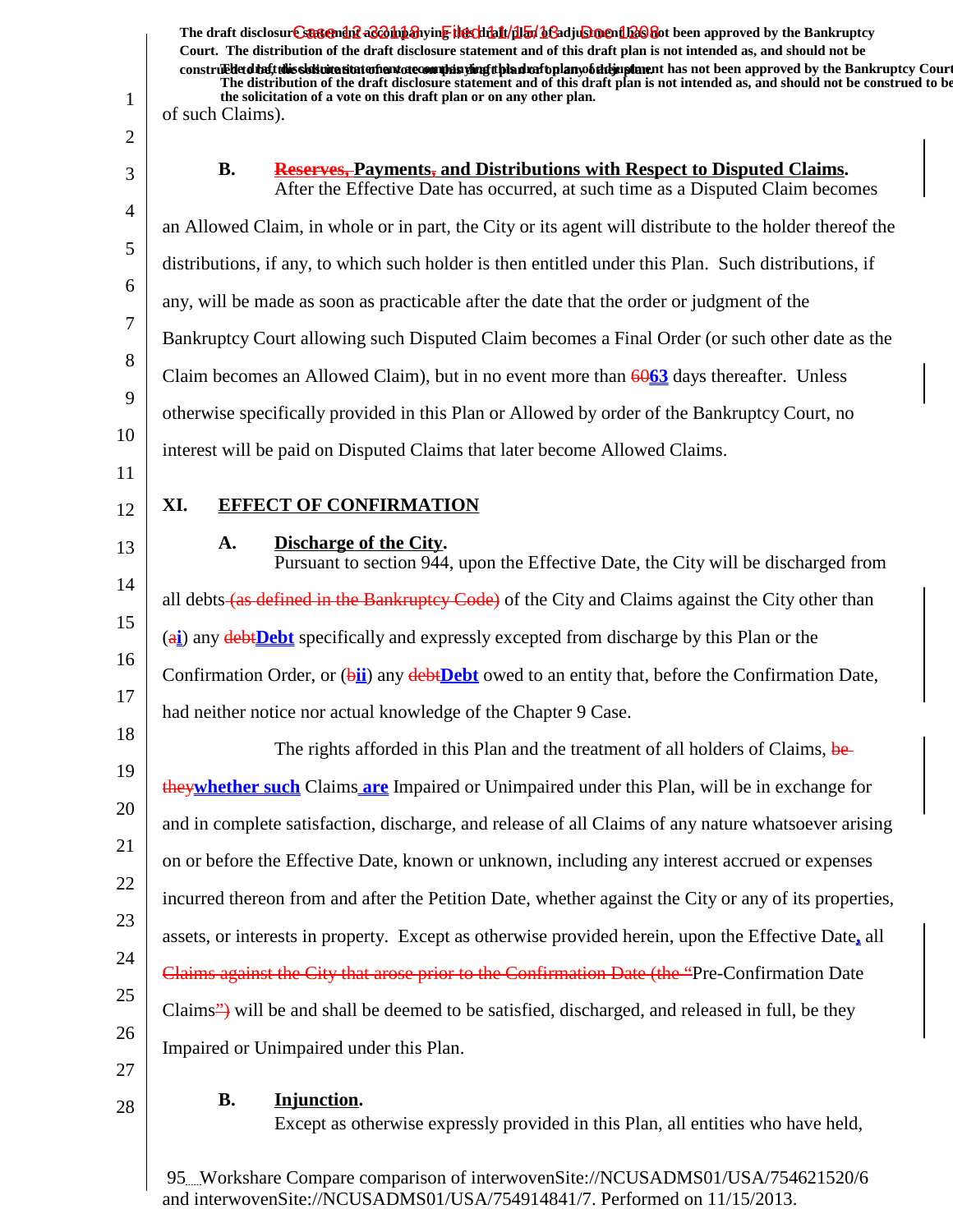1 2 3 4 5 6 7 8 9 10 11 12 13 14 15 16 17 18 19 20 21 22 23 24 25 26 27 28 The draft disclosur<del>t Suggendn2 aC201np3</del>hyin<mark>e the chip11/1151/163adjushorenth26</mark>860t been approved by the Bankruptcy **Court. The distribution of the draft disclosure statement and of this draft plan is not intended as, and should not be** construed to the solicit this solicitation to the number of the solution of the draft plan of the dramatic disclosure in the statement of the Bankruptcy Court. **The distribution of the draft disclosure statement and of this draft plan is not intended as, and should not be construed to be, the solicitation of a vote on this draft plan or on any other plan.** of such Claims). **B. Reserves, Payments, and Distributions with Respect to Disputed Claims.** After the Effective Date has occurred, at such time as a Disputed Claim becomes an Allowed Claim, in whole or in part, the City or its agent will distribute to the holder thereof the distributions, if any, to which such holder is then entitled under this Plan. Such distributions, if any, will be made as soon as practicable after the date that the order or judgment of the Bankruptcy Court allowing such Disputed Claim becomes a Final Order (or such other date as the Claim becomes an Allowed Claim), but in no event more than 60**63** days thereafter. Unless otherwise specifically provided in this Plan or Allowed by order of the Bankruptcy Court, no interest will be paid on Disputed Claims that later become Allowed Claims. **XI. EFFECT OF CONFIRMATION A.** Discharge of the City. Pursuant to section 944, upon the Effective Date, the City will be discharged from all debts (as defined in the Bankruptcy Code) of the City and Claims against the City other than (a**i**) any debt**Debt** specifically and expressly excepted from discharge by this Plan or the Confirmation Order, or (b**ii**) any debt**Debt** owed to an entity that, before the Confirmation Date, had neither notice nor actual knowledge of the Chapter 9 Case. The rights afforded in this Plan and the treatment of all holders of Claims, bethey**whether such** Claims **are** Impaired or Unimpaired under this Plan, will be in exchange for and in complete satisfaction, discharge, and release of all Claims of any nature whatsoever arising on or before the Effective Date, known or unknown, including any interest accrued or expenses incurred thereon from and after the Petition Date, whether against the City or any of its properties, assets, or interests in property. Except as otherwise provided herein, upon the Effective Date**,** all Claims against the City that arose prior to the Confirmation Date (the "Pre-Confirmation Date Claims") will be and shall be deemed to be satisfied, discharged, and released in full, be they Impaired or Unimpaired under this Plan. **Injunction.B.** Except as otherwise expressly provided in this Plan, all entities who have held,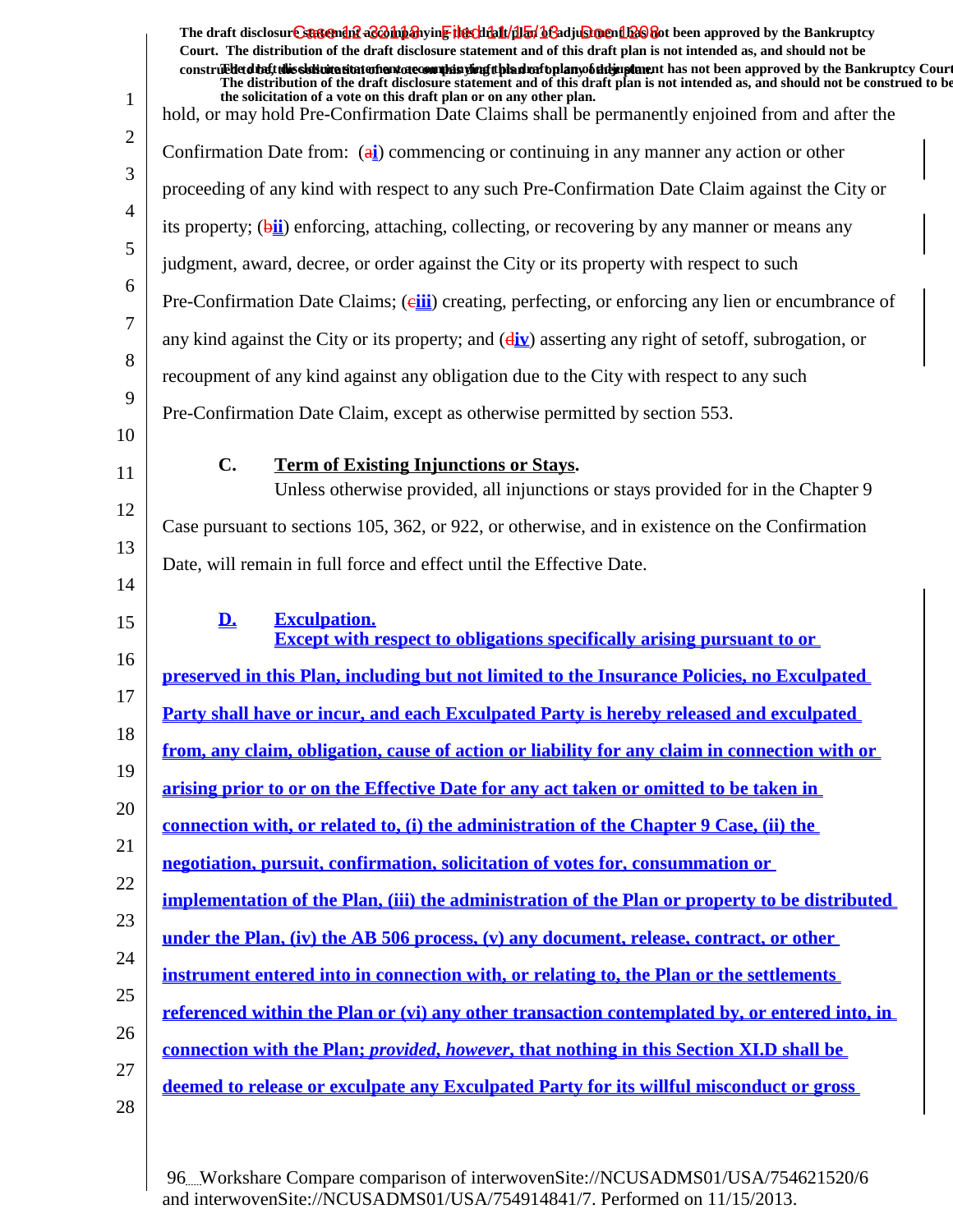| $\mathbf{1}$ | The draft disclosur Canteman & Bohn anying the clinical help bend to be approved by the Bankruptcy<br>Court. The distribution of the draft disclosure statement and of this draft plan is not intended as, and should not be<br>construed detail this slok wite situation and accommode is virigit bian match plany of the implement has not been approved by the Bankruptcy Court<br>The distribution of the draft disclosure statement and of this draft plan is not intended as, and should not be construed to be<br>the solicitation of a vote on this draft plan or on any other plan.<br>hold, or may hold Pre-Confirmation Date Claims shall be permanently enjoined from and after the |
|--------------|-------------------------------------------------------------------------------------------------------------------------------------------------------------------------------------------------------------------------------------------------------------------------------------------------------------------------------------------------------------------------------------------------------------------------------------------------------------------------------------------------------------------------------------------------------------------------------------------------------------------------------------------------------------------------------------------------|
| 2            |                                                                                                                                                                                                                                                                                                                                                                                                                                                                                                                                                                                                                                                                                                 |
| 3            | Confirmation Date from: (a) commencing or continuing in any manner any action or other                                                                                                                                                                                                                                                                                                                                                                                                                                                                                                                                                                                                          |
| 4            | proceeding of any kind with respect to any such Pre-Confirmation Date Claim against the City or                                                                                                                                                                                                                                                                                                                                                                                                                                                                                                                                                                                                 |
| 5            | its property; (bii) enforcing, attaching, collecting, or recovering by any manner or means any                                                                                                                                                                                                                                                                                                                                                                                                                                                                                                                                                                                                  |
| 6            | judgment, award, decree, or order against the City or its property with respect to such                                                                                                                                                                                                                                                                                                                                                                                                                                                                                                                                                                                                         |
|              | Pre-Confirmation Date Claims; (eiii) creating, perfecting, or enforcing any lien or encumbrance of                                                                                                                                                                                                                                                                                                                                                                                                                                                                                                                                                                                              |
| 7            | any kind against the City or its property; and $(dix)$ asserting any right of set off, subrogation, or                                                                                                                                                                                                                                                                                                                                                                                                                                                                                                                                                                                          |
| 8            | recoupment of any kind against any obligation due to the City with respect to any such                                                                                                                                                                                                                                                                                                                                                                                                                                                                                                                                                                                                          |
| 9            | Pre-Confirmation Date Claim, except as otherwise permitted by section 553.                                                                                                                                                                                                                                                                                                                                                                                                                                                                                                                                                                                                                      |
| 10           |                                                                                                                                                                                                                                                                                                                                                                                                                                                                                                                                                                                                                                                                                                 |
| 11           | $\mathbf{C}$ .<br><b>Term of Existing Injunctions or Stays.</b><br>Unless otherwise provided, all injunctions or stays provided for in the Chapter 9                                                                                                                                                                                                                                                                                                                                                                                                                                                                                                                                            |
| 12           | Case pursuant to sections 105, 362, or 922, or otherwise, and in existence on the Confirmation                                                                                                                                                                                                                                                                                                                                                                                                                                                                                                                                                                                                  |
| 13           | Date, will remain in full force and effect until the Effective Date.                                                                                                                                                                                                                                                                                                                                                                                                                                                                                                                                                                                                                            |
| 14           |                                                                                                                                                                                                                                                                                                                                                                                                                                                                                                                                                                                                                                                                                                 |
| 15           | D.<br><b>Exculpation.</b><br><b>Except with respect to obligations specifically arising pursuant to or</b>                                                                                                                                                                                                                                                                                                                                                                                                                                                                                                                                                                                      |
| 16           | preserved in this Plan, including but not limited to the Insurance Policies, no Exculpated                                                                                                                                                                                                                                                                                                                                                                                                                                                                                                                                                                                                      |
| 17           | Party shall have or incur, and each Exculpated Party is hereby released and exculpated                                                                                                                                                                                                                                                                                                                                                                                                                                                                                                                                                                                                          |
| 18           | from, any claim, obligation, cause of action or liability for any claim in connection with or                                                                                                                                                                                                                                                                                                                                                                                                                                                                                                                                                                                                   |
| 19           | arising prior to or on the Effective Date for any act taken or omitted to be taken in                                                                                                                                                                                                                                                                                                                                                                                                                                                                                                                                                                                                           |
| 20           | <u>connection with, or related to, (i) the administration of the Chapter 9 Case, (ii) the</u>                                                                                                                                                                                                                                                                                                                                                                                                                                                                                                                                                                                                   |
| 21           | negotiation, pursuit, confirmation, solicitation of votes for, consummation or                                                                                                                                                                                                                                                                                                                                                                                                                                                                                                                                                                                                                  |
| 22           | implementation of the Plan, (iii) the administration of the Plan or property to be distributed                                                                                                                                                                                                                                                                                                                                                                                                                                                                                                                                                                                                  |
| 23           | under the Plan, (iv) the AB 506 process, (v) any document, release, contract, or other                                                                                                                                                                                                                                                                                                                                                                                                                                                                                                                                                                                                          |
| 24           | instrument entered into in connection with, or relating to, the Plan or the settlements                                                                                                                                                                                                                                                                                                                                                                                                                                                                                                                                                                                                         |
| 25           | referenced within the Plan or (vi) any other transaction contemplated by, or entered into, in                                                                                                                                                                                                                                                                                                                                                                                                                                                                                                                                                                                                   |
| 26           |                                                                                                                                                                                                                                                                                                                                                                                                                                                                                                                                                                                                                                                                                                 |
| 27           | <u>connection with the Plan; provided, however, that nothing in this Section XI.D shall be</u>                                                                                                                                                                                                                                                                                                                                                                                                                                                                                                                                                                                                  |
| 28           | deemed to release or exculpate any Exculpated Party for its willful misconduct or gross                                                                                                                                                                                                                                                                                                                                                                                                                                                                                                                                                                                                         |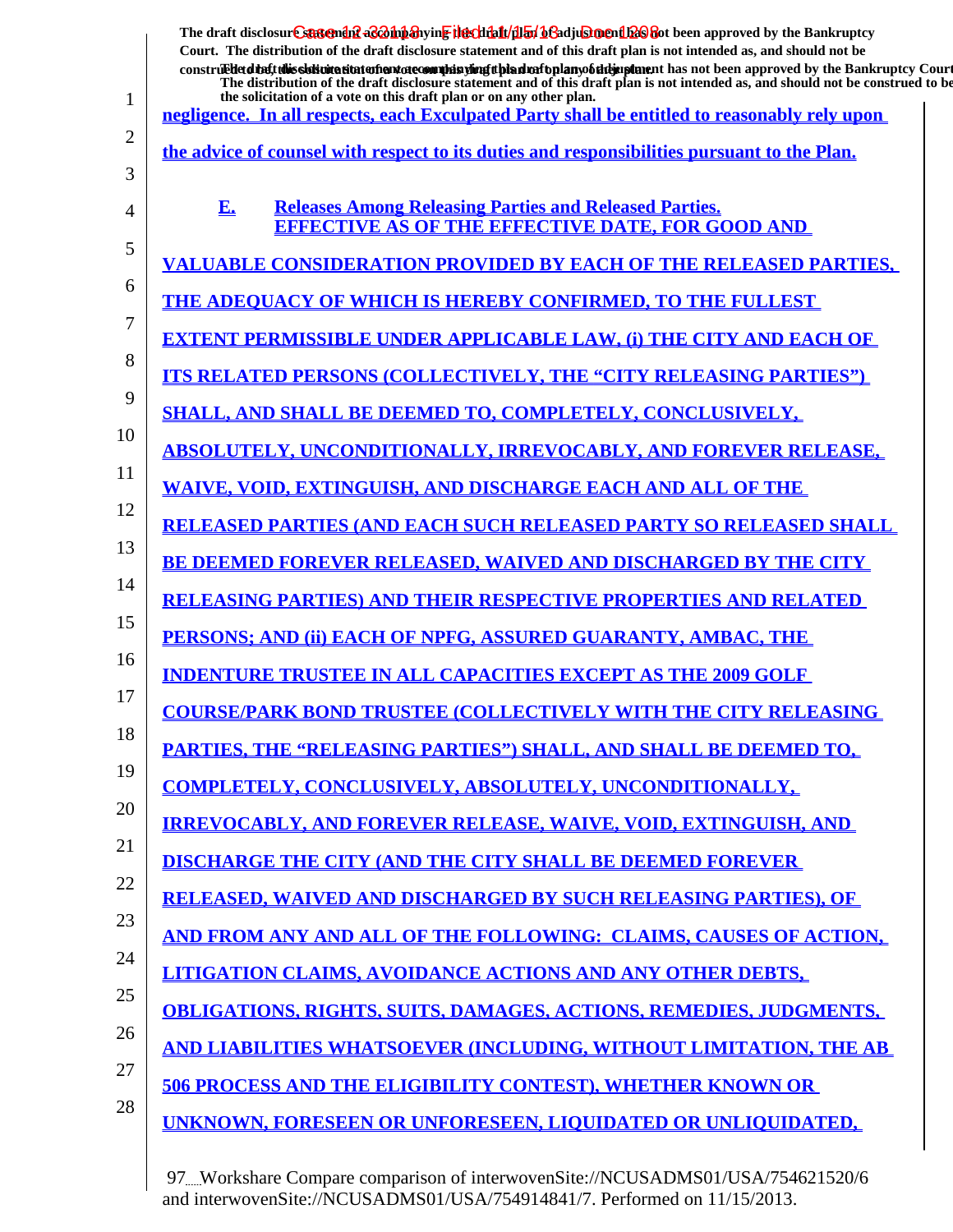|        | The draft disclosure suggended as on the hearth of the file of the final of a disclosure of the Bankruptcy<br>Court. The distribution of the draft disclosure statement and of this draft plan is not intended as, and should not be<br>construedetdieft this sistimation entertainment of countries with the distribution of the manufacture in that not been approved by the Bankruptcy Court<br>The distribution of the draft disclosure statement and of this draft plan is not intended as, and should not be construed to be |
|--------|------------------------------------------------------------------------------------------------------------------------------------------------------------------------------------------------------------------------------------------------------------------------------------------------------------------------------------------------------------------------------------------------------------------------------------------------------------------------------------------------------------------------------------|
| 1      | the solicitation of a vote on this draft plan or on any other plan.<br>negligence. In all respects, each Exculpated Party shall be entitled to reasonably rely upon                                                                                                                                                                                                                                                                                                                                                                |
| 2<br>3 | the advice of counsel with respect to its duties and responsibilities pursuant to the Plan.                                                                                                                                                                                                                                                                                                                                                                                                                                        |
| 4      | <b>Releases Among Releasing Parties and Released Parties.</b><br>E.<br><b>EFFECTIVE AS OF THE EFFECTIVE DATE, FOR GOOD AND</b>                                                                                                                                                                                                                                                                                                                                                                                                     |
| 5      | VALUABLE CONSIDERATION PROVIDED BY EACH OF THE RELEASED PARTIES,                                                                                                                                                                                                                                                                                                                                                                                                                                                                   |
| 6      | <b>THE ADEOUACY OF WHICH IS HEREBY CONFIRMED, TO THE FULLEST</b>                                                                                                                                                                                                                                                                                                                                                                                                                                                                   |
| 7      | <b>EXTENT PERMISSIBLE UNDER APPLICABLE LAW, (i) THE CITY AND EACH OF</b>                                                                                                                                                                                                                                                                                                                                                                                                                                                           |
| 8      | <b>ITS RELATED PERSONS (COLLECTIVELY, THE "CITY RELEASING PARTIES")</b>                                                                                                                                                                                                                                                                                                                                                                                                                                                            |
| 9      | <b>SHALL, AND SHALL BE DEEMED TO, COMPLETELY, CONCLUSIVELY,</b>                                                                                                                                                                                                                                                                                                                                                                                                                                                                    |
| 10     | <b>ABSOLUTELY, UNCONDITIONALLY, IRREVOCABLY, AND FOREVER RELEASE,</b>                                                                                                                                                                                                                                                                                                                                                                                                                                                              |
| 11     | <b>WAIVE, VOID, EXTINGUISH, AND DISCHARGE EACH AND ALL OF THE</b>                                                                                                                                                                                                                                                                                                                                                                                                                                                                  |
| 12     | <b>RELEASED PARTIES (AND EACH SUCH RELEASED PARTY SO RELEASED SHALL</b>                                                                                                                                                                                                                                                                                                                                                                                                                                                            |
| 13     | <b>BE DEEMED FOREVER RELEASED, WAIVED AND DISCHARGED BY THE CITY</b>                                                                                                                                                                                                                                                                                                                                                                                                                                                               |
| 14     | <b>RELEASING PARTIES) AND THEIR RESPECTIVE PROPERTIES AND RELATED</b>                                                                                                                                                                                                                                                                                                                                                                                                                                                              |
| 15     | PERSONS; AND (ii) EACH OF NPFG, ASSURED GUARANTY, AMBAC, THE                                                                                                                                                                                                                                                                                                                                                                                                                                                                       |
| 16     | <b>INDENTURE TRUSTEE IN ALL CAPACITIES EXCEPT AS THE 2009 GOLF</b>                                                                                                                                                                                                                                                                                                                                                                                                                                                                 |
| 17     | <b>COURSE/PARK BOND TRUSTEE (COLLECTIVELY WITH THE CITY RELEASING</b>                                                                                                                                                                                                                                                                                                                                                                                                                                                              |
| 18     | <b>PARTIES, THE "RELEASING PARTIES") SHALL, AND SHALL BE DEEMED TO,</b>                                                                                                                                                                                                                                                                                                                                                                                                                                                            |
| 19     | <b>COMPLETELY, CONCLUSIVELY, ABSOLUTELY, UNCONDITIONALLY,</b>                                                                                                                                                                                                                                                                                                                                                                                                                                                                      |
| 20     | <u>IRREVOCABLY, AND FOREVER RELEASE, WAIVE, VOID, EXTINGUISH, AND</u>                                                                                                                                                                                                                                                                                                                                                                                                                                                              |
| 21     | <b>DISCHARGE THE CITY (AND THE CITY SHALL BE DEEMED FOREVER)</b>                                                                                                                                                                                                                                                                                                                                                                                                                                                                   |
| 22     | <b>RELEASED, WAIVED AND DISCHARGED BY SUCH RELEASING PARTIES), OF</b>                                                                                                                                                                                                                                                                                                                                                                                                                                                              |
| 23     | AND FROM ANY AND ALL OF THE FOLLOWING: CLAIMS, CAUSES OF ACTION,                                                                                                                                                                                                                                                                                                                                                                                                                                                                   |
| 24     | <b>LITIGATION CLAIMS, AVOIDANCE ACTIONS AND ANY OTHER DEBTS,</b>                                                                                                                                                                                                                                                                                                                                                                                                                                                                   |
| 25     | <u>OBLIGATIONS, RIGHTS, SUITS, DAMAGES, ACTIONS, REMEDIES, JUDGMENTS, </u>                                                                                                                                                                                                                                                                                                                                                                                                                                                         |
| 26     | <u>AND LIABILITIES WHATSOEVER (INCLUDING, WITHOUT LIMITATION, THE AB</u>                                                                                                                                                                                                                                                                                                                                                                                                                                                           |
| 27     | <b>506 PROCESS AND THE ELIGIBILITY CONTEST), WHETHER KNOWN OR</b>                                                                                                                                                                                                                                                                                                                                                                                                                                                                  |
| 28     | <u>UNKNOWN, FORESEEN OR UNFORESEEN, LIQUIDATED OR UNLIQUIDATED,</u>                                                                                                                                                                                                                                                                                                                                                                                                                                                                |
|        |                                                                                                                                                                                                                                                                                                                                                                                                                                                                                                                                    |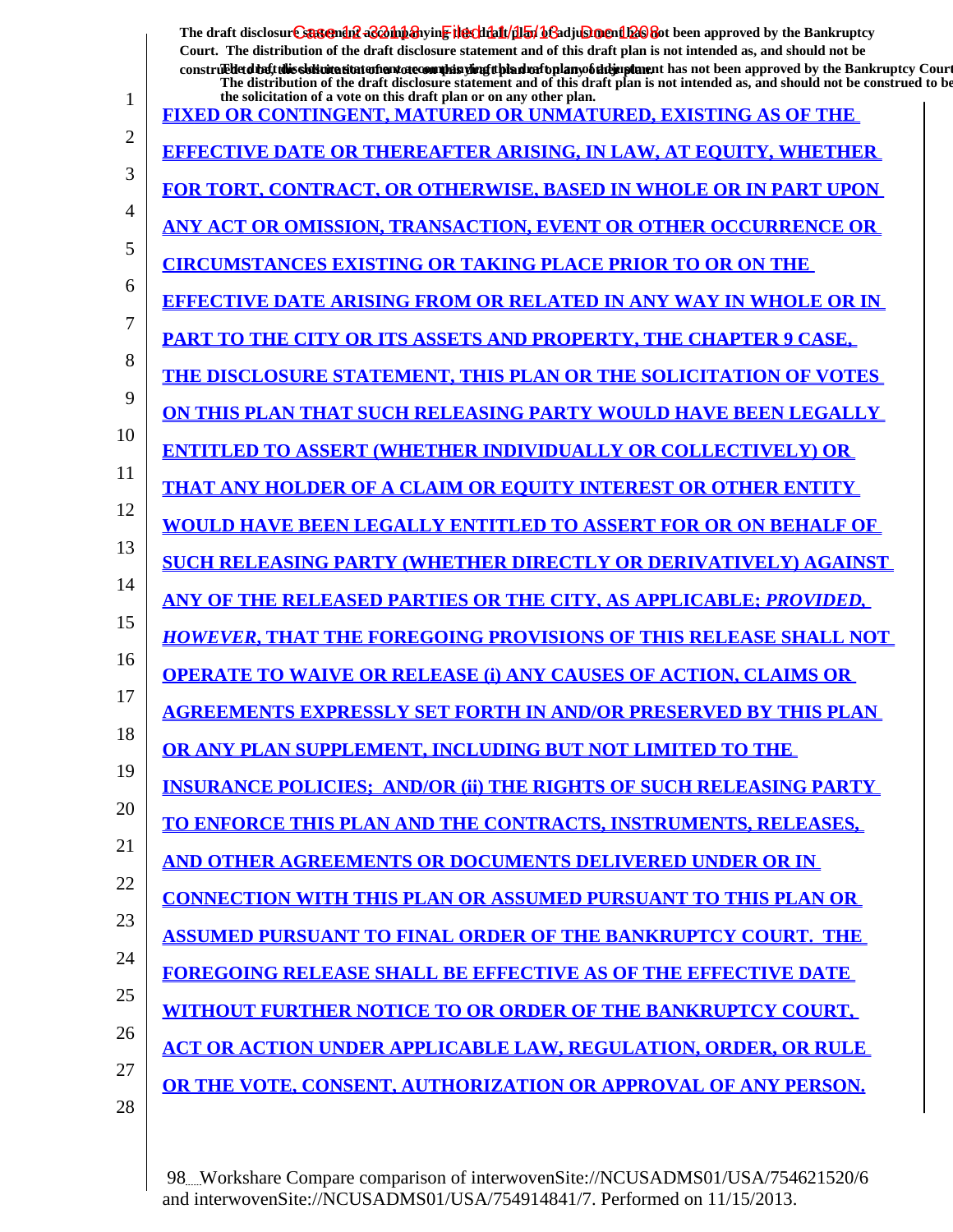|    | The draft disclosure statement accompanying the that /dian beadjustment bas about been approved by the Bankruptcy<br>Court. The distribution of the draft disclosure statement and of this draft plan is not intended as, and should not be<br>construedetdieft this sistimation entertainment of countries with the distribution of the manufacture in that not been approved by the Bankruptcy Court |
|----|--------------------------------------------------------------------------------------------------------------------------------------------------------------------------------------------------------------------------------------------------------------------------------------------------------------------------------------------------------------------------------------------------------|
| 1  | The distribution of the draft disclosure statement and of this draft plan is not intended as, and should not be construed to be<br>the solicitation of a vote on this draft plan or on any other plan.                                                                                                                                                                                                 |
| 2  | <b>FIXED OR CONTINGENT, MATURED OR UNMATURED, EXISTING AS OF THE</b>                                                                                                                                                                                                                                                                                                                                   |
| 3  | <b>EFFECTIVE DATE OR THEREAFTER ARISING, IN LAW, AT EOUITY, WHETHER</b>                                                                                                                                                                                                                                                                                                                                |
|    | <b>FOR TORT, CONTRACT, OR OTHERWISE, BASED IN WHOLE OR IN PART UPON</b>                                                                                                                                                                                                                                                                                                                                |
| 4  | ANY ACT OR OMISSION, TRANSACTION, EVENT OR OTHER OCCURRENCE OR                                                                                                                                                                                                                                                                                                                                         |
| 5  | <b>CIRCUMSTANCES EXISTING OR TAKING PLACE PRIOR TO OR ON THE</b>                                                                                                                                                                                                                                                                                                                                       |
| 6  | <b>EFFECTIVE DATE ARISING FROM OR RELATED IN ANY WAY IN WHOLE OR IN</b>                                                                                                                                                                                                                                                                                                                                |
| 7  | <b>PART TO THE CITY OR ITS ASSETS AND PROPERTY. THE CHAPTER 9 CASE.</b>                                                                                                                                                                                                                                                                                                                                |
| 8  | THE DISCLOSURE STATEMENT, THIS PLAN OR THE SOLICITATION OF VOTES                                                                                                                                                                                                                                                                                                                                       |
| 9  | ON THIS PLAN THAT SUCH RELEASING PARTY WOULD HAVE BEEN LEGALLY                                                                                                                                                                                                                                                                                                                                         |
| 10 | <b>ENTITLED TO ASSERT (WHETHER INDIVIDUALLY OR COLLECTIVELY) OR</b>                                                                                                                                                                                                                                                                                                                                    |
| 11 | <b>THAT ANY HOLDER OF A CLAIM OR EOUITY INTEREST OR OTHER ENTITY</b>                                                                                                                                                                                                                                                                                                                                   |
| 12 | <b>WOULD HAVE BEEN LEGALLY ENTITLED TO ASSERT FOR OR ON BEHALF OF</b>                                                                                                                                                                                                                                                                                                                                  |
| 13 | <b>SUCH RELEASING PARTY (WHETHER DIRECTLY OR DERIVATIVELY) AGAINST</b>                                                                                                                                                                                                                                                                                                                                 |
| 14 | ANY OF THE RELEASED PARTIES OR THE CITY, AS APPLICABLE; PROVIDED,                                                                                                                                                                                                                                                                                                                                      |
| 15 | <b>HOWEVER, THAT THE FOREGOING PROVISIONS OF THIS RELEASE SHALL NOT</b>                                                                                                                                                                                                                                                                                                                                |
| 16 | <b>OPERATE TO WAIVE OR RELEASE (i) ANY CAUSES OF ACTION, CLAIMS OR</b>                                                                                                                                                                                                                                                                                                                                 |
| 17 | <b>AGREEMENTS EXPRESSLY SET FORTH IN AND/OR PRESERVED BY THIS PLAN</b>                                                                                                                                                                                                                                                                                                                                 |
| 18 | OR ANY PLAN SUPPLEMENT, INCLUDING BUT NOT LIMITED TO THE                                                                                                                                                                                                                                                                                                                                               |
| 19 | <b>INSURANCE POLICIES: AND/OR (ii) THE RIGHTS OF SUCH RELEASING PARTY</b>                                                                                                                                                                                                                                                                                                                              |
| 20 | <u>TO ENFORCE THIS PLAN AND THE CONTRACTS, INSTRUMENTS, RELEASES,</u>                                                                                                                                                                                                                                                                                                                                  |
| 21 | <u>AND OTHER AGREEMENTS OR DOCUMENTS DELIVERED UNDER OR IN</u>                                                                                                                                                                                                                                                                                                                                         |
| 22 |                                                                                                                                                                                                                                                                                                                                                                                                        |
| 23 | <b>CONNECTION WITH THIS PLAN OR ASSUMED PURSUANT TO THIS PLAN OR</b>                                                                                                                                                                                                                                                                                                                                   |
| 24 | <b>ASSUMED PURSUANT TO FINAL ORDER OF THE BANKRUPTCY COURT. THE</b>                                                                                                                                                                                                                                                                                                                                    |
| 25 | <b>FOREGOING RELEASE SHALL BE EFFECTIVE AS OF THE EFFECTIVE DATE</b>                                                                                                                                                                                                                                                                                                                                   |
| 26 | <b>WITHOUT FURTHER NOTICE TO OR ORDER OF THE BANKRUPTCY COURT,</b>                                                                                                                                                                                                                                                                                                                                     |
| 27 | <b>ACT OR ACTION UNDER APPLICABLE LAW, REGULATION, ORDER, OR RULE</b>                                                                                                                                                                                                                                                                                                                                  |
| 28 | OR THE VOTE, CONSENT, AUTHORIZATION OR APPROVAL OF ANY PERSON.                                                                                                                                                                                                                                                                                                                                         |
|    |                                                                                                                                                                                                                                                                                                                                                                                                        |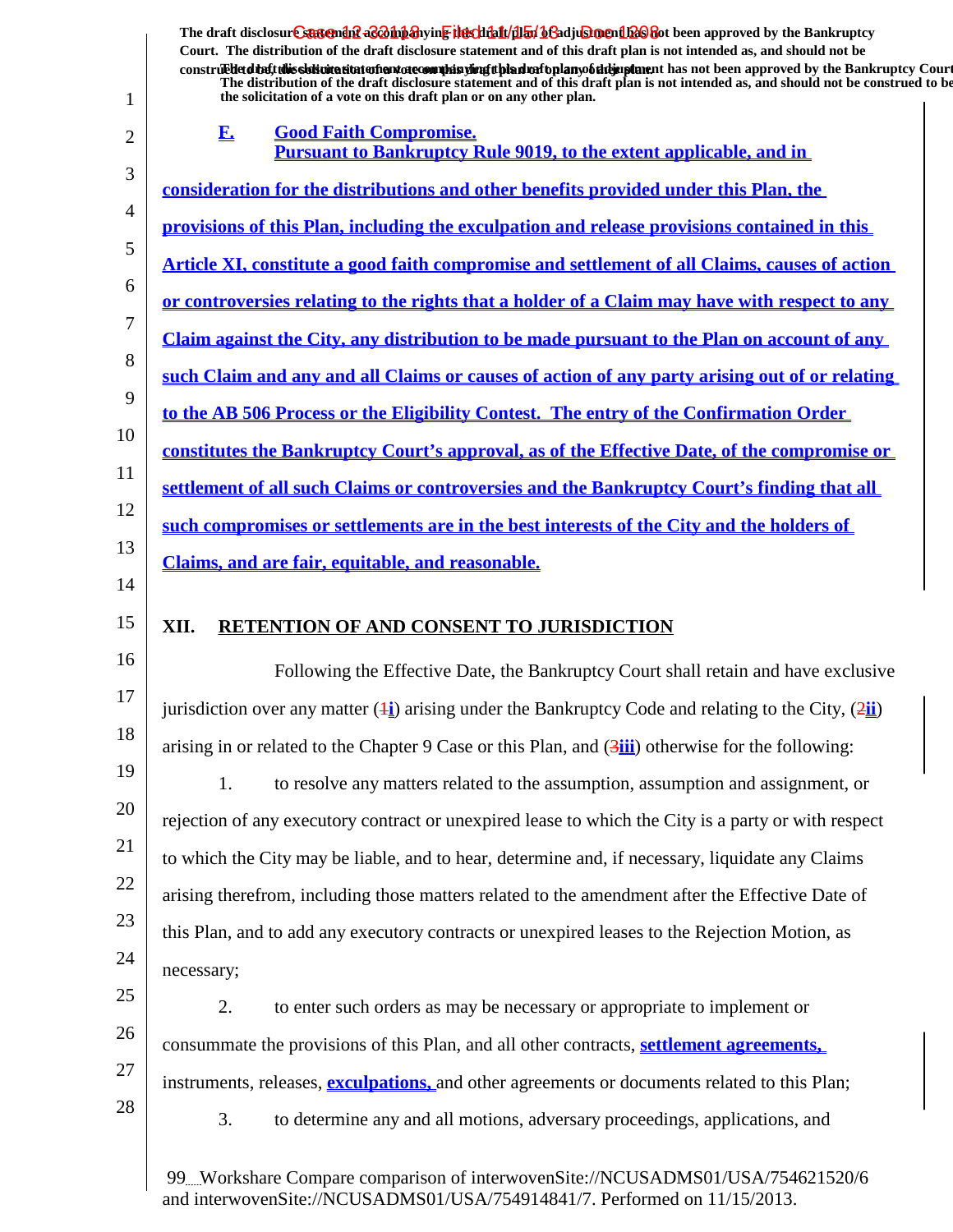|                                                                | The draft disclosure suspendit a control and wing the climation of a climation of the Dankington Proved by the Bankruptcy<br>Court. The distribution of the draft disclosure statement and of this draft plan is not intended as, and should not be                                                                                      |
|----------------------------------------------------------------|------------------------------------------------------------------------------------------------------------------------------------------------------------------------------------------------------------------------------------------------------------------------------------------------------------------------------------------|
|                                                                | construedetdiet this sistemation entertainment of committee of the simulation of the hand of the state of the bankruptcy Court<br>The distribution of the draft disclosure statement and of this draft plan is not intended as, and should not be construed to be<br>the solicitation of a vote on this draft plan or on any other plan. |
| 1                                                              | <b>Good Faith Compromise.</b><br>F.                                                                                                                                                                                                                                                                                                      |
| 2                                                              | <b>Pursuant to Bankruptcy Rule 9019, to the extent applicable, and in</b>                                                                                                                                                                                                                                                                |
| 3                                                              | <u>consideration for the distributions and other benefits provided under this Plan, the consideration</u>                                                                                                                                                                                                                                |
| 4                                                              | provisions of this Plan, including the exculpation and release provisions contained in this                                                                                                                                                                                                                                              |
| 5                                                              | Article XI, constitute a good faith compromise and settlement of all Claims, causes of action                                                                                                                                                                                                                                            |
| 6                                                              | <u>or controversies relating to the rights that a holder of a Claim may have with respect to any</u>                                                                                                                                                                                                                                     |
| 7<br>8                                                         | <u>Claim against the City, any distribution to be made pursuant to the Plan on account of any</u>                                                                                                                                                                                                                                        |
| 9                                                              | such Claim and any and all Claims or causes of action of any party arising out of or relating                                                                                                                                                                                                                                            |
| 10                                                             | to the AB 506 Process or the Eligibility Contest. The entry of the Confirmation Order                                                                                                                                                                                                                                                    |
|                                                                | constitutes the Bankruptcy Court's approval, as of the Effective Date, of the compromise or                                                                                                                                                                                                                                              |
| 11<br>12                                                       | settlement of all such Claims or controversies and the Bankruptcy Court's finding that all                                                                                                                                                                                                                                               |
| 13                                                             | such compromises or settlements are in the best interests of the City and the holders of                                                                                                                                                                                                                                                 |
| 14                                                             | Claims, and are fair, equitable, and reasonable.                                                                                                                                                                                                                                                                                         |
|                                                                |                                                                                                                                                                                                                                                                                                                                          |
| 15                                                             | XII.<br><b>RETENTION OF AND CONSENT TO JURISDICTION</b>                                                                                                                                                                                                                                                                                  |
|                                                                | Following the Effective Date, the Bankruptcy Court shall retain and have exclusive                                                                                                                                                                                                                                                       |
|                                                                | jurisdiction over any matter $(\frac{1}{2})$ arising under the Bankruptcy Code and relating to the City, $(\frac{2\pi}{2})$                                                                                                                                                                                                              |
|                                                                | arising in or related to the Chapter 9 Case or this Plan, and $(3\frac{iii}{iv})$ otherwise for the following:                                                                                                                                                                                                                           |
|                                                                | to resolve any matters related to the assumption, assumption and assignment, or<br>1.                                                                                                                                                                                                                                                    |
|                                                                | rejection of any executory contract or unexpired lease to which the City is a party or with respect                                                                                                                                                                                                                                      |
|                                                                | to which the City may be liable, and to hear, determine and, if necessary, liquidate any Claims                                                                                                                                                                                                                                          |
|                                                                | arising therefrom, including those matters related to the amendment after the Effective Date of                                                                                                                                                                                                                                          |
|                                                                | this Plan, and to add any executory contracts or unexpired leases to the Rejection Motion, as                                                                                                                                                                                                                                            |
|                                                                | necessary;                                                                                                                                                                                                                                                                                                                               |
|                                                                | 2.<br>to enter such orders as may be necessary or appropriate to implement or                                                                                                                                                                                                                                                            |
| 16<br>17<br>18<br>19<br>20<br>21<br>22<br>23<br>24<br>25<br>26 | consummate the provisions of this Plan, and all other contracts, settlement agreements.                                                                                                                                                                                                                                                  |
| 27                                                             | instruments, releases, <b>exculpations</b> , and other agreements or documents related to this Plan;                                                                                                                                                                                                                                     |
| 28                                                             | 3.<br>to determine any and all motions, adversary proceedings, applications, and                                                                                                                                                                                                                                                         |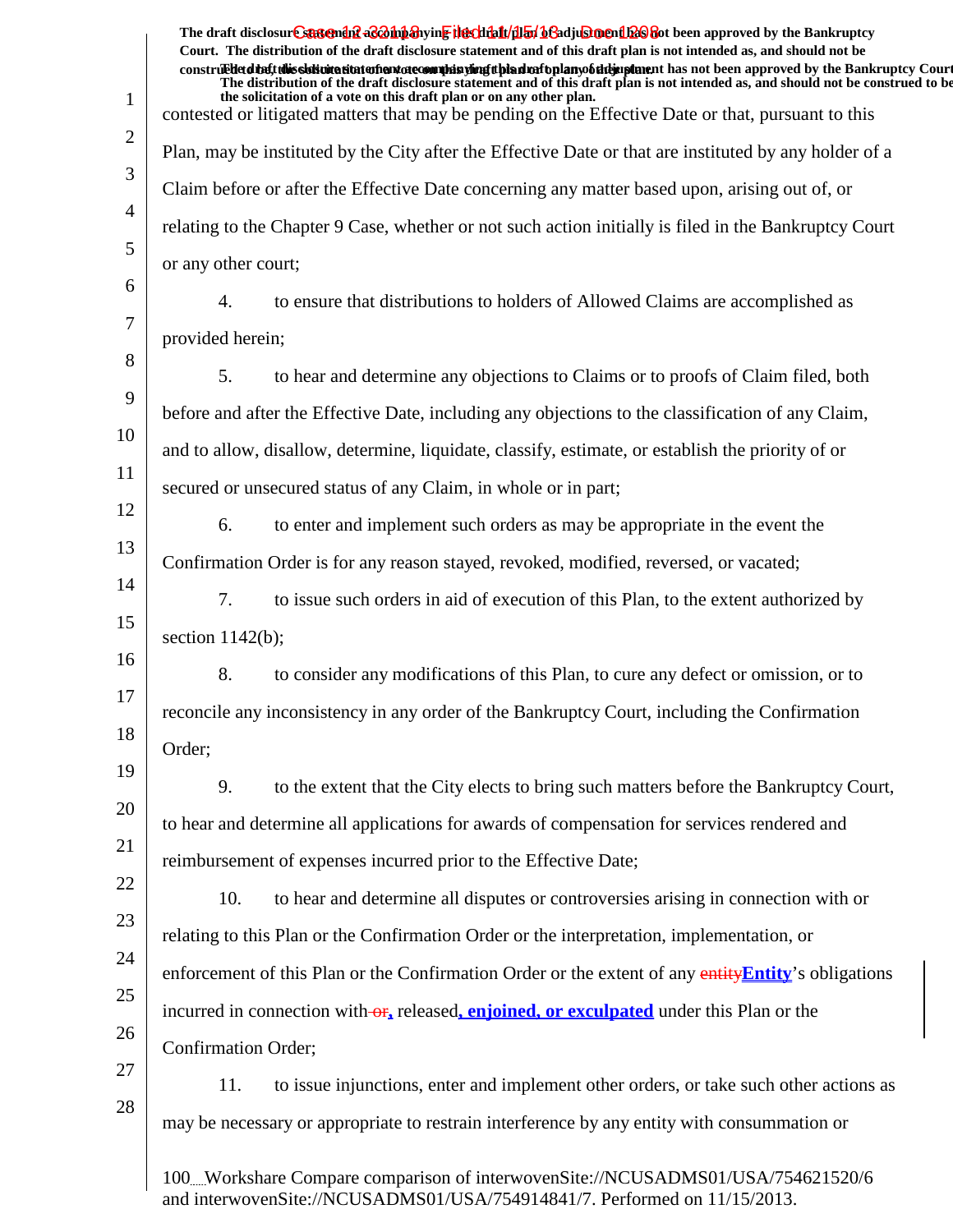|                | The draft disclosure suggended as on the hearth of the file of the final of a diust ment of a period by the Bankruptcy<br>Court. The distribution of the draft disclosure statement and of this draft plan is not intended as, and should not be                               |  |
|----------------|--------------------------------------------------------------------------------------------------------------------------------------------------------------------------------------------------------------------------------------------------------------------------------|--|
|                | construedetd the ft this slot intertion to the manufacture of the simulation of the hands of the same than the same of the Bankruptcy Court<br>The distribution of the draft disclosure statement and of this draft plan is not intended as, and should not be construed to be |  |
| $\mathbf{1}$   | the solicitation of a vote on this draft plan or on any other plan.<br>contested or litigated matters that may be pending on the Effective Date or that, pursuant to this                                                                                                      |  |
| 2              | Plan, may be instituted by the City after the Effective Date or that are instituted by any holder of a                                                                                                                                                                         |  |
| 3              | Claim before or after the Effective Date concerning any matter based upon, arising out of, or                                                                                                                                                                                  |  |
| $\overline{4}$ | relating to the Chapter 9 Case, whether or not such action initially is filed in the Bankruptcy Court                                                                                                                                                                          |  |
| 5              | or any other court;                                                                                                                                                                                                                                                            |  |
| 6              | to ensure that distributions to holders of Allowed Claims are accomplished as<br>4.                                                                                                                                                                                            |  |
| 7              | provided herein;                                                                                                                                                                                                                                                               |  |
| 8              | to hear and determine any objections to Claims or to proofs of Claim filed, both<br>5.                                                                                                                                                                                         |  |
| 9              | before and after the Effective Date, including any objections to the classification of any Claim,                                                                                                                                                                              |  |
| 10             | and to allow, disallow, determine, liquidate, classify, estimate, or establish the priority of or                                                                                                                                                                              |  |
| 11             | secured or unsecured status of any Claim, in whole or in part;                                                                                                                                                                                                                 |  |
| 12             | to enter and implement such orders as may be appropriate in the event the<br>6.                                                                                                                                                                                                |  |
| 13             | Confirmation Order is for any reason stayed, revoked, modified, reversed, or vacated;                                                                                                                                                                                          |  |
| 14             | 7.<br>to issue such orders in aid of execution of this Plan, to the extent authorized by                                                                                                                                                                                       |  |
| 15             | section $1142(b)$ ;                                                                                                                                                                                                                                                            |  |
| 16             | 8.<br>to consider any modifications of this Plan, to cure any defect or omission, or to                                                                                                                                                                                        |  |
| 17             | reconcile any inconsistency in any order of the Bankruptcy Court, including the Confirmation                                                                                                                                                                                   |  |
| 18             | Order;                                                                                                                                                                                                                                                                         |  |
| 19             | 9.<br>to the extent that the City elects to bring such matters before the Bankruptcy Court,                                                                                                                                                                                    |  |
| 20             | to hear and determine all applications for awards of compensation for services rendered and                                                                                                                                                                                    |  |
| 21             | reimbursement of expenses incurred prior to the Effective Date;                                                                                                                                                                                                                |  |
| 22             | 10.<br>to hear and determine all disputes or controversies arising in connection with or                                                                                                                                                                                       |  |
| 23             | relating to this Plan or the Confirmation Order or the interpretation, implementation, or                                                                                                                                                                                      |  |
| 24             | enforcement of this Plan or the Confirmation Order or the extent of any entity Entity's obligations                                                                                                                                                                            |  |
| 25             | incurred in connection with or, released, enjoined, or exculpated under this Plan or the                                                                                                                                                                                       |  |
| 26             | Confirmation Order;                                                                                                                                                                                                                                                            |  |
| 27             | to issue injunctions, enter and implement other orders, or take such other actions as<br>11.                                                                                                                                                                                   |  |
| 28             | may be necessary or appropriate to restrain interference by any entity with consummation or                                                                                                                                                                                    |  |
|                | 100Workshare Compare comparison of interwovenSite://NCUSADMS01/USA/754621520/6                                                                                                                                                                                                 |  |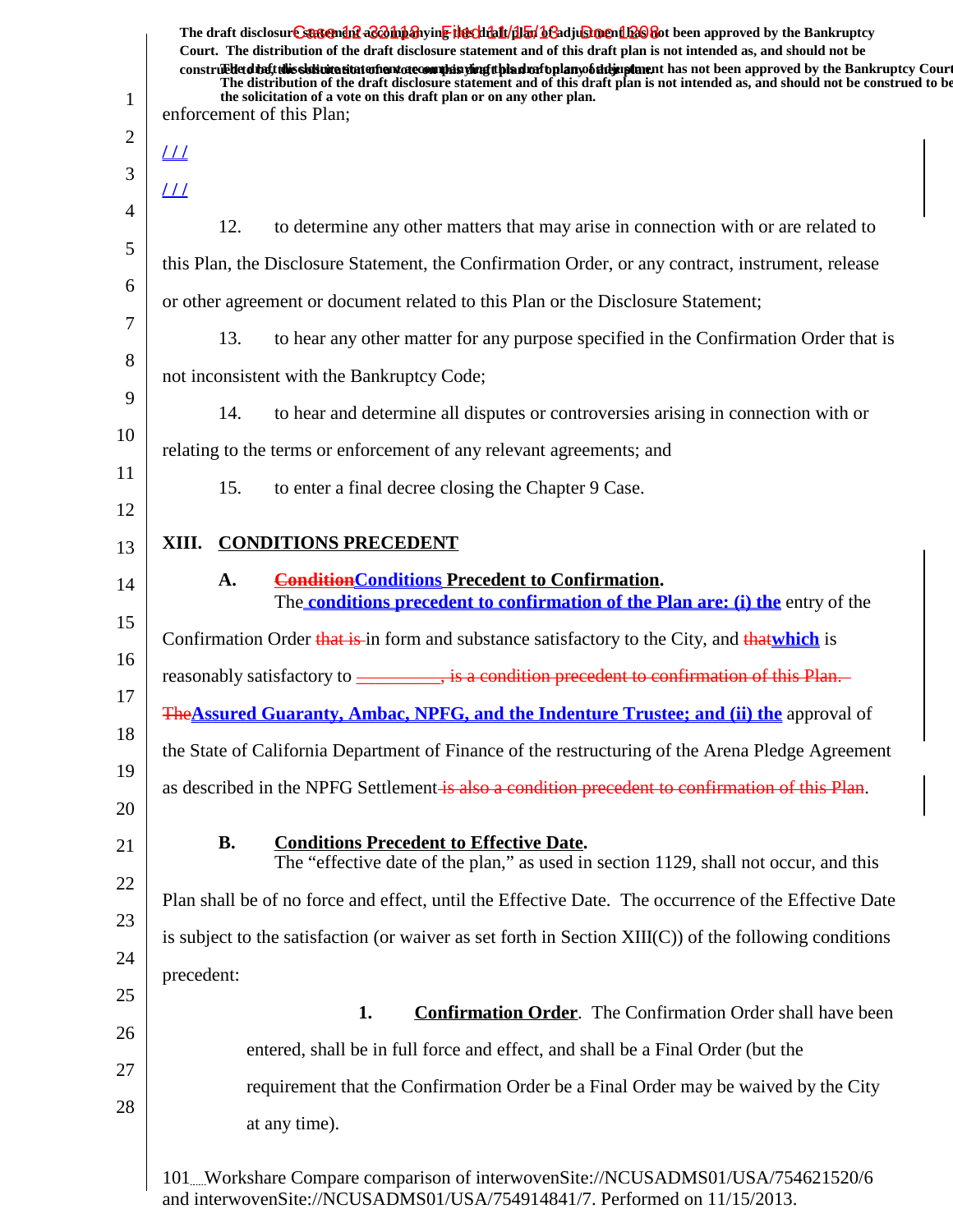| 1  | The draft disclosure suggended as on the hearth of the fit of the fit of the fit of the Bankruptcy<br>Court. The distribution of the draft disclosure statement and of this draft plan is not intended as, and should not be<br>construedetdiate this sidion a statement of commission of the distribution of the mann of the approved by the Bankruptcy Court<br>The distribution of the draft disclosure statement and of this draft plan is not intended as, and should not be construed to be<br>the solicitation of a vote on this draft plan or on any other plan.<br>enforcement of this Plan; |
|----|-------------------------------------------------------------------------------------------------------------------------------------------------------------------------------------------------------------------------------------------------------------------------------------------------------------------------------------------------------------------------------------------------------------------------------------------------------------------------------------------------------------------------------------------------------------------------------------------------------|
| 2  | <u> 11</u>                                                                                                                                                                                                                                                                                                                                                                                                                                                                                                                                                                                            |
| 3  | <u> 11</u>                                                                                                                                                                                                                                                                                                                                                                                                                                                                                                                                                                                            |
| 4  | 12.<br>to determine any other matters that may arise in connection with or are related to                                                                                                                                                                                                                                                                                                                                                                                                                                                                                                             |
| 5  | this Plan, the Disclosure Statement, the Confirmation Order, or any contract, instrument, release                                                                                                                                                                                                                                                                                                                                                                                                                                                                                                     |
| 6  | or other agreement or document related to this Plan or the Disclosure Statement;                                                                                                                                                                                                                                                                                                                                                                                                                                                                                                                      |
| 7  | 13.<br>to hear any other matter for any purpose specified in the Confirmation Order that is                                                                                                                                                                                                                                                                                                                                                                                                                                                                                                           |
| 8  | not inconsistent with the Bankruptcy Code;                                                                                                                                                                                                                                                                                                                                                                                                                                                                                                                                                            |
| 9  | to hear and determine all disputes or controversies arising in connection with or<br>14.                                                                                                                                                                                                                                                                                                                                                                                                                                                                                                              |
| 10 | relating to the terms or enforcement of any relevant agreements; and                                                                                                                                                                                                                                                                                                                                                                                                                                                                                                                                  |
| 11 | 15.<br>to enter a final decree closing the Chapter 9 Case.                                                                                                                                                                                                                                                                                                                                                                                                                                                                                                                                            |
| 12 |                                                                                                                                                                                                                                                                                                                                                                                                                                                                                                                                                                                                       |
| 13 | <b>CONDITIONS PRECEDENT</b><br>XIII.                                                                                                                                                                                                                                                                                                                                                                                                                                                                                                                                                                  |
| 14 | <b>ConditionConditions Precedent to Confirmation.</b><br>A.<br>The <b>conditions precedent to confirmation of the Plan are: (i) the</b> entry of the                                                                                                                                                                                                                                                                                                                                                                                                                                                  |
| 15 | Confirmation Order that is in form and substance satisfactory to the City, and that which is                                                                                                                                                                                                                                                                                                                                                                                                                                                                                                          |
| 16 |                                                                                                                                                                                                                                                                                                                                                                                                                                                                                                                                                                                                       |
| 17 | The <b>Assured Guaranty, Ambac, NPFG, and the Indenture Trustee; and (ii) the approval of</b>                                                                                                                                                                                                                                                                                                                                                                                                                                                                                                         |
| 18 | the State of California Department of Finance of the restructuring of the Arena Pledge Agreement                                                                                                                                                                                                                                                                                                                                                                                                                                                                                                      |
| 19 | as described in the NPFG Settlement is also a condition precedent to confirmation of this Plan.                                                                                                                                                                                                                                                                                                                                                                                                                                                                                                       |
| 20 |                                                                                                                                                                                                                                                                                                                                                                                                                                                                                                                                                                                                       |
| 21 | <b>B.</b><br><b>Conditions Precedent to Effective Date.</b><br>The "effective date of the plan," as used in section 1129, shall not occur, and this                                                                                                                                                                                                                                                                                                                                                                                                                                                   |
| 22 | Plan shall be of no force and effect, until the Effective Date. The occurrence of the Effective Date                                                                                                                                                                                                                                                                                                                                                                                                                                                                                                  |
| 23 | is subject to the satisfaction (or waiver as set forth in Section $XIII(C)$ ) of the following conditions                                                                                                                                                                                                                                                                                                                                                                                                                                                                                             |
| 24 | precedent:                                                                                                                                                                                                                                                                                                                                                                                                                                                                                                                                                                                            |
| 25 | 1.<br><b>Confirmation Order.</b> The Confirmation Order shall have been                                                                                                                                                                                                                                                                                                                                                                                                                                                                                                                               |
| 26 | entered, shall be in full force and effect, and shall be a Final Order (but the                                                                                                                                                                                                                                                                                                                                                                                                                                                                                                                       |
| 27 | requirement that the Confirmation Order be a Final Order may be waived by the City                                                                                                                                                                                                                                                                                                                                                                                                                                                                                                                    |
| 28 | at any time).                                                                                                                                                                                                                                                                                                                                                                                                                                                                                                                                                                                         |
|    |                                                                                                                                                                                                                                                                                                                                                                                                                                                                                                                                                                                                       |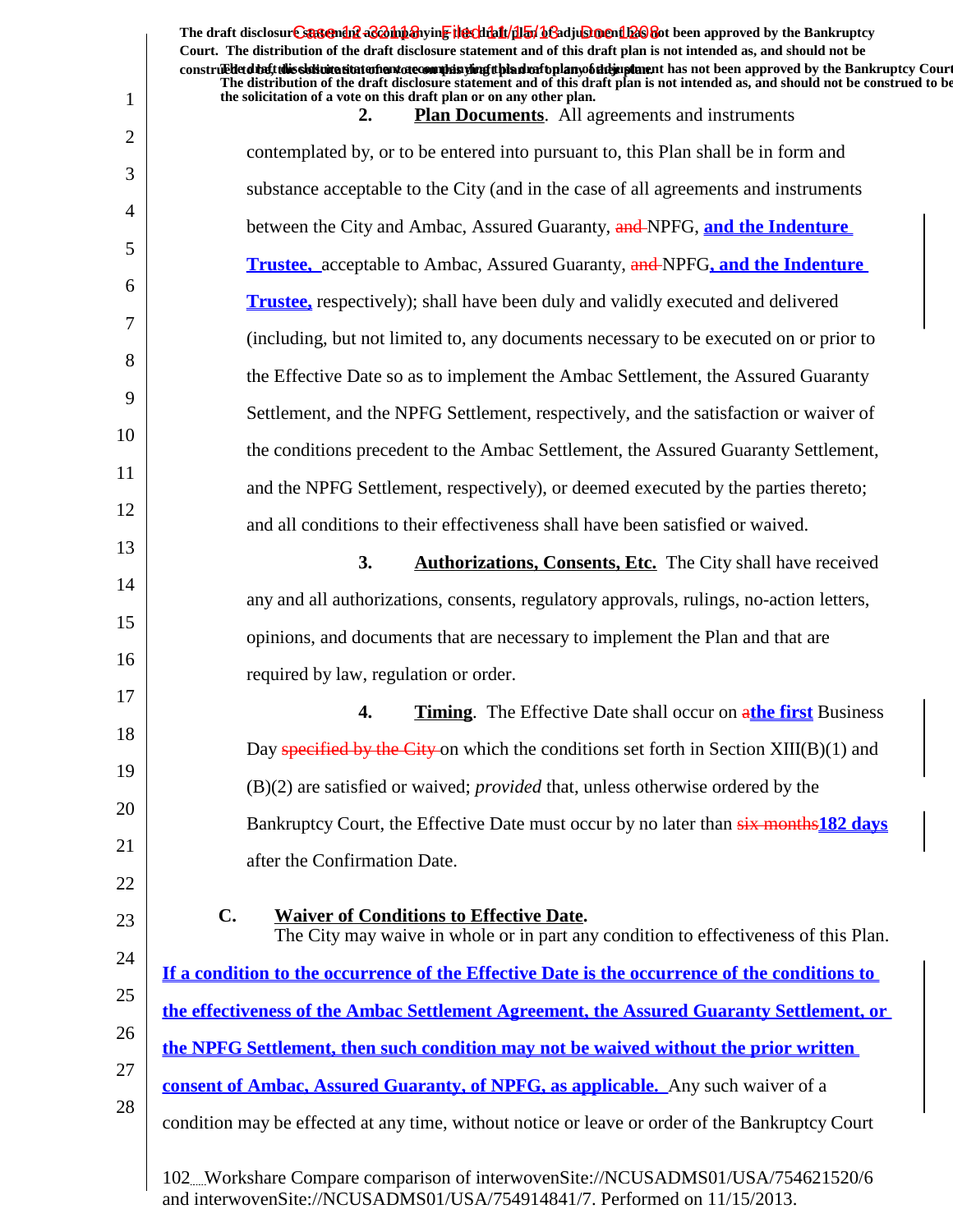|             | The draft disclosur Cantendal a & oh baying the click for began and a click of the Bankruptcy<br>Court. The distribution of the draft disclosure statement and of this draft plan is not intended as, and should not be<br>construedetd the ft this slot intertion to the manufacture of the simulation of the hands of the same than the same of the Bankruptcy Court |
|-------------|------------------------------------------------------------------------------------------------------------------------------------------------------------------------------------------------------------------------------------------------------------------------------------------------------------------------------------------------------------------------|
| $\mathbf 1$ | The distribution of the draft disclosure statement and of this draft plan is not intended as, and should not be construed to be<br>the solicitation of a vote on this draft plan or on any other plan.<br><b>Plan Documents.</b> All agreements and instruments<br>2.                                                                                                  |
| 2           | contemplated by, or to be entered into pursuant to, this Plan shall be in form and                                                                                                                                                                                                                                                                                     |
| 3           | substance acceptable to the City (and in the case of all agreements and instruments                                                                                                                                                                                                                                                                                    |
| 4           | between the City and Ambac, Assured Guaranty, and NPFG, and the Indenture                                                                                                                                                                                                                                                                                              |
| 5           | <b>Trustee, acceptable to Ambac, Assured Guaranty, and NPFG, and the Indenture</b>                                                                                                                                                                                                                                                                                     |
| 6           |                                                                                                                                                                                                                                                                                                                                                                        |
| 7           | <b>Trustee</b> , respectively); shall have been duly and validly executed and delivered                                                                                                                                                                                                                                                                                |
| 8           | (including, but not limited to, any documents necessary to be executed on or prior to                                                                                                                                                                                                                                                                                  |
| 9           | the Effective Date so as to implement the Ambac Settlement, the Assured Guaranty                                                                                                                                                                                                                                                                                       |
| 10          | Settlement, and the NPFG Settlement, respectively, and the satisfaction or waiver of                                                                                                                                                                                                                                                                                   |
| 11          | the conditions precedent to the Ambac Settlement, the Assured Guaranty Settlement,                                                                                                                                                                                                                                                                                     |
| 12          | and the NPFG Settlement, respectively), or deemed executed by the parties thereto;                                                                                                                                                                                                                                                                                     |
|             | and all conditions to their effectiveness shall have been satisfied or waived.                                                                                                                                                                                                                                                                                         |
| 13          | 3.<br><b>Authorizations, Consents, Etc.</b> The City shall have received                                                                                                                                                                                                                                                                                               |
| 14          | any and all authorizations, consents, regulatory approvals, rulings, no-action letters,                                                                                                                                                                                                                                                                                |
| 15          | opinions, and documents that are necessary to implement the Plan and that are                                                                                                                                                                                                                                                                                          |
| 16          | required by law, regulation or order.                                                                                                                                                                                                                                                                                                                                  |
| 17          | <b>Timing.</b> The Effective Date shall occur on athe first Business<br>4.                                                                                                                                                                                                                                                                                             |
| 18          | Day specified by the City on which the conditions set forth in Section $XIII(B)(1)$ and                                                                                                                                                                                                                                                                                |
| 19          | $(B)(2)$ are satisfied or waived; <i>provided</i> that, unless otherwise ordered by the                                                                                                                                                                                                                                                                                |
| 20          | Bankruptcy Court, the Effective Date must occur by no later than six months 182 days                                                                                                                                                                                                                                                                                   |
| 21          | after the Confirmation Date.                                                                                                                                                                                                                                                                                                                                           |
| 22          |                                                                                                                                                                                                                                                                                                                                                                        |
| 23          | $\mathbf{C}$ .<br><b>Waiver of Conditions to Effective Date.</b><br>The City may waive in whole or in part any condition to effectiveness of this Plan.                                                                                                                                                                                                                |
| 24          | If a condition to the occurrence of the Effective Date is the occurrence of the conditions to                                                                                                                                                                                                                                                                          |
| 25          | the effectiveness of the Ambac Settlement Agreement, the Assured Guaranty Settlement, or                                                                                                                                                                                                                                                                               |
| 26          | the NPFG Settlement, then such condition may not be waived without the prior written                                                                                                                                                                                                                                                                                   |
| 27          | <b>consent of Ambac, Assured Guaranty, of NPFG, as applicable.</b> Any such waiver of a                                                                                                                                                                                                                                                                                |
| 28          | condition may be effected at any time, without notice or leave or order of the Bankruptcy Court                                                                                                                                                                                                                                                                        |
|             | 102Workshare Compare comparison of interwovenSite://NCUSADMS01/USA/754621520/6                                                                                                                                                                                                                                                                                         |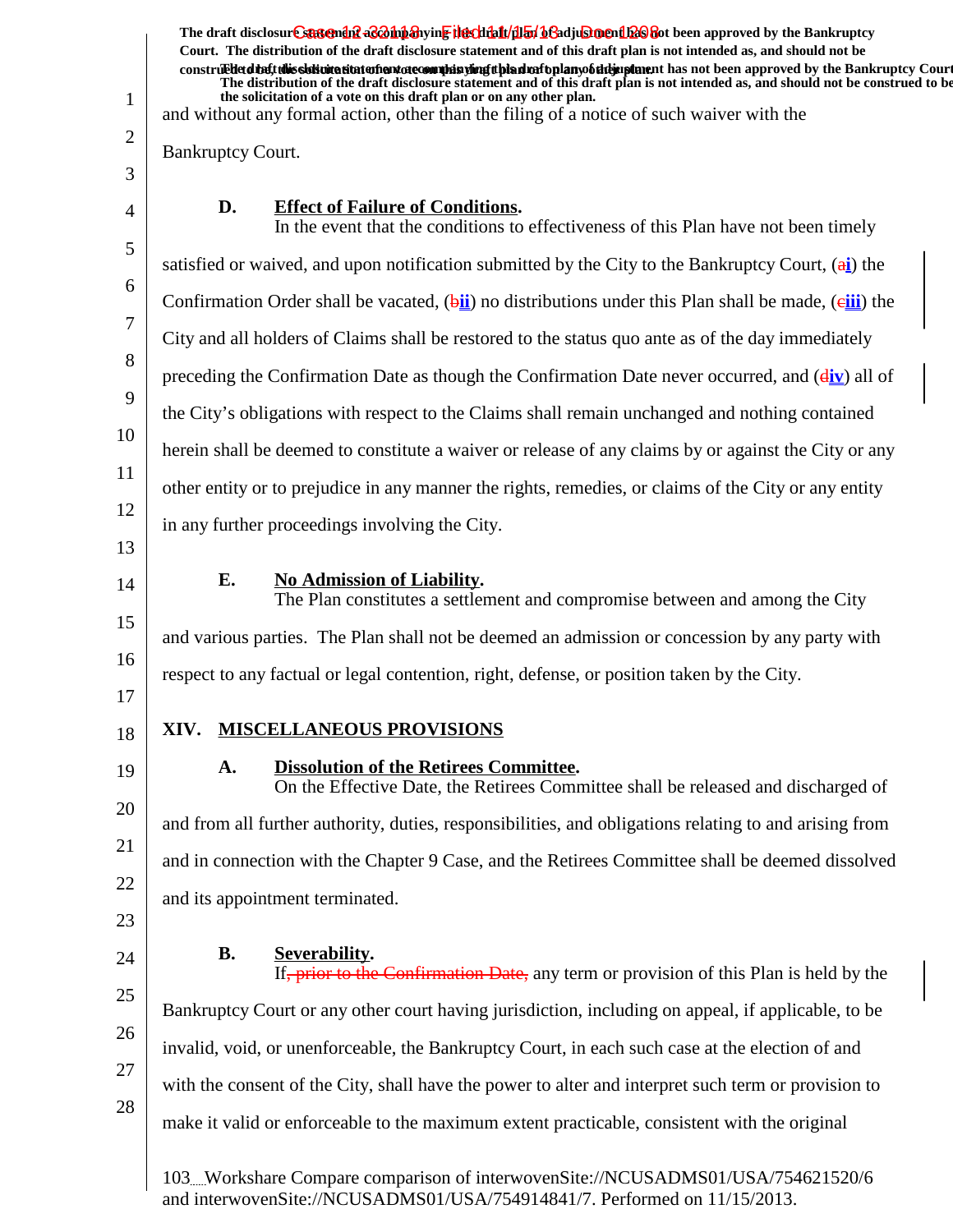1 2 3 4 5 6 7 8 9 10 11 12 13 14 15 16 17 18 19 20 21 22 23 24 25 26 27 28 The draft disclosur<del>t Suggendn2 aC201np3</del>hyin<mark>e the chip11/1151/163adjushorenth26</mark>860t been approved by the Bankruptcy **Court. The distribution of the draft disclosure statement and of this draft plan is not intended as, and should not be** construed to the solicit this solicitation to the number of the solution of the draft plan of the dramatic disclosure in the statement of the Bankruptcy Court. **The distribution of the draft disclosure statement and of this draft plan is not intended as, and should not be construed to be, the solicitation of a vote on this draft plan or on any other plan.** and without any formal action, other than the filing of a notice of such waiver with the Bankruptcy Court. **D.** Effect of Failure of Conditions. In the event that the conditions to effectiveness of this Plan have not been timely satisfied or waived, and upon notification submitted by the City to the Bankruptcy Court, (a**i**) the Confirmation Order shall be vacated, (bii) no distributions under this Plan shall be made, (eiji) the City and all holders of Claims shall be restored to the status quo ante as of the day immediately preceding the Confirmation Date as though the Confirmation Date never occurred, and (d**iv**) all of the City's obligations with respect to the Claims shall remain unchanged and nothing contained herein shall be deemed to constitute a waiver or release of any claims by or against the City or any other entity or to prejudice in any manner the rights, remedies, or claims of the City or any entity in any further proceedings involving the City. **E.** No Admission of Liability. The Plan constitutes a settlement and compromise between and among the City and various parties. The Plan shall not be deemed an admission or concession by any party with respect to any factual or legal contention, right, defense, or position taken by the City. **XIV. MISCELLANEOUS PROVISIONS** A. Dissolution of the Retirees Committee. On the Effective Date, the Retirees Committee shall be released and discharged of and from all further authority, duties, responsibilities, and obligations relating to and arising from and in connection with the Chapter 9 Case, and the Retirees Committee shall be deemed dissolved and its appointment terminated. **B.** Severability. If, prior to the Confirmation Date, any term or provision of this Plan is held by the Bankruptcy Court or any other court having jurisdiction, including on appeal, if applicable, to be invalid, void, or unenforceable, the Bankruptcy Court, in each such case at the election of and with the consent of the City, shall have the power to alter and interpret such term or provision to make it valid or enforceable to the maximum extent practicable, consistent with the original 103 Workshare Compare comparison of interwovenSite://NCUSADMS01/USA/754621520/6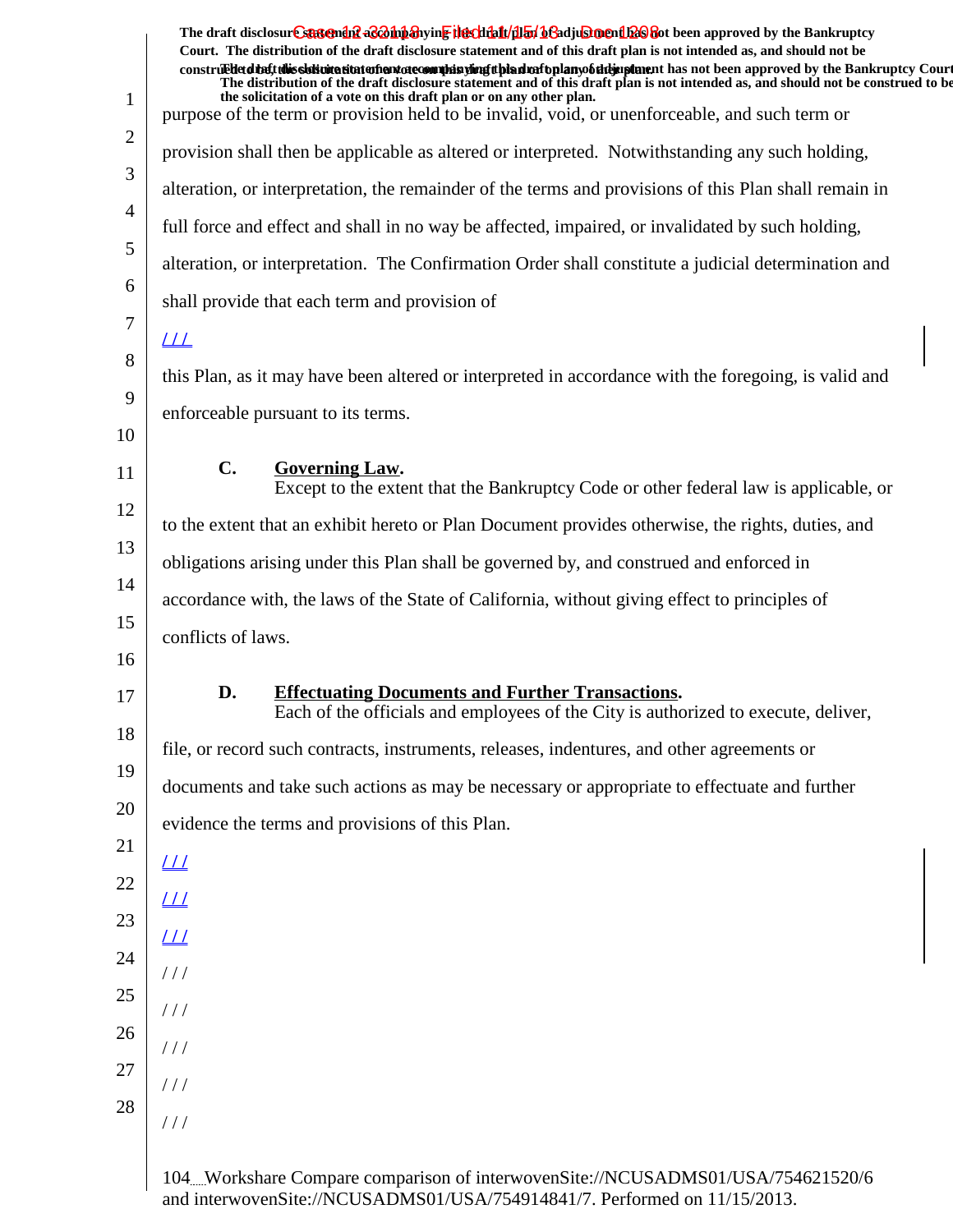|                | The draft disclosure suggendif a control and the client of the client of the client of the Bankruptcy<br>Court. The distribution of the draft disclosure statement and of this draft plan is not intended as, and should not be<br>construedded the tubis sistemation entertainment of country in the set of the simulation of the studies of the standard the Bankruptcy Court |  |
|----------------|---------------------------------------------------------------------------------------------------------------------------------------------------------------------------------------------------------------------------------------------------------------------------------------------------------------------------------------------------------------------------------|--|
| $\mathbf{1}$   | The distribution of the draft disclosure statement and of this draft plan is not intended as, and should not be construed to be<br>the solicitation of a vote on this draft plan or on any other plan.                                                                                                                                                                          |  |
| 2              | purpose of the term or provision held to be invalid, void, or unenforceable, and such term or                                                                                                                                                                                                                                                                                   |  |
| 3              | provision shall then be applicable as altered or interpreted. Notwithstanding any such holding,                                                                                                                                                                                                                                                                                 |  |
| $\overline{4}$ | alteration, or interpretation, the remainder of the terms and provisions of this Plan shall remain in                                                                                                                                                                                                                                                                           |  |
| 5              | full force and effect and shall in no way be affected, impaired, or invalidated by such holding,                                                                                                                                                                                                                                                                                |  |
| 6              | alteration, or interpretation. The Confirmation Order shall constitute a judicial determination and                                                                                                                                                                                                                                                                             |  |
| 7              | shall provide that each term and provision of                                                                                                                                                                                                                                                                                                                                   |  |
| 8              | $_{LL}$                                                                                                                                                                                                                                                                                                                                                                         |  |
| 9              | this Plan, as it may have been altered or interpreted in accordance with the foregoing, is valid and                                                                                                                                                                                                                                                                            |  |
| 10             | enforceable pursuant to its terms.                                                                                                                                                                                                                                                                                                                                              |  |
| 11             | $\mathbf{C}$ .<br><b>Governing Law.</b>                                                                                                                                                                                                                                                                                                                                         |  |
| 12             | Except to the extent that the Bankruptcy Code or other federal law is applicable, or                                                                                                                                                                                                                                                                                            |  |
| 13             | to the extent that an exhibit hereto or Plan Document provides otherwise, the rights, duties, and                                                                                                                                                                                                                                                                               |  |
| 14             | obligations arising under this Plan shall be governed by, and construed and enforced in                                                                                                                                                                                                                                                                                         |  |
| 15             | accordance with, the laws of the State of California, without giving effect to principles of                                                                                                                                                                                                                                                                                    |  |
| 16             | conflicts of laws.                                                                                                                                                                                                                                                                                                                                                              |  |
| 17             | <b>Effectuating Documents and Further Transactions.</b><br>D.                                                                                                                                                                                                                                                                                                                   |  |
| 18             | Each of the officials and employees of the City is authorized to execute, deliver,                                                                                                                                                                                                                                                                                              |  |
| 19             | file, or record such contracts, instruments, releases, indentures, and other agreements or                                                                                                                                                                                                                                                                                      |  |
|                | documents and take such actions as may be necessary or appropriate to effectuate and further                                                                                                                                                                                                                                                                                    |  |
| 20<br>21       | evidence the terms and provisions of this Plan.                                                                                                                                                                                                                                                                                                                                 |  |
|                | $\perp\!\!\!\perp$                                                                                                                                                                                                                                                                                                                                                              |  |
| 22             | $L\overline{L}$                                                                                                                                                                                                                                                                                                                                                                 |  |
| 23             | $L\overline{L}$                                                                                                                                                                                                                                                                                                                                                                 |  |
| 24             | $\frac{1}{2}$                                                                                                                                                                                                                                                                                                                                                                   |  |
| 25             | $\frac{1}{2}$                                                                                                                                                                                                                                                                                                                                                                   |  |
| 26             | $\frac{1}{2}$                                                                                                                                                                                                                                                                                                                                                                   |  |
| 27             | $\frac{1}{2}$                                                                                                                                                                                                                                                                                                                                                                   |  |
| 28             | 111                                                                                                                                                                                                                                                                                                                                                                             |  |
|                |                                                                                                                                                                                                                                                                                                                                                                                 |  |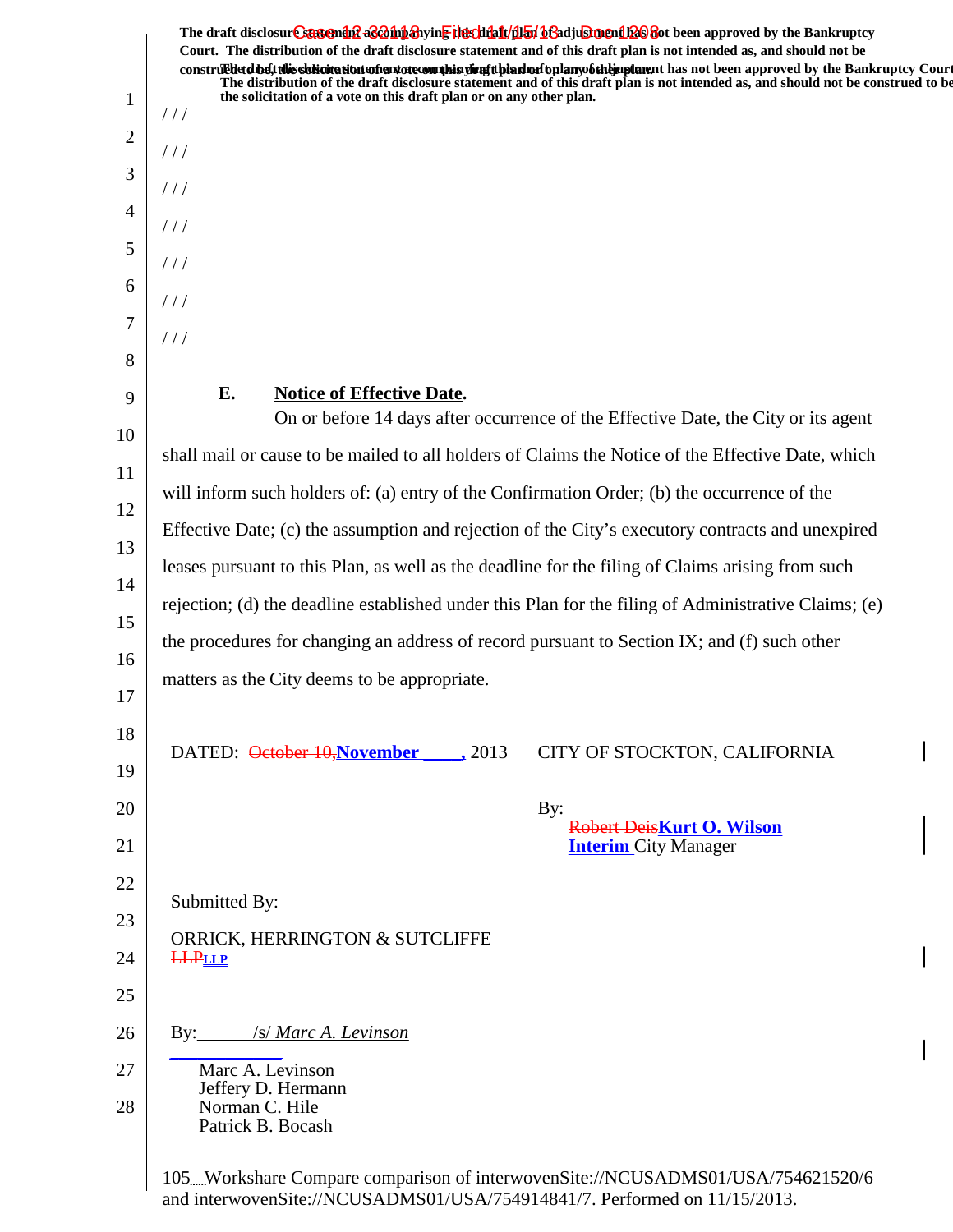|                | The draft disclosure sasement as a market the client of the file of the file of the Bankruptcy of the Bankruptcy<br>Court. The distribution of the draft disclosure statement and of this draft plan is not intended as, and should not be                                                                                                                                                                  | construed detail this sistemation of antarctecommission of the distribution of the manufacture has not been approved by the Bankruptcy Court |  |
|----------------|-------------------------------------------------------------------------------------------------------------------------------------------------------------------------------------------------------------------------------------------------------------------------------------------------------------------------------------------------------------------------------------------------------------|----------------------------------------------------------------------------------------------------------------------------------------------|--|
| $\mathbf{1}$   | the solicitation of a vote on this draft plan or on any other plan.<br>//                                                                                                                                                                                                                                                                                                                                   | The distribution of the draft disclosure statement and of this draft plan is not intended as, and should not be construed to be              |  |
| $\overline{2}$ | //                                                                                                                                                                                                                                                                                                                                                                                                          |                                                                                                                                              |  |
| 3              | //                                                                                                                                                                                                                                                                                                                                                                                                          |                                                                                                                                              |  |
| $\overline{4}$ | $\frac{1}{2}$                                                                                                                                                                                                                                                                                                                                                                                               |                                                                                                                                              |  |
| 5              | $\frac{1}{2}$                                                                                                                                                                                                                                                                                                                                                                                               |                                                                                                                                              |  |
| 6              | $\frac{1}{2}$                                                                                                                                                                                                                                                                                                                                                                                               |                                                                                                                                              |  |
| 7<br>8         | 111                                                                                                                                                                                                                                                                                                                                                                                                         |                                                                                                                                              |  |
| 9              | E.<br><b>Notice of Effective Date.</b>                                                                                                                                                                                                                                                                                                                                                                      |                                                                                                                                              |  |
| 10             |                                                                                                                                                                                                                                                                                                                                                                                                             | On or before 14 days after occurrence of the Effective Date, the City or its agent                                                           |  |
| 11             | shall mail or cause to be mailed to all holders of Claims the Notice of the Effective Date, which                                                                                                                                                                                                                                                                                                           |                                                                                                                                              |  |
| 12             | will inform such holders of: (a) entry of the Confirmation Order; (b) the occurrence of the<br>Effective Date; (c) the assumption and rejection of the City's executory contracts and unexpired<br>leases pursuant to this Plan, as well as the deadline for the filing of Claims arising from such<br>rejection; (d) the deadline established under this Plan for the filing of Administrative Claims; (e) |                                                                                                                                              |  |
| 13             |                                                                                                                                                                                                                                                                                                                                                                                                             |                                                                                                                                              |  |
| 14             |                                                                                                                                                                                                                                                                                                                                                                                                             |                                                                                                                                              |  |
| 15             |                                                                                                                                                                                                                                                                                                                                                                                                             |                                                                                                                                              |  |
| 16             | the procedures for changing an address of record pursuant to Section IX; and (f) such other                                                                                                                                                                                                                                                                                                                 |                                                                                                                                              |  |
| 17             | matters as the City deems to be appropriate.                                                                                                                                                                                                                                                                                                                                                                |                                                                                                                                              |  |
| 18             | DATED: <del>October 10, November</del> 2013                                                                                                                                                                                                                                                                                                                                                                 | CITY OF STOCKTON, CALIFORNIA                                                                                                                 |  |
| 19             |                                                                                                                                                                                                                                                                                                                                                                                                             |                                                                                                                                              |  |
| 20             |                                                                                                                                                                                                                                                                                                                                                                                                             | By:<br>Robert DeisKurt O. Wilson                                                                                                             |  |
| 21             |                                                                                                                                                                                                                                                                                                                                                                                                             | <b>Interim</b> City Manager                                                                                                                  |  |
| 22             | Submitted By:                                                                                                                                                                                                                                                                                                                                                                                               |                                                                                                                                              |  |
| 23             | ORRICK, HERRINGTON & SUTCLIFFE                                                                                                                                                                                                                                                                                                                                                                              |                                                                                                                                              |  |
| 24             | <b>LLPLLP</b>                                                                                                                                                                                                                                                                                                                                                                                               |                                                                                                                                              |  |
| 25             |                                                                                                                                                                                                                                                                                                                                                                                                             |                                                                                                                                              |  |
| 26             | By: /s/ Marc A. Levinson<br>Marc A. Levinson                                                                                                                                                                                                                                                                                                                                                                |                                                                                                                                              |  |
| 27<br>28       | Jeffery D. Hermann<br>Norman C. Hile<br>Patrick B. Bocash                                                                                                                                                                                                                                                                                                                                                   |                                                                                                                                              |  |
|                |                                                                                                                                                                                                                                                                                                                                                                                                             |                                                                                                                                              |  |

 $\overline{\phantom{a}}$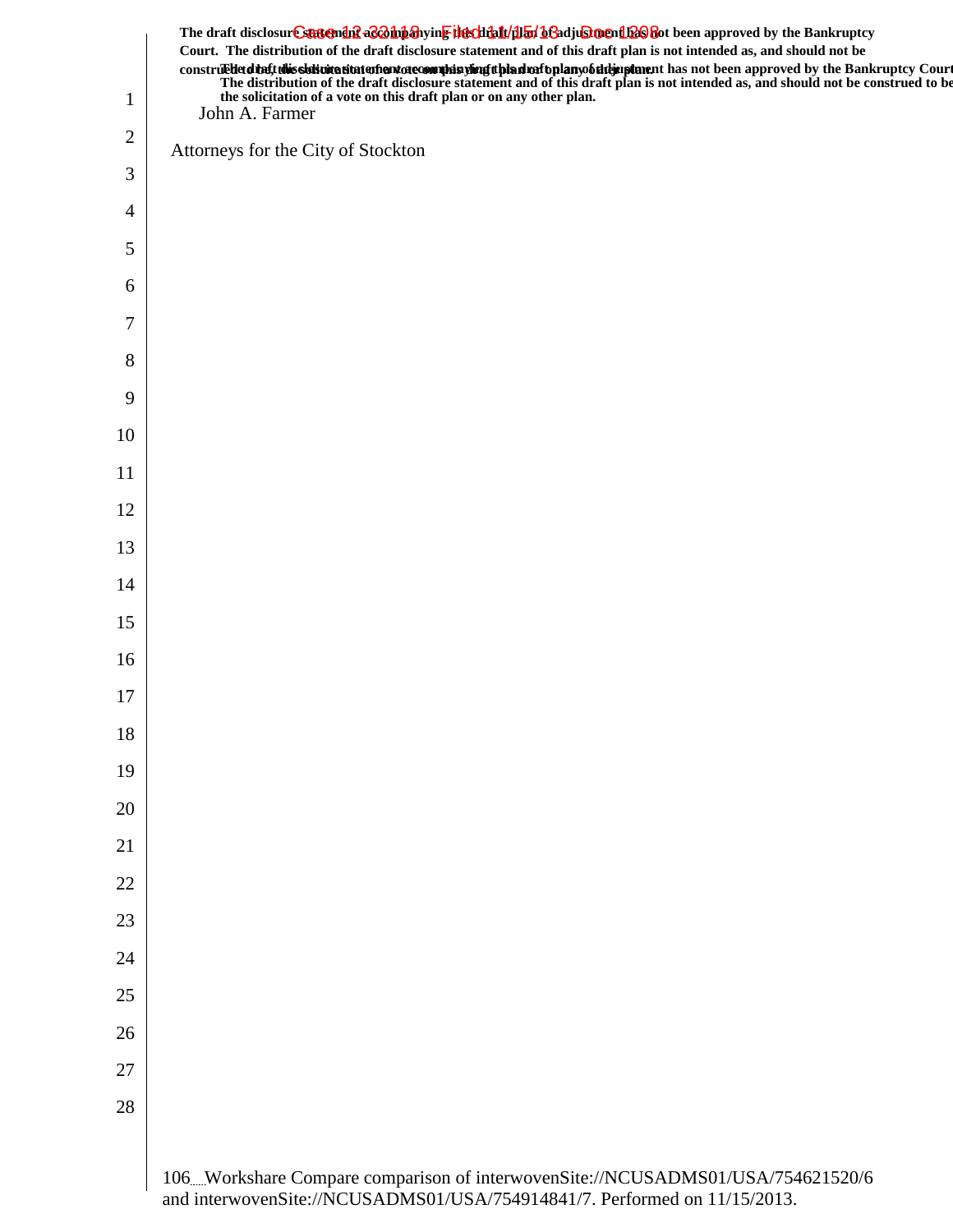|                | The draft disclosur Cantemina a and the highlight of the file of the file of the Bankruptcy<br>Court. The distribution of the draft disclosure statement and of this draft plan is not intended as, and should not be<br>construe the distribution of the draft disclosure statement and of this draft plan is not been approved by the Bankruptcy Court<br>The distribution of the draft disclosure statement and of this draft plan is not intended as, |
|----------------|-----------------------------------------------------------------------------------------------------------------------------------------------------------------------------------------------------------------------------------------------------------------------------------------------------------------------------------------------------------------------------------------------------------------------------------------------------------|
| $\mathbf{1}$   | John A. Farmer                                                                                                                                                                                                                                                                                                                                                                                                                                            |
| $\overline{c}$ | Attorneys for the City of Stockton                                                                                                                                                                                                                                                                                                                                                                                                                        |
| 3              |                                                                                                                                                                                                                                                                                                                                                                                                                                                           |
| 4              |                                                                                                                                                                                                                                                                                                                                                                                                                                                           |
| 5              |                                                                                                                                                                                                                                                                                                                                                                                                                                                           |
| 6              |                                                                                                                                                                                                                                                                                                                                                                                                                                                           |
| 7              |                                                                                                                                                                                                                                                                                                                                                                                                                                                           |
| 8              |                                                                                                                                                                                                                                                                                                                                                                                                                                                           |
| 9              |                                                                                                                                                                                                                                                                                                                                                                                                                                                           |
| 10             |                                                                                                                                                                                                                                                                                                                                                                                                                                                           |
| 11             |                                                                                                                                                                                                                                                                                                                                                                                                                                                           |
| 12             |                                                                                                                                                                                                                                                                                                                                                                                                                                                           |
| 13             |                                                                                                                                                                                                                                                                                                                                                                                                                                                           |
| 14             |                                                                                                                                                                                                                                                                                                                                                                                                                                                           |
| 15             |                                                                                                                                                                                                                                                                                                                                                                                                                                                           |
| 16             |                                                                                                                                                                                                                                                                                                                                                                                                                                                           |
| 17             |                                                                                                                                                                                                                                                                                                                                                                                                                                                           |
| 18             |                                                                                                                                                                                                                                                                                                                                                                                                                                                           |
| 19             |                                                                                                                                                                                                                                                                                                                                                                                                                                                           |
| 20             |                                                                                                                                                                                                                                                                                                                                                                                                                                                           |
| 21             |                                                                                                                                                                                                                                                                                                                                                                                                                                                           |
| 22             |                                                                                                                                                                                                                                                                                                                                                                                                                                                           |
| 23             |                                                                                                                                                                                                                                                                                                                                                                                                                                                           |
| 24             |                                                                                                                                                                                                                                                                                                                                                                                                                                                           |
| 25             |                                                                                                                                                                                                                                                                                                                                                                                                                                                           |
| 26             |                                                                                                                                                                                                                                                                                                                                                                                                                                                           |
| 27             |                                                                                                                                                                                                                                                                                                                                                                                                                                                           |
| 28             |                                                                                                                                                                                                                                                                                                                                                                                                                                                           |
|                | 106. Workshare Compare comparison of interwovenSite://NCUSADMS01/USA/754621520/6                                                                                                                                                                                                                                                                                                                                                                          |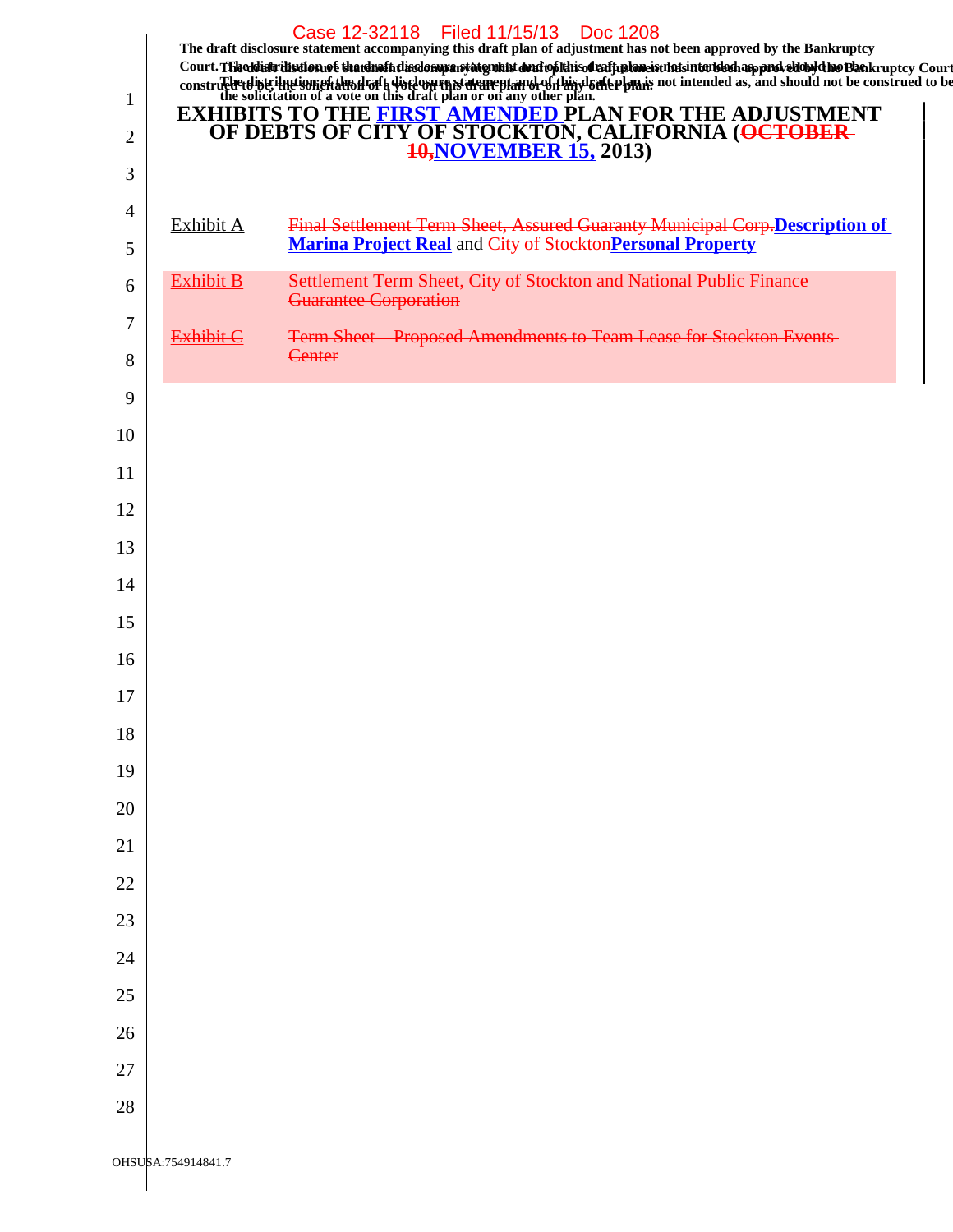|          |                    | Case 12-32118 Filed 11/15/13 Doc 1208<br>The draft disclosure statement accompanying this draft plan of adjustment has not been approved by the Bankruptcy<br>Court. The abiatrilistics not that drain this dompany may about the andropthis of raffustancia unist intended an provelous due to Bankruptcy Court |
|----------|--------------------|------------------------------------------------------------------------------------------------------------------------------------------------------------------------------------------------------------------------------------------------------------------------------------------------------------------|
| 1        |                    | construction of the solicitation of a vote on this draft plan or on any other plan. The solicitation of a vote on this draft plan or on any other plan.                                                                                                                                                          |
| 2        |                    | <b>EXHIBITS TO THE FIRST AMENDED PLAN FOR THE ADJUSTMENT</b><br>OF DEBTS OF CITY OF STOCKTON, CALIFORNIA ( <del>OCTOBER-10, NOVEMBER 15</del> , 2013)                                                                                                                                                            |
| 3        |                    |                                                                                                                                                                                                                                                                                                                  |
| 4        | Exhibit A          | <b>Final Settlement Term Sheet, Assured Guaranty Municipal Corp. Description of</b>                                                                                                                                                                                                                              |
| 5        |                    | <b>Marina Project Real and City of Stockton Personal Property</b>                                                                                                                                                                                                                                                |
| 6        | <b>Exhibit B</b>   | Settlement Term Sheet, City of Stockton and National Public Finance<br>Guarantee Corporation                                                                                                                                                                                                                     |
| 7        | <b>Exhibit C</b>   | Term Sheet Proposed Amendments to Team Lease for Stockton Events                                                                                                                                                                                                                                                 |
| 8        |                    | Center                                                                                                                                                                                                                                                                                                           |
| 9        |                    |                                                                                                                                                                                                                                                                                                                  |
| 10       |                    |                                                                                                                                                                                                                                                                                                                  |
| 11       |                    |                                                                                                                                                                                                                                                                                                                  |
| 12       |                    |                                                                                                                                                                                                                                                                                                                  |
| 13       |                    |                                                                                                                                                                                                                                                                                                                  |
| 14       |                    |                                                                                                                                                                                                                                                                                                                  |
| 15       |                    |                                                                                                                                                                                                                                                                                                                  |
| 16       |                    |                                                                                                                                                                                                                                                                                                                  |
| 17       |                    |                                                                                                                                                                                                                                                                                                                  |
| 18       |                    |                                                                                                                                                                                                                                                                                                                  |
| 19       |                    |                                                                                                                                                                                                                                                                                                                  |
| 20<br>21 |                    |                                                                                                                                                                                                                                                                                                                  |
| 22       |                    |                                                                                                                                                                                                                                                                                                                  |
| 23       |                    |                                                                                                                                                                                                                                                                                                                  |
| 24       |                    |                                                                                                                                                                                                                                                                                                                  |
| 25       |                    |                                                                                                                                                                                                                                                                                                                  |
| 26       |                    |                                                                                                                                                                                                                                                                                                                  |
| 27       |                    |                                                                                                                                                                                                                                                                                                                  |
| 28       |                    |                                                                                                                                                                                                                                                                                                                  |
|          |                    |                                                                                                                                                                                                                                                                                                                  |
|          | OHSUSA:754914841.7 |                                                                                                                                                                                                                                                                                                                  |